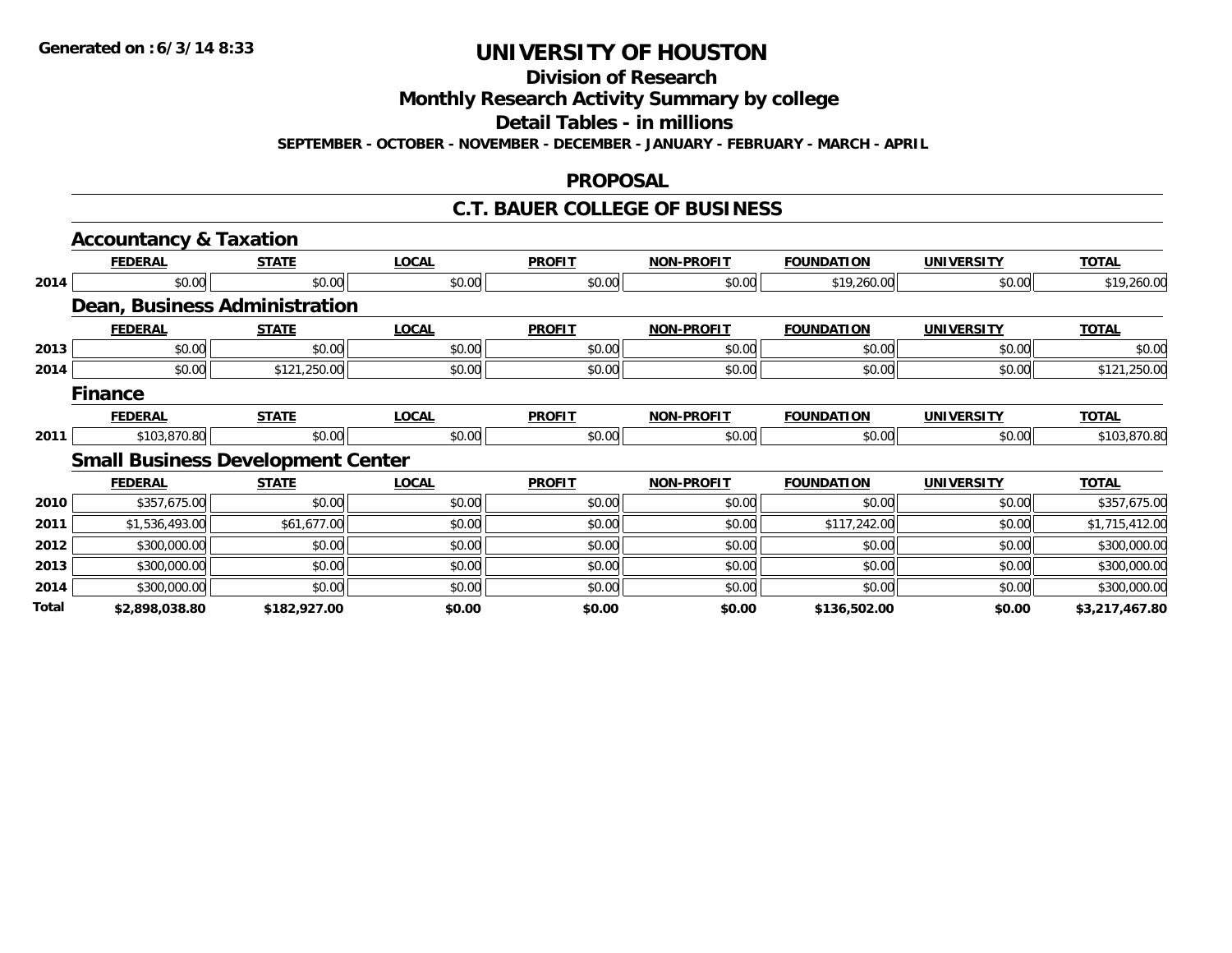**Division of Research**

**Monthly Research Activity Summary by college**

**Detail Tables - in millions**

**SEPTEMBER - OCTOBER - NOVEMBER - DECEMBER - JANUARY - FEBRUARY - MARCH - APRIL**

#### **PROPOSAL**

### **C.T. BAUER COLLEGE OF BUSINESS**

|       | <b>Accountancy &amp; Taxation</b>        |              |              |               |                   |                   |                   |                |
|-------|------------------------------------------|--------------|--------------|---------------|-------------------|-------------------|-------------------|----------------|
|       | <b>FEDERAL</b>                           | <b>STATE</b> | <b>LOCAL</b> | <b>PROFIT</b> | <b>NON-PROFIT</b> | <b>FOUNDATION</b> | <b>UNIVERSITY</b> | <b>TOTAL</b>   |
| 2014  | \$0.00                                   | \$0.00       | \$0.00       | \$0.00        | \$0.00            | \$19,260.00       | \$0.00            | \$19,260.00    |
|       | Dean, Business Administration            |              |              |               |                   |                   |                   |                |
|       | <b>FEDERAL</b>                           | <b>STATE</b> | <b>LOCAL</b> | <b>PROFIT</b> | <b>NON-PROFIT</b> | <b>FOUNDATION</b> | <b>UNIVERSITY</b> | <b>TOTAL</b>   |
| 2013  | \$0.00                                   | \$0.00       | \$0.00       | \$0.00        | \$0.00            | \$0.00            | \$0.00            | \$0.00         |
| 2014  | \$0.00                                   | \$121,250.00 | \$0.00       | \$0.00        | \$0.00            | \$0.00            | \$0.00            | \$121,250.00   |
|       | <b>Finance</b>                           |              |              |               |                   |                   |                   |                |
|       | <b>FEDERAL</b>                           | <b>STATE</b> | <b>LOCAL</b> | <b>PROFIT</b> | <b>NON-PROFIT</b> | <b>FOUNDATION</b> | <b>UNIVERSITY</b> | <b>TOTAL</b>   |
| 2011  | \$103,870.80                             | \$0.00       | \$0.00       | \$0.00        | \$0.00            | \$0.00            | \$0.00            | \$103,870.80   |
|       | <b>Small Business Development Center</b> |              |              |               |                   |                   |                   |                |
|       | <b>FEDERAL</b>                           | <b>STATE</b> | <b>LOCAL</b> | <b>PROFIT</b> | <b>NON-PROFIT</b> | <b>FOUNDATION</b> | <b>UNIVERSITY</b> | <b>TOTAL</b>   |
| 2010  | \$357,675.00                             | \$0.00       | \$0.00       | \$0.00        | \$0.00            | \$0.00            | \$0.00            | \$357,675.00   |
| 2011  | \$1,536,493.00                           | \$61,677.00  | \$0.00       | \$0.00        | \$0.00            | \$117,242.00      | \$0.00            | \$1,715,412.00 |
| 2012  | \$300,000.00                             | \$0.00       | \$0.00       | \$0.00        | \$0.00            | \$0.00            | \$0.00            | \$300,000.00   |
| 2013  | \$300,000.00                             | \$0.00       | \$0.00       | \$0.00        | \$0.00            | \$0.00            | \$0.00            | \$300,000.00   |
| 2014  | \$300,000.00                             | \$0.00       | \$0.00       | \$0.00        | \$0.00            | \$0.00            | \$0.00            | \$300,000.00   |
| Total | \$2,898,038.80                           | \$182,927.00 | \$0.00       | \$0.00        | \$0.00            | \$136,502.00      | \$0.00            | \$3,217,467.80 |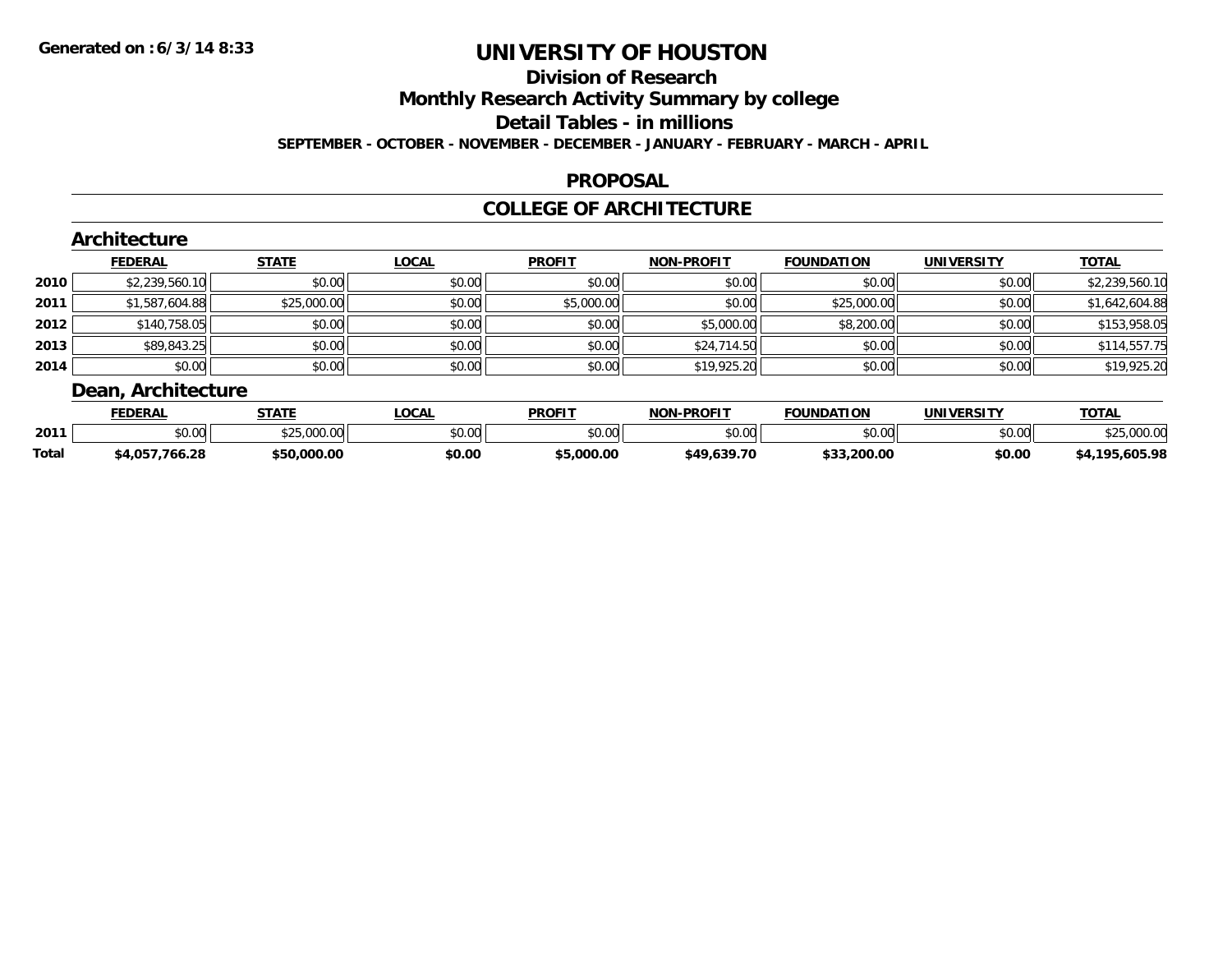## **Division of Research**

**Monthly Research Activity Summary by college**

**Detail Tables - in millions**

**SEPTEMBER - OCTOBER - NOVEMBER - DECEMBER - JANUARY - FEBRUARY - MARCH - APRIL**

#### **PROPOSAL**

### **COLLEGE OF ARCHITECTURE**

|        | <b>FEDERAL</b> | <b>STATE</b> | <b>LOCAL</b> | <b>PROFIT</b> | <b>NON-PROFIT</b> | <b>FOUNDATION</b> | <b>UNIVERSITY</b> | <b>TOTAL</b>   |
|--------|----------------|--------------|--------------|---------------|-------------------|-------------------|-------------------|----------------|
| ا 2010 | \$2,239,560.10 | \$0.00       | \$0.00       | \$0.00        | \$0.00            | \$0.00            | \$0.00            | \$2,239,560.10 |
| 2011   | \$1,587,604.88 | \$25,000.00  | \$0.00       | \$5,000.00    | \$0.00            | \$25,000.00       | \$0.00            | \$1,642,604.88 |
| 2012   | \$140,758.05   | \$0.00       | \$0.00       | \$0.00        | \$5,000.00        | \$8,200.00        | \$0.00            | \$153,958.05   |
| 2013   | \$89,843.25    | \$0.00       | \$0.00       | \$0.00        | \$24,714.50       | \$0.00            | \$0.00            | \$114,557.75   |
| 2014   | \$0.00         | \$0.00       | \$0.00       | \$0.00        | \$19,925.20       | \$0.00            | \$0.00            | \$19,925.20    |

|              | <b>FEDERAL</b>     | <b>STATE</b>                                              | .OCAL  | <b>PROFIT</b> | <b>J-PROFIT</b><br>NON | <b>FOUNDATION</b> | UNIVERSITY      | <b>TOTAL</b>           |
|--------------|--------------------|-----------------------------------------------------------|--------|---------------|------------------------|-------------------|-----------------|------------------------|
| 2011         | $\sim$ 00<br>JU.UU | $A^{\wedge}$ $A^{\wedge}$<br>$\overline{0}$<br>JZJ.UUU.UU | \$0.00 | 0000<br>JU.UU | \$0.00                 | ስስ ስስ             | en uu<br>וטט.טע | 00000<br>ື່ ຈ∠ວ.∪∪∪.ບ. |
| <b>Total</b> | 766.28<br>750,4¢   | \$50.000.00                                               | \$0.00 | 000.00 د .    | \$49,639.70            | \$33,200.00       | \$0.00          | 5.605.98<br>. 10F      |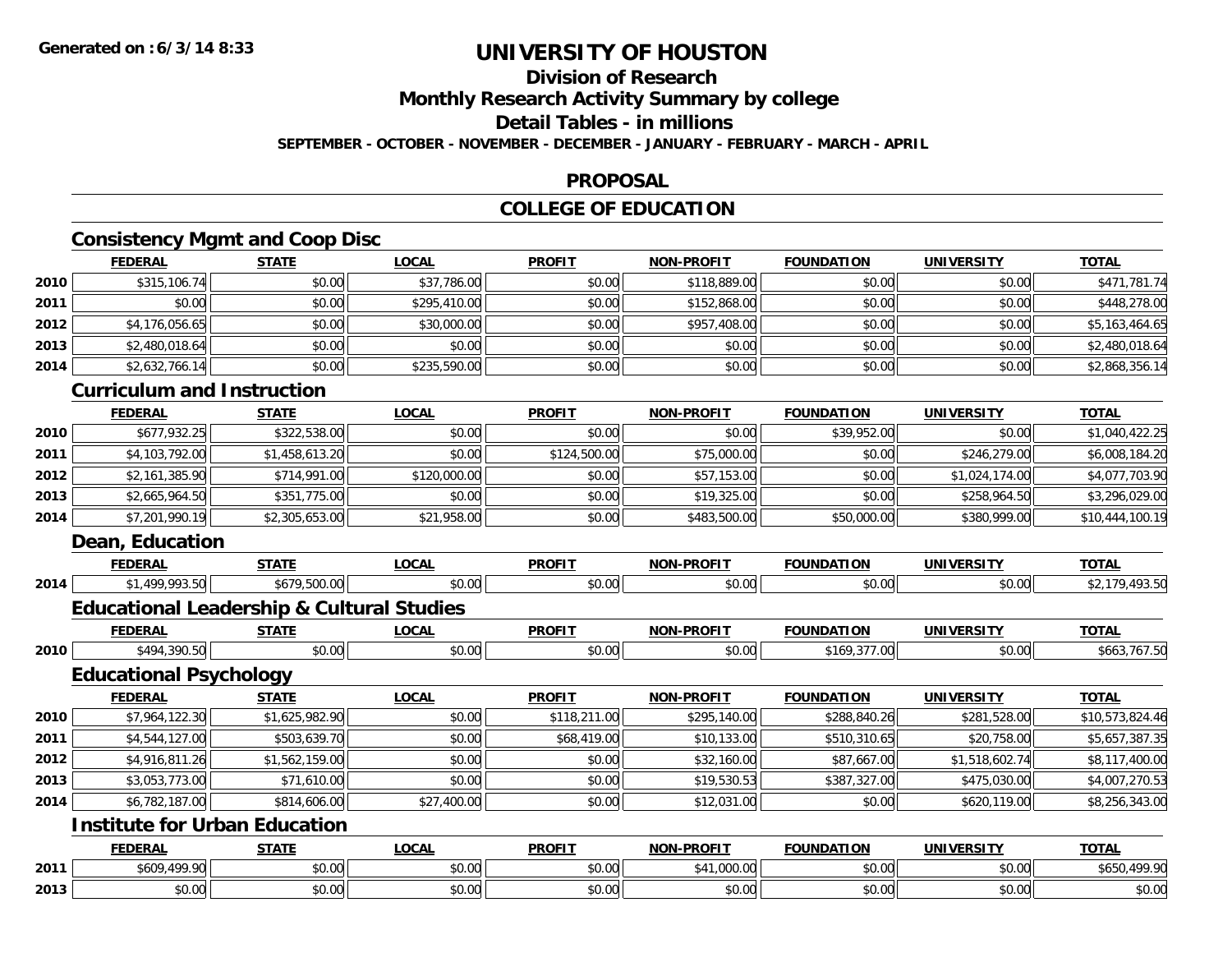## **Division of Research**

**Monthly Research Activity Summary by college**

#### **Detail Tables - in millions**

**SEPTEMBER - OCTOBER - NOVEMBER - DECEMBER - JANUARY - FEBRUARY - MARCH - APRIL**

#### **PROPOSAL**

## **COLLEGE OF EDUCATION**

### **Consistency Mgmt and Coop Disc**

|      | CONSISTENCY MIGHT and COOP DISC                      |                |              |               |                   |                   |                   |                 |
|------|------------------------------------------------------|----------------|--------------|---------------|-------------------|-------------------|-------------------|-----------------|
|      | <b>FEDERAL</b>                                       | <b>STATE</b>   | <b>LOCAL</b> | <b>PROFIT</b> | <b>NON-PROFIT</b> | <b>FOUNDATION</b> | <b>UNIVERSITY</b> | <b>TOTAL</b>    |
| 2010 | \$315,106.74                                         | \$0.00         | \$37,786.00  | \$0.00        | \$118,889.00      | \$0.00            | \$0.00            | \$471,781.74    |
| 2011 | \$0.00                                               | \$0.00         | \$295,410.00 | \$0.00        | \$152,868.00      | \$0.00            | \$0.00            | \$448,278.00    |
| 2012 | \$4,176,056.65                                       | \$0.00         | \$30,000.00  | \$0.00        | \$957,408.00      | \$0.00            | \$0.00            | \$5,163,464.65  |
| 2013 | \$2,480,018.64                                       | \$0.00         | \$0.00       | \$0.00        | \$0.00            | \$0.00            | \$0.00            | \$2,480,018.64  |
| 2014 | \$2,632,766.14                                       | \$0.00         | \$235,590.00 | \$0.00        | \$0.00            | \$0.00            | \$0.00            | \$2,868,356.14  |
|      | <b>Curriculum and Instruction</b>                    |                |              |               |                   |                   |                   |                 |
|      | <b>FEDERAL</b>                                       | <b>STATE</b>   | <b>LOCAL</b> | <b>PROFIT</b> | <b>NON-PROFIT</b> | <b>FOUNDATION</b> | <b>UNIVERSITY</b> | <b>TOTAL</b>    |
| 2010 | \$677,932.25                                         | \$322,538.00   | \$0.00       | \$0.00        | \$0.00            | \$39,952.00       | \$0.00            | \$1,040,422.25  |
| 2011 | \$4,103,792.00                                       | \$1,458,613.20 | \$0.00       | \$124,500.00  | \$75,000.00       | \$0.00            | \$246,279.00      | \$6,008,184.20  |
| 2012 | \$2,161,385.90                                       | \$714,991.00   | \$120,000.00 | \$0.00        | \$57,153.00       | \$0.00            | \$1,024,174.00    | \$4,077,703.90  |
| 2013 | \$2,665,964.50                                       | \$351,775.00   | \$0.00       | \$0.00        | \$19,325.00       | \$0.00            | \$258,964.50      | \$3,296,029.00  |
| 2014 | \$7,201,990.19                                       | \$2,305,653.00 | \$21,958.00  | \$0.00        | \$483,500.00      | \$50,000.00       | \$380,999.00      | \$10,444,100.19 |
|      | Dean, Education                                      |                |              |               |                   |                   |                   |                 |
|      | <b>FEDERAL</b>                                       | <b>STATE</b>   | <b>LOCAL</b> | <b>PROFIT</b> | <b>NON-PROFIT</b> | <b>FOUNDATION</b> | <b>UNIVERSITY</b> | <b>TOTAL</b>    |
| 2014 | \$1,499,993.50                                       | \$679,500.00   | \$0.00       | \$0.00        | \$0.00            | \$0.00            | \$0.00            | \$2,179,493.50  |
|      | <b>Educational Leadership &amp; Cultural Studies</b> |                |              |               |                   |                   |                   |                 |
|      | <b>FEDERAL</b>                                       | <b>STATE</b>   | <b>LOCAL</b> | <b>PROFIT</b> | <b>NON-PROFIT</b> | <b>FOUNDATION</b> | <b>UNIVERSITY</b> | <b>TOTAL</b>    |
| 2010 | \$494,390.50                                         | \$0.00         | \$0.00       | \$0.00        | \$0.00            | \$169,377.00      | \$0.00            | \$663,767.50    |
|      | <b>Educational Psychology</b>                        |                |              |               |                   |                   |                   |                 |
|      | <b>FEDERAL</b>                                       | <b>STATE</b>   | <b>LOCAL</b> | <b>PROFIT</b> | <b>NON-PROFIT</b> | <b>FOUNDATION</b> | <b>UNIVERSITY</b> | <b>TOTAL</b>    |
| 2010 | \$7,964,122.30                                       | \$1,625,982.90 | \$0.00       | \$118,211.00  | \$295,140.00      | \$288,840.26      | \$281,528.00      | \$10,573,824.46 |
| 2011 | \$4,544,127.00                                       | \$503,639.70   | \$0.00       | \$68,419.00   | \$10,133.00       | \$510,310.65      | \$20,758.00       | \$5,657,387.35  |
| 2012 | \$4,916,811.26                                       | \$1,562,159.00 | \$0.00       | \$0.00        | \$32,160.00       | \$87,667.00       | \$1,518,602.74    | \$8,117,400.00  |
| 2013 | \$3,053,773.00                                       | \$71,610.00    | \$0.00       | \$0.00        | \$19,530.53       | \$387,327.00      | \$475,030.00      | \$4,007,270.53  |
| 2014 | \$6,782,187.00                                       | \$814,606.00   | \$27,400.00  | \$0.00        | \$12,031.00       | \$0.00            | \$620,119.00      | \$8,256,343.00  |
|      | <b>Institute for Urban Education</b>                 |                |              |               |                   |                   |                   |                 |
|      | <b>FEDERAL</b>                                       | <b>STATE</b>   | <b>LOCAL</b> | <b>PROFIT</b> | <b>NON-PROFIT</b> | <b>FOUNDATION</b> | <b>UNIVERSITY</b> | <b>TOTAL</b>    |
| 2011 | \$609,499.90                                         | \$0.00         | \$0.00       | \$0.00        | \$41,000.00       | \$0.00            | \$0.00            | \$650,499.90    |
| 2013 | \$0.00                                               | \$0.00         | \$0.00       | \$0.00        | \$0.00            | \$0.00            | \$0.00            | \$0.00          |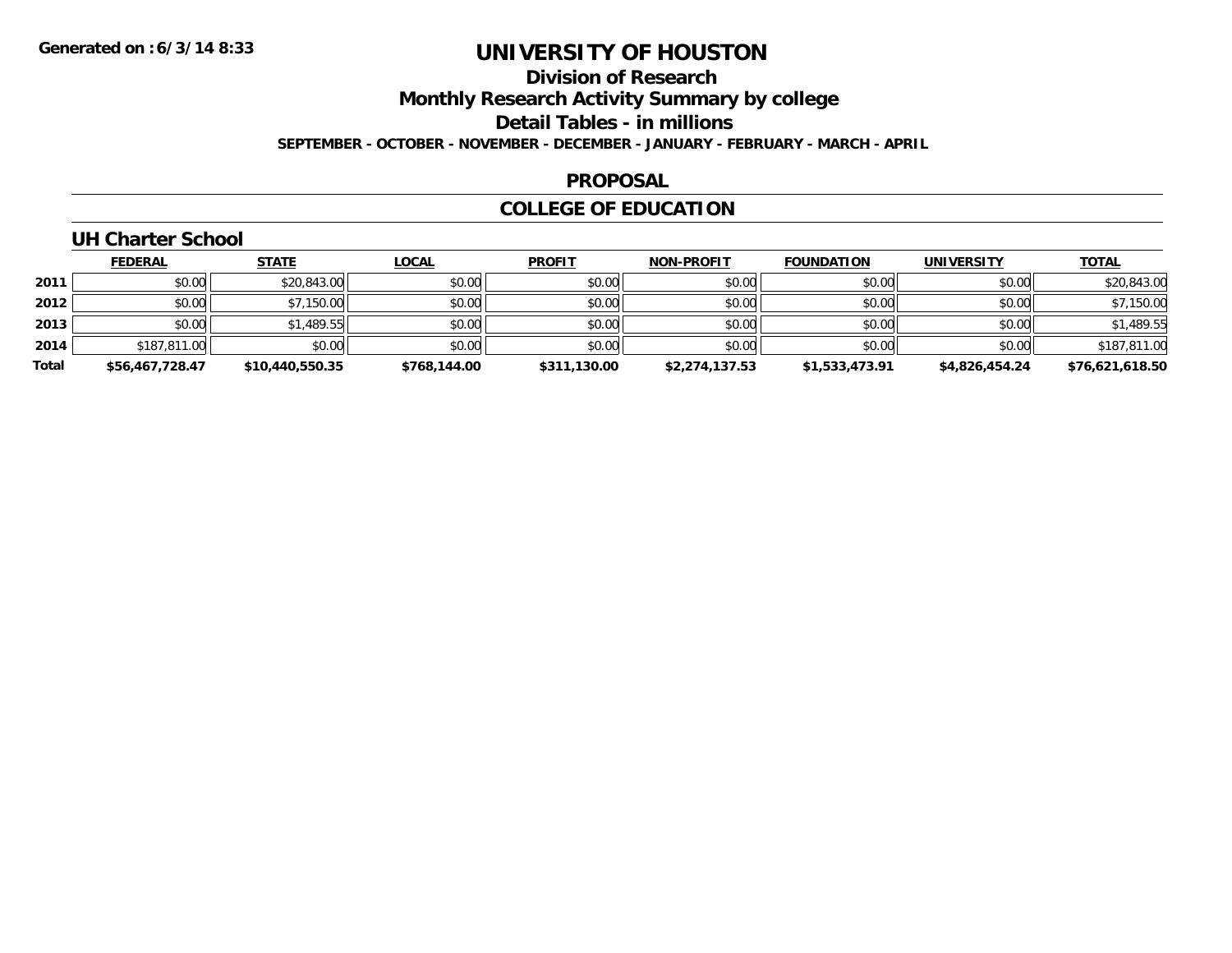## **Division of Research**

**Monthly Research Activity Summary by college**

**Detail Tables - in millions**

**SEPTEMBER - OCTOBER - NOVEMBER - DECEMBER - JANUARY - FEBRUARY - MARCH - APRIL**

#### **PROPOSAL**

## **COLLEGE OF EDUCATION**

## **UH Charter School**

|       | <b>FEDERAL</b>  | <b>STATE</b>    | <u>LOCAL</u> | <b>PROFIT</b> | <b>NON-PROFIT</b> | <b>FOUNDATION</b> | <b>UNIVERSITY</b> | <b>TOTAL</b>    |
|-------|-----------------|-----------------|--------------|---------------|-------------------|-------------------|-------------------|-----------------|
| 2011  | \$0.00          | \$20,843.00     | \$0.00       | \$0.00        | \$0.00            | \$0.00            | \$0.00            | \$20,843.00     |
| 2012  | \$0.00          | \$7,150.00      | \$0.00       | \$0.00        | \$0.00            | \$0.00            | \$0.00            | \$7,150.00      |
| 2013  | \$0.00          | \$1,489.55      | \$0.00       | \$0.00        | \$0.00            | \$0.00            | \$0.00            | \$1,489.55      |
| 2014  | \$187,811.00    | \$0.00          | \$0.00       | \$0.00        | \$0.00            | \$0.00            | \$0.00            | \$187,811.00    |
| Total | \$56,467,728.47 | \$10,440,550.35 | \$768,144.00 | \$311,130.00  | \$2,274,137.53    | \$1,533,473.91    | \$4.826.454.24    | \$76,621,618.50 |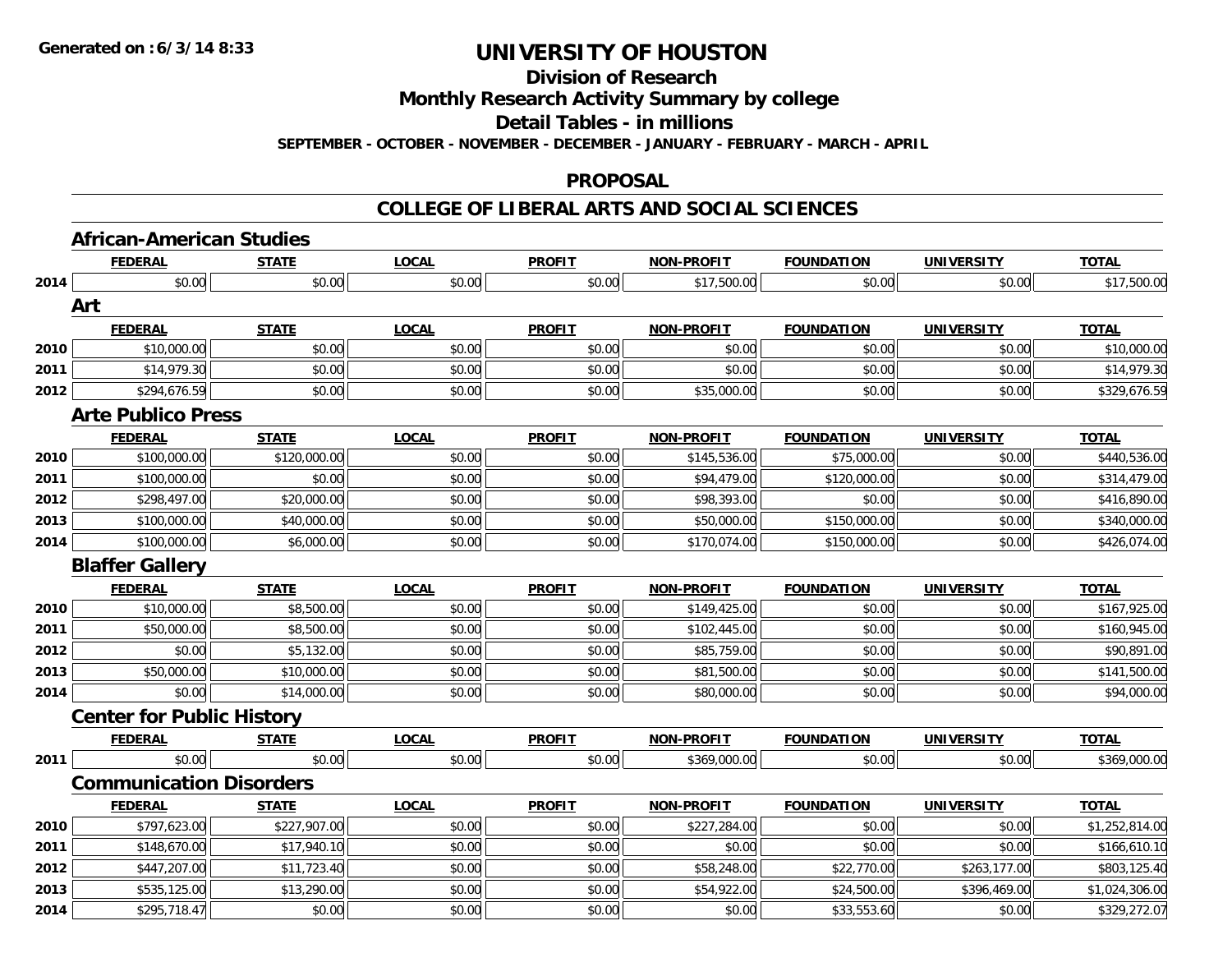**Division of Research**

**Monthly Research Activity Summary by college**

**Detail Tables - in millions**

**SEPTEMBER - OCTOBER - NOVEMBER - DECEMBER - JANUARY - FEBRUARY - MARCH - APRIL**

#### **PROPOSAL**

|      | <b>African-American Studies</b>  |              |              |               |                   |                   |                   |                |
|------|----------------------------------|--------------|--------------|---------------|-------------------|-------------------|-------------------|----------------|
|      | <b>FEDERAL</b>                   | <b>STATE</b> | <b>LOCAL</b> | <b>PROFIT</b> | <b>NON-PROFIT</b> | <b>FOUNDATION</b> | <b>UNIVERSITY</b> | <b>TOTAL</b>   |
| 2014 | \$0.00                           | \$0.00       | \$0.00       | \$0.00        | \$17,500.00       | \$0.00            | \$0.00            | \$17,500.00    |
|      | Art                              |              |              |               |                   |                   |                   |                |
|      | <b>FEDERAL</b>                   | <b>STATE</b> | <b>LOCAL</b> | <b>PROFIT</b> | <b>NON-PROFIT</b> | <b>FOUNDATION</b> | <b>UNIVERSITY</b> | <b>TOTAL</b>   |
| 2010 | \$10,000.00                      | \$0.00       | \$0.00       | \$0.00        | \$0.00            | \$0.00            | \$0.00            | \$10,000.00    |
| 2011 | \$14,979.30                      | \$0.00       | \$0.00       | \$0.00        | \$0.00            | \$0.00            | \$0.00            | \$14,979.30    |
| 2012 | \$294,676.59                     | \$0.00       | \$0.00       | \$0.00        | \$35,000.00       | \$0.00            | \$0.00            | \$329,676.59   |
|      | <b>Arte Publico Press</b>        |              |              |               |                   |                   |                   |                |
|      | <b>FEDERAL</b>                   | <b>STATE</b> | <b>LOCAL</b> | <b>PROFIT</b> | <b>NON-PROFIT</b> | <b>FOUNDATION</b> | <b>UNIVERSITY</b> | <b>TOTAL</b>   |
| 2010 | \$100,000.00                     | \$120,000.00 | \$0.00       | \$0.00        | \$145,536.00      | \$75,000.00       | \$0.00            | \$440,536.00   |
| 2011 | \$100,000.00                     | \$0.00       | \$0.00       | \$0.00        | \$94,479.00       | \$120,000.00      | \$0.00            | \$314,479.00   |
| 2012 | \$298,497.00                     | \$20,000.00  | \$0.00       | \$0.00        | \$98,393.00       | \$0.00            | \$0.00            | \$416,890.00   |
| 2013 | \$100,000.00                     | \$40,000.00  | \$0.00       | \$0.00        | \$50,000.00       | \$150,000.00      | \$0.00            | \$340,000.00   |
| 2014 | \$100,000.00                     | \$6,000.00   | \$0.00       | \$0.00        | \$170,074.00      | \$150,000.00      | \$0.00            | \$426,074.00   |
|      | <b>Blaffer Gallery</b>           |              |              |               |                   |                   |                   |                |
|      | <b>FEDERAL</b>                   | <b>STATE</b> | <b>LOCAL</b> | <b>PROFIT</b> | <b>NON-PROFIT</b> | <b>FOUNDATION</b> | <b>UNIVERSITY</b> | <b>TOTAL</b>   |
| 2010 | \$10,000.00                      | \$8,500.00   | \$0.00       | \$0.00        | \$149,425.00      | \$0.00            | \$0.00            | \$167,925.00   |
| 2011 | \$50,000.00                      | \$8,500.00   | \$0.00       | \$0.00        | \$102,445.00      | \$0.00            | \$0.00            | \$160,945.00   |
| 2012 | \$0.00                           | \$5,132.00   | \$0.00       | \$0.00        | \$85,759.00       | \$0.00            | \$0.00            | \$90,891.00    |
| 2013 | \$50,000.00                      | \$10,000.00  | \$0.00       | \$0.00        | \$81,500.00       | \$0.00            | \$0.00            | \$141,500.00   |
| 2014 | \$0.00                           | \$14,000.00  | \$0.00       | \$0.00        | \$80,000.00       | \$0.00            | \$0.00            | \$94,000.00    |
|      | <b>Center for Public History</b> |              |              |               |                   |                   |                   |                |
|      | <b>FEDERAL</b>                   | <b>STATE</b> | <b>LOCAL</b> | <b>PROFIT</b> | <b>NON-PROFIT</b> | <b>FOUNDATION</b> | <b>UNIVERSITY</b> | <b>TOTAL</b>   |
| 2011 | \$0.00                           | \$0.00       | \$0.00       | \$0.00        | \$369,000.00      | \$0.00            | \$0.00            | \$369,000.00   |
|      | <b>Communication Disorders</b>   |              |              |               |                   |                   |                   |                |
|      | <b>FEDERAL</b>                   | <b>STATE</b> | <b>LOCAL</b> | <b>PROFIT</b> | <b>NON-PROFIT</b> | <b>FOUNDATION</b> | <b>UNIVERSITY</b> | <b>TOTAL</b>   |
| 2010 | \$797,623.00                     | \$227,907.00 | \$0.00       | \$0.00        | \$227,284.00      | \$0.00            | \$0.00            | \$1,252,814.00 |
| 2011 | \$148,670.00                     | \$17,940.10  | \$0.00       | \$0.00        | \$0.00            | \$0.00            | \$0.00            | \$166,610.10   |
| 2012 | \$447,207.00                     | \$11,723.40  | \$0.00       | \$0.00        | \$58,248.00       | \$22,770.00       | \$263,177.00      | \$803,125.40   |
| 2013 | \$535,125.00                     | \$13,290.00  | \$0.00       | \$0.00        | \$54,922.00       | \$24,500.00       | \$396,469.00      | \$1,024,306.00 |
| 2014 | \$295,718.47                     | \$0.00       | \$0.00       | \$0.00        | \$0.00            | \$33,553.60       | \$0.00            | \$329,272.07   |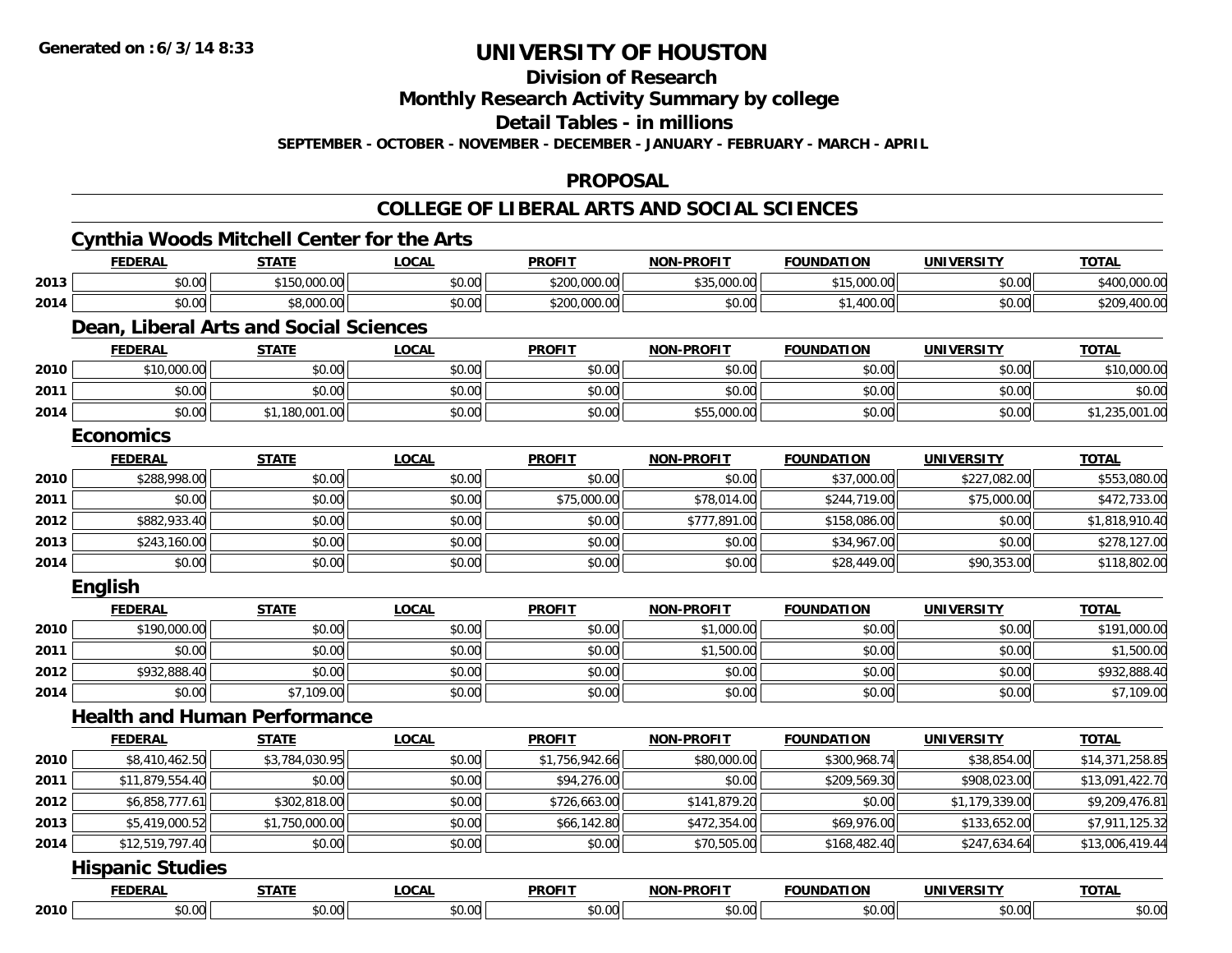**2010**

## **UNIVERSITY OF HOUSTON**

**Division of Research**

**Monthly Research Activity Summary by college**

**Detail Tables - in millions**

**SEPTEMBER - OCTOBER - NOVEMBER - DECEMBER - JANUARY - FEBRUARY - MARCH - APRIL**

#### **PROPOSAL**

### **COLLEGE OF LIBERAL ARTS AND SOCIAL SCIENCES**

#### **Cynthia Woods Mitchell Center for the Arts FEDERAL STATE LOCAL PROFIT NON-PROFIT FOUNDATION UNIVERSITY TOTALTOTAL 2013** $\bf{3} \mid$   $\bf{3} \mid$   $\bf{50.00} \mid$   $\bf{400,000.00}$   $\bf{5400,000.00}$   $\bf{6400,000.00}$   $\bf{6400,000.00}$ **2014**4 \$0.00| \$8,000.00| \$0.00| \$200,000.00| \$0.00| \$0.00| \$0.00| \$209,400.00 **Dean, Liberal Arts and Social Sciences FEDERAL STATE LOCAL PROFIT NON-PROFIT FOUNDATION UNIVERSITY TOTAL2010** $\textsf{0} \parallel \textsf{0} \parallel \textsf{0} \parallel \textsf{0} \parallel \textsf{0} \parallel \textsf{0} \parallel \textsf{0} \parallel \textsf{0} \parallel \textsf{0} \parallel \textsf{0} \parallel \textsf{0} \parallel \textsf{0} \parallel \textsf{0} \parallel \textsf{0} \parallel \textsf{0} \parallel \textsf{0} \parallel \textsf{0} \parallel \textsf{0} \parallel \textsf{0} \parallel \textsf{0} \parallel \textsf{0} \parallel \textsf{0} \parallel \textsf{0} \parallel \textsf{0} \parallel \textsf{0} \parallel \textsf{0} \parallel \textsf{0} \parallel \textsf{$ **2011** \$0.00 \$0.00 \$0.00 \$0.00 \$0.00 \$0.00 \$0.00 \$0.00 **2014**4 \$0.00 \$0.00 \$1,180,001.00 \$0.00 \$0.00 \$0.00 \$0.00 \$0.00 \$55,000.00 \$55,000.00 \$0.00 \$0.00 \$1,235,001.00 **EconomicsFEDERAL STATE LOCAL PROFIT NON-PROFIT FOUNDATION UNIVERSITY TOTAL2010** \$288,998.00 \$0.00 \$0.00 \$0.00 \$0.00 \$37,000.00 \$227,082.00 \$553,080.00 **2011** \$0.00 \$0.00 \$0.00 \$75,000.00 \$78,014.00 \$244,719.00 \$75,000.00 \$472,733.00 **2012** \$882,933.40 \$0.00 \$0.00 \$0.00 \$777,891.00 \$158,086.00 \$0.00 \$1,818,910.40 **2013** \$243,160.00 \$0.00 \$0.00 \$0.00 \$0.00 \$34,967.00 \$0.00 \$278,127.00 **2014**4 \$0.00 \$0.00 \$0.00 \$0.00 \$0.00 \$28,449.00 \$90,353.00 \$118,802.00 **English FEDERAL STATE LOCAL PROFIT NON-PROFIT FOUNDATION UNIVERSITY TOTAL2010** $\textsf{0} \parallel \textsf{0} \parallel \textsf{0} \parallel \textsf{0} \parallel \textsf{0} \parallel \textsf{0} \parallel \textsf{0} \parallel \textsf{0} \parallel \textsf{0} \parallel \textsf{0} \parallel \textsf{0} \parallel \textsf{0} \parallel \textsf{0} \parallel \textsf{0} \parallel \textsf{0} \parallel \textsf{0} \parallel \textsf{0} \parallel \textsf{0} \parallel \textsf{0} \parallel \textsf{0} \parallel \textsf{0} \parallel \textsf{0} \parallel \textsf{0} \parallel \textsf{0} \parallel \textsf{0} \parallel \textsf{0} \parallel \textsf{0} \parallel \textsf{$ **2011** \$0.00 \$0.00 \$0.00 \$0.00 \$1,500.00 \$0.00 \$0.00 \$1,500.00 **2012**2 | \$932,888.40|| \$0.00|| \$0.00|| \$0.00|| \$0.00|| \$0.00|| \$0.00|| \$0.00|| \$0.00|| \$0.00|| \$932,888.40 **2014**4 \$0.00 \$0.00 \$7,109.00 \$0.00 \$0.00 \$0.00 \$0.00 \$0.00 \$0.00 \$0.00 \$0.00 \$0.00 \$0.00 \$7,109.00 **Health and Human PerformanceFEDERAL STATE LOCAL PROFIT NON-PROFIT FOUNDATION UNIVERSITY TOTALTOTAL 2010**0 \$8,410,462.50 \$3,784,030.95 \$0.00 \$1,000 \$1,756,942.66 \$80,000.00 \$30,000.00 \$38,854.00 \$14,371,258.85 **2011** \$11,879,554.40 \$0.00 \$0.00 \$94,276.00 \$0.00 \$209,569.30 \$908,023.00 \$13,091,422.70 **2012**2 \$6,858,777.61| \$302,818.00| \$0.00| \$726,663.00| \$141,879.20| \$0.00| \$1,179,339.00| \$9,209,476.81 **2013** $\bf{3} \vert \bf{3} \vert \bf{4} \bigr)$   $\bf{4}$   $\bf{5}$ ,419,000.52 $\vert \bf{4} \vert \bf{5}$   $\bf{5}$ ,911,125.32  $\vert \bf{6}$   $\bf{6}$   $\vert \bf{6} \vert \bf{6}$   $\vert \bf{7}$   $\vert \bf{8}$   $\vert \bf{6}$   $\vert \bf{6} \vert \bf{7}$   $\vert \bf{8}$   $\vert \bf{8}$   $\vert \bf{6} \vert$   $\vert \bf{8}$   $\vert \bf{7}$  **2014**4 \$12,519,797.40| \$0.00| \$0.00| \$0.00| \$0.00| \$0.00| \$70,505.00| \$168,482.40| \$247,634.64|| \$13,006,419.44 **Hispanic Studies FEDERAL STATE LOCAL PROFIT NON-PROFIT FOUNDATION UNIVERSITY TOTAL**

0 \$0.00 \$0.00 \$0.00 \$0.00 \$0.00 \$0.00 \$0.00 \$0.00 \$0.00 \$0.00 \$0.00 \$0.00 \$0.00 \$0.00 \$0.00 \$0.00 \$0.00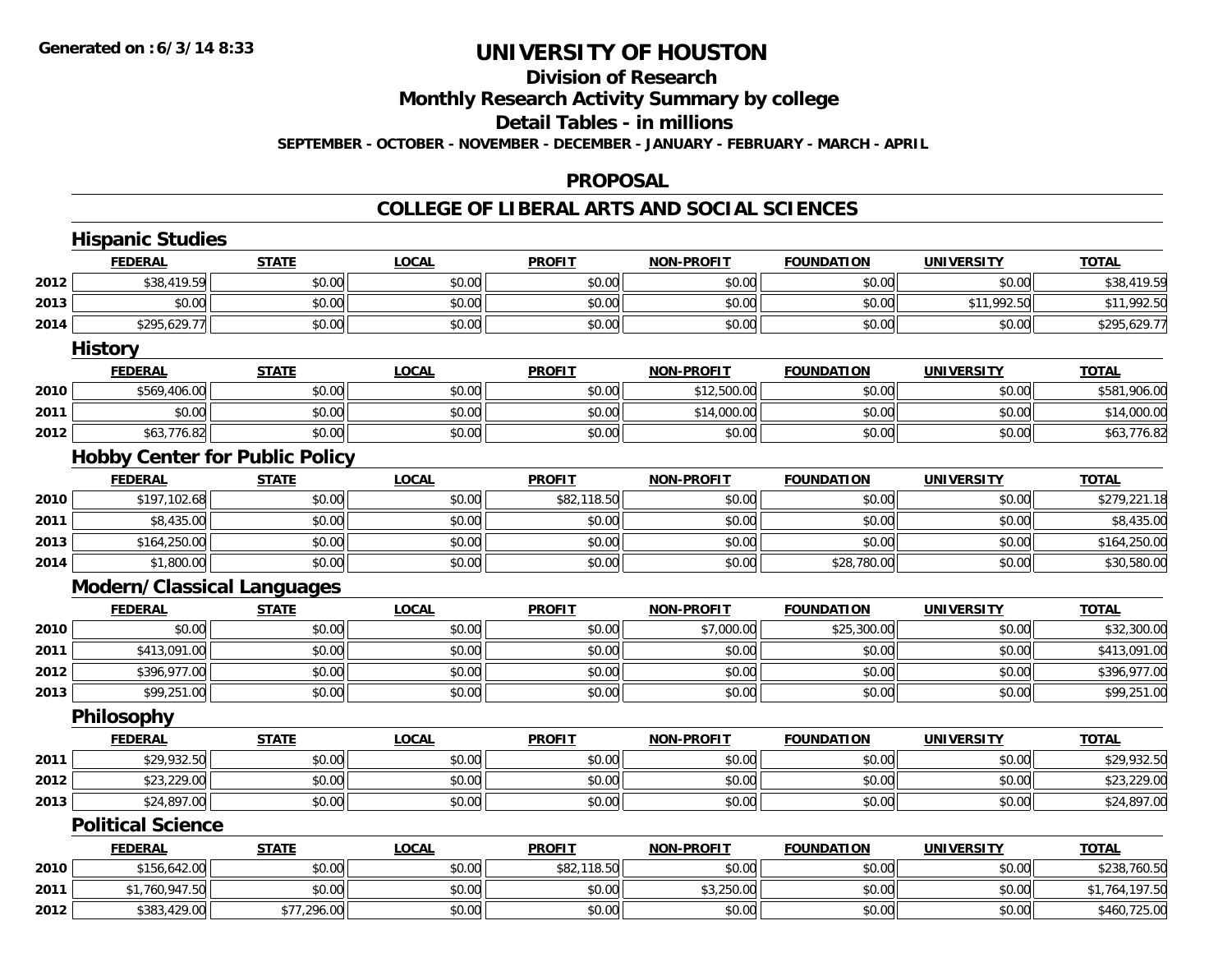#### **Division of Research**

**Monthly Research Activity Summary by college**

#### **Detail Tables - in millions**

**SEPTEMBER - OCTOBER - NOVEMBER - DECEMBER - JANUARY - FEBRUARY - MARCH - APRIL**

#### **PROPOSAL**

|      | <b>FEDERAL</b>                        | <b>STATE</b> | <b>LOCAL</b> | <b>PROFIT</b> | <b>NON-PROFIT</b> | <b>FOUNDATION</b> | <b>UNIVERSITY</b> | <b>TOTAL</b>                                              |
|------|---------------------------------------|--------------|--------------|---------------|-------------------|-------------------|-------------------|-----------------------------------------------------------|
| 2012 | \$38,419.59                           | \$0.00       | \$0.00       | \$0.00        | \$0.00            | \$0.00            | \$0.00            | \$38,419.59                                               |
| 2013 | \$0.00                                | \$0.00       | \$0.00       | \$0.00        | \$0.00            | \$0.00            | \$11,992.50       | \$11,992.50                                               |
| 2014 | \$295,629.77                          | \$0.00       | \$0.00       | \$0.00        | \$0.00            | \$0.00            | \$0.00            | \$295,629.77                                              |
|      | <b>History</b>                        |              |              |               |                   |                   |                   |                                                           |
|      | <b>FEDERAL</b>                        | <b>STATE</b> | <b>LOCAL</b> | <b>PROFIT</b> | <b>NON-PROFIT</b> | <b>FOUNDATION</b> | <b>UNIVERSITY</b> | <b>TOTAL</b>                                              |
| 2010 | \$569,406.00                          | \$0.00       | \$0.00       | \$0.00        | \$12,500.00       | \$0.00            | \$0.00            | \$581,906.00                                              |
| 2011 | \$0.00                                | \$0.00       | \$0.00       | \$0.00        | \$14,000.00       | \$0.00            | \$0.00            | \$14,000.00                                               |
| 2012 | \$63,776.82                           | \$0.00       | \$0.00       | \$0.00        | \$0.00            | \$0.00            | \$0.00            | \$63,776.82                                               |
|      | <b>Hobby Center for Public Policy</b> |              |              |               |                   |                   |                   |                                                           |
|      | <b>FEDERAL</b>                        | <b>STATE</b> | <b>LOCAL</b> | <b>PROFIT</b> | <b>NON-PROFIT</b> | <b>FOUNDATION</b> | <b>UNIVERSITY</b> | <b>TOTAL</b>                                              |
| 2010 | \$197,102.68                          | \$0.00       | \$0.00       | \$82,118.50   | \$0.00            | \$0.00            | \$0.00            | \$279,221.18                                              |
| 2011 | \$8,435.00                            | \$0.00       | \$0.00       | \$0.00        | \$0.00            | \$0.00            | \$0.00            | \$8,435.00                                                |
| 2013 | \$164,250.00                          | \$0.00       | \$0.00       | \$0.00        | \$0.00            | \$0.00            | \$0.00            | \$164,250.00                                              |
| 2014 | \$1,800.00                            | \$0.00       | \$0.00       | \$0.00        | \$0.00            | \$28,780.00       | \$0.00            | \$30,580.00                                               |
|      | <b>Modern/Classical Languages</b>     |              |              |               |                   |                   |                   |                                                           |
|      | <b>FEDERAL</b>                        | <b>STATE</b> | <b>LOCAL</b> | <b>PROFIT</b> | <b>NON-PROFIT</b> | <b>FOUNDATION</b> | <b>UNIVERSITY</b> | <b>TOTAL</b>                                              |
| 2010 | \$0.00                                | \$0.00       | \$0.00       | \$0.00        | \$7,000.00        | \$25,300.00       | \$0.00            | \$32,300.00                                               |
| 2011 | \$413,091.00                          | \$0.00       | \$0.00       | \$0.00        | \$0.00            | \$0.00            | \$0.00            | \$413,091.00                                              |
| 2012 | \$396,977.00                          | \$0.00       | \$0.00       | \$0.00        | \$0.00            | \$0.00            | \$0.00            | \$396,977.00                                              |
| 2013 | \$99,251.00                           | \$0.00       | \$0.00       | \$0.00        | \$0.00            | \$0.00            | \$0.00            | \$99,251.00                                               |
|      | Philosophy                            |              |              |               |                   |                   |                   |                                                           |
|      |                                       |              |              |               |                   |                   |                   |                                                           |
|      | <b>FEDERAL</b>                        | <b>STATE</b> | <b>LOCAL</b> | <b>PROFIT</b> | <b>NON-PROFIT</b> | <b>FOUNDATION</b> | <b>UNIVERSITY</b> | <b>TOTAL</b>                                              |
| 2011 | \$29,932.50                           | \$0.00       | \$0.00       | \$0.00        | \$0.00            | \$0.00            | \$0.00            |                                                           |
| 2012 | \$23,229.00                           | \$0.00       | \$0.00       | \$0.00        | \$0.00            | \$0.00            | \$0.00            |                                                           |
| 2013 | \$24,897.00                           | \$0.00       | \$0.00       | \$0.00        | \$0.00            | \$0.00            | \$0.00            |                                                           |
|      | <b>Political Science</b>              |              |              |               |                   |                   |                   |                                                           |
|      | <b>FEDERAL</b>                        | <b>STATE</b> | <b>LOCAL</b> | <b>PROFIT</b> | <b>NON-PROFIT</b> | <b>FOUNDATION</b> | <b>UNIVERSITY</b> | <b>TOTAL</b>                                              |
| 2010 | \$156,642.00                          | \$0.00       | \$0.00       | \$82,118.50   | \$0.00            | \$0.00            | \$0.00            | \$29,932.50<br>\$23,229.00<br>\$24,897.00<br>\$238,760.50 |
| 2011 | \$1,760,947.50                        | \$0.00       | \$0.00       | \$0.00        | \$3,250.00        | \$0.00            | \$0.00            | \$1,764,197.50                                            |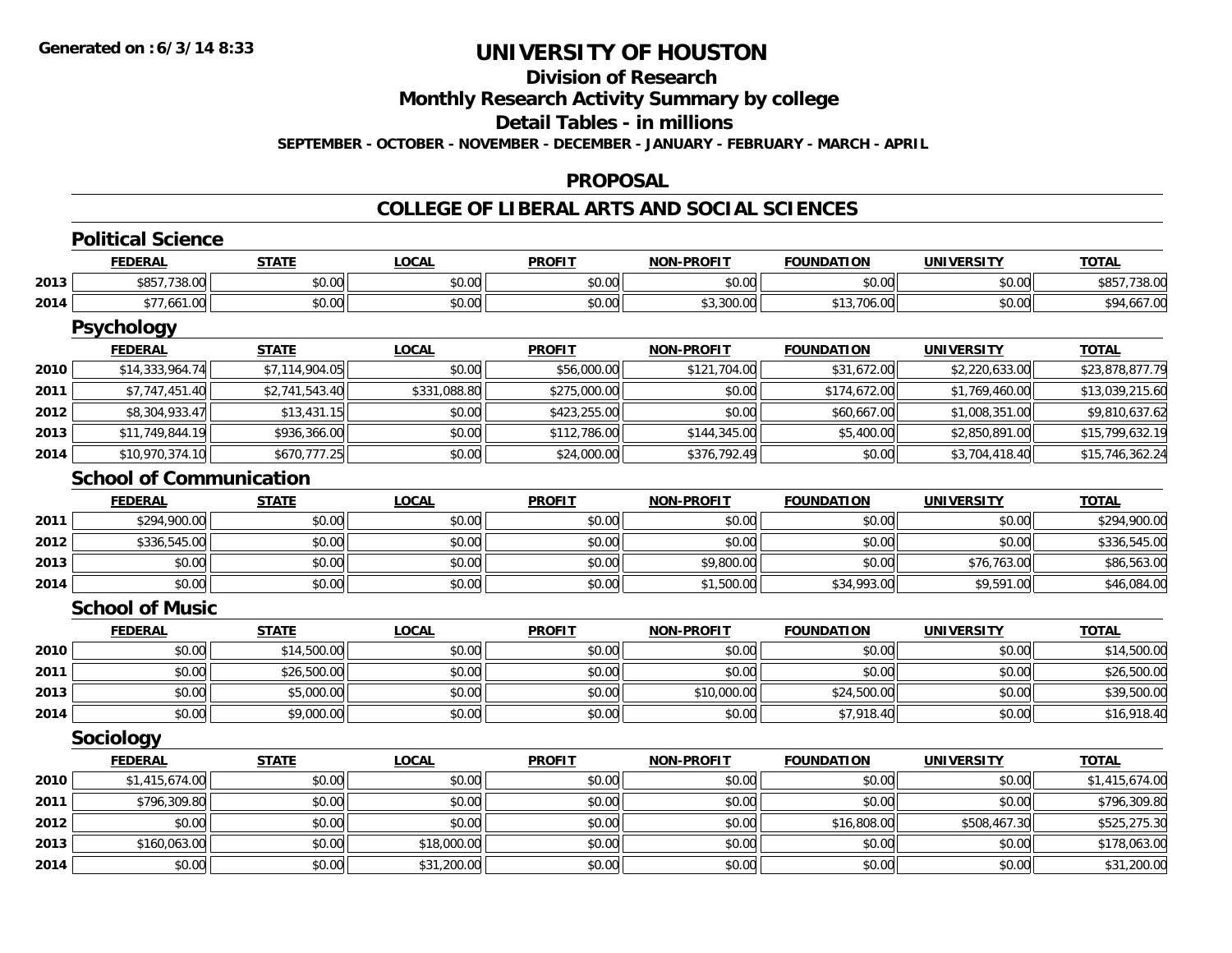## **Division of Research**

**Monthly Research Activity Summary by college**

**Detail Tables - in millions**

**SEPTEMBER - OCTOBER - NOVEMBER - DECEMBER - JANUARY - FEBRUARY - MARCH - APRIL**

#### **PROPOSAL**

|      | <b>Political Science</b>       |                |              |               |                   |                   |                   |                 |
|------|--------------------------------|----------------|--------------|---------------|-------------------|-------------------|-------------------|-----------------|
|      | <b>FEDERAL</b>                 | <b>STATE</b>   | <b>LOCAL</b> | <b>PROFIT</b> | <b>NON-PROFIT</b> | <b>FOUNDATION</b> | <b>UNIVERSITY</b> | <b>TOTAL</b>    |
| 2013 | \$857,738.00                   | \$0.00         | \$0.00       | \$0.00        | \$0.00            | \$0.00            | \$0.00            | \$857,738.00    |
| 2014 | \$77,661.00                    | \$0.00         | \$0.00       | \$0.00        | \$3,300.00        | \$13,706.00       | \$0.00            | \$94,667.00     |
|      | <b>Psychology</b>              |                |              |               |                   |                   |                   |                 |
|      | <b>FEDERAL</b>                 | <b>STATE</b>   | <b>LOCAL</b> | <b>PROFIT</b> | <b>NON-PROFIT</b> | <b>FOUNDATION</b> | <b>UNIVERSITY</b> | <b>TOTAL</b>    |
| 2010 | \$14,333,964.74                | \$7,114,904.05 | \$0.00       | \$56,000.00   | \$121,704.00      | \$31,672.00       | \$2,220,633.00    | \$23,878,877.79 |
| 2011 | \$7,747,451.40                 | \$2,741,543.40 | \$331,088.80 | \$275,000.00  | \$0.00            | \$174,672.00      | \$1,769,460.00    | \$13,039,215.60 |
| 2012 | \$8,304,933.47                 | \$13,431.15    | \$0.00       | \$423,255.00  | \$0.00            | \$60,667.00       | \$1,008,351.00    | \$9,810,637.62  |
| 2013 | \$11,749,844.19                | \$936,366.00   | \$0.00       | \$112,786.00  | \$144,345.00      | \$5,400.00        | \$2,850,891.00    | \$15,799,632.19 |
| 2014 | \$10,970,374.10                | \$670,777.25   | \$0.00       | \$24,000.00   | \$376,792.49      | \$0.00            | \$3,704,418.40    | \$15,746,362.24 |
|      | <b>School of Communication</b> |                |              |               |                   |                   |                   |                 |
|      | <b>FEDERAL</b>                 | <b>STATE</b>   | <b>LOCAL</b> | <b>PROFIT</b> | <b>NON-PROFIT</b> | <b>FOUNDATION</b> | <b>UNIVERSITY</b> | <b>TOTAL</b>    |
| 2011 | \$294,900.00                   | \$0.00         | \$0.00       | \$0.00        | \$0.00            | \$0.00            | \$0.00            | \$294,900.00    |
| 2012 | \$336,545.00                   | \$0.00         | \$0.00       | \$0.00        | \$0.00            | \$0.00            | \$0.00            | \$336,545.00    |
| 2013 | \$0.00                         | \$0.00         | \$0.00       | \$0.00        | \$9,800.00        | \$0.00            | \$76,763.00       | \$86,563.00     |
| 2014 | \$0.00                         | \$0.00         | \$0.00       | \$0.00        | \$1,500.00        | \$34,993.00       | \$9,591.00        | \$46,084.00     |
|      | <b>School of Music</b>         |                |              |               |                   |                   |                   |                 |
|      | <b>FEDERAL</b>                 | <b>STATE</b>   | <b>LOCAL</b> | <b>PROFIT</b> | <b>NON-PROFIT</b> | <b>FOUNDATION</b> | <b>UNIVERSITY</b> | <b>TOTAL</b>    |
| 2010 | \$0.00                         | \$14,500.00    | \$0.00       | \$0.00        | \$0.00            | \$0.00            | \$0.00            | \$14,500.00     |
| 2011 | \$0.00                         | \$26,500.00    | \$0.00       | \$0.00        | \$0.00            | \$0.00            | \$0.00            | \$26,500.00     |
| 2013 | \$0.00                         | \$5,000.00     | \$0.00       | \$0.00        | \$10,000.00       | \$24,500.00       | \$0.00            | \$39,500.00     |
| 2014 | \$0.00                         | \$9,000.00     | \$0.00       | \$0.00        | \$0.00            | \$7,918.40        | \$0.00            | \$16,918.40     |
|      | Sociology                      |                |              |               |                   |                   |                   |                 |
|      | <b>FEDERAL</b>                 | <b>STATE</b>   | <b>LOCAL</b> | <b>PROFIT</b> | <b>NON-PROFIT</b> | <b>FOUNDATION</b> | <b>UNIVERSITY</b> | <b>TOTAL</b>    |
| 2010 | \$1,415,674.00                 | \$0.00         | \$0.00       | \$0.00        | \$0.00            | \$0.00            | \$0.00            | \$1,415,674.00  |
| 2011 | \$796,309.80                   | \$0.00         | \$0.00       | \$0.00        | \$0.00            | \$0.00            | \$0.00            | \$796,309.80    |
| 2012 | \$0.00                         | \$0.00         | \$0.00       | \$0.00        | \$0.00            | \$16,808.00       | \$508,467.30      | \$525,275.30    |
| 2013 | \$160,063.00                   | \$0.00         | \$18,000.00  | \$0.00        | \$0.00            | \$0.00            | \$0.00            | \$178,063.00    |
| 2014 | \$0.00                         | \$0.00         | \$31,200.00  | \$0.00        | \$0.00            | \$0.00            | \$0.00            | \$31,200.00     |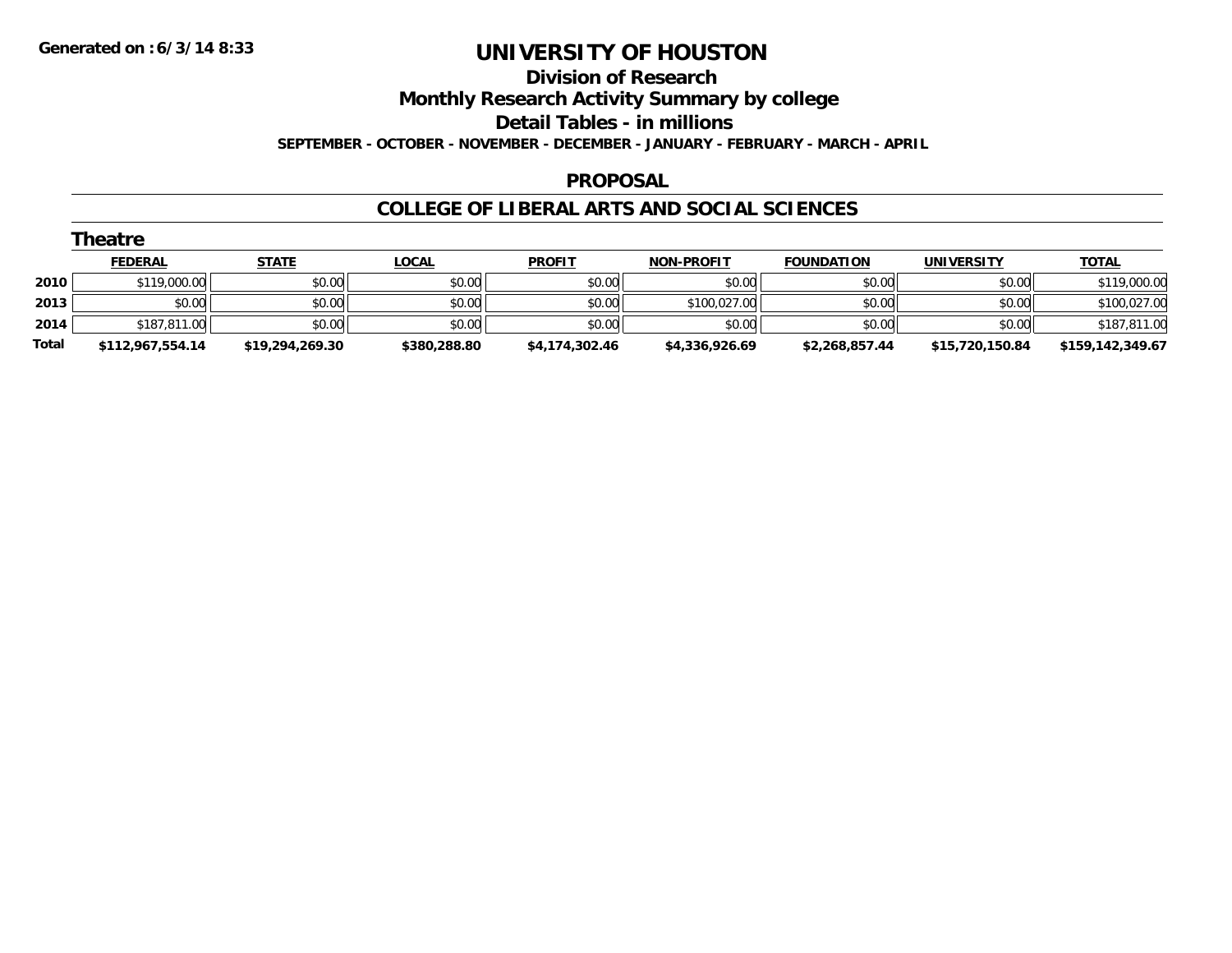# **Division of Research**

# **Monthly Research Activity Summary by college**

#### **Detail Tables - in millions**

**SEPTEMBER - OCTOBER - NOVEMBER - DECEMBER - JANUARY - FEBRUARY - MARCH - APRIL**

### **PROPOSAL**

|       | Theatre          |                 |              |                |                   |                   |                 |                  |  |  |
|-------|------------------|-----------------|--------------|----------------|-------------------|-------------------|-----------------|------------------|--|--|
|       | <b>FEDERAL</b>   | <b>STATE</b>    | <b>LOCAL</b> | <b>PROFIT</b>  | <b>NON-PROFIT</b> | <b>FOUNDATION</b> | UNIVERSITY      | <b>TOTAL</b>     |  |  |
| 2010  | \$119,000.00     | \$0.00          | \$0.00       | \$0.00         | \$0.00            | \$0.00            | \$0.00          | \$119,000.00     |  |  |
| 2013  | \$0.00           | \$0.00          | \$0.00       | \$0.00         | \$100,027.00      | \$0.00            | \$0.00          | \$100,027.00     |  |  |
| 2014  | \$187,811.00     | \$0.00          | \$0.00       | \$0.00         | \$0.00            | \$0.00            | \$0.00          | \$187,811.00     |  |  |
| Total | \$112,967,554.14 | \$19,294,269.30 | \$380,288.80 | \$4,174,302.46 | \$4,336,926.69    | \$2,268,857.44    | \$15,720,150.84 | \$159,142,349.67 |  |  |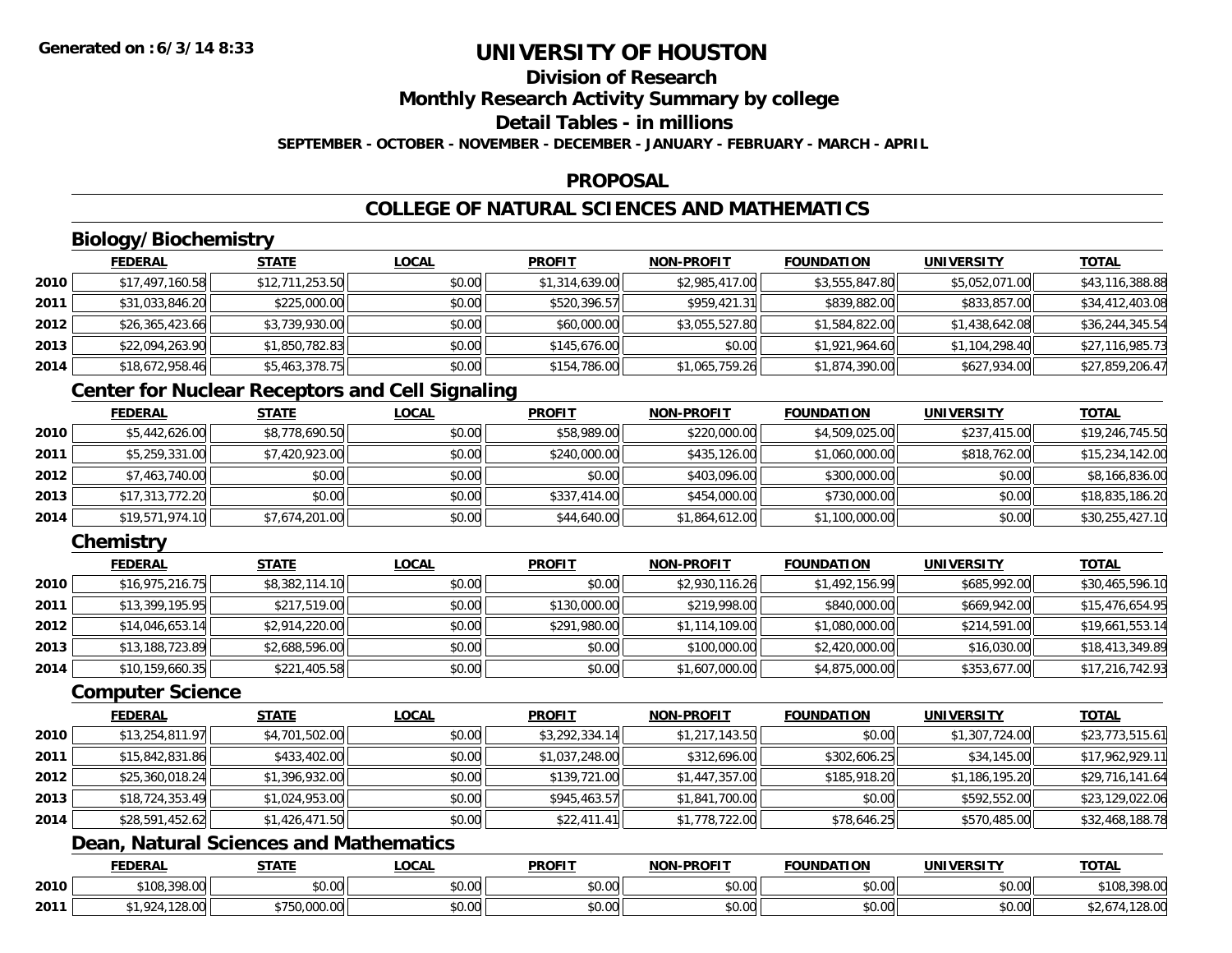### **Division of Research**

**Monthly Research Activity Summary by college**

### **Detail Tables - in millions**

**SEPTEMBER - OCTOBER - NOVEMBER - DECEMBER - JANUARY - FEBRUARY - MARCH - APRIL**

#### **PROPOSAL**

### **COLLEGE OF NATURAL SCIENCES AND MATHEMATICS**

## **Biology/Biochemistry**

|      | <b>FEDERAL</b>  | <b>STATE</b>    | <b>LOCAL</b> | <b>PROFIT</b>  | <b>NON-PROFIT</b> | <b>FOUNDATION</b> | <b>UNIVERSITY</b> | <b>TOTAL</b>    |
|------|-----------------|-----------------|--------------|----------------|-------------------|-------------------|-------------------|-----------------|
| 2010 | \$17,497,160.58 | \$12,711,253.50 | \$0.00       | \$1,314,639.00 | \$2,985,417.00    | \$3,555,847.80    | \$5,052,071.00    | \$43,116,388.88 |
| 2011 | \$31,033,846.20 | \$225,000.00    | \$0.00       | \$520,396.57   | \$959,421.31      | \$839,882.00      | \$833,857.00      | \$34,412,403.08 |
| 2012 | \$26,365,423.66 | \$3,739,930.00  | \$0.00       | \$60,000.00    | \$3,055,527.80    | \$1,584,822.00    | \$1,438,642.08    | \$36,244,345.54 |
| 2013 | \$22,094,263.90 | \$1,850,782.83  | \$0.00       | \$145,676.00   | \$0.00            | \$1,921,964.60    | \$1,104,298.40    | \$27,116,985.73 |
| 2014 | \$18,672,958.46 | \$5,463,378.75  | \$0.00       | \$154,786.00   | \$1,065,759.26    | \$1,874,390.00    | \$627,934.00      | \$27,859,206.47 |

### **Center for Nuclear Receptors and Cell Signaling**

|      | <b>FEDERAL</b>  | <b>STATE</b>   | <b>LOCAL</b> | <b>PROFIT</b> | <b>NON-PROFIT</b> | <b>FOUNDATION</b> | <b>UNIVERSITY</b> | <b>TOTAL</b>    |
|------|-----------------|----------------|--------------|---------------|-------------------|-------------------|-------------------|-----------------|
| 2010 | \$5,442,626.00  | \$8,778,690.50 | \$0.00       | \$58,989.00   | \$220,000.00      | \$4,509,025.00    | \$237,415.00      | \$19,246,745.50 |
| 2011 | \$5,259,331.00  | \$7,420,923.00 | \$0.00       | \$240,000.00  | \$435,126,00      | \$1,060,000.00    | \$818,762.00      | \$15,234,142.00 |
| 2012 | \$7,463,740.00  | \$0.00         | \$0.00       | \$0.00        | \$403,096.00      | \$300,000.00      | \$0.00            | \$8,166,836.00  |
| 2013 | \$17,313,772.20 | \$0.00         | \$0.00       | \$337,414.00  | \$454,000.00      | \$730,000.00      | \$0.00            | \$18,835,186.20 |
| 2014 | \$19,571,974.10 | \$7,674,201.00 | \$0.00       | \$44,640.00   | \$1,864,612.00    | \$1,100,000.00    | \$0.00            | \$30,255,427.10 |

### **Chemistry**

|      | <b>FEDERAL</b>  | <b>STATE</b>   | <b>LOCAL</b> | <b>PROFIT</b> | <b>NON-PROFIT</b> | <b>FOUNDATION</b> | UNIVERSITY   | <b>TOTAL</b>    |
|------|-----------------|----------------|--------------|---------------|-------------------|-------------------|--------------|-----------------|
| 2010 | \$16,975,216.75 | \$8,382,114.10 | \$0.00       | \$0.00        | \$2,930,116.26    | \$1,492,156.99    | \$685,992.00 | \$30,465,596.10 |
| 2011 | \$13,399,195.95 | \$217,519.00   | \$0.00       | \$130,000.00  | \$219,998.00      | \$840,000.00      | \$669,942.00 | \$15,476,654.95 |
| 2012 | \$14,046,653.14 | \$2,914,220.00 | \$0.00       | \$291,980.00  | \$1,114,109.00    | \$1,080,000.00    | \$214,591.00 | \$19,661,553.14 |
| 2013 | \$13,188,723.89 | \$2,688,596.00 | \$0.00       | \$0.00        | \$100,000.00      | \$2,420,000.00    | \$16,030.00  | \$18,413,349.89 |
| 2014 | \$10,159,660.35 | \$221,405.58   | \$0.00       | \$0.00        | \$1,607,000.00    | \$4,875,000.00    | \$353,677.00 | \$17,216,742.93 |

#### **Computer Science**

|      | <b>FEDERAL</b>  | <b>STATE</b>   | <b>LOCAL</b> | <b>PROFIT</b>  | <b>NON-PROFIT</b> | <b>FOUNDATION</b> | <b>UNIVERSITY</b> | <b>TOTAL</b>    |
|------|-----------------|----------------|--------------|----------------|-------------------|-------------------|-------------------|-----------------|
| 2010 | \$13,254,811.97 | \$4,701,502.00 | \$0.00       | \$3,292,334.14 | \$1,217,143.50    | \$0.00            | \$1,307,724.00    | \$23,773,515.61 |
| 2011 | \$15,842,831.86 | \$433,402.00   | \$0.00       | \$1,037,248.00 | \$312,696.00      | \$302,606.25      | \$34,145.00       | \$17,962,929.11 |
| 2012 | \$25,360,018.24 | \$1,396,932.00 | \$0.00       | \$139,721.00   | \$1,447,357.00    | \$185,918.20      | \$1,186,195.20    | \$29,716,141.64 |
| 2013 | \$18,724,353.49 | \$1,024,953.00 | \$0.00       | \$945,463.57   | \$1,841,700.00    | \$0.00            | \$592,552.00      | \$23,129,022.06 |
| 2014 | \$28,591,452.62 | \$1,426,471.50 | \$0.00       | \$22,411.41    | \$1,778,722.00    | \$78,646.25       | \$570,485.00      | \$32,468,188.78 |

### **Dean, Natural Sciences and Mathematics**

|      | <b>FEDERAL</b>             | <b>CTATE</b><br>,,,,,, | LOCAL                  | <b>PROFIT</b>             | J-PROFIT<br><b>MONE</b> | <b>FOUNDATION</b> | <b>UNIVERSITY</b> | <b>TOTAL</b>                |
|------|----------------------------|------------------------|------------------------|---------------------------|-------------------------|-------------------|-------------------|-----------------------------|
| 2010 | \$108,398.00               | \$0.00                 | $\sim$<br>0 t<br>JU.UU | ሐሴ ሰሰ<br>งบ.บบ            | 0000<br>JU.UU           | \$0.00            | 0.00<br>\$0.00    | 200.00<br>\$108.5<br>198.UU |
| 2011 | $\sim$<br>$\sim$<br>120.UU | 000<br>ww.w            | $\sim$ 00<br>vv.vv     | $\sim$ 00<br><b>JU.UU</b> | 0000<br>PO.OO           | \$0.00            | 0.00<br>\$0.00    | מה ההו<br>, IZO.UU          |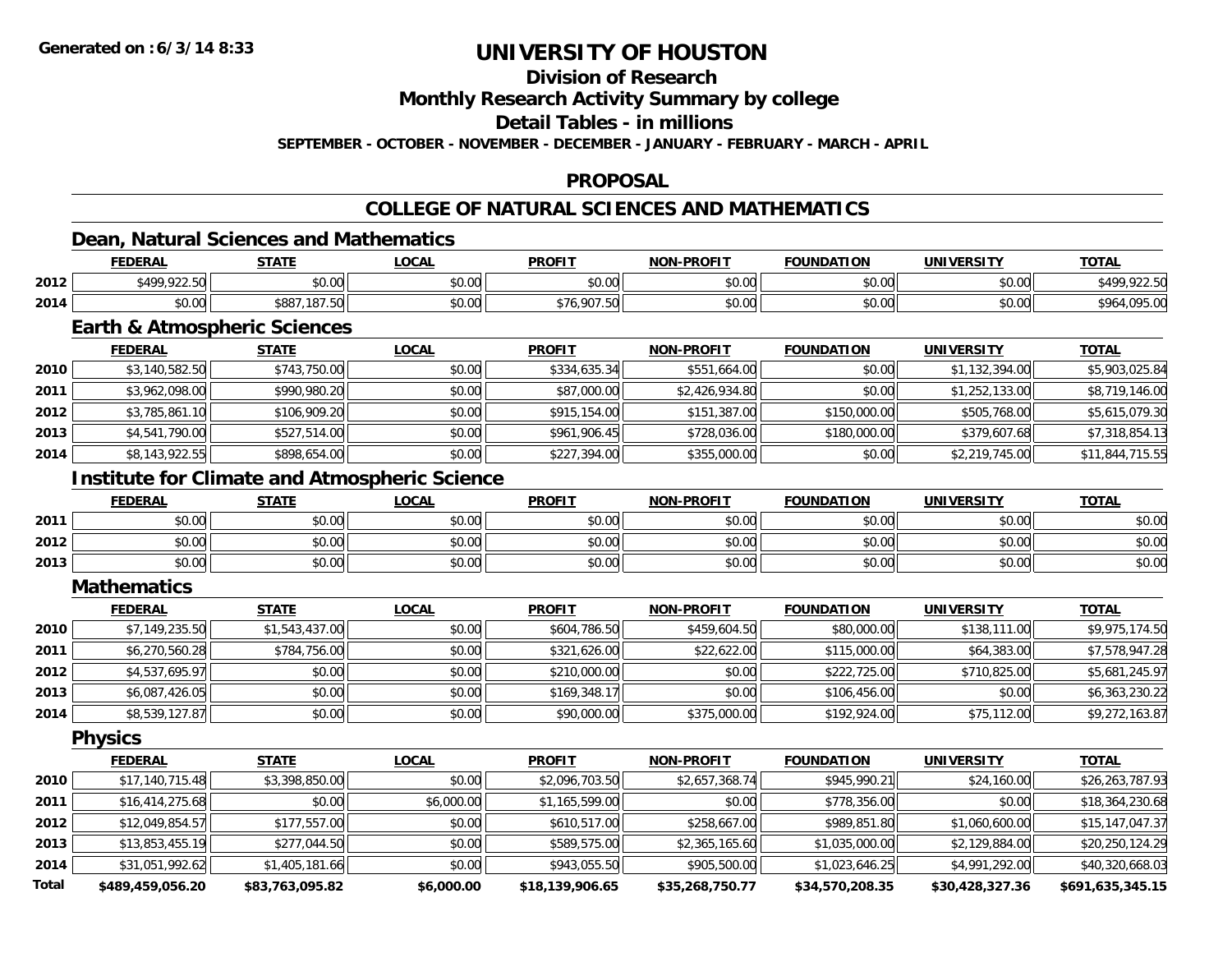### **Division of Research**

**Monthly Research Activity Summary by college**

**Detail Tables - in millions**

**SEPTEMBER - OCTOBER - NOVEMBER - DECEMBER - JANUARY - FEBRUARY - MARCH - APRIL**

#### **PROPOSAL**

## **COLLEGE OF NATURAL SCIENCES AND MATHEMATICS**

### **Dean, Natural Sciences and Mathematics**

|      | <b>FEDERAI</b> | <b>CTATE</b>                                      | _OCAL  | <b>PROFIT</b>          | <b>DDOEIT</b><br><b>NIONI</b> | <b>FOUNDATION</b>  | UNIVERSITY     | <b>TOTAL</b>            |
|------|----------------|---------------------------------------------------|--------|------------------------|-------------------------------|--------------------|----------------|-------------------------|
| 2012 | \$499,922.50   | ሶስ ሰሰ<br>DU.UU                                    | \$0.00 | \$0.00                 | 0000<br>DU.UU                 | ሶስ ሰሰ<br>JU.UU     | ሶስ ሰስ<br>JU.UU | 00، :                   |
| 2014 | \$0.00         | \$887<br>$\sim$ $\sim$ $\sim$ $\sim$<br>, 187. JO | \$0.00 | . 007<br>$+ -$<br>,,,, | \$0.00                        | $\sim$ 00<br>JU.UU | \$0.00         | $\sim$<br>-964<br>90.UU |

### **Earth & Atmospheric Sciences**

|      | <b>FEDERAL</b> | <b>STATE</b> | <b>LOCAL</b> | <b>PROFIT</b> | NON-PROFIT     | <b>FOUNDATION</b> | <b>UNIVERSITY</b> | <u>TOTAL</u>    |
|------|----------------|--------------|--------------|---------------|----------------|-------------------|-------------------|-----------------|
| 2010 | \$3,140,582.50 | \$743,750.00 | \$0.00       | \$334,635.34  | \$551,664.00   | \$0.00            | \$1,132,394.00    | \$5,903,025.84  |
| 2011 | \$3,962,098.00 | \$990,980.20 | \$0.00       | \$87,000.00   | \$2,426,934.80 | \$0.00            | \$1,252,133.00    | \$8,719,146.00  |
| 2012 | \$3,785,861.10 | \$106,909.20 | \$0.00       | \$915,154.00  | \$151,387.00   | \$150,000.00      | \$505,768,00      | \$5,615,079.30  |
| 2013 | \$4,541,790.00 | \$527,514.00 | \$0.00       | \$961,906.45  | \$728,036.00   | \$180,000.00      | \$379,607.68      | \$7,318,854.13  |
| 2014 | \$8,143,922.55 | \$898,654.00 | \$0.00       | \$227,394.00  | \$355,000.00   | \$0.00            | \$2,219,745.00    | \$11,844,715.55 |

### **Institute for Climate and Atmospheric Science**

|      | <b>FEDERAL</b>            | <b>STATE</b>          | <u>LOCAL</u>  | <b>PROFIT</b>                                     | <b>NON-PROFIT</b> | <b>FOUNDATION</b> | <b>UNIVERSITY</b><br>⊤кэі. | <b>TOTAL</b> |
|------|---------------------------|-----------------------|---------------|---------------------------------------------------|-------------------|-------------------|----------------------------|--------------|
| 2011 | ልስ ስስ<br>PU.UU            | \$0.00                | 0000<br>JU.UU | ≮N UU<br>JU.UU                                    | \$0.00            | \$0.00            | \$0.00                     | \$0.00       |
| 2012 | ሶስ ሰሰ<br>pu.uu            | 0000<br>\$U.UU        | \$0.00        | $\mathsf{A}\cap\mathsf{A}\cap\mathsf{A}$<br>JU.UU | \$0.00            | \$0.00            | \$0.00                     | \$0.00       |
| 2013 | $\sim$<br>$\sim$<br>PU.UU | ልስ ስስ<br><b>JU.UU</b> | \$0.00        | <b>SU.UU</b>                                      | \$0.00            | \$0.00            | \$0.00                     | \$0.00       |

#### **Mathematics**

|      | <b>FEDERAL</b> | <b>STATE</b>   | <u>LOCAL</u> | <b>PROFIT</b> | NON-PROFIT   | <b>FOUNDATION</b> | <b>UNIVERSITY</b> | <b>TOTAL</b>   |
|------|----------------|----------------|--------------|---------------|--------------|-------------------|-------------------|----------------|
| 2010 | \$7,149,235.50 | \$1,543,437.00 | \$0.00       | \$604,786.50  | \$459,604.50 | \$80,000.00       | \$138,111.00      | \$9,975,174.50 |
| 2011 | \$6,270,560.28 | \$784,756.00   | \$0.00       | \$321,626.00  | \$22,622.00  | \$115,000.00      | \$64,383.00       | \$7,578,947.28 |
| 2012 | \$4,537,695.97 | \$0.00         | \$0.00       | \$210,000.00  | \$0.00       | \$222,725.00      | \$710,825.00      | \$5,681,245.97 |
| 2013 | \$6,087,426.05 | \$0.00         | \$0.00       | \$169,348.17  | \$0.00       | \$106,456,00      | \$0.00            | \$6,363,230.22 |
| 2014 | \$8,539,127.87 | \$0.00         | \$0.00       | \$90,000.00   | \$375,000.00 | \$192,924.00      | \$75,112.00       | \$9,272,163.87 |

**Physics**

|              | <b>FEDERAL</b>   | <b>STATE</b>    | <u>LOCAL</u> | <b>PROFIT</b>   | <b>NON-PROFIT</b> | <b>FOUNDATION</b> | <b>UNIVERSITY</b> | <u>TOTAL</u>     |
|--------------|------------------|-----------------|--------------|-----------------|-------------------|-------------------|-------------------|------------------|
| 2010         | \$17,140,715.48  | \$3,398,850.00  | \$0.00       | \$2,096,703.50  | \$2,657,368.74    | \$945,990.21      | \$24,160.00       | \$26,263,787.93  |
| 2011         | \$16,414,275.68  | \$0.00          | \$6,000.00   | \$1,165,599.00  | \$0.00            | \$778,356.00      | \$0.00            | \$18,364,230.68  |
| 2012         | \$12,049,854.57  | \$177,557.00    | \$0.00       | \$610,517.00    | \$258,667.00      | \$989,851.80      | \$1,060,600.00    | \$15,147,047.37  |
| 2013         | \$13,853,455.19  | \$277,044.50    | \$0.00       | \$589,575.00    | \$2,365,165.60    | \$1,035,000.00    | \$2,129,884.00    | \$20,250,124.29  |
| 2014         | \$31,051,992.62  | \$1,405,181.66  | \$0.00       | \$943,055.50    | \$905,500.00      | \$1,023,646.25    | \$4,991,292.00    | \$40,320,668.03  |
| <b>Total</b> | \$489,459,056.20 | \$83,763,095.82 | \$6,000.00   | \$18,139,906.65 | \$35,268,750.77   | \$34,570,208.35   | \$30,428,327.36   | \$691,635,345.15 |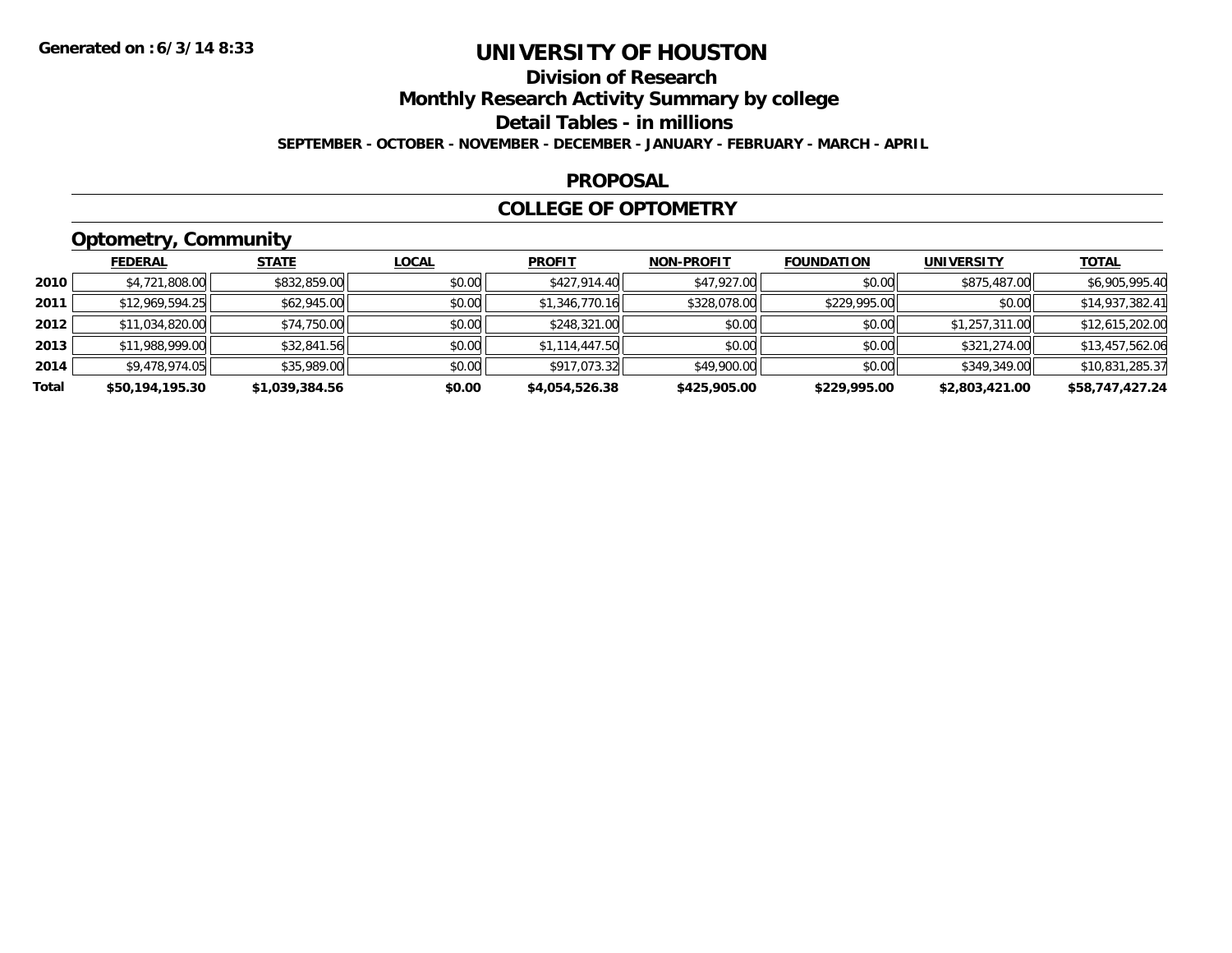## **Division of Research**

**Monthly Research Activity Summary by college**

**Detail Tables - in millions**

**SEPTEMBER - OCTOBER - NOVEMBER - DECEMBER - JANUARY - FEBRUARY - MARCH - APRIL**

#### **PROPOSAL**

#### **COLLEGE OF OPTOMETRY**

## **Optometry, Community**

|       | ___             |                |              |                |                   |                   |                   |                 |
|-------|-----------------|----------------|--------------|----------------|-------------------|-------------------|-------------------|-----------------|
|       | <b>FEDERAL</b>  | <b>STATE</b>   | <b>LOCAL</b> | <b>PROFIT</b>  | <b>NON-PROFIT</b> | <b>FOUNDATION</b> | <b>UNIVERSITY</b> | <b>TOTAL</b>    |
| 2010  | \$4,721,808.00  | \$832,859.00   | \$0.00       | \$427,914.40   | \$47,927.00       | \$0.00            | \$875,487.00      | \$6,905,995.40  |
| 2011  | \$12,969,594.25 | \$62,945.00    | \$0.00       | \$1,346,770.16 | \$328,078.00      | \$229,995.00      | \$0.00            | \$14,937,382.41 |
| 2012  | \$11,034,820.00 | \$74,750.00    | \$0.00       | \$248,321.00   | \$0.00            | \$0.00            | \$1,257,311.00    | \$12,615,202.00 |
| 2013  | \$11,988,999.00 | \$32,841.56    | \$0.00       | \$1,114,447.50 | \$0.00            | \$0.00            | \$321,274.00      | \$13,457,562.06 |
| 2014  | \$9,478,974.05  | \$35,989.00    | \$0.00       | \$917,073.32   | \$49,900.00       | \$0.00            | \$349,349.00      | \$10,831,285.37 |
| Total | \$50,194,195.30 | \$1,039,384.56 | \$0.00       | \$4,054,526.38 | \$425,905.00      | \$229,995.00      | \$2,803,421.00    | \$58,747,427.24 |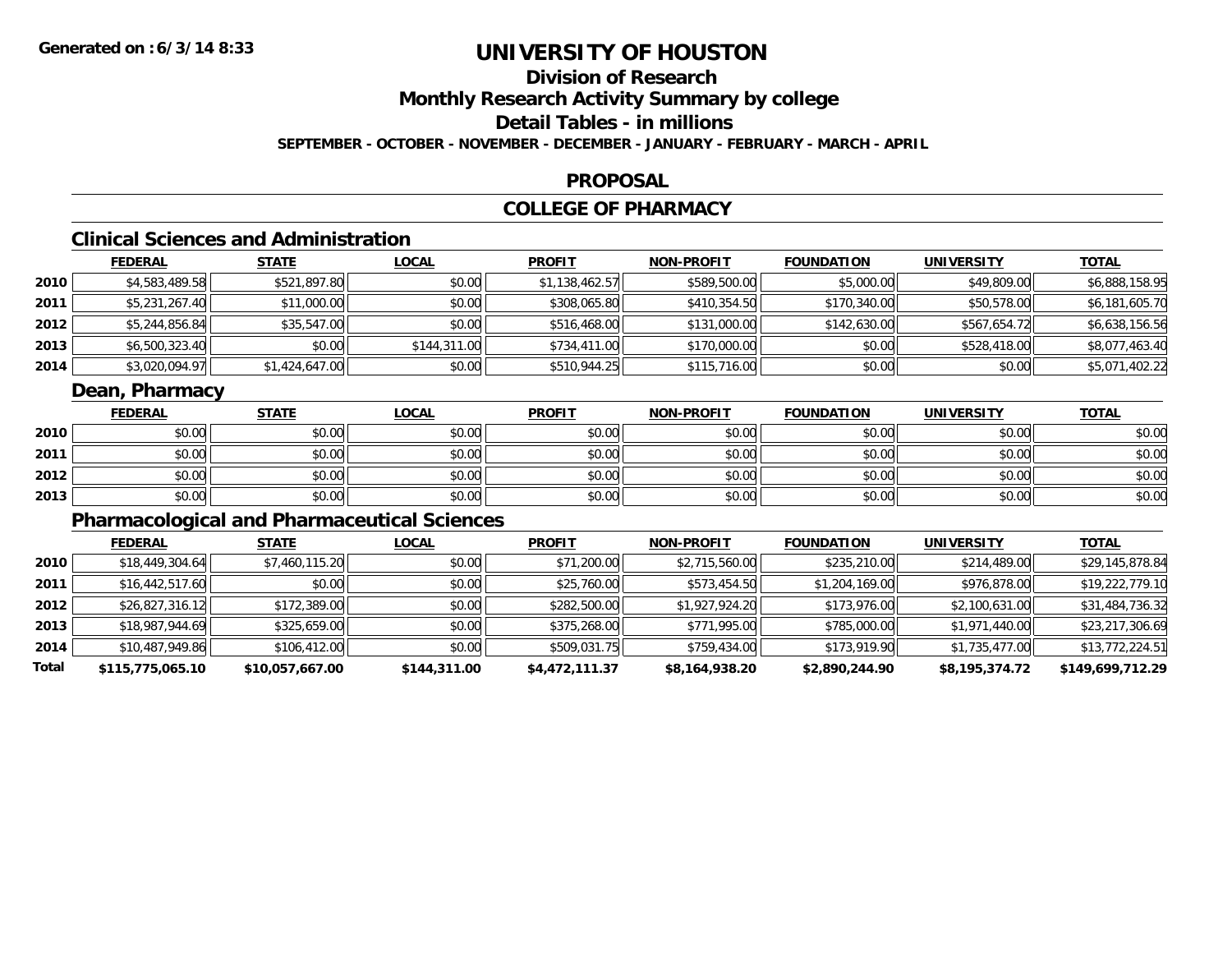## **Division of Research**

**Monthly Research Activity Summary by college**

### **Detail Tables - in millions**

**SEPTEMBER - OCTOBER - NOVEMBER - DECEMBER - JANUARY - FEBRUARY - MARCH - APRIL**

#### **PROPOSAL**

### **COLLEGE OF PHARMACY**

## **Clinical Sciences and Administration**

|      | <b>FEDERAL</b> | <u>STATE</u>   | <b>LOCAL</b> | <b>PROFIT</b>  | <b>NON-PROFIT</b> | <b>FOUNDATION</b> | <b>UNIVERSITY</b> | <b>TOTAL</b>   |
|------|----------------|----------------|--------------|----------------|-------------------|-------------------|-------------------|----------------|
| 2010 | \$4,583,489.58 | \$521,897.80   | \$0.00       | \$1,138,462.57 | \$589,500.00      | \$5,000.00        | \$49,809.00       | \$6,888,158.95 |
| 2011 | \$5,231,267.40 | \$11,000.00    | \$0.00       | \$308,065.80   | \$410,354.50      | \$170,340.00      | \$50,578.00       | \$6,181,605.70 |
| 2012 | \$5,244,856.84 | \$35,547.00    | \$0.00       | \$516,468.00   | \$131,000.00      | \$142,630.00      | \$567,654.72      | \$6,638,156.56 |
| 2013 | \$6,500,323.40 | \$0.00         | \$144,311.00 | \$734,411.00   | \$170,000.00      | \$0.00            | \$528,418.00      | \$8,077,463.40 |
| 2014 | \$3,020,094.97 | \$1,424,647.00 | \$0.00       | \$510,944.25   | \$115,716.00      | \$0.00            | \$0.00            | \$5,071,402.22 |

### **Dean, Pharmacy**

|      | <b>FEDERAL</b> | <b>STATE</b> | <u>LOCAL</u> | <b>PROFIT</b> | <b>NON-PROFIT</b> | <b>FOUNDATION</b> | <b>UNIVERSITY</b> | <b>TOTAL</b> |
|------|----------------|--------------|--------------|---------------|-------------------|-------------------|-------------------|--------------|
| 2010 | \$0.00         | \$0.00       | \$0.00       | \$0.00        | \$0.00            | \$0.00            | \$0.00            | \$0.00       |
| 2011 | \$0.00         | \$0.00       | \$0.00       | \$0.00        | \$0.00            | \$0.00            | \$0.00            | \$0.00       |
| 2012 | \$0.00         | \$0.00       | \$0.00       | \$0.00        | \$0.00            | \$0.00            | \$0.00            | \$0.00       |
| 2013 | \$0.00         | \$0.00       | \$0.00       | \$0.00        | \$0.00            | \$0.00            | \$0.00            | \$0.00       |

## **Pharmacological and Pharmaceutical Sciences**

|       | <b>FEDERAL</b>   | <b>STATE</b>    | <b>LOCAL</b> | <b>PROFIT</b>  | <b>NON-PROFIT</b> | <b>FOUNDATION</b> | <b>UNIVERSITY</b> | <b>TOTAL</b>     |
|-------|------------------|-----------------|--------------|----------------|-------------------|-------------------|-------------------|------------------|
| 2010  | \$18,449,304.64  | \$7,460,115.20  | \$0.00       | \$71,200.00    | \$2,715,560.00    | \$235,210.00      | \$214,489.00      | \$29,145,878.84  |
| 2011  | \$16,442,517.60  | \$0.00          | \$0.00       | \$25,760.00    | \$573,454.50      | \$1,204,169.00    | \$976,878.00      | \$19,222,779.10  |
| 2012  | \$26,827,316.12  | \$172,389.00    | \$0.00       | \$282,500.00   | \$1,927,924.20    | \$173,976.00      | \$2,100,631.00    | \$31,484,736.32  |
| 2013  | \$18,987,944.69  | \$325,659.00    | \$0.00       | \$375,268.00   | \$771,995.00      | \$785,000.00      | \$1,971,440.00    | \$23,217,306.69  |
| 2014  | \$10,487,949.86  | \$106,412.00    | \$0.00       | \$509,031.75   | \$759,434.00      | \$173,919.90      | \$1,735,477.00    | \$13,772,224.51  |
| Total | \$115,775,065.10 | \$10,057,667.00 | \$144,311.00 | \$4,472,111.37 | \$8,164,938.20    | \$2,890,244.90    | \$8,195,374.72    | \$149,699,712.29 |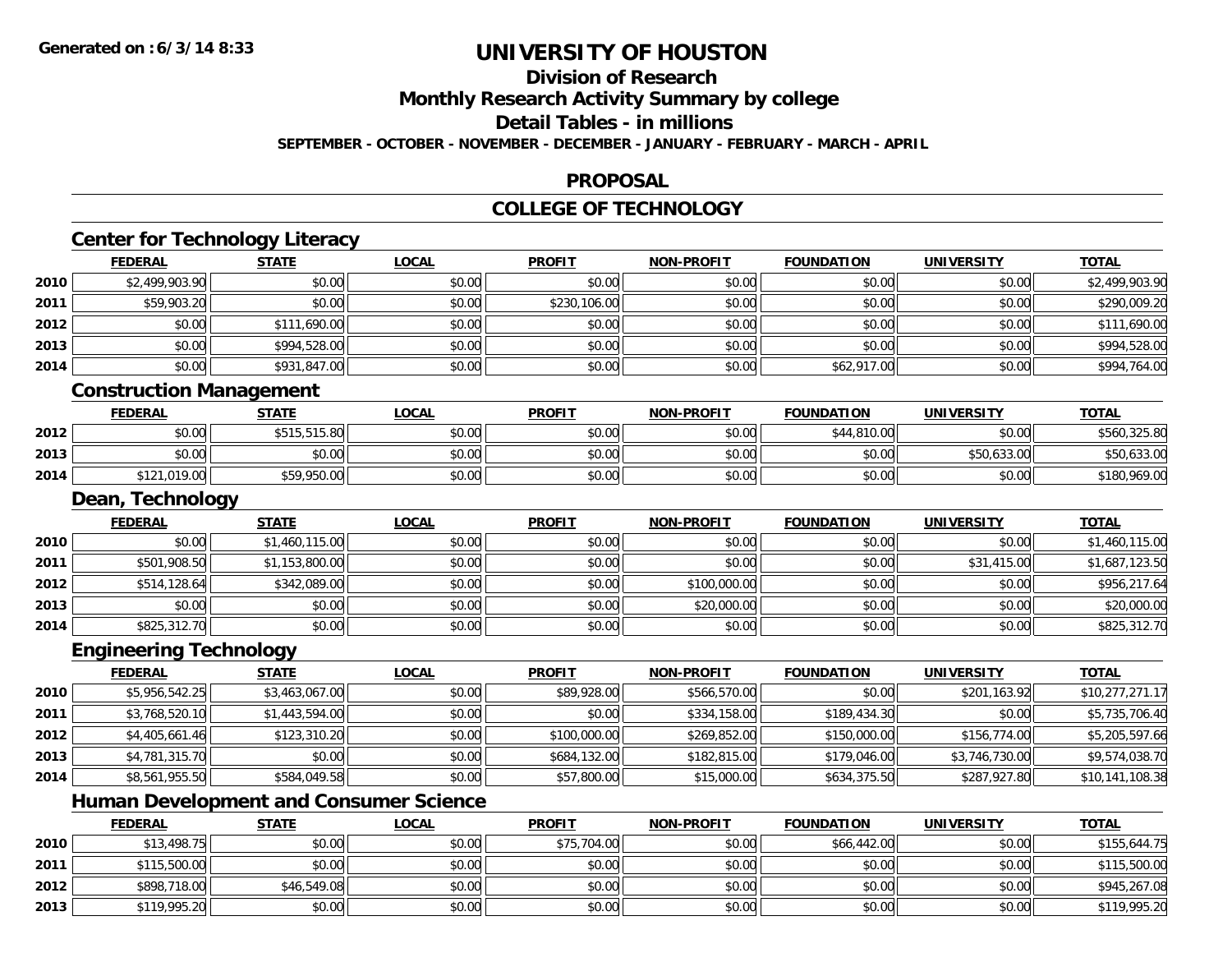**2013**

# **UNIVERSITY OF HOUSTON**

## **Division of Research**

**Monthly Research Activity Summary by college**

**Detail Tables - in millions**

**SEPTEMBER - OCTOBER - NOVEMBER - DECEMBER - JANUARY - FEBRUARY - MARCH - APRIL**

#### **PROPOSAL**

#### **COLLEGE OF TECHNOLOGY**

|      |                                | <b>Center for Technology Literacy</b>         |              |               |                   |                   |                   |                 |
|------|--------------------------------|-----------------------------------------------|--------------|---------------|-------------------|-------------------|-------------------|-----------------|
|      | <b>FEDERAL</b>                 | <b>STATE</b>                                  | <b>LOCAL</b> | <b>PROFIT</b> | <b>NON-PROFIT</b> | <b>FOUNDATION</b> | <b>UNIVERSITY</b> | <b>TOTAL</b>    |
| 2010 | \$2,499,903.90                 | \$0.00                                        | \$0.00       | \$0.00        | \$0.00            | \$0.00            | \$0.00            | \$2,499,903.90  |
| 2011 | \$59,903.20                    | \$0.00                                        | \$0.00       | \$230,106.00  | \$0.00            | \$0.00            | \$0.00            | \$290,009.20    |
| 2012 | \$0.00                         | \$111,690.00                                  | \$0.00       | \$0.00        | \$0.00            | \$0.00            | \$0.00            | \$111,690.00    |
| 2013 | \$0.00                         | \$994,528.00                                  | \$0.00       | \$0.00        | \$0.00            | \$0.00            | \$0.00            | \$994,528.00    |
| 2014 | \$0.00                         | \$931,847.00                                  | \$0.00       | \$0.00        | \$0.00            | \$62,917.00       | \$0.00            | \$994,764.00    |
|      | <b>Construction Management</b> |                                               |              |               |                   |                   |                   |                 |
|      | <b>FEDERAL</b>                 | <b>STATE</b>                                  | <b>LOCAL</b> | <b>PROFIT</b> | <b>NON-PROFIT</b> | <b>FOUNDATION</b> | <b>UNIVERSITY</b> | <b>TOTAL</b>    |
| 2012 | \$0.00                         | \$515,515.80                                  | \$0.00       | \$0.00        | \$0.00            | \$44,810.00       | \$0.00            | \$560,325.80    |
| 2013 | \$0.00                         | \$0.00                                        | \$0.00       | \$0.00        | \$0.00            | \$0.00            | \$50,633.00       | \$50,633.00     |
| 2014 | \$121,019.00                   | \$59,950.00                                   | \$0.00       | \$0.00        | \$0.00            | \$0.00            | \$0.00            | \$180,969.00    |
|      | Dean, Technology               |                                               |              |               |                   |                   |                   |                 |
|      | <b>FEDERAL</b>                 | <b>STATE</b>                                  | <b>LOCAL</b> | <b>PROFIT</b> | <b>NON-PROFIT</b> | <b>FOUNDATION</b> | <b>UNIVERSITY</b> | <b>TOTAL</b>    |
| 2010 | \$0.00                         | \$1,460,115.00                                | \$0.00       | \$0.00        | \$0.00            | \$0.00            | \$0.00            | \$1,460,115.00  |
| 2011 | \$501,908.50                   | \$1,153,800.00                                | \$0.00       | \$0.00        | \$0.00            | \$0.00            | \$31,415.00       | \$1,687,123.50  |
| 2012 | \$514,128.64                   | \$342,089.00                                  | \$0.00       | \$0.00        | \$100,000.00      | \$0.00            | \$0.00            | \$956,217.64    |
| 2013 | \$0.00                         | \$0.00                                        | \$0.00       | \$0.00        | \$20,000.00       | \$0.00            | \$0.00            | \$20,000.00     |
| 2014 | \$825,312.70                   | \$0.00                                        | \$0.00       | \$0.00        | \$0.00            | \$0.00            | \$0.00            | \$825,312.70    |
|      | <b>Engineering Technology</b>  |                                               |              |               |                   |                   |                   |                 |
|      | <b>FEDERAL</b>                 | <b>STATE</b>                                  | <b>LOCAL</b> | <b>PROFIT</b> | <b>NON-PROFIT</b> | <b>FOUNDATION</b> | <b>UNIVERSITY</b> | <b>TOTAL</b>    |
| 2010 | \$5,956,542.25                 | \$3,463,067.00                                | \$0.00       | \$89,928.00   | \$566,570.00      | \$0.00            | \$201,163.92      | \$10,277,271.17 |
| 2011 | \$3,768,520.10                 | \$1,443,594.00                                | \$0.00       | \$0.00        | \$334,158.00      | \$189,434.30      | \$0.00            | \$5,735,706.40  |
| 2012 | \$4,405,661.46                 | \$123,310.20                                  | \$0.00       | \$100,000.00  | \$269,852.00      | \$150,000.00      | \$156,774.00      | \$5,205,597.66  |
| 2013 | \$4,781,315.70                 | \$0.00                                        | \$0.00       | \$684,132.00  | \$182,815.00      | \$179,046.00      | \$3,746,730.00    | \$9,574,038.70  |
| 2014 | \$8,561,955.50                 | \$584,049.58                                  | \$0.00       | \$57,800.00   | \$15,000.00       | \$634,375.50      | \$287,927.80      | \$10,141,108.38 |
|      |                                | <b>Human Development and Consumer Science</b> |              |               |                   |                   |                   |                 |
|      | <b>FEDERAL</b>                 | <b>STATE</b>                                  | <b>LOCAL</b> | <b>PROFIT</b> | <b>NON-PROFIT</b> | <b>FOUNDATION</b> | <b>UNIVERSITY</b> | <b>TOTAL</b>    |
| 2010 | \$13,498.75                    | \$0.00                                        | \$0.00       | \$75,704.00   | \$0.00            | \$66,442.00       | \$0.00            | \$155,644.75    |
| 2011 | \$115,500.00                   | \$0.00                                        | \$0.00       | \$0.00        | \$0.00            | \$0.00            | \$0.00            | \$115,500.00    |
| 2012 | \$898,718.00                   | \$46,549.08                                   | \$0.00       | \$0.00        | \$0.00            | \$0.00            | \$0.00            | \$945,267.08    |

\$119,995.20 \$0.00 \$0.00 \$0.00 \$0.00 \$0.00 \$0.00 \$119,995.20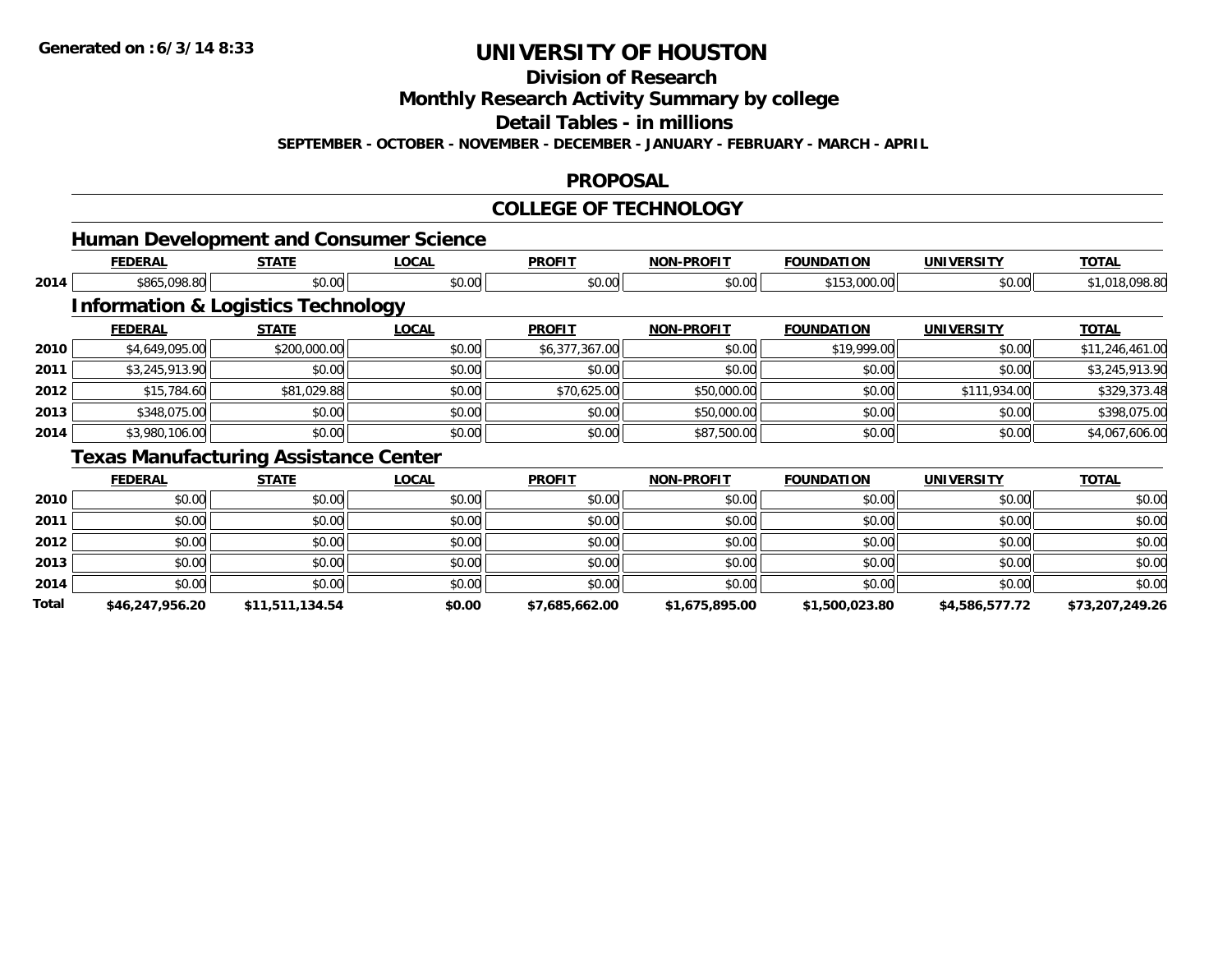**Total**

# **UNIVERSITY OF HOUSTON**

**Division of Research**

**Monthly Research Activity Summary by college**

**Detail Tables - in millions**

**SEPTEMBER - OCTOBER - NOVEMBER - DECEMBER - JANUARY - FEBRUARY - MARCH - APRIL**

#### **PROPOSAL**

### **COLLEGE OF TECHNOLOGY**

|      |                |                                               | <b>Human Development and Consumer Science</b> |                |                   |                   |                   |                 |
|------|----------------|-----------------------------------------------|-----------------------------------------------|----------------|-------------------|-------------------|-------------------|-----------------|
|      | <b>FEDERAL</b> | <b>STATE</b>                                  | <b>LOCAL</b>                                  | <b>PROFIT</b>  | <b>NON-PROFIT</b> | <b>FOUNDATION</b> | <b>UNIVERSITY</b> | <b>TOTAL</b>    |
| 2014 | \$865,098.80   | \$0.00                                        | \$0.00                                        | \$0.00         | \$0.00            | \$153,000.00      | \$0.00            | \$1,018,098.80  |
|      |                | <b>Information &amp; Logistics Technology</b> |                                               |                |                   |                   |                   |                 |
|      | <b>FEDERAL</b> | <b>STATE</b>                                  | <b>LOCAL</b>                                  | <b>PROFIT</b>  | <b>NON-PROFIT</b> | <b>FOUNDATION</b> | <b>UNIVERSITY</b> | <b>TOTAL</b>    |
| 2010 | \$4,649,095.00 | \$200,000.00                                  | \$0.00                                        | \$6,377,367.00 | \$0.00            | \$19,999.00       | \$0.00            | \$11,246,461.00 |
| 2011 | \$3,245,913.90 | \$0.00                                        | \$0.00                                        | \$0.00         | \$0.00            | \$0.00            | \$0.00            | \$3,245,913.90  |
| 2012 | \$15,784.60    | \$81,029.88                                   | \$0.00                                        | \$70,625.00    | \$50,000.00       | \$0.00            | \$111,934.00      | \$329,373.48    |
| 2013 | \$348,075.00   | \$0.00                                        | \$0.00                                        | \$0.00         | \$50,000.00       | \$0.00            | \$0.00            | \$398,075.00    |
| 2014 | \$3,980,106.00 | \$0.00                                        | \$0.00                                        | \$0.00         | \$87,500.00       | \$0.00            | \$0.00            | \$4,067,606.00  |
|      |                | <b>Texas Manufacturing Assistance Center</b>  |                                               |                |                   |                   |                   |                 |
|      | <b>FEDERAL</b> | <b>STATE</b>                                  | <b>LOCAL</b>                                  | <b>PROFIT</b>  | <b>NON-PROFIT</b> | <b>FOUNDATION</b> | <b>UNIVERSITY</b> | <b>TOTAL</b>    |
| 2010 | \$0.00         | \$0.00                                        | \$0.00                                        | \$0.00         | \$0.00            | \$0.00            | \$0.00            | \$0.00          |
| 2011 | \$0.00         | \$0.00                                        | \$0.00                                        | \$0.00         | \$0.00            | \$0.00            | \$0.00            | \$0.00          |
| 2012 | \$0.00         | \$0.00                                        | \$0.00                                        | \$0.00         | \$0.00            | \$0.00            | \$0.00            | \$0.00          |
| 2013 | \$0.00         | \$0.00                                        | \$0.00                                        | \$0.00         | \$0.00            | \$0.00            | \$0.00            | \$0.00          |
| 2014 | \$0.00         | \$0.00                                        | \$0.00                                        | \$0.00         | \$0.00            | \$0.00            | \$0.00            | \$0.00          |

**\$46,247,956.20 \$11,511,134.54 \$0.00 \$7,685,662.00 \$1,675,895.00 \$1,500,023.80 \$4,586,577.72 \$73,207,249.26**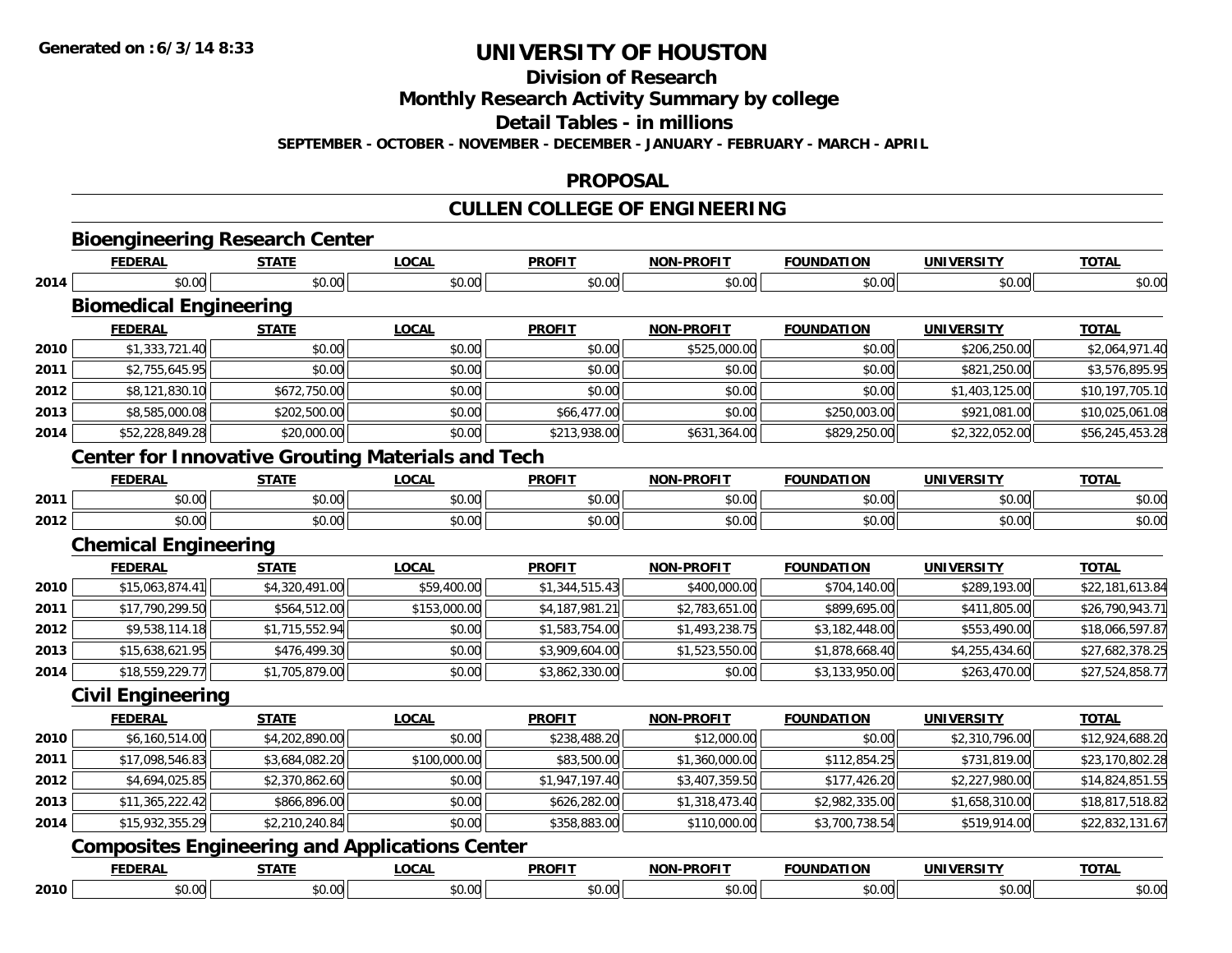**Division of Research**

**Monthly Research Activity Summary by college**

**Detail Tables - in millions**

**SEPTEMBER - OCTOBER - NOVEMBER - DECEMBER - JANUARY - FEBRUARY - MARCH - APRIL**

#### **PROPOSAL**

# **CULLEN COLLEGE OF ENGINEERING**

|      | <b>FEDERAL</b>                                           | <b>STATE</b>               | <b>LOCAL</b> | <b>PROFIT</b>  | <b>NON-PROFIT</b> | <b>FOUNDATION</b> | <b>UNIVERSITY</b> | <b>TOTAL</b>    |
|------|----------------------------------------------------------|----------------------------|--------------|----------------|-------------------|-------------------|-------------------|-----------------|
| 2014 | \$0.00                                                   | \$0.00                     | \$0.00       | \$0.00         | \$0.00            | \$0.00            | \$0.00            | \$0.00          |
|      | <b>Biomedical Engineering</b>                            |                            |              |                |                   |                   |                   |                 |
|      | <b>FEDERAL</b>                                           | <b>STATE</b>               | <b>LOCAL</b> | <b>PROFIT</b>  | <b>NON-PROFIT</b> | <b>FOUNDATION</b> | <b>UNIVERSITY</b> | <b>TOTAL</b>    |
| 2010 | \$1,333,721.40                                           | \$0.00                     | \$0.00       | \$0.00         | \$525,000.00      | \$0.00            | \$206,250.00      | \$2,064,971.40  |
| 2011 | \$2,755,645.95                                           | \$0.00                     | \$0.00       | \$0.00         | \$0.00            | \$0.00            | \$821,250.00      | \$3,576,895.95  |
| 2012 | \$8,121,830.10                                           | \$672,750.00               | \$0.00       | \$0.00         | \$0.00            | \$0.00            | \$1,403,125.00    | \$10,197,705.10 |
| 2013 | \$8,585,000.08                                           | \$202,500.00               | \$0.00       | \$66,477.00    | \$0.00            | \$250,003.00      | \$921,081.00      | \$10,025,061.08 |
| 2014 | \$52,228,849.28                                          | \$20,000.00                | \$0.00       | \$213,938.00   | \$631,364.00      | \$829,250.00      | \$2,322,052.00    | \$56,245,453.28 |
|      | <b>Center for Innovative Grouting Materials and Tech</b> |                            |              |                |                   |                   |                   |                 |
|      | <b>FEDERAL</b>                                           | <b>STATE</b>               | <b>LOCAL</b> | <b>PROFIT</b>  | <b>NON-PROFIT</b> | <b>FOUNDATION</b> | <b>UNIVERSITY</b> | <b>TOTAL</b>    |
| 2011 | \$0.00                                                   | \$0.00                     | \$0.00       | \$0.00         | \$0.00            | \$0.00            | \$0.00            | \$0.00          |
| 2012 | \$0.00                                                   | \$0.00                     | \$0.00       | \$0.00         | \$0.00            | \$0.00            | \$0.00            | \$0.00          |
|      | <b>Chemical Engineering</b>                              |                            |              |                |                   |                   |                   |                 |
|      | <b>FEDERAL</b>                                           | <b>STATE</b>               | <b>LOCAL</b> | <b>PROFIT</b>  | <b>NON-PROFIT</b> | <b>FOUNDATION</b> | <b>UNIVERSITY</b> | <b>TOTAL</b>    |
| 2010 | \$15,063,874.41                                          | \$4,320,491.00             | \$59,400.00  | \$1,344,515.43 | \$400,000.00      | \$704,140.00      | \$289,193.00      | \$22,181,613.84 |
| 2011 | \$17,790,299.50                                          | \$564,512.00               | \$153,000.00 | \$4,187,981.21 | \$2,783,651.00    | \$899,695.00      | \$411,805.00      | \$26,790,943.71 |
| 2012 | \$9,538,114.18                                           | \$1,715,552.94             | \$0.00       | \$1,583,754.00 | \$1,493,238.75    | \$3,182,448.00    | \$553,490.00      | \$18,066,597.87 |
| 2013 | \$15,638,621.95                                          | \$476,499.30               | \$0.00       | \$3,909,604.00 | \$1,523,550.00    | \$1,878,668.40    | \$4,255,434.60    | \$27,682,378.25 |
| 2014 | \$18,559,229.77                                          | \$1,705,879.00             | \$0.00       | \$3,862,330.00 | \$0.00            | \$3,133,950.00    | \$263,470.00      | \$27,524,858.77 |
|      | <b>Civil Engineering</b>                                 |                            |              |                |                   |                   |                   |                 |
|      | <b>FEDERAL</b>                                           | <b>STATE</b>               | <b>LOCAL</b> | <b>PROFIT</b>  | <b>NON-PROFIT</b> | <b>FOUNDATION</b> | <b>UNIVERSITY</b> | <b>TOTAL</b>    |
| 2010 | \$6,160,514.00                                           | \$4,202,890.00             | \$0.00       | \$238,488.20   | \$12,000.00       | \$0.00            | \$2,310,796.00    | \$12,924,688.20 |
| 2011 | \$17,098,546.83                                          | $\overline{$3,684,082.20}$ | \$100,000.00 | \$83,500.00    | \$1,360,000.00    | \$112,854.25      | \$731,819.00      | \$23,170,802.28 |
| 2012 | \$4,694,025.85                                           | \$2,370,862.60             | \$0.00       | \$1,947,197.40 | \$3,407,359.50    | \$177,426.20      | \$2,227,980.00    | \$14,824,851.55 |
| 2013 | \$11,365,222.42                                          | \$866,896.00               | \$0.00       | \$626,282.00   | \$1,318,473.40    | \$2,982,335.00    | \$1,658,310.00    | \$18,817,518.82 |
| 2014 | \$15,932,355.29                                          | \$2,210,240.84             | \$0.00       | \$358,883.00   | \$110,000.00      | \$3,700,738.54    | \$519,914.00      | \$22,832,131.67 |
|      |                                                          |                            |              |                |                   |                   |                   |                 |
|      | <b>Composites Engineering and Applications Center</b>    |                            |              |                |                   |                   |                   |                 |
|      | <b>FEDERAL</b>                                           | <b>STATE</b>               | <b>LOCAL</b> | <b>PROFIT</b>  | <b>NON-PROFIT</b> | <b>FOUNDATION</b> | <b>UNIVERSITY</b> | <b>TOTAL</b>    |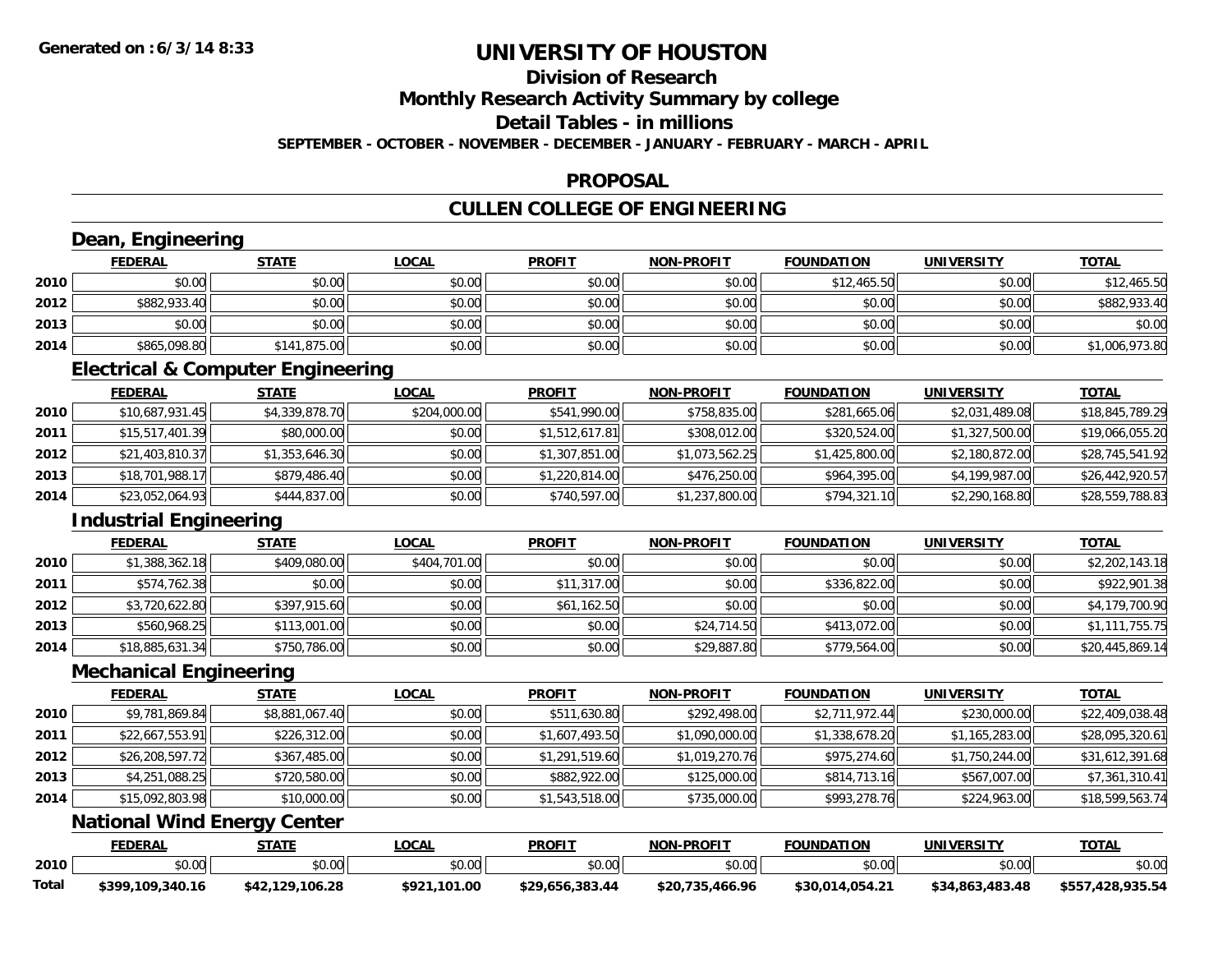## **Division of Research**

**Monthly Research Activity Summary by college**

**Detail Tables - in millions**

**SEPTEMBER - OCTOBER - NOVEMBER - DECEMBER - JANUARY - FEBRUARY - MARCH - APRIL**

#### **PROPOSAL**

## **CULLEN COLLEGE OF ENGINEERING**

|       | Dean, Engineering                            |                 |              |                 |                   |                   |                   |                  |
|-------|----------------------------------------------|-----------------|--------------|-----------------|-------------------|-------------------|-------------------|------------------|
|       | <b>FEDERAL</b>                               | <b>STATE</b>    | <b>LOCAL</b> | <b>PROFIT</b>   | NON-PROFIT        | <b>FOUNDATION</b> | <b>UNIVERSITY</b> | <b>TOTAL</b>     |
| 2010  | \$0.00                                       | \$0.00          | \$0.00       | \$0.00          | \$0.00            | \$12,465.50       | \$0.00            | \$12,465.50      |
| 2012  | \$882,933.40                                 | \$0.00          | \$0.00       | \$0.00          | \$0.00            | \$0.00            | \$0.00            | \$882,933.40     |
| 2013  | \$0.00                                       | \$0.00          | \$0.00       | \$0.00          | \$0.00            | \$0.00            | \$0.00            | \$0.00           |
| 2014  | \$865,098.80                                 | \$141,875.00    | \$0.00       | \$0.00          | \$0.00            | \$0.00            | \$0.00            | \$1,006,973.80   |
|       | <b>Electrical &amp; Computer Engineering</b> |                 |              |                 |                   |                   |                   |                  |
|       | <b>FEDERAL</b>                               | <b>STATE</b>    | <b>LOCAL</b> | <b>PROFIT</b>   | <b>NON-PROFIT</b> | <b>FOUNDATION</b> | <b>UNIVERSITY</b> | <b>TOTAL</b>     |
| 2010  | \$10,687,931.45                              | \$4,339,878.70  | \$204,000.00 | \$541,990.00    | \$758,835.00      | \$281,665.06      | \$2,031,489.08    | \$18,845,789.29  |
| 2011  | \$15,517,401.39                              | \$80,000.00     | \$0.00       | \$1,512,617.81  | \$308,012.00      | \$320,524.00      | \$1,327,500.00    | \$19,066,055.20  |
| 2012  | \$21,403,810.37                              | \$1,353,646.30  | \$0.00       | \$1,307,851.00  | \$1,073,562.25    | \$1,425,800.00    | \$2,180,872.00    | \$28,745,541.92  |
| 2013  | \$18,701,988.17                              | \$879,486.40    | \$0.00       | \$1,220,814.00  | \$476,250.00      | \$964,395.00      | \$4,199,987.00    | \$26,442,920.57  |
| 2014  | \$23,052,064.93                              | \$444,837.00    | \$0.00       | \$740,597.00    | \$1,237,800.00    | \$794,321.10      | \$2,290,168.80    | \$28,559,788.83  |
|       | <b>Industrial Engineering</b>                |                 |              |                 |                   |                   |                   |                  |
|       | <b>FEDERAL</b>                               | <b>STATE</b>    | <b>LOCAL</b> | <b>PROFIT</b>   | <b>NON-PROFIT</b> | <b>FOUNDATION</b> | <b>UNIVERSITY</b> | <b>TOTAL</b>     |
| 2010  | \$1,388,362.18                               | \$409,080.00    | \$404,701.00 | \$0.00          | \$0.00            | \$0.00            | \$0.00            | \$2,202,143.18   |
| 2011  | \$574,762.38                                 | \$0.00          | \$0.00       | \$11,317.00     | \$0.00            | \$336,822.00      | \$0.00            | \$922,901.38     |
| 2012  | \$3,720,622.80                               | \$397,915.60    | \$0.00       | \$61,162.50     | \$0.00            | \$0.00            | \$0.00            | \$4,179,700.90   |
| 2013  | \$560,968.25                                 | \$113,001.00    | \$0.00       | \$0.00          | \$24,714.50       | \$413,072.00      | \$0.00            | \$1,111,755.75   |
| 2014  | \$18,885,631.34                              | \$750,786.00    | \$0.00       | \$0.00          | \$29,887.80       | \$779,564.00      | \$0.00            | \$20,445,869.14  |
|       | <b>Mechanical Engineering</b>                |                 |              |                 |                   |                   |                   |                  |
|       | <b>FEDERAL</b>                               | <b>STATE</b>    | <b>LOCAL</b> | <b>PROFIT</b>   | <b>NON-PROFIT</b> | <b>FOUNDATION</b> | <b>UNIVERSITY</b> | <b>TOTAL</b>     |
| 2010  | \$9,781,869.84                               | \$8,881,067.40  | \$0.00       | \$511,630.80    | \$292,498.00      | \$2,711,972.44    | \$230,000.00      | \$22,409,038.48  |
| 2011  | \$22,667,553.91                              | \$226,312.00    | \$0.00       | \$1,607,493.50  | \$1,090,000.00    | \$1,338,678.20    | \$1,165,283.00    | \$28,095,320.61  |
| 2012  | \$26,208,597.72                              | \$367,485.00    | \$0.00       | \$1,291,519.60  | \$1,019,270.76    | \$975,274.60      | \$1,750,244.00    | \$31,612,391.68  |
| 2013  | \$4,251,088.25                               | \$720,580.00    | \$0.00       | \$882,922.00    | \$125,000.00      | \$814,713.16      | \$567,007.00      | \$7,361,310.41   |
| 2014  | \$15,092,803.98                              | \$10,000.00     | \$0.00       | \$1,543,518.00  | \$735,000.00      | \$993,278.76      | \$224,963.00      | \$18,599,563.74  |
|       | <b>National Wind Energy Center</b>           |                 |              |                 |                   |                   |                   |                  |
|       | <b>FEDERAL</b>                               | <b>STATE</b>    | <b>LOCAL</b> | <b>PROFIT</b>   | NON-PROFIT        | <b>FOUNDATION</b> | <b>UNIVERSITY</b> | <b>TOTAL</b>     |
| 2010  | \$0.00                                       | \$0.00          | \$0.00       | \$0.00          | \$0.00            | \$0.00            | \$0.00            | \$0.00           |
| Total | \$399,109,340.16                             | \$42,129,106.28 | \$921,101.00 | \$29,656,383.44 | \$20,735,466.96   | \$30,014,054.21   | \$34,863,483.48   | \$557,428,935.54 |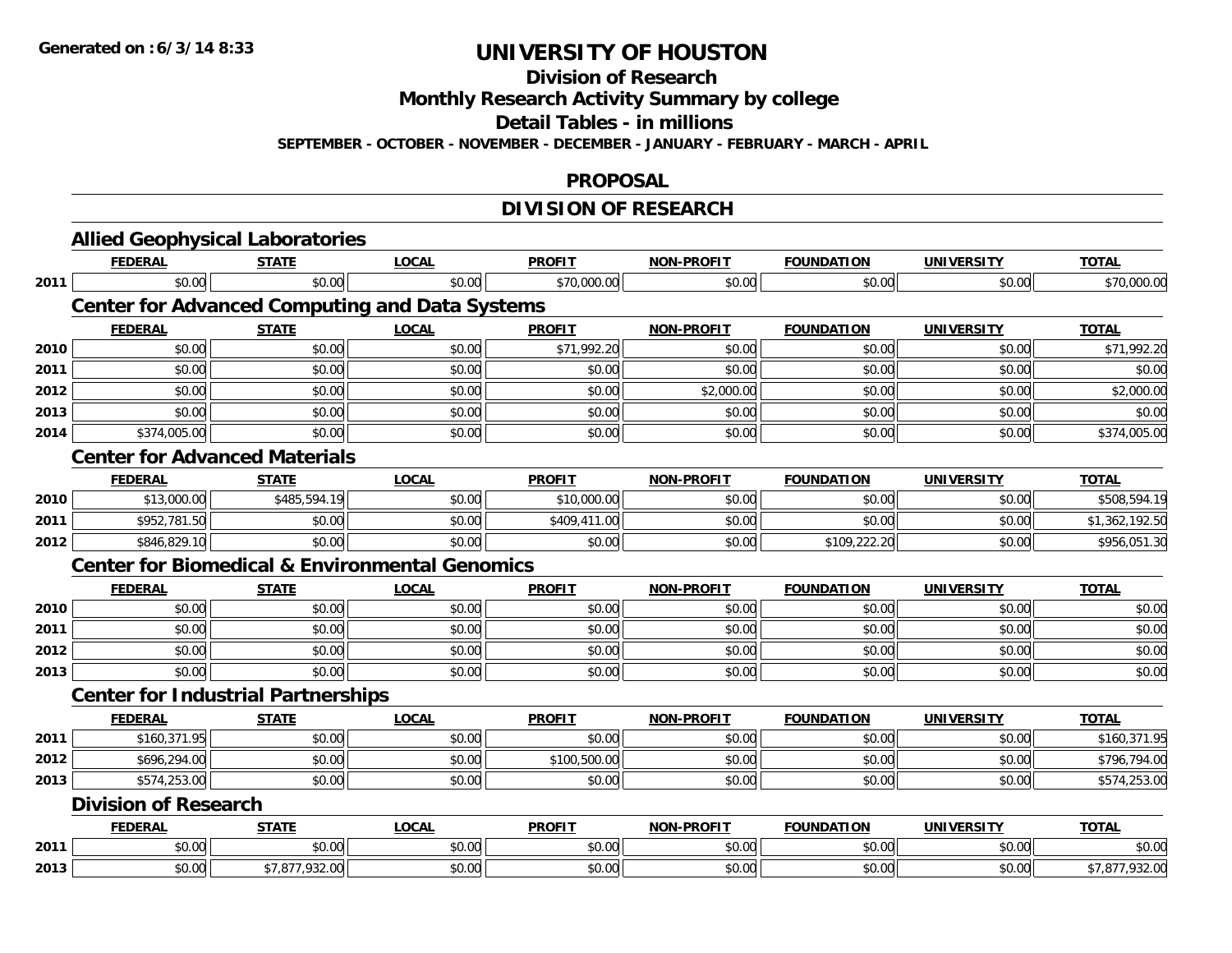**Division of Research**

**Monthly Research Activity Summary by college**

**Detail Tables - in millions**

**SEPTEMBER - OCTOBER - NOVEMBER - DECEMBER - JANUARY - FEBRUARY - MARCH - APRIL**

#### **PROPOSAL**

### **DIVISION OF RESEARCH**

|      | <b>Allied Geophysical Laboratories</b>                    |                |              |               |                   |                   |                   |                |
|------|-----------------------------------------------------------|----------------|--------------|---------------|-------------------|-------------------|-------------------|----------------|
|      | <b>FEDERAL</b>                                            | <b>STATE</b>   | <b>LOCAL</b> | <b>PROFIT</b> | <b>NON-PROFIT</b> | <b>FOUNDATION</b> | <b>UNIVERSITY</b> | <b>TOTAL</b>   |
| 2011 | \$0.00                                                    | \$0.00         | \$0.00       | \$70,000.00   | \$0.00            | \$0.00            | \$0.00            | \$70,000.00    |
|      | <b>Center for Advanced Computing and Data Systems</b>     |                |              |               |                   |                   |                   |                |
|      | <b>FEDERAL</b>                                            | <b>STATE</b>   | <b>LOCAL</b> | <b>PROFIT</b> | <b>NON-PROFIT</b> | <b>FOUNDATION</b> | <b>UNIVERSITY</b> | <b>TOTAL</b>   |
| 2010 | \$0.00                                                    | \$0.00         | \$0.00       | \$71,992.20   | \$0.00            | \$0.00            | \$0.00            | \$71,992.20    |
| 2011 | \$0.00                                                    | \$0.00         | \$0.00       | \$0.00        | \$0.00            | \$0.00            | \$0.00            | \$0.00         |
| 2012 | \$0.00                                                    | \$0.00         | \$0.00       | \$0.00        | \$2,000.00        | \$0.00            | \$0.00            | \$2,000.00     |
| 2013 | \$0.00                                                    | \$0.00         | \$0.00       | \$0.00        | \$0.00            | \$0.00            | \$0.00            | \$0.00         |
| 2014 | \$374,005.00                                              | \$0.00         | \$0.00       | \$0.00        | \$0.00            | \$0.00            | \$0.00            | \$374,005.00   |
|      | <b>Center for Advanced Materials</b>                      |                |              |               |                   |                   |                   |                |
|      | <b>FEDERAL</b>                                            | <b>STATE</b>   | <b>LOCAL</b> | <b>PROFIT</b> | <b>NON-PROFIT</b> | <b>FOUNDATION</b> | <b>UNIVERSITY</b> | <b>TOTAL</b>   |
| 2010 | \$13,000.00                                               | \$485,594.19   | \$0.00       | \$10,000.00   | \$0.00            | \$0.00            | \$0.00            | \$508,594.19   |
| 2011 | \$952,781.50                                              | \$0.00         | \$0.00       | \$409,411.00  | \$0.00            | \$0.00            | \$0.00            | \$1,362,192.50 |
| 2012 | \$846,829.10                                              | \$0.00         | \$0.00       | \$0.00        | \$0.00            | \$109,222.20      | \$0.00            | \$956,051.30   |
|      | <b>Center for Biomedical &amp; Environmental Genomics</b> |                |              |               |                   |                   |                   |                |
|      | <b>FEDERAL</b>                                            | <b>STATE</b>   | <b>LOCAL</b> | <b>PROFIT</b> | <b>NON-PROFIT</b> | <b>FOUNDATION</b> | <b>UNIVERSITY</b> | <b>TOTAL</b>   |
| 2010 | \$0.00                                                    | \$0.00         | \$0.00       | \$0.00        | \$0.00            | \$0.00            | \$0.00            | \$0.00         |
| 2011 | \$0.00                                                    | \$0.00         | \$0.00       | \$0.00        | \$0.00            | \$0.00            | \$0.00            | \$0.00         |
| 2012 | \$0.00                                                    | \$0.00         | \$0.00       | \$0.00        | \$0.00            | \$0.00            | \$0.00            | \$0.00         |
| 2013 | \$0.00                                                    | \$0.00         | \$0.00       | \$0.00        | \$0.00            | \$0.00            | \$0.00            | \$0.00         |
|      | <b>Center for Industrial Partnerships</b>                 |                |              |               |                   |                   |                   |                |
|      | <b>FEDERAL</b>                                            | <b>STATE</b>   | <b>LOCAL</b> | <b>PROFIT</b> | <b>NON-PROFIT</b> | <b>FOUNDATION</b> | <b>UNIVERSITY</b> | <b>TOTAL</b>   |
| 2011 | \$160,371.95                                              | \$0.00         | \$0.00       | \$0.00        | \$0.00            | \$0.00            | \$0.00            | \$160,371.95   |
| 2012 | \$696,294.00                                              | \$0.00         | \$0.00       | \$100,500.00  | \$0.00            | \$0.00            | \$0.00            | \$796,794.00   |
| 2013 | \$574,253.00                                              | \$0.00         | \$0.00       | \$0.00        | \$0.00            | \$0.00            | \$0.00            | \$574,253.00   |
|      | <b>Division of Research</b>                               |                |              |               |                   |                   |                   |                |
|      | <b>FEDERAL</b>                                            | <b>STATE</b>   | <b>LOCAL</b> | <b>PROFIT</b> | <b>NON-PROFIT</b> | <b>FOUNDATION</b> | <b>UNIVERSITY</b> | <b>TOTAL</b>   |
| 2011 | \$0.00                                                    | \$0.00         | \$0.00       | \$0.00        | \$0.00            | \$0.00            | \$0.00            | \$0.00         |
| 2013 | \$0.00                                                    | \$7,877,932.00 |              |               |                   |                   |                   | \$7,877,932.00 |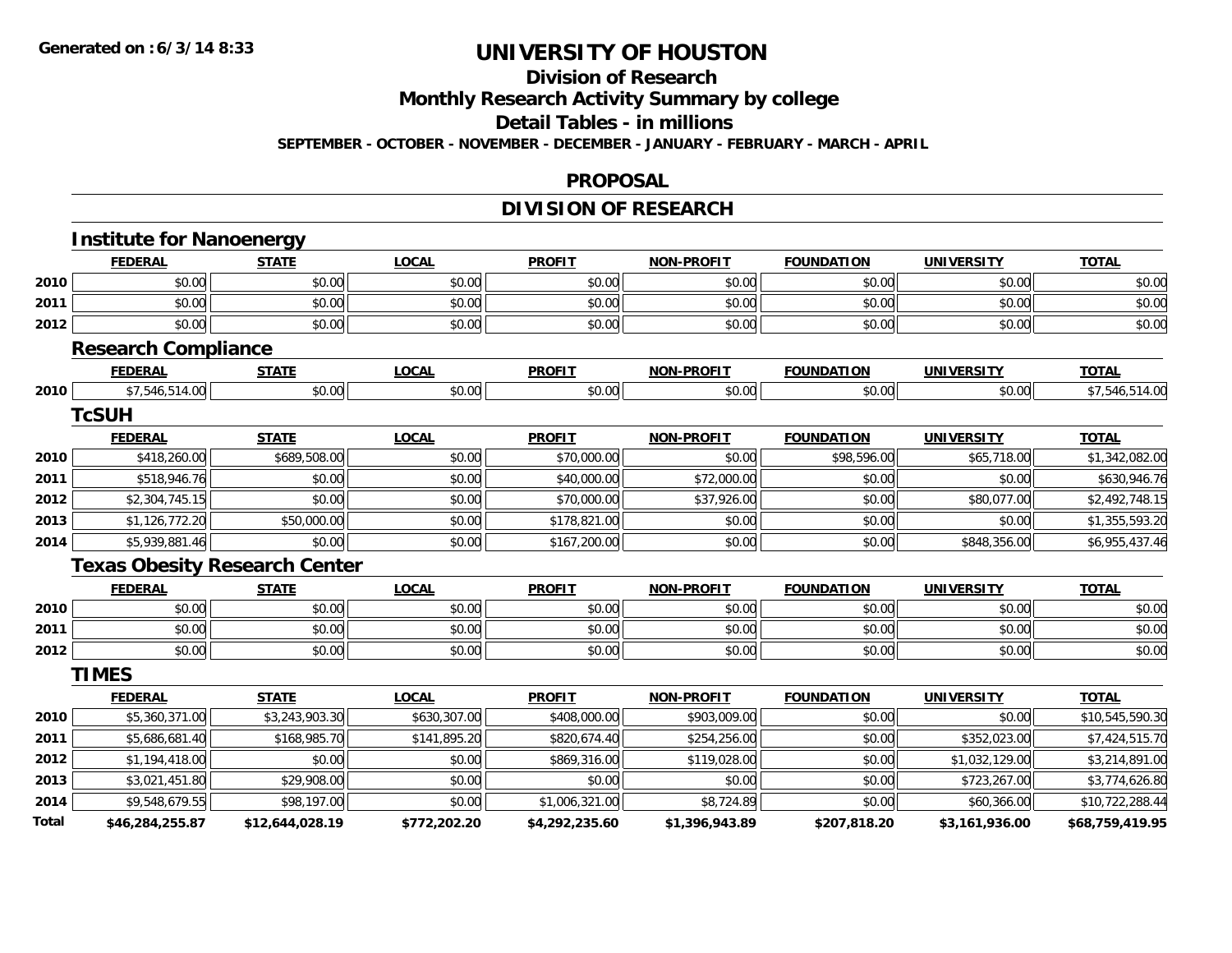## **Division of Research**

**Monthly Research Activity Summary by college**

**Detail Tables - in millions**

**SEPTEMBER - OCTOBER - NOVEMBER - DECEMBER - JANUARY - FEBRUARY - MARCH - APRIL**

#### **PROPOSAL**

## **DIVISION OF RESEARCH**

|       | <b>Institute for Nanoenergy</b>      |                 |              |                |                   |                   |                   |                 |
|-------|--------------------------------------|-----------------|--------------|----------------|-------------------|-------------------|-------------------|-----------------|
|       | <b>FEDERAL</b>                       | <b>STATE</b>    | <b>LOCAL</b> | <b>PROFIT</b>  | <b>NON-PROFIT</b> | <b>FOUNDATION</b> | <b>UNIVERSITY</b> | <b>TOTAL</b>    |
| 2010  | \$0.00                               | \$0.00          | \$0.00       | \$0.00         | \$0.00            | \$0.00            | \$0.00            | \$0.00          |
| 2011  | \$0.00                               | \$0.00          | \$0.00       | \$0.00         | \$0.00            | \$0.00            | \$0.00            | \$0.00          |
| 2012  | \$0.00                               | \$0.00          | \$0.00       | \$0.00         | \$0.00            | \$0.00            | \$0.00            | \$0.00          |
|       | <b>Research Compliance</b>           |                 |              |                |                   |                   |                   |                 |
|       | <b>FEDERAL</b>                       | <b>STATE</b>    | <b>LOCAL</b> | <b>PROFIT</b>  | <b>NON-PROFIT</b> | <b>FOUNDATION</b> | <b>UNIVERSITY</b> | <b>TOTAL</b>    |
| 2010  | \$7,546,514.00                       | \$0.00          | \$0.00       | \$0.00         | \$0.00            | \$0.00            | \$0.00            | \$7,546,514.00  |
|       | <b>TcSUH</b>                         |                 |              |                |                   |                   |                   |                 |
|       | <b>FEDERAL</b>                       | <b>STATE</b>    | <b>LOCAL</b> | <b>PROFIT</b>  | <b>NON-PROFIT</b> | <b>FOUNDATION</b> | <b>UNIVERSITY</b> | <b>TOTAL</b>    |
| 2010  | \$418,260.00                         | \$689,508.00    | \$0.00       | \$70,000.00    | \$0.00            | \$98,596.00       | \$65,718.00       | \$1,342,082.00  |
| 2011  | \$518,946.76                         | \$0.00          | \$0.00       | \$40,000.00    | \$72,000.00       | \$0.00            | \$0.00            | \$630,946.76    |
| 2012  | \$2,304,745.15                       | \$0.00          | \$0.00       | \$70,000.00    | \$37,926.00       | \$0.00            | \$80,077.00       | \$2,492,748.15  |
| 2013  | \$1,126,772.20                       | \$50,000.00     | \$0.00       | \$178,821.00   | \$0.00            | \$0.00            | \$0.00            | \$1,355,593.20  |
| 2014  | \$5,939,881.46                       | \$0.00          | \$0.00       | \$167,200.00   | \$0.00            | \$0.00            | \$848,356.00      | \$6,955,437.46  |
|       | <b>Texas Obesity Research Center</b> |                 |              |                |                   |                   |                   |                 |
|       | <b>FEDERAL</b>                       | <b>STATE</b>    | <b>LOCAL</b> | <b>PROFIT</b>  | <b>NON-PROFIT</b> | <b>FOUNDATION</b> | <b>UNIVERSITY</b> | <b>TOTAL</b>    |
| 2010  | \$0.00                               | \$0.00          | \$0.00       | \$0.00         | \$0.00            | \$0.00            | \$0.00            | \$0.00          |
| 2011  | \$0.00                               | \$0.00          | \$0.00       | \$0.00         | \$0.00            | \$0.00            | \$0.00            | \$0.00          |
| 2012  | \$0.00                               | \$0.00          | \$0.00       | \$0.00         | \$0.00            | \$0.00            | \$0.00            | \$0.00          |
|       | <b>TIMES</b>                         |                 |              |                |                   |                   |                   |                 |
|       | <b>FEDERAL</b>                       | <b>STATE</b>    | <b>LOCAL</b> | <b>PROFIT</b>  | <b>NON-PROFIT</b> | <b>FOUNDATION</b> | <b>UNIVERSITY</b> | <b>TOTAL</b>    |
| 2010  | \$5,360,371.00                       | \$3,243,903.30  | \$630,307.00 | \$408,000.00   | \$903,009.00      | \$0.00            | \$0.00            | \$10,545,590.30 |
| 2011  | \$5,686,681.40                       | \$168,985.70    | \$141,895.20 | \$820,674.40   | \$254,256.00      | \$0.00            | \$352,023.00      | \$7,424,515.70  |
| 2012  | \$1,194,418.00                       | \$0.00          | \$0.00       | \$869,316.00   | \$119,028.00      | \$0.00            | \$1,032,129.00    | \$3,214,891.00  |
| 2013  | \$3,021,451.80                       | \$29,908.00     | \$0.00       | \$0.00         | \$0.00            | \$0.00            | \$723,267.00      | \$3,774,626.80  |
| 2014  | \$9,548,679.55                       | \$98,197.00     | \$0.00       | \$1,006,321.00 | \$8,724.89        | \$0.00            | \$60,366.00       | \$10,722,288.44 |
| Total | \$46,284,255.87                      | \$12,644,028.19 | \$772,202.20 | \$4,292,235.60 | \$1,396,943.89    | \$207,818.20      | \$3,161,936.00    | \$68,759,419.95 |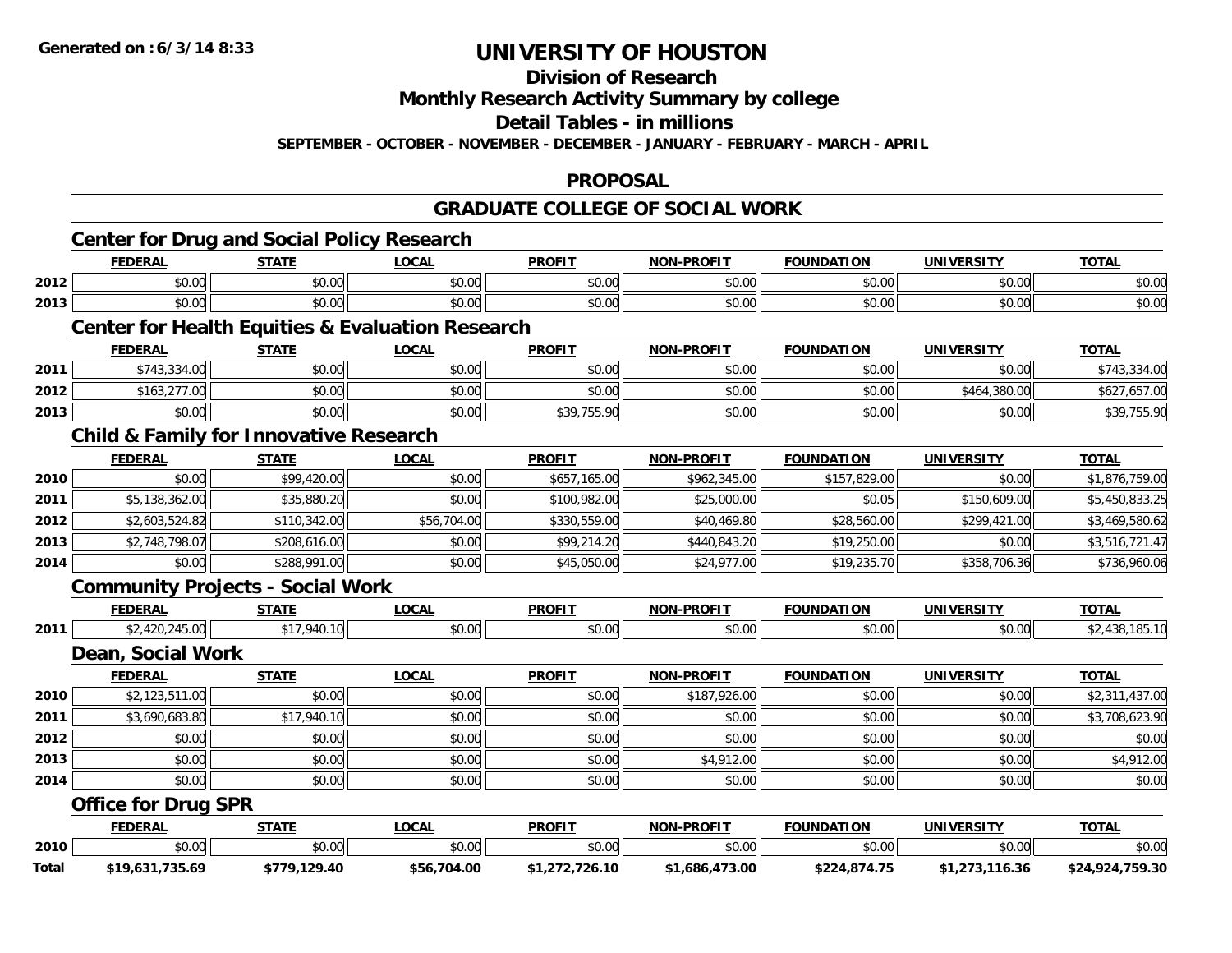**Division of Research**

**Monthly Research Activity Summary by college**

**Detail Tables - in millions**

**SEPTEMBER - OCTOBER - NOVEMBER - DECEMBER - JANUARY - FEBRUARY - MARCH - APRIL**

#### **PROPOSAL**

### **GRADUATE COLLEGE OF SOCIAL WORK**

|       | <b>Center for Drug and Social Policy Research</b><br><b>FEDERAL</b> | <b>STATE</b> | <b>LOCAL</b> | <b>PROFIT</b>  | <b>NON-PROFIT</b> | <b>FOUNDATION</b> | <b>UNIVERSITY</b> | <b>TOTAL</b>    |
|-------|---------------------------------------------------------------------|--------------|--------------|----------------|-------------------|-------------------|-------------------|-----------------|
| 2012  | \$0.00                                                              | \$0.00       | \$0.00       | \$0.00         | \$0.00            | \$0.00            | \$0.00            | \$0.00          |
| 2013  | \$0.00                                                              | \$0.00       | \$0.00       | \$0.00         | \$0.00            | \$0.00            | \$0.00            | \$0.00          |
|       | <b>Center for Health Equities &amp; Evaluation Research</b>         |              |              |                |                   |                   |                   |                 |
|       | <b>FEDERAL</b>                                                      | <b>STATE</b> | <b>LOCAL</b> | <b>PROFIT</b>  | <b>NON-PROFIT</b> | <b>FOUNDATION</b> | <b>UNIVERSITY</b> | <b>TOTAL</b>    |
| 2011  | \$743,334.00                                                        | \$0.00       | \$0.00       | \$0.00         | \$0.00            | \$0.00            | \$0.00            | \$743,334.00    |
| 2012  | \$163,277.00                                                        | \$0.00       | \$0.00       | \$0.00         | \$0.00            | \$0.00            | \$464,380.00      | \$627,657.00    |
| 2013  | \$0.00                                                              | \$0.00       | \$0.00       | \$39,755.90    | \$0.00            | \$0.00            | \$0.00            | \$39,755.90     |
|       | <b>Child &amp; Family for Innovative Research</b>                   |              |              |                |                   |                   |                   |                 |
|       | <b>FEDERAL</b>                                                      | <b>STATE</b> | <b>LOCAL</b> | <b>PROFIT</b>  | <b>NON-PROFIT</b> | <b>FOUNDATION</b> | <b>UNIVERSITY</b> | <b>TOTAL</b>    |
| 2010  | \$0.00                                                              | \$99,420.00  | \$0.00       | \$657,165.00   | \$962,345.00      | \$157,829.00      | \$0.00            | \$1,876,759.00  |
| 2011  | \$5,138,362.00                                                      | \$35,880.20  | \$0.00       | \$100,982.00   | \$25,000.00       | \$0.05            | \$150,609.00      | \$5,450,833.25  |
| 2012  | \$2,603,524.82                                                      | \$110,342.00 | \$56,704.00  | \$330,559.00   | \$40,469.80       | \$28,560.00       | \$299,421.00      | \$3,469,580.62  |
| 2013  | \$2,748,798.07                                                      | \$208,616.00 | \$0.00       | \$99,214.20    | \$440,843.20      | \$19,250.00       | \$0.00            | \$3,516,721.47  |
| 2014  | \$0.00                                                              | \$288,991.00 | \$0.00       | \$45,050.00    | \$24,977.00       | \$19,235.70       | \$358,706.36      | \$736,960.06    |
|       | <b>Community Projects - Social Work</b>                             |              |              |                |                   |                   |                   |                 |
|       | <b>FEDERAL</b>                                                      | <b>STATE</b> | <b>LOCAL</b> | <b>PROFIT</b>  | <b>NON-PROFIT</b> | <b>FOUNDATION</b> | <b>UNIVERSITY</b> | <b>TOTAL</b>    |
| 2011  | \$2,420,245.00                                                      | \$17,940.10  | \$0.00       | \$0.00         | \$0.00            | \$0.00            | \$0.00            | \$2,438,185.10  |
|       | <b>Dean, Social Work</b>                                            |              |              |                |                   |                   |                   |                 |
|       | <b>FEDERAL</b>                                                      | <b>STATE</b> | <b>LOCAL</b> | <b>PROFIT</b>  | <b>NON-PROFIT</b> | <b>FOUNDATION</b> | <b>UNIVERSITY</b> | <b>TOTAL</b>    |
| 2010  | \$2,123,511.00                                                      | \$0.00       | \$0.00       | \$0.00         | \$187,926.00      | \$0.00            | \$0.00            | \$2,311,437.00  |
| 2011  | \$3,690,683.80                                                      | \$17,940.10  | \$0.00       | \$0.00         | \$0.00            | \$0.00            | \$0.00            | \$3,708,623.90  |
| 2012  | \$0.00                                                              | \$0.00       | \$0.00       | \$0.00         | \$0.00            | \$0.00            | \$0.00            | \$0.00          |
| 2013  | \$0.00                                                              | \$0.00       | \$0.00       | \$0.00         | \$4,912.00        | \$0.00            | \$0.00            | \$4,912.00      |
| 2014  | \$0.00                                                              | \$0.00       | \$0.00       | \$0.00         | \$0.00            | \$0.00            | \$0.00            | \$0.00          |
|       | <b>Office for Drug SPR</b>                                          |              |              |                |                   |                   |                   |                 |
|       | <b>FEDERAL</b>                                                      | <b>STATE</b> | <b>LOCAL</b> | <b>PROFIT</b>  | <b>NON-PROFIT</b> | <b>FOUNDATION</b> | <b>UNIVERSITY</b> | <b>TOTAL</b>    |
| 2010  | \$0.00                                                              | \$0.00       | \$0.00       | \$0.00         | \$0.00            | \$0.00            | \$0.00            | \$0.00          |
| Total | \$19.631.735.69                                                     | \$779.129.40 | \$56.704.00  | \$1.272.726.10 | \$1.686.473.00    | \$224.874.75      | \$1.273.116.36    | \$24.924.759.30 |

**\$19,631,735.69 \$779,129.40 \$56,704.00 \$1,272,726.10 \$1,686,473.00 \$224,874.75 \$1,273,116.36 \$24,924,759.30**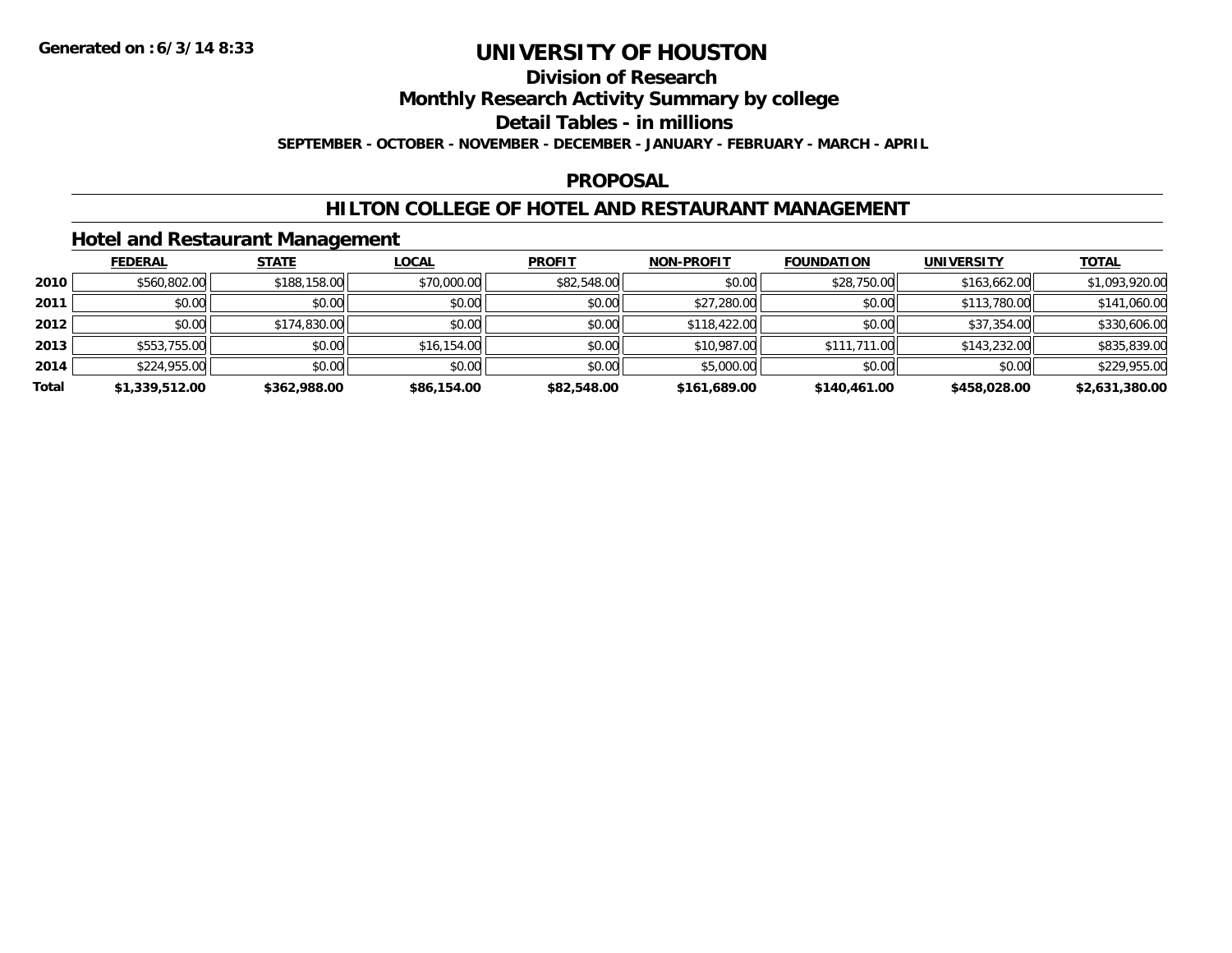## **Division of Research**

**Monthly Research Activity Summary by college**

**Detail Tables - in millions**

**SEPTEMBER - OCTOBER - NOVEMBER - DECEMBER - JANUARY - FEBRUARY - MARCH - APRIL**

#### **PROPOSAL**

### **HILTON COLLEGE OF HOTEL AND RESTAURANT MANAGEMENT**

### **Hotel and Restaurant Management**

|       | <b>FEDERAL</b> | <b>STATE</b> | <b>LOCAL</b> | <b>PROFIT</b> | <b>NON-PROFIT</b> | <b>FOUNDATION</b> | <b>UNIVERSITY</b> | <b>TOTAL</b>   |
|-------|----------------|--------------|--------------|---------------|-------------------|-------------------|-------------------|----------------|
| 2010  | \$560,802.00   | \$188,158.00 | \$70,000.00  | \$82,548.00   | \$0.00            | \$28,750.00       | \$163,662.00      | \$1,093,920.00 |
| 2011  | \$0.00         | \$0.00       | \$0.00       | \$0.00        | \$27,280.00       | \$0.00            | \$113,780.00      | \$141,060.00   |
| 2012  | \$0.00         | \$174,830.00 | \$0.00       | \$0.00        | \$118,422.00      | \$0.00            | \$37,354.00       | \$330,606.00   |
| 2013  | \$553,755.00   | \$0.00       | \$16,154.00  | \$0.00        | \$10,987.00       | \$111,711.00      | \$143,232.00      | \$835,839.00   |
| 2014  | \$224,955.00   | \$0.00       | \$0.00       | \$0.00        | \$5,000.00        | \$0.00            | \$0.00            | \$229,955.00   |
| Total | \$1,339,512.00 | \$362,988.00 | \$86,154.00  | \$82,548.00   | \$161,689.00      | \$140,461.00      | \$458,028.00      | \$2,631,380.00 |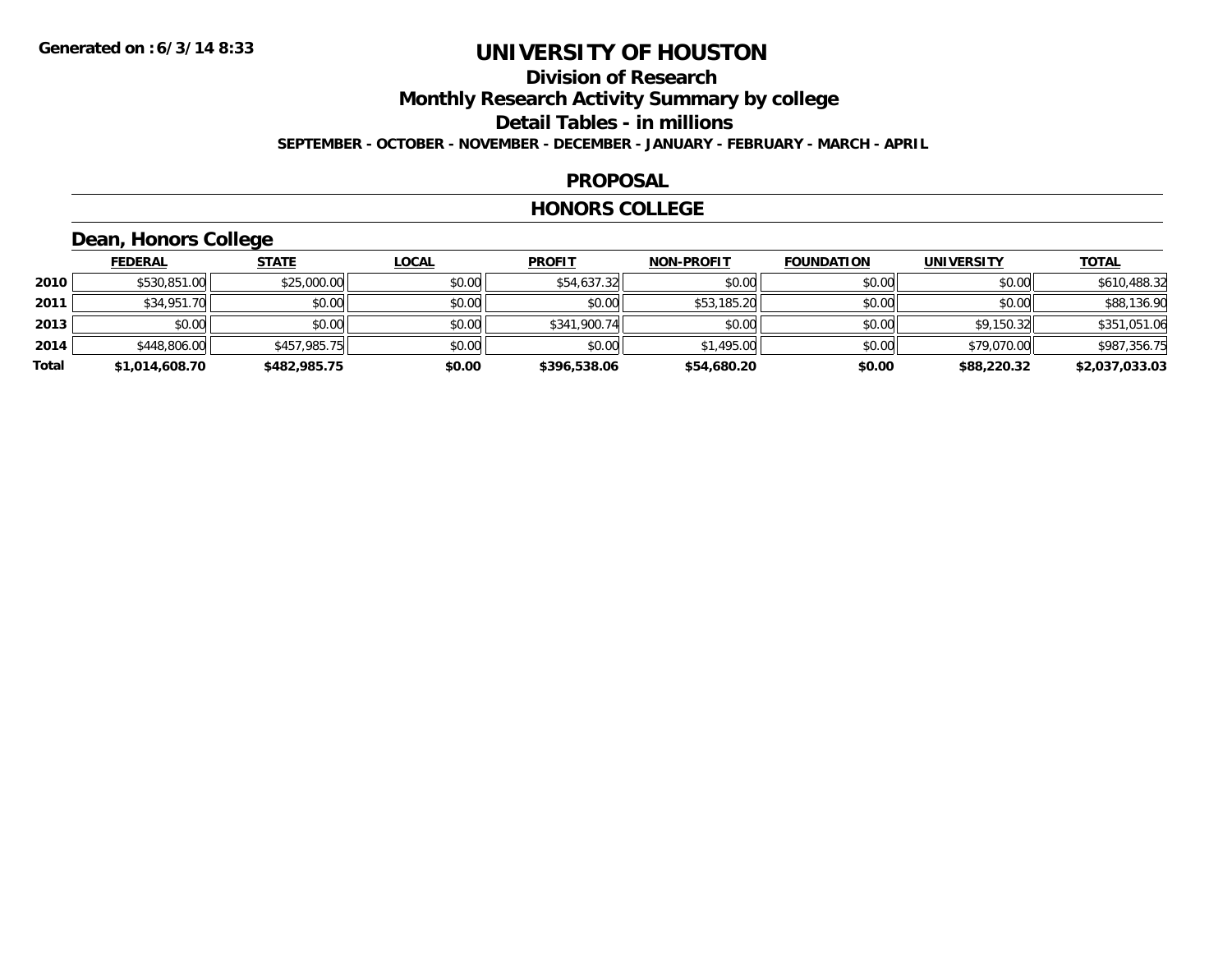### **Division of Research Monthly Research Activity Summary by college Detail Tables - in millions**

**SEPTEMBER - OCTOBER - NOVEMBER - DECEMBER - JANUARY - FEBRUARY - MARCH - APRIL**

#### **PROPOSAL**

#### **HONORS COLLEGE**

### **Dean, Honors College**

|       | <b>FEDERAL</b> | <b>STATE</b> | <b>LOCAL</b> | <b>PROFIT</b> | <b>NON-PROFIT</b> | <b>FOUNDATION</b> | <b>UNIVERSITY</b> | <b>TOTAL</b>   |
|-------|----------------|--------------|--------------|---------------|-------------------|-------------------|-------------------|----------------|
| 2010  | \$530,851.00   | \$25,000.00  | \$0.00       | \$54,637.32   | \$0.00            | \$0.00            | \$0.00            | \$610,488.32   |
| 2011  | \$34,951.70    | \$0.00       | \$0.00       | \$0.00        | \$53,185.20       | \$0.00            | \$0.00            | \$88,136.90    |
| 2013  | \$0.00         | \$0.00       | \$0.00       | \$341,900.74  | \$0.00            | \$0.00            | \$9.150.32        | \$351,051.06   |
| 2014  | \$448,806.00   | \$457,985.75 | \$0.00       | \$0.00        | \$1,495.00        | \$0.00            | \$79,070.00       | \$987,356.75   |
| Total | \$1,014,608.70 | \$482,985.75 | \$0.00       | \$396,538.06  | \$54,680.20       | \$0.00            | \$88,220.32       | \$2,037,033.03 |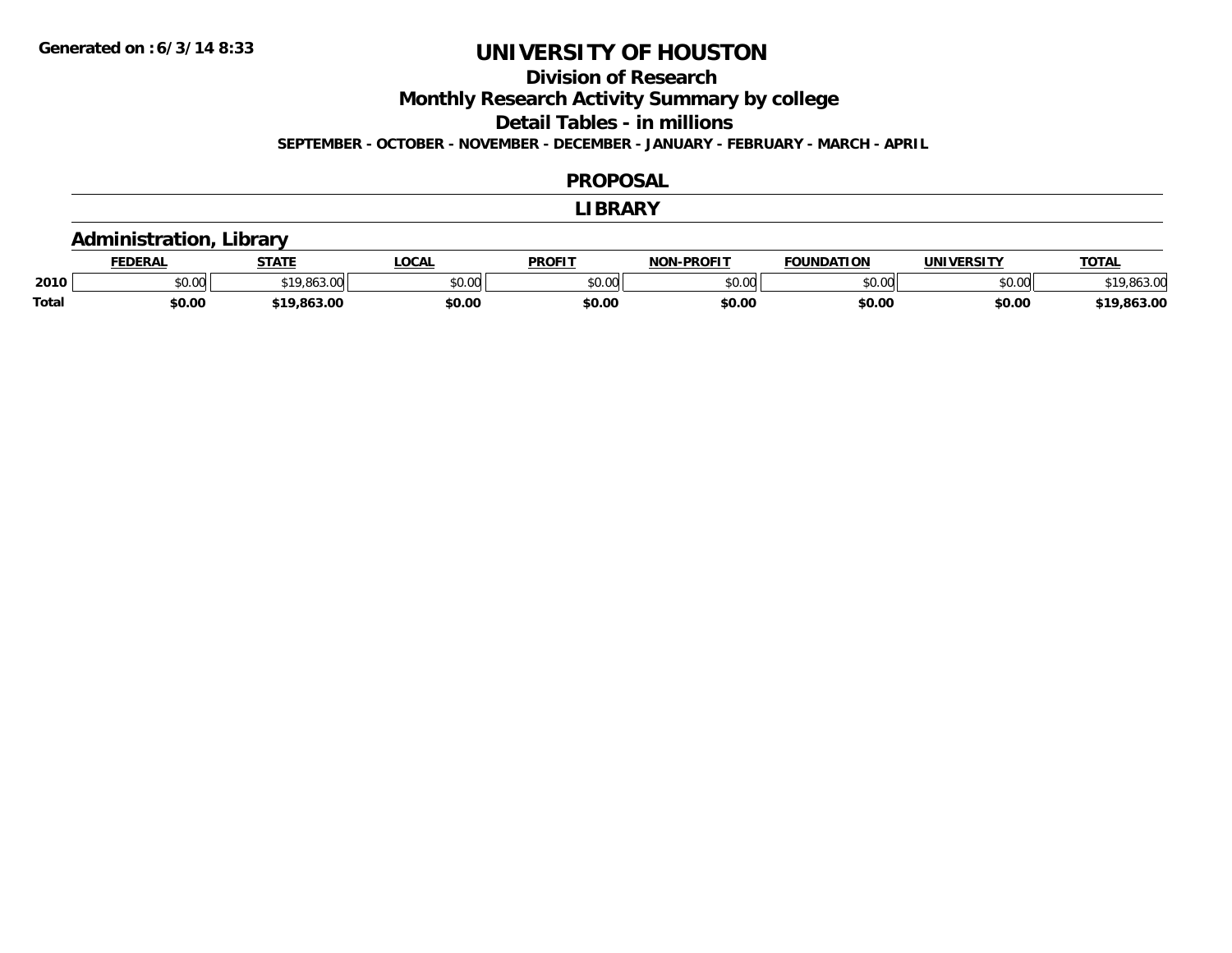### **Division of Research**

**Monthly Research Activity Summary by college**

**Detail Tables - in millions**

**SEPTEMBER - OCTOBER - NOVEMBER - DECEMBER - JANUARY - FEBRUARY - MARCH - APRIL**

#### **PROPOSAL**

#### **LIBRARY**

### **Administration, Library**

|              | <b>EDERAL</b> | <b>STATE</b>      | <b>LOCAL</b>  | PROFIT        | $LDD$ $OLIT$<br>NIAN | <b>FOUNDATION</b> | UNIVERSITY | <b>TOTAL</b> |
|--------------|---------------|-------------------|---------------|---------------|----------------------|-------------------|------------|--------------|
| 2010         | \$0.00        | ,,,,              | 0000<br>vu.uu | 0000<br>vv.vv | 0000<br>∕∪.∪∪        | 0000              | \$0.00     |              |
| <b>Total</b> | \$0.00        | $\sim$<br>.003.UU | \$0.00        | \$0.00        | \$0.00               | \$0.00            | \$0.00     | 63.00        |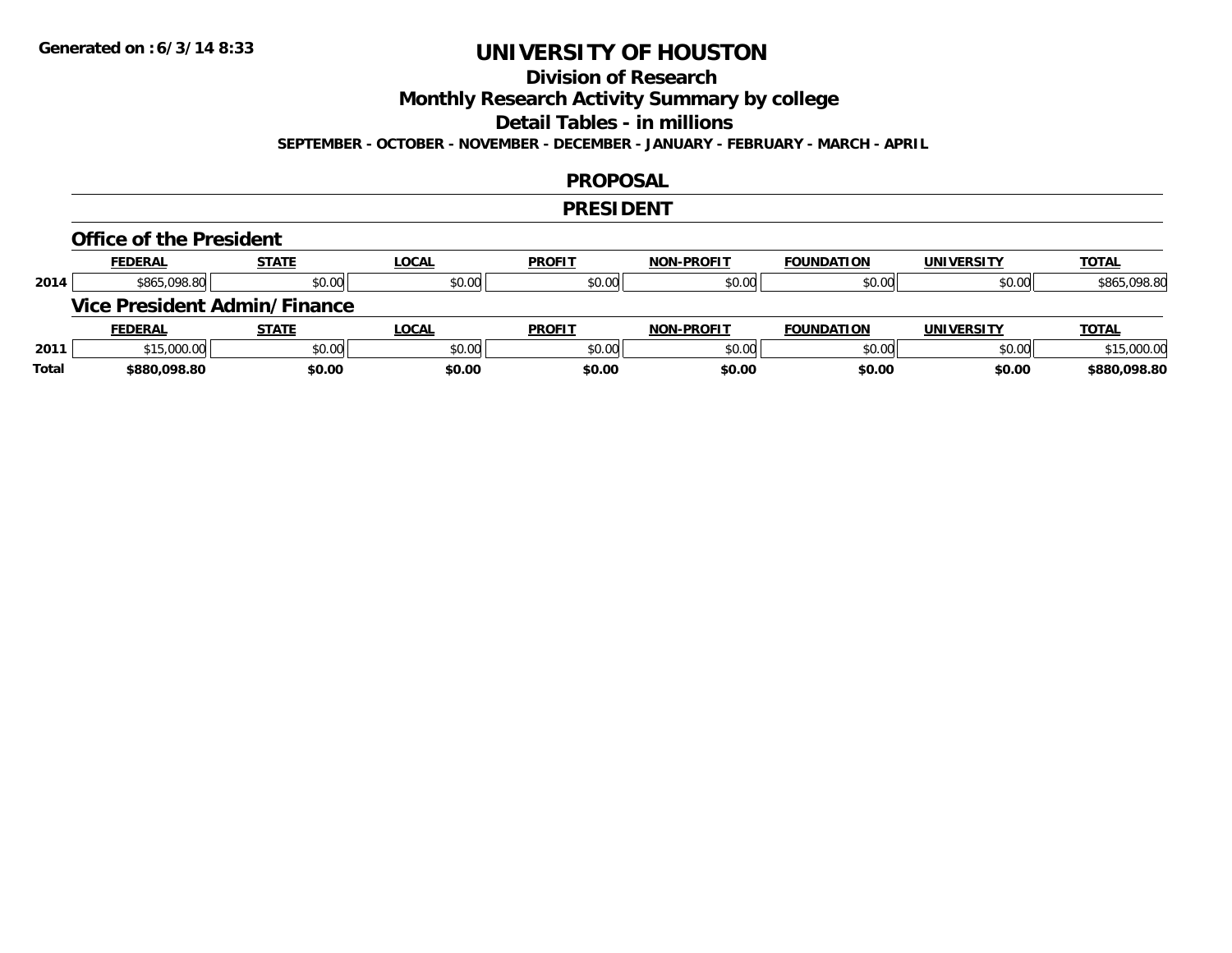## **Division of Research**

**Monthly Research Activity Summary by college**

**Detail Tables - in millions**

**SEPTEMBER - OCTOBER - NOVEMBER - DECEMBER - JANUARY - FEBRUARY - MARCH - APRIL**

#### **PROPOSAL**

#### **PRESIDENT**

#### **Office of the President**

|      | <b>FEDERAL</b> | <b>STATE</b>                 | <u>LOCAL</u> | <b>PROFIT</b> | <b>NON-PROFIT</b> | <b>FOUNDATION</b> | <b>UNIVERSITY</b> | <b>TOTAL</b> |
|------|----------------|------------------------------|--------------|---------------|-------------------|-------------------|-------------------|--------------|
| 2014 | \$865,098.80   | \$0.00                       | \$0.00       | \$0.00        | \$0.00            | \$0.00            | \$0.00            | \$865,098.80 |
|      |                | Vice President Admin/Finance |              |               |                   |                   |                   |              |
|      |                |                              |              |               |                   |                   |                   |              |
|      | <b>FEDERAL</b> | <b>STATE</b>                 | <u>LOCAL</u> | <b>PROFIT</b> | <b>NON-PROFIT</b> | <b>FOUNDATION</b> | UNIVERSITY        | <b>TOTAL</b> |
| 2011 | \$15,000.00    | \$0.00                       | \$0.00       | \$0.00        | \$0.00            | \$0.00            | \$0.00            | \$15,000.00  |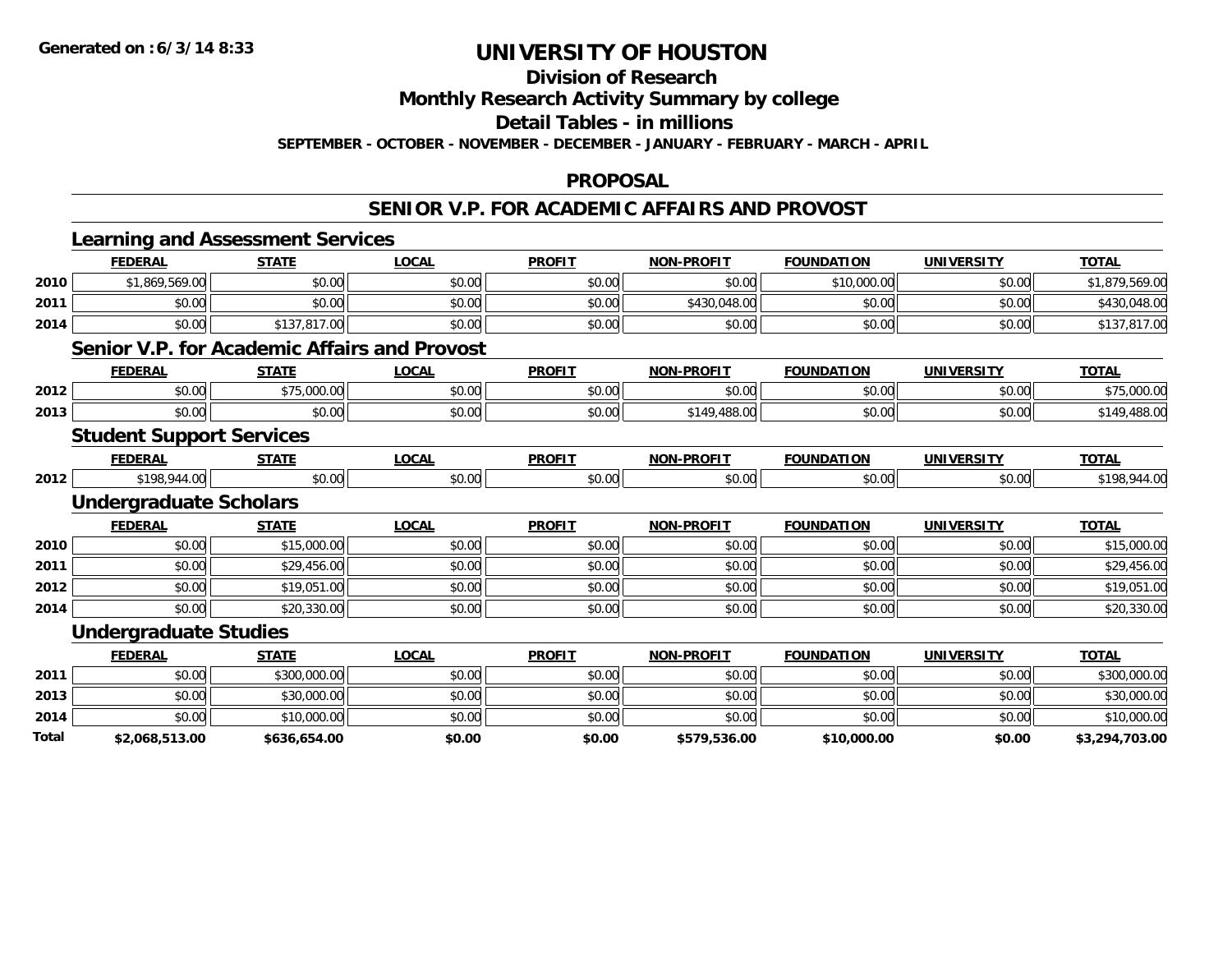#### **Division of Research**

**Monthly Research Activity Summary by college**

**Detail Tables - in millions**

**SEPTEMBER - OCTOBER - NOVEMBER - DECEMBER - JANUARY - FEBRUARY - MARCH - APRIL**

#### **PROPOSAL**

#### **SENIOR V.P. FOR ACADEMIC AFFAIRS AND PROVOST**

|       |                                 | <b>Learning and Assessment Services</b> |                                                     |               |                   |                   |                   |                |
|-------|---------------------------------|-----------------------------------------|-----------------------------------------------------|---------------|-------------------|-------------------|-------------------|----------------|
|       | <b>FEDERAL</b>                  | <b>STATE</b>                            | <b>LOCAL</b>                                        | <b>PROFIT</b> | <b>NON-PROFIT</b> | <b>FOUNDATION</b> | <b>UNIVERSITY</b> | <b>TOTAL</b>   |
| 2010  | \$1,869,569.00                  | \$0.00                                  | \$0.00                                              | \$0.00        | \$0.00            | \$10,000.00       | \$0.00            | \$1,879,569.00 |
| 2011  | \$0.00                          | \$0.00                                  | \$0.00                                              | \$0.00        | \$430,048.00      | \$0.00            | \$0.00            | \$430,048.00   |
| 2014  | \$0.00                          | \$137,817.00                            | \$0.00                                              | \$0.00        | \$0.00            | \$0.00            | \$0.00            | \$137,817.00   |
|       |                                 |                                         | <b>Senior V.P. for Academic Affairs and Provost</b> |               |                   |                   |                   |                |
|       | <b>FEDERAL</b>                  | <b>STATE</b>                            | <b>LOCAL</b>                                        | <b>PROFIT</b> | <b>NON-PROFIT</b> | <b>FOUNDATION</b> | <b>UNIVERSITY</b> | <b>TOTAL</b>   |
| 2012  | \$0.00                          | \$75,000.00                             | \$0.00                                              | \$0.00        | \$0.00            | \$0.00            | \$0.00            | \$75,000.00    |
| 2013  | \$0.00                          | \$0.00                                  | \$0.00                                              | \$0.00        | \$149,488.00      | \$0.00            | \$0.00            | \$149,488.00   |
|       | <b>Student Support Services</b> |                                         |                                                     |               |                   |                   |                   |                |
|       | <b>FEDERAL</b>                  | <b>STATE</b>                            | <b>LOCAL</b>                                        | <b>PROFIT</b> | <b>NON-PROFIT</b> | <b>FOUNDATION</b> | <b>UNIVERSITY</b> | <b>TOTAL</b>   |
| 2012  | \$198,944.00                    | \$0.00                                  | \$0.00                                              | \$0.00        | \$0.00            | \$0.00            | \$0.00            | \$198,944.00   |
|       | <b>Undergraduate Scholars</b>   |                                         |                                                     |               |                   |                   |                   |                |
|       | <b>FEDERAL</b>                  | <b>STATE</b>                            | <b>LOCAL</b>                                        | <b>PROFIT</b> | <b>NON-PROFIT</b> | <b>FOUNDATION</b> | <b>UNIVERSITY</b> | <b>TOTAL</b>   |
| 2010  | \$0.00                          | \$15,000.00                             | \$0.00                                              | \$0.00        | \$0.00            | \$0.00            | \$0.00            | \$15,000.00    |
| 2011  | \$0.00                          | \$29,456.00                             | \$0.00                                              | \$0.00        | \$0.00            | \$0.00            | \$0.00            | \$29,456.00    |
| 2012  | \$0.00                          | \$19,051.00                             | \$0.00                                              | \$0.00        | \$0.00            | \$0.00            | \$0.00            | \$19,051.00    |
| 2014  | \$0.00                          | \$20,330.00                             | \$0.00                                              | \$0.00        | \$0.00            | \$0.00            | \$0.00            | \$20,330.00    |
|       | <b>Undergraduate Studies</b>    |                                         |                                                     |               |                   |                   |                   |                |
|       | <b>FEDERAL</b>                  | <b>STATE</b>                            | <b>LOCAL</b>                                        | <b>PROFIT</b> | <b>NON-PROFIT</b> | <b>FOUNDATION</b> | <b>UNIVERSITY</b> | <b>TOTAL</b>   |
| 2011  | \$0.00                          | \$300,000.00                            | \$0.00                                              | \$0.00        | \$0.00            | \$0.00            | \$0.00            | \$300,000.00   |
| 2013  | \$0.00                          | \$30,000.00                             | \$0.00                                              | \$0.00        | \$0.00            | \$0.00            | \$0.00            | \$30,000.00    |
| 2014  | \$0.00                          | \$10,000.00                             | \$0.00                                              | \$0.00        | \$0.00            | \$0.00            | \$0.00            | \$10,000.00    |
| Total | \$2,068,513.00                  | \$636,654.00                            | \$0.00                                              | \$0.00        | \$579,536.00      | \$10,000.00       | \$0.00            | \$3,294,703.00 |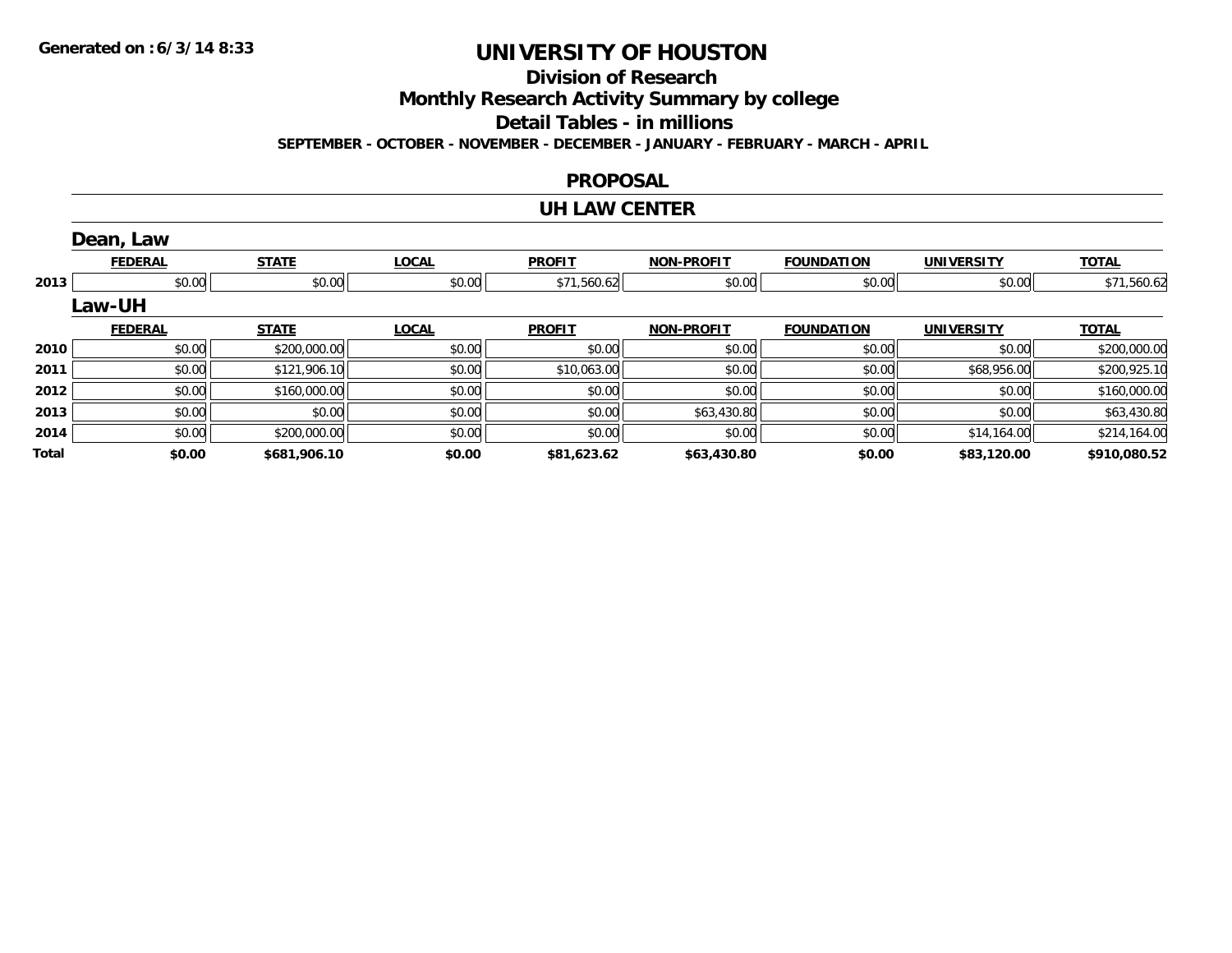**Division of Research**

**Monthly Research Activity Summary by college**

**Detail Tables - in millions**

**SEPTEMBER - OCTOBER - NOVEMBER - DECEMBER - JANUARY - FEBRUARY - MARCH - APRIL**

#### **PROPOSAL**

#### **UH LAW CENTER**

|              | Dean, Law      |              |              |               |                   |                   |                   |              |
|--------------|----------------|--------------|--------------|---------------|-------------------|-------------------|-------------------|--------------|
|              | <b>FEDERAL</b> | <b>STATE</b> | <b>LOCAL</b> | <b>PROFIT</b> | <b>NON-PROFIT</b> | <b>FOUNDATION</b> | <b>UNIVERSITY</b> | <b>TOTAL</b> |
| 2013         | \$0.00         | \$0.00       | \$0.00       | \$71,560.62   | \$0.00            | \$0.00            | \$0.00            | \$71,560.62  |
|              | Law-UH         |              |              |               |                   |                   |                   |              |
|              | <b>FEDERAL</b> | <b>STATE</b> | <b>LOCAL</b> | <b>PROFIT</b> | <b>NON-PROFIT</b> | <b>FOUNDATION</b> | <b>UNIVERSITY</b> | <b>TOTAL</b> |
| 2010         | \$0.00         | \$200,000.00 | \$0.00       | \$0.00        | \$0.00            | \$0.00            | \$0.00            | \$200,000.00 |
| 2011         | \$0.00         | \$121,906.10 | \$0.00       | \$10,063.00   | \$0.00            | \$0.00            | \$68,956.00       | \$200,925.10 |
| 2012         | \$0.00         | \$160,000.00 | \$0.00       | \$0.00        | \$0.00            | \$0.00            | \$0.00            | \$160,000.00 |
| 2013         | \$0.00         | \$0.00       | \$0.00       | \$0.00        | \$63,430.80       | \$0.00            | \$0.00            | \$63,430.80  |
| 2014         | \$0.00         | \$200,000.00 | \$0.00       | \$0.00        | \$0.00            | \$0.00            | \$14,164.00       | \$214,164.00 |
| <b>Total</b> | \$0.00         | \$681,906.10 | \$0.00       | \$81,623.62   | \$63,430.80       | \$0.00            | \$83,120.00       | \$910,080.52 |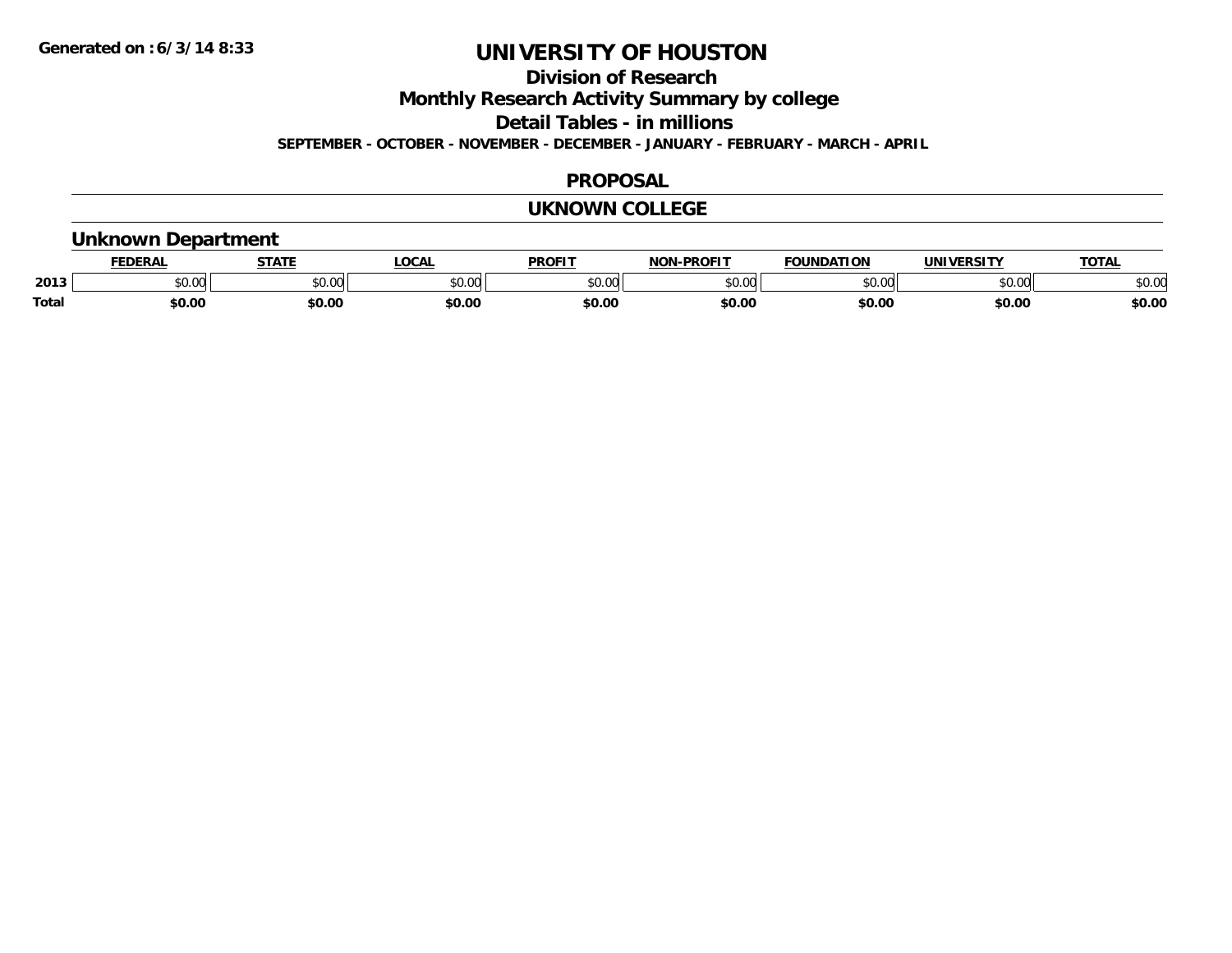**Division of Research**

**Monthly Research Activity Summary by college**

**Detail Tables - in millions**

**SEPTEMBER - OCTOBER - NOVEMBER - DECEMBER - JANUARY - FEBRUARY - MARCH - APRIL**

### **PROPOSAL**

### **UKNOWN COLLEGE**

### **Unknown Department**

|              |               | СТАТІ           | 00 <sub>n</sub><br>יי | <b>PROFIT</b> | <b>-PROFIT</b><br>וחו | $\cdots$       |               | <b>TOTA</b> |
|--------------|---------------|-----------------|-----------------------|---------------|-----------------------|----------------|---------------|-------------|
| 2013         | 0.00<br>טט.טע | 0000<br>- JU.UU | JU.UU                 | \$0.00        | 0000<br>JU.UU         | $\sim$ 00<br>w | 0000<br>JU.UU | \$0.00      |
| <b>Total</b> | \$0.00        | \$0.00          | \$0.00                | \$0.00        | \$0.OC                | \$0.00         | \$0.00        | \$0.00      |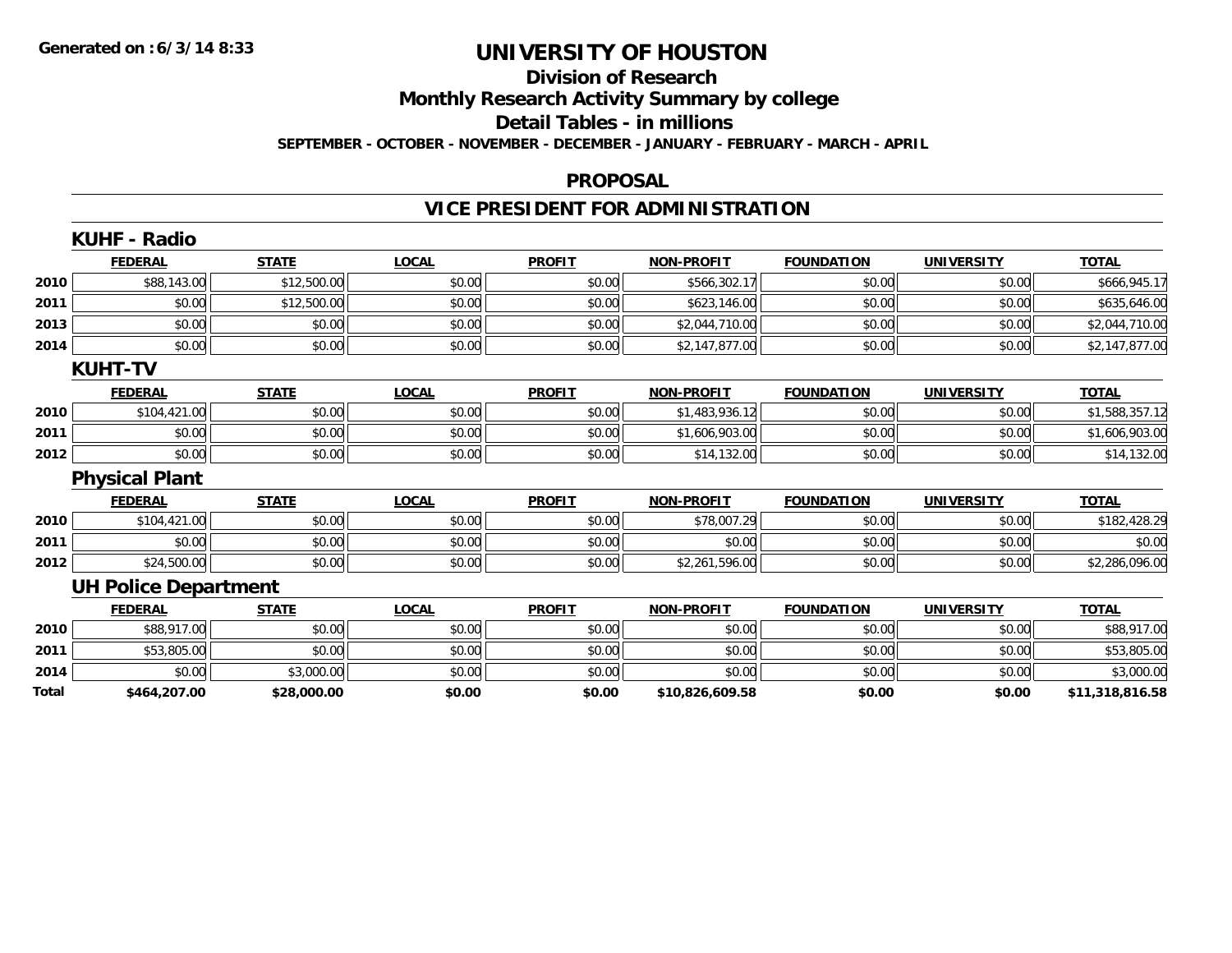## **Division of Research**

**Monthly Research Activity Summary by college**

**Detail Tables - in millions**

**SEPTEMBER - OCTOBER - NOVEMBER - DECEMBER - JANUARY - FEBRUARY - MARCH - APRIL**

#### **PROPOSAL**

## **VICE PRESIDENT FOR ADMINISTRATION**

| <b>FEDERAL</b> | <b>STATE</b>                                            | <b>LOCAL</b>                                               | <b>PROFIT</b> | <b>NON-PROFIT</b> | <b>FOUNDATION</b> | <b>UNIVERSITY</b> | <b>TOTAL</b>    |
|----------------|---------------------------------------------------------|------------------------------------------------------------|---------------|-------------------|-------------------|-------------------|-----------------|
| \$88,143.00    | \$12,500.00                                             | \$0.00                                                     | \$0.00        | \$566,302.17      | \$0.00            | \$0.00            | \$666,945.17    |
| \$0.00         | \$12,500.00                                             | \$0.00                                                     | \$0.00        | \$623,146.00      | \$0.00            | \$0.00            | \$635,646.00    |
| \$0.00         | \$0.00                                                  | \$0.00                                                     | \$0.00        | \$2,044,710.00    | \$0.00            | \$0.00            | \$2,044,710.00  |
| \$0.00         | \$0.00                                                  | \$0.00                                                     |               | \$2,147,877.00    | \$0.00            | \$0.00            | \$2,147,877.00  |
|                |                                                         |                                                            |               |                   |                   |                   |                 |
| <b>FEDERAL</b> | <b>STATE</b>                                            | <b>LOCAL</b>                                               | <b>PROFIT</b> | <b>NON-PROFIT</b> | <b>FOUNDATION</b> | <b>UNIVERSITY</b> | <b>TOTAL</b>    |
|                | \$0.00                                                  | \$0.00                                                     | \$0.00        | \$1,483,936.12    | \$0.00            | \$0.00            | \$1,588,357.12  |
| \$0.00         | \$0.00                                                  | \$0.00                                                     | \$0.00        | \$1,606,903.00    | \$0.00            | \$0.00            | \$1,606,903.00  |
| \$0.00         | \$0.00                                                  | \$0.00                                                     | \$0.00        | \$14,132.00       | \$0.00            | \$0.00            | \$14,132.00     |
|                |                                                         |                                                            |               |                   |                   |                   |                 |
| <b>FEDERAL</b> | <b>STATE</b>                                            | <b>LOCAL</b>                                               | <b>PROFIT</b> | <b>NON-PROFIT</b> | <b>FOUNDATION</b> | <b>UNIVERSITY</b> | <b>TOTAL</b>    |
| \$104,421.00   | \$0.00                                                  | \$0.00                                                     | \$0.00        | \$78,007.29       | \$0.00            | \$0.00            | \$182,428.29    |
| \$0.00         | \$0.00                                                  | \$0.00                                                     | \$0.00        | \$0.00            | \$0.00            | \$0.00            | \$0.00          |
| \$24,500.00    | \$0.00                                                  | \$0.00                                                     | \$0.00        | \$2,261,596.00    | \$0.00            | \$0.00            | \$2,286,096.00  |
|                |                                                         |                                                            |               |                   |                   |                   |                 |
| <b>FEDERAL</b> | <b>STATE</b>                                            | <b>LOCAL</b>                                               | <b>PROFIT</b> | <b>NON-PROFIT</b> | <b>FOUNDATION</b> | <b>UNIVERSITY</b> | <b>TOTAL</b>    |
|                | \$0.00                                                  | \$0.00                                                     | \$0.00        | \$0.00            | \$0.00            | \$0.00            | \$88,917.00     |
| \$53,805.00    | \$0.00                                                  | \$0.00                                                     | \$0.00        | \$0.00            | \$0.00            | \$0.00            | \$53,805.00     |
| \$0.00         | \$3,000.00                                              | \$0.00                                                     | \$0.00        | \$0.00            | \$0.00            | \$0.00            | \$3,000.00      |
| \$464,207.00   | \$28,000.00                                             | \$0.00                                                     | \$0.00        | \$10,826,609.58   | \$0.00            | \$0.00            | \$11,318,816.58 |
|                | KUHF - Radio<br><b>KUHT-TV</b><br><b>Physical Plant</b> | \$104,421.00<br><b>UH Police Department</b><br>\$88,917.00 |               |                   | \$0.00            |                   |                 |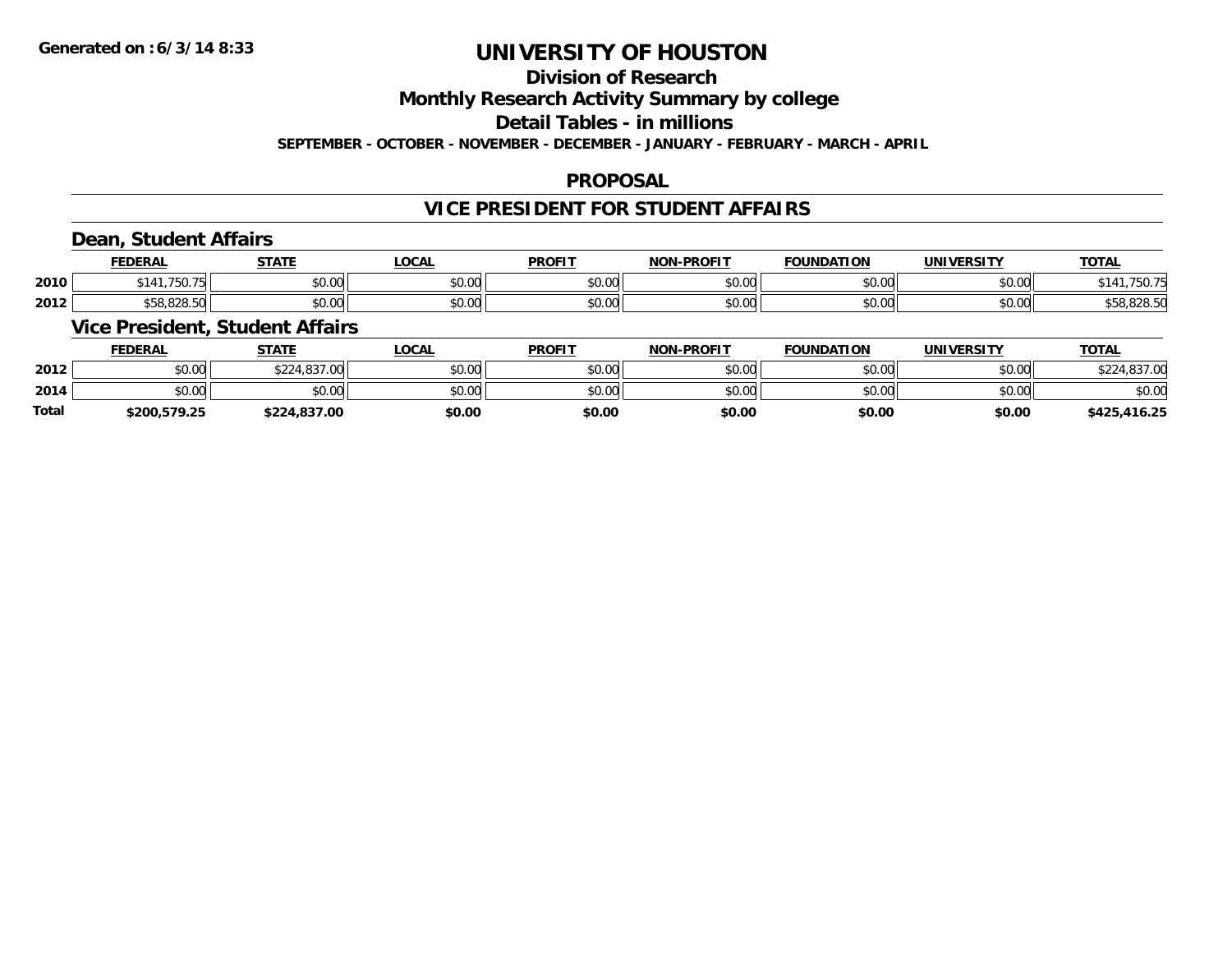## **Division of Research**

### **Monthly Research Activity Summary by college**

#### **Detail Tables - in millions**

#### **SEPTEMBER - OCTOBER - NOVEMBER - DECEMBER - JANUARY - FEBRUARY - MARCH - APRIL**

#### **PROPOSAL**

### **VICE PRESIDENT FOR STUDENT AFFAIRS**

### **Dean, Student Affairs**

|      | <b>FEDERAL</b>     | <b>STATE</b>                        | LOCAL | <b>PROFIT</b>  | <b>DDAEIT</b><br><b>NON</b> | <b>FOUNDATION</b>  | <b>IINIVERSITY</b>        | $\cdots$<br>101 <sub>h</sub> |
|------|--------------------|-------------------------------------|-------|----------------|-----------------------------|--------------------|---------------------------|------------------------------|
| 2010 | 750.<br>\$141      | $\theta$ $\theta$ $\theta$<br>DU.UU | vu.vu | \$0.00         | 0000<br>PU.UU               | $\sim$ 00<br>JU.UU | $\sim$ 00<br><b>DU.UG</b> | 75U.                         |
| 2012 | 0.000<br>DC.020.0U | 0000<br>DU.UU                       | JU.UU | 40.00<br>JU.UU | 0000<br>PU.UU               | $\sim$ 00<br>JU.UU | $\sim$ 00<br><b>DU.UG</b> | 558.828.50                   |

### **Vice President, Student Affairs**

|              | <b>FEDERAL</b> | <b>STATE</b> | <b>LOCAL</b> | <b>PROFIT</b> | <b>NON-PROFIT</b> | <b>FOUNDATION</b> | UNIVERSITY | T <u>OTAL</u> |
|--------------|----------------|--------------|--------------|---------------|-------------------|-------------------|------------|---------------|
| 2012         | \$0.00         | \$224,837.00 | \$0.00       | \$0.00        | \$0.00            | \$0.00            | \$0.00     | \$224,837.00  |
| 2014         | \$0.00         | \$0.00       | \$0.00       | \$0.00        | \$0.00            | \$0.00            | \$0.00     | \$0.00        |
| <b>Total</b> | \$200.579.25   | \$224,837.00 | \$0.00       | \$0.00        | \$0.00            | \$0.00            | \$0.00     | \$425,416.25  |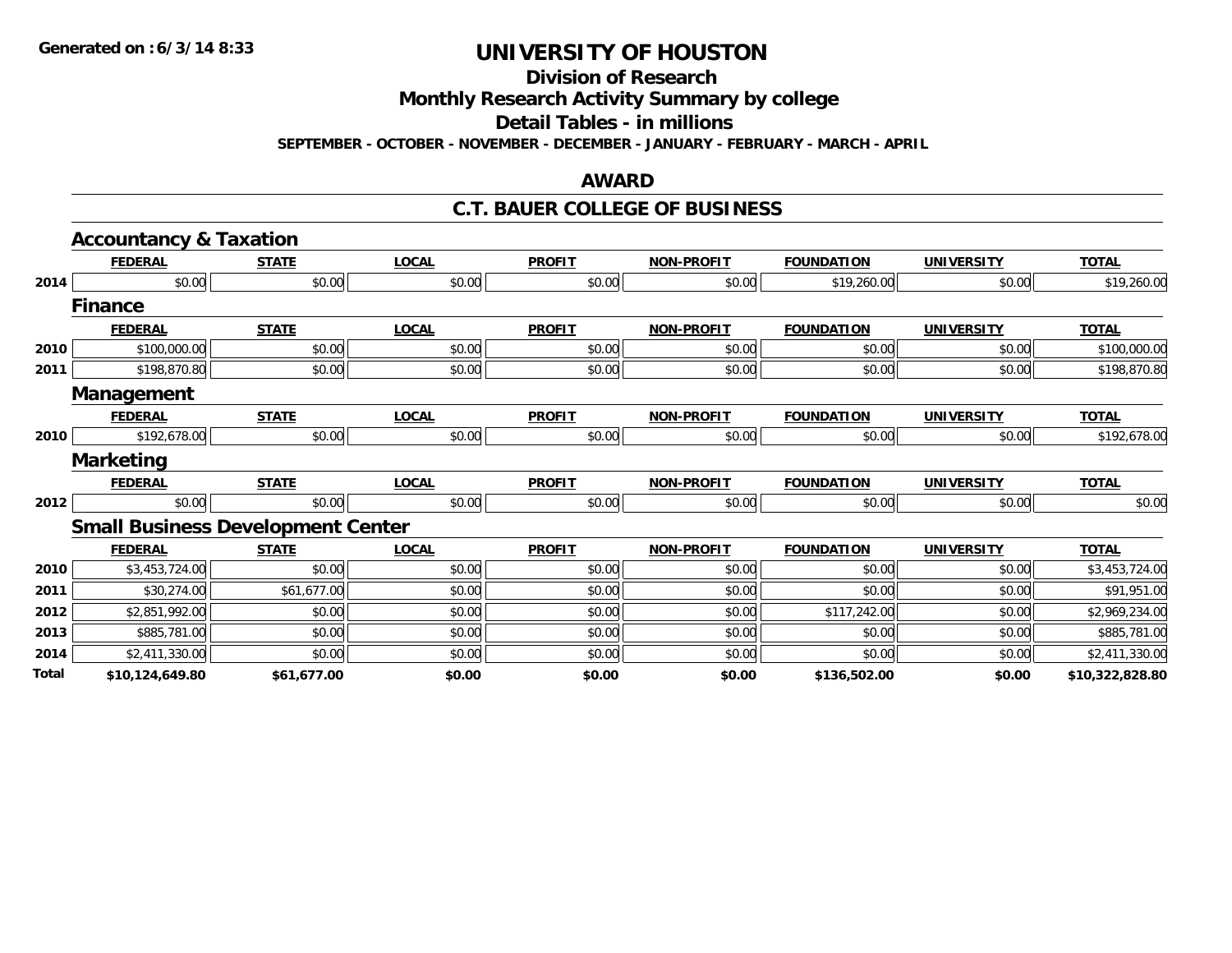**Division of Research**

**Monthly Research Activity Summary by college**

**Detail Tables - in millions**

**SEPTEMBER - OCTOBER - NOVEMBER - DECEMBER - JANUARY - FEBRUARY - MARCH - APRIL**

#### **AWARD**

#### **C.T. BAUER COLLEGE OF BUSINESS**

|       | <b>Accountancy &amp; Taxation</b>        |              |              |               |                   |                   |                   |                 |
|-------|------------------------------------------|--------------|--------------|---------------|-------------------|-------------------|-------------------|-----------------|
|       | <b>FEDERAL</b>                           | <b>STATE</b> | <b>LOCAL</b> | <b>PROFIT</b> | <b>NON-PROFIT</b> | <b>FOUNDATION</b> | <b>UNIVERSITY</b> | <b>TOTAL</b>    |
| 2014  | \$0.00                                   | \$0.00       | \$0.00       | \$0.00        | \$0.00            | \$19,260.00       | \$0.00            | \$19,260.00     |
|       | <b>Finance</b>                           |              |              |               |                   |                   |                   |                 |
|       | <b>FEDERAL</b>                           | <b>STATE</b> | <b>LOCAL</b> | <b>PROFIT</b> | <b>NON-PROFIT</b> | <b>FOUNDATION</b> | <b>UNIVERSITY</b> | <b>TOTAL</b>    |
| 2010  | \$100,000.00                             | \$0.00       | \$0.00       | \$0.00        | \$0.00            | \$0.00            | \$0.00            | \$100,000.00    |
| 2011  | \$198,870.80                             | \$0.00       | \$0.00       | \$0.00        | \$0.00            | \$0.00            | \$0.00            | \$198,870.80    |
|       | Management                               |              |              |               |                   |                   |                   |                 |
|       | <b>FEDERAL</b>                           | <b>STATE</b> | <b>LOCAL</b> | <b>PROFIT</b> | <b>NON-PROFIT</b> | <b>FOUNDATION</b> | <b>UNIVERSITY</b> | <b>TOTAL</b>    |
| 2010  | \$192,678.00                             | \$0.00       | \$0.00       | \$0.00        | \$0.00            | \$0.00            | \$0.00            | \$192,678.00    |
|       | <b>Marketing</b>                         |              |              |               |                   |                   |                   |                 |
|       | <b>FEDERAL</b>                           | <b>STATE</b> | <b>LOCAL</b> | <b>PROFIT</b> | <b>NON-PROFIT</b> | <b>FOUNDATION</b> | <b>UNIVERSITY</b> | <b>TOTAL</b>    |
| 2012  | \$0.00                                   | \$0.00       | \$0.00       | \$0.00        | \$0.00            | \$0.00            | \$0.00            | \$0.00          |
|       | <b>Small Business Development Center</b> |              |              |               |                   |                   |                   |                 |
|       | <b>FEDERAL</b>                           | <b>STATE</b> | <b>LOCAL</b> | <b>PROFIT</b> | <b>NON-PROFIT</b> | <b>FOUNDATION</b> | <b>UNIVERSITY</b> | <b>TOTAL</b>    |
| 2010  | \$3,453,724.00                           | \$0.00       | \$0.00       | \$0.00        | \$0.00            | \$0.00            | \$0.00            | \$3,453,724.00  |
| 2011  | \$30,274.00                              | \$61,677.00  | \$0.00       | \$0.00        | \$0.00            | \$0.00            | \$0.00            | \$91,951.00     |
| 2012  | \$2,851,992.00                           | \$0.00       | \$0.00       | \$0.00        | \$0.00            | \$117,242.00      | \$0.00            | \$2,969,234.00  |
| 2013  | \$885,781.00                             | \$0.00       | \$0.00       | \$0.00        | \$0.00            | \$0.00            | \$0.00            | \$885,781.00    |
| 2014  | \$2,411,330.00                           | \$0.00       | \$0.00       | \$0.00        | \$0.00            | \$0.00            | \$0.00            | \$2,411,330.00  |
| Total | \$10,124,649.80                          | \$61,677.00  | \$0.00       | \$0.00        | \$0.00            | \$136,502.00      | \$0.00            | \$10,322,828.80 |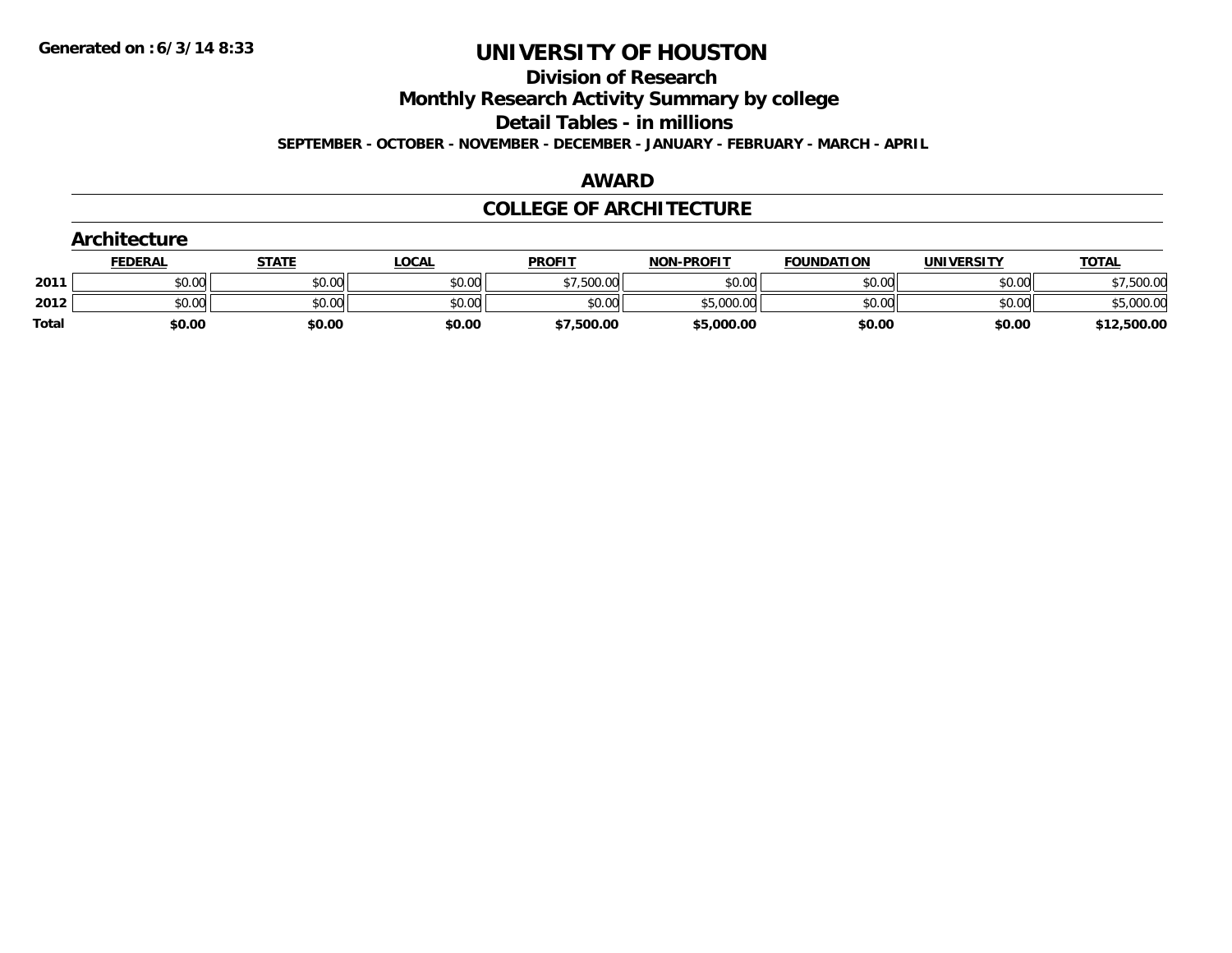**Division of Research**

**Monthly Research Activity Summary by college**

**Detail Tables - in millions**

**SEPTEMBER - OCTOBER - NOVEMBER - DECEMBER - JANUARY - FEBRUARY - MARCH - APRIL**

#### **AWARD**

### **COLLEGE OF ARCHITECTURE**

|              | Architecture   |              |              |               |                   |                   |            |              |  |  |  |
|--------------|----------------|--------------|--------------|---------------|-------------------|-------------------|------------|--------------|--|--|--|
|              | <b>FEDERAL</b> | <b>STATE</b> | <u>LOCAL</u> | <b>PROFIT</b> | <b>NON-PROFIT</b> | <b>FOUNDATION</b> | UNIVERSITY | <b>TOTAL</b> |  |  |  |
| 2011         | \$0.00         | \$0.00       | \$0.00       | \$7,500.00    | \$0.00            | \$0.00            | \$0.00     | \$7,500.00   |  |  |  |
| 2012         | \$0.00         | \$0.00       | \$0.00       | \$0.00        | \$5,000.00        | \$0.00            | \$0.00     | \$5,000.00   |  |  |  |
| <b>Total</b> | \$0.00         | \$0.00       | \$0.00       | \$7,500.00    | \$5,000.00        | \$0.00            | \$0.00     | \$12,500.00  |  |  |  |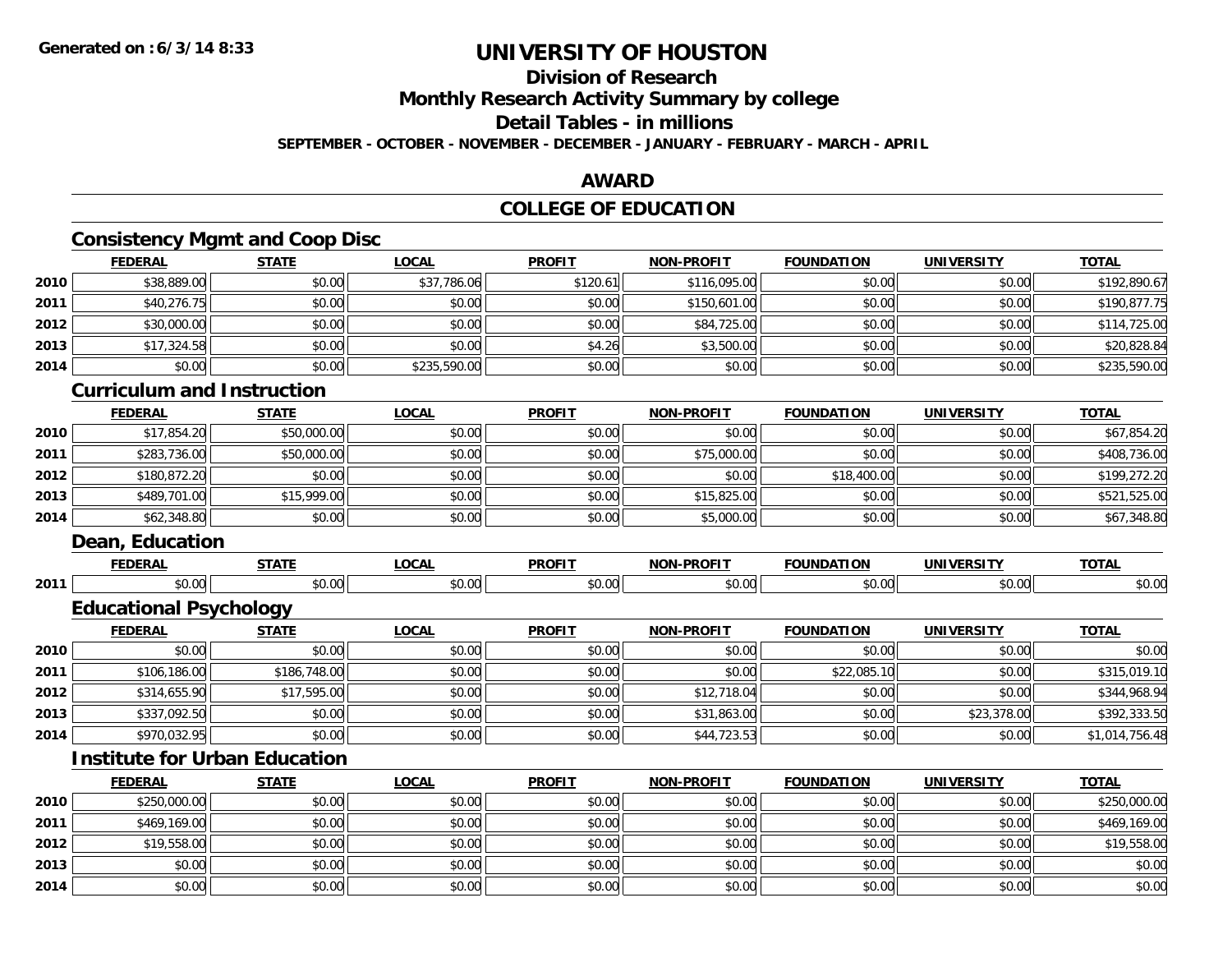## **Division of Research**

**Monthly Research Activity Summary by college**

### **Detail Tables - in millions**

**SEPTEMBER - OCTOBER - NOVEMBER - DECEMBER - JANUARY - FEBRUARY - MARCH - APRIL**

### **AWARD**

### **COLLEGE OF EDUCATION**

### **Consistency Mgmt and Coop Disc**

|      | <b>FEDERAL</b> | <b>STATE</b> | <b>LOCAL</b> | <b>PROFIT</b> | <b>NON-PROFIT</b> | <b>FOUNDATION</b> | <b>UNIVERSITY</b> | <b>TOTAL</b> |
|------|----------------|--------------|--------------|---------------|-------------------|-------------------|-------------------|--------------|
| 2010 | \$38,889.00    | \$0.00       | \$37,786.06  | \$120.61      | \$116,095.00      | \$0.00            | \$0.00            | \$192,890.67 |
| 2011 | \$40,276.75    | \$0.00       | \$0.00       | \$0.00        | \$150,601.00      | \$0.00            | \$0.00            | \$190,877.75 |
| 2012 | \$30,000.00    | \$0.00       | \$0.00       | \$0.00        | \$84,725.00       | \$0.00            | \$0.00            | \$114,725.00 |
| 2013 | \$17,324.58    | \$0.00       | \$0.00       | \$4.26        | \$3,500.00        | \$0.00            | \$0.00            | \$20,828.84  |
| 2014 | \$0.00         | \$0.00       | \$235,590.00 | \$0.00        | \$0.00            | \$0.00            | \$0.00            | \$235,590.00 |

### **Curriculum and Instruction**

|      | <b>FEDERAL</b> | <u>STATE</u> | <u>LOCAL</u> | <b>PROFIT</b> | <b>NON-PROFIT</b> | <b>FOUNDATION</b> | <b>UNIVERSITY</b> | <b>TOTAL</b> |
|------|----------------|--------------|--------------|---------------|-------------------|-------------------|-------------------|--------------|
| 2010 | \$17,854.20    | \$50,000.00  | \$0.00       | \$0.00        | \$0.00            | \$0.00            | \$0.00            | \$67,854.20  |
| 2011 | \$283,736,00   | \$50,000.00  | \$0.00       | \$0.00        | \$75,000.00       | \$0.00            | \$0.00            | \$408,736.00 |
| 2012 | \$180,872.20   | \$0.00       | \$0.00       | \$0.00        | \$0.00            | \$18,400.00       | \$0.00            | \$199,272.20 |
| 2013 | \$489,701.00   | \$15,999.00  | \$0.00       | \$0.00        | \$15,825.00       | \$0.00            | \$0.00            | \$521,525.00 |
| 2014 | \$62,348.80    | \$0.00       | \$0.00       | \$0.00        | \$5,000.00        | \$0.00            | \$0.00            | \$67,348.80  |

### **Dean, Education**

|      | ------            | -----     | ne n<br>◡ | <b>DDOEIT</b><br>אז - | nn <u>ari</u> ,<br>וחו<br>. | TON<br>------                      | JNI                        | $T$ $T$ $F$<br>UIF |
|------|-------------------|-----------|-----------|-----------------------|-----------------------------|------------------------------------|----------------------------|--------------------|
| 2011 | $\cdots$<br>טט.טע | 0000<br>. | טע.טע     | 0 <sup>n</sup><br>.   | $\sim$<br>. V V             | $\sim$ $\sim$ $\sim$<br>. <i>.</i> | $\sim$ 00 $\sim$<br>- UU U | ∠∪.∪\′             |

### **Educational Psychology**

|      | <b>FEDERAL</b> | <b>STATE</b> | <u>LOCAL</u> | <b>PROFIT</b> | <b>NON-PROFIT</b> | <b>FOUNDATION</b> | <b>UNIVERSITY</b> | <b>TOTAL</b>   |
|------|----------------|--------------|--------------|---------------|-------------------|-------------------|-------------------|----------------|
| 2010 | \$0.00         | \$0.00       | \$0.00       | \$0.00        | \$0.00            | \$0.00            | \$0.00            | \$0.00         |
| 2011 | \$106,186.00   | \$186,748.00 | \$0.00       | \$0.00        | \$0.00            | \$22,085.10       | \$0.00            | \$315,019.10   |
| 2012 | \$314,655.90   | \$17,595.00  | \$0.00       | \$0.00        | \$12,718.04       | \$0.00            | \$0.00            | \$344,968.94   |
| 2013 | \$337,092.50   | \$0.00       | \$0.00       | \$0.00        | \$31,863.00       | \$0.00            | \$23,378.00       | \$392,333.50   |
| 2014 | \$970,032.95   | \$0.00       | \$0.00       | \$0.00        | \$44,723.53       | \$0.00            | \$0.00            | \$1,014,756.48 |

### **Institute for Urban Education**

|      | <b>FEDERAL</b> | <b>STATE</b> | <u>LOCAL</u> | <b>PROFIT</b> | <b>NON-PROFIT</b> | <b>FOUNDATION</b> | <b>UNIVERSITY</b> | <b>TOTAL</b> |
|------|----------------|--------------|--------------|---------------|-------------------|-------------------|-------------------|--------------|
| 2010 | \$250,000.00   | \$0.00       | \$0.00       | \$0.00        | \$0.00            | \$0.00            | \$0.00            | \$250,000.00 |
| 2011 | \$469,169.00   | \$0.00       | \$0.00       | \$0.00        | \$0.00            | \$0.00            | \$0.00            | \$469,169.00 |
| 2012 | \$19,558.00    | \$0.00       | \$0.00       | \$0.00        | \$0.00            | \$0.00            | \$0.00            | \$19,558.00  |
| 2013 | \$0.00         | \$0.00       | \$0.00       | \$0.00        | \$0.00            | \$0.00            | \$0.00            | \$0.00       |
| 2014 | \$0.00         | \$0.00       | \$0.00       | \$0.00        | \$0.00            | \$0.00            | \$0.00            | \$0.00       |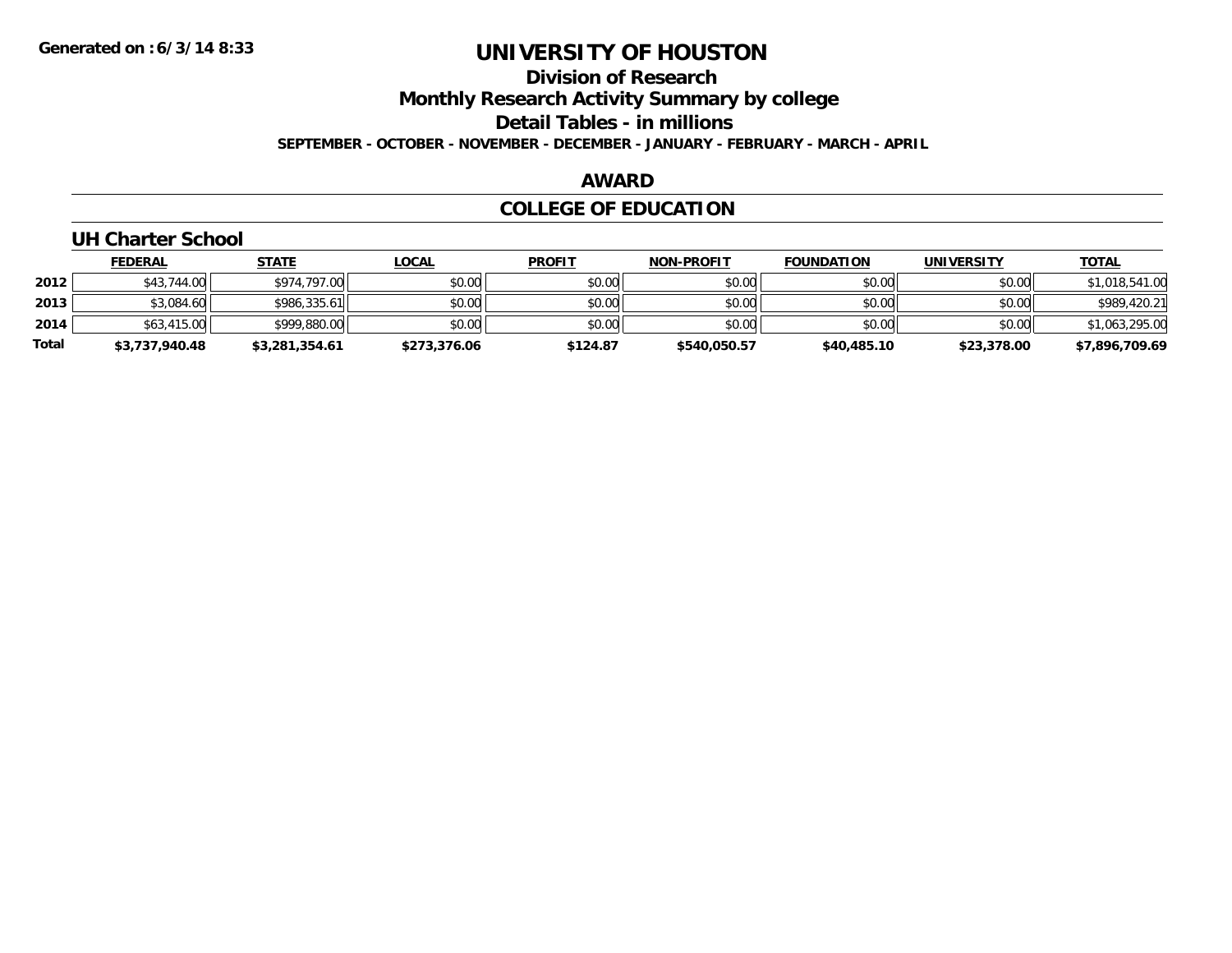**Division of Research**

**Monthly Research Activity Summary by college**

**Detail Tables - in millions**

**SEPTEMBER - OCTOBER - NOVEMBER - DECEMBER - JANUARY - FEBRUARY - MARCH - APRIL**

#### **AWARD**

### **COLLEGE OF EDUCATION**

### **UH Charter School**

|       | <b>FEDERAL</b> | <b>STATE</b>   | <u>LOCAL</u> | <b>PROFIT</b> | <b>NON-PROFIT</b> | <b>FOUNDATION</b> | <b>UNIVERSITY</b> | <b>TOTAL</b>   |
|-------|----------------|----------------|--------------|---------------|-------------------|-------------------|-------------------|----------------|
| 2012  | \$43,744,00    | \$974.797.00   | \$0.00       | \$0.00        | \$0.00            | \$0.00            | \$0.00            | \$1,018,541.00 |
| 2013  | \$3,084.60     | \$986,335.61   | \$0.00       | \$0.00        | \$0.00            | \$0.00            | \$0.00            | \$989,420.21   |
| 2014  | \$63,415.00    | \$999,880.00   | \$0.00       | \$0.00        | \$0.00            | \$0.00            | \$0.00            | \$1,063,295.00 |
| Total | \$3,737,940.48 | \$3,281,354.61 | \$273,376.06 | \$124.87      | \$540,050.57      | \$40,485.10       | \$23,378.00       | \$7,896,709.69 |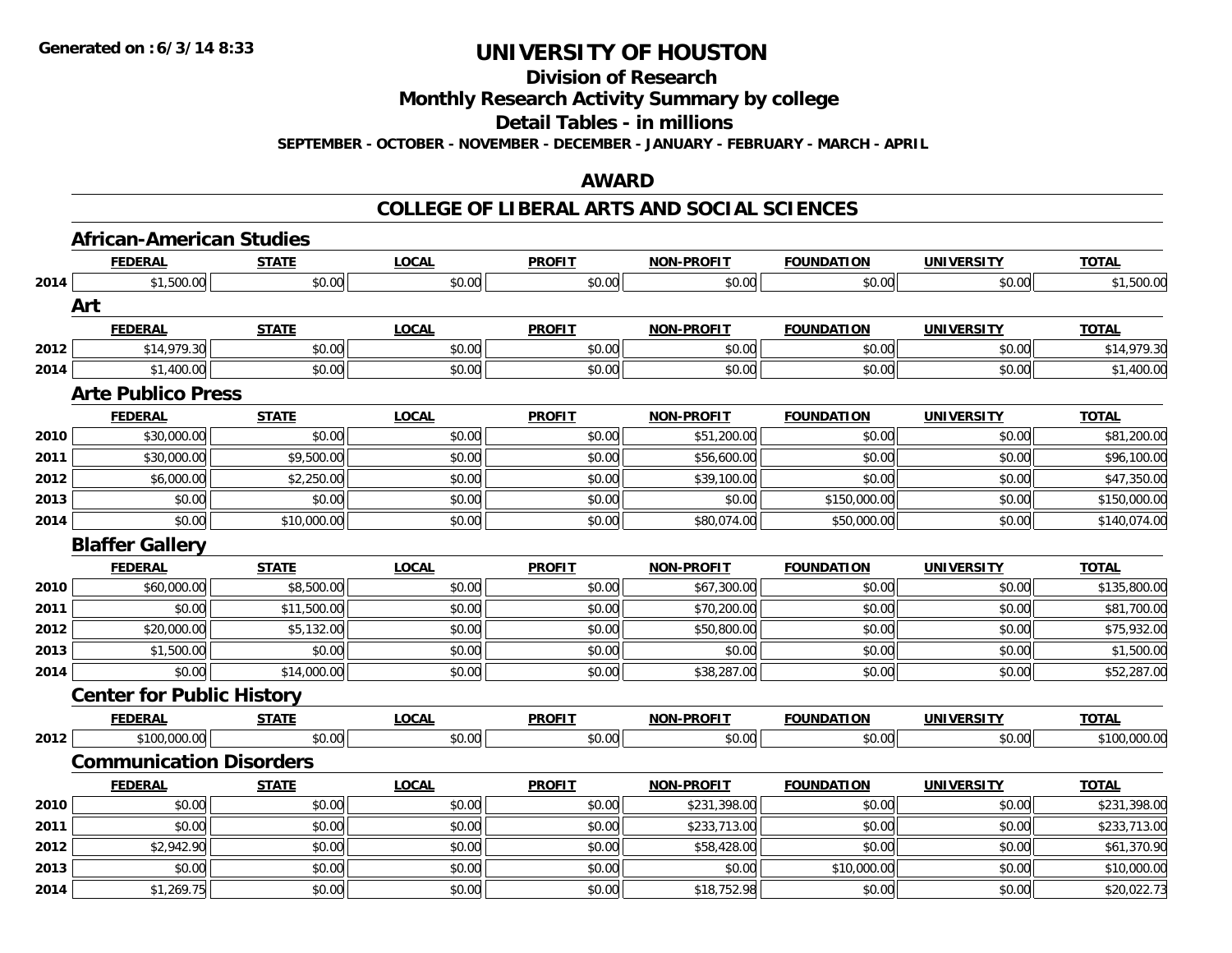**Division of Research**

**Monthly Research Activity Summary by college**

**Detail Tables - in millions**

**SEPTEMBER - OCTOBER - NOVEMBER - DECEMBER - JANUARY - FEBRUARY - MARCH - APRIL**

### **AWARD**

|      | <b>African-American Studies</b>  |              |              |               |                   |                   |                   |              |  |
|------|----------------------------------|--------------|--------------|---------------|-------------------|-------------------|-------------------|--------------|--|
|      | <b>FEDERAL</b>                   | <b>STATE</b> | <b>LOCAL</b> | <b>PROFIT</b> | <b>NON-PROFIT</b> | <b>FOUNDATION</b> | <b>UNIVERSITY</b> | <b>TOTAL</b> |  |
| 2014 | \$1,500.00                       | \$0.00       | \$0.00       | \$0.00        | \$0.00            | \$0.00            | \$0.00            | \$1,500.00   |  |
|      | Art                              |              |              |               |                   |                   |                   |              |  |
|      | <b>FEDERAL</b>                   | <b>STATE</b> | <b>LOCAL</b> | <b>PROFIT</b> | <b>NON-PROFIT</b> | <b>FOUNDATION</b> | <b>UNIVERSITY</b> | <b>TOTAL</b> |  |
| 2012 | \$14,979.30                      | \$0.00       | \$0.00       | \$0.00        | \$0.00            | \$0.00            | \$0.00            | \$14,979.30  |  |
| 2014 | \$1,400.00                       | \$0.00       | \$0.00       | \$0.00        | \$0.00            | \$0.00            | \$0.00            | \$1,400.00   |  |
|      | <b>Arte Publico Press</b>        |              |              |               |                   |                   |                   |              |  |
|      | <b>FEDERAL</b>                   | <b>STATE</b> | <b>LOCAL</b> | <b>PROFIT</b> | <b>NON-PROFIT</b> | <b>FOUNDATION</b> | <b>UNIVERSITY</b> | <b>TOTAL</b> |  |
| 2010 | \$30,000.00                      | \$0.00       | \$0.00       | \$0.00        | \$51,200.00       | \$0.00            | \$0.00            | \$81,200.00  |  |
| 2011 | \$30,000.00                      | \$9,500.00   | \$0.00       | \$0.00        | \$56,600.00       | \$0.00            | \$0.00            | \$96,100.00  |  |
| 2012 | \$6,000.00                       | \$2,250.00   | \$0.00       | \$0.00        | \$39,100.00       | \$0.00            | \$0.00            | \$47,350.00  |  |
| 2013 | \$0.00                           | \$0.00       | \$0.00       | \$0.00        | \$0.00            | \$150,000.00      | \$0.00            | \$150,000.00 |  |
| 2014 | \$0.00                           | \$10,000.00  | \$0.00       | \$0.00        | \$80,074.00       | \$50,000.00       | \$0.00            | \$140,074.00 |  |
|      | <b>Blaffer Gallery</b>           |              |              |               |                   |                   |                   |              |  |
|      | <b>FEDERAL</b>                   | <b>STATE</b> | <b>LOCAL</b> | <b>PROFIT</b> | <b>NON-PROFIT</b> | <b>FOUNDATION</b> | <b>UNIVERSITY</b> | <b>TOTAL</b> |  |
| 2010 | \$60,000.00                      | \$8,500.00   | \$0.00       | \$0.00        | \$67,300.00       | \$0.00            | \$0.00            | \$135,800.00 |  |
| 2011 | \$0.00                           | \$11,500.00  | \$0.00       | \$0.00        | \$70,200.00       | \$0.00            | \$0.00            | \$81,700.00  |  |
| 2012 | \$20,000.00                      | \$5,132.00   | \$0.00       | \$0.00        | \$50,800.00       | \$0.00            | \$0.00            | \$75,932.00  |  |
| 2013 | \$1,500.00                       | \$0.00       | \$0.00       | \$0.00        | \$0.00            | \$0.00            | \$0.00            | \$1,500.00   |  |
| 2014 | \$0.00                           | \$14,000.00  | \$0.00       | \$0.00        | \$38,287.00       | \$0.00            | \$0.00            | \$52,287.00  |  |
|      | <b>Center for Public History</b> |              |              |               |                   |                   |                   |              |  |
|      | <b>FEDERAL</b>                   | <b>STATE</b> | <b>LOCAL</b> | <b>PROFIT</b> | <b>NON-PROFIT</b> | <b>FOUNDATION</b> | <b>UNIVERSITY</b> | <b>TOTAL</b> |  |
| 2012 | \$100,000.00                     | \$0.00       | \$0.00       | \$0.00        | \$0.00            | \$0.00            | \$0.00            | \$100,000.00 |  |
|      | <b>Communication Disorders</b>   |              |              |               |                   |                   |                   |              |  |
|      | <b>FEDERAL</b>                   | <b>STATE</b> | <b>LOCAL</b> | <b>PROFIT</b> | <b>NON-PROFIT</b> | <b>FOUNDATION</b> | <b>UNIVERSITY</b> | <b>TOTAL</b> |  |
| 2010 | \$0.00                           | \$0.00       | \$0.00       | \$0.00        | \$231,398.00      | \$0.00            | \$0.00            | \$231,398.00 |  |
| 2011 | \$0.00                           | \$0.00       | \$0.00       | \$0.00        | \$233,713.00      | \$0.00            | \$0.00            | \$233,713.00 |  |
| 2012 | \$2,942.90                       | \$0.00       | \$0.00       | \$0.00        | \$58,428.00       | \$0.00            | \$0.00            | \$61,370.90  |  |
| 2013 | \$0.00                           | \$0.00       | \$0.00       | \$0.00        | \$0.00            | \$10,000.00       | \$0.00            | \$10,000.00  |  |
| 2014 | \$1,269.75                       | \$0.00       | \$0.00       | \$0.00        | \$18,752.98       | \$0.00            | \$0.00            | \$20,022.73  |  |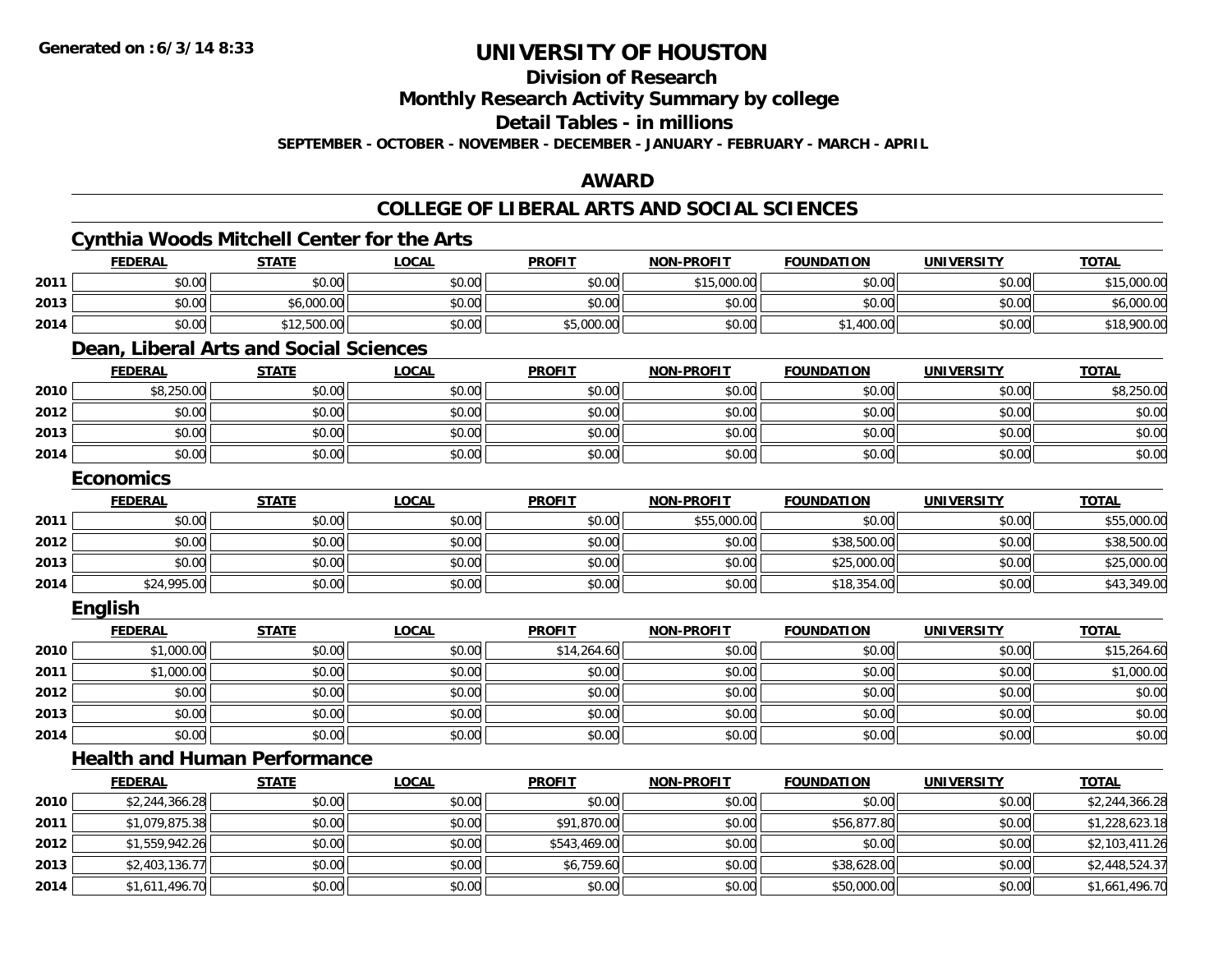**2014**

# **UNIVERSITY OF HOUSTON**

**Division of Research**

**Monthly Research Activity Summary by college**

**Detail Tables - in millions**

**SEPTEMBER - OCTOBER - NOVEMBER - DECEMBER - JANUARY - FEBRUARY - MARCH - APRIL**

### **AWARD**

### **COLLEGE OF LIBERAL ARTS AND SOCIAL SCIENCES**

|      |                  | <b>Cynthia Woods Mitchell Center for the Arts</b> |              |               |                   |                   |                   |                |
|------|------------------|---------------------------------------------------|--------------|---------------|-------------------|-------------------|-------------------|----------------|
|      | <b>FEDERAL</b>   | <b>STATE</b>                                      | <b>LOCAL</b> | <b>PROFIT</b> | <b>NON-PROFIT</b> | <b>FOUNDATION</b> | <b>UNIVERSITY</b> | <b>TOTAL</b>   |
| 2011 | \$0.00           | \$0.00                                            | \$0.00       | \$0.00        | \$15,000.00       | \$0.00            | \$0.00            | \$15,000.00    |
| 2013 | \$0.00           | \$6,000.00                                        | \$0.00       | \$0.00        | \$0.00            | \$0.00            | \$0.00            | \$6,000.00     |
| 2014 | \$0.00           | \$12,500.00                                       | \$0.00       | \$5,000.00    | \$0.00            | \$1,400.00        | \$0.00            | \$18,900.00    |
|      |                  | Dean, Liberal Arts and Social Sciences            |              |               |                   |                   |                   |                |
|      | <b>FEDERAL</b>   | <b>STATE</b>                                      | <b>LOCAL</b> | <b>PROFIT</b> | <b>NON-PROFIT</b> | <b>FOUNDATION</b> | <b>UNIVERSITY</b> | <b>TOTAL</b>   |
| 2010 | \$8,250.00       | \$0.00                                            | \$0.00       | \$0.00        | \$0.00            | \$0.00            | \$0.00            | \$8,250.00     |
| 2012 | \$0.00           | \$0.00                                            | \$0.00       | \$0.00        | \$0.00            | \$0.00            | \$0.00            | \$0.00         |
| 2013 | \$0.00           | \$0.00                                            | \$0.00       | \$0.00        | \$0.00            | \$0.00            | \$0.00            | \$0.00         |
| 2014 | \$0.00           | \$0.00                                            | \$0.00       | \$0.00        | \$0.00            | \$0.00            | \$0.00            | \$0.00         |
|      | <b>Economics</b> |                                                   |              |               |                   |                   |                   |                |
|      | <b>FEDERAL</b>   | <b>STATE</b>                                      | <b>LOCAL</b> | <b>PROFIT</b> | <b>NON-PROFIT</b> | <b>FOUNDATION</b> | <b>UNIVERSITY</b> | <b>TOTAL</b>   |
| 2011 | \$0.00           | \$0.00                                            | \$0.00       | \$0.00        | \$55,000.00       | \$0.00            | \$0.00            | \$55,000.00    |
| 2012 | \$0.00           | \$0.00                                            | \$0.00       | \$0.00        | \$0.00            | \$38,500.00       | \$0.00            | \$38,500.00    |
| 2013 | \$0.00           | \$0.00                                            | \$0.00       | \$0.00        | \$0.00            | \$25,000.00       | \$0.00            | \$25,000.00    |
| 2014 | \$24,995.00      | \$0.00                                            | \$0.00       | \$0.00        | \$0.00            | \$18,354.00       | \$0.00            | \$43,349.00    |
|      | English          |                                                   |              |               |                   |                   |                   |                |
|      | <b>FEDERAL</b>   | <b>STATE</b>                                      | <b>LOCAL</b> | <b>PROFIT</b> | <b>NON-PROFIT</b> | <b>FOUNDATION</b> | <b>UNIVERSITY</b> | <b>TOTAL</b>   |
| 2010 | \$1,000.00       | \$0.00                                            | \$0.00       | \$14,264.60   | \$0.00            | \$0.00            | \$0.00            | \$15,264.60    |
| 2011 | \$1,000.00       | \$0.00                                            | \$0.00       | \$0.00        | \$0.00            | \$0.00            | \$0.00            | \$1,000.00     |
| 2012 | \$0.00           | \$0.00                                            | \$0.00       | \$0.00        | \$0.00            | \$0.00            | \$0.00            | \$0.00         |
| 2013 | \$0.00           | \$0.00                                            | \$0.00       | \$0.00        | \$0.00            | \$0.00            | \$0.00            | \$0.00         |
| 2014 | \$0.00           | \$0.00                                            | \$0.00       | \$0.00        | \$0.00            | \$0.00            | \$0.00            | \$0.00         |
|      |                  | <b>Health and Human Performance</b>               |              |               |                   |                   |                   |                |
|      | <b>FEDERAL</b>   | <b>STATE</b>                                      | <b>LOCAL</b> | <b>PROFIT</b> | <b>NON-PROFIT</b> | <b>FOUNDATION</b> | <b>UNIVERSITY</b> | <b>TOTAL</b>   |
| 2010 | \$2,244,366.28   | \$0.00                                            | \$0.00       | \$0.00        | \$0.00            | \$0.00            | \$0.00            | \$2,244,366.28 |
| 2011 | \$1,079,875.38   | \$0.00                                            | \$0.00       | \$91,870.00   | \$0.00            | \$56,877.80       | \$0.00            | \$1,228,623.18 |
| 2012 | \$1,559,942.26   | \$0.00                                            | \$0.00       | \$543,469.00  | \$0.00            | \$0.00            | \$0.00            | \$2,103,411.26 |
| 2013 | \$2,403,136.77   | \$0.00                                            | \$0.00       | \$6,759.60    | \$0.00            | \$38,628.00       | \$0.00            | \$2,448,524.37 |

4 \$1,611,496.70|| \$0.00|| \$0.00|| \$0.00|| \$0.00|| \$50,000.00|| \$0.00|| \$1,661,496.70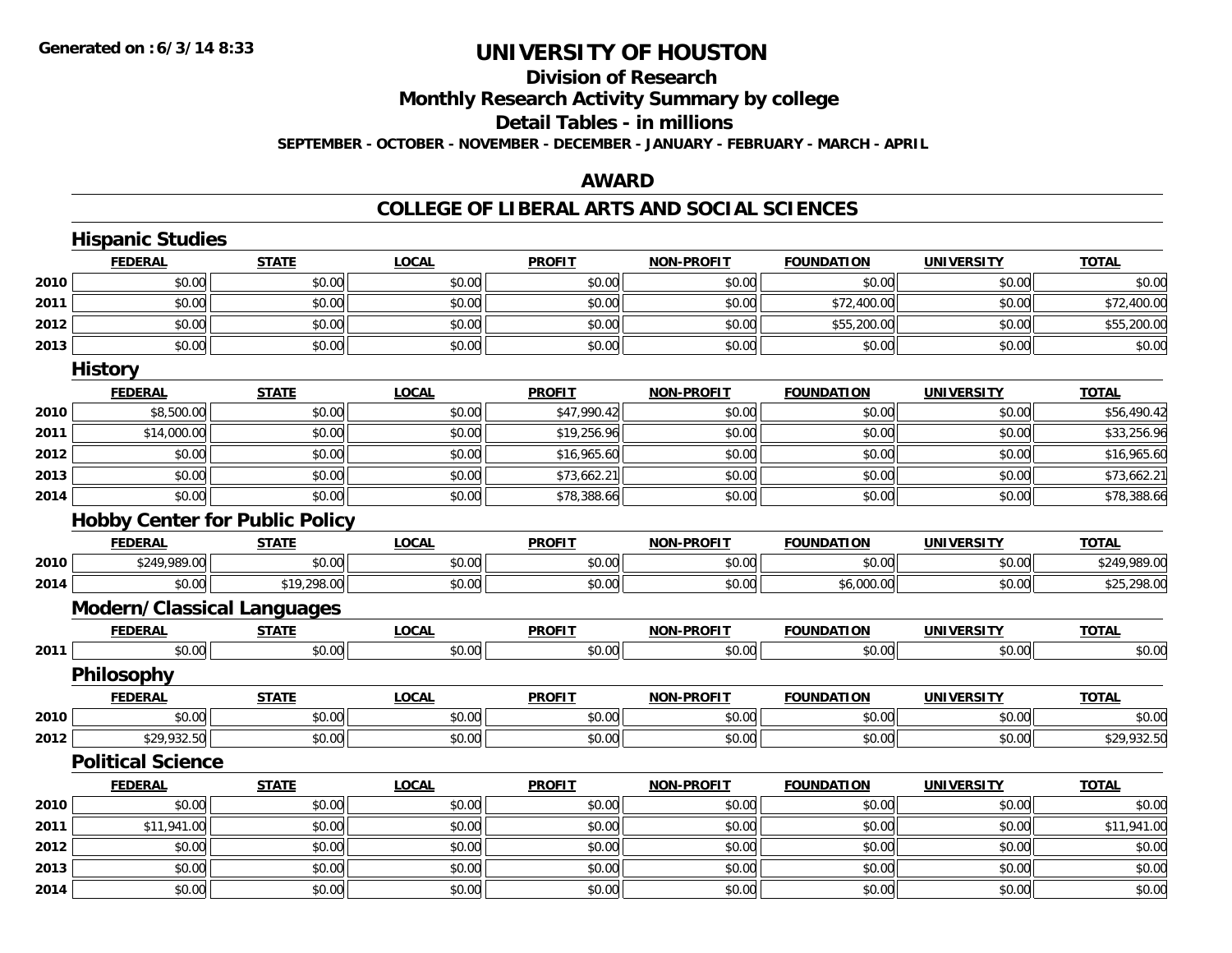# **Division of Research**

**Monthly Research Activity Summary by college**

#### **Detail Tables - in millions**

**SEPTEMBER - OCTOBER - NOVEMBER - DECEMBER - JANUARY - FEBRUARY - MARCH - APRIL**

### **AWARD**

|      | <b>Hispanic Studies</b>               |              |              |               |                   |                   |                   |              |
|------|---------------------------------------|--------------|--------------|---------------|-------------------|-------------------|-------------------|--------------|
|      | <b>FEDERAL</b>                        | <b>STATE</b> | <b>LOCAL</b> | <b>PROFIT</b> | <b>NON-PROFIT</b> | <b>FOUNDATION</b> | <b>UNIVERSITY</b> | <b>TOTAL</b> |
| 2010 | \$0.00                                | \$0.00       | \$0.00       | \$0.00        | \$0.00            | \$0.00            | \$0.00            | \$0.00       |
| 2011 | \$0.00                                | \$0.00       | \$0.00       | \$0.00        | \$0.00            | \$72,400.00       | \$0.00            | \$72,400.00  |
| 2012 | \$0.00                                | \$0.00       | \$0.00       | \$0.00        | \$0.00            | \$55,200.00       | \$0.00            | \$55,200.00  |
| 2013 | \$0.00                                | \$0.00       | \$0.00       | \$0.00        | \$0.00            | \$0.00            | \$0.00            | \$0.00       |
|      | <b>History</b>                        |              |              |               |                   |                   |                   |              |
|      | <b>FEDERAL</b>                        | <b>STATE</b> | <b>LOCAL</b> | <b>PROFIT</b> | <b>NON-PROFIT</b> | <b>FOUNDATION</b> | <b>UNIVERSITY</b> | <b>TOTAL</b> |
| 2010 | \$8,500.00                            | \$0.00       | \$0.00       | \$47,990.42   | \$0.00            | \$0.00            | \$0.00            | \$56,490.42  |
| 2011 | \$14,000.00                           | \$0.00       | \$0.00       | \$19,256.96   | \$0.00            | \$0.00            | \$0.00            | \$33,256.96  |
| 2012 | \$0.00                                | \$0.00       | \$0.00       | \$16,965.60   | \$0.00            | \$0.00            | \$0.00            | \$16,965.60  |
| 2013 | \$0.00                                | \$0.00       | \$0.00       | \$73,662.21   | \$0.00            | \$0.00            | \$0.00            | \$73,662.21  |
| 2014 | \$0.00                                | \$0.00       | \$0.00       | \$78,388.66   | \$0.00            | \$0.00            | \$0.00            | \$78,388.66  |
|      | <b>Hobby Center for Public Policy</b> |              |              |               |                   |                   |                   |              |
|      | <b>FEDERAL</b>                        | <b>STATE</b> | <b>LOCAL</b> | <b>PROFIT</b> | <b>NON-PROFIT</b> | <b>FOUNDATION</b> | <b>UNIVERSITY</b> | <b>TOTAL</b> |
| 2010 | \$249,989.00                          | \$0.00       | \$0.00       | \$0.00        | \$0.00            | \$0.00            | \$0.00            | \$249,989.00 |
| 2014 | \$0.00                                | \$19,298.00  | \$0.00       | \$0.00        | \$0.00            | \$6,000.00        | \$0.00            | \$25,298.00  |
|      | <b>Modern/Classical Languages</b>     |              |              |               |                   |                   |                   |              |
|      | <b>FEDERAL</b>                        | <b>STATE</b> | <b>LOCAL</b> | <b>PROFIT</b> | <b>NON-PROFIT</b> | <b>FOUNDATION</b> | <b>UNIVERSITY</b> | <b>TOTAL</b> |
| 2011 | \$0.00                                | \$0.00       | \$0.00       | \$0.00        | \$0.00            | \$0.00            | \$0.00            | \$0.00       |
|      | Philosophy                            |              |              |               |                   |                   |                   |              |
|      | <b>FEDERAL</b>                        | <b>STATE</b> | <b>LOCAL</b> | <b>PROFIT</b> | <b>NON-PROFIT</b> | <b>FOUNDATION</b> | <b>UNIVERSITY</b> | <b>TOTAL</b> |
| 2010 | \$0.00                                | \$0.00       | \$0.00       | \$0.00        | \$0.00            | \$0.00            | \$0.00            | \$0.00       |
| 2012 | \$29,932.50                           | \$0.00       | \$0.00       | \$0.00        | \$0.00            | \$0.00            | \$0.00            | \$29,932.50  |
|      | <b>Political Science</b>              |              |              |               |                   |                   |                   |              |
|      | <b>FEDERAL</b>                        | <b>STATE</b> | <b>LOCAL</b> | <b>PROFIT</b> | <b>NON-PROFIT</b> | <b>FOUNDATION</b> | <b>UNIVERSITY</b> | <b>TOTAL</b> |
| 2010 | \$0.00                                | \$0.00       | \$0.00       | \$0.00        | \$0.00            | \$0.00            | \$0.00            | \$0.00       |
| 2011 | \$11,941.00                           | \$0.00       | \$0.00       | \$0.00        | \$0.00            | \$0.00            | \$0.00            | \$11,941.00  |
| 2012 | \$0.00                                | \$0.00       | \$0.00       | \$0.00        | \$0.00            | \$0.00            | \$0.00            | \$0.00       |
| 2013 | \$0.00                                | \$0.00       | \$0.00       | \$0.00        | \$0.00            | \$0.00            | \$0.00            | \$0.00       |
| 2014 | \$0.00                                | \$0.00       | \$0.00       | \$0.00        | \$0.00            | \$0.00            | \$0.00            | \$0.00       |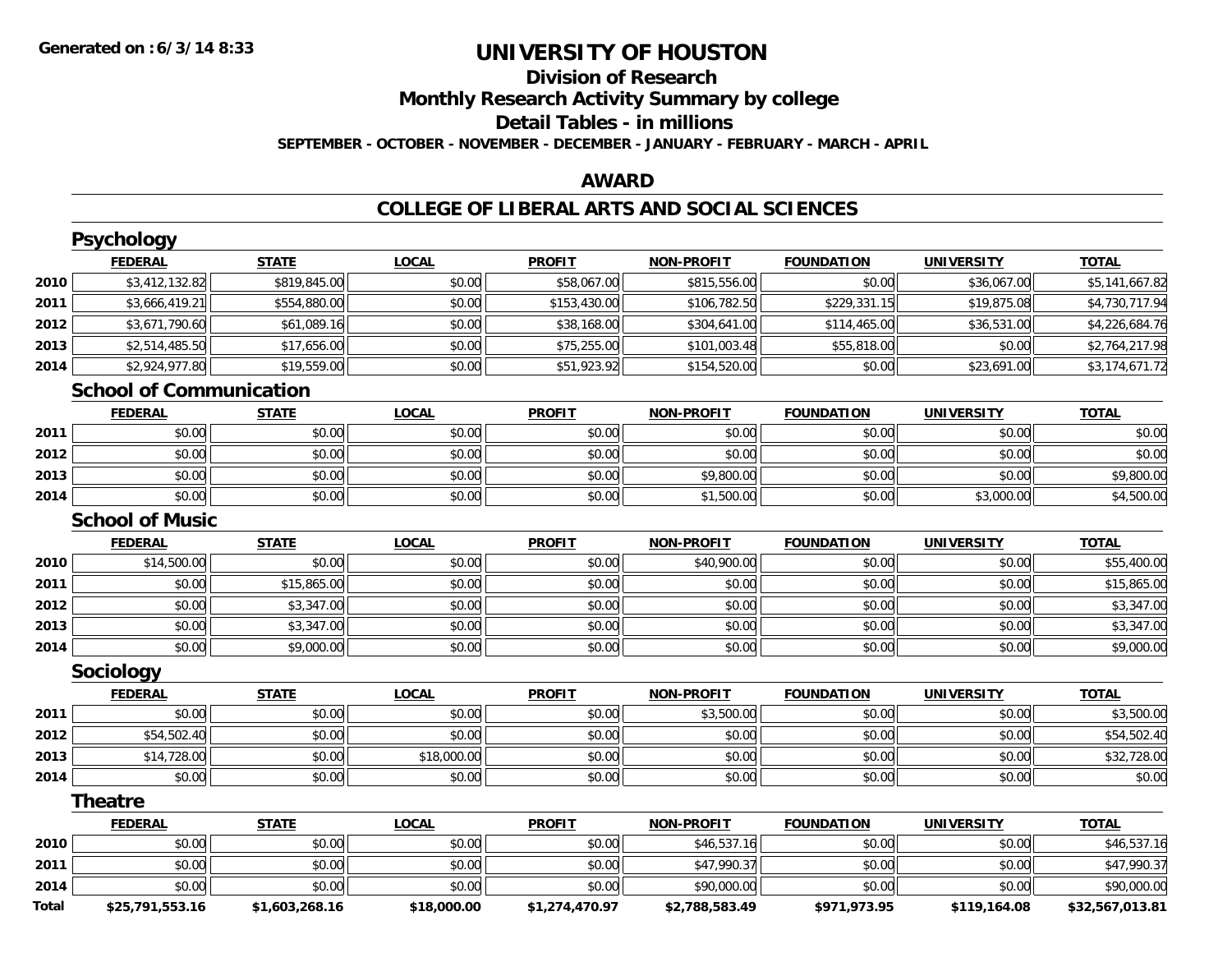## **Division of ResearchMonthly Research Activity Summary by college Detail Tables - in millions**

**SEPTEMBER - OCTOBER - NOVEMBER - DECEMBER - JANUARY - FEBRUARY - MARCH - APRIL**

### **AWARD**

## **COLLEGE OF LIBERAL ARTS AND SOCIAL SCIENCES**

|              | <b>Psychology</b>              |                |              |                |                   |                   |                   |                 |
|--------------|--------------------------------|----------------|--------------|----------------|-------------------|-------------------|-------------------|-----------------|
|              | <b>FEDERAL</b>                 | <b>STATE</b>   | <b>LOCAL</b> | <b>PROFIT</b>  | <b>NON-PROFIT</b> | <b>FOUNDATION</b> | <b>UNIVERSITY</b> | <b>TOTAL</b>    |
| 2010         | \$3,412,132.82                 | \$819,845.00   | \$0.00       | \$58,067.00    | \$815,556.00      | \$0.00            | \$36,067.00       | \$5,141,667.82  |
| 2011         | \$3,666,419.21                 | \$554,880.00   | \$0.00       | \$153,430.00   | \$106,782.50      | \$229,331.15      | \$19,875.08       | \$4,730,717.94  |
| 2012         | \$3,671,790.60                 | \$61,089.16    | \$0.00       | \$38,168.00    | \$304,641.00      | \$114,465.00      | \$36,531.00       | \$4,226,684.76  |
| 2013         | \$2,514,485.50                 | \$17,656.00    | \$0.00       | \$75,255.00    | \$101,003.48      | \$55,818.00       | \$0.00            | \$2,764,217.98  |
| 2014         | \$2,924,977.80                 | \$19,559.00    | \$0.00       | \$51,923.92    | \$154,520.00      | \$0.00            | \$23,691.00       | \$3,174,671.72  |
|              | <b>School of Communication</b> |                |              |                |                   |                   |                   |                 |
|              | <b>FEDERAL</b>                 | <b>STATE</b>   | <b>LOCAL</b> | <b>PROFIT</b>  | <b>NON-PROFIT</b> | <b>FOUNDATION</b> | <b>UNIVERSITY</b> | <b>TOTAL</b>    |
| 2011         | \$0.00                         | \$0.00         | \$0.00       | \$0.00         | \$0.00            | \$0.00            | \$0.00            | \$0.00          |
| 2012         | \$0.00                         | \$0.00         | \$0.00       | \$0.00         | \$0.00            | \$0.00            | \$0.00            | \$0.00          |
| 2013         | \$0.00                         | \$0.00         | \$0.00       | \$0.00         | \$9,800.00        | \$0.00            | \$0.00            | \$9,800.00      |
| 2014         | \$0.00                         | \$0.00         | \$0.00       | \$0.00         | \$1,500.00        | \$0.00            | \$3,000.00        | \$4,500.00      |
|              | <b>School of Music</b>         |                |              |                |                   |                   |                   |                 |
|              | <b>FEDERAL</b>                 | <b>STATE</b>   | <b>LOCAL</b> | <b>PROFIT</b>  | <b>NON-PROFIT</b> | <b>FOUNDATION</b> | <b>UNIVERSITY</b> | <b>TOTAL</b>    |
| 2010         | \$14,500.00                    | \$0.00         | \$0.00       | \$0.00         | \$40,900.00       | \$0.00            | \$0.00            | \$55,400.00     |
| 2011         | \$0.00                         | \$15,865.00    | \$0.00       | \$0.00         | \$0.00            | \$0.00            | \$0.00            | \$15,865.00     |
| 2012         | \$0.00                         | \$3,347.00     | \$0.00       | \$0.00         | \$0.00            | \$0.00            | \$0.00            | \$3,347.00      |
| 2013         | \$0.00                         | \$3,347.00     | \$0.00       | \$0.00         | \$0.00            | \$0.00            | \$0.00            | \$3,347.00      |
| 2014         | \$0.00                         | \$9,000.00     | \$0.00       | \$0.00         | \$0.00            | \$0.00            | \$0.00            | \$9,000.00      |
|              | Sociology                      |                |              |                |                   |                   |                   |                 |
|              | <b>FEDERAL</b>                 | <b>STATE</b>   | <b>LOCAL</b> | <b>PROFIT</b>  | <b>NON-PROFIT</b> | <b>FOUNDATION</b> | <b>UNIVERSITY</b> | <b>TOTAL</b>    |
| 2011         | \$0.00                         | \$0.00         | \$0.00       | \$0.00         | \$3,500.00        | \$0.00            | \$0.00            | \$3,500.00      |
| 2012         | \$54,502.40                    | \$0.00         | \$0.00       | \$0.00         | \$0.00            | \$0.00            | \$0.00            | \$54,502.40     |
| 2013         | \$14,728.00                    | \$0.00         | \$18,000.00  | \$0.00         | \$0.00            | \$0.00            | \$0.00            | \$32,728.00     |
| 2014         | \$0.00                         | \$0.00         | \$0.00       | \$0.00         | \$0.00            | \$0.00            | \$0.00            | \$0.00          |
|              | <b>Theatre</b>                 |                |              |                |                   |                   |                   |                 |
|              | <b>FEDERAL</b>                 | <b>STATE</b>   | <b>LOCAL</b> | <b>PROFIT</b>  | <b>NON-PROFIT</b> | <b>FOUNDATION</b> | <b>UNIVERSITY</b> | <b>TOTAL</b>    |
| 2010         | \$0.00                         | \$0.00         | \$0.00       | \$0.00         | \$46,537.16       | \$0.00            | \$0.00            | \$46,537.16     |
| 2011         | \$0.00                         | \$0.00         | \$0.00       | \$0.00         | \$47,990.37       | \$0.00            | \$0.00            | \$47,990.37     |
| 2014         | \$0.00                         | \$0.00         | \$0.00       | \$0.00         | \$90,000.00       | \$0.00            | \$0.00            | \$90,000.00     |
| <b>Total</b> | \$25,791,553.16                | \$1,603,268.16 | \$18,000.00  | \$1,274,470.97 | \$2,788,583.49    | \$971,973.95      | \$119,164.08      | \$32,567,013.81 |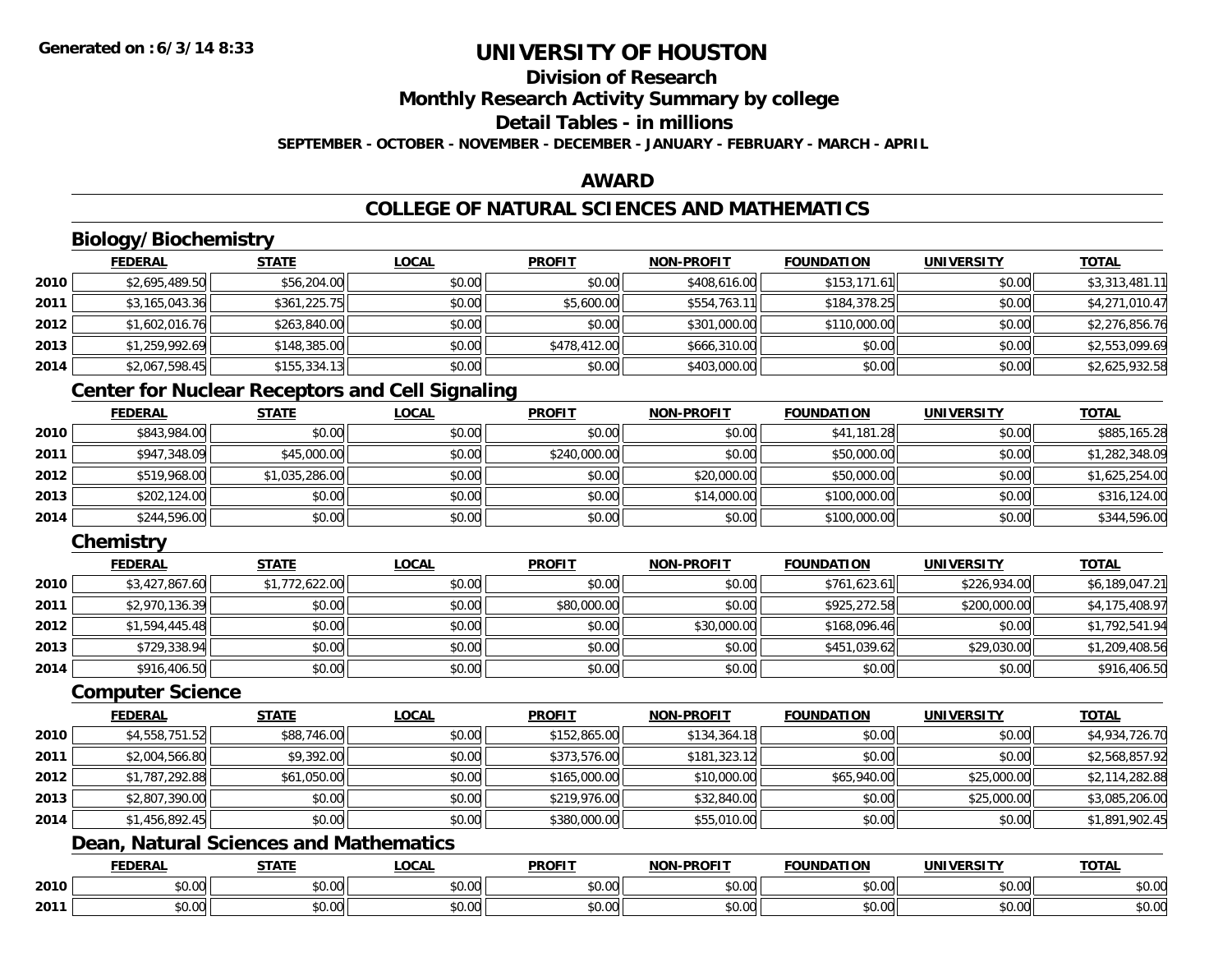## **Division of Research**

**Monthly Research Activity Summary by college**

## **Detail Tables - in millions**

**SEPTEMBER - OCTOBER - NOVEMBER - DECEMBER - JANUARY - FEBRUARY - MARCH - APRIL**

### **AWARD**

## **COLLEGE OF NATURAL SCIENCES AND MATHEMATICS**

## **Biology/Biochemistry**

|      | <b>FEDERAL</b> | <b>STATE</b> | <u>LOCAL</u> | <b>PROFIT</b> | <b>NON-PROFIT</b> | <b>FOUNDATION</b> | <b>UNIVERSITY</b> | <u>TOTAL</u>   |
|------|----------------|--------------|--------------|---------------|-------------------|-------------------|-------------------|----------------|
| 2010 | \$2,695,489.50 | \$56,204.00  | \$0.00       | \$0.00        | \$408,616,00      | \$153,171.61      | \$0.00            | \$3,313,481.11 |
| 2011 | \$3,165,043.36 | \$361,225.75 | \$0.00       | \$5,600.00    | \$554,763.11      | \$184,378.25      | \$0.00            | \$4,271,010.47 |
| 2012 | \$1,602,016.76 | \$263,840.00 | \$0.00       | \$0.00        | \$301,000.00      | \$110,000.00      | \$0.00            | \$2,276,856.76 |
| 2013 | \$1,259,992.69 | \$148,385.00 | \$0.00       | \$478,412.00  | \$666,310.00      | \$0.00            | \$0.00            | \$2,553,099.69 |
| 2014 | \$2,067,598.45 | \$155,334.13 | \$0.00       | \$0.00        | \$403,000.00      | \$0.00            | \$0.00            | \$2,625,932.58 |

## **Center for Nuclear Receptors and Cell Signaling**

|      | <b>FEDERAL</b> | <u>STATE</u>   | <b>LOCAL</b> | <b>PROFIT</b> | <b>NON-PROFIT</b> | <b>FOUNDATION</b> | <b>UNIVERSITY</b> | <b>TOTAL</b>   |
|------|----------------|----------------|--------------|---------------|-------------------|-------------------|-------------------|----------------|
| 2010 | \$843,984.00   | \$0.00         | \$0.00       | \$0.00        | \$0.00            | \$41,181.28       | \$0.00            | \$885,165.28   |
| 2011 | \$947,348.09   | \$45,000.00    | \$0.00       | \$240,000.00  | \$0.00            | \$50,000.00       | \$0.00            | \$1,282,348.09 |
| 2012 | \$519,968.00   | \$1,035,286.00 | \$0.00       | \$0.00        | \$20,000.00       | \$50,000.00       | \$0.00            | \$1,625,254.00 |
| 2013 | \$202,124.00   | \$0.00         | \$0.00       | \$0.00        | \$14,000.00       | \$100,000.00      | \$0.00            | \$316,124.00   |
| 2014 | \$244,596.00   | \$0.00         | \$0.00       | \$0.00        | \$0.00            | \$100,000.00      | \$0.00            | \$344,596.00   |

## **Chemistry**

|      | <b>FEDERAL</b> | <b>STATE</b>   | <b>LOCAL</b> | <b>PROFIT</b> | <b>NON-PROFIT</b> | <b>FOUNDATION</b> | <b>UNIVERSITY</b> | <b>TOTAL</b>   |
|------|----------------|----------------|--------------|---------------|-------------------|-------------------|-------------------|----------------|
| 2010 | \$3,427,867.60 | \$1,772,622.00 | \$0.00       | \$0.00        | \$0.00            | \$761,623.61      | \$226,934.00      | \$6,189,047.21 |
| 2011 | \$2,970,136.39 | \$0.00         | \$0.00       | \$80,000.00   | \$0.00            | \$925,272.58      | \$200,000.00      | \$4,175,408.97 |
| 2012 | \$1,594,445.48 | \$0.00         | \$0.00       | \$0.00        | \$30,000.00       | \$168,096.46      | \$0.00            | \$1,792,541.94 |
| 2013 | \$729,338.94   | \$0.00         | \$0.00       | \$0.00        | \$0.00            | \$451,039.62      | \$29,030.00       | \$1,209,408.56 |
| 2014 | \$916,406.50   | \$0.00         | \$0.00       | \$0.00        | \$0.00            | \$0.00            | \$0.00            | \$916,406.50   |

### **Computer Science**

|      | <b>FEDERAL</b> | <b>STATE</b> | <b>LOCAL</b> | <b>PROFIT</b> | <b>NON-PROFIT</b> | <b>FOUNDATION</b> | <b>UNIVERSITY</b> | <b>TOTAL</b>   |
|------|----------------|--------------|--------------|---------------|-------------------|-------------------|-------------------|----------------|
| 2010 | \$4,558,751.52 | \$88,746.00  | \$0.00       | \$152,865.00  | \$134,364.18      | \$0.00            | \$0.00            | \$4,934,726.70 |
| 2011 | \$2,004,566.80 | \$9,392.00   | \$0.00       | \$373,576.00  | \$181,323.12      | \$0.00            | \$0.00            | \$2,568,857.92 |
| 2012 | \$1,787,292.88 | \$61,050.00  | \$0.00       | \$165,000.00  | \$10,000.00       | \$65,940.00       | \$25,000.00       | \$2,114,282.88 |
| 2013 | \$2,807,390.00 | \$0.00       | \$0.00       | \$219,976.00  | \$32,840.00       | \$0.00            | \$25,000.00       | \$3,085,206.00 |
| 2014 | \$1,456,892.45 | \$0.00       | \$0.00       | \$380,000.00  | \$55,010.00       | \$0.00            | \$0.00            | \$1,891,902.45 |

## **Dean, Natural Sciences and Mathematics**

|      | <b>FEBER!</b><br>LI\ <i>r</i> | <b>STATI</b>  | <b>OCA</b><br>-UUAL | <b>DDOEIT</b><br>ו חשו | <b>DDOEL1</b><br><b>ארות</b> | <b>DATION</b>            | UNIVERSITY             | <b>TATI</b>               |
|------|-------------------------------|---------------|---------------------|------------------------|------------------------------|--------------------------|------------------------|---------------------------|
| 2010 | 0000<br>DU.UU                 | $\sim$<br>ט.ט | $\sim$ 00<br>DU.UU  | $\sim$ $\sim$<br>JU.UU | $\sim$ $\sim$<br>vv.vv       | \$0.00                   | $\sim$ $\sim$<br>JU.UU | ሐሴ ሰሰ<br>JU.UU            |
| 2011 | ልስ ስስ<br>DU.UU                | 0 t<br>ט.ט    | 0.00<br>vu.uu       | $\cdots$<br>vv.vv      | 0.00<br>JU.UU                | $n \cap \Omega$<br>JU.UU | 0.001<br><b>JU.UU</b>  | $\sim$ 00<br><b>JU.UU</b> |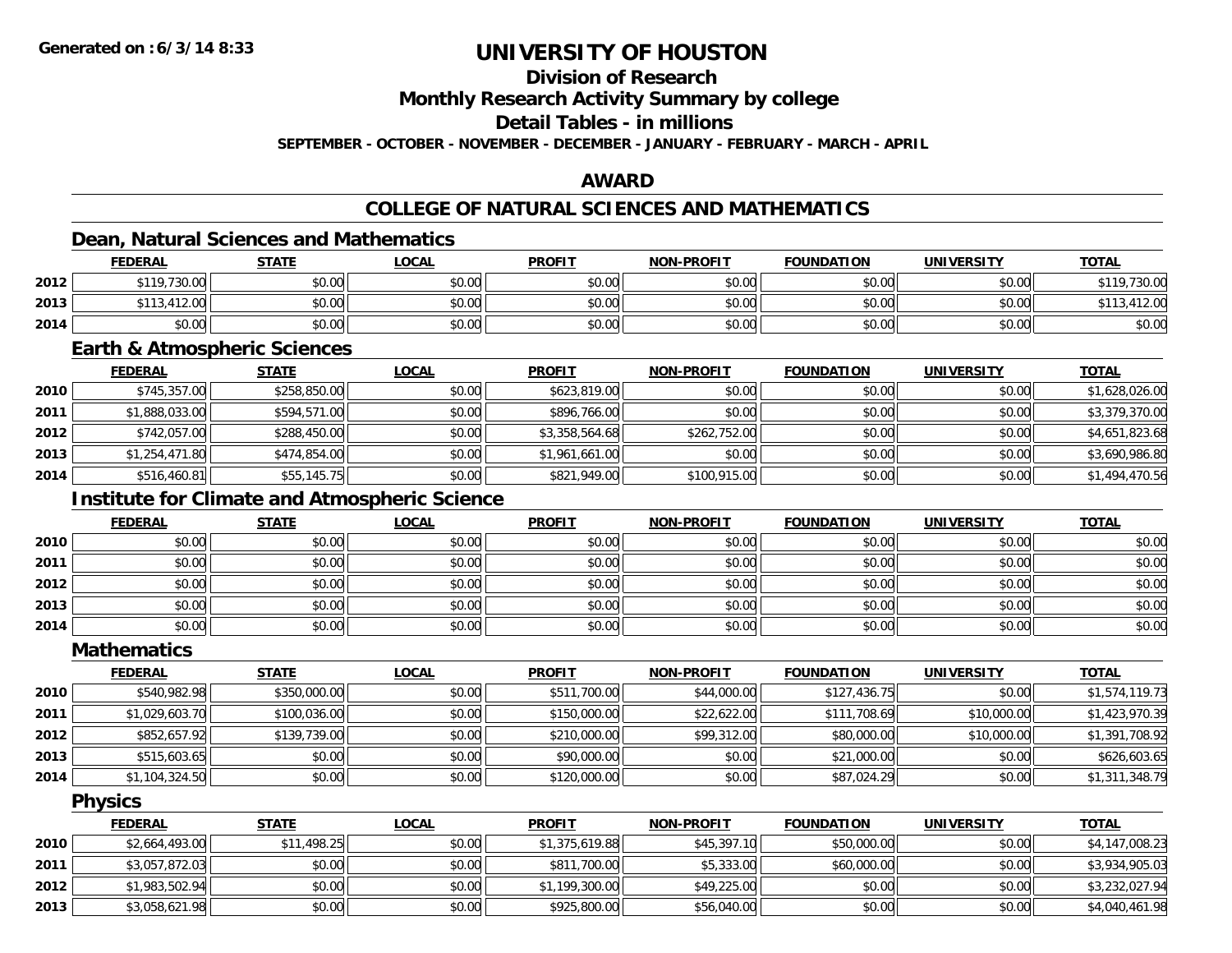## **Division of Research**

**Monthly Research Activity Summary by college**

#### **Detail Tables - in millions**

**SEPTEMBER - OCTOBER - NOVEMBER - DECEMBER - JANUARY - FEBRUARY - MARCH - APRIL**

### **AWARD**

## **COLLEGE OF NATURAL SCIENCES AND MATHEMATICS**

### **Dean, Natural Sciences and Mathematics**

|      | <b>FEDERAL</b>            | <b>STATE</b> | <u>LOCAL</u> | <b>PROFIT</b> | <b>NON-PROFIT</b> | <b>FOUNDATION</b> | <b>UNIVERSITY</b> | <b>TOTAL</b> |
|------|---------------------------|--------------|--------------|---------------|-------------------|-------------------|-------------------|--------------|
| 2012 | \$119,730.00              | \$0.00       | \$0.00       | \$0.00        | \$0.00            | \$0.00            | \$0.00            | \$119,730.00 |
| 2013 | 113,412.00<br><b>¢112</b> | \$0.00       | \$0.00       | \$0.00        | \$0.00            | \$0.00            | \$0.00            | 412.00       |
| 2014 | \$0.00                    | \$0.00       | \$0.00       | \$0.00        | \$0.00            | \$0.00            | \$0.00            | \$0.00       |

### **Earth & Atmospheric Sciences**

|      | <b>FEDERAL</b> | <b>STATE</b> | <b>LOCAL</b> | <b>PROFIT</b>  | <b>NON-PROFIT</b> | <b>FOUNDATION</b> | <b>UNIVERSITY</b> | <b>TOTAL</b>   |
|------|----------------|--------------|--------------|----------------|-------------------|-------------------|-------------------|----------------|
| 2010 | \$745,357.00   | \$258,850.00 | \$0.00       | \$623,819.00   | \$0.00            | \$0.00            | \$0.00            | \$1,628,026.00 |
| 2011 | \$1,888,033.00 | \$594,571.00 | \$0.00       | \$896,766.00   | \$0.00            | \$0.00            | \$0.00            | \$3,379,370.00 |
| 2012 | \$742,057.00   | \$288,450.00 | \$0.00       | \$3,358,564.68 | \$262,752.00      | \$0.00            | \$0.00            | \$4,651,823.68 |
| 2013 | \$1,254,471.80 | \$474,854.00 | \$0.00       | \$1,961,661.00 | \$0.00            | \$0.00            | \$0.00            | \$3,690,986.80 |
| 2014 | \$516,460.81   | \$55,145.75  | \$0.00       | \$821,949.00   | \$100,915.00      | \$0.00            | \$0.00            | \$1,494,470.56 |

## **Institute for Climate and Atmospheric Science**

|      | <u>FEDERAL</u> | <b>STATE</b> | <u>LOCAL</u> | <b>PROFIT</b> | <b>NON-PROFIT</b> | <b>FOUNDATION</b> | <b>UNIVERSITY</b> | <b>TOTAL</b> |
|------|----------------|--------------|--------------|---------------|-------------------|-------------------|-------------------|--------------|
| 2010 | \$0.00         | \$0.00       | \$0.00       | \$0.00        | \$0.00            | \$0.00            | \$0.00            | \$0.00       |
| 2011 | \$0.00         | \$0.00       | \$0.00       | \$0.00        | \$0.00            | \$0.00            | \$0.00            | \$0.00       |
| 2012 | \$0.00         | \$0.00       | \$0.00       | \$0.00        | \$0.00            | \$0.00            | \$0.00            | \$0.00       |
| 2013 | \$0.00         | \$0.00       | \$0.00       | \$0.00        | \$0.00            | \$0.00            | \$0.00            | \$0.00       |
| 2014 | \$0.00         | \$0.00       | \$0.00       | \$0.00        | \$0.00            | \$0.00            | \$0.00            | \$0.00       |

#### **Mathematics**

|      | <b>FEDERAL</b> | <b>STATE</b> | <b>LOCAL</b> | <b>PROFIT</b> | <b>NON-PROFIT</b> | <b>FOUNDATION</b> | <b>UNIVERSITY</b> | <b>TOTAL</b>   |
|------|----------------|--------------|--------------|---------------|-------------------|-------------------|-------------------|----------------|
| 2010 | \$540,982.98   | \$350,000.00 | \$0.00       | \$511,700.00  | \$44,000.00       | \$127,436.75      | \$0.00            | \$1,574,119.73 |
| 2011 | \$1,029,603.70 | \$100,036.00 | \$0.00       | \$150,000.00  | \$22,622.00       | \$111,708.69      | \$10,000.00       | \$1,423,970.39 |
| 2012 | \$852,657.92   | \$139,739.00 | \$0.00       | \$210,000.00  | \$99,312.00       | \$80,000.00       | \$10,000.00       | \$1,391,708.92 |
| 2013 | \$515,603.65   | \$0.00       | \$0.00       | \$90,000.00   | \$0.00            | \$21,000.00       | \$0.00            | \$626,603.65   |
| 2014 | \$1,104,324.50 | \$0.00       | \$0.00       | \$120,000.00  | \$0.00            | \$87,024.29       | \$0.00            | \$1,311,348.79 |

### **Physics**

|      | <b>FEDERAL</b> | <b>STATE</b> | <b>LOCAL</b> | <b>PROFIT</b>  | <b>NON-PROFIT</b> | <b>FOUNDATION</b> | <b>UNIVERSITY</b> | <b>TOTAL</b>   |
|------|----------------|--------------|--------------|----------------|-------------------|-------------------|-------------------|----------------|
| 2010 | \$2,664,493.00 | \$11,498.25  | \$0.00       | \$1,375,619.88 | \$45,397.10       | \$50,000.00       | \$0.00            | \$4,147,008.23 |
| 2011 | \$3,057,872.03 | \$0.00       | \$0.00       | \$811,700.00   | \$5,333.00        | \$60,000.00       | \$0.00            | \$3,934,905.03 |
| 2012 | \$1,983,502.94 | \$0.00       | \$0.00       | \$1,199,300.00 | \$49,225.00       | \$0.00            | \$0.00            | \$3,232,027.94 |
| 2013 | \$3,058,621.98 | \$0.00       | \$0.00       | \$925,800.00   | \$56,040.00       | \$0.00            | \$0.00            | \$4,040,461.98 |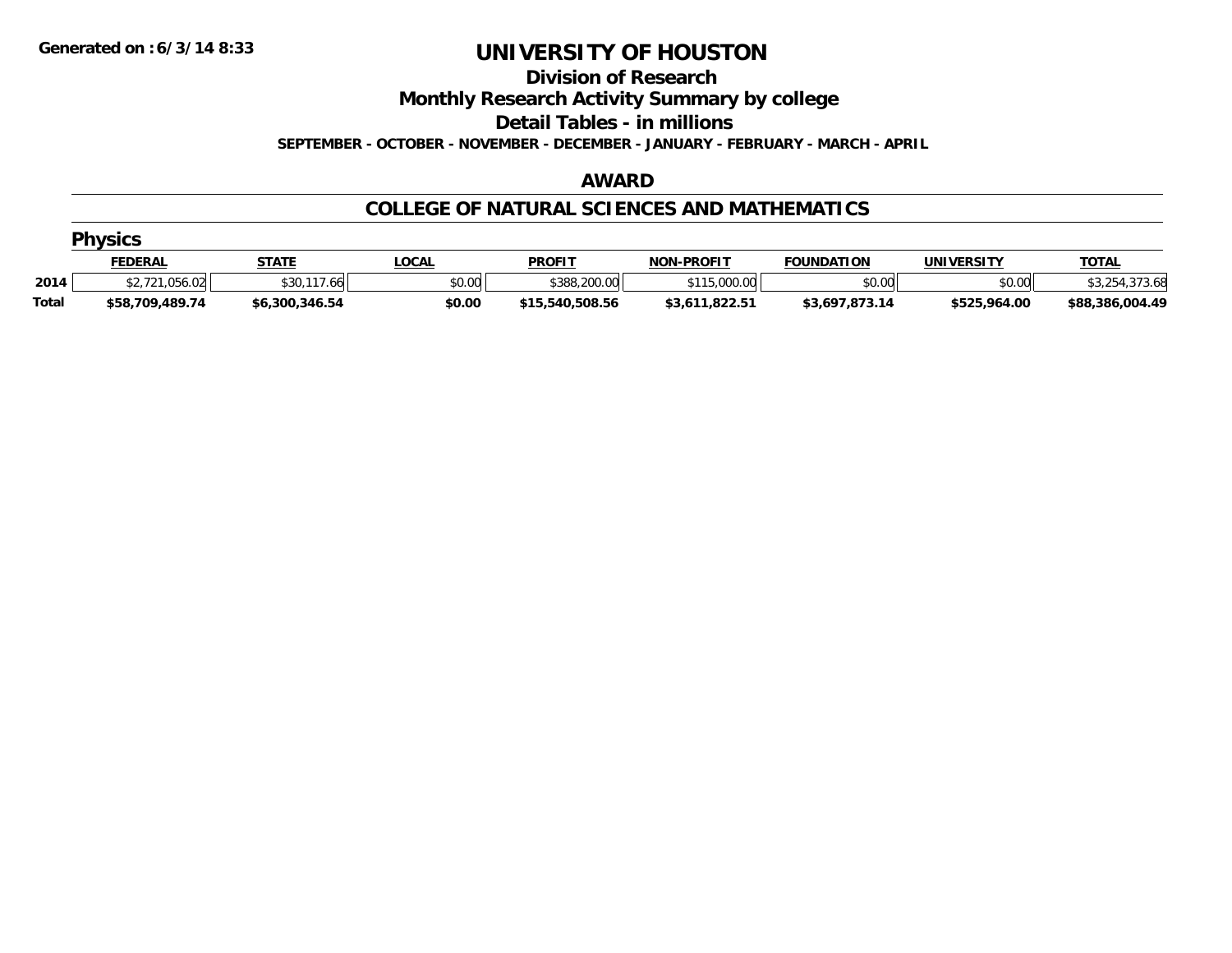**Division of Research**

**Monthly Research Activity Summary by college**

**Detail Tables - in millions**

**SEPTEMBER - OCTOBER - NOVEMBER - DECEMBER - JANUARY - FEBRUARY - MARCH - APRIL**

### **AWARD**

### **COLLEGE OF NATURAL SCIENCES AND MATHEMATICS**

|              | <b>Physics</b>  |                |              |                 |                   |                   |              |                 |  |  |  |  |
|--------------|-----------------|----------------|--------------|-----------------|-------------------|-------------------|--------------|-----------------|--|--|--|--|
|              | <u>FEDERAL</u>  | <b>STATE</b>   | <u>LOCAL</u> | <b>PROFIT</b>   | <b>NON-PROFIT</b> | <b>FOUNDATION</b> | UNIVERSITY   | <b>TOTAL</b>    |  |  |  |  |
| 2014         | 721.056.02      | \$30.<br>.66   | \$0.00       | \$388,200.00    | \$115,000.00      | \$0.00            | \$0.00       |                 |  |  |  |  |
| <b>Total</b> | \$58,709,489.74 | \$6,300,346.54 | \$0.00       | \$15,540,508.56 | \$3,611,822.51    | \$3,697,873.14    | \$525,964.00 | \$88,386,004.49 |  |  |  |  |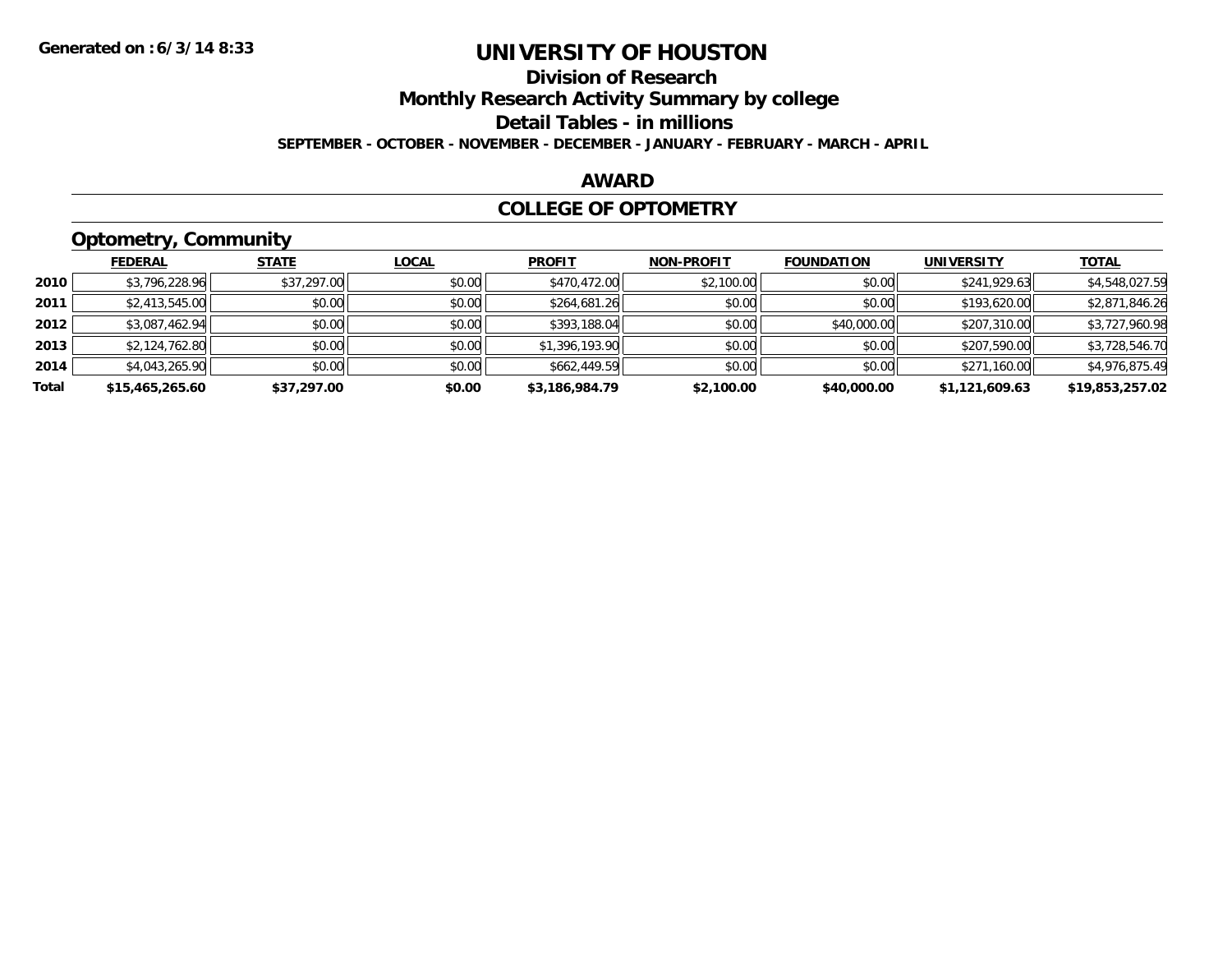## **Division of Research**

**Monthly Research Activity Summary by college**

**Detail Tables - in millions**

**SEPTEMBER - OCTOBER - NOVEMBER - DECEMBER - JANUARY - FEBRUARY - MARCH - APRIL**

#### **AWARD**

### **COLLEGE OF OPTOMETRY**

## **Optometry, Community**

|       | <b>FEDERAL</b>  | <b>STATE</b> | <u>LOCAL</u> | <b>PROFIT</b>  | <b>NON-PROFIT</b> | <b>FOUNDATION</b> | <b>UNIVERSITY</b> | <b>TOTAL</b>    |
|-------|-----------------|--------------|--------------|----------------|-------------------|-------------------|-------------------|-----------------|
| 2010  | \$3,796,228.96  | \$37,297.00  | \$0.00       | \$470,472.00   | \$2,100.00        | \$0.00            | \$241,929.63      | \$4,548,027.59  |
| 2011  | \$2,413,545.00  | \$0.00       | \$0.00       | \$264,681.26   | \$0.00            | \$0.00            | \$193,620.00      | \$2,871,846.26  |
| 2012  | \$3,087,462.94  | \$0.00       | \$0.00       | \$393,188.04   | \$0.00            | \$40,000.00       | \$207,310.00      | \$3,727,960.98  |
| 2013  | \$2,124,762.80  | \$0.00       | \$0.00       | \$1,396,193.90 | \$0.00            | \$0.00            | \$207,590.00      | \$3,728,546.70  |
| 2014  | \$4,043,265.90  | \$0.00       | \$0.00       | \$662,449.59   | \$0.00            | \$0.00            | \$271,160.00      | \$4,976,875.49  |
| Total | \$15,465,265.60 | \$37,297.00  | \$0.00       | \$3,186,984.79 | \$2,100.00        | \$40,000.00       | \$1,121,609.63    | \$19,853,257.02 |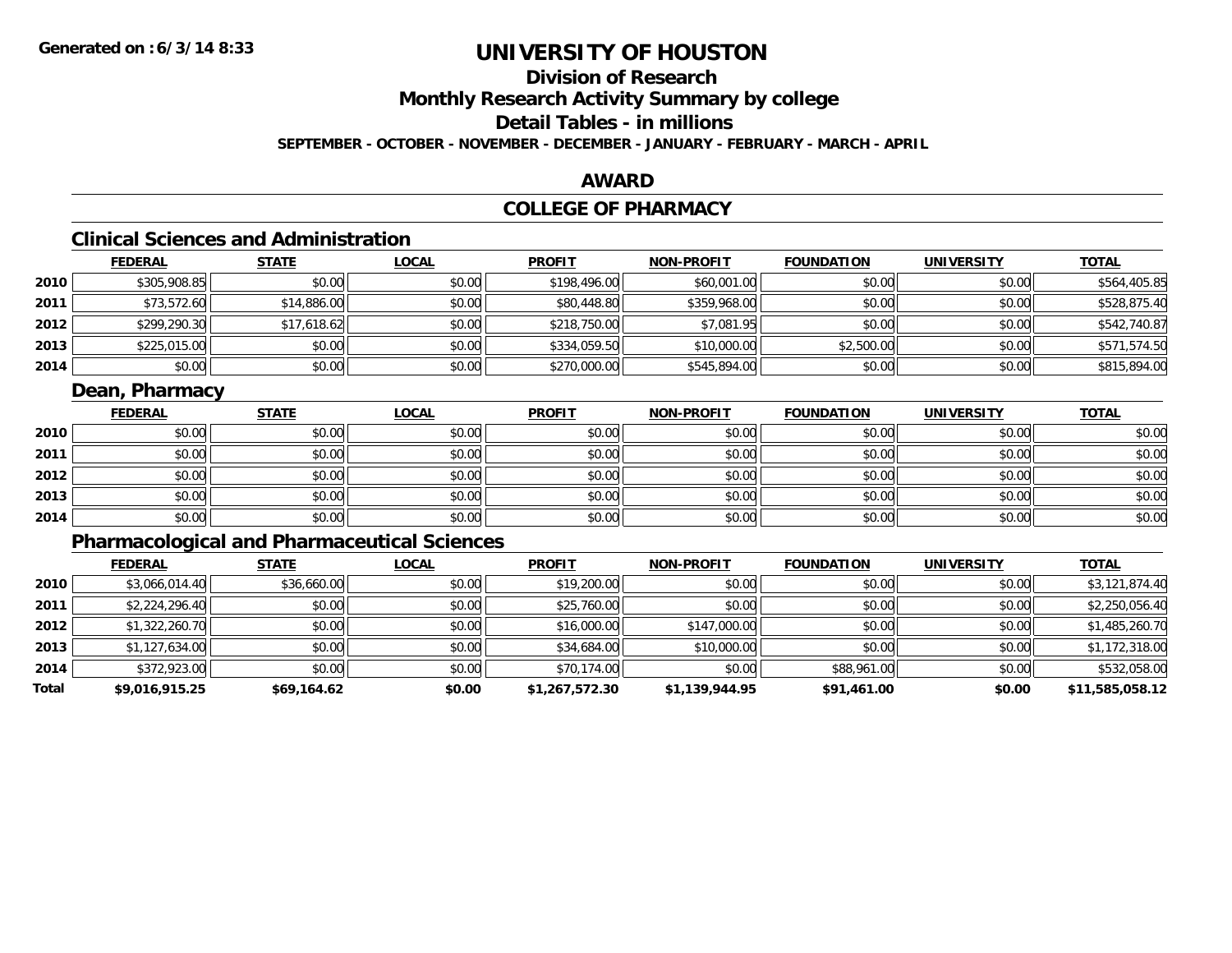## **Division of Research**

**Monthly Research Activity Summary by college**

## **Detail Tables - in millions**

**SEPTEMBER - OCTOBER - NOVEMBER - DECEMBER - JANUARY - FEBRUARY - MARCH - APRIL**

### **AWARD**

## **COLLEGE OF PHARMACY**

## **Clinical Sciences and Administration**

|      | <b>FEDERAL</b> | <b>STATE</b> | <u>LOCAL</u> | <b>PROFIT</b> | <b>NON-PROFIT</b> | <b>FOUNDATION</b> | <b>UNIVERSITY</b> | <b>TOTAL</b> |
|------|----------------|--------------|--------------|---------------|-------------------|-------------------|-------------------|--------------|
| 2010 | \$305,908.85   | \$0.00       | \$0.00       | \$198,496.00  | \$60,001.00       | \$0.00            | \$0.00            | \$564,405.85 |
| 2011 | \$73,572.60    | \$14,886.00  | \$0.00       | \$80,448.80   | \$359,968.00      | \$0.00            | \$0.00            | \$528,875.40 |
| 2012 | \$299,290.30   | \$17,618.62  | \$0.00       | \$218,750.00  | \$7,081.95        | \$0.00            | \$0.00            | \$542,740.87 |
| 2013 | \$225,015.00   | \$0.00       | \$0.00       | \$334,059.50  | \$10,000.00       | \$2,500.00        | \$0.00            | \$571,574.50 |
| 2014 | \$0.00         | \$0.00       | \$0.00       | \$270,000.00  | \$545,894.00      | \$0.00            | \$0.00            | \$815,894.00 |

### **Dean, Pharmacy**

|      | <u>FEDERAL</u> | <u>STATE</u> | <u>LOCAL</u> | <b>PROFIT</b> | <b>NON-PROFIT</b> | <b>FOUNDATION</b> | <b>UNIVERSITY</b> | <b>TOTAL</b> |
|------|----------------|--------------|--------------|---------------|-------------------|-------------------|-------------------|--------------|
| 2010 | \$0.00         | \$0.00       | \$0.00       | \$0.00        | \$0.00            | \$0.00            | \$0.00            | \$0.00       |
| 2011 | \$0.00         | \$0.00       | \$0.00       | \$0.00        | \$0.00            | \$0.00            | \$0.00            | \$0.00       |
| 2012 | \$0.00         | \$0.00       | \$0.00       | \$0.00        | \$0.00            | \$0.00            | \$0.00            | \$0.00       |
| 2013 | \$0.00         | \$0.00       | \$0.00       | \$0.00        | \$0.00            | \$0.00            | \$0.00            | \$0.00       |
| 2014 | \$0.00         | \$0.00       | \$0.00       | \$0.00        | \$0.00            | \$0.00            | \$0.00            | \$0.00       |

## **Pharmacological and Pharmaceutical Sciences**

|       | <b>FEDERAL</b> | <b>STATE</b> | <b>LOCAL</b> | <b>PROFIT</b>  | <b>NON-PROFIT</b> | <b>FOUNDATION</b> | <b>UNIVERSITY</b> | <u>TOTAL</u>    |
|-------|----------------|--------------|--------------|----------------|-------------------|-------------------|-------------------|-----------------|
| 2010  | \$3,066,014.40 | \$36,660.00  | \$0.00       | \$19,200.00    | \$0.00            | \$0.00            | \$0.00            | \$3,121,874.40  |
| 2011  | \$2,224,296.40 | \$0.00       | \$0.00       | \$25,760.00    | \$0.00            | \$0.00            | \$0.00            | \$2,250,056.40  |
| 2012  | \$1,322,260.70 | \$0.00       | \$0.00       | \$16,000.00    | \$147,000.00      | \$0.00            | \$0.00            | \$1,485,260.70  |
| 2013  | \$1,127,634.00 | \$0.00       | \$0.00       | \$34,684.00    | \$10,000.00       | \$0.00            | \$0.00            | \$1,172,318.00  |
| 2014  | \$372,923.00   | \$0.00       | \$0.00       | \$70,174.00    | \$0.00            | \$88,961.00       | \$0.00            | \$532,058.00    |
| Total | \$9,016,915.25 | \$69,164.62  | \$0.00       | \$1,267,572.30 | \$1,139,944.95    | \$91,461.00       | \$0.00            | \$11,585,058.12 |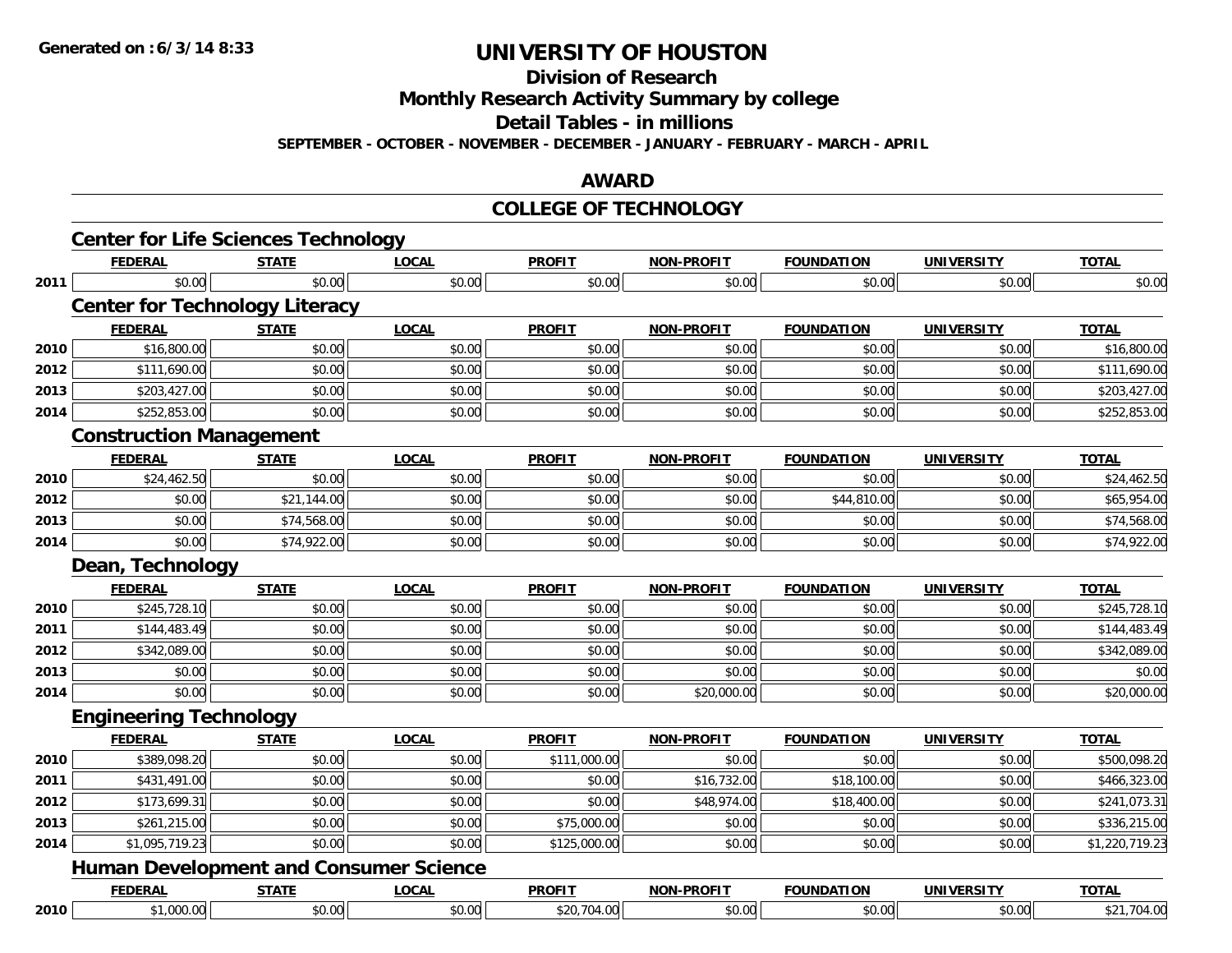**Division of Research**

**Monthly Research Activity Summary by college**

**Detail Tables - in millions**

**SEPTEMBER - OCTOBER - NOVEMBER - DECEMBER - JANUARY - FEBRUARY - MARCH - APRIL**

### **AWARD**

#### **COLLEGE OF TECHNOLOGY**

|                                               |                          |                                                                                                                                                        |                        |                                                                                            |                             |                             | <b>TOTAL</b>                                                                                   |
|-----------------------------------------------|--------------------------|--------------------------------------------------------------------------------------------------------------------------------------------------------|------------------------|--------------------------------------------------------------------------------------------|-----------------------------|-----------------------------|------------------------------------------------------------------------------------------------|
|                                               |                          |                                                                                                                                                        |                        |                                                                                            |                             |                             | \$0.00                                                                                         |
|                                               |                          |                                                                                                                                                        |                        |                                                                                            |                             |                             |                                                                                                |
| <b>FEDERAL</b>                                | <b>STATE</b>             | <b>LOCAL</b>                                                                                                                                           | <b>PROFIT</b>          | <b>NON-PROFIT</b>                                                                          | <b>FOUNDATION</b>           | <b>UNIVERSITY</b>           | <b>TOTAL</b>                                                                                   |
| \$16,800.00                                   | \$0.00                   | \$0.00                                                                                                                                                 | \$0.00                 | \$0.00                                                                                     | \$0.00                      | \$0.00                      | \$16,800.00                                                                                    |
| \$111,690.00                                  | \$0.00                   | \$0.00                                                                                                                                                 | \$0.00                 | \$0.00                                                                                     | \$0.00                      | \$0.00                      | \$111,690.00                                                                                   |
| \$203,427.00                                  | \$0.00                   | \$0.00                                                                                                                                                 | \$0.00                 | \$0.00                                                                                     | \$0.00                      | \$0.00                      | \$203,427.00                                                                                   |
| \$252,853.00                                  | \$0.00                   | \$0.00                                                                                                                                                 | \$0.00                 | \$0.00                                                                                     | \$0.00                      | \$0.00                      | \$252,853.00                                                                                   |
|                                               |                          |                                                                                                                                                        |                        |                                                                                            |                             |                             |                                                                                                |
| <b>FEDERAL</b>                                | <b>STATE</b>             | <b>LOCAL</b>                                                                                                                                           | <b>PROFIT</b>          | <b>NON-PROFIT</b>                                                                          | <b>FOUNDATION</b>           | <b>UNIVERSITY</b>           | <b>TOTAL</b>                                                                                   |
| \$24,462.50                                   | \$0.00                   | \$0.00                                                                                                                                                 | \$0.00                 | \$0.00                                                                                     | \$0.00                      | \$0.00                      | \$24,462.50                                                                                    |
| \$0.00                                        | \$21,144.00              | \$0.00                                                                                                                                                 | \$0.00                 | \$0.00                                                                                     | \$44,810.00                 | \$0.00                      | \$65,954.00                                                                                    |
| \$0.00                                        | \$74,568.00              | \$0.00                                                                                                                                                 | \$0.00                 | \$0.00                                                                                     | \$0.00                      | \$0.00                      | \$74,568.00                                                                                    |
| \$0.00                                        | \$74,922.00              | \$0.00                                                                                                                                                 | \$0.00                 | \$0.00                                                                                     | \$0.00                      | \$0.00                      | \$74,922.00                                                                                    |
|                                               |                          |                                                                                                                                                        |                        |                                                                                            |                             |                             |                                                                                                |
| <b>FEDERAL</b>                                | <b>STATE</b>             | <b>LOCAL</b>                                                                                                                                           | <b>PROFIT</b>          | NON-PROFIT                                                                                 | <b>FOUNDATION</b>           | <b>UNIVERSITY</b>           | <b>TOTAL</b>                                                                                   |
| \$245,728.10                                  | \$0.00                   | \$0.00                                                                                                                                                 | \$0.00                 | \$0.00                                                                                     | \$0.00                      | \$0.00                      | \$245,728.10                                                                                   |
| \$144,483.49                                  | \$0.00                   | \$0.00                                                                                                                                                 | \$0.00                 | \$0.00                                                                                     | \$0.00                      | \$0.00                      | \$144,483.49                                                                                   |
| \$342,089.00                                  | \$0.00                   | \$0.00                                                                                                                                                 | \$0.00                 | \$0.00                                                                                     | \$0.00                      | \$0.00                      | \$342,089.00                                                                                   |
| \$0.00                                        | \$0.00                   | \$0.00                                                                                                                                                 | \$0.00                 | \$0.00                                                                                     | \$0.00                      | \$0.00                      | \$0.00                                                                                         |
| \$0.00                                        | \$0.00                   | \$0.00                                                                                                                                                 | \$0.00                 | \$20,000.00                                                                                | \$0.00                      | \$0.00                      | \$20,000.00                                                                                    |
|                                               |                          |                                                                                                                                                        |                        |                                                                                            |                             |                             |                                                                                                |
|                                               |                          |                                                                                                                                                        |                        | <b>NON-PROFIT</b>                                                                          | <b>FOUNDATION</b>           | <b>UNIVERSITY</b>           | <b>TOTAL</b>                                                                                   |
|                                               |                          |                                                                                                                                                        |                        |                                                                                            |                             |                             |                                                                                                |
| \$389,098.20                                  | \$0.00                   | \$0.00                                                                                                                                                 | \$111,000.00           | \$0.00                                                                                     | \$0.00                      | \$0.00                      |                                                                                                |
| \$431,491.00                                  | \$0.00                   | \$0.00                                                                                                                                                 | \$0.00                 | \$16,732.00                                                                                | \$18,100.00                 | \$0.00                      |                                                                                                |
| \$173,699.31                                  | \$0.00                   | \$0.00                                                                                                                                                 | \$0.00                 | \$48,974.00                                                                                | \$18,400.00                 | \$0.00                      |                                                                                                |
| \$261,215.00                                  | \$0.00                   | \$0.00                                                                                                                                                 | \$75,000.00            | \$0.00                                                                                     | \$0.00                      | \$0.00                      |                                                                                                |
| \$1,095,719.23                                | \$0.00                   | \$0.00                                                                                                                                                 | \$125,000.00           | \$0.00                                                                                     | \$0.00                      | \$0.00                      |                                                                                                |
| <b>Human Development and Consumer Science</b> |                          |                                                                                                                                                        |                        |                                                                                            |                             |                             |                                                                                                |
| <b>FEDERAL</b>                                | <b>STATE</b>             | <b>LOCAL</b>                                                                                                                                           | <b>PROFIT</b>          | <b>NON-PROFIT</b>                                                                          | <b>FOUNDATION</b>           | <b>UNIVERSITY</b>           | \$500,098.20<br>\$466,323.00<br>\$241,073.31<br>\$336,215.00<br>\$1,220,719.23<br><b>TOTAL</b> |
|                                               | <b>FEDERAL</b><br>\$0.00 | <b>STATE</b><br>\$0.00<br><b>Center for Technology Literacy</b><br><b>Construction Management</b><br>Dean, Technology<br><b>Engineering Technology</b> | <b>LOCAL</b><br>\$0.00 | <b>PROFIT</b><br>\$0.00<br><b>PROFIT</b><br><b>FEDERAL</b><br><b>STATE</b><br><b>LOCAL</b> | <b>NON-PROFIT</b><br>\$0.00 | <b>FOUNDATION</b><br>\$0.00 | <b>UNIVERSITY</b><br>\$0.00                                                                    |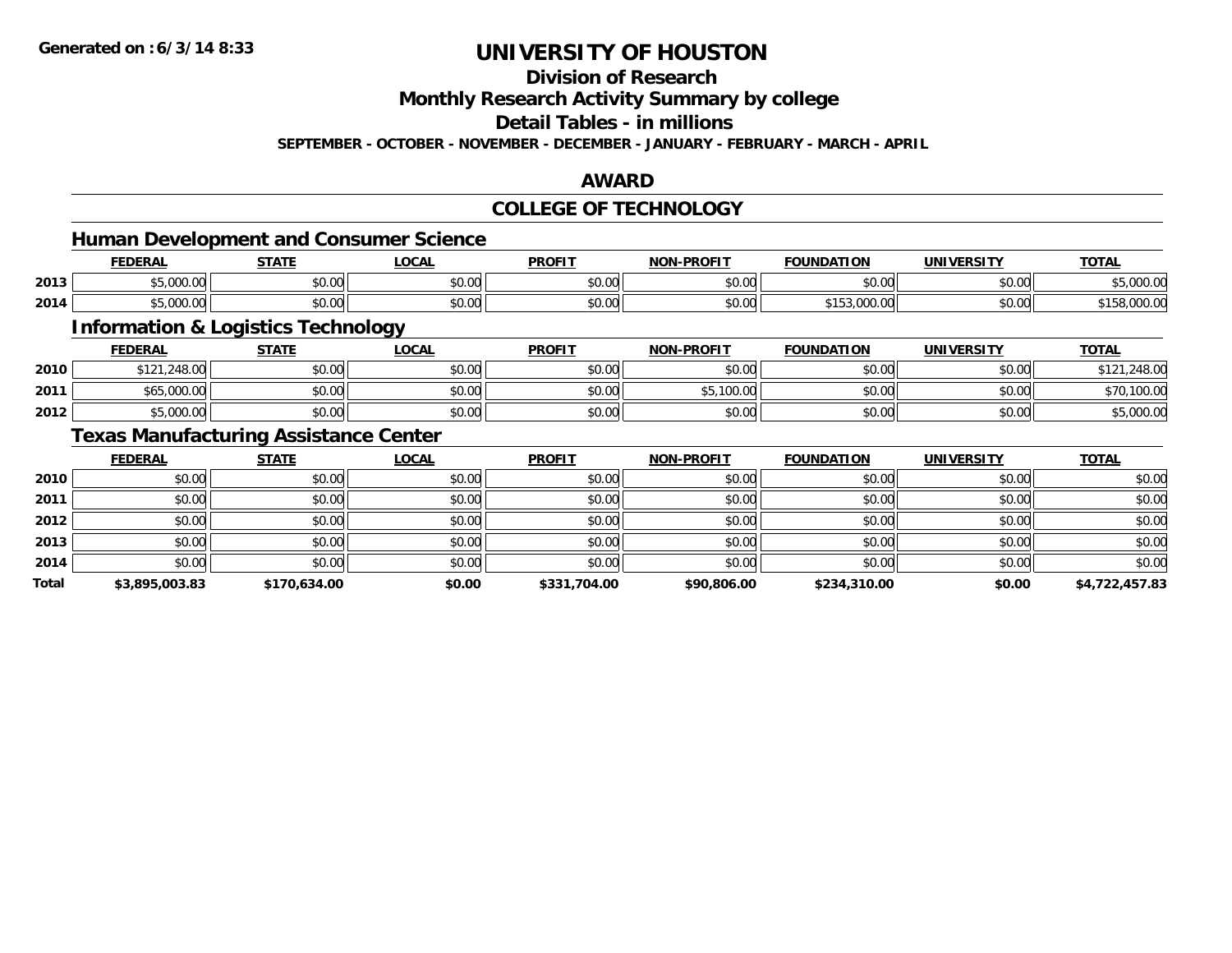**Division of Research**

**Monthly Research Activity Summary by college**

**Detail Tables - in millions**

**SEPTEMBER - OCTOBER - NOVEMBER - DECEMBER - JANUARY - FEBRUARY - MARCH - APRIL**

### **AWARD**

### **COLLEGE OF TECHNOLOGY**

### **Human Development and Consumer Science**

|      | <b>FEDERAL</b> | <b>STATI</b>                 | $\sim$<br>.UCAI        | <b>PROFIT</b>                               | nn <u>ari</u> ,<br>~ ( )⊢ | .<br>IN A'<br>ונ ו      | UNI.               | <b>TOT</b> |
|------|----------------|------------------------------|------------------------|---------------------------------------------|---------------------------|-------------------------|--------------------|------------|
| 2013 | $\sim$         | ტი იი<br>ט.ט                 | $\sim$ $\sim$<br>vv.vv | $\mathfrak{c}\cap\mathfrak{a}\cap$<br>וט.טי | \$0.00                    | 0 <sup>n</sup><br>טט.טע | $\sim$ 00<br>pu.uu | 00000      |
| 2014 | $\sim$         | $\uparrow$ $\uparrow$<br>ט.ט | $\sim$ 00<br>vv.vv     | $n \cap \Omega$<br>JU.UU                    | \$0.00                    |                         | nn na<br>JU.UU     | . JUUU.UI  |

<u> 1989 - Johann Stoff, deutscher Stoffen und der Stoffen und der Stoffen und der Stoffen und der Stoffen und der</u>

## **Information & Logistics Technology**

|      | <b>FEDERAL</b> | <b>STATE</b> | <u>LOCAL</u> | <b>PROFIT</b> | <b>NON-PROFIT</b> | <b>FOUNDATION</b> | <b>UNIVERSITY</b> | <u>TOTAL</u> |
|------|----------------|--------------|--------------|---------------|-------------------|-------------------|-------------------|--------------|
| 2010 | \$121,248.00   | \$0.00       | \$0.00       | \$0.00        | \$0.00            | \$0.00            | \$0.00            | .248.00      |
| 2011 | √65,000.00     | \$0.00       | \$0.00       | \$0.00        | 100.00<br>ሖг      | \$0.00            | \$0.00            | \$70,100.00  |
| 2012 | \$5,000.00     | \$0.00       | \$0.00       | \$0.00        | \$0.00            | \$0.00            | \$0.00            | \$5,000.00   |

### **Texas Manufacturing Assistance Center**

|              | <b>FEDERAL</b> | <b>STATE</b> | <b>LOCAL</b> | <b>PROFIT</b> | <b>NON-PROFIT</b> | <b>FOUNDATION</b> | <b>UNIVERSITY</b> | <u>TOTAL</u>   |
|--------------|----------------|--------------|--------------|---------------|-------------------|-------------------|-------------------|----------------|
| 2010         | \$0.00         | \$0.00       | \$0.00       | \$0.00        | \$0.00            | \$0.00            | \$0.00            | \$0.00         |
| 2011         | \$0.00         | \$0.00       | \$0.00       | \$0.00        | \$0.00            | \$0.00            | \$0.00            | \$0.00         |
| 2012         | \$0.00         | \$0.00       | \$0.00       | \$0.00        | \$0.00            | \$0.00            | \$0.00            | \$0.00         |
| 2013         | \$0.00         | \$0.00       | \$0.00       | \$0.00        | \$0.00            | \$0.00            | \$0.00            | \$0.00         |
| 2014         | \$0.00         | \$0.00       | \$0.00       | \$0.00        | \$0.00            | \$0.00            | \$0.00            | \$0.00         |
| <b>Total</b> | \$3,895,003.83 | \$170,634.00 | \$0.00       | \$331,704.00  | \$90,806.00       | \$234,310.00      | \$0.00            | \$4,722,457.83 |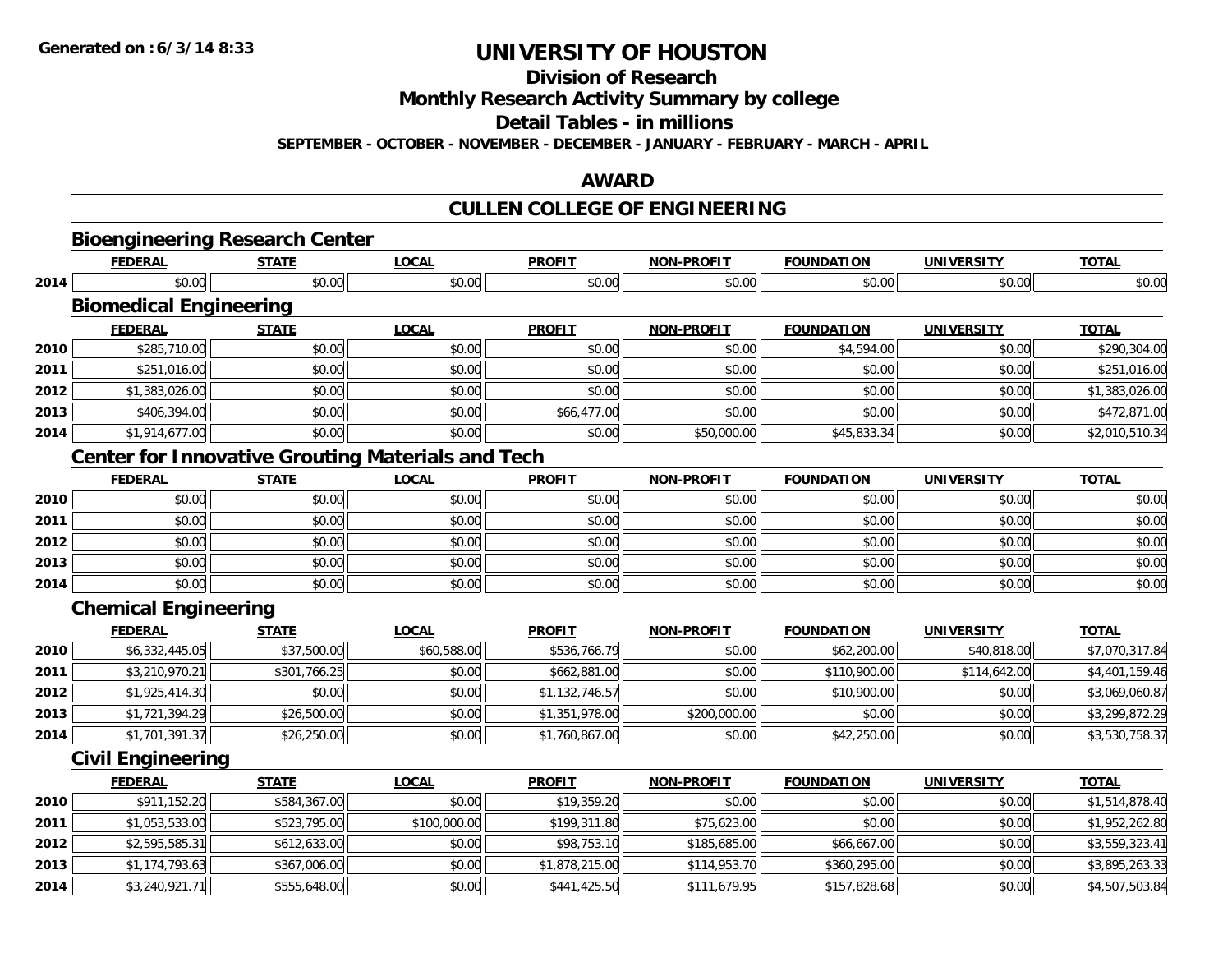**Division of Research**

**Monthly Research Activity Summary by college**

**Detail Tables - in millions**

**SEPTEMBER - OCTOBER - NOVEMBER - DECEMBER - JANUARY - FEBRUARY - MARCH - APRIL**

### **AWARD**

## **CULLEN COLLEGE OF ENGINEERING**

|      | <b>Bioengineering Research Center</b><br><b>FEDERAL</b>  | <b>STATE</b> | <b>LOCAL</b> | <b>PROFIT</b>  | <b>NON-PROFIT</b> | <b>FOUNDATION</b> | <b>UNIVERSITY</b> | <b>TOTAL</b>   |
|------|----------------------------------------------------------|--------------|--------------|----------------|-------------------|-------------------|-------------------|----------------|
| 2014 | \$0.00                                                   | \$0.00       | \$0.00       | \$0.00         | \$0.00            | \$0.00            | \$0.00            | \$0.00         |
|      | <b>Biomedical Engineering</b>                            |              |              |                |                   |                   |                   |                |
|      | <b>FEDERAL</b>                                           | <b>STATE</b> | <b>LOCAL</b> | <b>PROFIT</b>  | <b>NON-PROFIT</b> | <b>FOUNDATION</b> | <b>UNIVERSITY</b> | <b>TOTAL</b>   |
| 2010 | \$285,710.00                                             | \$0.00       | \$0.00       | \$0.00         | \$0.00            | \$4,594.00        | \$0.00            | \$290,304.00   |
| 2011 | \$251,016.00                                             | \$0.00       | \$0.00       | \$0.00         | \$0.00            | \$0.00            | \$0.00            | \$251,016.00   |
| 2012 | \$1,383,026.00                                           | \$0.00       | \$0.00       | \$0.00         | \$0.00            | \$0.00            | \$0.00            | \$1,383,026.00 |
| 2013 | \$406,394.00                                             | \$0.00       | \$0.00       | \$66,477.00    | \$0.00            | \$0.00            | \$0.00            | \$472,871.00   |
| 2014 | \$1,914,677.00                                           | \$0.00       | \$0.00       | \$0.00         | \$50,000.00       | \$45,833.34       | \$0.00            | \$2,010,510.34 |
|      | <b>Center for Innovative Grouting Materials and Tech</b> |              |              |                |                   |                   |                   |                |
|      | <b>FEDERAL</b>                                           | <b>STATE</b> | <b>LOCAL</b> | <b>PROFIT</b>  | <b>NON-PROFIT</b> | <b>FOUNDATION</b> | <b>UNIVERSITY</b> | <b>TOTAL</b>   |
| 2010 | \$0.00                                                   | \$0.00       | \$0.00       | \$0.00         | \$0.00            | \$0.00            | \$0.00            | \$0.00         |
| 2011 | \$0.00                                                   | \$0.00       | \$0.00       | \$0.00         | \$0.00            | \$0.00            | \$0.00            | \$0.00         |
| 2012 | \$0.00                                                   | \$0.00       | \$0.00       | \$0.00         | \$0.00            | \$0.00            | \$0.00            | \$0.00         |
| 2013 | \$0.00                                                   | \$0.00       | \$0.00       | \$0.00         | \$0.00            | \$0.00            | \$0.00            | \$0.00         |
| 2014 | \$0.00                                                   | \$0.00       | \$0.00       | \$0.00         | \$0.00            | \$0.00            | \$0.00            | \$0.00         |
|      | <b>Chemical Engineering</b>                              |              |              |                |                   |                   |                   |                |
|      | <b>FEDERAL</b>                                           | <b>STATE</b> | <b>LOCAL</b> | <b>PROFIT</b>  | <b>NON-PROFIT</b> | <b>FOUNDATION</b> | <b>UNIVERSITY</b> | <b>TOTAL</b>   |
| 2010 | \$6,332,445.05                                           | \$37,500.00  | \$60,588.00  | \$536,766.79   | \$0.00            | \$62,200.00       | \$40,818.00       | \$7,070,317.84 |
| 2011 | \$3,210,970.21                                           | \$301,766.25 | \$0.00       | \$662,881.00   | \$0.00            | \$110,900.00      | \$114,642.00      | \$4,401,159.46 |
| 2012 | \$1,925,414.30                                           | \$0.00       | \$0.00       | \$1,132,746.57 | \$0.00            | \$10,900.00       | \$0.00            | \$3,069,060.87 |
| 2013 | \$1,721,394.29                                           | \$26,500.00  | \$0.00       | \$1,351,978.00 | \$200,000.00      | \$0.00            | \$0.00            | \$3,299,872.29 |
| 2014 | \$1,701,391.37                                           | \$26,250.00  | \$0.00       | \$1,760,867.00 | \$0.00            | \$42,250.00       | \$0.00            | \$3,530,758.37 |
|      | <b>Civil Engineering</b>                                 |              |              |                |                   |                   |                   |                |
|      | <b>FEDERAL</b>                                           | <b>STATE</b> | <b>LOCAL</b> | <b>PROFIT</b>  | <b>NON-PROFIT</b> | <b>FOUNDATION</b> | <b>UNIVERSITY</b> | <b>TOTAL</b>   |
| 2010 | \$911,152.20                                             | \$584,367.00 | \$0.00       | \$19,359.20    | \$0.00            | \$0.00            | \$0.00            | \$1,514,878.40 |
| 2011 | \$1,053,533.00                                           | \$523,795.00 | \$100,000.00 | \$199,311.80   | \$75,623.00       | \$0.00            | \$0.00            | \$1,952,262.80 |
| 2012 | \$2,595,585.31                                           | \$612,633.00 | \$0.00       | \$98,753.10    | \$185,685.00      | \$66,667.00       | \$0.00            | \$3,559,323.41 |
| 2013 | \$1,174,793.63                                           | \$367,006.00 | \$0.00       | \$1,878,215.00 | \$114,953.70      | \$360,295.00      | \$0.00            | \$3,895,263.33 |
| 2014 | \$3,240,921.71                                           | \$555,648.00 | \$0.00       | \$441,425.50   | \$111,679.95      | \$157,828.68      | \$0.00            | \$4,507,503.84 |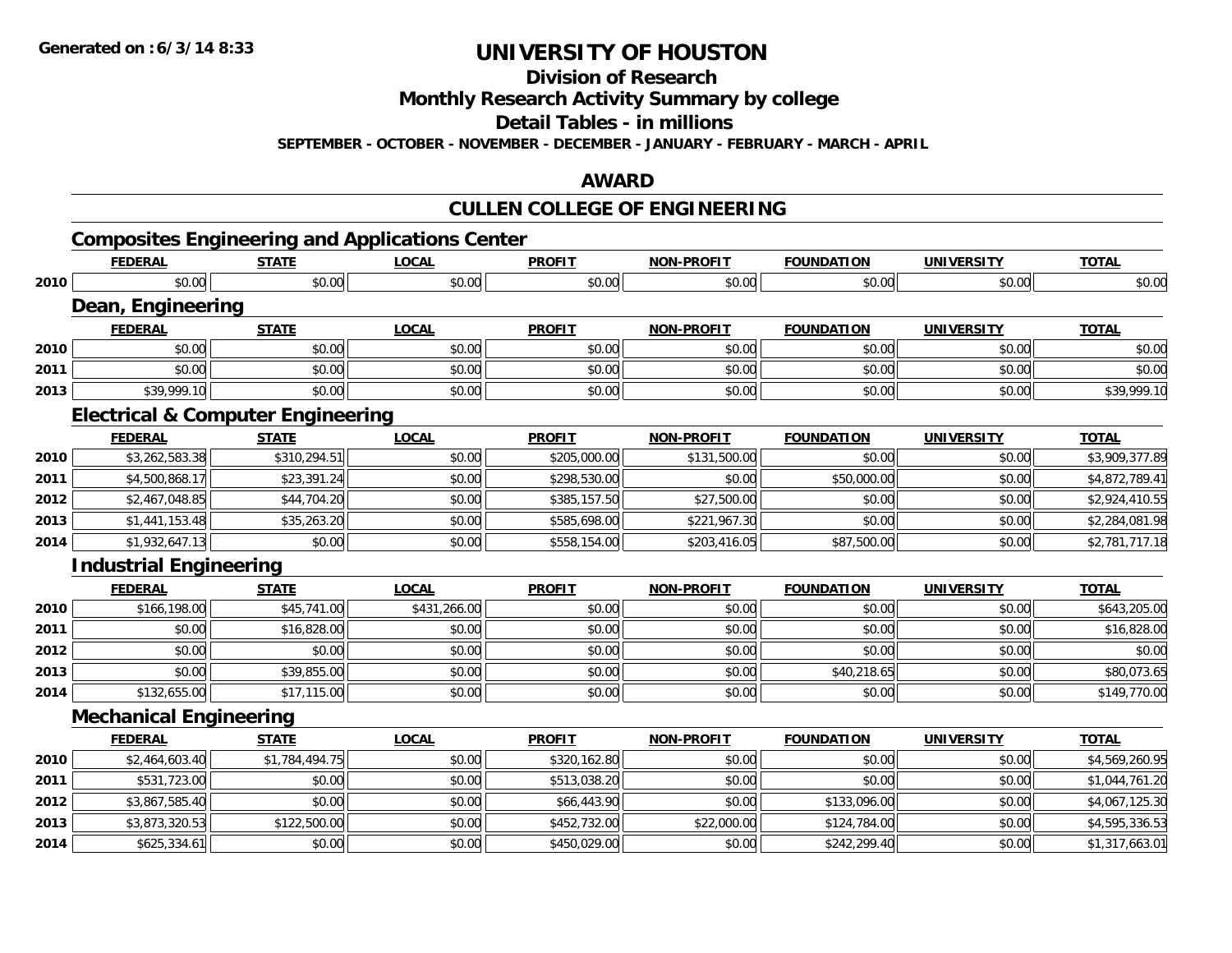**Division of Research**

**Monthly Research Activity Summary by college**

**Detail Tables - in millions**

**SEPTEMBER - OCTOBER - NOVEMBER - DECEMBER - JANUARY - FEBRUARY - MARCH - APRIL**

### **AWARD**

## **CULLEN COLLEGE OF ENGINEERING**

## **Composites Engineering and Applications Center**

|      | <b>FEDERAL</b>                               | <b>STATE</b>   | <b>LOCAL</b> | <b>PROFIT</b> | <b>NON-PROFIT</b> | <b>FOUNDATION</b> | <b>UNIVERSITY</b> | <b>TOTAL</b>   |
|------|----------------------------------------------|----------------|--------------|---------------|-------------------|-------------------|-------------------|----------------|
| 2010 | \$0.00                                       | \$0.00         | \$0.00       | \$0.00        | \$0.00            | \$0.00            | \$0.00            | \$0.00         |
|      | Dean, Engineering                            |                |              |               |                   |                   |                   |                |
|      | <b>FEDERAL</b>                               | <b>STATE</b>   | <b>LOCAL</b> | <b>PROFIT</b> | <b>NON-PROFIT</b> | <b>FOUNDATION</b> | <b>UNIVERSITY</b> | <b>TOTAL</b>   |
| 2010 | \$0.00                                       | \$0.00         | \$0.00       | \$0.00        | \$0.00            | \$0.00            | \$0.00            | \$0.00         |
| 2011 | \$0.00                                       | \$0.00         | \$0.00       | \$0.00        | \$0.00            | \$0.00            | \$0.00            | \$0.00         |
| 2013 | \$39,999.10                                  | \$0.00         | \$0.00       | \$0.00        | \$0.00            | \$0.00            | \$0.00            | \$39,999.10    |
|      | <b>Electrical &amp; Computer Engineering</b> |                |              |               |                   |                   |                   |                |
|      | <b>FEDERAL</b>                               | <b>STATE</b>   | <b>LOCAL</b> | <b>PROFIT</b> | <b>NON-PROFIT</b> | <b>FOUNDATION</b> | <b>UNIVERSITY</b> | <b>TOTAL</b>   |
| 2010 | \$3,262,583.38                               | \$310,294.51   | \$0.00       | \$205,000.00  | \$131,500.00      | \$0.00            | \$0.00            | \$3,909,377.89 |
| 2011 | \$4,500,868.17                               | \$23,391.24    | \$0.00       | \$298,530.00  | \$0.00            | \$50,000.00       | \$0.00            | \$4,872,789.41 |
| 2012 | \$2,467,048.85                               | \$44,704.20    | \$0.00       | \$385,157.50  | \$27,500.00       | \$0.00            | \$0.00            | \$2,924,410.55 |
| 2013 | \$1,441,153.48                               | \$35,263.20    | \$0.00       | \$585,698.00  | \$221,967.30      | \$0.00            | \$0.00            | \$2,284,081.98 |
| 2014 | \$1,932,647.13                               | \$0.00         | \$0.00       | \$558,154.00  | \$203,416.05      | \$87,500.00       | \$0.00            | \$2,781,717.18 |
|      | <b>Industrial Engineering</b>                |                |              |               |                   |                   |                   |                |
|      | <b>FEDERAL</b>                               | <b>STATE</b>   | <b>LOCAL</b> | <b>PROFIT</b> | <b>NON-PROFIT</b> | <b>FOUNDATION</b> | <b>UNIVERSITY</b> | <b>TOTAL</b>   |
| 2010 | \$166,198.00                                 | \$45,741.00    | \$431,266.00 | \$0.00        | \$0.00            | \$0.00            | \$0.00            | \$643,205.00   |
| 2011 | \$0.00                                       | \$16,828.00    | \$0.00       | \$0.00        | \$0.00            | \$0.00            | \$0.00            | \$16,828.00    |
| 2012 | \$0.00                                       | \$0.00         | \$0.00       | \$0.00        | \$0.00            | \$0.00            | \$0.00            | \$0.00         |
| 2013 | \$0.00                                       | \$39,855.00    | \$0.00       | \$0.00        | \$0.00            | \$40,218.65       | \$0.00            | \$80,073.65    |
| 2014 | \$132,655.00                                 | \$17,115.00    | \$0.00       | \$0.00        | \$0.00            | \$0.00            | \$0.00            | \$149,770.00   |
|      | <b>Mechanical Engineering</b>                |                |              |               |                   |                   |                   |                |
|      | <b>FEDERAL</b>                               | <b>STATE</b>   | <b>LOCAL</b> | <b>PROFIT</b> | <b>NON-PROFIT</b> | <b>FOUNDATION</b> | <b>UNIVERSITY</b> | <b>TOTAL</b>   |
| 2010 | \$2,464,603.40                               | \$1,784,494.75 | \$0.00       | \$320,162.80  | \$0.00            | \$0.00            | \$0.00            | \$4,569,260.95 |
| 2011 | \$531,723.00                                 | \$0.00         | \$0.00       | \$513,038.20  | \$0.00            | \$0.00            | \$0.00            | \$1,044,761.20 |
| 2012 | \$3,867,585.40                               | \$0.00         | \$0.00       | \$66,443.90   | \$0.00            | \$133,096.00      | \$0.00            | \$4,067,125.30 |
| 2013 | \$3,873,320.53                               | \$122,500.00   | \$0.00       | \$452,732.00  | \$22,000.00       | \$124,784.00      | \$0.00            | \$4,595,336.53 |
| 2014 | \$625,334.61                                 | \$0.00         | \$0.00       | \$450,029.00  | \$0.00            | \$242,299.40      | \$0.00            | \$1,317,663.01 |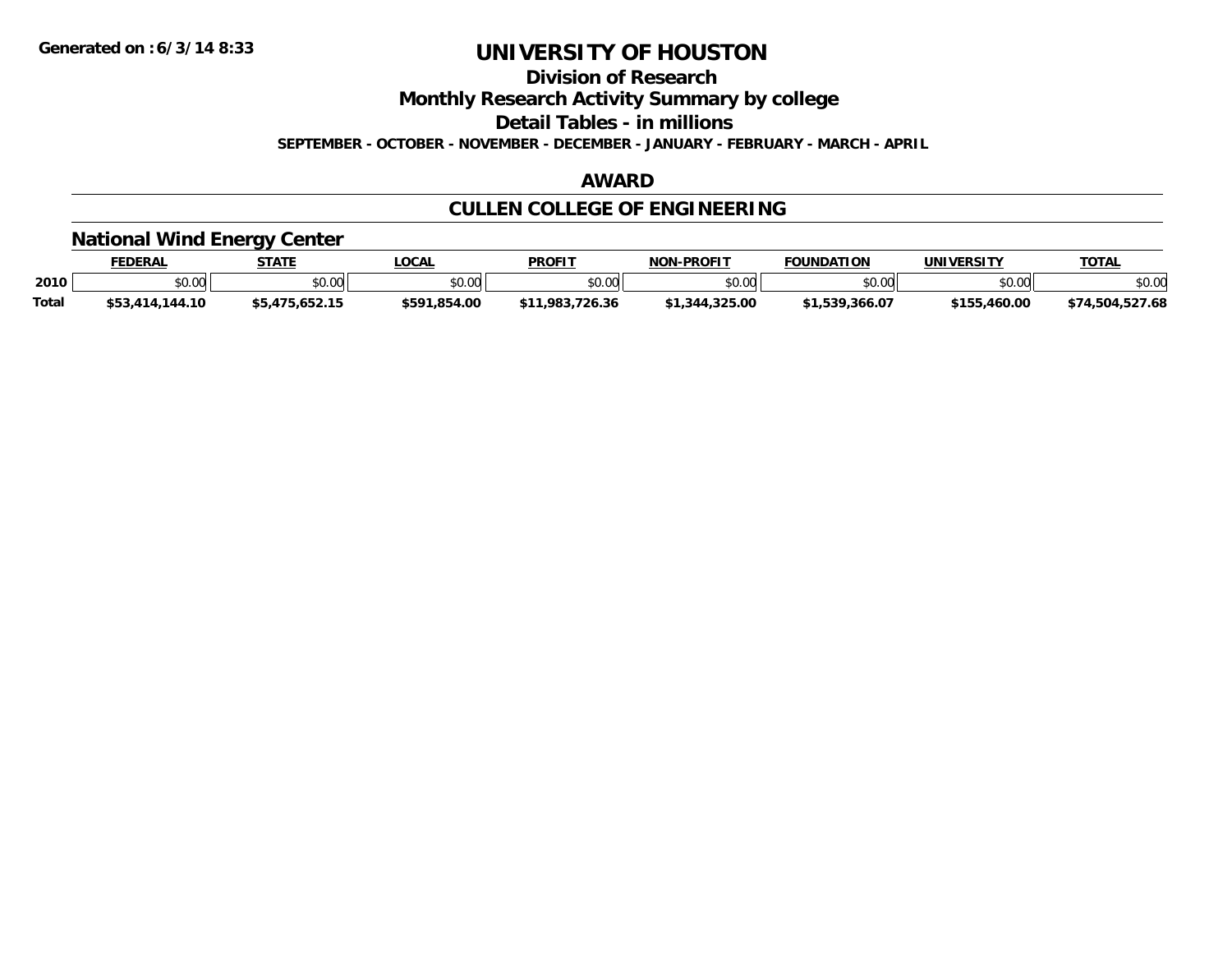**Division of Research**

**Monthly Research Activity Summary by college**

**Detail Tables - in millions**

**SEPTEMBER - OCTOBER - NOVEMBER - DECEMBER - JANUARY - FEBRUARY - MARCH - APRIL**

#### **AWARD**

## **CULLEN COLLEGE OF ENGINEERING**

### **National Wind Energy Center**

|              | <b>FEDERAL</b>  | <b>STATE</b>   | LOCAL        | <b>PROFIT</b>       | <b>NON-PROFIT</b> | <b>FOUNDATION</b> | UNIVERSITY   | <b>TOTAL</b>    |
|--------------|-----------------|----------------|--------------|---------------------|-------------------|-------------------|--------------|-----------------|
| 2010         | 0.00<br>JU.UU   | \$0.00         | \$0.00       | \$0.00              | \$0.00            | \$0.00            | \$0.00       | \$0.00          |
| <b>Total</b> | \$53,414,144.10 | \$5.475.652.15 | \$591.854.00 | 1,983,726.36<br>ሖ ብ | \$1,344,325.00    | 1,539,366.07ء     | \$155,460.00 | \$74,504,527.68 |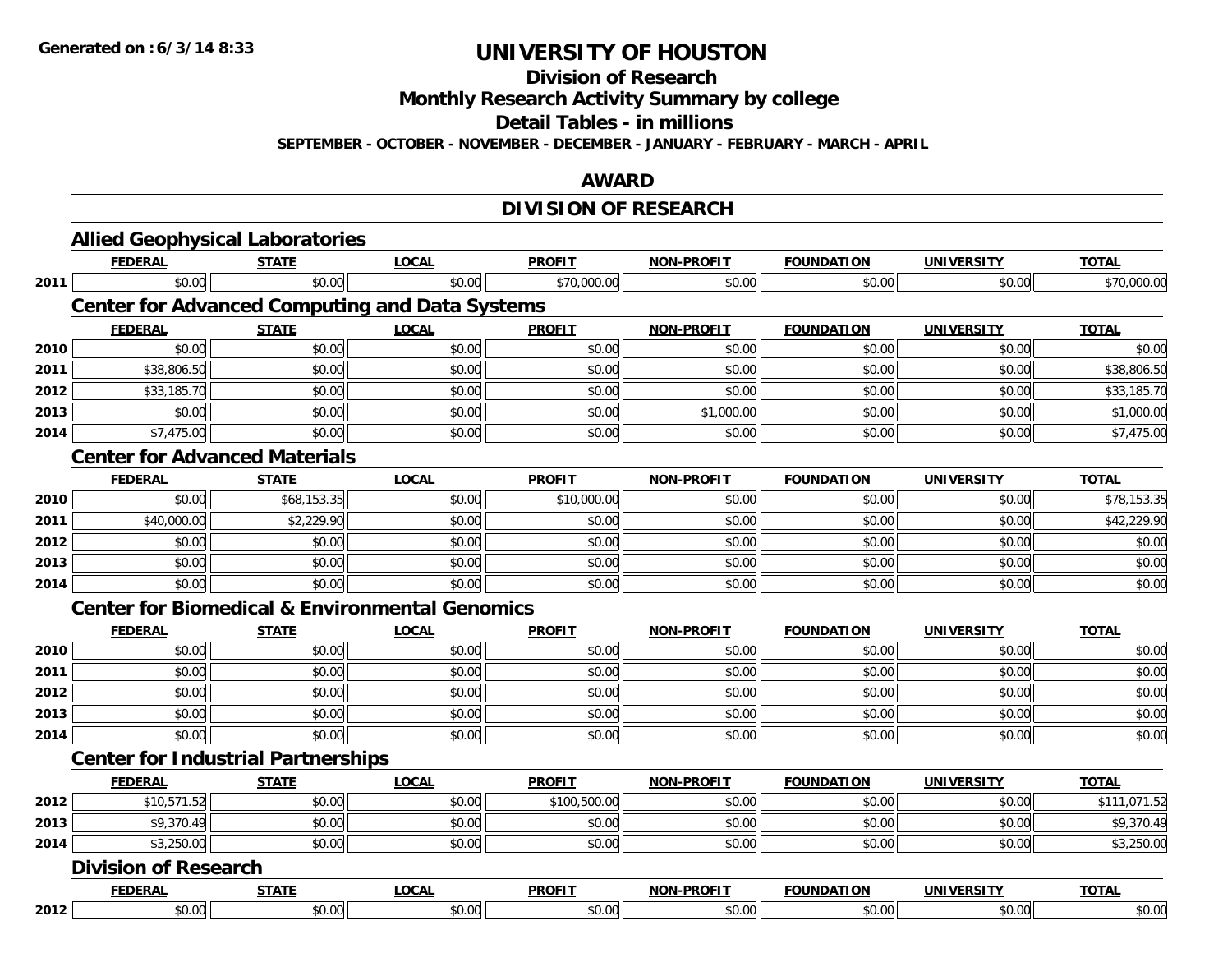**Division of Research**

**Monthly Research Activity Summary by college**

**Detail Tables - in millions**

**SEPTEMBER - OCTOBER - NOVEMBER - DECEMBER - JANUARY - FEBRUARY - MARCH - APRIL**

### **AWARD**

## **DIVISION OF RESEARCH**

|      | <b>Allied Geophysical Laboratories</b>                    |              |              |               |                   |                   |                   |              |
|------|-----------------------------------------------------------|--------------|--------------|---------------|-------------------|-------------------|-------------------|--------------|
|      | <b>FEDERAL</b>                                            | <b>STATE</b> | <b>LOCAL</b> | <b>PROFIT</b> | <b>NON-PROFIT</b> | <b>FOUNDATION</b> | <b>UNIVERSITY</b> | <b>TOTAL</b> |
| 2011 | \$0.00                                                    | \$0.00       | \$0.00       | \$70,000.00   | \$0.00            | \$0.00            | \$0.00            | \$70,000.00  |
|      | <b>Center for Advanced Computing and Data Systems</b>     |              |              |               |                   |                   |                   |              |
|      | <b>FEDERAL</b>                                            | <b>STATE</b> | <b>LOCAL</b> | <b>PROFIT</b> | <b>NON-PROFIT</b> | <b>FOUNDATION</b> | <b>UNIVERSITY</b> | <b>TOTAL</b> |
| 2010 | \$0.00                                                    | \$0.00       | \$0.00       | \$0.00        | \$0.00            | \$0.00            | \$0.00            | \$0.00       |
| 2011 | \$38,806.50                                               | \$0.00       | \$0.00       | \$0.00        | \$0.00            | \$0.00            | \$0.00            | \$38,806.50  |
| 2012 | \$33,185.70                                               | \$0.00       | \$0.00       | \$0.00        | \$0.00            | \$0.00            | \$0.00            | \$33,185.70  |
| 2013 | \$0.00                                                    | \$0.00       | \$0.00       | \$0.00        | \$1,000.00        | \$0.00            | \$0.00            | \$1,000.00   |
| 2014 | \$7,475.00                                                | \$0.00       | \$0.00       | \$0.00        | \$0.00            | \$0.00            | \$0.00            | \$7,475.00   |
|      | <b>Center for Advanced Materials</b>                      |              |              |               |                   |                   |                   |              |
|      | <b>FEDERAL</b>                                            | <b>STATE</b> | <b>LOCAL</b> | <b>PROFIT</b> | <b>NON-PROFIT</b> | <b>FOUNDATION</b> | <b>UNIVERSITY</b> | <b>TOTAL</b> |
| 2010 | \$0.00                                                    | \$68,153.35  | \$0.00       | \$10,000.00   | \$0.00            | \$0.00            | \$0.00            | \$78,153.35  |
| 2011 | \$40,000.00                                               | \$2,229.90   | \$0.00       | \$0.00        | \$0.00            | \$0.00            | \$0.00            | \$42,229.90  |
| 2012 | \$0.00                                                    | \$0.00       | \$0.00       | \$0.00        | \$0.00            | \$0.00            | \$0.00            | \$0.00       |
| 2013 | \$0.00                                                    | \$0.00       | \$0.00       | \$0.00        | \$0.00            | \$0.00            | \$0.00            | \$0.00       |
| 2014 | \$0.00                                                    | \$0.00       | \$0.00       | \$0.00        | \$0.00            | \$0.00            | \$0.00            | \$0.00       |
|      | <b>Center for Biomedical &amp; Environmental Genomics</b> |              |              |               |                   |                   |                   |              |
|      | <b>FEDERAL</b>                                            | <b>STATE</b> | <b>LOCAL</b> | <b>PROFIT</b> | <b>NON-PROFIT</b> | <b>FOUNDATION</b> | <b>UNIVERSITY</b> | <b>TOTAL</b> |
| 2010 | \$0.00                                                    | \$0.00       | \$0.00       | \$0.00        | \$0.00            | \$0.00            | \$0.00            | \$0.00       |
| 2011 | \$0.00                                                    | \$0.00       | \$0.00       | \$0.00        | \$0.00            | \$0.00            | \$0.00            | \$0.00       |
| 2012 | \$0.00                                                    | \$0.00       | \$0.00       | \$0.00        | \$0.00            | \$0.00            | \$0.00            | \$0.00       |
| 2013 | \$0.00                                                    | \$0.00       | \$0.00       | \$0.00        | \$0.00            | \$0.00            | \$0.00            | \$0.00       |
| 2014 | \$0.00                                                    | \$0.00       | \$0.00       | \$0.00        | \$0.00            | \$0.00            | \$0.00            | \$0.00       |
|      | <b>Center for Industrial Partnerships</b>                 |              |              |               |                   |                   |                   |              |
|      | <b>FEDERAL</b>                                            | <b>STATE</b> | <b>LOCAL</b> | <b>PROFIT</b> | <b>NON-PROFIT</b> | <b>FOUNDATION</b> | <b>UNIVERSITY</b> | <b>TOTAL</b> |
| 2012 | \$10,571.52                                               | \$0.00       | \$0.00       | \$100,500.00  | \$0.00            | \$0.00            | \$0.00            | \$111,071.52 |
| 2013 | \$9,370.49                                                | \$0.00       | \$0.00       | \$0.00        | \$0.00            | \$0.00            | \$0.00            | \$9,370.49   |
| 2014 | \$3,250.00                                                | \$0.00       | \$0.00       | \$0.00        | \$0.00            | \$0.00            | \$0.00            | \$3,250.00   |
|      | <b>Division of Research</b>                               |              |              |               |                   |                   |                   |              |
|      | <b>FEDERAL</b>                                            | <b>STATE</b> | <b>LOCAL</b> | <b>PROFIT</b> | <b>NON-PROFIT</b> | <b>FOUNDATION</b> | <b>UNIVERSITY</b> | <b>TOTAL</b> |
| 2012 | \$0.00                                                    | \$0.00       | \$0.00       | \$0.00        | \$0.00            | \$0.00            | \$0.00            | \$0.00       |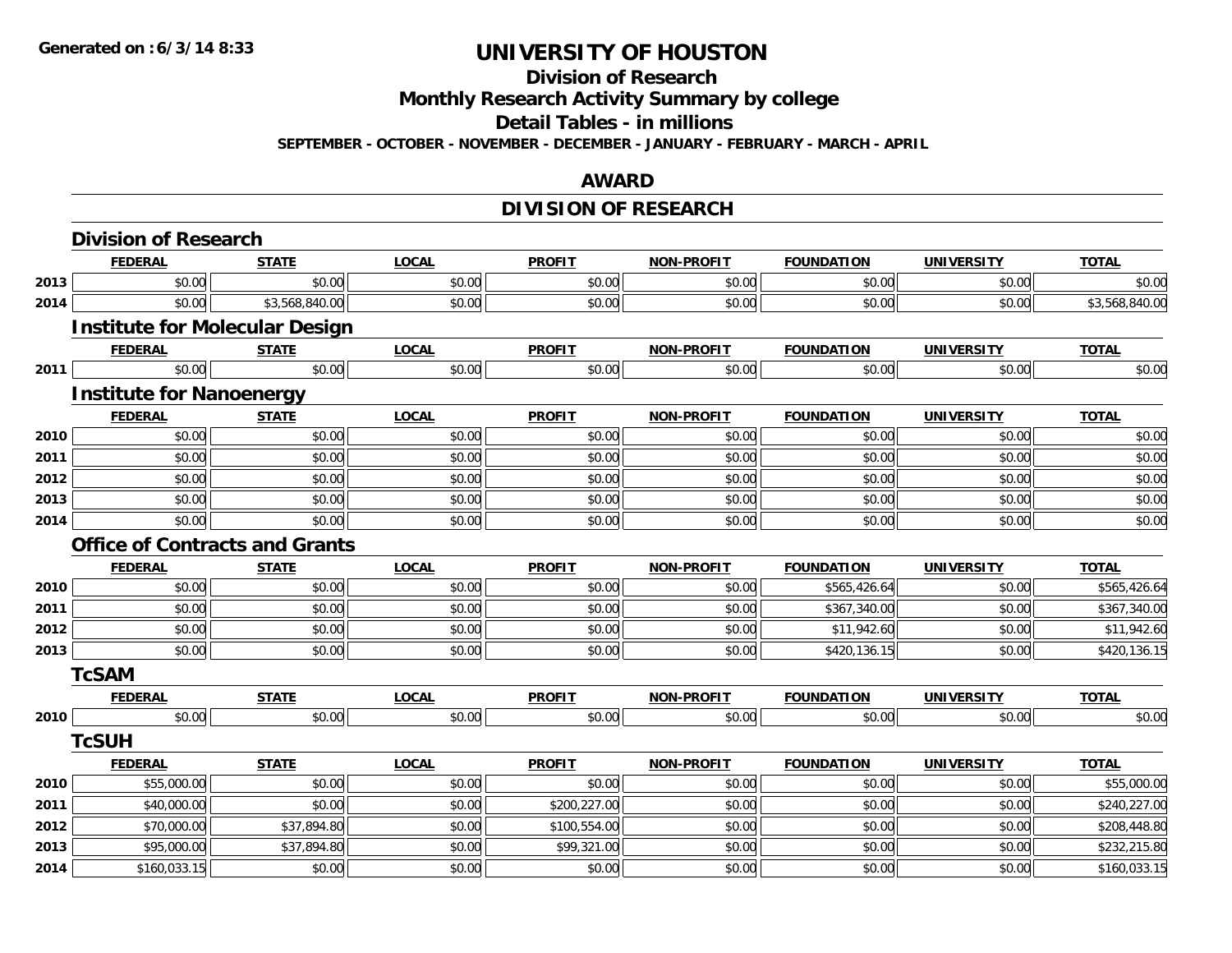**Division of Research**

**Monthly Research Activity Summary by college**

**Detail Tables - in millions**

**SEPTEMBER - OCTOBER - NOVEMBER - DECEMBER - JANUARY - FEBRUARY - MARCH - APRIL**

### **AWARD**

## **DIVISION OF RESEARCH**

|      | <b>Division of Research</b>           |                |              |               |                   |                   |                   |                |
|------|---------------------------------------|----------------|--------------|---------------|-------------------|-------------------|-------------------|----------------|
|      | <b>FEDERAL</b>                        | <b>STATE</b>   | <b>LOCAL</b> | <b>PROFIT</b> | <b>NON-PROFIT</b> | <b>FOUNDATION</b> | <b>UNIVERSITY</b> | <b>TOTAL</b>   |
| 2013 | \$0.00                                | \$0.00         | \$0.00       | \$0.00        | \$0.00            | \$0.00            | \$0.00            | \$0.00         |
| 2014 | \$0.00                                | \$3,568,840.00 | \$0.00       | \$0.00        | \$0.00            | \$0.00            | \$0.00            | \$3,568,840.00 |
|      | <b>Institute for Molecular Design</b> |                |              |               |                   |                   |                   |                |
|      | <b>FEDERAL</b>                        | <b>STATE</b>   | <b>LOCAL</b> | <b>PROFIT</b> | <b>NON-PROFIT</b> | <b>FOUNDATION</b> | <b>UNIVERSITY</b> | <b>TOTAL</b>   |
| 2011 | \$0.00                                | \$0.00         | \$0.00       | \$0.00        | \$0.00            | \$0.00            | \$0.00            | \$0.00         |
|      | <b>Institute for Nanoenergy</b>       |                |              |               |                   |                   |                   |                |
|      | <b>FEDERAL</b>                        | <b>STATE</b>   | <b>LOCAL</b> | <b>PROFIT</b> | <b>NON-PROFIT</b> | <b>FOUNDATION</b> | <b>UNIVERSITY</b> | <b>TOTAL</b>   |
| 2010 | \$0.00                                | \$0.00         | \$0.00       | \$0.00        | \$0.00            | \$0.00            | \$0.00            | \$0.00         |
| 2011 | \$0.00                                | \$0.00         | \$0.00       | \$0.00        | \$0.00            | \$0.00            | \$0.00            | \$0.00         |
| 2012 | \$0.00                                | \$0.00         | \$0.00       | \$0.00        | \$0.00            | \$0.00            | \$0.00            | \$0.00         |
| 2013 | \$0.00                                | \$0.00         | \$0.00       | \$0.00        | \$0.00            | \$0.00            | \$0.00            | \$0.00         |
| 2014 | \$0.00                                | \$0.00         | \$0.00       | \$0.00        | \$0.00            | \$0.00            | \$0.00            | \$0.00         |
|      | <b>Office of Contracts and Grants</b> |                |              |               |                   |                   |                   |                |
|      | <b>FEDERAL</b>                        | <b>STATE</b>   | <b>LOCAL</b> | <b>PROFIT</b> | <b>NON-PROFIT</b> | <b>FOUNDATION</b> | <b>UNIVERSITY</b> | <b>TOTAL</b>   |
| 2010 | \$0.00                                | \$0.00         | \$0.00       | \$0.00        | \$0.00            | \$565,426.64      | \$0.00            | \$565,426.64   |
| 2011 | \$0.00                                | \$0.00         | \$0.00       | \$0.00        | \$0.00            | \$367,340.00      | \$0.00            | \$367,340.00   |
| 2012 | \$0.00                                | \$0.00         | \$0.00       | \$0.00        | \$0.00            | \$11,942.60       | \$0.00            | \$11,942.60    |
| 2013 | \$0.00                                | \$0.00         | \$0.00       | \$0.00        | \$0.00            | \$420,136.15      | \$0.00            | \$420,136.15   |
|      | <b>TcSAM</b>                          |                |              |               |                   |                   |                   |                |
|      | <b>FEDERAL</b>                        | <b>STATE</b>   | <b>LOCAL</b> | <b>PROFIT</b> | <b>NON-PROFIT</b> | <b>FOUNDATION</b> | <b>UNIVERSITY</b> | <b>TOTAL</b>   |
| 2010 | \$0.00                                | \$0.00         | \$0.00       | \$0.00        | \$0.00            | \$0.00            | \$0.00            | \$0.00         |
|      | <b>TcSUH</b>                          |                |              |               |                   |                   |                   |                |
|      | <b>FEDERAL</b>                        | <b>STATE</b>   | <b>LOCAL</b> | <b>PROFIT</b> | <b>NON-PROFIT</b> | <b>FOUNDATION</b> | <b>UNIVERSITY</b> | <b>TOTAL</b>   |
| 2010 | \$55,000.00                           | \$0.00         | \$0.00       | \$0.00        | \$0.00            | \$0.00            | \$0.00            | \$55,000.00    |
| 2011 | \$40,000.00                           | \$0.00         | \$0.00       | \$200,227.00  | \$0.00            | \$0.00            | \$0.00            | \$240,227.00   |
| 2012 | \$70,000.00                           | \$37,894.80    | \$0.00       | \$100,554.00  | \$0.00            | \$0.00            | \$0.00            | \$208,448.80   |
| 2013 | \$95,000.00                           | \$37,894.80    | \$0.00       | \$99,321.00   | \$0.00            | \$0.00            | \$0.00            | \$232,215.80   |
| 2014 | \$160,033.15                          | \$0.00         | \$0.00       | \$0.00        | \$0.00            | \$0.00            | \$0.00            | \$160,033.15   |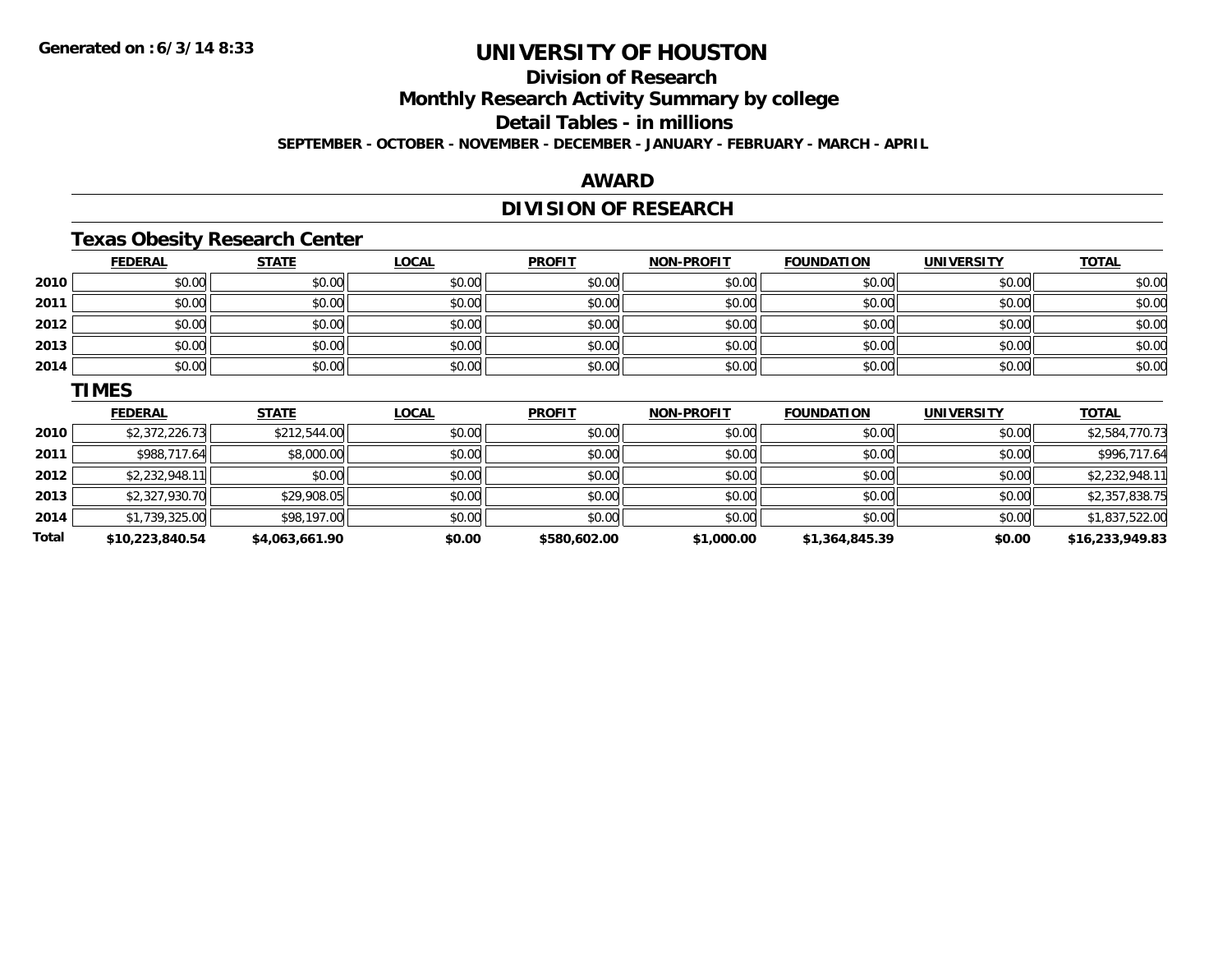**Division of Research**

**Monthly Research Activity Summary by college**

**Detail Tables - in millions**

**SEPTEMBER - OCTOBER - NOVEMBER - DECEMBER - JANUARY - FEBRUARY - MARCH - APRIL**

### **AWARD**

## **DIVISION OF RESEARCH**

## **Texas Obesity Research Center**

|       | <b>FEDERAL</b> | <b>STATE</b> | <b>LOCAL</b> | <b>PROFIT</b> | <b>NON-PROFIT</b> | <b>FOUNDATION</b> | <b>UNIVERSITY</b> | <b>TOTAL</b>          |
|-------|----------------|--------------|--------------|---------------|-------------------|-------------------|-------------------|-----------------------|
| 2010  | \$0.00         | \$0.00       | \$0.00       | \$0.00        | \$0.00            | \$0.00            | \$0.00            | \$0.00                |
| 2011  | \$0.00         | \$0.00       | \$0.00       | \$0.00        | \$0.00            | \$0.00            | \$0.00            | \$0.00                |
| 2012  | \$0.00         | \$0.00       | \$0.00       | \$0.00        | \$0.00            | \$0.00            | \$0.00            | \$0.00                |
| 2013  | \$0.00         | \$0.00       | \$0.00       | \$0.00        | \$0.00            | \$0.00            | \$0.00            | \$0.00                |
| 2014  | \$0.00         | \$0.00       | \$0.00       | \$0.00        | \$0.00            | \$0.00            | \$0.00            | \$0.00                |
|       | <b>TIMES</b>   |              |              |               |                   |                   |                   |                       |
|       | <b>FEDERAL</b> | <b>STATE</b> | <b>LOCAL</b> | <b>PROFIT</b> | <b>NON-PROFIT</b> | <b>FOUNDATION</b> | <b>UNIVERSITY</b> | <b>TOTAL</b>          |
| 2010- | 37222673       | \$2125410    | \$0.00       | ≮∩ ∩∩l        | ≮∩ ∩∩             | ≮n nn∥            | \$0.00            | <b>\$2.584.770.73</b> |

| Total | \$10,223,840.54 | \$4,063,661.90 | \$0.00 | \$580,602.00 | \$1,000.00 | \$1,364,845.39 | \$0.00 | \$16,233,949.83 |
|-------|-----------------|----------------|--------|--------------|------------|----------------|--------|-----------------|
| 2014  | \$1,739,325.00  | \$98,197.00    | \$0.00 | \$0.00       | \$0.00     | \$0.00         | \$0.00 | \$1,837,522.00  |
| 2013  | \$2,327,930.70  | \$29,908.05    | \$0.00 | \$0.00       | \$0.00     | \$0.00         | \$0.00 | \$2,357,838.75  |
| 2012  | \$2,232,948.11  | \$0.00         | \$0.00 | \$0.00       | \$0.00     | \$0.00         | \$0.00 | \$2,232,948.11  |
| 2011  | \$988,717.64    | \$8,000.00     | \$0.00 | \$0.00       | \$0.00     | \$0.00         | \$0.00 | \$996,717.64    |
| 2010  | \$2,372,226.73  | \$212,544.00   | \$0.00 | \$0.00       | \$0.00     | \$0.00         | \$0.00 | \$2,584,770.73  |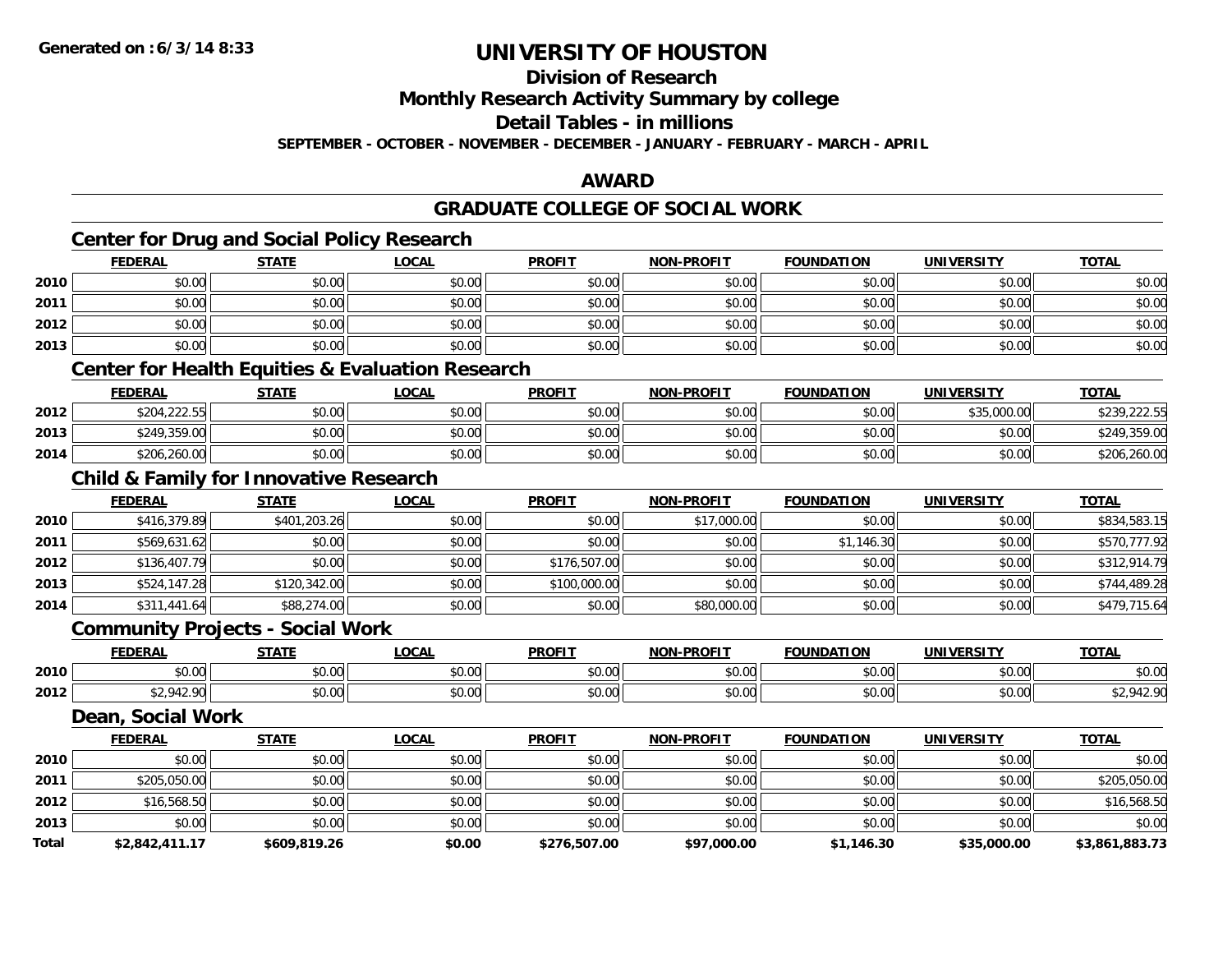**Total**

## **UNIVERSITY OF HOUSTON**

**Division of Research**

**Monthly Research Activity Summary by college**

**Detail Tables - in millions**

**SEPTEMBER - OCTOBER - NOVEMBER - DECEMBER - JANUARY - FEBRUARY - MARCH - APRIL**

#### **AWARD**

**TOTAL** 

**TOTAL** 

**TOTAL** 

#### **GRADUATE COLLEGE OF SOCIAL WORKCenter for Drug and Social Policy Research FEDERAL STATE LOCAL PROFIT NON-PROFIT FOUNDATION UNIVERSITY TOTAL2010** $\, \mathsf{D} \, | \,$   $\qquad \qquad \mathsf{80.00} | \,$   $\qquad \qquad \mathsf{80.00} | \,$   $\qquad \qquad \mathsf{80.00} | \,$   $\qquad \qquad \mathsf{80.00} | \,$   $\qquad \qquad \mathsf{80.00} | \,$   $\qquad \qquad \mathsf{80.00} | \,$   $\qquad \qquad \mathsf{80.00} | \,$ **2011** \$0.00 \$0.00 \$0.00 \$0.00 \$0.00 \$0.00 \$0.00 \$0.00 **2012**2 | \$0.00 \$0.00 \$0.00 \$0.00 \$0.00 \$0.00 \$0.00 \$0.00 \$0.00 \$0.00 \$0.00 \$0.00 \$0.00 \$0.00 \$0.00 \$0.00 \$0.00 \$0.0 **2013** \$0.00 \$0.00 \$0.00 \$0.00 \$0.00 \$0.00 \$0.00 \$0.00 **Center for Health Equities & Evaluation Research FEDERAL STATE LOCAL PROFIT NON-PROFIT FOUNDATION UNIVERSITY TOTAL2012** \$204,222.55 \$0.00 \$0.00 \$0.00 \$0.00 \$0.00 \$35,000.00 \$239,222.55 **2013** \$249,359.00 \$0.00 \$0.00 \$0.00 \$0.00 \$0.00 \$0.00 \$249,359.00 **2014**4 \$206,260.00|| \$0.00|| \$0.00|| \$0.00|| \$0.00|| \$0.00|| \$0.00|| \$206,260.00 **Child & Family for Innovative Research FEDERAL STATE LOCAL PROFIT NON-PROFIT FOUNDATION UNIVERSITY TOTAL20100** \$416,379.89 \$401,203.26 \$401,203.26 \$0.00 \$0.00 \$0.00 \$0.00 \$17,000.00 \$17,000.00 \$0.00 \$0.00 \$0.00 \$834,583.15 **2011**.1 \$569,631.62 \$0.00 \$0.00 \$0.00 \$0.00 \$0.00 \$0.00 \$0.00 \$0.00 \$0.00 \$1,146.30 \$1,146.30 \$0.00 \$570,777.92 **2012** \$136,407.79 \$0.00 \$0.00 \$176,507.00 \$0.00 \$0.00 \$0.00 \$312,914.79 **2013** \$524,147.28 \$120,342.00 \$0.00 \$100,000.00 \$0.00 \$0.00 \$0.00 \$744,489.28 **2014**4 \$311,441.64|| \$88,274.00|| \$0.00|| \$0.00|| \$80,000.00|| \$80,000.00|| \$0.00|| \$0.00|| \$479,715.64 **Community Projects - Social Work FEDERAL STATE LOCAL PROFIT NON-PROFIT FOUNDATION UNIVERSITY TOTAL2010**0 \$0.00 \$0.00 \$0.00 \$0.00 \$0.00 \$0.00 \$0.00 \$0.00 \$0.00 \$0.00 \$0.00 \$0.00 \$0.00 \$0.00 \$0.00 \$0.00 \$0.00 \$0.00 **2012**2 | \$2,942.90| \$0.00| \$0.00| \$0.00| \$0.00| \$0.00| \$0.00| \$0.00| \$0.00| \$0.00| \$2,942.90 **Dean, Social Work FEDERAL STATE LOCAL PROFIT NON-PROFIT FOUNDATION UNIVERSITY TOTAL2010**0 \$0.00 \$0.00 \$0.00 \$0.00 \$0.00 \$0.00 \$0.00 \$0.00 \$0.00 \$0.00 \$0.00 \$0.00 \$0.00 \$0.00 \$0.00 \$0.00 \$0.00 \$0.00 **2011**1 \$205,050.00 \$0.00 \$0.00 \$0.00 \$0.00 \$0.00 \$0.00 \$0.00 \$0.00 \$0.00 \$0.00 \$0.00 \$0.00 \$0.00 \$205,050.00 **2012**2 \$16,568.50 \$0.00 \$0.00 \$0.00 \$0.00 \$0.00 \$0.00 \$0.00 \$0.00 \$0.00 \$0.00 \$16,568.50 **2013** $\textbf{3} \mid \textbf{3} \mid \textbf{5} \mid \textbf{5} \mid \textbf{6} \mid \textbf{7} \mid \textbf{8} \mid \textbf{1} \mid \textbf{1} \mid \textbf{1} \mid \textbf{1} \mid \textbf{1} \mid \textbf{1} \mid \textbf{1} \mid \textbf{1} \mid \textbf{1} \mid \textbf{1} \mid \textbf{1} \mid \textbf{1} \mid \textbf{1} \mid \textbf{1} \mid \textbf{1} \mid \textbf{1} \mid \textbf{1} \mid \textbf{1} \mid \textbf{1} \mid \textbf{1} \mid \textbf{$

**\$2,842,411.17 \$609,819.26 \$0.00 \$276,507.00 \$97,000.00 \$1,146.30 \$35,000.00 \$3,861,883.73**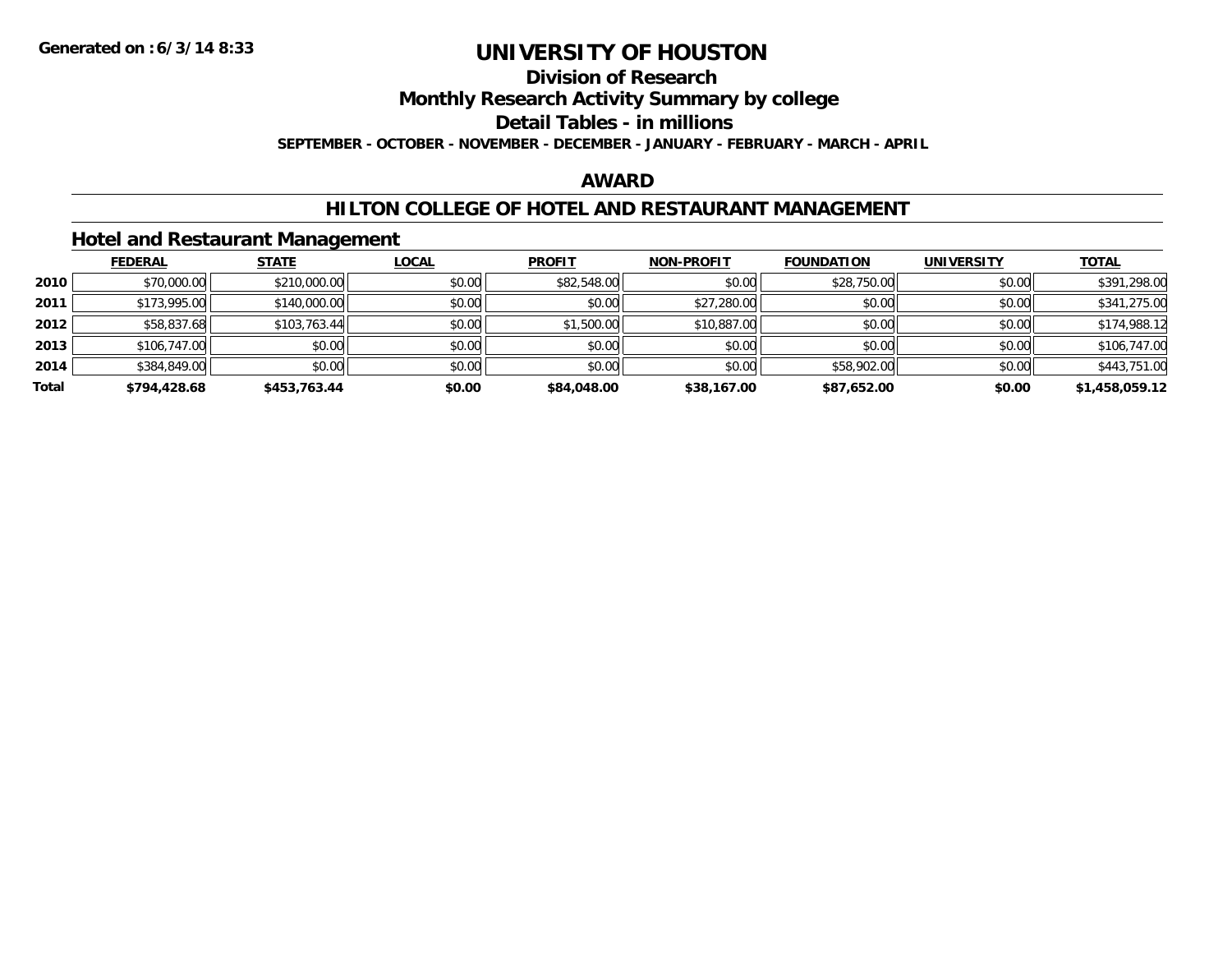## **Division of Research**

**Monthly Research Activity Summary by college**

**Detail Tables - in millions**

**SEPTEMBER - OCTOBER - NOVEMBER - DECEMBER - JANUARY - FEBRUARY - MARCH - APRIL**

### **AWARD**

### **HILTON COLLEGE OF HOTEL AND RESTAURANT MANAGEMENT**

### **Hotel and Restaurant Management**

|       | <b>FEDERAL</b> | <b>STATE</b> | <u>LOCAL</u> | <b>PROFIT</b> | <b>NON-PROFIT</b> | <b>FOUNDATION</b> | <b>UNIVERSITY</b> | <b>TOTAL</b>   |
|-------|----------------|--------------|--------------|---------------|-------------------|-------------------|-------------------|----------------|
| 2010  | \$70,000.00    | \$210,000.00 | \$0.00       | \$82,548.00   | \$0.00            | \$28,750.00       | \$0.00            | \$391,298.00   |
| 2011  | \$173,995.00   | \$140,000.00 | \$0.00       | \$0.00        | \$27,280.00       | \$0.00            | \$0.00            | \$341,275.00   |
| 2012  | \$58,837.68    | \$103,763.44 | \$0.00       | \$1,500.00    | \$10,887.00       | \$0.00            | \$0.00            | \$174,988.12   |
| 2013  | \$106,747.00   | \$0.00       | \$0.00       | \$0.00        | \$0.00            | \$0.00            | \$0.00            | \$106,747.00   |
| 2014  | \$384,849.00   | \$0.00       | \$0.00       | \$0.00        | \$0.00            | \$58,902.00       | \$0.00            | \$443,751.00   |
| Total | \$794,428.68   | \$453.763.44 | \$0.00       | \$84,048,00   | \$38,167.00       | \$87,652.00       | \$0.00            | \$1,458,059.12 |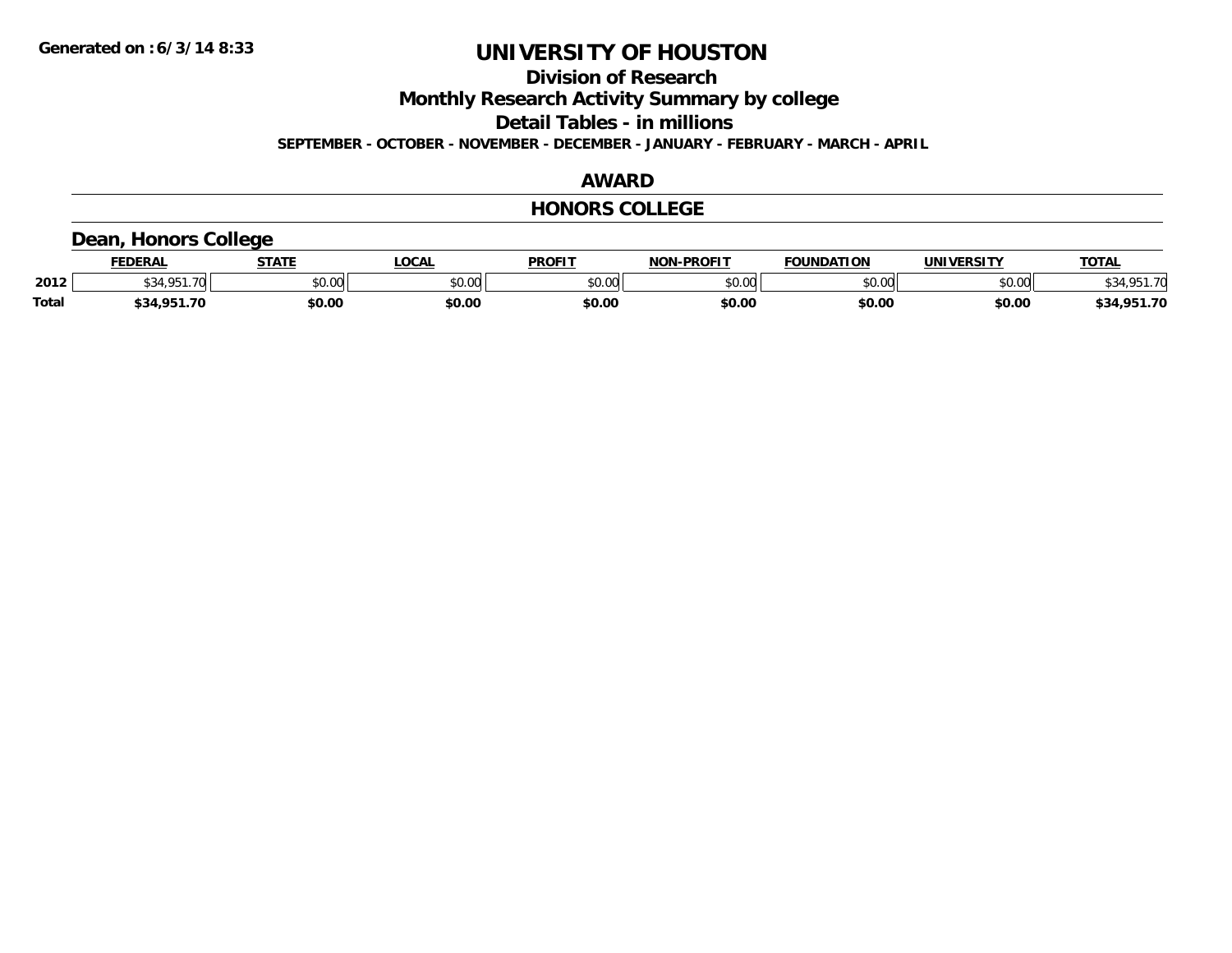**Division of Research**

**Monthly Research Activity Summary by college**

**Detail Tables - in millions**

**SEPTEMBER - OCTOBER - NOVEMBER - DECEMBER - JANUARY - FEBRUARY - MARCH - APRIL**

### **AWARD**

### **HONORS COLLEGE**

### **Dean, Honors College**

|              | <b>FEDERAL</b>           | <b>STATE</b> | <b>_OCAL</b>  | <b>PROFIT</b> | <b>NON-PROFIT</b> | <b>FOUNDATION</b> | <b>UNIVERSITY</b> | TOTA.                  |
|--------------|--------------------------|--------------|---------------|---------------|-------------------|-------------------|-------------------|------------------------|
| 2012         | $\overline{\phantom{a}}$ | \$0.00       | 0000<br>DU.UU | \$0.00        | 0000<br>JU.UU     | \$0.00            | \$0.00            | 0.51.70<br>\$34,901.70 |
| <b>Total</b> | .951.70<br>\$34          | \$0.00       | \$0.00        | \$0.00        | \$0.00            | \$0.00            | \$0.00            | ,951.70<br>\$34        |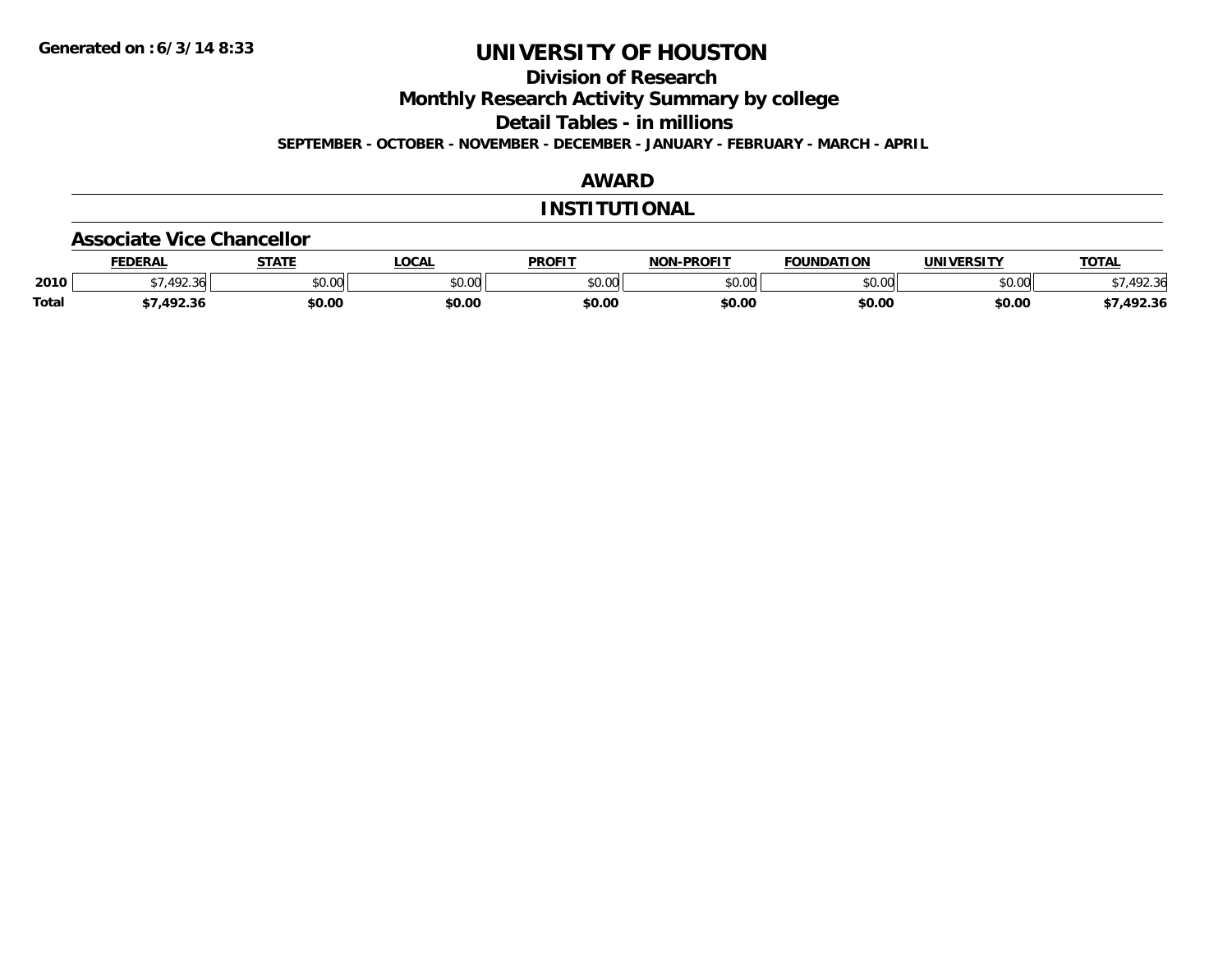**Division of Research**

**Monthly Research Activity Summary by college**

**Detail Tables - in millions**

**SEPTEMBER - OCTOBER - NOVEMBER - DECEMBER - JANUARY - FEBRUARY - MARCH - APRIL**

## **AWARD**

### **INSTITUTIONAL**

#### **Associate Vice Chancellor**

|              | <b>FEDERAL</b> | CTATE<br>"מ | _OCAL         | <b>PROFIT</b> | <b>NON-PROFIT</b> | <b>FOUNDATION</b>              | UNIVERSITY     | TOTA.            |
|--------------|----------------|-------------|---------------|---------------|-------------------|--------------------------------|----------------|------------------|
| 2010         | $\sqrt{2}$     | \$0.00      | 0000<br>DU.UU | \$0.00        | 0000<br>JU.UU     | $\circ$ $\circ$ $\circ$<br>,uu | eu uu<br>DU.UU | 102.21<br>.42.30 |
| <b>Total</b> | 102.2<br>92.SI | \$0.00      | \$0.00        | \$0.00        | \$0.00            | \$0.00                         | \$0.00         | 492.36           |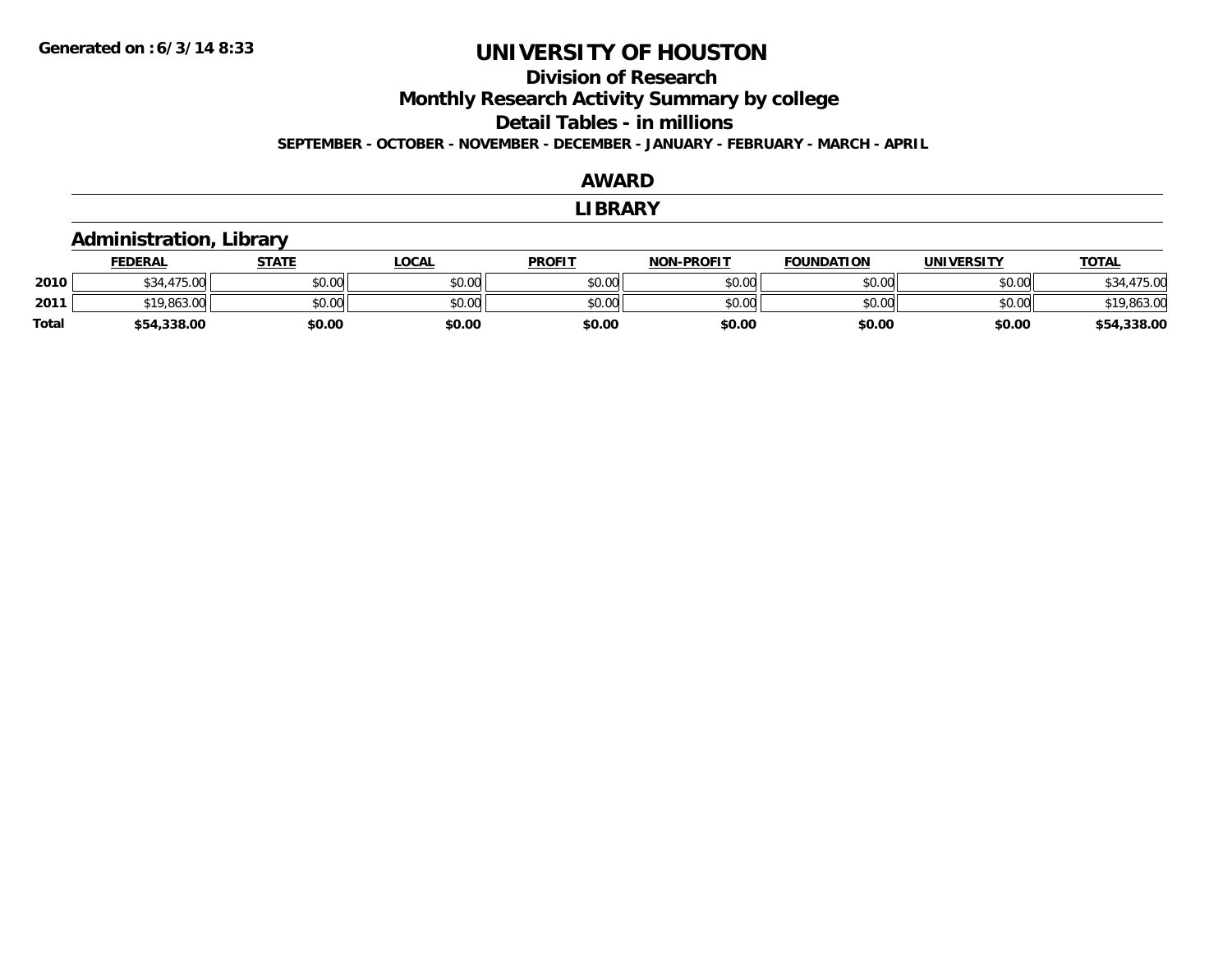## **Division of Research**

**Monthly Research Activity Summary by college**

**Detail Tables - in millions**

**SEPTEMBER - OCTOBER - NOVEMBER - DECEMBER - JANUARY - FEBRUARY - MARCH - APRIL**

### **AWARD**

#### **LIBRARY**

## **Administration, Library**

|              | <b>FEDERAL</b>          | STATE  | LOCAL  | <b>PROFIT</b> | <b>NON-PROFIT</b> | <b>FOUNDATION</b> | UNIVERSITY | <b>TOTAL</b>     |
|--------------|-------------------------|--------|--------|---------------|-------------------|-------------------|------------|------------------|
| 2010         | 17500<br>75.UU<br>D. 34 | \$0.00 | \$0.00 | \$0.00        | \$0.00            | \$0.00            | \$0.00     | 475.00<br>\$34.4 |
| 2011         | $*19,863.00$            | \$0.00 | \$0.00 | \$0.00        | \$0.00            | \$0.00            | \$0.00     | \$19,863.00      |
| <b>Total</b> | \$54,338.00             | \$0.00 | \$0.00 | \$0.00        | \$0.00            | \$0.00            | \$0.00     | .338.00<br>\$54  |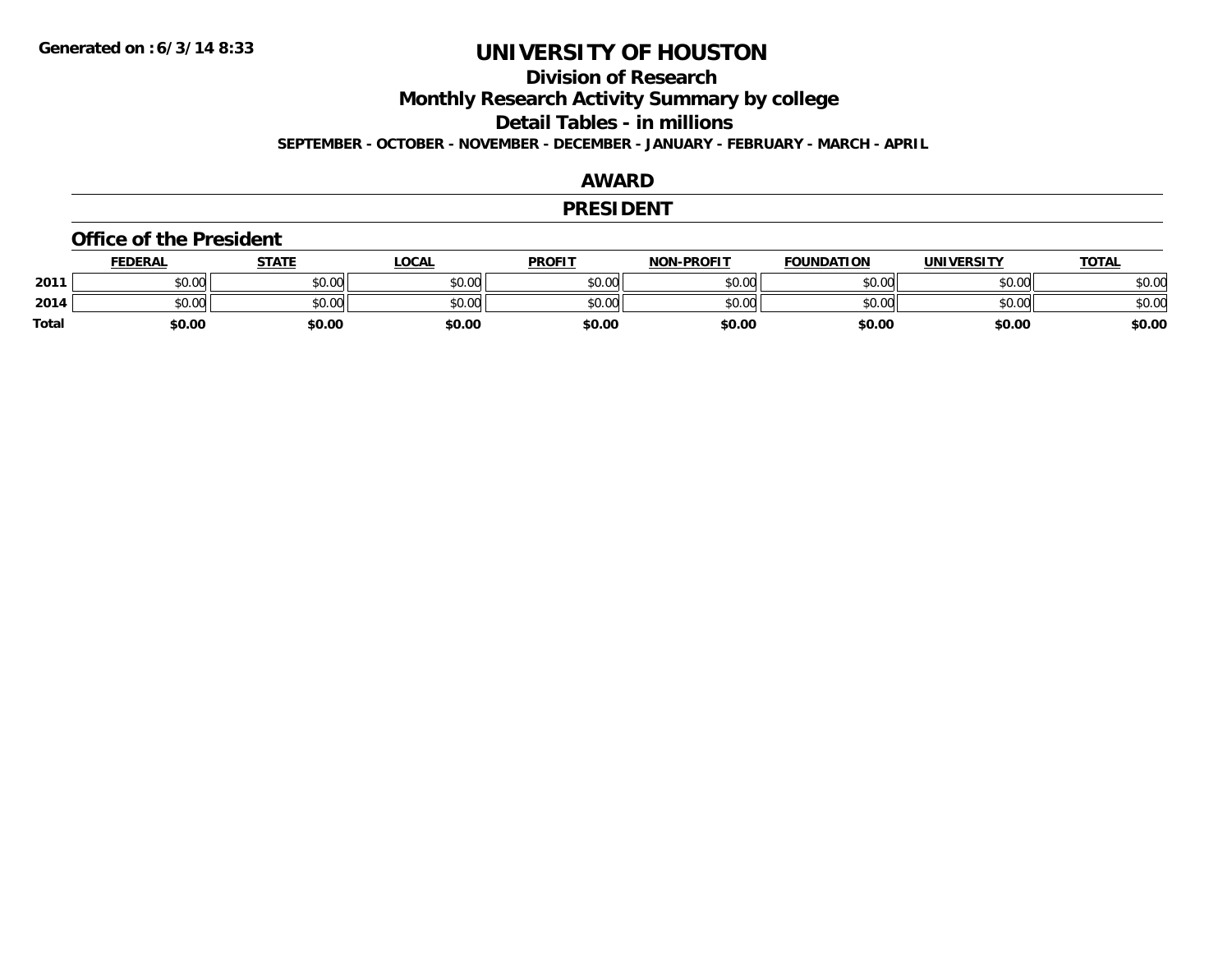## **Division of Research**

**Monthly Research Activity Summary by college**

**Detail Tables - in millions**

**SEPTEMBER - OCTOBER - NOVEMBER - DECEMBER - JANUARY - FEBRUARY - MARCH - APRIL**

#### **AWARD**

#### **PRESIDENT**

#### **Office of the President**

|              | <b>FEDERAL</b> | <b>STATE</b> | LOCAL  | <b>PROFIT</b> | <b>NON-PROFIT</b> | <b>FOUNDATION</b> | UNIVERSITY | <b>TOTAL</b> |
|--------------|----------------|--------------|--------|---------------|-------------------|-------------------|------------|--------------|
| 2011         | \$0.00         | \$0.00       | \$0.00 | \$0.00        | \$0.00            | \$0.00            | \$0.00     | \$0.00       |
| 2014         | \$0.00         | \$0.00       | \$0.00 | \$0.00        | \$0.00            | \$0.00            | \$0.00     | \$0.00       |
| <b>Total</b> | \$0.00         | \$0.00       | \$0.00 | \$0.00        | \$0.00            | \$0.00            | \$0.00     | \$0.00       |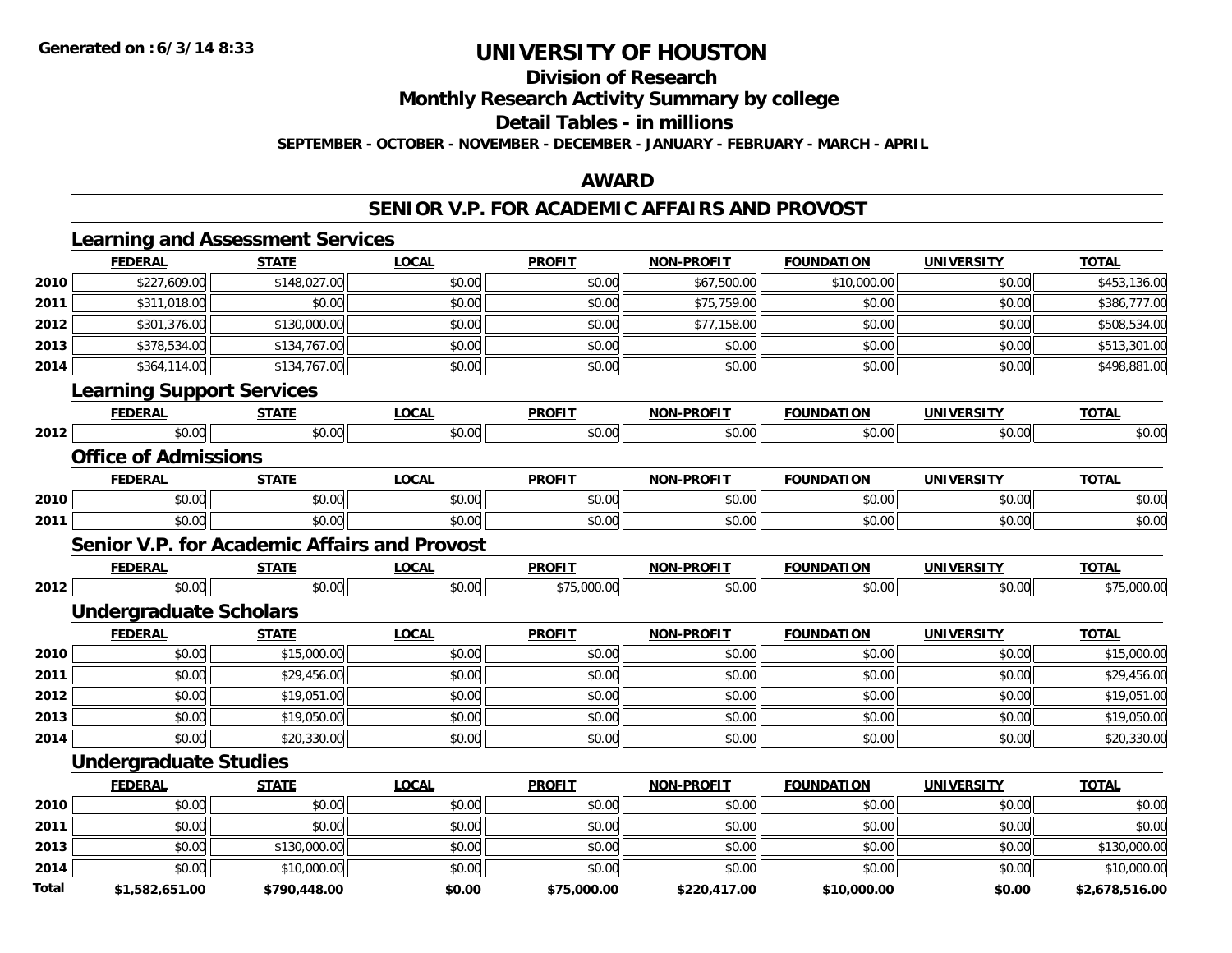**Division of Research**

**Monthly Research Activity Summary by college**

**Detail Tables - in millions**

**SEPTEMBER - OCTOBER - NOVEMBER - DECEMBER - JANUARY - FEBRUARY - MARCH - APRIL**

### **AWARD**

### **SENIOR V.P. FOR ACADEMIC AFFAIRS AND PROVOST**

|      | <b>FEDERAL</b>                                      | <b>STATE</b> | <b>LOCAL</b> | <b>PROFIT</b> | <b>NON-PROFIT</b> | <b>FOUNDATION</b> | <b>UNIVERSITY</b> | <b>TOTAL</b> |
|------|-----------------------------------------------------|--------------|--------------|---------------|-------------------|-------------------|-------------------|--------------|
| 2010 | \$227,609.00                                        | \$148,027.00 | \$0.00       | \$0.00        | \$67,500.00       | \$10,000.00       | \$0.00            | \$453,136.00 |
| 2011 | \$311,018.00                                        | \$0.00       | \$0.00       | \$0.00        | \$75,759.00       | \$0.00            | \$0.00            | \$386,777.00 |
| 2012 | \$301,376.00                                        | \$130,000.00 | \$0.00       | \$0.00        | \$77,158.00       | \$0.00            | \$0.00            | \$508,534.00 |
| 2013 | \$378,534.00                                        | \$134,767.00 | \$0.00       | \$0.00        | \$0.00            | \$0.00            | \$0.00            | \$513,301.00 |
| 2014 | \$364,114.00                                        | \$134,767.00 | \$0.00       | \$0.00        | \$0.00            | \$0.00            | \$0.00            | \$498,881.00 |
|      | <b>Learning Support Services</b>                    |              |              |               |                   |                   |                   |              |
|      | <b>FEDERAL</b>                                      | <b>STATE</b> | <b>LOCAL</b> | <b>PROFIT</b> | <b>NON-PROFIT</b> | <b>FOUNDATION</b> | <b>UNIVERSITY</b> | <b>TOTAL</b> |
| 2012 | \$0.00                                              | \$0.00       | \$0.00       | \$0.00        | \$0.00            | \$0.00            | \$0.00            | \$0.00       |
|      | <b>Office of Admissions</b>                         |              |              |               |                   |                   |                   |              |
|      | <b>FEDERAL</b>                                      | <b>STATE</b> | <b>LOCAL</b> | <b>PROFIT</b> | <b>NON-PROFIT</b> | <b>FOUNDATION</b> | <b>UNIVERSITY</b> | <b>TOTAL</b> |
| 2010 | \$0.00                                              | \$0.00       | \$0.00       | \$0.00        | \$0.00            | \$0.00            | \$0.00            | \$0.00       |
| 2011 | \$0.00                                              | \$0.00       | \$0.00       | \$0.00        | \$0.00            | \$0.00            | \$0.00            | \$0.00       |
|      | <b>Senior V.P. for Academic Affairs and Provost</b> |              |              |               |                   |                   |                   |              |
|      | <b>FEDERAL</b>                                      | <b>STATE</b> | <b>LOCAL</b> | <b>PROFIT</b> | <b>NON-PROFIT</b> | <b>FOUNDATION</b> | <b>UNIVERSITY</b> | <b>TOTAL</b> |
| 2012 | \$0.00                                              | \$0.00       | \$0.00       | \$75,000.00   | \$0.00            | \$0.00            | \$0.00            | \$75,000.00  |
|      | <b>Undergraduate Scholars</b>                       |              |              |               |                   |                   |                   |              |
|      | <b>FEDERAL</b>                                      | <b>STATE</b> | <b>LOCAL</b> | <b>PROFIT</b> | <b>NON-PROFIT</b> | <b>FOUNDATION</b> | <b>UNIVERSITY</b> | <b>TOTAL</b> |
| 2010 | \$0.00                                              | \$15,000.00  | \$0.00       | \$0.00        | \$0.00            | \$0.00            | \$0.00            | \$15,000.00  |
| 2011 | \$0.00                                              | \$29,456.00  | \$0.00       | \$0.00        | \$0.00            | \$0.00            | \$0.00            | \$29,456.00  |
| 2012 | \$0.00                                              | \$19,051.00  | \$0.00       | \$0.00        | \$0.00            | \$0.00            | \$0.00            | \$19,051.00  |
| 2013 | \$0.00                                              | \$19,050.00  | \$0.00       | \$0.00        | \$0.00            | \$0.00            | \$0.00            | \$19,050.00  |
| 2014 | \$0.00                                              | \$20,330.00  | \$0.00       | \$0.00        | \$0.00            | \$0.00            | \$0.00            | \$20,330.00  |
|      | <b>Undergraduate Studies</b>                        |              |              |               |                   |                   |                   |              |
|      | <b>FEDERAL</b>                                      | <b>STATE</b> | <b>LOCAL</b> | <b>PROFIT</b> | <b>NON-PROFIT</b> | <b>FOUNDATION</b> | <b>UNIVERSITY</b> | <b>TOTAL</b> |
| 2010 | \$0.00                                              | \$0.00       | \$0.00       | \$0.00        | \$0.00            | \$0.00            | \$0.00            | \$0.00       |
| 2011 | \$0.00                                              | \$0.00       | \$0.00       | \$0.00        | \$0.00            | \$0.00            | \$0.00            | \$0.00       |
| 2013 | \$0.00                                              | \$130,000.00 | \$0.00       | \$0.00        | \$0.00            | \$0.00            | \$0.00            | \$130,000.00 |
| 2014 | \$0.00                                              | \$10,000.00  | \$0.00       | \$0.00        | \$0.00            | \$0.00            | \$0.00            | \$10,000.00  |
|      |                                                     |              |              |               |                   |                   |                   |              |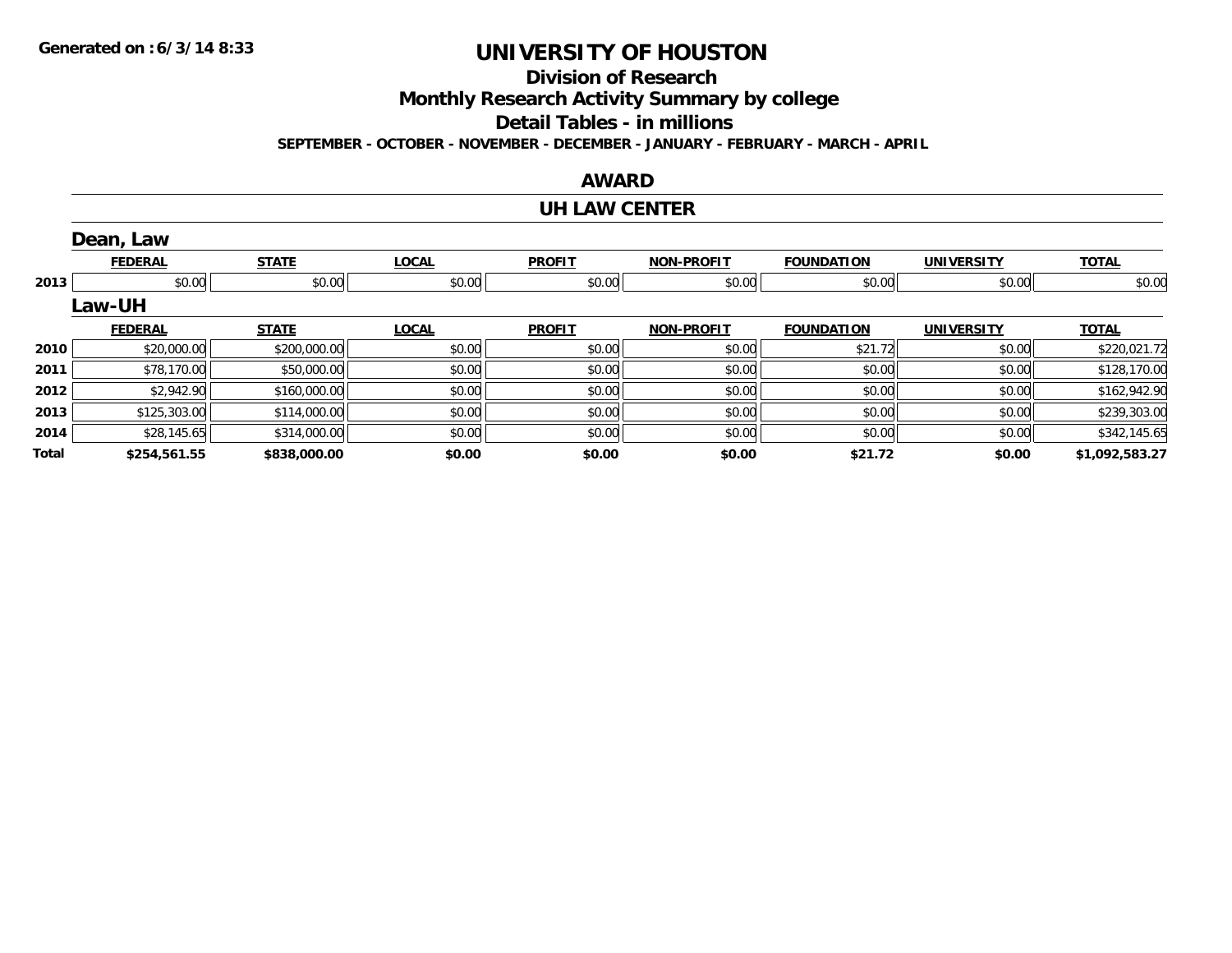**Division of Research**

**Monthly Research Activity Summary by college**

**Detail Tables - in millions**

**SEPTEMBER - OCTOBER - NOVEMBER - DECEMBER - JANUARY - FEBRUARY - MARCH - APRIL**

### **AWARD**

#### **UH LAW CENTER**

|       | Dean, Law      |              |              |               |                   |                   |                   |                |
|-------|----------------|--------------|--------------|---------------|-------------------|-------------------|-------------------|----------------|
|       | <b>FEDERAL</b> | <b>STATE</b> | <b>LOCAL</b> | <b>PROFIT</b> | <b>NON-PROFIT</b> | <b>FOUNDATION</b> | <b>UNIVERSITY</b> | <b>TOTAL</b>   |
| 2013  | \$0.00         | \$0.00       | \$0.00       | \$0.00        | \$0.00            | \$0.00            | \$0.00            | \$0.00         |
|       | <b>Law-UH</b>  |              |              |               |                   |                   |                   |                |
|       | <b>FEDERAL</b> | <b>STATE</b> | <b>LOCAL</b> | <b>PROFIT</b> | <b>NON-PROFIT</b> | <b>FOUNDATION</b> | <b>UNIVERSITY</b> | <b>TOTAL</b>   |
| 2010  | \$20,000.00    | \$200,000.00 | \$0.00       | \$0.00        | \$0.00            | \$21.72           | \$0.00            | \$220,021.72   |
| 2011  | \$78,170.00    | \$50,000.00  | \$0.00       | \$0.00        | \$0.00            | \$0.00            | \$0.00            | \$128,170.00   |
| 2012  | \$2,942.90     | \$160,000.00 | \$0.00       | \$0.00        | \$0.00            | \$0.00            | \$0.00            | \$162,942.90   |
| 2013  | \$125,303.00   | \$114,000.00 | \$0.00       | \$0.00        | \$0.00            | \$0.00            | \$0.00            | \$239,303.00   |
| 2014  | \$28,145.65    | \$314,000.00 | \$0.00       | \$0.00        | \$0.00            | \$0.00            | \$0.00            | \$342,145.65   |
| Total | \$254,561.55   | \$838,000.00 | \$0.00       | \$0.00        | \$0.00            | \$21.72           | \$0.00            | \$1,092,583.27 |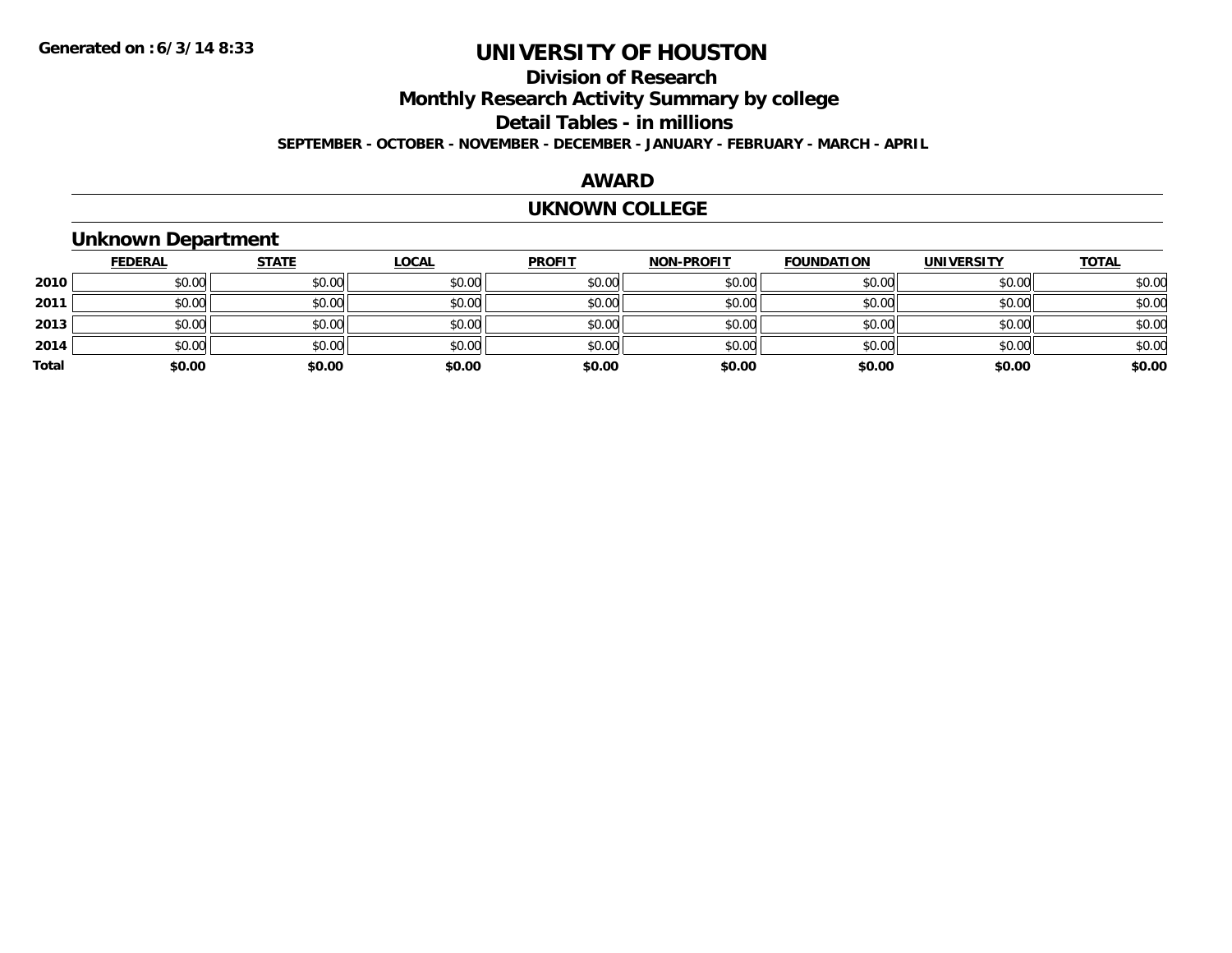## **Division of ResearchMonthly Research Activity Summary by college Detail Tables - in millions SEPTEMBER - OCTOBER - NOVEMBER - DECEMBER - JANUARY - FEBRUARY - MARCH - APRIL**

### **AWARD**

#### **UKNOWN COLLEGE**

## **Unknown Department**

|       | <b>FEDERAL</b> | <b>STATE</b> | <b>LOCAL</b> | <b>PROFIT</b> | <b>NON-PROFIT</b> | <b>FOUNDATION</b> | <b>UNIVERSITY</b> | <b>TOTAL</b> |
|-------|----------------|--------------|--------------|---------------|-------------------|-------------------|-------------------|--------------|
| 2010  | \$0.00         | \$0.00       | \$0.00       | \$0.00        | \$0.00            | \$0.00            | \$0.00            | \$0.00       |
| 2011  | \$0.00         | \$0.00       | \$0.00       | \$0.00        | \$0.00            | \$0.00            | \$0.00            | \$0.00       |
| 2013  | \$0.00         | \$0.00       | \$0.00       | \$0.00        | \$0.00            | \$0.00            | \$0.00            | \$0.00       |
| 2014  | \$0.00         | \$0.00       | \$0.00       | \$0.00        | \$0.00            | \$0.00            | \$0.00            | \$0.00       |
| Total | \$0.00         | \$0.00       | \$0.00       | \$0.00        | \$0.00            | \$0.00            | \$0.00            | \$0.00       |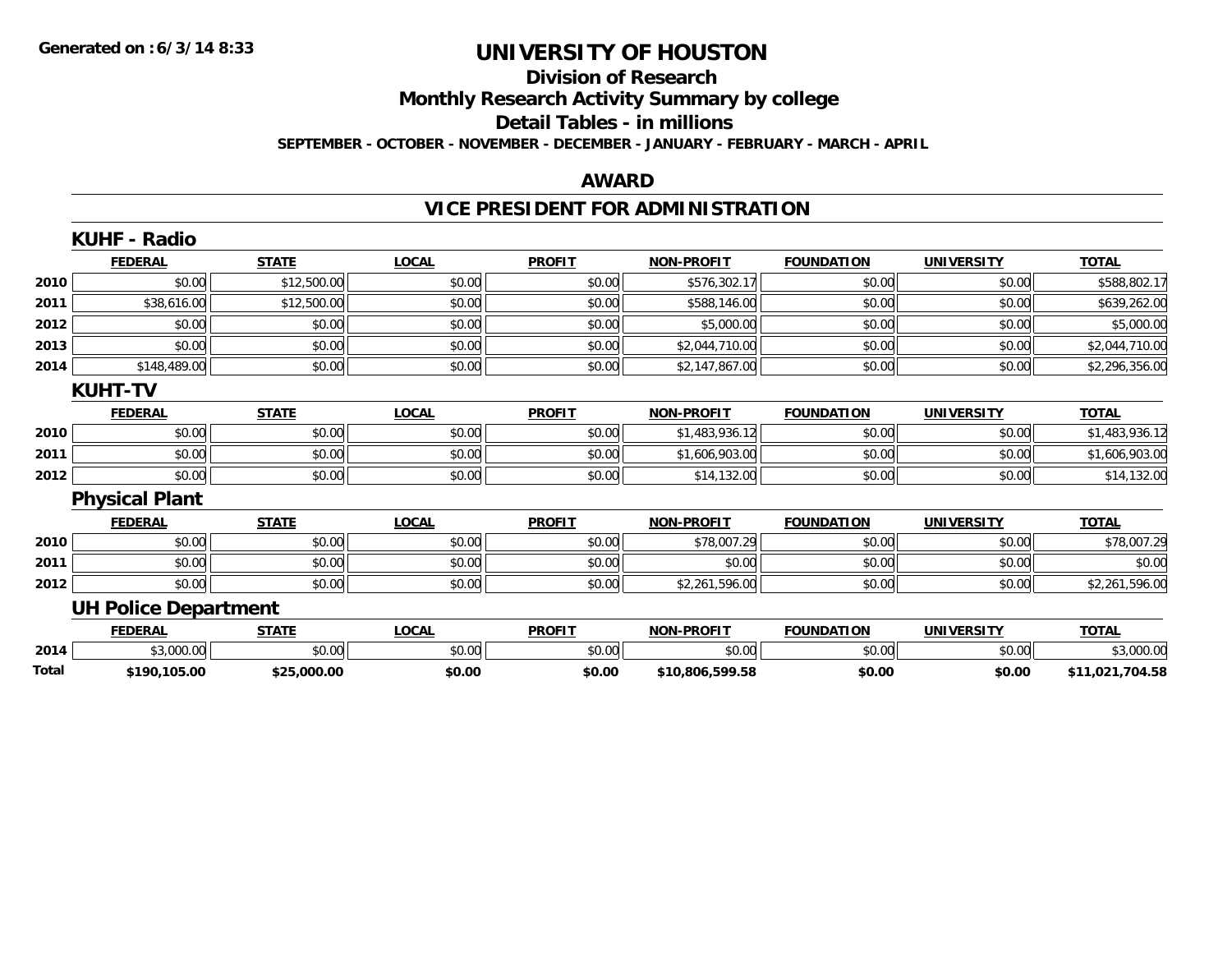#### **Division of Research**

**Monthly Research Activity Summary by college**

**Detail Tables - in millions**

**SEPTEMBER - OCTOBER - NOVEMBER - DECEMBER - JANUARY - FEBRUARY - MARCH - APRIL**

#### **AWARD**

## **VICE PRESIDENT FOR ADMINISTRATION**

|       | <b>KUHF - Radio</b>         |              |              |               |                   |                   |                   |                 |
|-------|-----------------------------|--------------|--------------|---------------|-------------------|-------------------|-------------------|-----------------|
|       | <b>FEDERAL</b>              | <b>STATE</b> | <b>LOCAL</b> | <b>PROFIT</b> | <b>NON-PROFIT</b> | <b>FOUNDATION</b> | <b>UNIVERSITY</b> | <b>TOTAL</b>    |
| 2010  | \$0.00                      | \$12,500.00  | \$0.00       | \$0.00        | \$576,302.17      | \$0.00            | \$0.00            | \$588,802.17    |
| 2011  | \$38,616.00                 | \$12,500.00  | \$0.00       | \$0.00        | \$588,146.00      | \$0.00            | \$0.00            | \$639,262.00    |
| 2012  | \$0.00                      | \$0.00       | \$0.00       | \$0.00        | \$5,000.00        | \$0.00            | \$0.00            | \$5,000.00      |
| 2013  | \$0.00                      | \$0.00       | \$0.00       | \$0.00        | \$2,044,710.00    | \$0.00            | \$0.00            | \$2,044,710.00  |
| 2014  | \$148,489.00                | \$0.00       | \$0.00       | \$0.00        | \$2,147,867.00    | \$0.00            | \$0.00            | \$2,296,356.00  |
|       | <b>KUHT-TV</b>              |              |              |               |                   |                   |                   |                 |
|       | <b>FEDERAL</b>              | <b>STATE</b> | <b>LOCAL</b> | <b>PROFIT</b> | <b>NON-PROFIT</b> | <b>FOUNDATION</b> | <b>UNIVERSITY</b> | <b>TOTAL</b>    |
| 2010  | \$0.00                      | \$0.00       | \$0.00       | \$0.00        | \$1,483,936.12    | \$0.00            | \$0.00            | \$1,483,936.12  |
| 2011  | \$0.00                      | \$0.00       | \$0.00       | \$0.00        | \$1,606,903.00    | \$0.00            | \$0.00            | \$1,606,903.00  |
| 2012  | \$0.00                      | \$0.00       | \$0.00       | \$0.00        | \$14,132.00       | \$0.00            | \$0.00            | \$14,132.00     |
|       | <b>Physical Plant</b>       |              |              |               |                   |                   |                   |                 |
|       | <b>FEDERAL</b>              | <b>STATE</b> | <b>LOCAL</b> | <b>PROFIT</b> | <b>NON-PROFIT</b> | <b>FOUNDATION</b> | <b>UNIVERSITY</b> | <b>TOTAL</b>    |
| 2010  | \$0.00                      | \$0.00       | \$0.00       | \$0.00        | \$78,007.29       | \$0.00            | \$0.00            | \$78,007.29     |
| 2011  | \$0.00                      | \$0.00       | \$0.00       | \$0.00        | \$0.00            | \$0.00            | \$0.00            | \$0.00          |
| 2012  | \$0.00                      | \$0.00       | \$0.00       | \$0.00        | \$2,261,596.00    | \$0.00            | \$0.00            | \$2,261,596.00  |
|       | <b>UH Police Department</b> |              |              |               |                   |                   |                   |                 |
|       | <b>FEDERAL</b>              | <b>STATE</b> | <b>LOCAL</b> | <b>PROFIT</b> | <b>NON-PROFIT</b> | <b>FOUNDATION</b> | <b>UNIVERSITY</b> | <b>TOTAL</b>    |
| 2014  | \$3,000.00                  | \$0.00       | \$0.00       | \$0.00        | \$0.00            | \$0.00            | \$0.00            | \$3,000.00      |
| Total | \$190,105.00                | \$25,000.00  | \$0.00       | \$0.00        | \$10,806,599.58   | \$0.00            | \$0.00            | \$11,021,704.58 |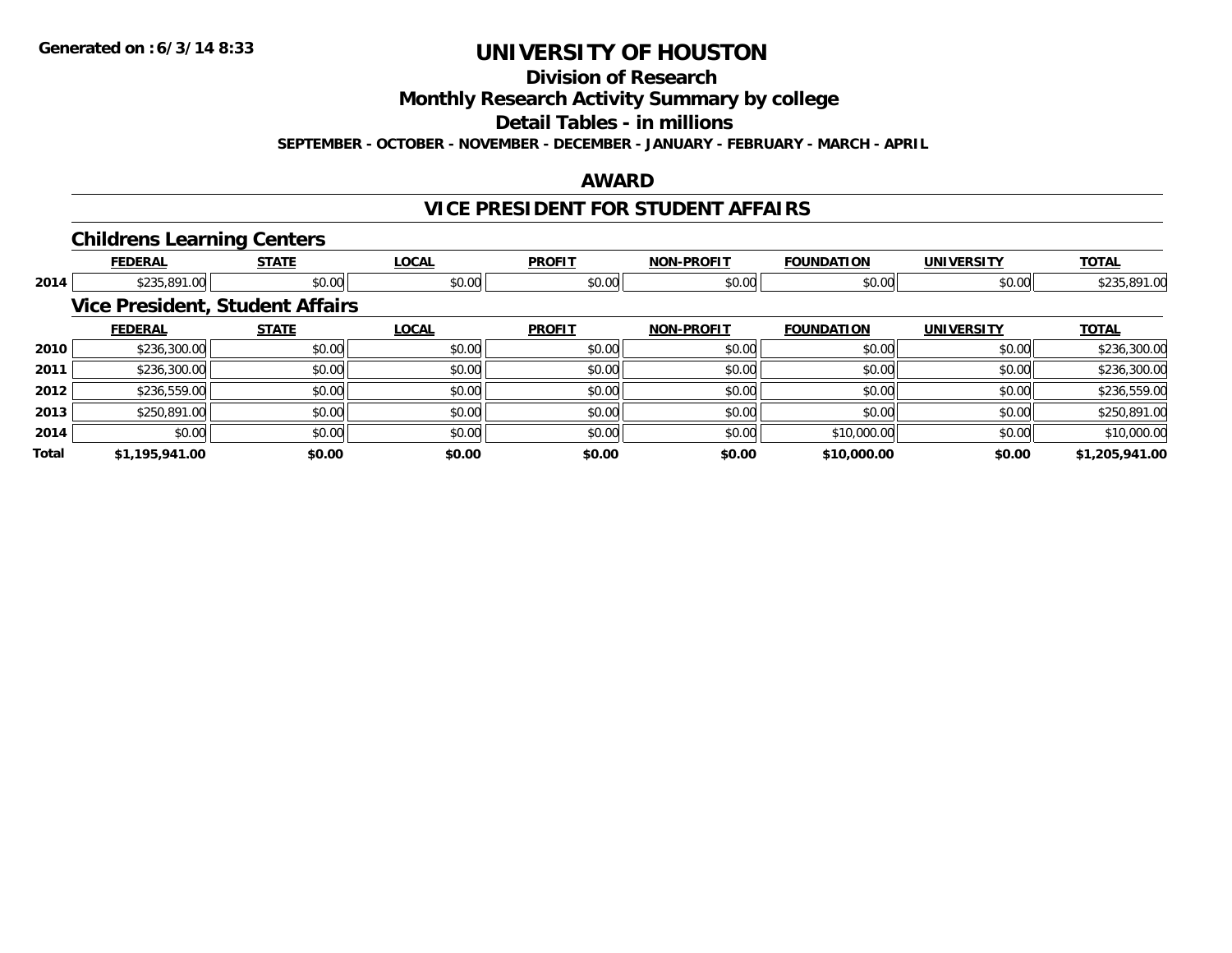**Division of Research**

**Monthly Research Activity Summary by college**

**Detail Tables - in millions**

**SEPTEMBER - OCTOBER - NOVEMBER - DECEMBER - JANUARY - FEBRUARY - MARCH - APRIL**

### **AWARD**

## **VICE PRESIDENT FOR STUDENT AFFAIRS**

### **Childrens Learning Centers**

|       | <b>FEDERAL</b> | <b>STATE</b>                           | <b>LOCAL</b> | <b>PROFIT</b> | <b>NON-PROFIT</b> | <b>FOUNDATION</b> | <b>UNIVERSITY</b> | <b>TOTAL</b>   |
|-------|----------------|----------------------------------------|--------------|---------------|-------------------|-------------------|-------------------|----------------|
| 2014  | \$235,891.00   | \$0.00                                 | \$0.00       | \$0.00        | \$0.00            | \$0.00            | \$0.00            | \$235,891.00   |
|       |                | <b>Vice President, Student Affairs</b> |              |               |                   |                   |                   |                |
|       | <b>FEDERAL</b> | <b>STATE</b>                           | <b>LOCAL</b> | <b>PROFIT</b> | <b>NON-PROFIT</b> | <b>FOUNDATION</b> | <b>UNIVERSITY</b> | <b>TOTAL</b>   |
| 2010  | \$236,300.00   | \$0.00                                 | \$0.00       | \$0.00        | \$0.00            | \$0.00            | \$0.00            | \$236,300.00   |
| 2011  | \$236,300.00   | \$0.00                                 | \$0.00       | \$0.00        | \$0.00            | \$0.00            | \$0.00            | \$236,300.00   |
| 2012  | \$236,559.00   | \$0.00                                 | \$0.00       | \$0.00        | \$0.00            | \$0.00            | \$0.00            | \$236,559.00   |
| 2013  | \$250,891.00   | \$0.00                                 | \$0.00       | \$0.00        | \$0.00            | \$0.00            | \$0.00            | \$250,891.00   |
| 2014  | \$0.00         | \$0.00                                 | \$0.00       | \$0.00        | \$0.00            | \$10,000.00       | \$0.00            | \$10,000.00    |
| Total | \$1,195,941.00 | \$0.00                                 | \$0.00       | \$0.00        | \$0.00            | \$10,000.00       | \$0.00            | \$1,205,941.00 |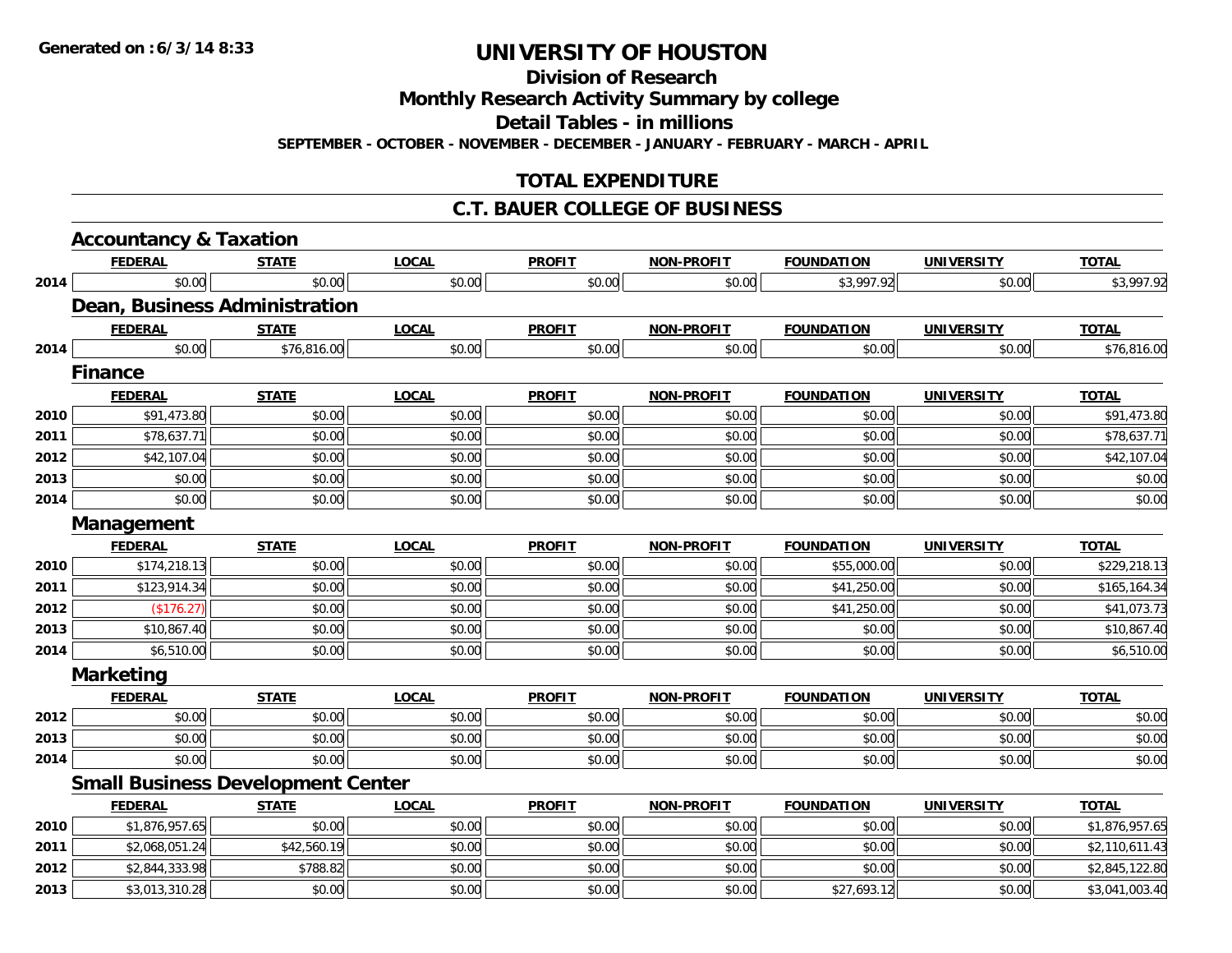**Division of Research**

**Monthly Research Activity Summary by college**

**Detail Tables - in millions**

**SEPTEMBER - OCTOBER - NOVEMBER - DECEMBER - JANUARY - FEBRUARY - MARCH - APRIL**

## **TOTAL EXPENDITURE**

### **C.T. BAUER COLLEGE OF BUSINESS**

|      | <b>Accountancy &amp; Taxation</b>        |              |              |               |                   |                   |                   |                |
|------|------------------------------------------|--------------|--------------|---------------|-------------------|-------------------|-------------------|----------------|
|      | <b>FEDERAL</b>                           | <b>STATE</b> | <b>LOCAL</b> | <b>PROFIT</b> | <b>NON-PROFIT</b> | <b>FOUNDATION</b> | <b>UNIVERSITY</b> | <b>TOTAL</b>   |
| 2014 | \$0.00                                   | \$0.00       | \$0.00       | \$0.00        | \$0.00            | \$3,997.92        | \$0.00            | \$3,997.92     |
|      | Dean, Business Administration            |              |              |               |                   |                   |                   |                |
|      | <b>FEDERAL</b>                           | <b>STATE</b> | <b>LOCAL</b> | <b>PROFIT</b> | <b>NON-PROFIT</b> | <b>FOUNDATION</b> | <b>UNIVERSITY</b> | <b>TOTAL</b>   |
| 2014 | \$0.00                                   | \$76,816.00  | \$0.00       | \$0.00        | \$0.00            | \$0.00            | \$0.00            | \$76,816.00    |
|      | <b>Finance</b>                           |              |              |               |                   |                   |                   |                |
|      | <b>FEDERAL</b>                           | <b>STATE</b> | <b>LOCAL</b> | <b>PROFIT</b> | <b>NON-PROFIT</b> | <b>FOUNDATION</b> | <b>UNIVERSITY</b> | <b>TOTAL</b>   |
| 2010 | \$91,473.80                              | \$0.00       | \$0.00       | \$0.00        | \$0.00            | \$0.00            | \$0.00            | \$91,473.80    |
| 2011 | \$78,637.71                              | \$0.00       | \$0.00       | \$0.00        | \$0.00            | \$0.00            | \$0.00            | \$78,637.71    |
| 2012 | \$42,107.04                              | \$0.00       | \$0.00       | \$0.00        | \$0.00            | \$0.00            | \$0.00            | \$42,107.04    |
| 2013 | \$0.00                                   | \$0.00       | \$0.00       | \$0.00        | \$0.00            | \$0.00            | \$0.00            | \$0.00         |
| 2014 | \$0.00                                   | \$0.00       | \$0.00       | \$0.00        | \$0.00            | \$0.00            | \$0.00            | \$0.00         |
|      | Management                               |              |              |               |                   |                   |                   |                |
|      | <b>FEDERAL</b>                           | <b>STATE</b> | <b>LOCAL</b> | <b>PROFIT</b> | <b>NON-PROFIT</b> | <b>FOUNDATION</b> | <b>UNIVERSITY</b> | <b>TOTAL</b>   |
| 2010 | \$174,218.13                             | \$0.00       | \$0.00       | \$0.00        | \$0.00            | \$55,000.00       | \$0.00            | \$229,218.13   |
| 2011 | \$123,914.34                             | \$0.00       | \$0.00       | \$0.00        | \$0.00            | \$41,250.00       | \$0.00            | \$165,164.34   |
| 2012 | (\$176.27)                               | \$0.00       | \$0.00       | \$0.00        | \$0.00            | \$41,250.00       | \$0.00            | \$41,073.73    |
| 2013 | \$10,867.40                              | \$0.00       | \$0.00       | \$0.00        | \$0.00            | \$0.00            | \$0.00            | \$10,867.40    |
| 2014 | \$6,510.00                               | \$0.00       | \$0.00       | \$0.00        | \$0.00            | \$0.00            | \$0.00            | \$6,510.00     |
|      | <b>Marketing</b>                         |              |              |               |                   |                   |                   |                |
|      | <b>FEDERAL</b>                           | <b>STATE</b> | <b>LOCAL</b> | <b>PROFIT</b> | <b>NON-PROFIT</b> | <b>FOUNDATION</b> | <b>UNIVERSITY</b> | <b>TOTAL</b>   |
| 2012 | \$0.00                                   | \$0.00       | \$0.00       | \$0.00        | \$0.00            | \$0.00            | \$0.00            | \$0.00         |
| 2013 | \$0.00                                   | \$0.00       | \$0.00       | \$0.00        | \$0.00            | \$0.00            | \$0.00            | \$0.00         |
| 2014 | \$0.00                                   | \$0.00       | \$0.00       | \$0.00        | \$0.00            | \$0.00            | \$0.00            | \$0.00         |
|      | <b>Small Business Development Center</b> |              |              |               |                   |                   |                   |                |
|      | <b>FEDERAL</b>                           | <b>STATE</b> | <b>LOCAL</b> | <b>PROFIT</b> | <b>NON-PROFIT</b> | <b>FOUNDATION</b> | <b>UNIVERSITY</b> | <b>TOTAL</b>   |
| 2010 | \$1,876,957.65                           | \$0.00       | \$0.00       | \$0.00        | \$0.00            | \$0.00            | \$0.00            | \$1,876,957.65 |
| 2011 | \$2,068,051.24                           | \$42,560.19  | \$0.00       | \$0.00        | \$0.00            | \$0.00            | \$0.00            | \$2,110,611.43 |
| 2012 | \$2,844,333.98                           | \$788.82     | \$0.00       | \$0.00        | \$0.00            | \$0.00            | \$0.00            | \$2,845,122.80 |
| 2013 | \$3,013,310.28                           | \$0.00       | \$0.00       | \$0.00        | \$0.00            | \$27,693.12       | \$0.00            | \$3,041,003.40 |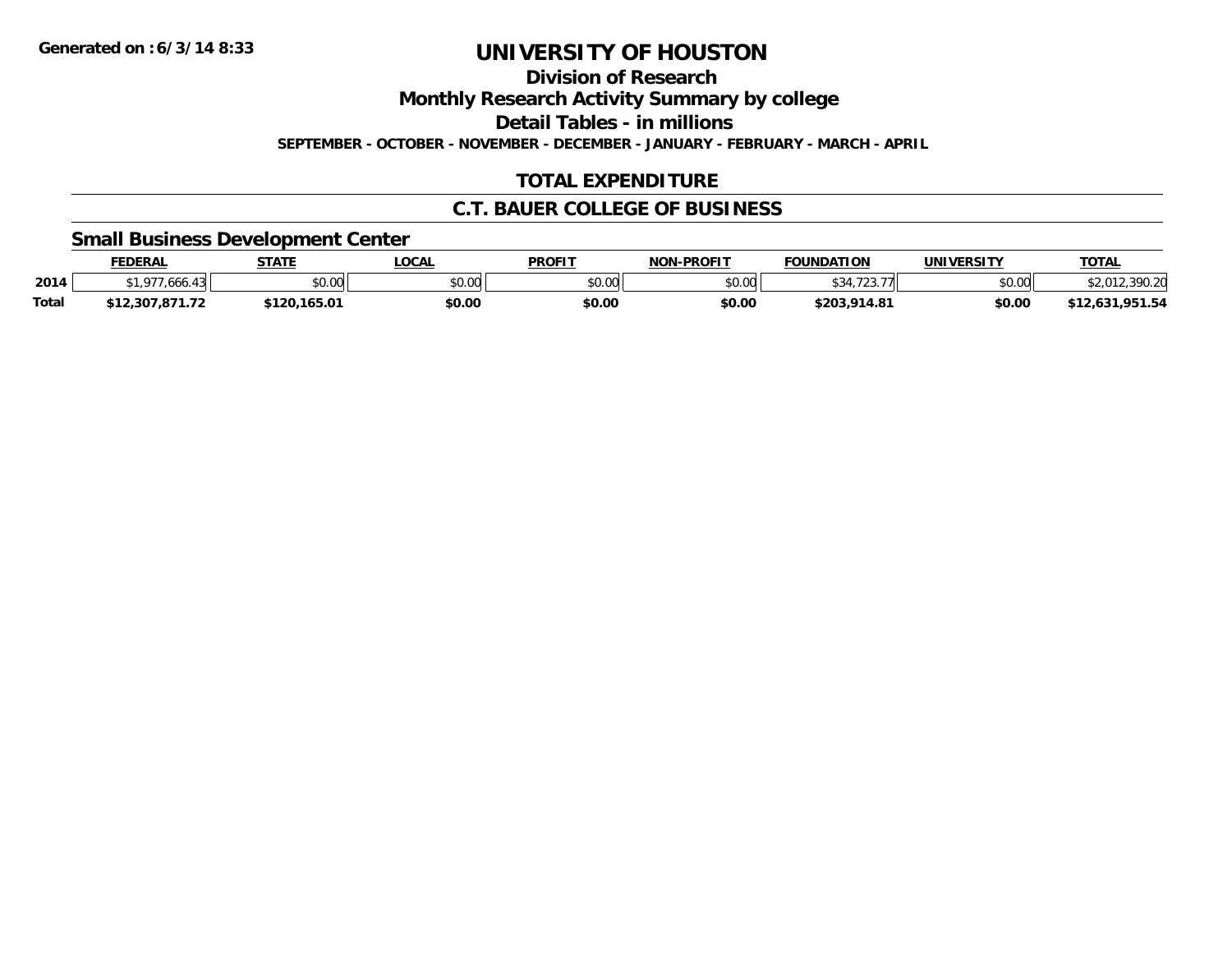**Division of Research**

**Monthly Research Activity Summary by college**

**Detail Tables - in millions**

**SEPTEMBER - OCTOBER - NOVEMBER - DECEMBER - JANUARY - FEBRUARY - MARCH - APRIL**

## **TOTAL EXPENDITURE**

### **C.T. BAUER COLLEGE OF BUSINESS**

### **Small Business Development Center**

|       | <b>FEDERAL</b>       | <b>STATE</b>   | <b>LOCAL</b> | <b>PROFIT</b>  | <b>J-PROFIT</b><br><b>NON</b> | <b>FOUNDATION</b> | <b>UNIVERSITY</b> | <u>TOTAL</u>     |
|-------|----------------------|----------------|--------------|----------------|-------------------------------|-------------------|-------------------|------------------|
| 2014  | $\sim$<br>.ooc       | 40.00<br>vv.vv | \$0.00       | ≮N UV<br>JU.UU | \$0.00                        |                   | \$0.00            | 200 J            |
| Total | 2.307.871.72<br>ሐብ ባ | \$120,165.01   | \$0.00       | \$0.00         | \$0.00                        | \$203.914.81      | \$0.00            | ,951.54<br>2.637 |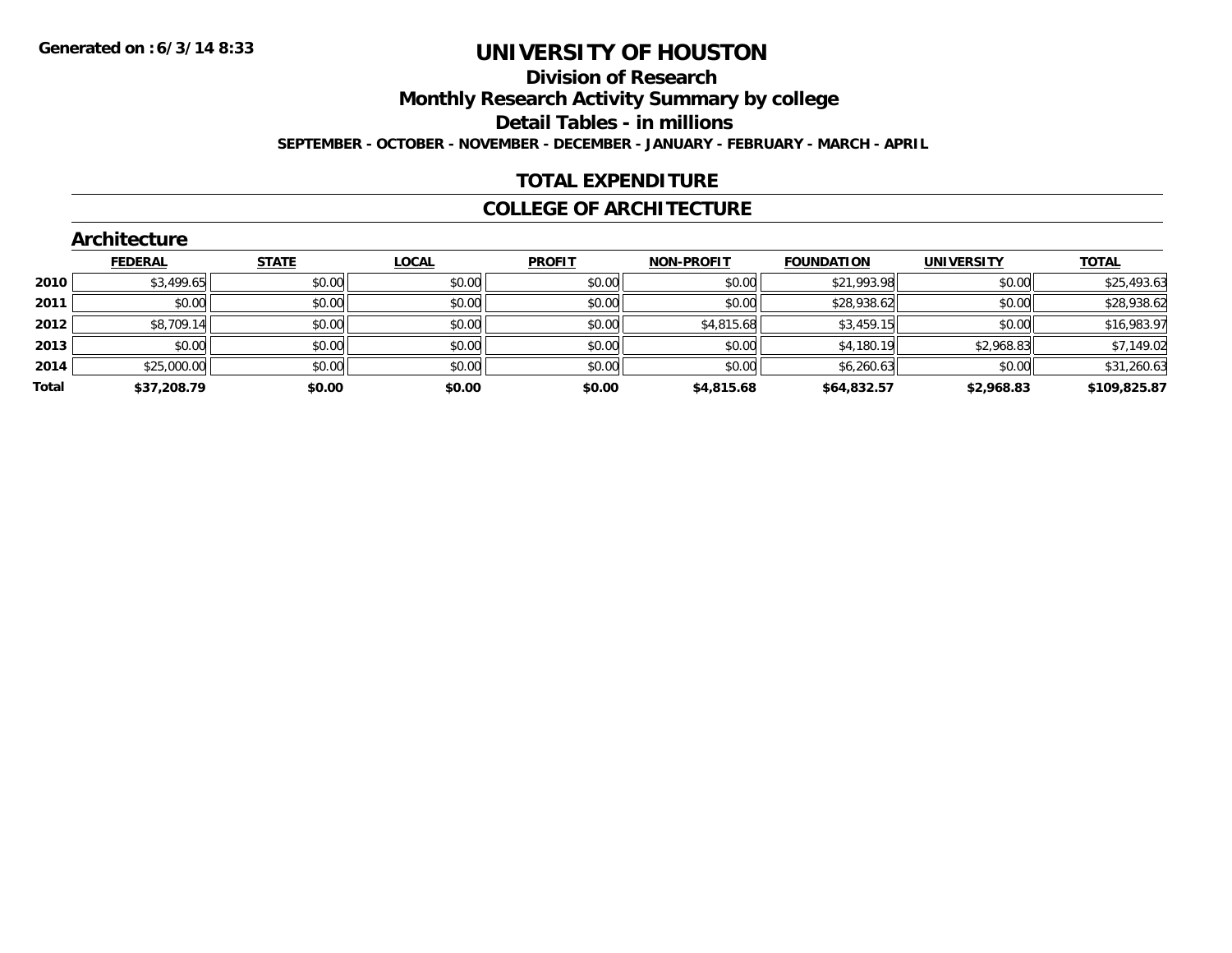**Division of Research**

**Monthly Research Activity Summary by college**

**Detail Tables - in millions**

**SEPTEMBER - OCTOBER - NOVEMBER - DECEMBER - JANUARY - FEBRUARY - MARCH - APRIL**

## **TOTAL EXPENDITURE**

### **COLLEGE OF ARCHITECTURE**

|       | <b>Architecture</b> |              |        |               |                   |                   |                   |              |
|-------|---------------------|--------------|--------|---------------|-------------------|-------------------|-------------------|--------------|
|       | <b>FEDERAL</b>      | <b>STATE</b> | LOCAL  | <b>PROFIT</b> | <b>NON-PROFIT</b> | <b>FOUNDATION</b> | <b>UNIVERSITY</b> | <b>TOTAL</b> |
| 2010  | \$3,499.65          | \$0.00       | \$0.00 | \$0.00        | \$0.00            | \$21,993.98       | \$0.00            | \$25,493.63  |
| 2011  | \$0.00              | \$0.00       | \$0.00 | \$0.00        | \$0.00            | \$28,938.62       | \$0.00            | \$28,938.62  |
| 2012  | \$8,709.14          | \$0.00       | \$0.00 | \$0.00        | \$4,815.68        | \$3,459.15        | \$0.00            | \$16,983.97  |
| 2013  | \$0.00              | \$0.00       | \$0.00 | \$0.00        | \$0.00            | \$4,180.19        | \$2,968.83        | \$7,149.02   |
| 2014  | \$25,000.00         | \$0.00       | \$0.00 | \$0.00        | \$0.00            | \$6,260.63        | \$0.00            | \$31,260.63  |
| Total | \$37,208.79         | \$0.00       | \$0.00 | \$0.00        | \$4,815.68        | \$64,832.57       | \$2,968.83        | \$109,825.87 |
|       |                     |              |        |               |                   |                   |                   |              |

### **Architecture**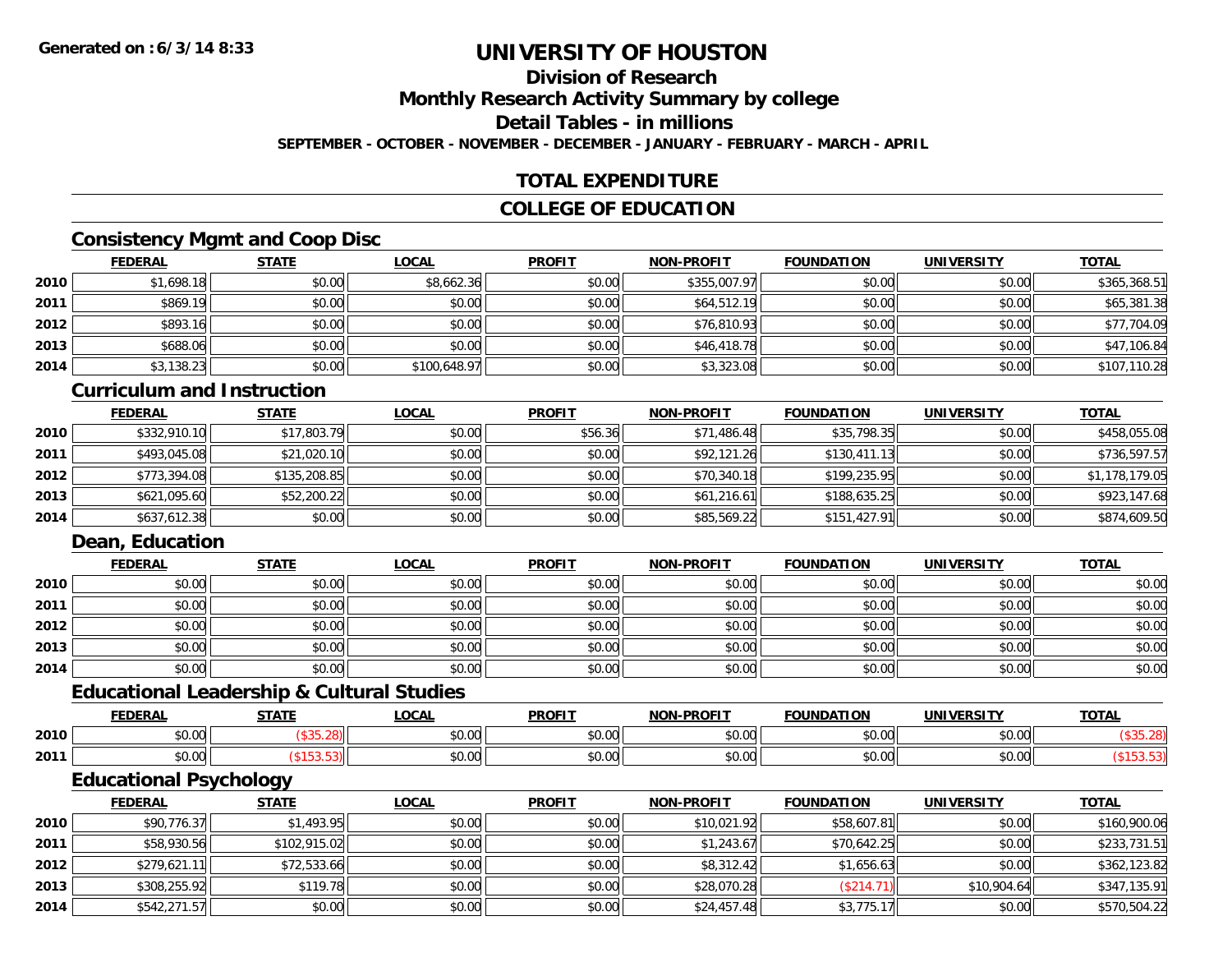## **Division of Research**

**Monthly Research Activity Summary by college**

**Detail Tables - in millions**

**SEPTEMBER - OCTOBER - NOVEMBER - DECEMBER - JANUARY - FEBRUARY - MARCH - APRIL**

## **TOTAL EXPENDITURE**

## **COLLEGE OF EDUCATION**

## **Consistency Mgmt and Coop Disc**

|      | <b>FEDERAL</b> | <b>STATE</b> | <u>LOCAL</u> | <b>PROFIT</b> | <b>NON-PROFIT</b> | <b>FOUNDATION</b> | <b>UNIVERSITY</b> | <b>TOTAL</b> |
|------|----------------|--------------|--------------|---------------|-------------------|-------------------|-------------------|--------------|
| 2010 | \$1,698.18     | \$0.00       | \$8,662.36   | \$0.00        | \$355,007.97      | \$0.00            | \$0.00            | \$365,368.51 |
| 2011 | \$869.19       | \$0.00       | \$0.00       | \$0.00        | \$64,512.19       | \$0.00            | \$0.00            | \$65,381.38  |
| 2012 | \$893.16       | \$0.00       | \$0.00       | \$0.00        | \$76,810.93       | \$0.00            | \$0.00            | \$77,704.09  |
| 2013 | \$688.06       | \$0.00       | \$0.00       | \$0.00        | \$46,418.78       | \$0.00            | \$0.00            | \$47,106.84  |
| 2014 | \$3,138.23     | \$0.00       | \$100,648.97 | \$0.00        | \$3,323.08        | \$0.00            | \$0.00            | \$107,110.28 |

#### **Curriculum and Instruction**

|      | <b>FEDERAL</b> | <b>STATE</b> | <u>LOCAL</u> | <b>PROFIT</b> | <b>NON-PROFIT</b> | <b>FOUNDATION</b> | <b>UNIVERSITY</b> | <b>TOTAL</b>   |
|------|----------------|--------------|--------------|---------------|-------------------|-------------------|-------------------|----------------|
| 2010 | \$332,910.10   | \$17,803.79  | \$0.00       | \$56.36       | \$71,486.48       | \$35,798.35       | \$0.00            | \$458,055.08   |
| 2011 | \$493,045.08   | \$21,020.10  | \$0.00       | \$0.00        | \$92,121.26       | \$130,411.13      | \$0.00            | \$736,597.57   |
| 2012 | \$773,394.08   | \$135,208.85 | \$0.00       | \$0.00        | \$70,340.18       | \$199,235.95      | \$0.00            | \$1,178,179.05 |
| 2013 | \$621,095.60   | \$52,200.22  | \$0.00       | \$0.00        | \$61,216.61       | \$188,635.25      | \$0.00            | \$923,147.68   |
| 2014 | \$637,612.38   | \$0.00       | \$0.00       | \$0.00        | \$85,569.22       | \$151,427.91      | \$0.00            | \$874,609.50   |

## **Dean, Education**

|      | <b>FEDERAL</b> | <b>STATE</b> | <u>LOCAL</u> | <b>PROFIT</b> | <b>NON-PROFIT</b> | <b>FOUNDATION</b> | <b>UNIVERSITY</b> | <b>TOTAL</b> |
|------|----------------|--------------|--------------|---------------|-------------------|-------------------|-------------------|--------------|
| 2010 | \$0.00         | \$0.00       | \$0.00       | \$0.00        | \$0.00            | \$0.00            | \$0.00            | \$0.00       |
| 2011 | \$0.00         | \$0.00       | \$0.00       | \$0.00        | \$0.00            | \$0.00            | \$0.00            | \$0.00       |
| 2012 | \$0.00         | \$0.00       | \$0.00       | \$0.00        | \$0.00            | \$0.00            | \$0.00            | \$0.00       |
| 2013 | \$0.00         | \$0.00       | \$0.00       | \$0.00        | \$0.00            | \$0.00            | \$0.00            | \$0.00       |
| 2014 | \$0.00         | \$0.00       | \$0.00       | \$0.00        | \$0.00            | \$0.00            | \$0.00            | \$0.00       |

### **Educational Leadership & Cultural Studies**

|      | <b>FEDERAL</b>  | <b>CTATE</b> | .OCAL                                                   | <b>PROFIT</b>          | <b>DDAFIT</b><br><b>NON</b> | <b>FOUNDATION</b> | UNIVERSITY    | <b>TOTAL</b> |
|------|-----------------|--------------|---------------------------------------------------------|------------------------|-----------------------------|-------------------|---------------|--------------|
| 2010 | ሐሴ ሰሰ<br>טט.טע  |              | $\mathfrak{e}\cap\mathfrak{g}\cap\mathfrak{g}$<br>pu.uu | 0000<br>JU.U           | ტი იი<br>vu.uu              | 0 <sub>n</sub>    | 0000          |              |
| 2011 | $\sim$<br>vv.vv |              | \$0.00                                                  | 0 <sub>n</sub><br>JU.U | 0000<br>vv.vv               | $\sim$ 00         | 0000<br>JU.UU |              |

<u> 1980 - Johann Stoff, amerikansk politiker (d. 1980)</u>

## **Educational Psychology**

|      | <b>FEDERAL</b> | <b>STATE</b> | <u>LOCAL</u> | <b>PROFIT</b> | <b>NON-PROFIT</b> | <b>FOUNDATION</b> | <b>UNIVERSITY</b> | <b>TOTAL</b> |
|------|----------------|--------------|--------------|---------------|-------------------|-------------------|-------------------|--------------|
| 2010 | \$90,776.37    | \$1,493.95   | \$0.00       | \$0.00        | \$10,021.92       | \$58,607.81       | \$0.00            | \$160,900.06 |
| 2011 | \$58,930.56    | \$102,915.02 | \$0.00       | \$0.00        | \$1,243.67        | \$70,642.25       | \$0.00            | \$233,731.51 |
| 2012 | \$279,621.11   | \$72,533.66  | \$0.00       | \$0.00        | \$8,312.42        | \$1,656.63        | \$0.00            | \$362,123.82 |
| 2013 | \$308,255.92   | \$119.78     | \$0.00       | \$0.00        | \$28,070.28       | (\$214.71)        | \$10,904.64       | \$347,135.91 |
| 2014 | \$542,271.57   | \$0.00       | \$0.00       | \$0.00        | \$24,457.48       | \$3,775.17        | \$0.00            | \$570,504.22 |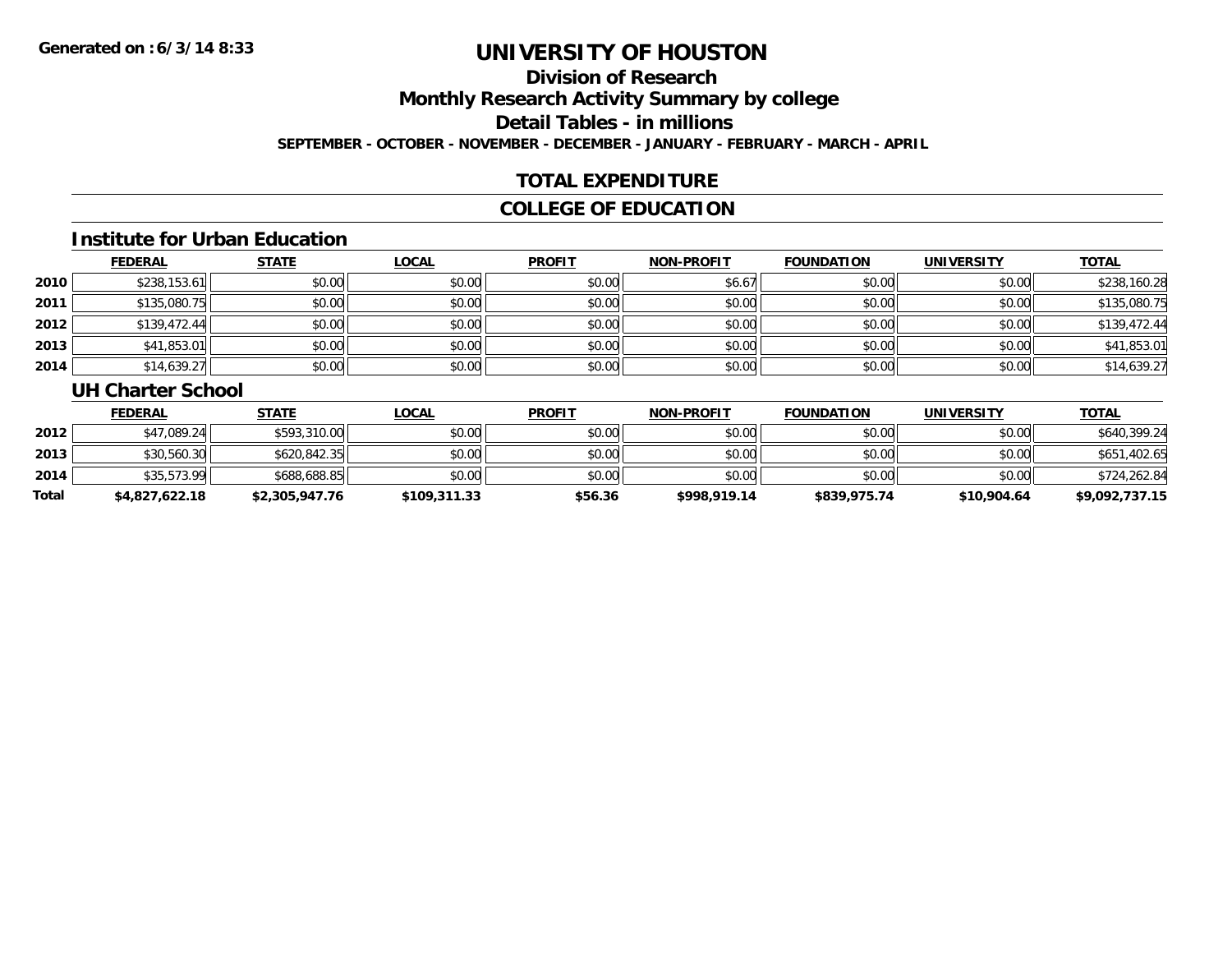## **Division of Research**

**Monthly Research Activity Summary by college**

**Detail Tables - in millions**

**SEPTEMBER - OCTOBER - NOVEMBER - DECEMBER - JANUARY - FEBRUARY - MARCH - APRIL**

## **TOTAL EXPENDITURE**

## **COLLEGE OF EDUCATION**

#### **Institute for Urban Education**

|      | <b>FEDERAL</b> | <b>STATE</b> | <b>LOCAL</b> | <b>PROFIT</b> | <b>NON-PROFIT</b> | <b>FOUNDATION</b> | <b>UNIVERSITY</b> | <b>TOTAL</b> |
|------|----------------|--------------|--------------|---------------|-------------------|-------------------|-------------------|--------------|
| 2010 | \$238,153.61   | \$0.00       | \$0.00       | \$0.00        | \$6.67            | \$0.00            | \$0.00            | \$238,160.28 |
| 2011 | \$135,080.75   | \$0.00       | \$0.00       | \$0.00        | \$0.00            | \$0.00            | \$0.00            | \$135,080.75 |
| 2012 | \$139,472.44   | \$0.00       | \$0.00       | \$0.00        | \$0.00            | \$0.00            | \$0.00            | \$139,472.44 |
| 2013 | \$41,853.01    | \$0.00       | \$0.00       | \$0.00        | \$0.00            | \$0.00            | \$0.00            | \$41,853.01  |
| 2014 | \$14,639.27    | \$0.00       | \$0.00       | \$0.00        | \$0.00            | \$0.00            | \$0.00            | \$14,639.27  |

#### **UH Charter School**

|       | <b>FEDERAL</b> | <u>STATE</u>   | <u>LOCAL</u> | <b>PROFIT</b> | <b>NON-PROFIT</b> | <b>FOUNDATION</b> | UNIVERSITY  | <b>TOTAL</b>   |
|-------|----------------|----------------|--------------|---------------|-------------------|-------------------|-------------|----------------|
| 2012  | \$47,089.24    | \$593,310.00   | \$0.00       | \$0.00        | \$0.00            | \$0.00            | \$0.00      | \$640,399.24   |
| 2013  | \$30,560.30    | \$620,842.35   | \$0.00       | \$0.00        | \$0.00            | \$0.00            | \$0.00      | \$651,402.65   |
| 2014  | \$35,573.99    | \$688,688.85   | \$0.00       | \$0.00        | \$0.00            | \$0.00            | \$0.00      | \$724,262.84   |
| Total | \$4,827,622.18 | \$2,305,947.76 | \$109,311.33 | \$56.36       | \$998,919.14      | \$839,975.74      | \$10,904.64 | \$9,092,737.15 |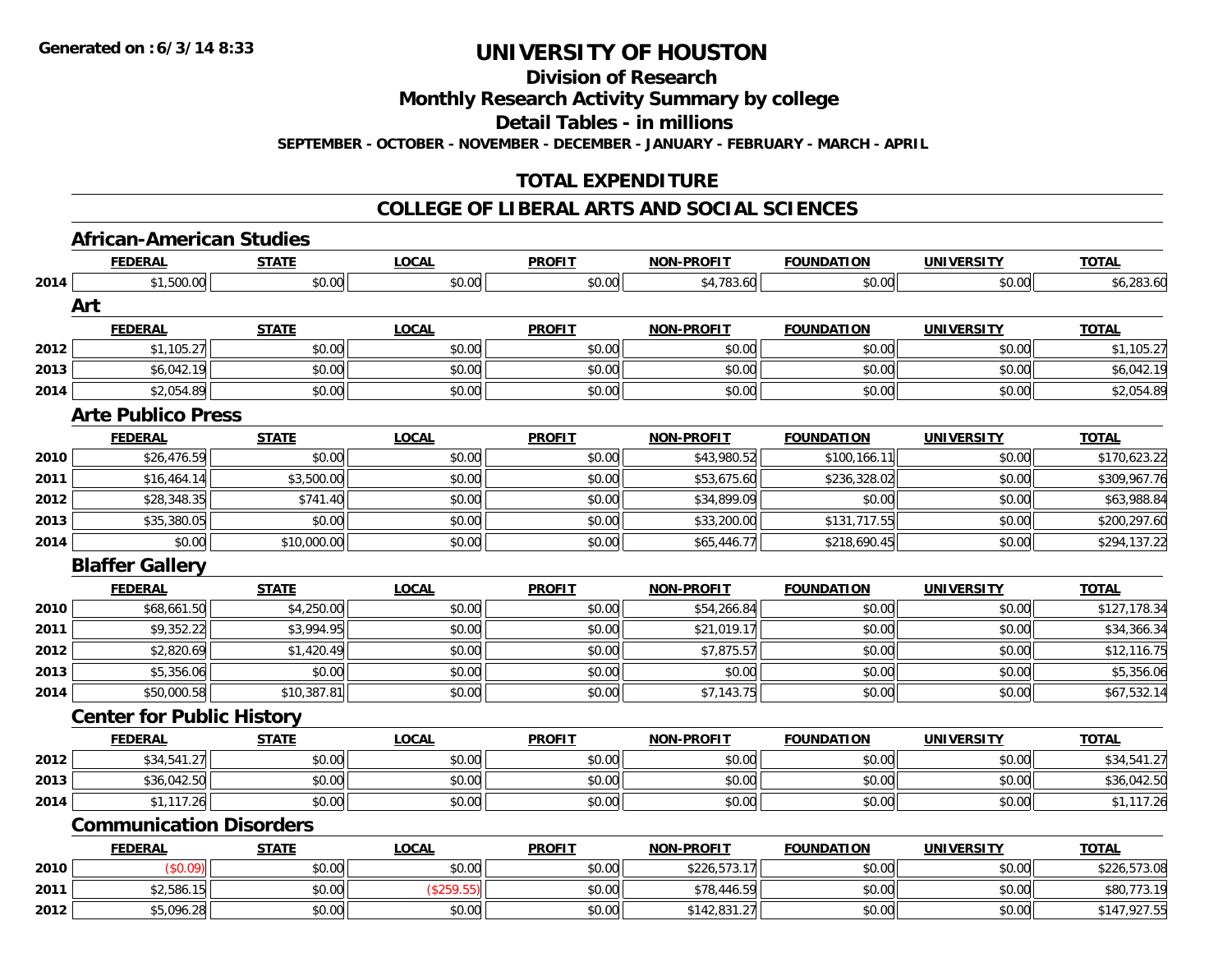**Division of Research**

**Monthly Research Activity Summary by college**

**Detail Tables - in millions**

**SEPTEMBER - OCTOBER - NOVEMBER - DECEMBER - JANUARY - FEBRUARY - MARCH - APRIL**

## **TOTAL EXPENDITURE**

### **COLLEGE OF LIBERAL ARTS AND SOCIAL SCIENCES**

# **African-American Studies**

|      | <b>FEDERAL</b>                   | <b>STATE</b> | <b>LOCAL</b> | <b>PROFIT</b> | <b>NON-PROFIT</b> | <b>FOUNDATION</b> | <u>UNIVERSITY</u> | TOTAL        |
|------|----------------------------------|--------------|--------------|---------------|-------------------|-------------------|-------------------|--------------|
| 2014 | \$1,500.00                       | \$0.00       | \$0.00       | \$0.00        | \$4,783.60        | \$0.00            | \$0.00            | \$6,283.60   |
|      | Art                              |              |              |               |                   |                   |                   |              |
|      | <b>FEDERAL</b>                   | <b>STATE</b> | <b>LOCAL</b> | <b>PROFIT</b> | <b>NON-PROFIT</b> | <b>FOUNDATION</b> | <b>UNIVERSITY</b> | <b>TOTAL</b> |
| 2012 | \$1,105.27                       | \$0.00       | \$0.00       | \$0.00        | \$0.00            | \$0.00            | \$0.00            | \$1,105.27   |
| 2013 | \$6,042.19                       | \$0.00       | \$0.00       | \$0.00        | \$0.00            | \$0.00            | \$0.00            | \$6,042.19   |
| 2014 | \$2,054.89                       | \$0.00       | \$0.00       | \$0.00        | \$0.00            | \$0.00            | \$0.00            | \$2,054.89   |
|      | <b>Arte Publico Press</b>        |              |              |               |                   |                   |                   |              |
|      | <b>FEDERAL</b>                   | <b>STATE</b> | <b>LOCAL</b> | <b>PROFIT</b> | <b>NON-PROFIT</b> | <b>FOUNDATION</b> | <b>UNIVERSITY</b> | <b>TOTAL</b> |
| 2010 | \$26,476.59                      | \$0.00       | \$0.00       | \$0.00        | \$43,980.52       | \$100,166.11      | \$0.00            | \$170,623.22 |
| 2011 | \$16,464.14                      | \$3,500.00   | \$0.00       | \$0.00        | \$53,675.60       | \$236,328.02      | \$0.00            | \$309,967.76 |
| 2012 | \$28,348.35                      | \$741.40     | \$0.00       | \$0.00        | \$34,899.09       | \$0.00            | \$0.00            | \$63,988.84  |
| 2013 | \$35,380.05                      | \$0.00       | \$0.00       | \$0.00        | \$33,200.00       | \$131,717.55      | \$0.00            | \$200,297.60 |
| 2014 | \$0.00                           | \$10,000.00  | \$0.00       | \$0.00        | \$65,446.77       | \$218,690.45      | \$0.00            | \$294,137.22 |
|      | <b>Blaffer Gallery</b>           |              |              |               |                   |                   |                   |              |
|      | <b>FEDERAL</b>                   | <b>STATE</b> | <b>LOCAL</b> | <b>PROFIT</b> | NON-PROFIT        | <b>FOUNDATION</b> | <b>UNIVERSITY</b> | <b>TOTAL</b> |
| 2010 | \$68,661.50                      | \$4,250.00   | \$0.00       | \$0.00        | \$54,266.84       | \$0.00            | \$0.00            | \$127,178.34 |
| 2011 | \$9,352.22                       | \$3,994.95   | \$0.00       | \$0.00        | \$21,019.17       | \$0.00            | \$0.00            | \$34,366.34  |
| 2012 | \$2,820.69                       | \$1,420.49   | \$0.00       | \$0.00        | \$7,875.57        | \$0.00            | \$0.00            | \$12,116.75  |
| 2013 | \$5,356.06                       | \$0.00       | \$0.00       | \$0.00        | \$0.00            | \$0.00            | \$0.00            | \$5,356.06   |
| 2014 | \$50,000.58                      | \$10,387.81  | \$0.00       | \$0.00        | \$7,143.75        | \$0.00            | \$0.00            | \$67,532.14  |
|      | <b>Center for Public History</b> |              |              |               |                   |                   |                   |              |
|      | <b>FEDERAL</b>                   | <b>STATE</b> | <b>LOCAL</b> | <b>PROFIT</b> | <b>NON-PROFIT</b> | <b>FOUNDATION</b> | <b>UNIVERSITY</b> | <b>TOTAL</b> |
| 2012 | \$34,541.27                      | \$0.00       | \$0.00       | \$0.00        | \$0.00            | \$0.00            | \$0.00            | \$34,541.27  |
| 2013 | \$36,042.50                      | \$0.00       | \$0.00       | \$0.00        | \$0.00            | \$0.00            | \$0.00            | \$36,042.50  |
| 2014 | \$1,117.26                       | \$0.00       | \$0.00       | \$0.00        | \$0.00            | \$0.00            | \$0.00            | \$1,117.26   |
|      | <b>Communication Disorders</b>   |              |              |               |                   |                   |                   |              |
|      | <b>FEDERAL</b>                   | <b>STATE</b> | <b>LOCAL</b> | <b>PROFIT</b> | <b>NON-PROFIT</b> | <b>FOUNDATION</b> | <b>UNIVERSITY</b> | <b>TOTAL</b> |
| 2010 | (\$0.09)                         | \$0.00       | \$0.00       | \$0.00        | \$226,573.17      | \$0.00            | \$0.00            | \$226,573.08 |
| 2011 | \$2,586.15                       | \$0.00       | (\$259.55)   | \$0.00        | \$78,446.59       | \$0.00            | \$0.00            | \$80,773.19  |
| 2012 | \$5,096.28                       | \$0.00       | \$0.00       | \$0.00        | \$142,831.27      | \$0.00            | \$0.00            | \$147,927.55 |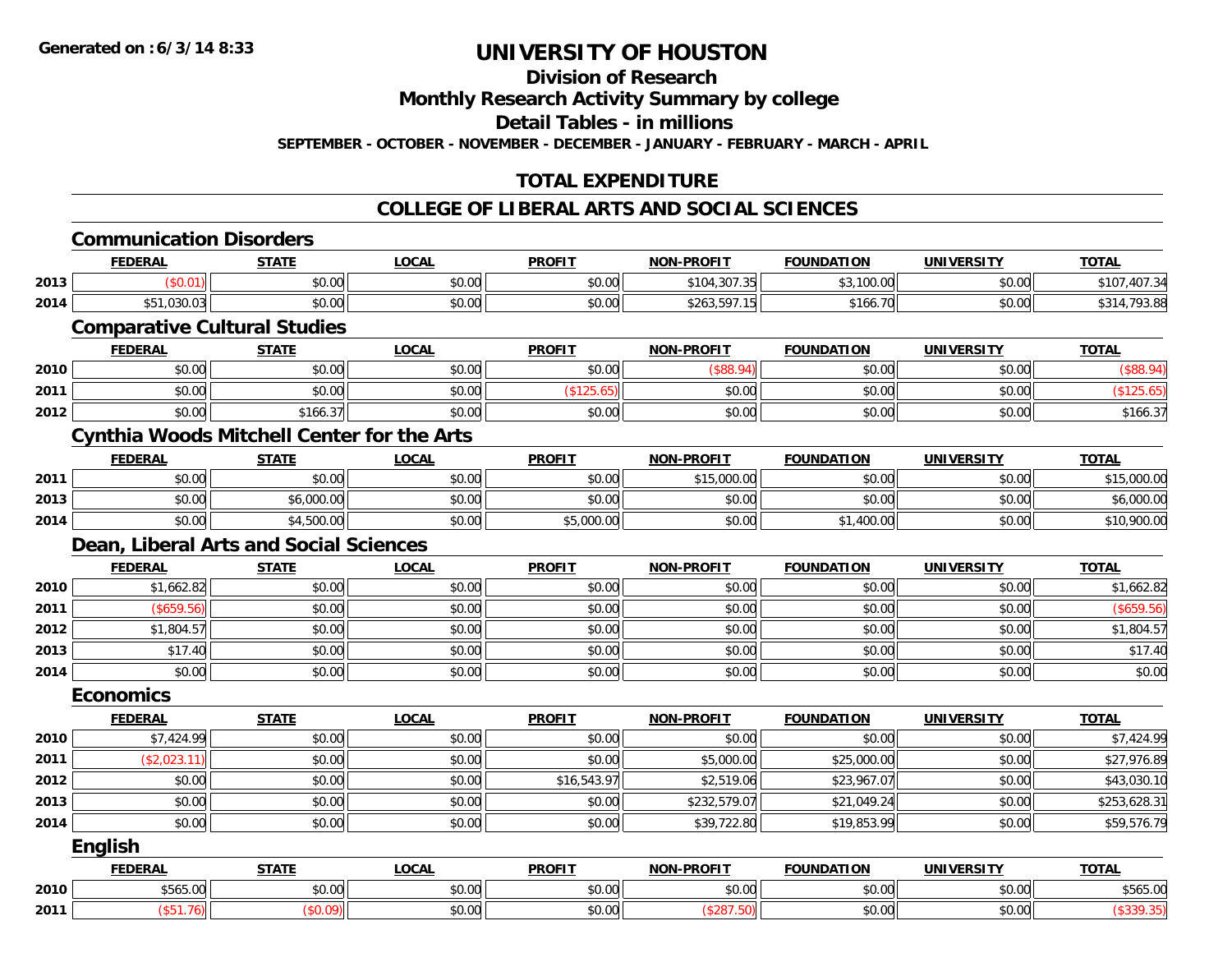**Division of Research**

**Monthly Research Activity Summary by college**

**Detail Tables - in millions**

**SEPTEMBER - OCTOBER - NOVEMBER - DECEMBER - JANUARY - FEBRUARY - MARCH - APRIL**

## **TOTAL EXPENDITURE**

### **COLLEGE OF LIBERAL ARTS AND SOCIAL SCIENCES**

|                                        | <b>Communication Disorders</b>                    |              |              |               |                   |                   |                   |              |
|----------------------------------------|---------------------------------------------------|--------------|--------------|---------------|-------------------|-------------------|-------------------|--------------|
|                                        | <b>FEDERAL</b>                                    | <b>STATE</b> | <b>LOCAL</b> | <b>PROFIT</b> | <b>NON-PROFIT</b> | <b>FOUNDATION</b> | <b>UNIVERSITY</b> | <b>TOTAL</b> |
| 2013                                   | (\$0.01)                                          | \$0.00       | \$0.00       | \$0.00        | \$104,307.35      | \$3,100.00        | \$0.00            | \$107,407.34 |
| 2014                                   | \$51,030.03                                       | \$0.00       | \$0.00       | \$0.00        | \$263,597.15      | \$166.70          | \$0.00            | \$314,793.88 |
|                                        | <b>Comparative Cultural Studies</b>               |              |              |               |                   |                   |                   |              |
|                                        | <b>FEDERAL</b>                                    | <b>STATE</b> | <b>LOCAL</b> | <b>PROFIT</b> | <b>NON-PROFIT</b> | <b>FOUNDATION</b> | <b>UNIVERSITY</b> | <b>TOTAL</b> |
| 2010                                   | \$0.00                                            | \$0.00       | \$0.00       | \$0.00        | (\$88.94)         | \$0.00            | \$0.00            | (\$88.94)    |
| 2011                                   | \$0.00                                            | \$0.00       | \$0.00       | (\$125.65)    | \$0.00            | \$0.00            | \$0.00            | (\$125.65)   |
| 2012                                   | \$0.00                                            | \$166.37     | \$0.00       | \$0.00        | \$0.00            | \$0.00            | \$0.00            | \$166.37     |
|                                        | <b>Cynthia Woods Mitchell Center for the Arts</b> |              |              |               |                   |                   |                   |              |
|                                        | <b>FEDERAL</b>                                    | <b>STATE</b> | <b>LOCAL</b> | <b>PROFIT</b> | <b>NON-PROFIT</b> | <b>FOUNDATION</b> | <b>UNIVERSITY</b> | <b>TOTAL</b> |
| 2011                                   | \$0.00                                            | \$0.00       | \$0.00       | \$0.00        | \$15,000.00       | \$0.00            | \$0.00            | \$15,000.00  |
| 2013                                   | \$0.00                                            | \$6,000.00   | \$0.00       | \$0.00        | \$0.00            | \$0.00            | \$0.00            | \$6,000.00   |
| 2014                                   | \$0.00                                            | \$4,500.00   | \$0.00       | \$5,000.00    | \$0.00            | \$1,400.00        | \$0.00            | \$10,900.00  |
| Dean, Liberal Arts and Social Sciences |                                                   |              |              |               |                   |                   |                   |              |
|                                        | <b>FEDERAL</b>                                    | <b>STATE</b> | <b>LOCAL</b> | <b>PROFIT</b> | <b>NON-PROFIT</b> | <b>FOUNDATION</b> | <b>UNIVERSITY</b> | <b>TOTAL</b> |
| 2010                                   | \$1,662.82                                        | \$0.00       | \$0.00       | \$0.00        | \$0.00            | \$0.00            | \$0.00            | \$1,662.82   |
| 2011                                   | (\$659.56)                                        | \$0.00       | \$0.00       | \$0.00        | \$0.00            | \$0.00            | \$0.00            | (\$659.56)   |
| 2012                                   | \$1,804.57                                        | \$0.00       | \$0.00       | \$0.00        | \$0.00            | \$0.00            | \$0.00            | \$1,804.57   |
| 2013                                   | \$17.40                                           | \$0.00       | \$0.00       | \$0.00        | \$0.00            | \$0.00            | \$0.00            | \$17.40      |
| 2014                                   | \$0.00                                            | \$0.00       | \$0.00       | \$0.00        | \$0.00            | \$0.00            | \$0.00            | \$0.00       |
|                                        | <b>Economics</b>                                  |              |              |               |                   |                   |                   |              |
|                                        | <b>FEDERAL</b>                                    | <b>STATE</b> | <b>LOCAL</b> | <b>PROFIT</b> | <b>NON-PROFIT</b> | <b>FOUNDATION</b> | <b>UNIVERSITY</b> | <b>TOTAL</b> |
| 2010                                   | \$7,424.99                                        | \$0.00       | \$0.00       | \$0.00        | \$0.00            | \$0.00            | \$0.00            | \$7,424.99   |
| 2011                                   | (\$2,023.11)                                      | \$0.00       | \$0.00       | \$0.00        | \$5,000.00        | \$25,000.00       | \$0.00            | \$27,976.89  |
| 2012                                   | \$0.00                                            | \$0.00       | \$0.00       | \$16,543.97   | \$2,519.06        | \$23,967.07       | \$0.00            | \$43,030.10  |
| 2013                                   | \$0.00                                            | \$0.00       | \$0.00       | \$0.00        | \$232,579.07      | \$21,049.24       | \$0.00            | \$253,628.31 |
| 2014                                   | \$0.00                                            | \$0.00       | \$0.00       | \$0.00        | \$39,722.80       | \$19,853.99       | \$0.00            | \$59,576.79  |
|                                        | <b>English</b>                                    |              |              |               |                   |                   |                   |              |
|                                        | <b>FEDERAL</b>                                    | <b>STATE</b> | <b>LOCAL</b> | <b>PROFIT</b> | <b>NON-PROFIT</b> | <b>FOUNDATION</b> | <b>UNIVERSITY</b> | <b>TOTAL</b> |
| 2010                                   | \$565.00                                          | \$0.00       | \$0.00       | \$0.00        | \$0.00            | \$0.00            | \$0.00            | \$565.00     |
| 2011                                   | (\$51.76)                                         | (\$0.09)     | \$0.00       | \$0.00        | (\$287.50)        | \$0.00            | \$0.00            | (\$339.35)   |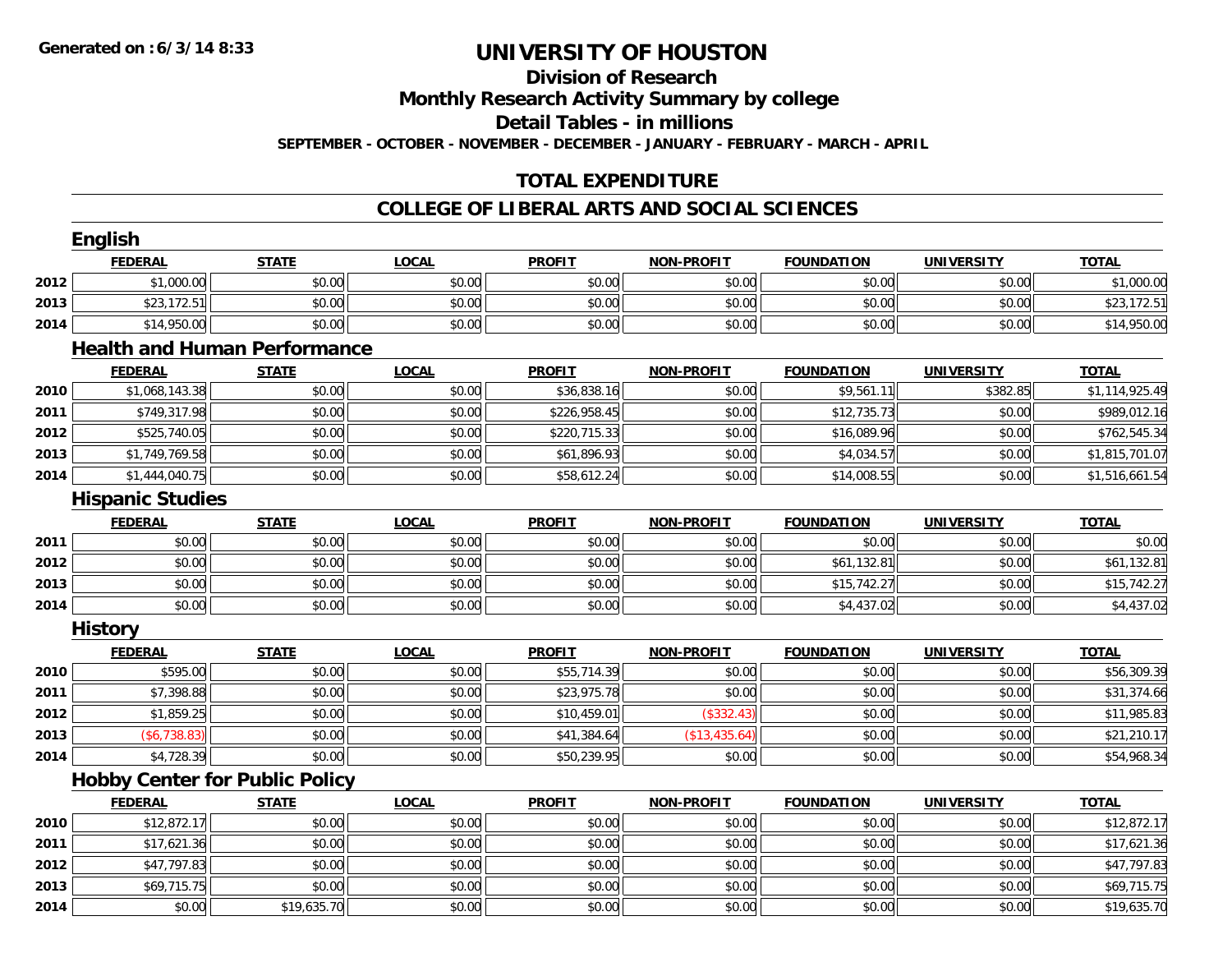#### **Division of Research**

**Monthly Research Activity Summary by college**

**Detail Tables - in millions**

**SEPTEMBER - OCTOBER - NOVEMBER - DECEMBER - JANUARY - FEBRUARY - MARCH - APRIL**

## **TOTAL EXPENDITURE**

### **COLLEGE OF LIBERAL ARTS AND SOCIAL SCIENCES**

|      | <b>English</b>          |                                       |              |               |                   |                   |                   |                |
|------|-------------------------|---------------------------------------|--------------|---------------|-------------------|-------------------|-------------------|----------------|
|      | <b>FEDERAL</b>          | <b>STATE</b>                          | <b>LOCAL</b> | <b>PROFIT</b> | <b>NON-PROFIT</b> | <b>FOUNDATION</b> | <b>UNIVERSITY</b> | <b>TOTAL</b>   |
| 2012 | \$1,000.00              | \$0.00                                | \$0.00       | \$0.00        | \$0.00            | \$0.00            | \$0.00            | \$1,000.00     |
| 2013 | \$23,172.51             | \$0.00                                | \$0.00       | \$0.00        | \$0.00            | \$0.00            | \$0.00            | \$23,172.51    |
| 2014 | \$14,950.00             | \$0.00                                | \$0.00       | \$0.00        | \$0.00            | \$0.00            | \$0.00            | \$14,950.00    |
|      |                         | <b>Health and Human Performance</b>   |              |               |                   |                   |                   |                |
|      | <b>FEDERAL</b>          | <b>STATE</b>                          | <b>LOCAL</b> | <b>PROFIT</b> | <b>NON-PROFIT</b> | <b>FOUNDATION</b> | <b>UNIVERSITY</b> | <b>TOTAL</b>   |
| 2010 | \$1,068,143.38          | \$0.00                                | \$0.00       | \$36,838.16   | \$0.00            | \$9,561.11        | \$382.85          | \$1,114,925.49 |
| 2011 | \$749,317.98            | \$0.00                                | \$0.00       | \$226,958.45  | \$0.00            | \$12,735.73       | \$0.00            | \$989,012.16   |
| 2012 | \$525,740.05            | \$0.00                                | \$0.00       | \$220,715.33  | \$0.00            | \$16,089.96       | \$0.00            | \$762,545.34   |
| 2013 | \$1,749,769.58          | \$0.00                                | \$0.00       | \$61,896.93   | \$0.00            | \$4,034.57        | \$0.00            | \$1,815,701.07 |
| 2014 | \$1,444,040.75          | \$0.00                                | \$0.00       | \$58,612.24   | \$0.00            | \$14,008.55       | \$0.00            | \$1,516,661.54 |
|      | <b>Hispanic Studies</b> |                                       |              |               |                   |                   |                   |                |
|      | <b>FEDERAL</b>          | <b>STATE</b>                          | <b>LOCAL</b> | <b>PROFIT</b> | <b>NON-PROFIT</b> | <b>FOUNDATION</b> | <b>UNIVERSITY</b> | <b>TOTAL</b>   |
| 2011 | \$0.00                  | \$0.00                                | \$0.00       | \$0.00        | \$0.00            | \$0.00            | \$0.00            | \$0.00         |
| 2012 | \$0.00                  | \$0.00                                | \$0.00       | \$0.00        | \$0.00            | \$61,132.81       | \$0.00            | \$61,132.81    |
| 2013 | \$0.00                  | \$0.00                                | \$0.00       | \$0.00        | \$0.00            | \$15,742.27       | \$0.00            | \$15,742.27    |
| 2014 | \$0.00                  | \$0.00                                | \$0.00       | \$0.00        | \$0.00            | \$4,437.02        | \$0.00            | \$4,437.02     |
|      | <b>History</b>          |                                       |              |               |                   |                   |                   |                |
|      | <b>FEDERAL</b>          | <b>STATE</b>                          | <b>LOCAL</b> | <b>PROFIT</b> | <b>NON-PROFIT</b> | <b>FOUNDATION</b> | <b>UNIVERSITY</b> | <b>TOTAL</b>   |
| 2010 | \$595.00                | \$0.00                                | \$0.00       | \$55,714.39   | \$0.00            | \$0.00            | \$0.00            | \$56,309.39    |
| 2011 | \$7,398.88              | \$0.00                                | \$0.00       | \$23,975.78   | \$0.00            | \$0.00            | \$0.00            | \$31,374.66    |
| 2012 | \$1,859.25              | \$0.00                                | \$0.00       | \$10,459.01   | (\$332.43)        | \$0.00            | \$0.00            | \$11,985.83    |
| 2013 | ( \$6, 738.83)          | \$0.00                                | \$0.00       | \$41,384.64   | (\$13,435.64)     | \$0.00            | \$0.00            | \$21,210.17    |
| 2014 | \$4,728.39              | \$0.00                                | \$0.00       | \$50,239.95   | \$0.00            | \$0.00            | \$0.00            | \$54,968.34    |
|      |                         | <b>Hobby Center for Public Policy</b> |              |               |                   |                   |                   |                |
|      | <b>FEDERAL</b>          | <b>STATE</b>                          | <b>LOCAL</b> | <b>PROFIT</b> | <b>NON-PROFIT</b> | <b>FOUNDATION</b> | <b>UNIVERSITY</b> | <b>TOTAL</b>   |
| 2010 | \$12,872.17             | \$0.00                                | \$0.00       | \$0.00        | \$0.00            | \$0.00            | \$0.00            | \$12,872.17    |
| 2011 | \$17,621.36             | \$0.00                                | \$0.00       | \$0.00        | \$0.00            | \$0.00            | \$0.00            | \$17,621.36    |
| 2012 | \$47,797.83             | \$0.00                                | \$0.00       | \$0.00        | \$0.00            | \$0.00            | \$0.00            | \$47,797.83    |
| 2013 | \$69,715.75             | \$0.00                                | \$0.00       | \$0.00        | \$0.00            | \$0.00            | \$0.00            | \$69,715.75    |
| 2014 | \$0.00                  | \$19,635.70                           | \$0.00       | \$0.00        | \$0.00            | \$0.00            | \$0.00            | \$19,635.70    |
|      |                         |                                       |              |               |                   |                   |                   |                |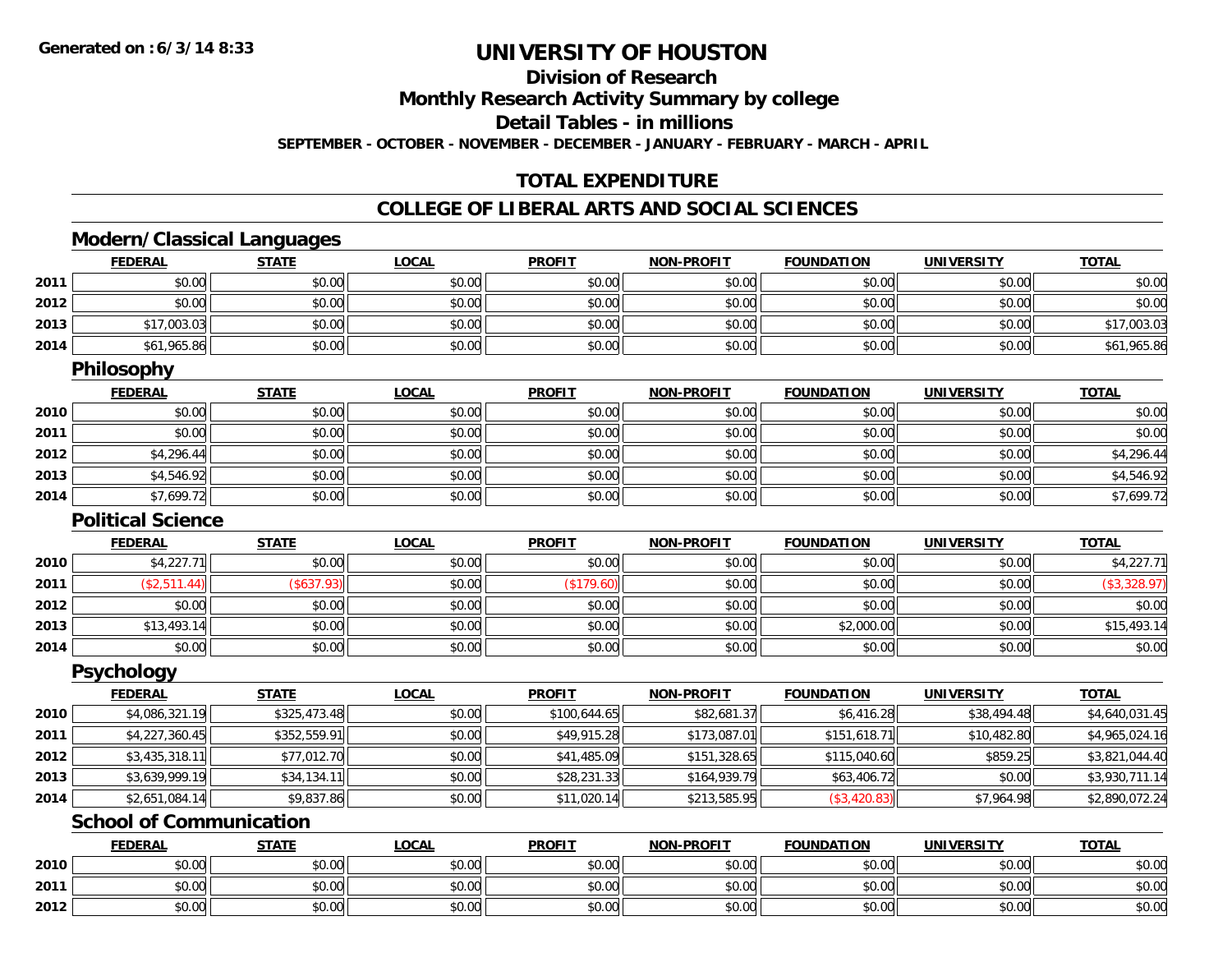**2012**

## **UNIVERSITY OF HOUSTON**

**Division of Research**

**Monthly Research Activity Summary by college**

**Detail Tables - in millions**

**SEPTEMBER - OCTOBER - NOVEMBER - DECEMBER - JANUARY - FEBRUARY - MARCH - APRIL**

## **TOTAL EXPENDITURE**

### **COLLEGE OF LIBERAL ARTS AND SOCIAL SCIENCES**

## **Modern/Classical Languages**

|      | <b>FEDERAL</b>                 | <b>STATE</b> | <b>LOCAL</b> | <b>PROFIT</b> | <b>NON-PROFIT</b> | <b>FOUNDATION</b> | <b>UNIVERSITY</b> | <b>TOTAL</b>   |
|------|--------------------------------|--------------|--------------|---------------|-------------------|-------------------|-------------------|----------------|
| 2011 | \$0.00                         | \$0.00       | \$0.00       | \$0.00        | \$0.00            | \$0.00            | \$0.00            | \$0.00         |
| 2012 | \$0.00                         | \$0.00       | \$0.00       | \$0.00        | \$0.00            | \$0.00            | \$0.00            | \$0.00         |
| 2013 | \$17,003.03                    | \$0.00       | \$0.00       | \$0.00        | \$0.00            | \$0.00            | \$0.00            | \$17,003.03    |
| 2014 | \$61,965.86                    | \$0.00       | \$0.00       | \$0.00        | \$0.00            | \$0.00            | \$0.00            | \$61,965.86    |
|      | <b>Philosophy</b>              |              |              |               |                   |                   |                   |                |
|      | <b>FEDERAL</b>                 | <b>STATE</b> | <b>LOCAL</b> | <b>PROFIT</b> | <b>NON-PROFIT</b> | <b>FOUNDATION</b> | <b>UNIVERSITY</b> | <b>TOTAL</b>   |
| 2010 | \$0.00                         | \$0.00       | \$0.00       | \$0.00        | \$0.00            | \$0.00            | \$0.00            | \$0.00         |
| 2011 | \$0.00                         | \$0.00       | \$0.00       | \$0.00        | \$0.00            | \$0.00            | \$0.00            | \$0.00         |
| 2012 | \$4,296.44                     | \$0.00       | \$0.00       | \$0.00        | \$0.00            | \$0.00            | \$0.00            | \$4,296.44     |
| 2013 | \$4,546.92                     | \$0.00       | \$0.00       | \$0.00        | \$0.00            | \$0.00            | \$0.00            | \$4,546.92     |
| 2014 | \$7,699.72                     | \$0.00       | \$0.00       | \$0.00        | \$0.00            | \$0.00            | \$0.00            | \$7,699.72     |
|      | <b>Political Science</b>       |              |              |               |                   |                   |                   |                |
|      | <b>FEDERAL</b>                 | <b>STATE</b> | <b>LOCAL</b> | <b>PROFIT</b> | <b>NON-PROFIT</b> | <b>FOUNDATION</b> | <b>UNIVERSITY</b> | <b>TOTAL</b>   |
| 2010 | \$4,227.71                     | \$0.00       | \$0.00       | \$0.00        | \$0.00            | \$0.00            | \$0.00            | \$4,227.71     |
| 2011 | (\$2,511.44)                   | (\$637.93)   | \$0.00       | (\$179.60)    | \$0.00            | \$0.00            | \$0.00            | (\$3,328.97)   |
| 2012 | \$0.00                         | \$0.00       | \$0.00       | \$0.00        | \$0.00            | \$0.00            | \$0.00            | \$0.00         |
| 2013 | \$13,493.14                    | \$0.00       | \$0.00       | \$0.00        | \$0.00            | \$2,000.00        | \$0.00            | \$15,493.14    |
| 2014 | \$0.00                         | \$0.00       | \$0.00       | \$0.00        | \$0.00            | \$0.00            | \$0.00            | \$0.00         |
|      | <b>Psychology</b>              |              |              |               |                   |                   |                   |                |
|      | <b>FEDERAL</b>                 | <b>STATE</b> | <b>LOCAL</b> | <b>PROFIT</b> | <b>NON-PROFIT</b> | <b>FOUNDATION</b> | <b>UNIVERSITY</b> | <b>TOTAL</b>   |
| 2010 | \$4,086,321.19                 | \$325,473.48 | \$0.00       | \$100,644.65  | \$82,681.37       | \$6,416.28        | \$38,494.48       | \$4,640,031.45 |
| 2011 | \$4,227,360.45                 | \$352,559.91 | \$0.00       | \$49,915.28   | \$173,087.01      | \$151,618.71      | \$10,482.80       | \$4,965,024.16 |
| 2012 | \$3,435,318.11                 | \$77,012.70  | \$0.00       | \$41,485.09   | \$151,328.65      | \$115,040.60      | \$859.25          | \$3,821,044.40 |
| 2013 | \$3,639,999.19                 | \$34,134.11  | \$0.00       | \$28,231.33   | \$164,939.79      | \$63,406.72       | \$0.00            | \$3,930,711.14 |
| 2014 | \$2,651,084.14                 | \$9,837.86   | \$0.00       | \$11,020.14   | \$213,585.95      | (\$3,420.83)      | \$7,964.98        | \$2,890,072.24 |
|      | <b>School of Communication</b> |              |              |               |                   |                   |                   |                |
|      | <b>FEDERAL</b>                 | <b>STATE</b> | <b>LOCAL</b> | <b>PROFIT</b> | <b>NON-PROFIT</b> | <b>FOUNDATION</b> | <b>UNIVERSITY</b> | <b>TOTAL</b>   |
| 2010 | \$0.00                         | \$0.00       | \$0.00       | \$0.00        | \$0.00            | \$0.00            | \$0.00            | \$0.00         |
| 2011 | \$0.00                         | \$0.00       | \$0.00       | \$0.00        | \$0.00            | \$0.00            | \$0.00            | \$0.00         |

2 | \$0.00 \$0.00 \$0.00 \$0.00 \$0.00 \$0.00 \$0.00 \$0.00 \$0.00 \$0.00 \$0.00 \$0.00 \$0.00 \$0.00 \$0.00 \$0.00 \$0.00 \$0.0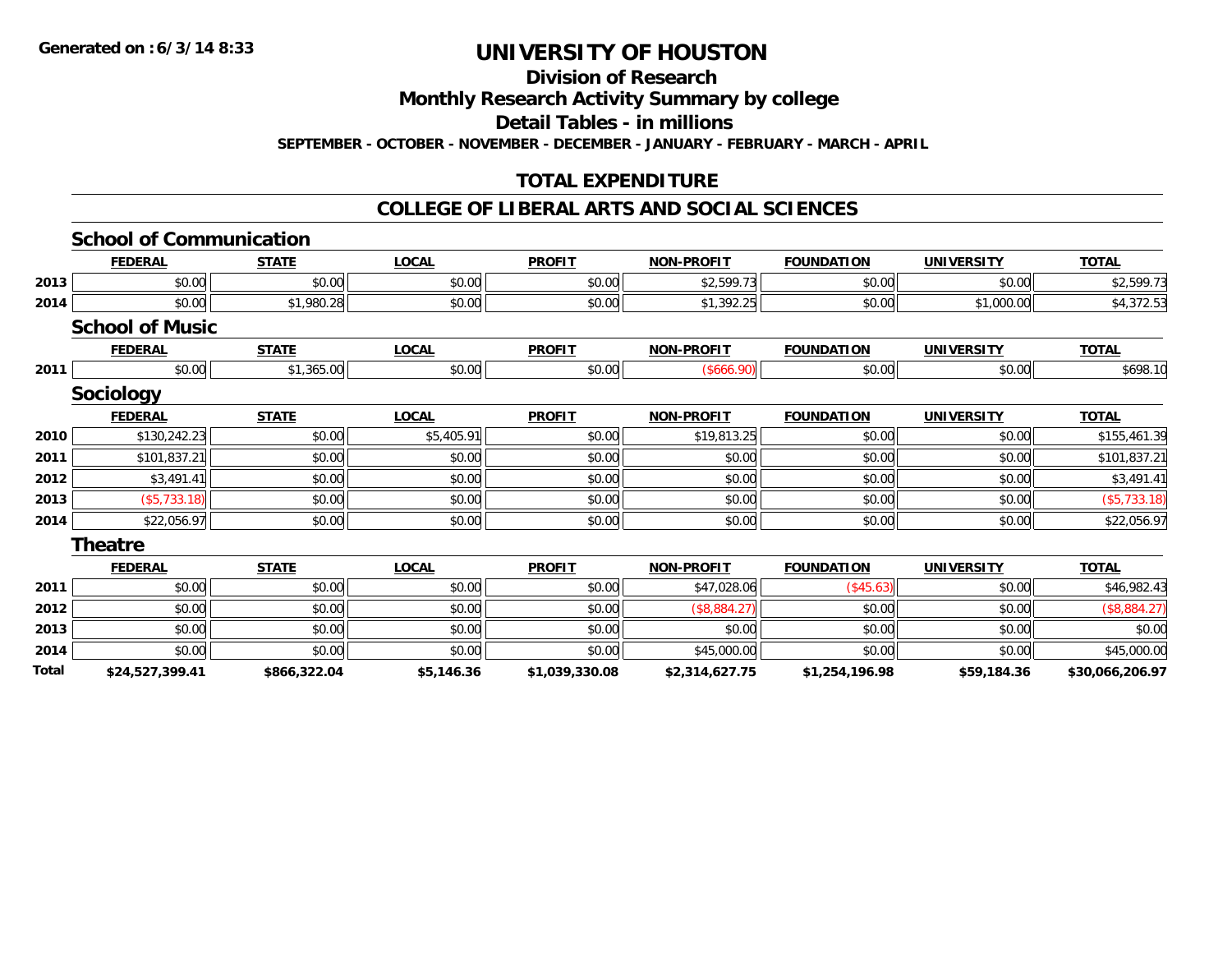**Division of Research**

**Monthly Research Activity Summary by college**

**Detail Tables - in millions**

**SEPTEMBER - OCTOBER - NOVEMBER - DECEMBER - JANUARY - FEBRUARY - MARCH - APRIL**

## **TOTAL EXPENDITURE**

### **COLLEGE OF LIBERAL ARTS AND SOCIAL SCIENCES**

|       | <b>School of Communication</b> |              |              |                |                   |                   |                   |                 |
|-------|--------------------------------|--------------|--------------|----------------|-------------------|-------------------|-------------------|-----------------|
|       | <b>FEDERAL</b>                 | <b>STATE</b> | <b>LOCAL</b> | <b>PROFIT</b>  | <b>NON-PROFIT</b> | <b>FOUNDATION</b> | <b>UNIVERSITY</b> | <b>TOTAL</b>    |
| 2013  | \$0.00                         | \$0.00       | \$0.00       | \$0.00         | \$2,599.73        | \$0.00            | \$0.00            | \$2,599.73      |
| 2014  | \$0.00                         | \$1,980.28   | \$0.00       | \$0.00         | \$1,392.25        | \$0.00            | \$1,000.00        | \$4,372.53      |
|       | <b>School of Music</b>         |              |              |                |                   |                   |                   |                 |
|       | <b>FEDERAL</b>                 | <b>STATE</b> | <b>LOCAL</b> | <b>PROFIT</b>  | <b>NON-PROFIT</b> | <b>FOUNDATION</b> | <b>UNIVERSITY</b> | <b>TOTAL</b>    |
| 2011  | \$0.00                         | \$1,365.00   | \$0.00       | \$0.00         | (\$666.90)        | \$0.00            | \$0.00            | \$698.10        |
|       | <b>Sociology</b>               |              |              |                |                   |                   |                   |                 |
|       | <b>FEDERAL</b>                 | <b>STATE</b> | <b>LOCAL</b> | <b>PROFIT</b>  | <b>NON-PROFIT</b> | <b>FOUNDATION</b> | <b>UNIVERSITY</b> | <b>TOTAL</b>    |
| 2010  | \$130,242.23                   | \$0.00       | \$5,405.91   | \$0.00         | \$19,813.25       | \$0.00            | \$0.00            | \$155,461.39    |
| 2011  | \$101,837.21                   | \$0.00       | \$0.00       | \$0.00         | \$0.00            | \$0.00            | \$0.00            | \$101,837.21    |
| 2012  | \$3,491.41                     | \$0.00       | \$0.00       | \$0.00         | \$0.00            | \$0.00            | \$0.00            | \$3,491.41      |
| 2013  | ( \$5,733.18)                  | \$0.00       | \$0.00       | \$0.00         | \$0.00            | \$0.00            | \$0.00            | (\$5,733.18)    |
| 2014  | \$22,056.97                    | \$0.00       | \$0.00       | \$0.00         | \$0.00            | \$0.00            | \$0.00            | \$22,056.97     |
|       | <b>Theatre</b>                 |              |              |                |                   |                   |                   |                 |
|       | <b>FEDERAL</b>                 | <b>STATE</b> | <b>LOCAL</b> | <b>PROFIT</b>  | <b>NON-PROFIT</b> | <b>FOUNDATION</b> | <b>UNIVERSITY</b> | <b>TOTAL</b>    |
| 2011  | \$0.00                         | \$0.00       | \$0.00       | \$0.00         | \$47,028.06       | (\$45.63)         | \$0.00            | \$46,982.43     |
| 2012  | \$0.00                         | \$0.00       | \$0.00       | \$0.00         | (\$8,884.27)      | \$0.00            | \$0.00            | (\$8,884.27)    |
| 2013  | \$0.00                         | \$0.00       | \$0.00       | \$0.00         | \$0.00            | \$0.00            | \$0.00            | \$0.00          |
| 2014  | \$0.00                         | \$0.00       | \$0.00       | \$0.00         | \$45,000.00       | \$0.00            | \$0.00            | \$45,000.00     |
| Total | \$24,527,399.41                | \$866,322.04 | \$5,146.36   | \$1,039,330.08 | \$2,314,627.75    | \$1,254,196.98    | \$59,184.36       | \$30,066,206.97 |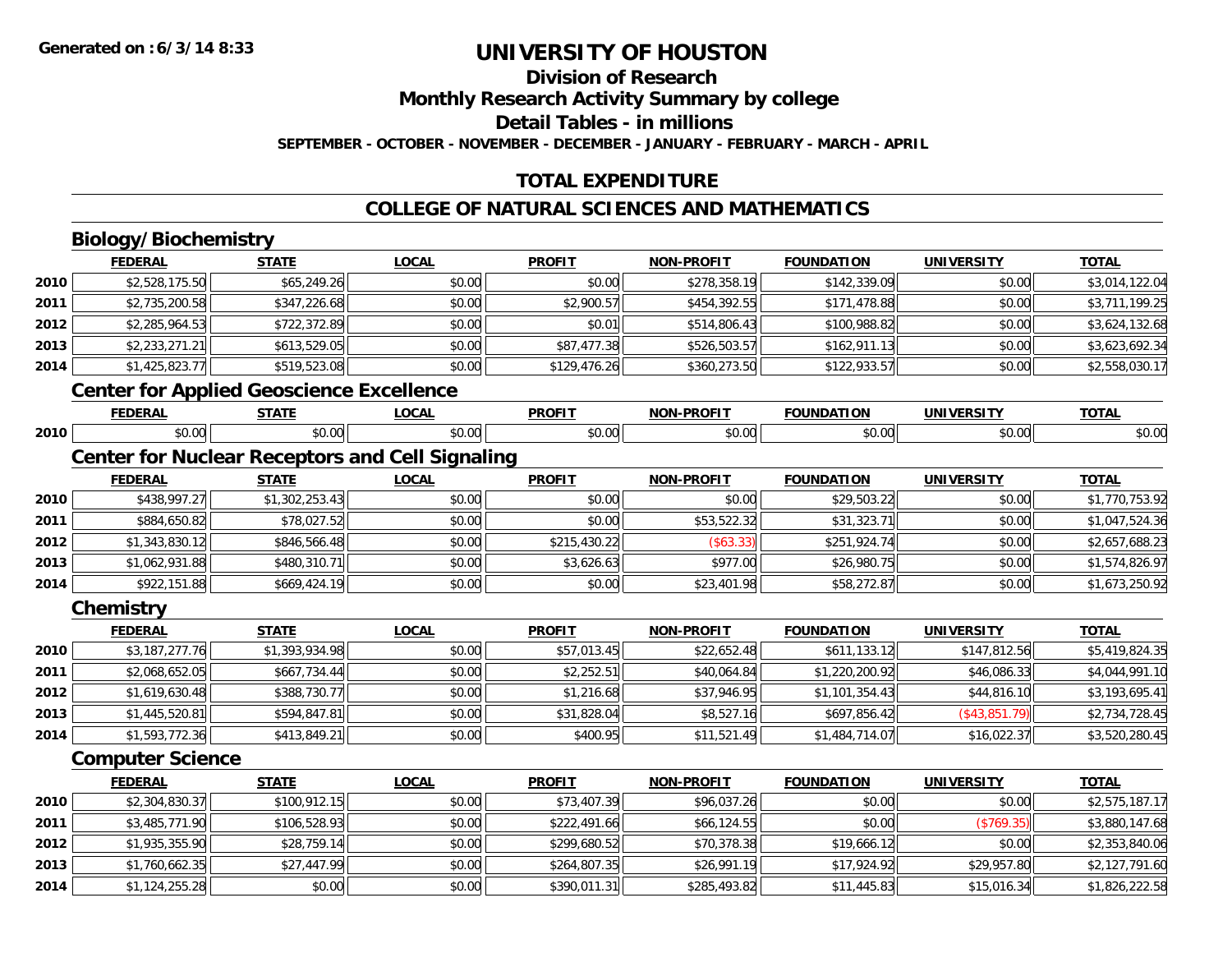**Division of Research**

**Monthly Research Activity Summary by college**

**Detail Tables - in millions**

**SEPTEMBER - OCTOBER - NOVEMBER - DECEMBER - JANUARY - FEBRUARY - MARCH - APRIL**

## **TOTAL EXPENDITURE**

## **COLLEGE OF NATURAL SCIENCES AND MATHEMATICS**

## **Biology/Biochemistry**

**2013**

**2014**

|      | <b>FEDERAL</b>          | <b>STATE</b>                                           | <b>LOCAL</b> | <b>PROFIT</b> | NON-PROFIT        | <b>FOUNDATION</b> | <b>UNIVERSITY</b> | <b>TOTAL</b>   |
|------|-------------------------|--------------------------------------------------------|--------------|---------------|-------------------|-------------------|-------------------|----------------|
| 2010 | \$2,528,175.50          | \$65,249.26                                            | \$0.00       | \$0.00        | \$278,358.19      | \$142,339.09      | \$0.00            | \$3,014,122.04 |
| 2011 | \$2,735,200.58          | \$347,226.68                                           | \$0.00       | \$2,900.57    | \$454,392.55      | \$171,478.88      | \$0.00            | \$3,711,199.25 |
| 2012 | \$2,285,964.53          | \$722,372.89                                           | \$0.00       | \$0.01        | \$514,806.43      | \$100,988.82      | \$0.00            | \$3,624,132.68 |
| 2013 | \$2,233,271.21          | \$613,529.05                                           | \$0.00       | \$87,477.38   | \$526,503.57      | \$162,911.13      | \$0.00            | \$3,623,692.34 |
| 2014 | \$1,425,823.77          | \$519,523.08                                           | \$0.00       | \$129,476.26  | \$360,273.50      | \$122,933.57      | \$0.00            | \$2,558,030.17 |
|      |                         | <b>Center for Applied Geoscience Excellence</b>        |              |               |                   |                   |                   |                |
|      | <b>FEDERAL</b>          | <b>STATE</b>                                           | <b>LOCAL</b> | <b>PROFIT</b> | NON-PROFIT        | <b>FOUNDATION</b> | <b>UNIVERSITY</b> | <b>TOTAL</b>   |
| 2010 | \$0.00                  | \$0.00                                                 | \$0.00       | \$0.00        | \$0.00            | \$0.00            | \$0.00            | \$0.00         |
|      |                         | <b>Center for Nuclear Receptors and Cell Signaling</b> |              |               |                   |                   |                   |                |
|      | <b>FEDERAL</b>          | <b>STATE</b>                                           | LOCAL        | <b>PROFIT</b> | <b>NON-PROFIT</b> | <b>FOUNDATION</b> | <b>UNIVERSITY</b> | <b>TOTAL</b>   |
| 2010 | \$438,997.27            | \$1,302,253.43                                         | \$0.00       | \$0.00        | \$0.00            | \$29,503.22       | \$0.00            | \$1,770,753.92 |
| 2011 | \$884,650.82            | \$78,027.52                                            | \$0.00       | \$0.00        | \$53,522.32       | \$31,323.71       | \$0.00            | \$1,047,524.36 |
| 2012 | \$1,343,830.12          | \$846,566.48                                           | \$0.00       | \$215,430.22  | (\$63.33)         | \$251,924.74      | \$0.00            | \$2,657,688.23 |
| 2013 | \$1,062,931.88          | \$480,310.71                                           | \$0.00       | \$3,626.63    | \$977.00          | \$26,980.75       | \$0.00            | \$1,574,826.97 |
| 2014 | \$922,151.88            | \$669,424.19                                           | \$0.00       | \$0.00        | \$23,401.98       | \$58,272.87       | \$0.00            | \$1,673,250.92 |
|      | Chemistry               |                                                        |              |               |                   |                   |                   |                |
|      | <b>FEDERAL</b>          | <b>STATE</b>                                           | <b>LOCAL</b> | <b>PROFIT</b> | NON-PROFIT        | <b>FOUNDATION</b> | <b>UNIVERSITY</b> | <b>TOTAL</b>   |
| 2010 | \$3,187,277.76          | \$1,393,934.98                                         | \$0.00       | \$57,013.45   | \$22,652.48       | \$611,133.12      | \$147,812.56      | \$5,419,824.35 |
| 2011 | \$2,068,652.05          | \$667,734.44                                           | \$0.00       | \$2,252.51    | \$40,064.84       | \$1,220,200.92    | \$46,086.33       | \$4,044,991.10 |
| 2012 | \$1,619,630.48          | \$388,730.77                                           | \$0.00       | \$1,216.68    | \$37,946.95       | \$1,101,354.43    | \$44,816.10       | \$3,193,695.41 |
| 2013 | \$1,445,520.81          | \$594,847.81                                           | \$0.00       | \$31,828.04   | \$8,527.16        | \$697,856.42      | ( \$43, 851.79)   | \$2,734,728.45 |
| 2014 | \$1,593,772.36          | \$413,849.21                                           | \$0.00       | \$400.95      | \$11,521.49       | \$1,484,714.07    | \$16,022.37       | \$3,520,280.45 |
|      | <b>Computer Science</b> |                                                        |              |               |                   |                   |                   |                |
|      | <b>FEDERAL</b>          | <b>STATE</b>                                           | <b>LOCAL</b> | <b>PROFIT</b> | NON-PROFIT        | <b>FOUNDATION</b> | <b>UNIVERSITY</b> | <b>TOTAL</b>   |
| 2010 | \$2,304,830.37          | \$100,912.15                                           | \$0.00       | \$73,407.39   | \$96,037.26       | \$0.00            | \$0.00            | \$2,575,187.17 |
| 2011 | \$3,485,771.90          | \$106,528.93                                           | \$0.00       | \$222,491.66  | \$66,124.55       | \$0.00            | (\$769.35)        | \$3,880,147.68 |
| 2012 | \$1,935,355.90          | \$28,759.14                                            | \$0.00       | \$299,680.52  | \$70,378.38       | \$19,666.12       | \$0.00            | \$2,353,840.06 |

\$1,760,662.35 \$27,447.99 \$0.00 \$264,807.35 \$26,991.19 \$17,924.92 \$29,957.80 \$2,127,791.60

4 \$1,124,255.28|| \$0.00|| \$0.00|| \$390,011.31|| \$285,493.82|| \$11,445.83|| \$15,016.34|| \$1,826,222.58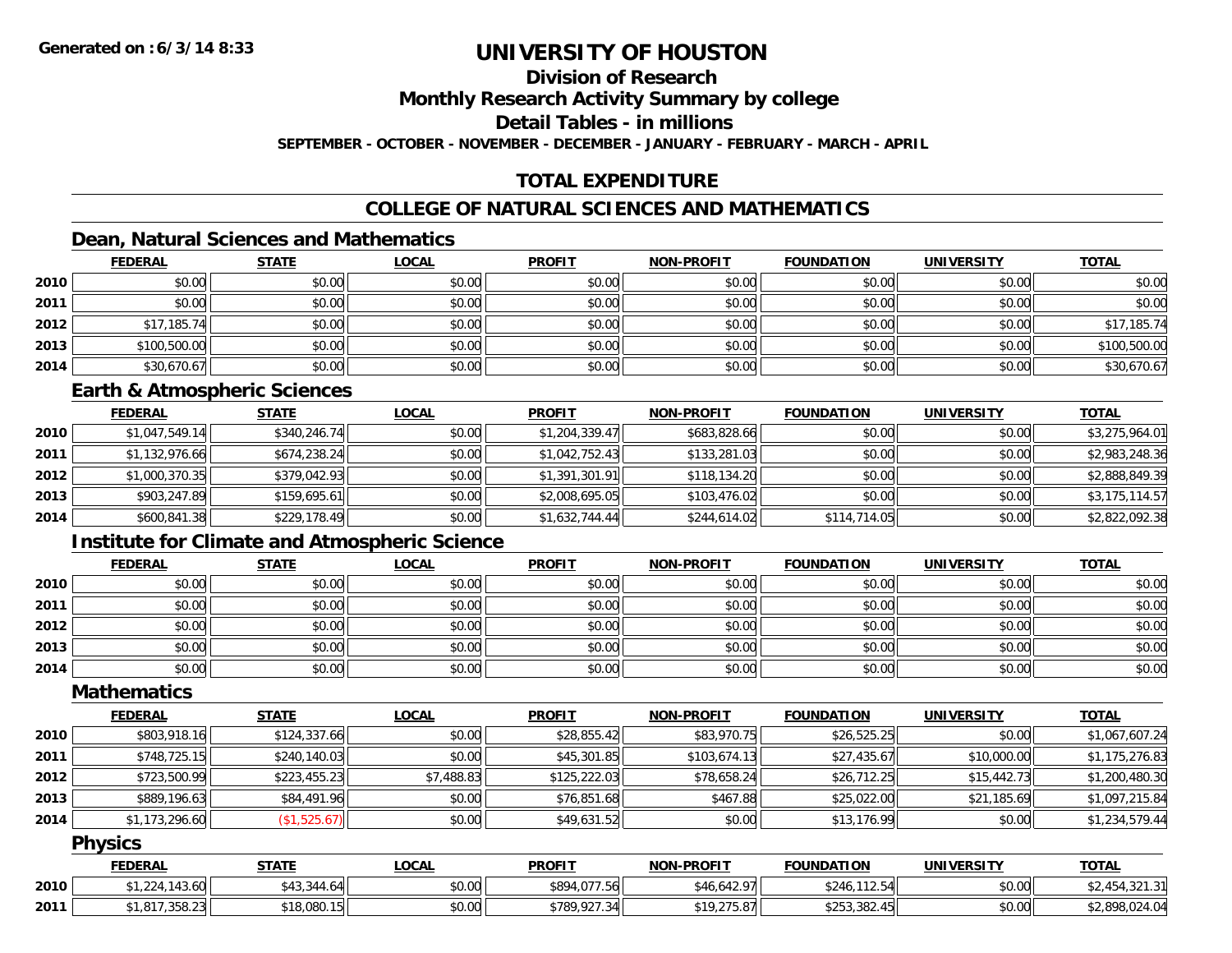#### **Division of Research**

**Monthly Research Activity Summary by college**

**Detail Tables - in millions**

**SEPTEMBER - OCTOBER - NOVEMBER - DECEMBER - JANUARY - FEBRUARY - MARCH - APRIL**

## **TOTAL EXPENDITURE**

### **COLLEGE OF NATURAL SCIENCES AND MATHEMATICS**

### **Dean, Natural Sciences and Mathematics**

|      | <b>FEDERAL</b> | <b>STATE</b> | <u>LOCAL</u> | <b>PROFIT</b> | <b>NON-PROFIT</b> | <b>FOUNDATION</b> | <b>UNIVERSITY</b> | <b>TOTAL</b> |
|------|----------------|--------------|--------------|---------------|-------------------|-------------------|-------------------|--------------|
| 2010 | \$0.00         | \$0.00       | \$0.00       | \$0.00        | \$0.00            | \$0.00            | \$0.00            | \$0.00       |
| 2011 | \$0.00         | \$0.00       | \$0.00       | \$0.00        | \$0.00            | \$0.00            | \$0.00            | \$0.00       |
| 2012 | \$17,185.74    | \$0.00       | \$0.00       | \$0.00        | \$0.00            | \$0.00            | \$0.00            | \$17,185.74  |
| 2013 | \$100,500.00   | \$0.00       | \$0.00       | \$0.00        | \$0.00            | \$0.00            | \$0.00            | \$100,500.00 |
| 2014 | \$30,670.67    | \$0.00       | \$0.00       | \$0.00        | \$0.00            | \$0.00            | \$0.00            | \$30,670.67  |

#### **Earth & Atmospheric Sciences**

|      | <b>FEDERAL</b> | <b>STATE</b> | <b>LOCAL</b> | <b>PROFIT</b>  | <b>NON-PROFIT</b> | <b>FOUNDATION</b> | <b>UNIVERSITY</b> | <b>TOTAL</b>   |
|------|----------------|--------------|--------------|----------------|-------------------|-------------------|-------------------|----------------|
| 2010 | \$1,047,549.14 | \$340,246.74 | \$0.00       | \$1,204,339.47 | \$683,828.66      | \$0.00            | \$0.00            | \$3,275,964.01 |
| 2011 | \$1,132,976.66 | \$674,238.24 | \$0.00       | \$1,042,752.43 | \$133,281.03      | \$0.00            | \$0.00            | \$2,983,248.36 |
| 2012 | \$1,000,370.35 | \$379,042.93 | \$0.00       | \$1,391,301.91 | \$118,134.20      | \$0.00            | \$0.00            | \$2,888,849.39 |
| 2013 | \$903,247.89   | \$159,695.61 | \$0.00       | \$2,008,695.05 | \$103,476.02      | \$0.00            | \$0.00            | \$3,175,114.57 |
| 2014 | \$600,841.38   | \$229,178.49 | \$0.00       | \$1,632,744.44 | \$244,614.02      | \$114,714.05      | \$0.00            | \$2,822,092.38 |

### **Institute for Climate and Atmospheric Science**

|      | <b>FEDERAL</b> | <b>STATE</b> | <u>LOCAL</u> | <b>PROFIT</b> | <b>NON-PROFIT</b> | <b>FOUNDATION</b> | <b>UNIVERSITY</b> | <b>TOTAL</b> |
|------|----------------|--------------|--------------|---------------|-------------------|-------------------|-------------------|--------------|
| 2010 | \$0.00         | \$0.00       | \$0.00       | \$0.00        | \$0.00            | \$0.00            | \$0.00            | \$0.00       |
| 2011 | \$0.00         | \$0.00       | \$0.00       | \$0.00        | \$0.00            | \$0.00            | \$0.00            | \$0.00       |
| 2012 | \$0.00         | \$0.00       | \$0.00       | \$0.00        | \$0.00            | \$0.00            | \$0.00            | \$0.00       |
| 2013 | \$0.00         | \$0.00       | \$0.00       | \$0.00        | \$0.00            | \$0.00            | \$0.00            | \$0.00       |
| 2014 | \$0.00         | \$0.00       | \$0.00       | \$0.00        | \$0.00            | \$0.00            | \$0.00            | \$0.00       |

#### **Mathematics**

|      | <b>FEDERAL</b> | <b>STATE</b> | <b>LOCAL</b> | <b>PROFIT</b> | <b>NON-PROFIT</b> | <b>FOUNDATION</b> | <b>UNIVERSITY</b> | <b>TOTAL</b>   |
|------|----------------|--------------|--------------|---------------|-------------------|-------------------|-------------------|----------------|
| 2010 | \$803,918.16   | \$124,337.66 | \$0.00       | \$28,855.42   | \$83,970.75       | \$26,525.25       | \$0.00            | \$1,067,607.24 |
| 2011 | \$748,725.15   | \$240,140.03 | \$0.00       | \$45,301.85   | \$103,674.13      | \$27,435.67       | \$10,000.00       | \$1,175,276.83 |
| 2012 | \$723,500.99   | \$223,455.23 | \$7,488.83   | \$125,222.03  | \$78,658.24       | \$26,712.25       | \$15,442.73       | \$1,200,480.30 |
| 2013 | \$889,196.63   | \$84,491.96  | \$0.00       | \$76,851.68   | \$467.88          | \$25,022.00       | \$21,185.69       | \$1,097,215.84 |
| 2014 | \$1,173,296.60 | (\$1,525.67) | \$0.00       | \$49,631.52   | \$0.00            | \$13,176.99       | \$0.00            | \$1,234,579.44 |

#### **Physics**

|      | <b>FEDERAL</b>                                              | STATE                                | .OCAL               | <b>PROFIT</b>                                         | <b>-PROFIT</b><br><b>NON</b>  | <b>FOUNDATION</b>               | UNIVERSITY | <b>TOTAL</b> |
|------|-------------------------------------------------------------|--------------------------------------|---------------------|-------------------------------------------------------|-------------------------------|---------------------------------|------------|--------------|
| 2010 | 112<br>143.OU                                               | ሖ ለ ኅ<br>$\mathbf{A}$<br>∟4∆ '<br>᠇◡ | 0000<br>JU.UU       | \$894<br>$\sim$ $\sim$ $\sim$ $\sim$ $\sim$<br>וסכ. י | $\sim$<br>$\sim$<br>. 10.04 ' | 110F<br>\$24<br>`ل . ے ا        | \$0.00     |              |
| 2011 | $\mathbf{a} = \mathbf{a}$<br>$\sim$ $\sim$<br>$-1.017$<br>. | 000<br><b>৫</b> ។ ೧<br>,vov          | $\sim$ 00<br>\$U.UU | $\sim$<br>\$789.<br>3 V I                             | 0.10, 275, 07<br>ا/ α.∪.      | ぐつにつ<br>.382.<br>$\overline{A}$ | \$0.00     | ററ<br>.UZ4.U |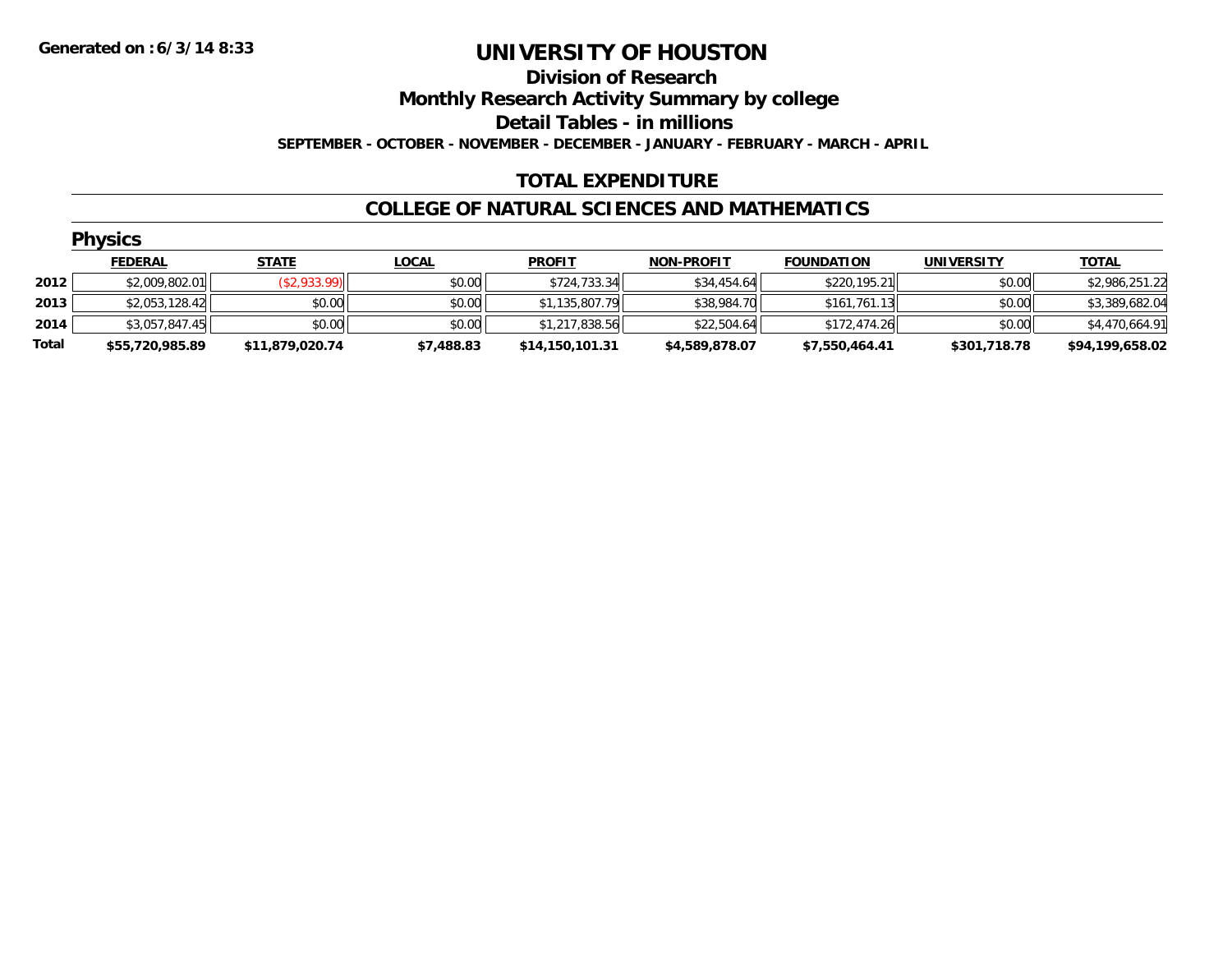#### **Division of Research**

**Monthly Research Activity Summary by college**

**Detail Tables - in millions**

**SEPTEMBER - OCTOBER - NOVEMBER - DECEMBER - JANUARY - FEBRUARY - MARCH - APRIL**

### **TOTAL EXPENDITURE**

#### **COLLEGE OF NATURAL SCIENCES AND MATHEMATICS**

|       | <b>Physics</b>  |                 |              |                 |                   |                   |                   |                 |  |  |  |  |
|-------|-----------------|-----------------|--------------|-----------------|-------------------|-------------------|-------------------|-----------------|--|--|--|--|
|       | <b>FEDERAL</b>  | <b>STATE</b>    | <b>LOCAL</b> | <b>PROFIT</b>   | <b>NON-PROFIT</b> | <b>FOUNDATION</b> | <b>UNIVERSITY</b> | <b>TOTAL</b>    |  |  |  |  |
| 2012  | \$2,009,802.01  | (\$2,933.99)    | \$0.00       | \$724,733.34    | \$34,454.64       | \$220,195.21      | \$0.00            | \$2,986,251.22  |  |  |  |  |
| 2013  | \$2,053,128.42  | \$0.00          | \$0.00       | \$1,135,807.79  | \$38,984.70       | \$161,761.13      | \$0.00            | \$3,389,682.04  |  |  |  |  |
| 2014  | \$3,057,847.45  | \$0.00          | \$0.00       | \$1,217,838.56  | \$22,504.64       | \$172,474.26      | \$0.00            | \$4,470,664.91  |  |  |  |  |
| Total | \$55,720,985.89 | \$11,879,020.74 | \$7,488.83   | \$14,150,101.31 | \$4,589,878.07    | \$7,550,464.41    | \$301,718.78      | \$94,199,658.02 |  |  |  |  |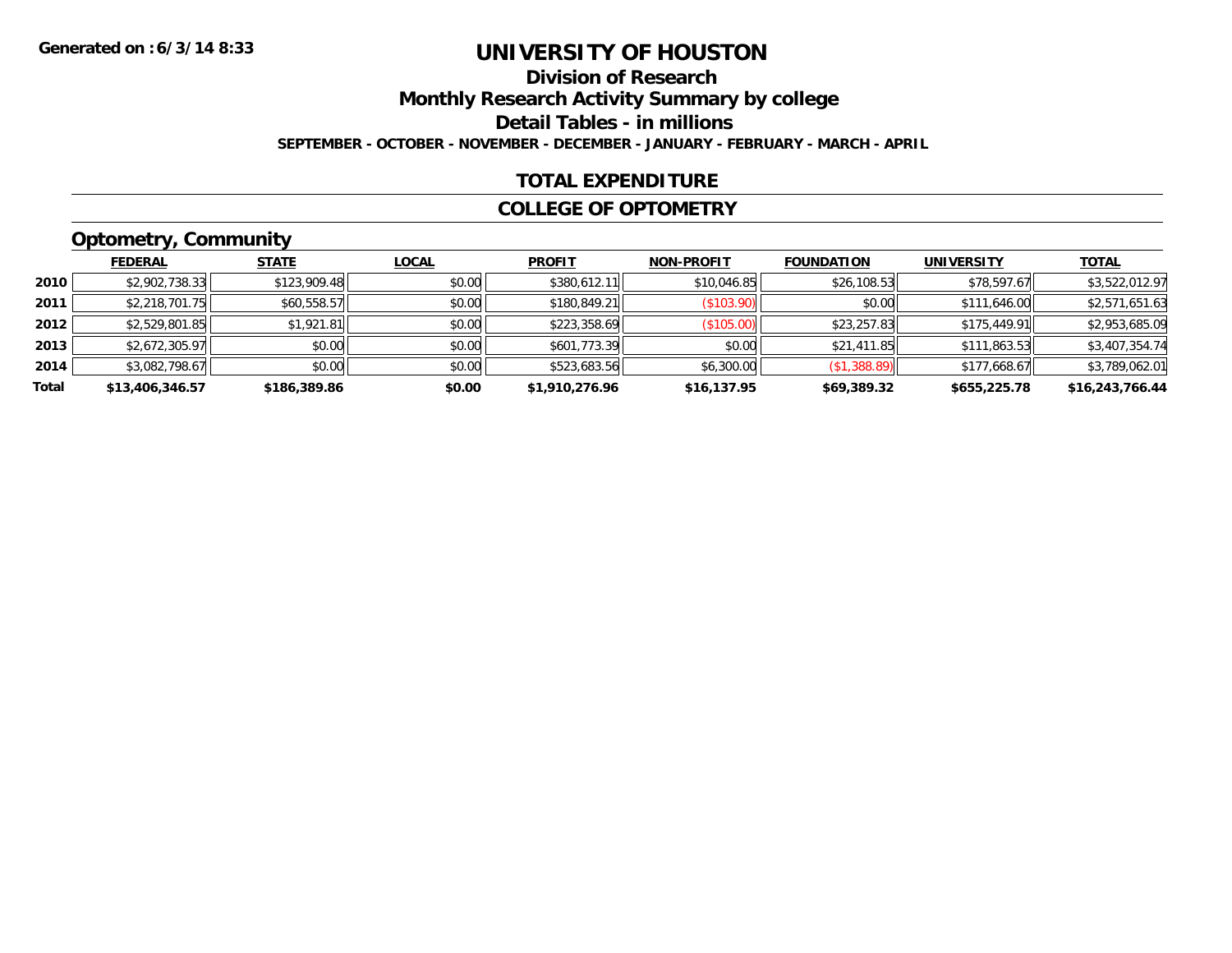## **Division of Research**

**Monthly Research Activity Summary by college**

**Detail Tables - in millions**

**SEPTEMBER - OCTOBER - NOVEMBER - DECEMBER - JANUARY - FEBRUARY - MARCH - APRIL**

#### **TOTAL EXPENDITURE**

#### **COLLEGE OF OPTOMETRY**

## **Optometry, Community**

|       | ___             |              |              |                |                   |                   |                   |                 |
|-------|-----------------|--------------|--------------|----------------|-------------------|-------------------|-------------------|-----------------|
|       | <b>FEDERAL</b>  | <b>STATE</b> | <u>LOCAL</u> | <b>PROFIT</b>  | <b>NON-PROFIT</b> | <b>FOUNDATION</b> | <b>UNIVERSITY</b> | <b>TOTAL</b>    |
| 2010  | \$2,902,738.33  | \$123,909.48 | \$0.00       | \$380,612.11   | \$10,046.85       | \$26,108.53       | \$78,597.67       | \$3,522,012.97  |
| 2011  | \$2,218,701.75  | \$60,558.57  | \$0.00       | \$180,849.21   | (S103.90)         | \$0.00            | \$111,646.00      | \$2,571,651.63  |
| 2012  | \$2,529,801.85  | \$1,921.81   | \$0.00       | \$223,358.69   | (\$105.00)        | \$23,257.83       | \$175,449.91      | \$2,953,685.09  |
| 2013  | \$2,672,305.97  | \$0.00       | \$0.00       | \$601,773.39   | \$0.00            | \$21,411.85       | \$111,863.53      | \$3,407,354.74  |
| 2014  | \$3,082,798.67  | \$0.00       | \$0.00       | \$523,683.56   | \$6,300.00        | (\$1,388.89)      | \$177.668.67      | \$3,789,062.01  |
| Total | \$13,406,346.57 | \$186,389.86 | \$0.00       | \$1,910,276.96 | \$16,137.95       | \$69,389.32       | \$655,225.78      | \$16,243,766.44 |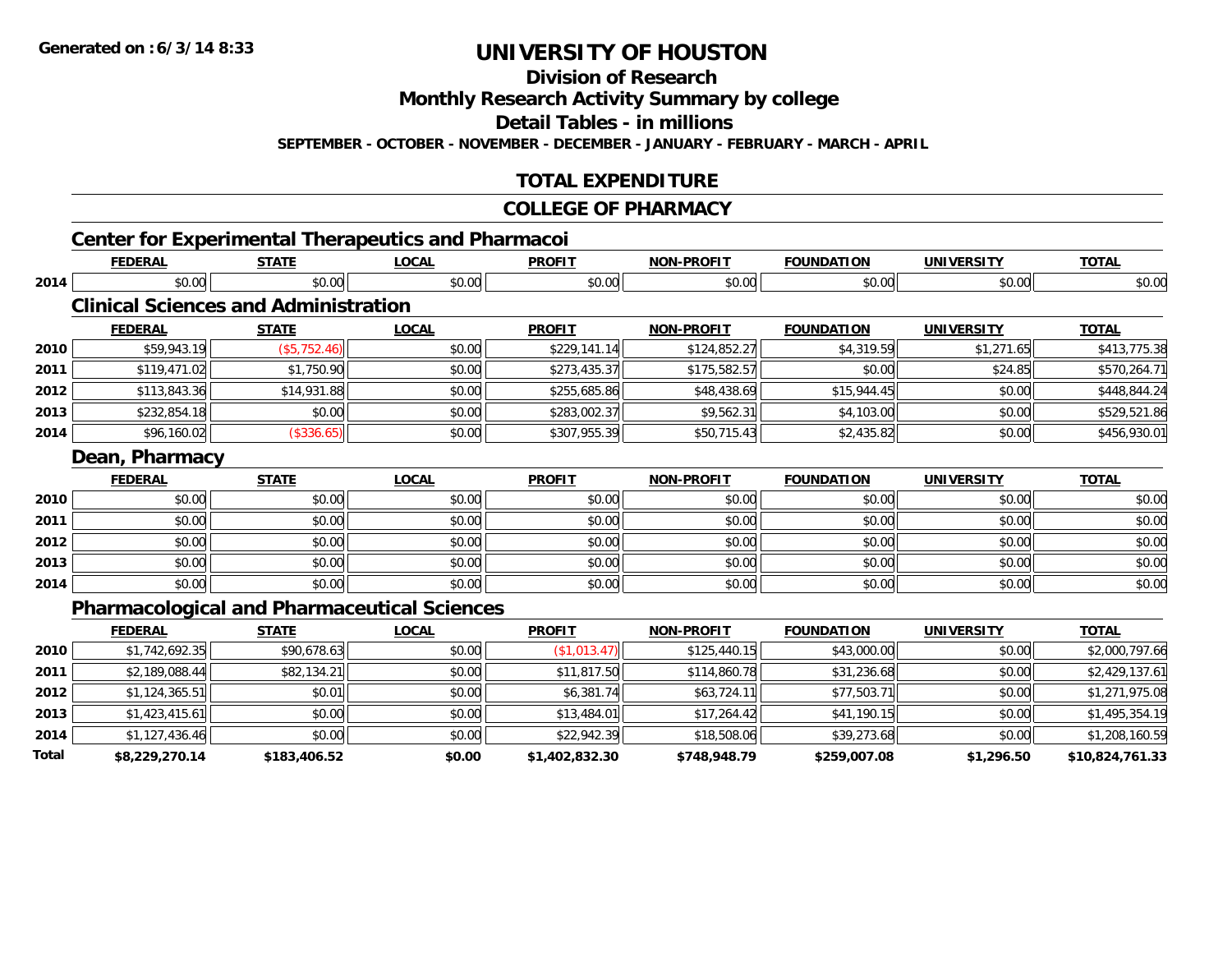**2014**

**Total**

# **UNIVERSITY OF HOUSTON**

**Division of Research**

**Monthly Research Activity Summary by college**

**Detail Tables - in millions**

**SEPTEMBER - OCTOBER - NOVEMBER - DECEMBER - JANUARY - FEBRUARY - MARCH - APRIL**

### **TOTAL EXPENDITURE**

#### **COLLEGE OF PHARMACY**

|                      | <b>FEDERAL</b>                                     | <b>STATE</b> | <b>LOCAL</b> | <b>PROFIT</b> | <b>NON-PROFIT</b> | <b>FOUNDATION</b> | <b>UNIVERSITY</b> | <b>TOTAL</b>                     |
|----------------------|----------------------------------------------------|--------------|--------------|---------------|-------------------|-------------------|-------------------|----------------------------------|
| 2014                 | \$0.00                                             | \$0.00       | \$0.00       | \$0.00        | \$0.00            | \$0.00            | \$0.00            | \$0.00                           |
|                      | <b>Clinical Sciences and Administration</b>        |              |              |               |                   |                   |                   |                                  |
|                      | <b>FEDERAL</b>                                     | <b>STATE</b> | <b>LOCAL</b> | <b>PROFIT</b> | <b>NON-PROFIT</b> | <b>FOUNDATION</b> | <b>UNIVERSITY</b> | <b>TOTAL</b>                     |
| 2010                 | \$59,943.19                                        | (\$5,752.46) | \$0.00       | \$229,141.14  | \$124,852.27      | \$4,319.59        | \$1,271.65        | \$413,775.38                     |
| 2011                 | \$119,471.02                                       | \$1,750.90   | \$0.00       | \$273,435.37  | \$175,582.57      | \$0.00            | \$24.85           | \$570,264.71                     |
| 2012                 | \$113,843.36                                       | \$14,931.88  | \$0.00       | \$255,685.86  | \$48,438.69       | \$15,944.45       | \$0.00            | \$448,844.24                     |
| 2013                 | \$232,854.18                                       | \$0.00       | \$0.00       | \$283,002.37  | \$9,562.31        | \$4,103.00        | \$0.00            | \$529,521.86                     |
| 2014                 | \$96,160.02                                        | (\$336.65)   | \$0.00       | \$307,955.39  | \$50,715.43       | \$2,435.82        | \$0.00            | \$456,930.01                     |
|                      | Dean, Pharmacy                                     |              |              |               |                   |                   |                   |                                  |
|                      | <b>FEDERAL</b>                                     | <b>STATE</b> | <b>LOCAL</b> | <b>PROFIT</b> | <b>NON-PROFIT</b> | <b>FOUNDATION</b> | <b>UNIVERSITY</b> | <b>TOTAL</b>                     |
| 2010                 | \$0.00                                             | \$0.00       | \$0.00       | \$0.00        | \$0.00            | \$0.00            | \$0.00            | \$0.00                           |
| 2011                 | \$0.00                                             | \$0.00       | \$0.00       | \$0.00        | \$0.00            | \$0.00            | \$0.00            | \$0.00                           |
| 2012                 | \$0.00                                             | \$0.00       | \$0.00       | \$0.00        | \$0.00            | \$0.00            | \$0.00            | \$0.00                           |
| 2013                 | \$0.00                                             | \$0.00       | \$0.00       | \$0.00        | \$0.00            | \$0.00            | \$0.00            | \$0.00                           |
| 2014                 | \$0.00                                             | \$0.00       | \$0.00       | \$0.00        | \$0.00            | \$0.00            | \$0.00            | \$0.00                           |
|                      |                                                    |              |              |               |                   |                   |                   |                                  |
|                      | <b>Pharmacological and Pharmaceutical Sciences</b> |              |              |               |                   |                   |                   |                                  |
|                      | <b>FEDERAL</b>                                     | <b>STATE</b> | <b>LOCAL</b> | <b>PROFIT</b> | <b>NON-PROFIT</b> | <b>FOUNDATION</b> | <b>UNIVERSITY</b> | <b>TOTAL</b>                     |
|                      | \$1,742,692.35                                     | \$90,678.63  | \$0.00       | (\$1,013.47)  | \$125,440.15      | \$43,000.00       | \$0.00            |                                  |
|                      | \$2,189,088.44                                     | \$82,134.21  | \$0.00       | \$11,817.50   | \$114,860.78      | \$31,236.68       | \$0.00            | \$2,000,797.66<br>\$2,429,137.61 |
| 2010<br>2011<br>2012 | \$1,124,365.51                                     | \$0.01       | \$0.00       | \$6,381.74    | \$63,724.11       | \$77,503.71       | \$0.00            | \$1,271,975.08                   |

4 \$1,127,436.46|| \$0.00| \$0.00|| \$22,942.39|| \$18,508.06|| \$39,273.68| \$0.00|| \$1,208,160.59 **\$8,229,270.14 \$183,406.52 \$0.00 \$1,402,832.30 \$748,948.79 \$259,007.08 \$1,296.50 \$10,824,761.33**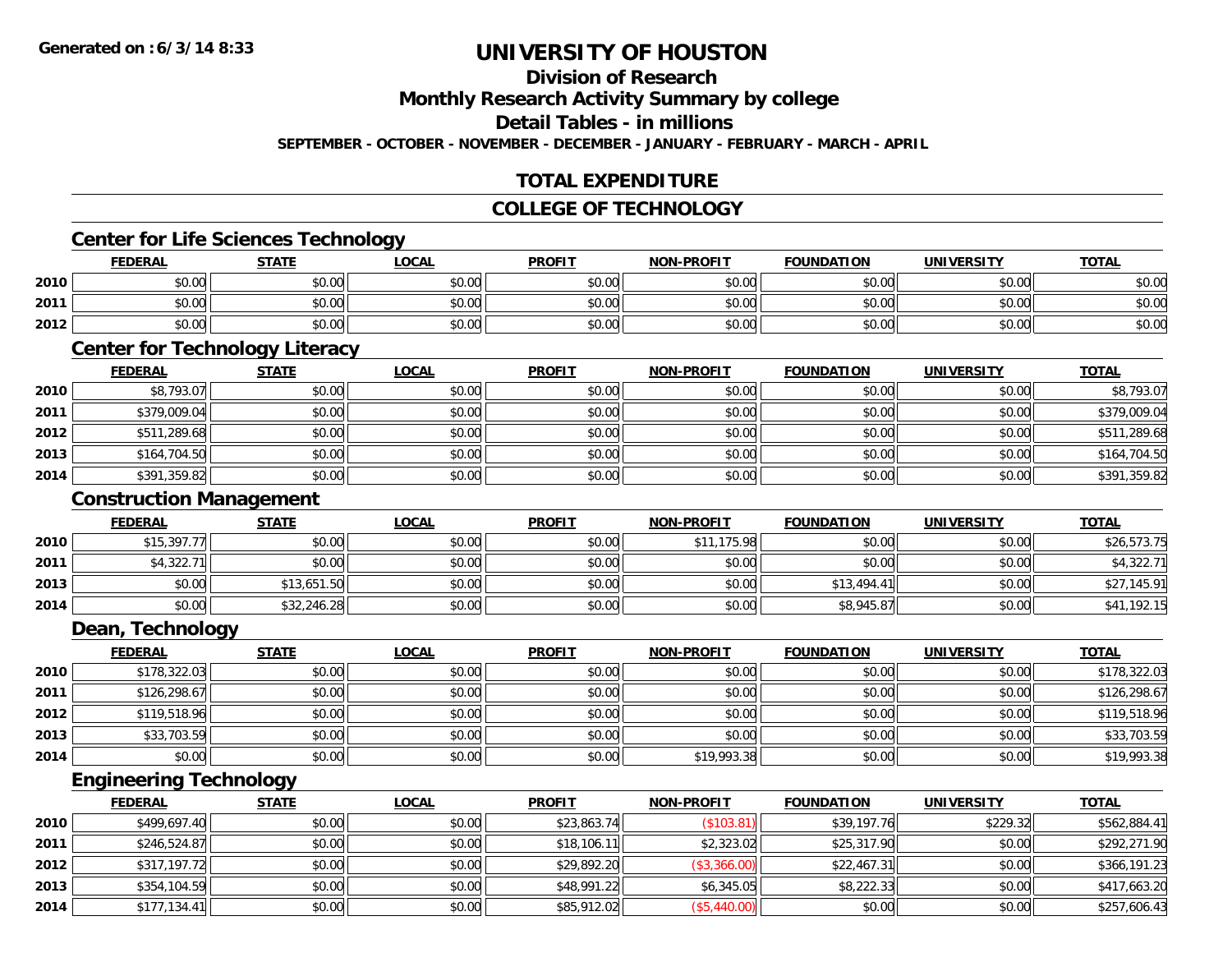### **Division of Research**

**Monthly Research Activity Summary by college**

**Detail Tables - in millions**

**SEPTEMBER - OCTOBER - NOVEMBER - DECEMBER - JANUARY - FEBRUARY - MARCH - APRIL**

### **TOTAL EXPENDITURE**

#### **COLLEGE OF TECHNOLOGY**

#### **Center for Life Sciences Technology**

|      | <b>FEDERAL</b> | <b>STATE</b>          | LOCAI  | <b>PROFIT</b> | <b>NON-PROFIT</b> | <b>FOUNDATION</b> | <b>UNIVERSITY</b> | <b>TOTAL</b> |
|------|----------------|-----------------------|--------|---------------|-------------------|-------------------|-------------------|--------------|
| 2010 | \$0.00         | ≮N UU<br><b>JU.UU</b> | \$0.00 | \$0.00        | \$0.00            | \$0.00            | \$0.00            | \$0.00       |
| 2011 | \$0.00         | 40.00<br><b>JU.UU</b> | \$0.00 | \$0.00        | \$0.00            | \$0.00            | \$0.00            | \$0.00       |
| 2012 | \$0.00         | \$0.00                | \$0.00 | \$0.00        | \$0.00            | \$0.00            | \$0.00            | \$0.00       |

## **Center for Technology Literacy**

|      | <b>FEDERAL</b> | <b>STATE</b> | <b>LOCAL</b> | <b>PROFIT</b> | <b>NON-PROFIT</b> | <b>FOUNDATION</b> | <b>UNIVERSITY</b> | <b>TOTAL</b> |
|------|----------------|--------------|--------------|---------------|-------------------|-------------------|-------------------|--------------|
| 2010 | \$8,793.07     | \$0.00       | \$0.00       | \$0.00        | \$0.00            | \$0.00            | \$0.00            | \$8,793.07   |
| 2011 | \$379,009.04   | \$0.00       | \$0.00       | \$0.00        | \$0.00            | \$0.00            | \$0.00            | \$379,009.04 |
| 2012 | \$511,289.68   | \$0.00       | \$0.00       | \$0.00        | \$0.00            | \$0.00            | \$0.00            | \$511,289.68 |
| 2013 | \$164,704.50   | \$0.00       | \$0.00       | \$0.00        | \$0.00            | \$0.00            | \$0.00            | \$164,704.50 |
| 2014 | \$391,359.82   | \$0.00       | \$0.00       | \$0.00        | \$0.00            | \$0.00            | \$0.00            | \$391,359.82 |

#### **Construction Management**

|      | <b>FEDERAL</b> | <b>STATE</b> | <u>LOCAL</u> | <b>PROFIT</b> | <b>NON-PROFIT</b> | <b>FOUNDATION</b> | <b>UNIVERSITY</b> | <b>TOTAL</b> |
|------|----------------|--------------|--------------|---------------|-------------------|-------------------|-------------------|--------------|
| 2010 | \$15,397.77    | \$0.00       | \$0.00       | \$0.00        | 175.98<br>\$11    | \$0.00            | \$0.00            | \$26,573.75  |
| 2011 | \$4,322.71     | \$0.00       | \$0.00       | \$0.00        | \$0.00            | \$0.00            | \$0.00            | \$4,322.71   |
| 2013 | \$0.00         | \$13,651.50  | \$0.00       | \$0.00        | \$0.00            | \$13,494.41       | \$0.00            | \$27,145.91  |
| 2014 | \$0.00         | \$32,246.28  | \$0.00       | \$0.00        | \$0.00            | \$8,945.87        | \$0.00            | \$41,192.15  |

#### **Dean, Technology**

|      | <b>FEDERAL</b> | <u>STATE</u> | <u>LOCAL</u> | <b>PROFIT</b> | <b>NON-PROFIT</b> | <b>FOUNDATION</b> | <b>UNIVERSITY</b> | <b>TOTAL</b> |
|------|----------------|--------------|--------------|---------------|-------------------|-------------------|-------------------|--------------|
| 2010 | \$178,322.03   | \$0.00       | \$0.00       | \$0.00        | \$0.00            | \$0.00            | \$0.00            | \$178,322.03 |
| 2011 | \$126,298.67   | \$0.00       | \$0.00       | \$0.00        | \$0.00            | \$0.00            | \$0.00            | \$126,298.67 |
| 2012 | \$119,518.96   | \$0.00       | \$0.00       | \$0.00        | \$0.00            | \$0.00            | \$0.00            | \$119,518.96 |
| 2013 | \$33,703.59    | \$0.00       | \$0.00       | \$0.00        | \$0.00            | \$0.00            | \$0.00            | \$33,703.59  |
| 2014 | \$0.00         | \$0.00       | \$0.00       | \$0.00        | \$19,993.38       | \$0.00            | \$0.00            | \$19,993.38  |

## **Engineering Technology**

|      | <b>FEDERAL</b> | <u>STATE</u> | <b>LOCAL</b> | <b>PROFIT</b> | <b>NON-PROFIT</b> | <b>FOUNDATION</b> | <b>UNIVERSITY</b> | <b>TOTAL</b> |
|------|----------------|--------------|--------------|---------------|-------------------|-------------------|-------------------|--------------|
| 2010 | \$499,697.40   | \$0.00       | \$0.00       | \$23,863.74   | (\$103.81)        | \$39,197.76       | \$229.32          | \$562,884.41 |
| 2011 | \$246,524.87   | \$0.00       | \$0.00       | \$18,106.11   | \$2,323.02        | \$25,317.90       | \$0.00            | \$292,271.90 |
| 2012 | \$317,197.72   | \$0.00       | \$0.00       | \$29,892.20   | (\$3,366.00)      | \$22,467.31       | \$0.00            | \$366,191.23 |
| 2013 | \$354,104.59   | \$0.00       | \$0.00       | \$48,991.22   | \$6,345.05        | \$8,222.33        | \$0.00            | \$417,663.20 |
| 2014 | \$177,134.41   | \$0.00       | \$0.00       | \$85,912.02   | (\$5,440.00)      | \$0.00            | \$0.00            | \$257,606.43 |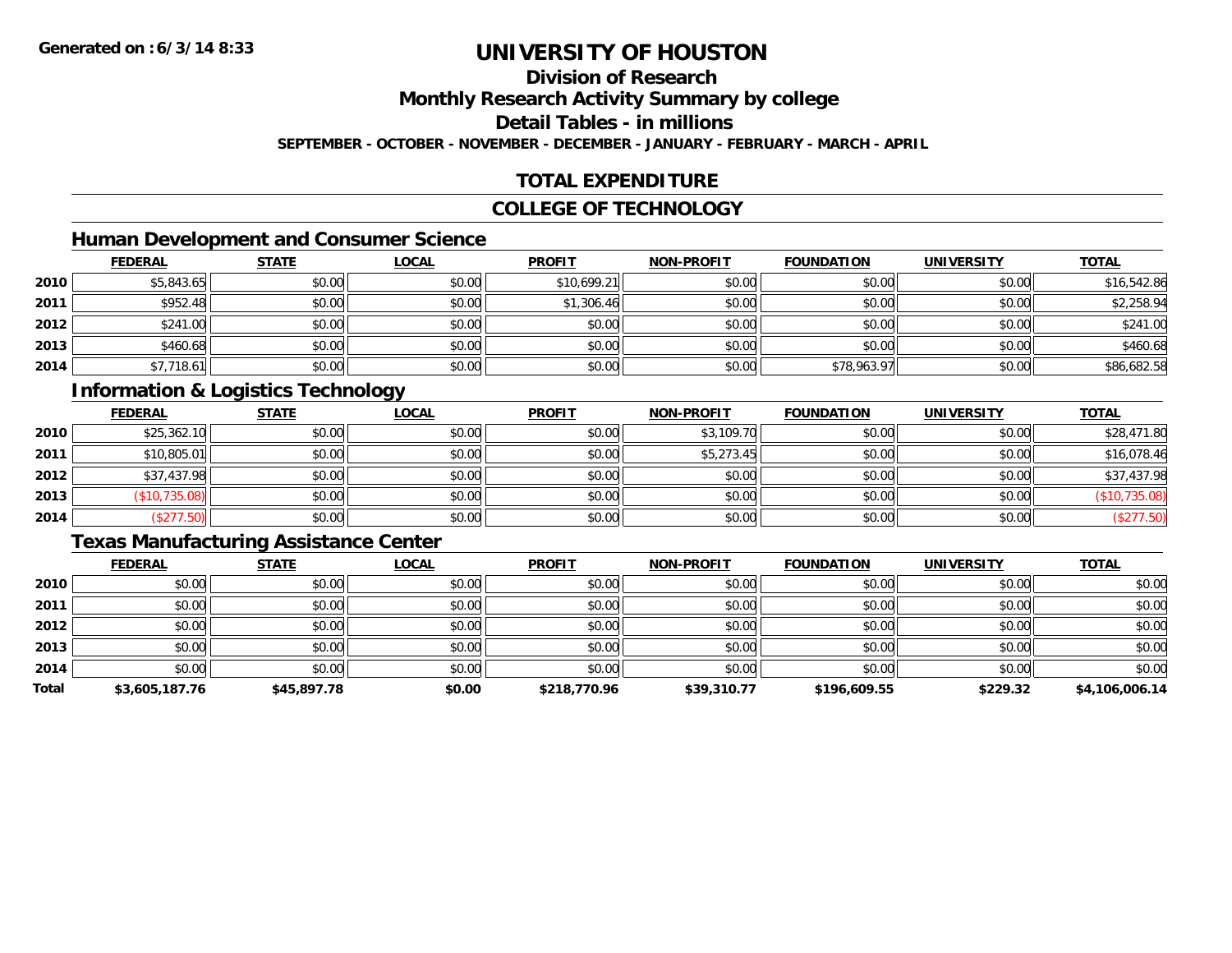### **Division of Research**

**Monthly Research Activity Summary by college**

**Detail Tables - in millions**

**SEPTEMBER - OCTOBER - NOVEMBER - DECEMBER - JANUARY - FEBRUARY - MARCH - APRIL**

### **TOTAL EXPENDITURE**

#### **COLLEGE OF TECHNOLOGY**

### **Human Development and Consumer Science**

|      | <b>FEDERAL</b> | <b>STATE</b> | <b>LOCAL</b> | <b>PROFIT</b> | <b>NON-PROFIT</b> | <b>FOUNDATION</b> | <b>UNIVERSITY</b> | <b>TOTAL</b> |
|------|----------------|--------------|--------------|---------------|-------------------|-------------------|-------------------|--------------|
| 2010 | \$5,843.65     | \$0.00       | \$0.00       | \$10,699.21   | \$0.00            | \$0.00            | \$0.00            | \$16,542.86  |
| 2011 | \$952.48       | \$0.00       | \$0.00       | \$1,306.46    | \$0.00            | \$0.00            | \$0.00            | \$2,258.94   |
| 2012 | \$241.00       | \$0.00       | \$0.00       | \$0.00        | \$0.00            | \$0.00            | \$0.00            | \$241.00     |
| 2013 | \$460.68       | \$0.00       | \$0.00       | \$0.00        | \$0.00            | \$0.00            | \$0.00            | \$460.68     |
| 2014 | \$7,718.61     | \$0.00       | \$0.00       | \$0.00        | \$0.00            | \$78,963.97       | \$0.00            | \$86,682.58  |

## **Information & Logistics Technology**

|      | <b>FEDERAL</b> | <b>STATE</b> | <u>LOCAL</u> | <b>PROFIT</b> | <b>NON-PROFIT</b> | <b>FOUNDATION</b> | <b>UNIVERSITY</b> | <b>TOTAL</b>  |
|------|----------------|--------------|--------------|---------------|-------------------|-------------------|-------------------|---------------|
| 2010 | \$25,362.10    | \$0.00       | \$0.00       | \$0.00        | \$3,109.70        | \$0.00            | \$0.00            | \$28,471.80   |
| 2011 | \$10,805.01    | \$0.00       | \$0.00       | \$0.00        | \$5,273.45        | \$0.00            | \$0.00            | \$16,078.46   |
| 2012 | \$37,437.98    | \$0.00       | \$0.00       | \$0.00        | \$0.00            | \$0.00            | \$0.00            | \$37,437.98   |
| 2013 | (\$10,735.08)  | \$0.00       | \$0.00       | \$0.00        | \$0.00            | \$0.00            | \$0.00            | (\$10,735.08) |
| 2014 | \$277.50       | \$0.00       | \$0.00       | \$0.00        | \$0.00            | \$0.00            | \$0.00            | \$277.50)     |

#### **Texas Manufacturing Assistance Center**

|       | <b>FEDERAL</b> | <b>STATE</b> | <b>LOCAL</b> | <b>PROFIT</b> | <b>NON-PROFIT</b> | <b>FOUNDATION</b> | <b>UNIVERSITY</b> | <b>TOTAL</b>   |
|-------|----------------|--------------|--------------|---------------|-------------------|-------------------|-------------------|----------------|
| 2010  | \$0.00         | \$0.00       | \$0.00       | \$0.00        | \$0.00            | \$0.00            | \$0.00            | \$0.00         |
| 2011  | \$0.00         | \$0.00       | \$0.00       | \$0.00        | \$0.00            | \$0.00            | \$0.00            | \$0.00         |
| 2012  | \$0.00         | \$0.00       | \$0.00       | \$0.00        | \$0.00            | \$0.00            | \$0.00            | \$0.00         |
| 2013  | \$0.00         | \$0.00       | \$0.00       | \$0.00        | \$0.00            | \$0.00            | \$0.00            | \$0.00         |
| 2014  | \$0.00         | \$0.00       | \$0.00       | \$0.00        | \$0.00            | \$0.00            | \$0.00            | \$0.00         |
| Total | \$3,605,187.76 | \$45,897.78  | \$0.00       | \$218,770.96  | \$39,310.77       | \$196,609.55      | \$229.32          | \$4,106,006.14 |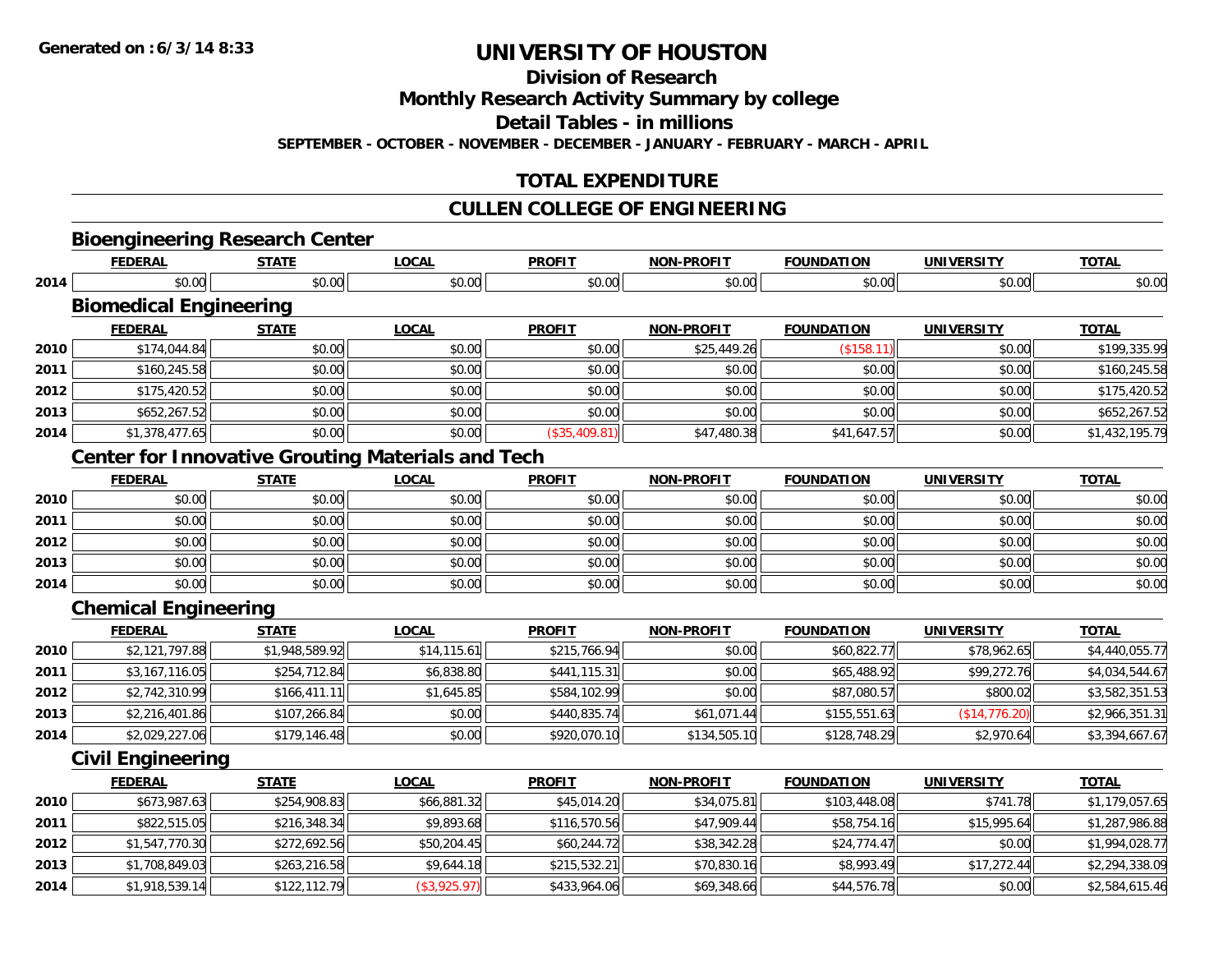**2014**

# **UNIVERSITY OF HOUSTON**

**Division of Research**

**Monthly Research Activity Summary by college**

**Detail Tables - in millions**

**SEPTEMBER - OCTOBER - NOVEMBER - DECEMBER - JANUARY - FEBRUARY - MARCH - APRIL**

### **TOTAL EXPENDITURE**

### **CULLEN COLLEGE OF ENGINEERING**

|      | <b>Bioengineering Research Center</b> |                |                                                          |               |                   |                   |                   |                |
|------|---------------------------------------|----------------|----------------------------------------------------------|---------------|-------------------|-------------------|-------------------|----------------|
|      | <b>FEDERAL</b>                        | <b>STATE</b>   | <b>LOCAL</b>                                             | <b>PROFIT</b> | <b>NON-PROFIT</b> | <b>FOUNDATION</b> | <b>UNIVERSITY</b> | <b>TOTAL</b>   |
| 2014 | \$0.00                                | \$0.00         | \$0.00                                                   | \$0.00        | \$0.00            | \$0.00            | \$0.00            | \$0.00         |
|      | <b>Biomedical Engineering</b>         |                |                                                          |               |                   |                   |                   |                |
|      | <b>FEDERAL</b>                        | <b>STATE</b>   | <b>LOCAL</b>                                             | <b>PROFIT</b> | <b>NON-PROFIT</b> | <b>FOUNDATION</b> | <b>UNIVERSITY</b> | <b>TOTAL</b>   |
| 2010 | \$174,044.84                          | \$0.00         | \$0.00                                                   | \$0.00        | \$25,449.26       | (\$158.11)        | \$0.00            | \$199,335.99   |
| 2011 | \$160,245.58                          | \$0.00         | \$0.00                                                   | \$0.00        | \$0.00            | \$0.00            | \$0.00            | \$160,245.58   |
| 2012 | \$175,420.52                          | \$0.00         | \$0.00                                                   | \$0.00        | \$0.00            | \$0.00            | \$0.00            | \$175,420.52   |
| 2013 | \$652,267.52                          | \$0.00         | \$0.00                                                   | \$0.00        | \$0.00            | \$0.00            | \$0.00            | \$652,267.52   |
| 2014 | \$1,378,477.65                        | \$0.00         | \$0.00                                                   | (\$35,409.81) | \$47,480.38       | \$41,647.57       | \$0.00            | \$1,432,195.79 |
|      |                                       |                | <b>Center for Innovative Grouting Materials and Tech</b> |               |                   |                   |                   |                |
|      | <b>FEDERAL</b>                        | <b>STATE</b>   | <b>LOCAL</b>                                             | <b>PROFIT</b> | <b>NON-PROFIT</b> | <b>FOUNDATION</b> | <b>UNIVERSITY</b> | <b>TOTAL</b>   |
| 2010 | \$0.00                                | \$0.00         | \$0.00                                                   | \$0.00        | \$0.00            | \$0.00            | \$0.00            | \$0.00         |
| 2011 | \$0.00                                | \$0.00         | \$0.00                                                   | \$0.00        | \$0.00            | \$0.00            | \$0.00            | \$0.00         |
| 2012 | \$0.00                                | \$0.00         | \$0.00                                                   | \$0.00        | \$0.00            | \$0.00            | \$0.00            | \$0.00         |
| 2013 | \$0.00                                | \$0.00         | \$0.00                                                   | \$0.00        | \$0.00            | \$0.00            | \$0.00            | \$0.00         |
| 2014 | \$0.00                                | \$0.00         | \$0.00                                                   | \$0.00        | \$0.00            | \$0.00            | \$0.00            | \$0.00         |
|      | <b>Chemical Engineering</b>           |                |                                                          |               |                   |                   |                   |                |
|      | <b>FEDERAL</b>                        | <b>STATE</b>   | <b>LOCAL</b>                                             | <b>PROFIT</b> | <b>NON-PROFIT</b> | <b>FOUNDATION</b> | <b>UNIVERSITY</b> | <b>TOTAL</b>   |
| 2010 | \$2,121,797.88                        | \$1,948,589.92 | \$14,115.61                                              | \$215,766.94  | \$0.00            | \$60,822.77       | \$78,962.65       | \$4,440,055.77 |
| 2011 | \$3,167,116.05                        | \$254,712.84   | \$6,838.80                                               | \$441,115.31  | \$0.00            | \$65,488.92       | \$99,272.76       | \$4,034,544.67 |
| 2012 | \$2,742,310.99                        | \$166,411.11   | \$1,645.85                                               | \$584,102.99  | \$0.00            | \$87,080.57       | \$800.02          | \$3,582,351.53 |
| 2013 | \$2,216,401.86                        | \$107,266.84   | \$0.00                                                   | \$440,835.74  | \$61,071.44       | \$155,551.63      | (\$14,776.20)     | \$2,966,351.31 |
| 2014 | \$2,029,227.06                        | \$179,146.48   | \$0.00                                                   | \$920,070.10  | \$134,505.10      | \$128,748.29      | \$2,970.64        | \$3,394,667.67 |
|      | <b>Civil Engineering</b>              |                |                                                          |               |                   |                   |                   |                |
|      | <b>FEDERAL</b>                        | <b>STATE</b>   | <b>LOCAL</b>                                             | <b>PROFIT</b> | <b>NON-PROFIT</b> | <b>FOUNDATION</b> | <b>UNIVERSITY</b> | <b>TOTAL</b>   |
| 2010 | \$673,987.63                          | \$254,908.83   | \$66,881.32                                              | \$45,014.20   | \$34,075.81       | \$103,448.08      | \$741.78          | \$1,179,057.65 |
| 2011 | \$822,515.05                          | \$216,348.34   | \$9,893.68                                               | \$116,570.56  | \$47,909.44       | \$58,754.16       | \$15,995.64       | \$1,287,986.88 |
| 2012 | \$1,547,770.30                        | \$272,692.56   | \$50,204.45                                              | \$60,244.72   | \$38,342.28       | \$24,774.47       | \$0.00            | \$1,994,028.77 |
| 2013 | \$1,708,849.03                        | \$263,216.58   | \$9,644.18                                               | \$215,532.21  | \$70,830.16       | \$8,993.49        | \$17,272.44       | \$2,294,338.09 |

4 \$1,918,539.14|| \$122,112.79|| (\$3,925.97)|| \$433,964.06|| \$69,348.66|| \$44,576.78| \$0.00|| \$2,584,615.46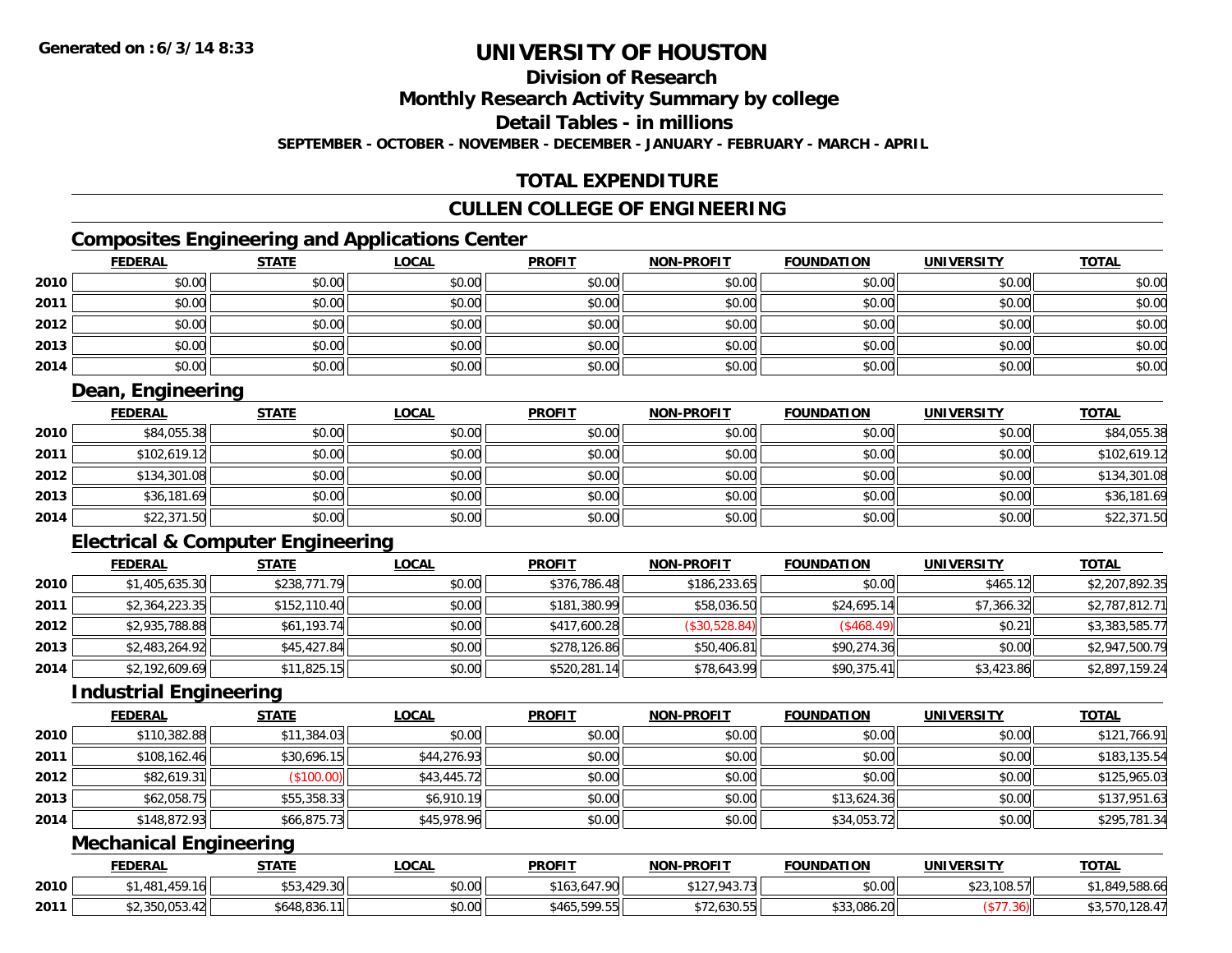**Division of Research**

**Monthly Research Activity Summary by college**

**Detail Tables - in millions**

**SEPTEMBER - OCTOBER - NOVEMBER - DECEMBER - JANUARY - FEBRUARY - MARCH - APRIL**

## **TOTAL EXPENDITURE**

### **CULLEN COLLEGE OF ENGINEERING**

### **Composites Engineering and Applications Center**

|      | <b>FEDERAL</b> | <b>STATE</b> | <u>LOCAL</u> | <b>PROFIT</b> | <b>NON-PROFIT</b> | <b>FOUNDATION</b> | <b>UNIVERSITY</b> | <b>TOTAL</b> |
|------|----------------|--------------|--------------|---------------|-------------------|-------------------|-------------------|--------------|
| 2010 | \$0.00         | \$0.00       | \$0.00       | \$0.00        | \$0.00            | \$0.00            | \$0.00            | \$0.00       |
| 2011 | \$0.00         | \$0.00       | \$0.00       | \$0.00        | \$0.00            | \$0.00            | \$0.00            | \$0.00       |
| 2012 | \$0.00         | \$0.00       | \$0.00       | \$0.00        | \$0.00            | \$0.00            | \$0.00            | \$0.00       |
| 2013 | \$0.00         | \$0.00       | \$0.00       | \$0.00        | \$0.00            | \$0.00            | \$0.00            | \$0.00       |
| 2014 | \$0.00         | \$0.00       | \$0.00       | \$0.00        | \$0.00            | \$0.00            | \$0.00            | \$0.00       |

### **Dean, Engineering**

|      | <b>FEDERAL</b> | <u>STATE</u> | <u>LOCAL</u> | <b>PROFIT</b> | <b>NON-PROFIT</b> | <b>FOUNDATION</b> | <b>UNIVERSITY</b> | <b>TOTAL</b> |
|------|----------------|--------------|--------------|---------------|-------------------|-------------------|-------------------|--------------|
| 2010 | \$84,055.38    | \$0.00       | \$0.00       | \$0.00        | \$0.00            | \$0.00            | \$0.00            | \$84,055.38  |
| 2011 | \$102,619.12   | \$0.00       | \$0.00       | \$0.00        | \$0.00            | \$0.00            | \$0.00            | \$102,619.12 |
| 2012 | \$134,301.08   | \$0.00       | \$0.00       | \$0.00        | \$0.00            | \$0.00            | \$0.00            | \$134,301.08 |
| 2013 | \$36,181.69    | \$0.00       | \$0.00       | \$0.00        | \$0.00            | \$0.00            | \$0.00            | \$36,181.69  |
| 2014 | \$22,371.50    | \$0.00       | \$0.00       | \$0.00        | \$0.00            | \$0.00            | \$0.00            | \$22,371.50  |

### **Electrical & Computer Engineering**

|      | <b>FEDERAL</b> | <u>STATE</u> | <b>LOCAL</b> | <b>PROFIT</b> | <b>NON-PROFIT</b> | <b>FOUNDATION</b> | <b>UNIVERSITY</b> | <b>TOTAL</b>   |
|------|----------------|--------------|--------------|---------------|-------------------|-------------------|-------------------|----------------|
| 2010 | \$1,405,635.30 | \$238,771.79 | \$0.00       | \$376,786.48  | \$186,233.65      | \$0.00            | \$465.12          | \$2,207,892.35 |
| 2011 | \$2,364,223.35 | \$152,110.40 | \$0.00       | \$181,380.99  | \$58,036.50       | \$24,695.14       | \$7,366.32        | \$2,787,812.71 |
| 2012 | \$2,935,788.88 | \$61,193.74  | \$0.00       | \$417,600.28  | (\$30,528.84)     | (\$468.49)        | \$0.21            | \$3,383,585.77 |
| 2013 | \$2,483,264.92 | \$45,427.84  | \$0.00       | \$278,126.86  | \$50,406.81       | \$90,274.36       | \$0.00            | \$2,947,500.79 |
| 2014 | \$2,192,609.69 | \$11,825.15  | \$0.00       | \$520,281.14  | \$78,643.99       | \$90,375.41       | \$3,423.86        | \$2,897,159.24 |

#### **Industrial Engineering**

|      | <b>FEDERAL</b> | <b>STATE</b> | <b>LOCAL</b> | <b>PROFIT</b> | <b>NON-PROFIT</b> | <b>FOUNDATION</b> | <b>UNIVERSITY</b> | <b>TOTAL</b> |
|------|----------------|--------------|--------------|---------------|-------------------|-------------------|-------------------|--------------|
| 2010 | \$110,382.88   | \$11,384.03  | \$0.00       | \$0.00        | \$0.00            | \$0.00            | \$0.00            | \$121,766.91 |
| 2011 | \$108,162.46   | \$30,696.15  | \$44,276.93  | \$0.00        | \$0.00            | \$0.00            | \$0.00            | \$183,135.54 |
| 2012 | \$82,619.31    | \$100.00     | \$43,445.72  | \$0.00        | \$0.00            | \$0.00            | \$0.00            | \$125,965.03 |
| 2013 | \$62,058.75    | \$55,358.33  | \$6,910.19   | \$0.00        | \$0.00            | \$13,624.36       | \$0.00            | \$137,951.63 |
| 2014 | \$148,872.93   | \$66,875.73  | \$45,978.96  | \$0.00        | \$0.00            | \$34,053.72       | \$0.00            | \$295,781.34 |

### **Mechanical Engineering**

|      | <b>FEDERAL</b>     | STATE                       | LOCAL          | <b>PROFIT</b>                | <b>NON-PROFIT</b>                                                                  | <b>FOUNDATION</b> | UNIVERSITY                            | <b>TOTAL</b>       |
|------|--------------------|-----------------------------|----------------|------------------------------|------------------------------------------------------------------------------------|-------------------|---------------------------------------|--------------------|
| 2010 | 181                | 120.20L<br>. TZ 7. JUI      | ሶስ ሰሰ<br>vu.uu | 17.00<br><b>AAIC</b><br>-103 | 0.1270127<br>L<br>−……                                                              | \$0.00            | $\sim$ $\sim$ $\sim$ $\sim$<br>ו נ.סנ | 0.00596<br>,588.66 |
| 2011 | <b>JUU, UU, TZ</b> | 6648.836.<br>5.00<br>- 11 I | \$0.00         | 500 55<br>\$465,<br>77.JJ    | $\sim$ $\sim$ $\sim$ $\sim$ $\sim$<br>$\cdots$ , $\sim$ , $\sim$ , $\sim$ , $\sim$ | \$33,086.20       | 900.                                  | 570.128.4          |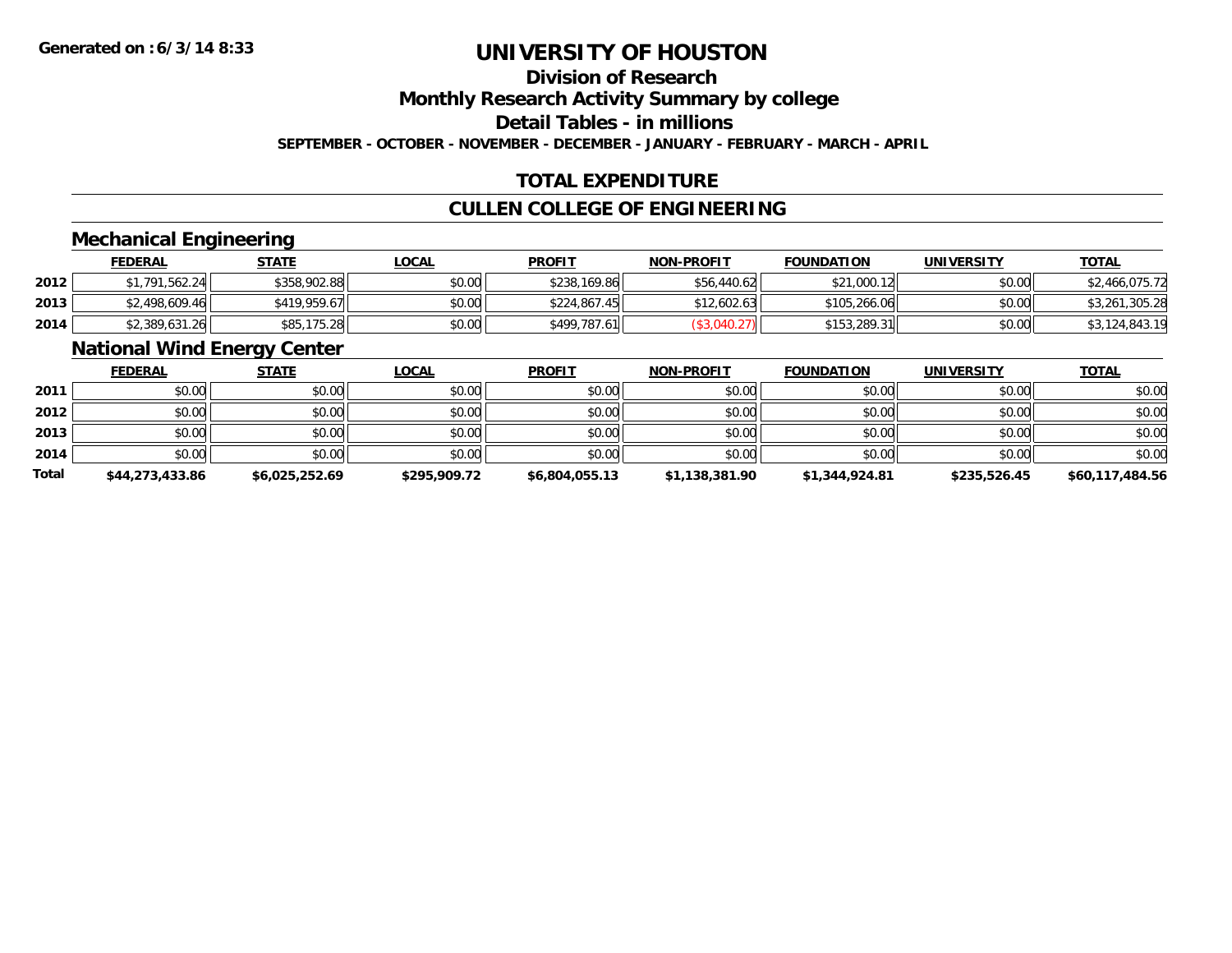## **Division of Research**

**Monthly Research Activity Summary by college**

**Detail Tables - in millions**

**SEPTEMBER - OCTOBER - NOVEMBER - DECEMBER - JANUARY - FEBRUARY - MARCH - APRIL**

### **TOTAL EXPENDITURE**

### **CULLEN COLLEGE OF ENGINEERING**

#### **Mechanical Engineering**

|      | <b>FEDERAL</b> | <b>STATE</b> | <u>LOCAL</u> | <b>PROFIT</b> | <b>NON-PROFIT</b> | <b>FOUNDATION</b> | <b>UNIVERSITY</b> | <b>TOTAL</b>   |
|------|----------------|--------------|--------------|---------------|-------------------|-------------------|-------------------|----------------|
| 2012 | \$1,791,562.24 | \$358,902.88 | \$0.00       | \$238,169.86  | \$56,440.62       | \$21,000.12       | \$0.00            | \$2,466,075.72 |
| 2013 | \$2,498,609.46 | \$419,959.67 | \$0.00       | \$224,867.45  | \$12,602.63       | \$105,266.06      | \$0.00            | \$3,261,305.28 |
| 2014 | \$2,389,631.26 | \$85,175.28  | \$0.00       | \$499,787.61  |                   | \$153,289.31      | \$0.00            | \$3,124,843.19 |

#### **National Wind Energy Center**

|              | <b>FEDERAL</b>  | <b>STATE</b>   | <b>LOCAL</b> | <b>PROFIT</b>  | <b>NON-PROFIT</b> | <b>FOUNDATION</b> | <b>UNIVERSITY</b> | <b>TOTAL</b>    |
|--------------|-----------------|----------------|--------------|----------------|-------------------|-------------------|-------------------|-----------------|
| 2011         | \$0.00          | \$0.00         | \$0.00       | \$0.00         | \$0.00            | \$0.00            | \$0.00            | \$0.00          |
| 2012         | \$0.00          | \$0.00         | \$0.00       | \$0.00         | \$0.00            | \$0.00            | \$0.00            | \$0.00          |
| 2013         | \$0.00          | \$0.00         | \$0.00       | \$0.00         | \$0.00            | \$0.00            | \$0.00            | \$0.00          |
| 2014         | \$0.00          | \$0.00         | \$0.00       | \$0.00         | \$0.00            | \$0.00            | \$0.00            | \$0.00          |
| <b>Total</b> | \$44,273,433.86 | \$6,025,252.69 | \$295,909.72 | \$6,804,055.13 | \$1,138,381.90    | \$1,344,924.81    | \$235,526.45      | \$60,117,484.56 |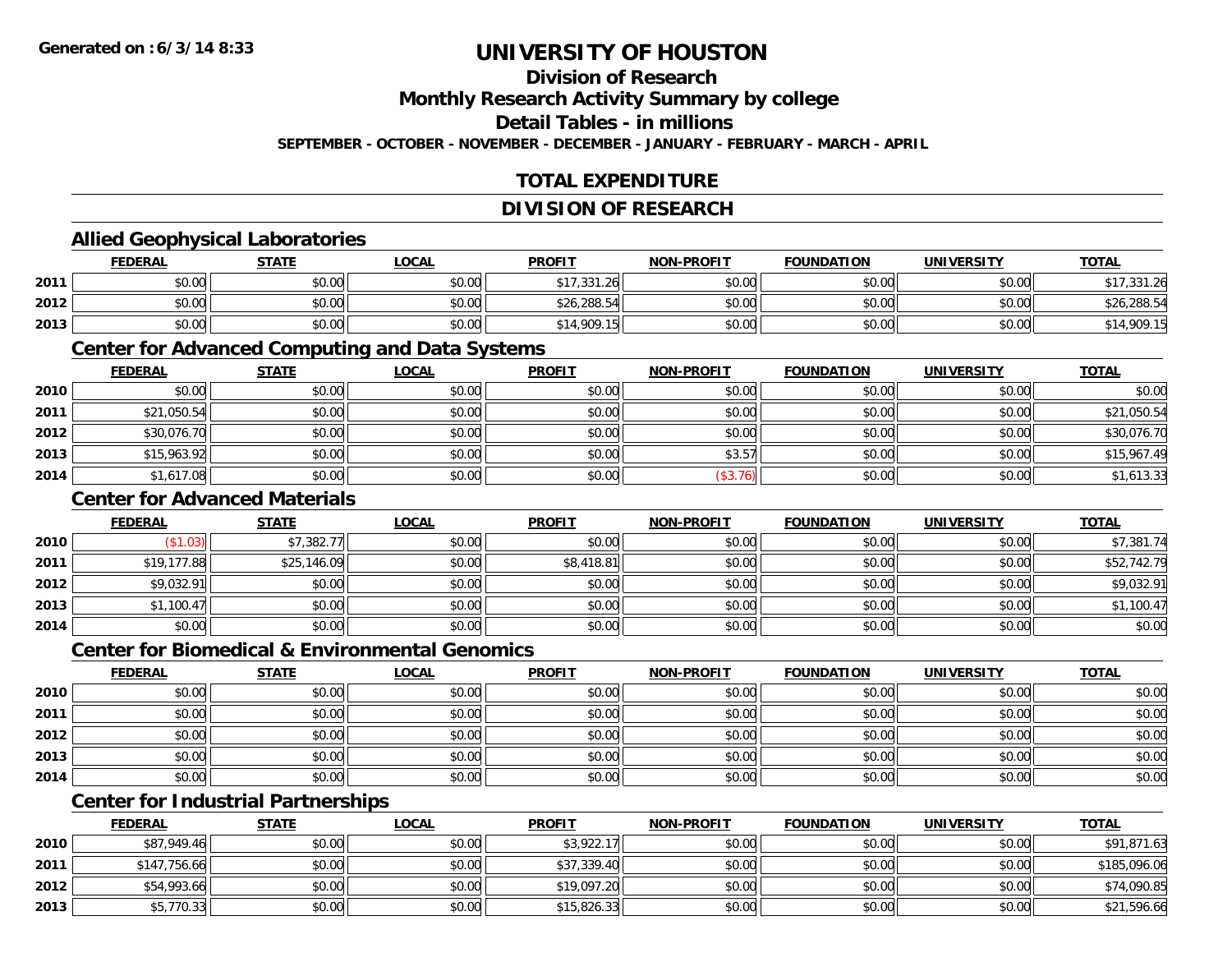### **Division of Research**

**Monthly Research Activity Summary by college**

**Detail Tables - in millions**

**SEPTEMBER - OCTOBER - NOVEMBER - DECEMBER - JANUARY - FEBRUARY - MARCH - APRIL**

### **TOTAL EXPENDITURE**

#### **DIVISION OF RESEARCH**

#### **Allied Geophysical Laboratories**

|      | <b>FEDERAL</b> | <b>STATE</b>   | <b>_OCAL</b> | <b>PROFIT</b> | <b>NON-PROFIT</b> | <b>FOUNDATION</b> | UNIVERSITY | <b>TOTAL</b> |
|------|----------------|----------------|--------------|---------------|-------------------|-------------------|------------|--------------|
| 2011 | \$0.00         | 40.00<br>JU.UU | \$0.00       | \$17,331.26   | \$0.00            | \$0.00            | \$0.00     | 22176        |
| 2012 | \$0.00         | ⊄∩ ∩∩<br>DU.UU | \$0.00       | \$26,288.54   | \$0.00            | \$0.00            | \$0.00     | \$26,288.54  |
| 2013 | \$0.00         | 40.00<br>DU.UG | \$0.00       | \$14,909.15   | \$0.00            | \$0.00            | \$0.00     | .909.15      |

#### **Center for Advanced Computing and Data Systems**

|      | <u>FEDERAL</u> | <b>STATE</b> | <u>LOCAL</u> | <b>PROFIT</b> | <b>NON-PROFIT</b> | <b>FOUNDATION</b> | <b>UNIVERSITY</b> | <b>TOTAL</b> |
|------|----------------|--------------|--------------|---------------|-------------------|-------------------|-------------------|--------------|
| 2010 | \$0.00         | \$0.00       | \$0.00       | \$0.00        | \$0.00            | \$0.00            | \$0.00            | \$0.00       |
| 2011 | \$21,050.54    | \$0.00       | \$0.00       | \$0.00        | \$0.00            | \$0.00            | \$0.00            | \$21,050.54  |
| 2012 | \$30,076.70    | \$0.00       | \$0.00       | \$0.00        | \$0.00            | \$0.00            | \$0.00            | \$30,076.70  |
| 2013 | \$15,963.92    | \$0.00       | \$0.00       | \$0.00        | \$3.57            | \$0.00            | \$0.00            | \$15,967.49  |
| 2014 | \$1,617.08     | \$0.00       | \$0.00       | \$0.00        | (\$3.76)          | \$0.00            | \$0.00            | \$1,613.33   |

#### **Center for Advanced Materials**

|      | <b>FEDERAL</b> | <b>STATE</b> | <u>LOCAL</u> | <b>PROFIT</b> | <b>NON-PROFIT</b> | <b>FOUNDATION</b> | <b>UNIVERSITY</b> | <b>TOTAL</b> |
|------|----------------|--------------|--------------|---------------|-------------------|-------------------|-------------------|--------------|
| 2010 | (\$1.03)       | \$7,382.77   | \$0.00       | \$0.00        | \$0.00            | \$0.00            | \$0.00            | \$7,381.74   |
| 2011 | \$19,177.88    | \$25,146.09  | \$0.00       | \$8,418.81    | \$0.00            | \$0.00            | \$0.00            | \$52,742.79  |
| 2012 | \$9,032.91     | \$0.00       | \$0.00       | \$0.00        | \$0.00            | \$0.00            | \$0.00            | \$9,032.91   |
| 2013 | \$1,100.47     | \$0.00       | \$0.00       | \$0.00        | \$0.00            | \$0.00            | \$0.00            | \$1,100.47   |
| 2014 | \$0.00         | \$0.00       | \$0.00       | \$0.00        | \$0.00            | \$0.00            | \$0.00            | \$0.00       |

#### **Center for Biomedical & Environmental Genomics**

|      | <u>FEDERAL</u> | <b>STATE</b> | <b>LOCAL</b> | <b>PROFIT</b> | NON-PROFIT | <b>FOUNDATION</b> | <b>UNIVERSITY</b> | <b>TOTAL</b> |
|------|----------------|--------------|--------------|---------------|------------|-------------------|-------------------|--------------|
| 2010 | \$0.00         | \$0.00       | \$0.00       | \$0.00        | \$0.00     | \$0.00            | \$0.00            | \$0.00       |
| 2011 | \$0.00         | \$0.00       | \$0.00       | \$0.00        | \$0.00     | \$0.00            | \$0.00            | \$0.00       |
| 2012 | \$0.00         | \$0.00       | \$0.00       | \$0.00        | \$0.00     | \$0.00            | \$0.00            | \$0.00       |
| 2013 | \$0.00         | \$0.00       | \$0.00       | \$0.00        | \$0.00     | \$0.00            | \$0.00            | \$0.00       |
| 2014 | \$0.00         | \$0.00       | \$0.00       | \$0.00        | \$0.00     | \$0.00            | \$0.00            | \$0.00       |

### **Center for Industrial Partnerships**

|      | <b>FEDERAL</b> | <b>STATE</b> | <b>LOCAL</b> | <b>PROFIT</b> | <b>NON-PROFIT</b> | <b>FOUNDATION</b> | <b>UNIVERSITY</b> | <b>TOTAL</b> |
|------|----------------|--------------|--------------|---------------|-------------------|-------------------|-------------------|--------------|
| 2010 | \$87,949.46    | \$0.00       | \$0.00       | \$3,922.17    | \$0.00            | \$0.00            | \$0.00            | \$91,871.63  |
| 2011 | \$147,756.66   | \$0.00       | \$0.00       | \$37,339.40   | \$0.00            | \$0.00            | \$0.00            | \$185,096.06 |
| 2012 | \$54,993.66    | \$0.00       | \$0.00       | \$19,097.20   | \$0.00            | \$0.00            | \$0.00            | \$74,090.85  |
| 2013 | \$5,770.33     | \$0.00       | \$0.00       | \$15,826.33   | \$0.00            | \$0.00            | \$0.00            | \$21,596.66  |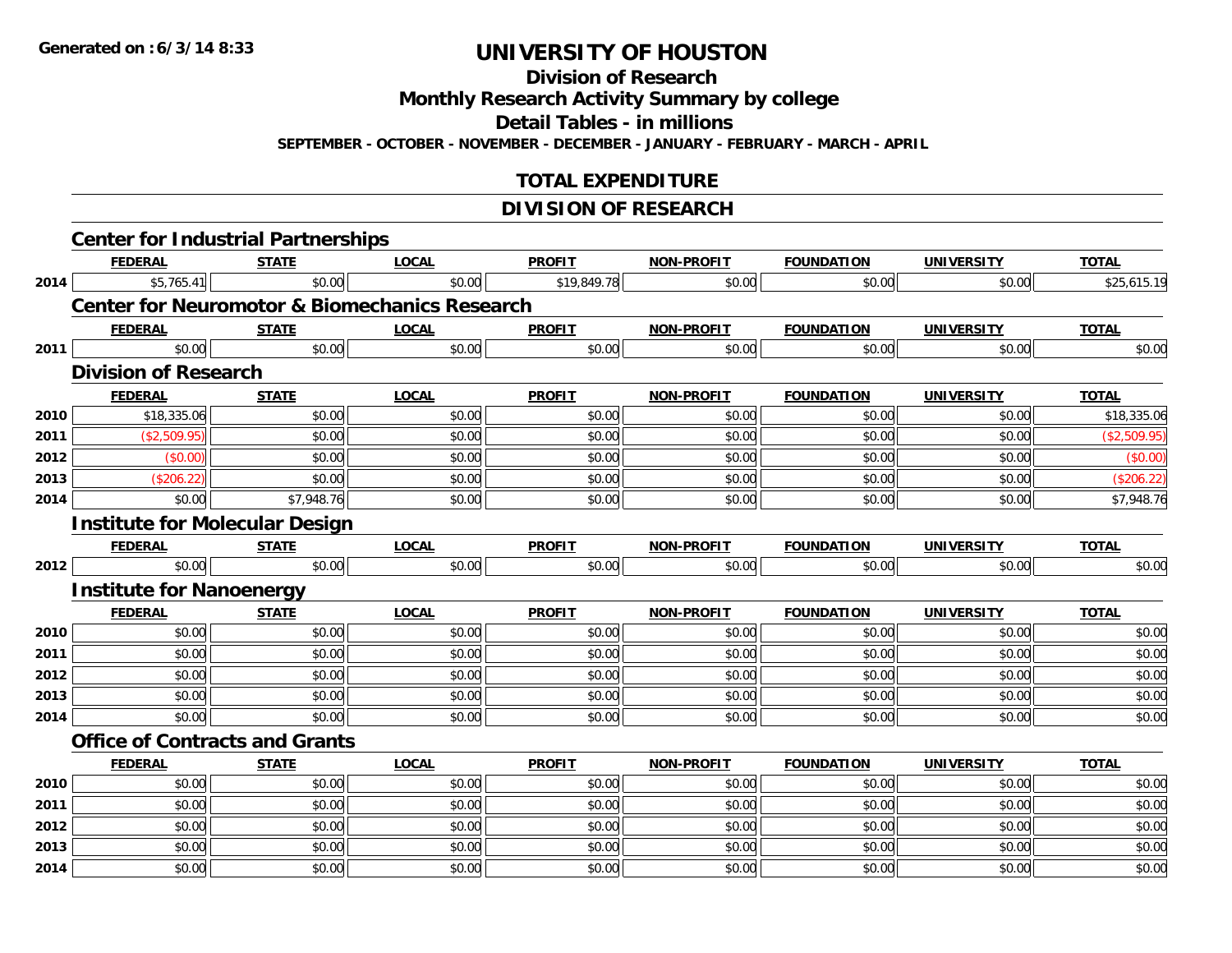**Division of Research**

**Monthly Research Activity Summary by college**

**Detail Tables - in millions**

**SEPTEMBER - OCTOBER - NOVEMBER - DECEMBER - JANUARY - FEBRUARY - MARCH - APRIL**

### **TOTAL EXPENDITURE**

### **DIVISION OF RESEARCH**

|      | <b>Center for Industrial Partnerships</b>                |              |              |               |                   |                   |                   |              |
|------|----------------------------------------------------------|--------------|--------------|---------------|-------------------|-------------------|-------------------|--------------|
|      | <b>FEDERAL</b>                                           | <b>STATE</b> | <b>LOCAL</b> | <b>PROFIT</b> | <b>NON-PROFIT</b> | <b>FOUNDATION</b> | <b>UNIVERSITY</b> | <b>TOTAL</b> |
| 2014 | \$5,765.41                                               | \$0.00       | \$0.00       | \$19,849.78   | \$0.00            | \$0.00            | \$0.00            | \$25,615.19  |
|      | <b>Center for Neuromotor &amp; Biomechanics Research</b> |              |              |               |                   |                   |                   |              |
|      | <b>FEDERAL</b>                                           | <b>STATE</b> | <b>LOCAL</b> | <b>PROFIT</b> | <b>NON-PROFIT</b> | <b>FOUNDATION</b> | <b>UNIVERSITY</b> | <b>TOTAL</b> |
| 2011 | \$0.00                                                   | \$0.00       | \$0.00       | \$0.00        | \$0.00            | \$0.00            | \$0.00            | \$0.00       |
|      | <b>Division of Research</b>                              |              |              |               |                   |                   |                   |              |
|      | <b>FEDERAL</b>                                           | <b>STATE</b> | <b>LOCAL</b> | <b>PROFIT</b> | <b>NON-PROFIT</b> | <b>FOUNDATION</b> | <b>UNIVERSITY</b> | <b>TOTAL</b> |
| 2010 | \$18,335.06                                              | \$0.00       | \$0.00       | \$0.00        | \$0.00            | \$0.00            | \$0.00            | \$18,335.06  |
| 2011 | (\$2,509.95)                                             | \$0.00       | \$0.00       | \$0.00        | \$0.00            | \$0.00            | \$0.00            | (\$2,509.95) |
| 2012 | (\$0.00)                                                 | \$0.00       | \$0.00       | \$0.00        | \$0.00            | \$0.00            | \$0.00            | (\$0.00)     |
| 2013 | (\$206.22)                                               | \$0.00       | \$0.00       | \$0.00        | \$0.00            | \$0.00            | \$0.00            | (\$206.22)   |
| 2014 | \$0.00                                                   | \$7,948.76   | \$0.00       | \$0.00        | \$0.00            | \$0.00            | \$0.00            | \$7,948.76   |
|      | <b>Institute for Molecular Design</b>                    |              |              |               |                   |                   |                   |              |
|      | <b>FEDERAL</b>                                           | <b>STATE</b> | <b>LOCAL</b> | <b>PROFIT</b> | <b>NON-PROFIT</b> | <b>FOUNDATION</b> | <b>UNIVERSITY</b> | <b>TOTAL</b> |
| 2012 | \$0.00                                                   | \$0.00       | \$0.00       | \$0.00        | \$0.00            | \$0.00            | \$0.00            | \$0.00       |
|      | <b>Institute for Nanoenergy</b>                          |              |              |               |                   |                   |                   |              |
|      | <b>FEDERAL</b>                                           | <b>STATE</b> | <b>LOCAL</b> | <b>PROFIT</b> | <b>NON-PROFIT</b> | <b>FOUNDATION</b> | <b>UNIVERSITY</b> | <b>TOTAL</b> |
| 2010 | \$0.00                                                   | \$0.00       | \$0.00       | \$0.00        | \$0.00            | \$0.00            | \$0.00            | \$0.00       |
| 2011 | \$0.00                                                   | \$0.00       | \$0.00       | \$0.00        | \$0.00            | \$0.00            | \$0.00            | \$0.00       |
| 2012 | \$0.00                                                   | \$0.00       | \$0.00       | \$0.00        | \$0.00            | \$0.00            | \$0.00            | \$0.00       |
| 2013 | \$0.00                                                   | \$0.00       | \$0.00       | \$0.00        | \$0.00            | \$0.00            | \$0.00            | \$0.00       |
| 2014 | \$0.00                                                   | \$0.00       | \$0.00       | \$0.00        | \$0.00            | \$0.00            | \$0.00            | \$0.00       |
|      | <b>Office of Contracts and Grants</b>                    |              |              |               |                   |                   |                   |              |
|      | <b>FEDERAL</b>                                           | <b>STATE</b> | <b>LOCAL</b> | <b>PROFIT</b> | <b>NON-PROFIT</b> | <b>FOUNDATION</b> | <b>UNIVERSITY</b> | <b>TOTAL</b> |
| 2010 | \$0.00                                                   | \$0.00       | \$0.00       | \$0.00        | \$0.00            | \$0.00            | \$0.00            | \$0.00       |
| 2011 | \$0.00                                                   | \$0.00       | \$0.00       | \$0.00        | \$0.00            | \$0.00            | \$0.00            | \$0.00       |
| 2012 | \$0.00                                                   | \$0.00       | \$0.00       | \$0.00        | \$0.00            | \$0.00            | \$0.00            | \$0.00       |
| 2013 | \$0.00                                                   | \$0.00       | \$0.00       | \$0.00        | \$0.00            | \$0.00            | \$0.00            | \$0.00       |
| 2014 | \$0.00                                                   | \$0.00       | \$0.00       | \$0.00        | \$0.00            | \$0.00            | \$0.00            | \$0.00       |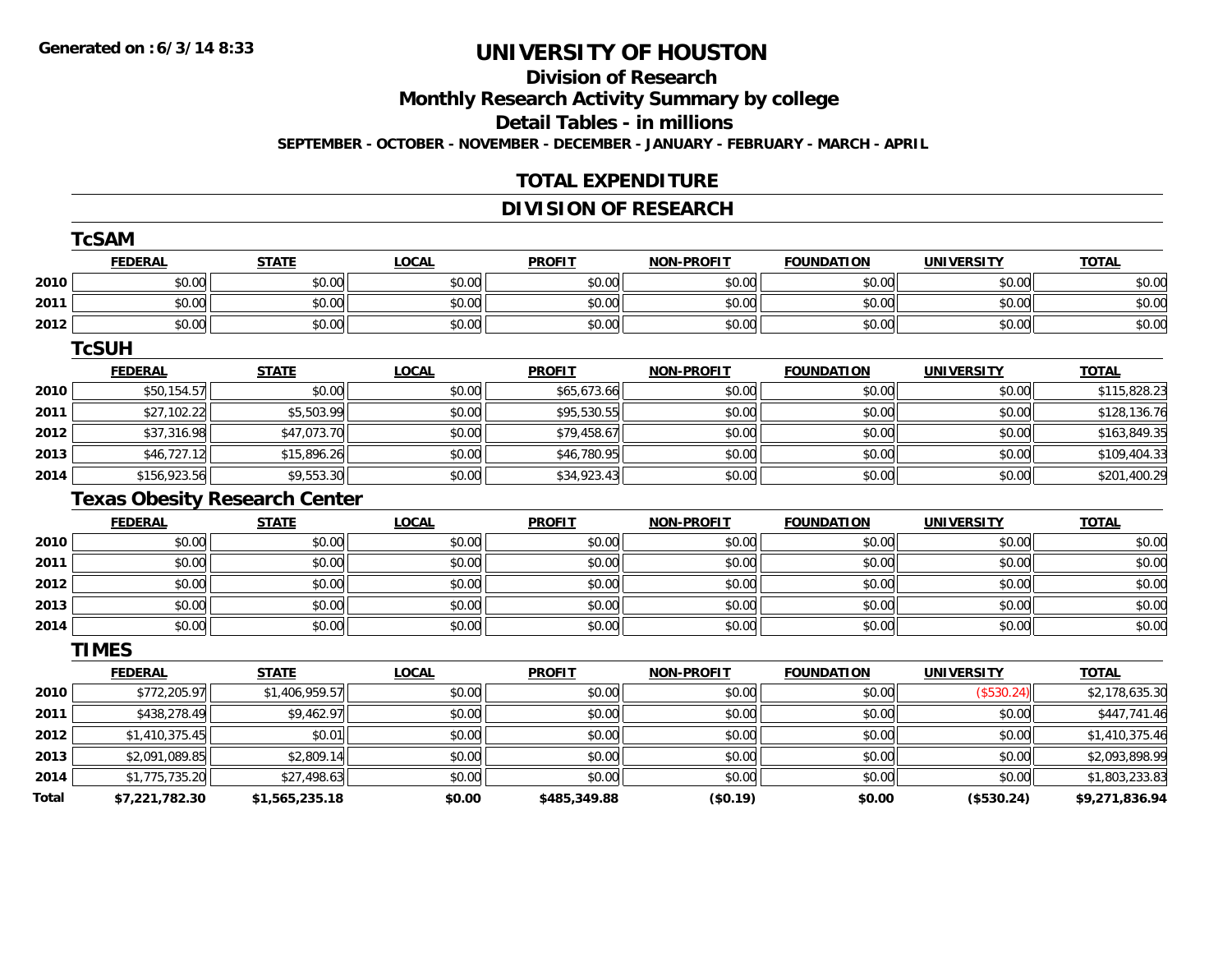#### **Division of Research**

**Monthly Research Activity Summary by college**

**Detail Tables - in millions**

**SEPTEMBER - OCTOBER - NOVEMBER - DECEMBER - JANUARY - FEBRUARY - MARCH - APRIL**

### **TOTAL EXPENDITURE**

### **DIVISION OF RESEARCH**

|       | <b>TcSAM</b>   |                                      |              |               |                   |                   |                   |                |
|-------|----------------|--------------------------------------|--------------|---------------|-------------------|-------------------|-------------------|----------------|
|       | <b>FEDERAL</b> | <b>STATE</b>                         | <b>LOCAL</b> | <b>PROFIT</b> | NON-PROFIT        | <b>FOUNDATION</b> | <b>UNIVERSITY</b> | <b>TOTAL</b>   |
| 2010  | \$0.00         | \$0.00                               | \$0.00       | \$0.00        | \$0.00            | \$0.00            | \$0.00            | \$0.00         |
| 2011  | \$0.00         | \$0.00                               | \$0.00       | \$0.00        | \$0.00            | \$0.00            | \$0.00            | \$0.00         |
| 2012  | \$0.00         | \$0.00                               | \$0.00       | \$0.00        | \$0.00            | \$0.00            | \$0.00            | \$0.00         |
|       | <b>TcSUH</b>   |                                      |              |               |                   |                   |                   |                |
|       | <b>FEDERAL</b> | <b>STATE</b>                         | <b>LOCAL</b> | <b>PROFIT</b> | <b>NON-PROFIT</b> | <b>FOUNDATION</b> | <b>UNIVERSITY</b> | <b>TOTAL</b>   |
| 2010  | \$50,154.57    | \$0.00                               | \$0.00       | \$65,673.66   | \$0.00            | \$0.00            | \$0.00            | \$115,828.23   |
| 2011  | \$27,102.22    | \$5,503.99                           | \$0.00       | \$95,530.55   | \$0.00            | \$0.00            | \$0.00            | \$128,136.76   |
| 2012  | \$37,316.98    | \$47,073.70                          | \$0.00       | \$79,458.67   | \$0.00            | \$0.00            | \$0.00            | \$163,849.35   |
| 2013  | \$46,727.12    | \$15,896.26                          | \$0.00       | \$46,780.95   | \$0.00            | \$0.00            | \$0.00            | \$109,404.33   |
| 2014  | \$156,923.56   | \$9,553.30                           | \$0.00       | \$34,923.43   | \$0.00            | \$0.00            | \$0.00            | \$201,400.29   |
|       |                | <b>Texas Obesity Research Center</b> |              |               |                   |                   |                   |                |
|       | <b>FEDERAL</b> | <b>STATE</b>                         | <b>LOCAL</b> | <b>PROFIT</b> | <b>NON-PROFIT</b> | <b>FOUNDATION</b> | <b>UNIVERSITY</b> | <b>TOTAL</b>   |
| 2010  | \$0.00         | \$0.00                               | \$0.00       | \$0.00        | \$0.00            | \$0.00            | \$0.00            | \$0.00         |
| 2011  | \$0.00         | \$0.00                               | \$0.00       | \$0.00        | \$0.00            | \$0.00            | \$0.00            | \$0.00         |
| 2012  | \$0.00         | \$0.00                               | \$0.00       | \$0.00        | \$0.00            | \$0.00            | \$0.00            | \$0.00         |
| 2013  | \$0.00         | \$0.00                               | \$0.00       | \$0.00        | \$0.00            | \$0.00            | \$0.00            | \$0.00         |
| 2014  | \$0.00         | \$0.00                               | \$0.00       | \$0.00        | \$0.00            | \$0.00            | \$0.00            | \$0.00         |
|       | <b>TIMES</b>   |                                      |              |               |                   |                   |                   |                |
|       | <b>FEDERAL</b> | <b>STATE</b>                         | <b>LOCAL</b> | <b>PROFIT</b> | <b>NON-PROFIT</b> | <b>FOUNDATION</b> | <b>UNIVERSITY</b> | <b>TOTAL</b>   |
| 2010  | \$772,205.97   | \$1,406,959.57                       | \$0.00       | \$0.00        | \$0.00            | \$0.00            | (\$530.24)        | \$2,178,635.30 |
| 2011  | \$438,278.49   | \$9,462.97                           | \$0.00       | \$0.00        | \$0.00            | \$0.00            | \$0.00            | \$447,741.46   |
| 2012  | \$1,410,375.45 | \$0.01                               | \$0.00       | \$0.00        | \$0.00            | \$0.00            | \$0.00            | \$1,410,375.46 |
| 2013  | \$2,091,089.85 | \$2,809.14                           | \$0.00       | \$0.00        | \$0.00            | \$0.00            | \$0.00            | \$2,093,898.99 |
| 2014  | \$1,775,735.20 | \$27,498.63                          | \$0.00       | \$0.00        | \$0.00            | \$0.00            | \$0.00            | \$1,803,233.83 |
| Total | \$7,221,782.30 | \$1,565,235.18                       | \$0.00       | \$485,349.88  | (\$0.19)          | \$0.00            | (\$530.24)        | \$9,271,836.94 |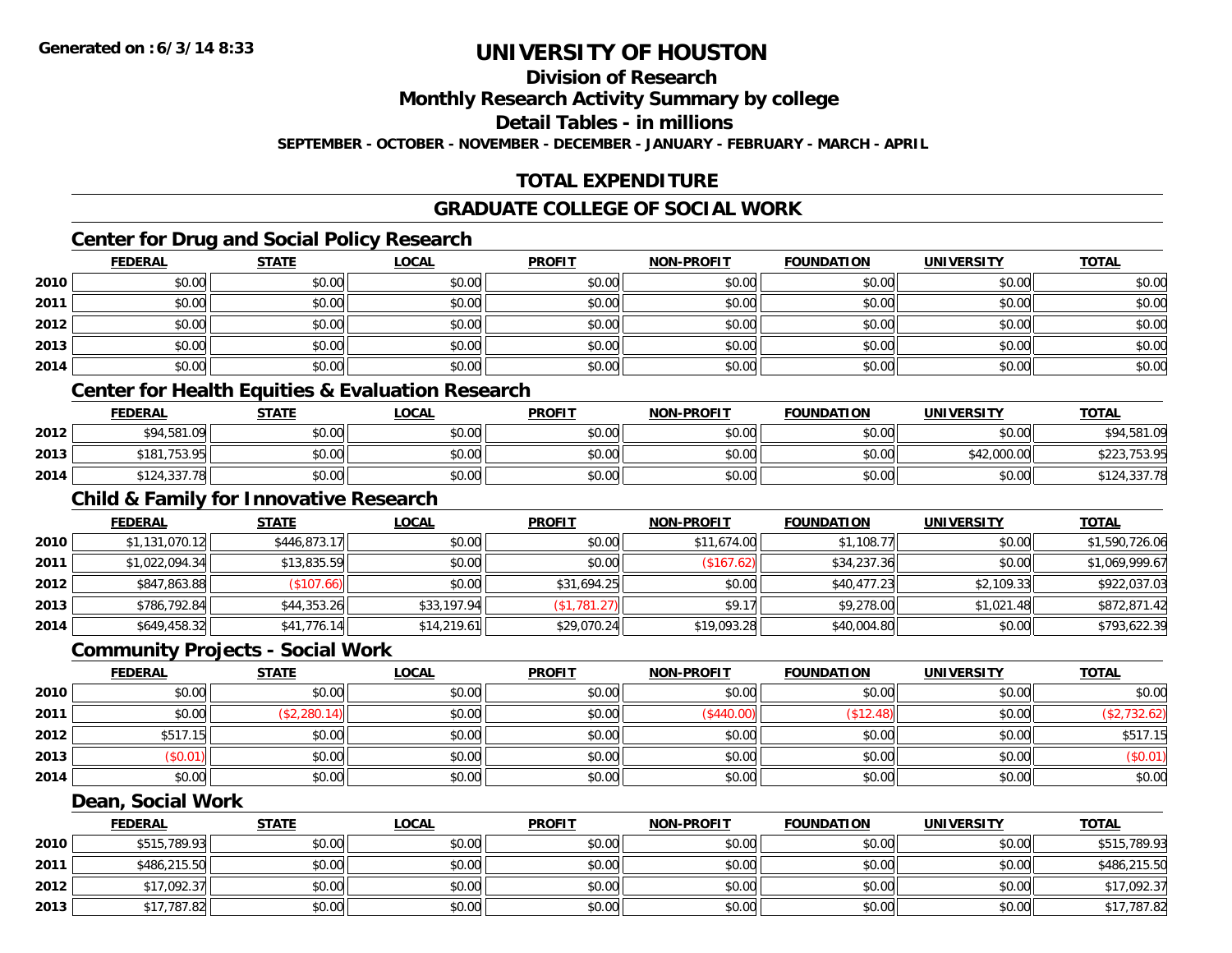**Division of Research**

**Monthly Research Activity Summary by college**

**Detail Tables - in millions**

**SEPTEMBER - OCTOBER - NOVEMBER - DECEMBER - JANUARY - FEBRUARY - MARCH - APRIL**

## **TOTAL EXPENDITURE**

#### **GRADUATE COLLEGE OF SOCIAL WORK**

### **Center for Drug and Social Policy Research**

|      | <b>FEDERAL</b> | <b>STATE</b> | <u>LOCAL</u> | <b>PROFIT</b> | <b>NON-PROFIT</b> | <b>FOUNDATION</b> | <b>UNIVERSITY</b> | <b>TOTAL</b> |
|------|----------------|--------------|--------------|---------------|-------------------|-------------------|-------------------|--------------|
| 2010 | \$0.00         | \$0.00       | \$0.00       | \$0.00        | \$0.00            | \$0.00            | \$0.00            | \$0.00       |
| 2011 | \$0.00         | \$0.00       | \$0.00       | \$0.00        | \$0.00            | \$0.00            | \$0.00            | \$0.00       |
| 2012 | \$0.00         | \$0.00       | \$0.00       | \$0.00        | \$0.00            | \$0.00            | \$0.00            | \$0.00       |
| 2013 | \$0.00         | \$0.00       | \$0.00       | \$0.00        | \$0.00            | \$0.00            | \$0.00            | \$0.00       |
| 2014 | \$0.00         | \$0.00       | \$0.00       | \$0.00        | \$0.00            | \$0.00            | \$0.00            | \$0.00       |

#### **Center for Health Equities & Evaluation Research**

|      | F <u>ederal</u>  | <b>STATE</b> | <u>LOCAL</u> | <b>PROFIT</b> | <b>NON-PROFIT</b> | <b>FOUNDATION</b> | UNIVERSITY  | <b>TOTAL</b> |
|------|------------------|--------------|--------------|---------------|-------------------|-------------------|-------------|--------------|
| 2012 | \$94,581.09      | \$0.00       | \$0.00       | \$0.00        | \$0.00            | \$0.00            | \$0.00      | \$94,581.09  |
| 2013 | ,753.95<br>\$181 | \$0.00       | \$0.00       | \$0.00        | \$0.00            | \$0.00            | \$42,000.00 | \$223,753.95 |
| 2014 | \$124,337.78     | \$0.00       | \$0.00       | \$0.00        | \$0.00            | \$0.00            | \$0.00      | \$124,337.78 |

## **Child & Family for Innovative Research**

|      | <b>FEDERAL</b> | <u>STATE</u> | <b>LOCAL</b> | <b>PROFIT</b>   | <b>NON-PROFIT</b> | <b>FOUNDATION</b> | <b>UNIVERSITY</b> | <u>TOTAL</u>   |
|------|----------------|--------------|--------------|-----------------|-------------------|-------------------|-------------------|----------------|
| 2010 | \$1,131,070.12 | \$446,873.17 | \$0.00       | \$0.00          | \$11,674.00       | \$1,108.77        | \$0.00            | \$1,590,726.06 |
| 2011 | \$1,022,094.34 | \$13,835.59  | \$0.00       | \$0.00          | (\$167.62)        | \$34,237.36       | \$0.00            | \$1,069,999.67 |
| 2012 | \$847,863.88   | (\$107.66)   | \$0.00       | \$31,694.25     | \$0.00            | \$40,477.23       | \$2,109.33        | \$922,037.03   |
| 2013 | \$786,792.84   | \$44,353.26  | \$33,197.94  | $($ \$1,781.27) | \$9.17            | \$9,278.00        | \$1,021.48        | \$872,871.42   |
| 2014 | \$649,458.32   | \$41,776.14  | \$14,219.61  | \$29,070.24     | \$19,093.28       | \$40,004.80       | \$0.00            | \$793,622.39   |

#### **Community Projects - Social Work**

|      | <b>FEDERAL</b> | <u>STATE</u> | <u>LOCAL</u> | <b>PROFIT</b> | <b>NON-PROFIT</b> | <b>FOUNDATION</b> | <b>UNIVERSITY</b> | <b>TOTAL</b> |
|------|----------------|--------------|--------------|---------------|-------------------|-------------------|-------------------|--------------|
| 2010 | \$0.00         | \$0.00       | \$0.00       | \$0.00        | \$0.00            | \$0.00            | \$0.00            | \$0.00       |
| 2011 | \$0.00         | (\$2,280.14) | \$0.00       | \$0.00        | $($ \$440.00 $)$  | \$12.48           | \$0.00            |              |
| 2012 | \$517.15       | \$0.00       | \$0.00       | \$0.00        | \$0.00            | \$0.00            | \$0.00            | \$517.15     |
| 2013 | \$0.01)        | \$0.00       | \$0.00       | \$0.00        | \$0.00            | \$0.00            | \$0.00            | (\$0.01)     |
| 2014 | \$0.00         | \$0.00       | \$0.00       | \$0.00        | \$0.00            | \$0.00            | \$0.00            | \$0.00       |

#### **Dean, Social Work**

|      | <b>FEDERAL</b> | <b>STATE</b> | <u>LOCAL</u> | <b>PROFIT</b> | <b>NON-PROFIT</b> | <b>FOUNDATION</b> | <b>UNIVERSITY</b> | <b>TOTAL</b> |
|------|----------------|--------------|--------------|---------------|-------------------|-------------------|-------------------|--------------|
| 2010 | \$515,789.93   | \$0.00       | \$0.00       | \$0.00        | \$0.00            | \$0.00            | \$0.00            | \$515,789.93 |
| 2011 | \$486,215.50   | \$0.00       | \$0.00       | \$0.00        | \$0.00            | \$0.00            | \$0.00            | \$486,215.50 |
| 2012 | \$17,092.37    | \$0.00       | \$0.00       | \$0.00        | \$0.00            | \$0.00            | \$0.00            | \$17,092.37  |
| 2013 | \$17,787.82    | \$0.00       | \$0.00       | \$0.00        | \$0.00            | \$0.00            | \$0.00            | \$17,787.82  |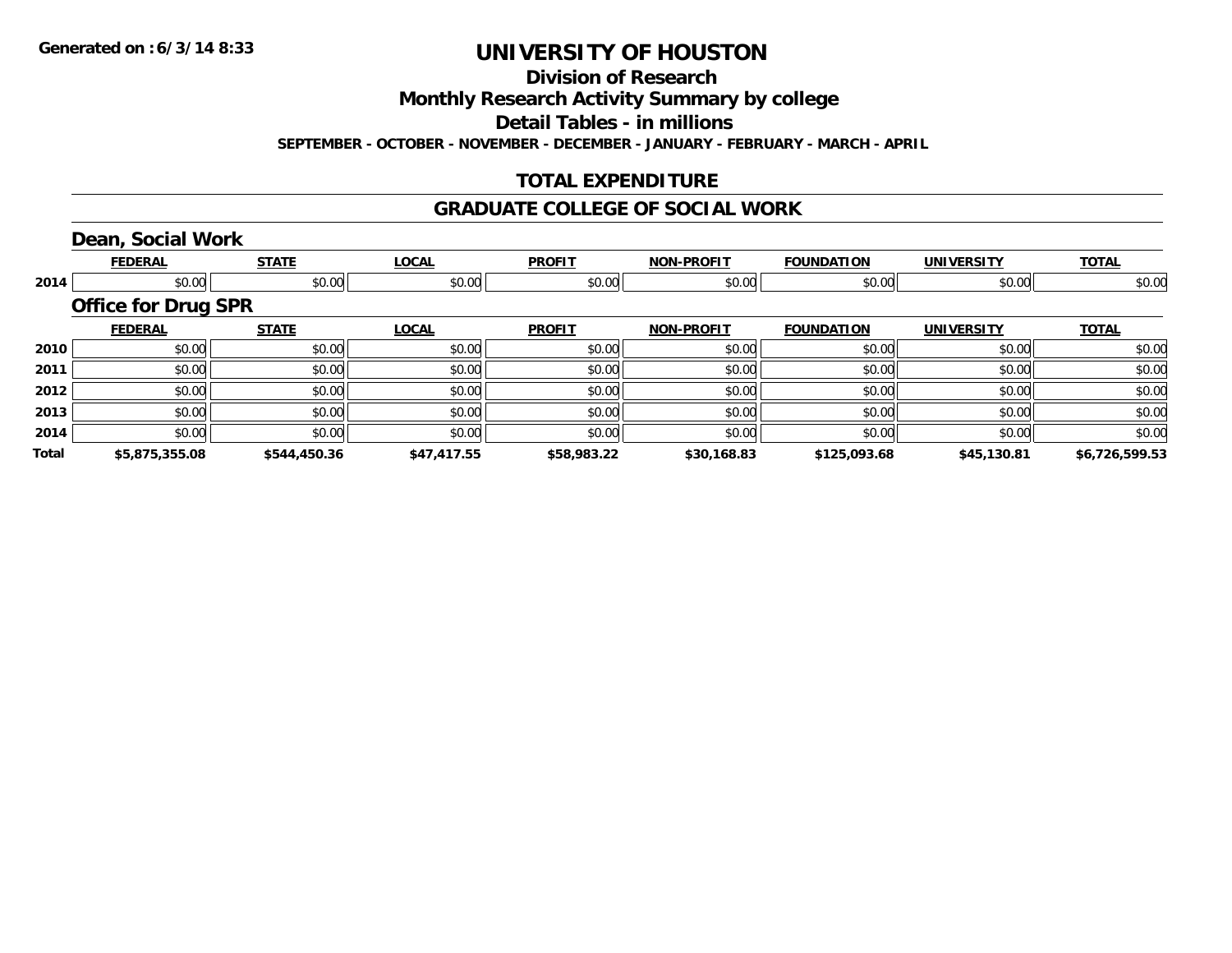**Division of Research**

**Monthly Research Activity Summary by college**

**Detail Tables - in millions**

**SEPTEMBER - OCTOBER - NOVEMBER - DECEMBER - JANUARY - FEBRUARY - MARCH - APRIL**

### **TOTAL EXPENDITURE**

#### **GRADUATE COLLEGE OF SOCIAL WORK**

## **Dean, Social Work**

|       | <b>FEDERAL</b>             | <b>STATE</b> | <b>LOCAL</b>     | <b>PROFIT</b> | <b>NON-PROFIT</b> | <b>FOUNDATION</b> | <b>UNIVERSITY</b> | <b>TOTAL</b>   |
|-------|----------------------------|--------------|------------------|---------------|-------------------|-------------------|-------------------|----------------|
| 2014  | \$0.00                     |              | \$0.00<br>\$0.00 | \$0.00        | \$0.00            | \$0.00            | \$0.00            | \$0.00         |
|       | <b>Office for Drug SPR</b> |              |                  |               |                   |                   |                   |                |
|       | <b>FEDERAL</b>             | <b>STATE</b> | <b>LOCAL</b>     | <b>PROFIT</b> | <b>NON-PROFIT</b> | <b>FOUNDATION</b> | <b>UNIVERSITY</b> | <b>TOTAL</b>   |
| 2010  | \$0.00                     | \$0.00       | \$0.00           | \$0.00        | \$0.00            | \$0.00            | \$0.00            | \$0.00         |
| 2011  | \$0.00                     | \$0.00       | \$0.00           | \$0.00        | \$0.00            | \$0.00            | \$0.00            | \$0.00         |
| 2012  | \$0.00                     | \$0.00       | \$0.00           | \$0.00        | \$0.00            | \$0.00            | \$0.00            | \$0.00         |
| 2013  | \$0.00                     | \$0.00       | \$0.00           | \$0.00        | \$0.00            | \$0.00            | \$0.00            | \$0.00         |
| 2014  | \$0.00                     | \$0.00       | \$0.00           | \$0.00        | \$0.00            | \$0.00            | \$0.00            | \$0.00         |
| Total | \$5,875,355.08             | \$544,450.36 | \$47,417.55      | \$58,983.22   | \$30,168.83       | \$125,093.68      | \$45,130.81       | \$6,726,599.53 |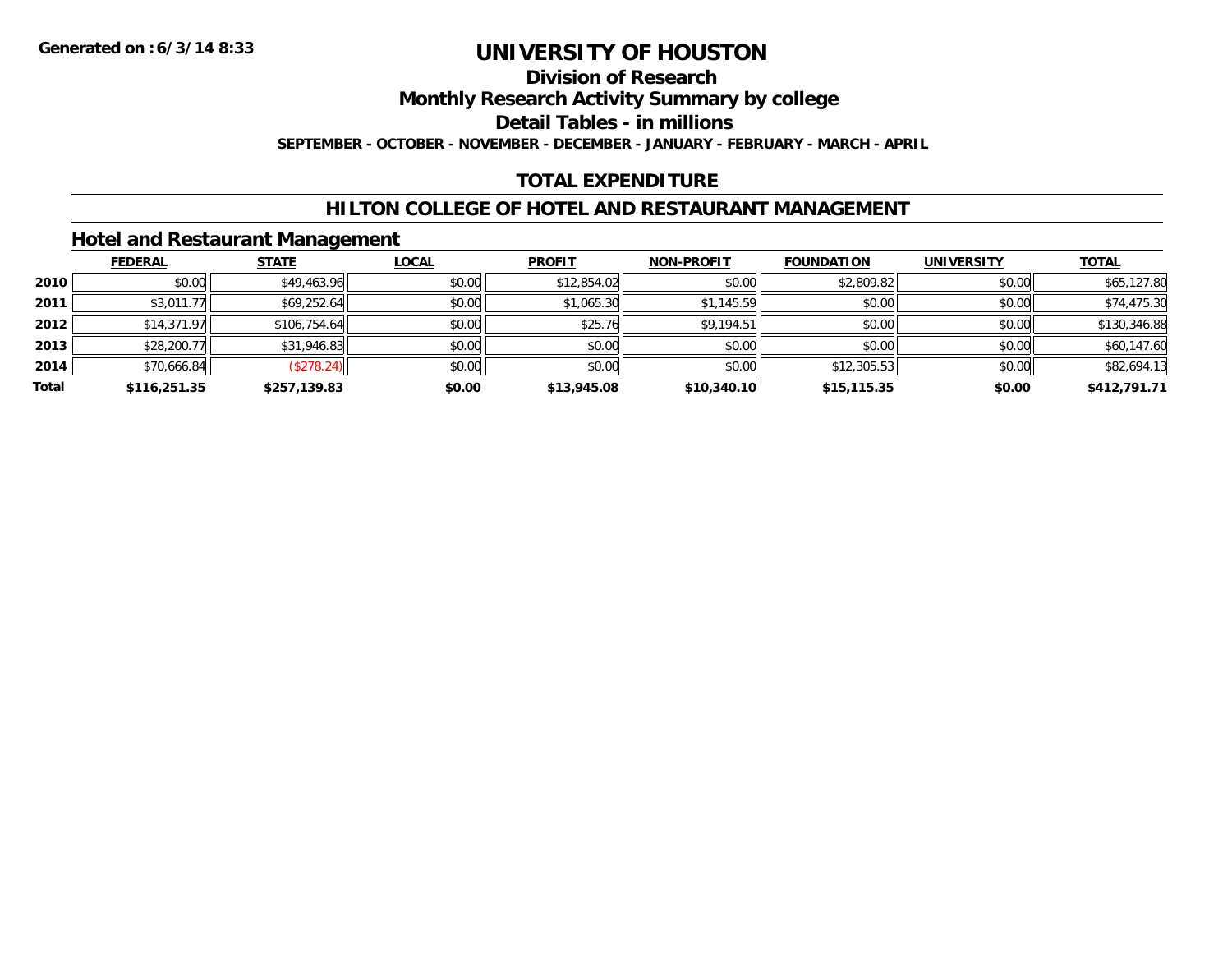## **Division of Research**

**Monthly Research Activity Summary by college**

**Detail Tables - in millions**

**SEPTEMBER - OCTOBER - NOVEMBER - DECEMBER - JANUARY - FEBRUARY - MARCH - APRIL**

### **TOTAL EXPENDITURE**

#### **HILTON COLLEGE OF HOTEL AND RESTAURANT MANAGEMENT**

#### **Hotel and Restaurant Management**

|       | <b>FEDERAL</b> | <b>STATE</b> | <b>LOCAL</b> | <b>PROFIT</b> | <b>NON-PROFIT</b> | <b>FOUNDATION</b> | <b>UNIVERSITY</b> | <b>TOTAL</b> |
|-------|----------------|--------------|--------------|---------------|-------------------|-------------------|-------------------|--------------|
| 2010  | \$0.00         | \$49,463.96  | \$0.00       | \$12,854.02   | \$0.00            | \$2,809.82        | \$0.00            | \$65,127.80  |
| 2011  | \$3,011.77     | \$69,252.64  | \$0.00       | \$1,065.30    | \$1,145.59        | \$0.00            | \$0.00            | \$74,475.30  |
| 2012  | \$14,371.97    | \$106,754.64 | \$0.00       | \$25.76       | \$9,194.51        | \$0.00            | \$0.00            | \$130,346.88 |
| 2013  | \$28,200.77    | \$31,946.83  | \$0.00       | \$0.00        | \$0.00            | \$0.00            | \$0.00            | \$60,147.60  |
| 2014  | \$70,666.84    | (\$278.24)   | \$0.00       | \$0.00        | \$0.00            | \$12,305.53       | \$0.00            | \$82,694.13  |
| Total | \$116,251.35   | \$257,139.83 | \$0.00       | \$13,945.08   | \$10,340.10       | \$15,115.35       | \$0.00            | \$412,791.71 |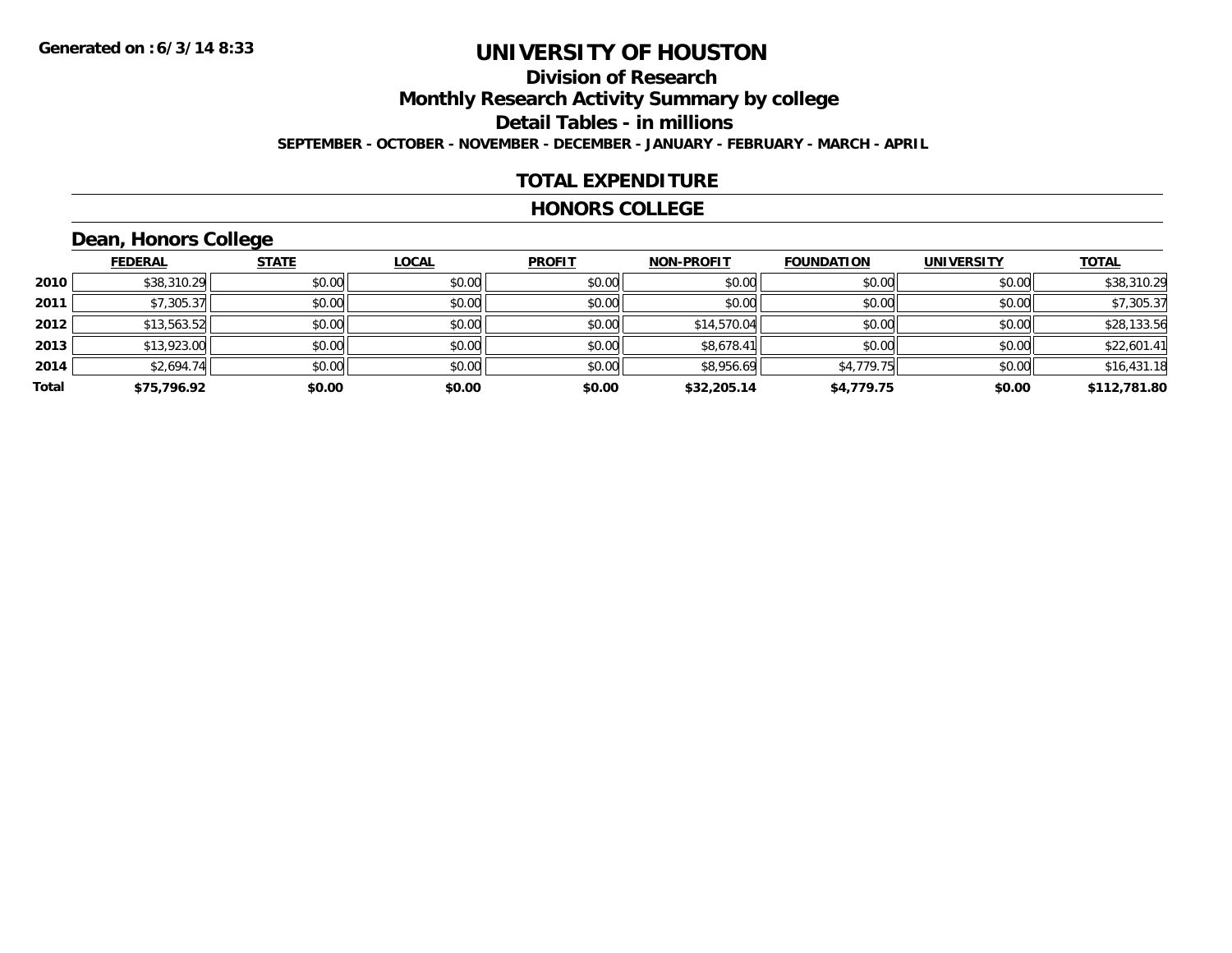# **Division of Research**

**Monthly Research Activity Summary by college**

**Detail Tables - in millions**

**SEPTEMBER - OCTOBER - NOVEMBER - DECEMBER - JANUARY - FEBRUARY - MARCH - APRIL**

#### **TOTAL EXPENDITURE**

#### **HONORS COLLEGE**

## **Dean, Honors College**

|       |                | $\sim$       |              |               |                   |                   |                   |              |
|-------|----------------|--------------|--------------|---------------|-------------------|-------------------|-------------------|--------------|
|       | <b>FEDERAL</b> | <b>STATE</b> | <u>LOCAL</u> | <b>PROFIT</b> | <b>NON-PROFIT</b> | <b>FOUNDATION</b> | <b>UNIVERSITY</b> | <b>TOTAL</b> |
| 2010  | \$38,310.29    | \$0.00       | \$0.00       | \$0.00        | \$0.00            | \$0.00            | \$0.00            | \$38,310.29  |
| 2011  | \$7,305.37     | \$0.00       | \$0.00       | \$0.00        | \$0.00            | \$0.00            | \$0.00            | \$7,305.37   |
| 2012  | \$13,563.52    | \$0.00       | \$0.00       | \$0.00        | \$14,570.04       | \$0.00            | \$0.00            | \$28,133.56  |
| 2013  | \$13,923.00    | \$0.00       | \$0.00       | \$0.00        | \$8,678.41        | \$0.00            | \$0.00            | \$22,601.41  |
| 2014  | \$2,694.74     | \$0.00       | \$0.00       | \$0.00        | \$8,956.69        | \$4,779.75        | \$0.00            | \$16,431.18  |
| Total | \$75,796.92    | \$0.00       | \$0.00       | \$0.00        | \$32,205.14       | \$4,779.75        | \$0.00            | \$112,781.80 |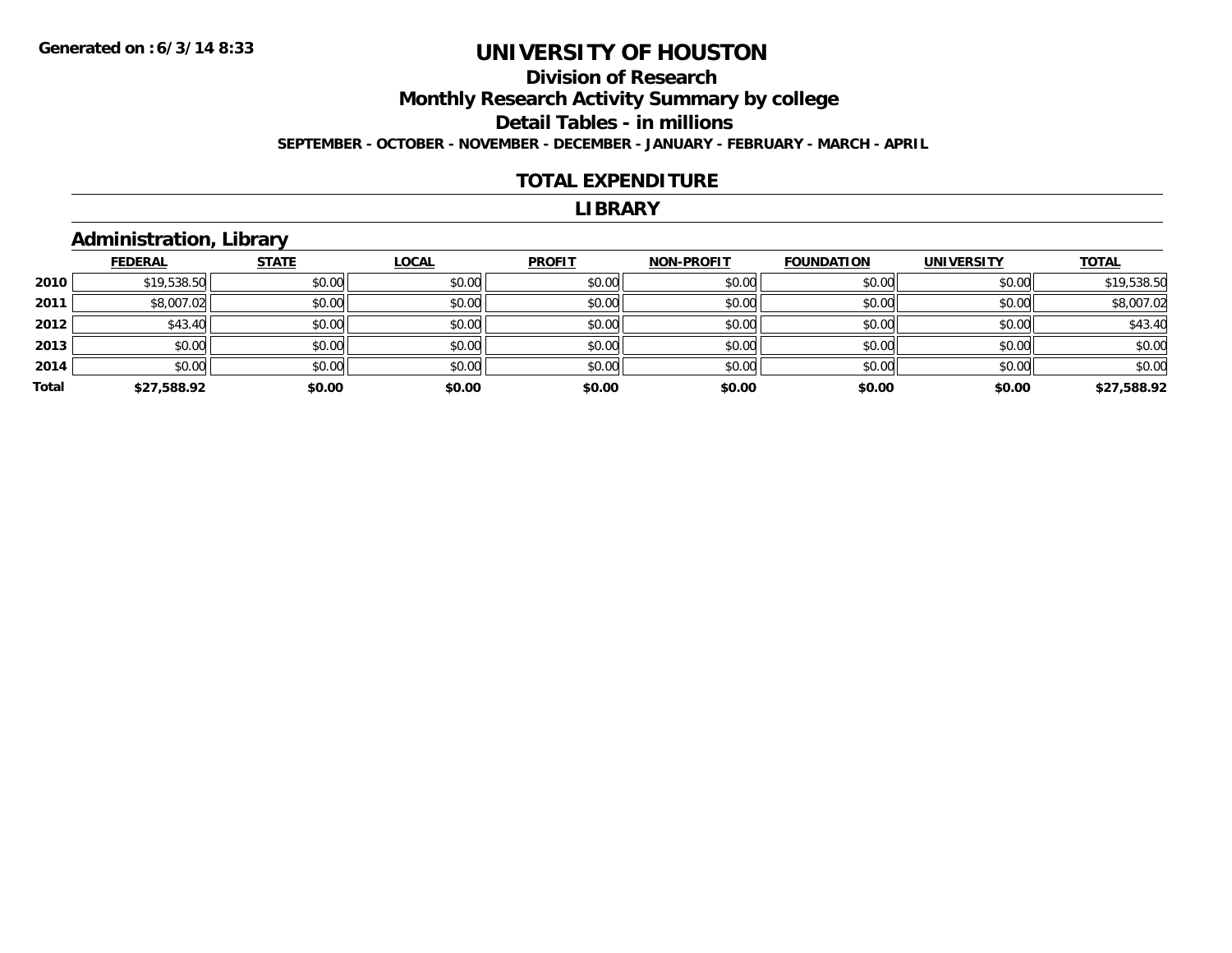### **Division of ResearchMonthly Research Activity Summary by college Detail Tables - in millions SEPTEMBER - OCTOBER - NOVEMBER - DECEMBER - JANUARY - FEBRUARY - MARCH - APRIL**

#### **TOTAL EXPENDITURE**

#### **LIBRARY**

## **Administration, Library**

|       | <b>FEDERAL</b> | <b>STATE</b> | <b>LOCAL</b> | <b>PROFIT</b> | <b>NON-PROFIT</b> | <b>FOUNDATION</b> | <b>UNIVERSITY</b> | <b>TOTAL</b> |
|-------|----------------|--------------|--------------|---------------|-------------------|-------------------|-------------------|--------------|
| 2010  | \$19,538.50    | \$0.00       | \$0.00       | \$0.00        | \$0.00            | \$0.00            | \$0.00            | \$19,538.50  |
| 2011  | \$8,007.02     | \$0.00       | \$0.00       | \$0.00        | \$0.00            | \$0.00            | \$0.00            | \$8,007.02   |
| 2012  | \$43.40        | \$0.00       | \$0.00       | \$0.00        | \$0.00            | \$0.00            | \$0.00            | \$43.40      |
| 2013  | \$0.00         | \$0.00       | \$0.00       | \$0.00        | \$0.00            | \$0.00            | \$0.00            | \$0.00       |
| 2014  | \$0.00         | \$0.00       | \$0.00       | \$0.00        | \$0.00            | \$0.00            | \$0.00            | \$0.00       |
| Total | \$27,588.92    | \$0.00       | \$0.00       | \$0.00        | \$0.00            | \$0.00            | \$0.00            | \$27,588.92  |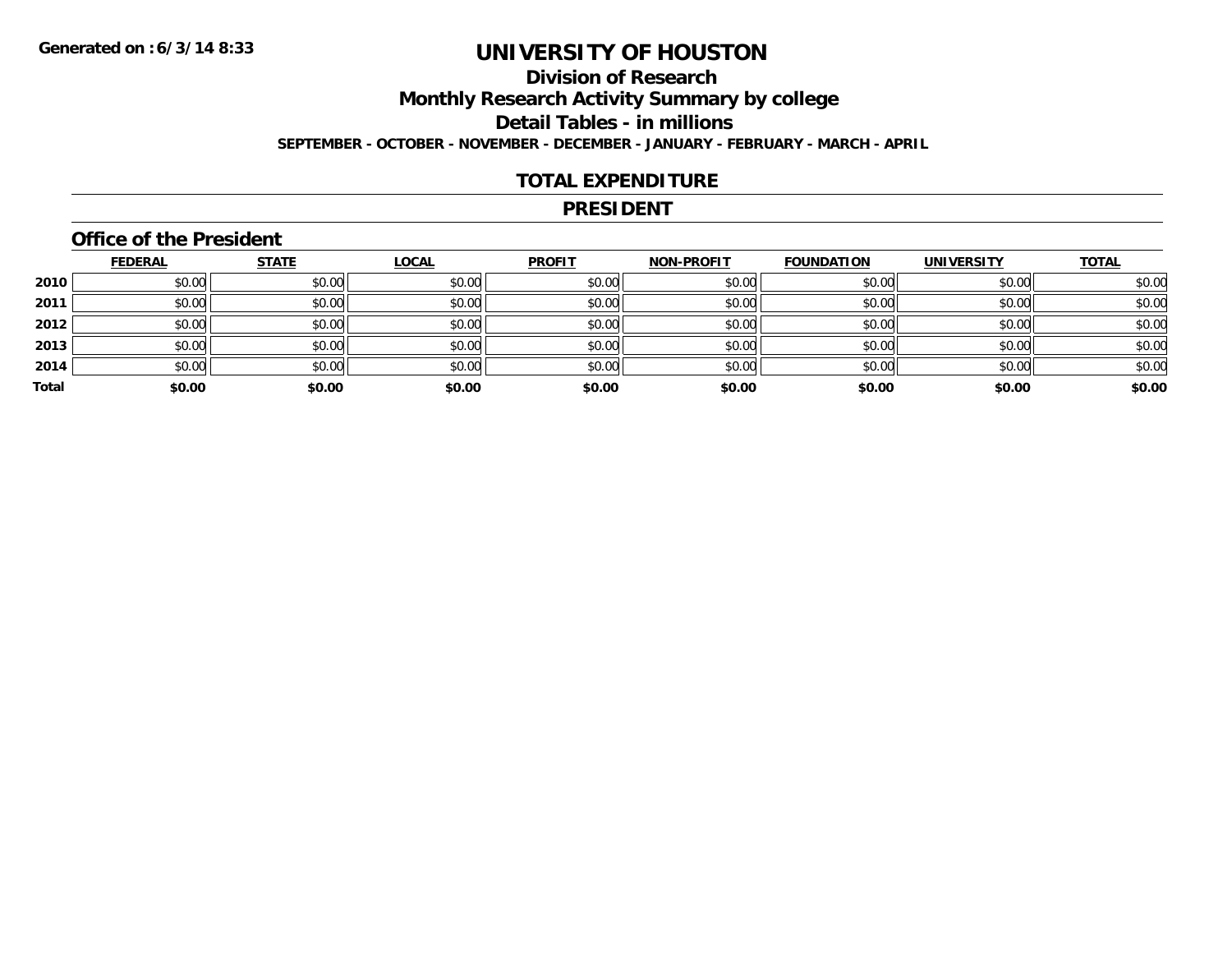## **Division of Research**

**Monthly Research Activity Summary by college**

**Detail Tables - in millions**

**SEPTEMBER - OCTOBER - NOVEMBER - DECEMBER - JANUARY - FEBRUARY - MARCH - APRIL**

#### **TOTAL EXPENDITURE**

#### **PRESIDENT**

#### **Office of the President**

|       | <b>FEDERAL</b> | <b>STATE</b> | <b>LOCAL</b> | <b>PROFIT</b> | <b>NON-PROFIT</b> | <b>FOUNDATION</b> | <b>UNIVERSITY</b> | <b>TOTAL</b> |
|-------|----------------|--------------|--------------|---------------|-------------------|-------------------|-------------------|--------------|
| 2010  | \$0.00         | \$0.00       | \$0.00       | \$0.00        | \$0.00            | \$0.00            | \$0.00            | \$0.00       |
| 2011  | \$0.00         | \$0.00       | \$0.00       | \$0.00        | \$0.00            | \$0.00            | \$0.00            | \$0.00       |
| 2012  | \$0.00         | \$0.00       | \$0.00       | \$0.00        | \$0.00            | \$0.00            | \$0.00            | \$0.00       |
| 2013  | \$0.00         | \$0.00       | \$0.00       | \$0.00        | \$0.00            | \$0.00            | \$0.00            | \$0.00       |
| 2014  | \$0.00         | \$0.00       | \$0.00       | \$0.00        | \$0.00            | \$0.00            | \$0.00            | \$0.00       |
| Total | \$0.00         | \$0.00       | \$0.00       | \$0.00        | \$0.00            | \$0.00            | \$0.00            | \$0.00       |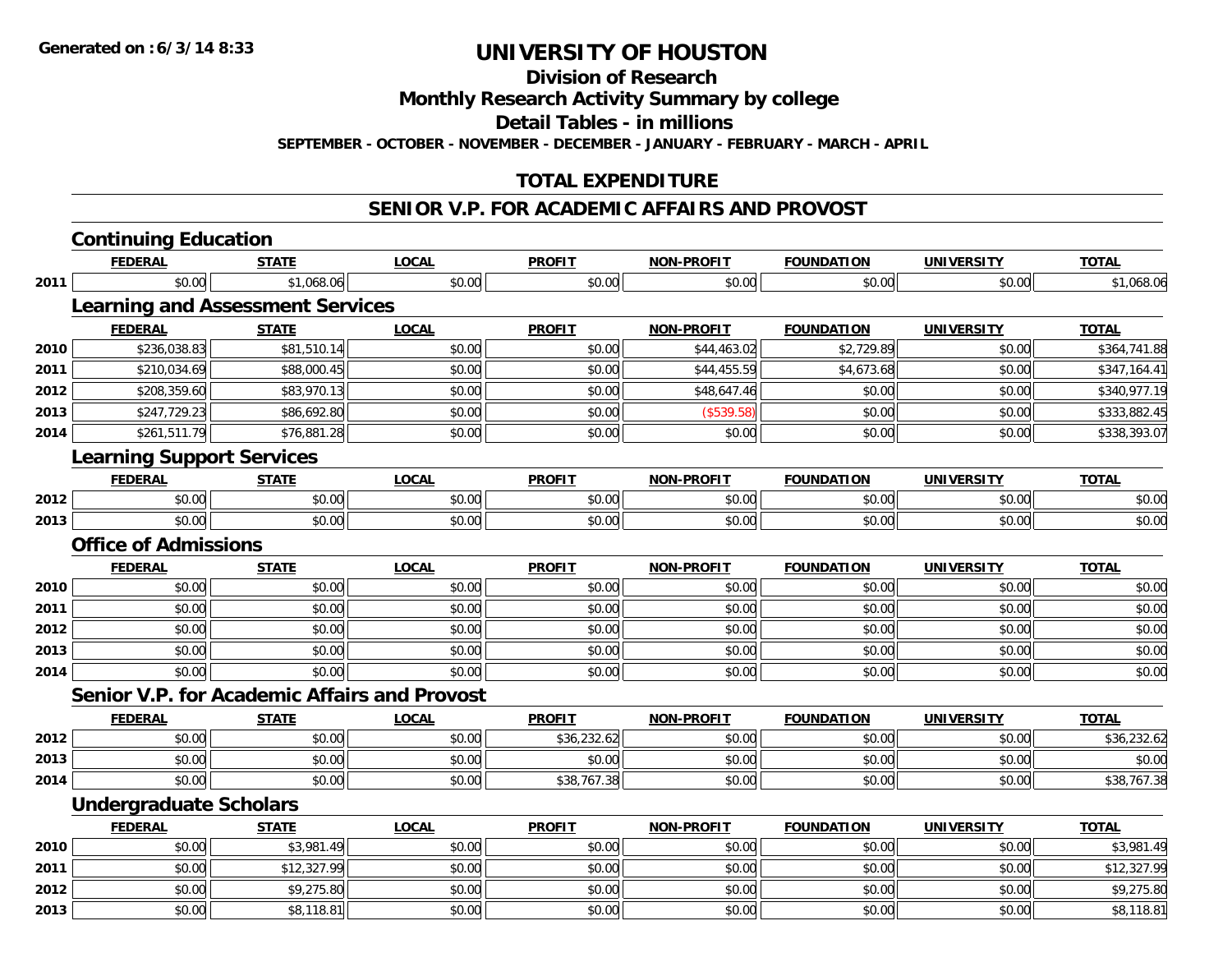**Division of Research**

**Monthly Research Activity Summary by college**

**Detail Tables - in millions**

**SEPTEMBER - OCTOBER - NOVEMBER - DECEMBER - JANUARY - FEBRUARY - MARCH - APRIL**

### **TOTAL EXPENDITURE**

#### **SENIOR V.P. FOR ACADEMIC AFFAIRS AND PROVOST**

|      | <b>Continuing Education</b>                         |              |              |               |                   |                   |                   |              |  |  |  |
|------|-----------------------------------------------------|--------------|--------------|---------------|-------------------|-------------------|-------------------|--------------|--|--|--|
|      | <b>FEDERAL</b>                                      | <b>STATE</b> | <b>LOCAL</b> | <b>PROFIT</b> | NON-PROFIT        | <b>FOUNDATION</b> | <b>UNIVERSITY</b> | <b>TOTAL</b> |  |  |  |
| 2011 | \$0.00                                              | \$1,068.06   | \$0.00       | \$0.00        | \$0.00            | \$0.00            | \$0.00            | \$1,068.06   |  |  |  |
|      | <b>Learning and Assessment Services</b>             |              |              |               |                   |                   |                   |              |  |  |  |
|      | <b>FEDERAL</b>                                      | <b>STATE</b> | <b>LOCAL</b> | <b>PROFIT</b> | <b>NON-PROFIT</b> | <b>FOUNDATION</b> | <b>UNIVERSITY</b> | <b>TOTAL</b> |  |  |  |
| 2010 | \$236,038.83                                        | \$81,510.14  | \$0.00       | \$0.00        | \$44,463.02       | \$2,729.89        | \$0.00            | \$364,741.88 |  |  |  |
| 2011 | \$210,034.69                                        | \$88,000.45  | \$0.00       | \$0.00        | \$44,455.59       | \$4,673.68        | \$0.00            | \$347,164.41 |  |  |  |
| 2012 | \$208,359.60                                        | \$83,970.13  | \$0.00       | \$0.00        | \$48,647.46       | \$0.00            | \$0.00            | \$340,977.19 |  |  |  |
| 2013 | \$247,729.23                                        | \$86,692.80  | \$0.00       | \$0.00        | (\$539.58)        | \$0.00            | \$0.00            | \$333,882.45 |  |  |  |
| 2014 | \$261,511.79                                        | \$76,881.28  | \$0.00       | \$0.00        | \$0.00            | \$0.00            | \$0.00            | \$338,393.07 |  |  |  |
|      | <b>Learning Support Services</b>                    |              |              |               |                   |                   |                   |              |  |  |  |
|      | <b>FEDERAL</b>                                      | <b>STATE</b> | <b>LOCAL</b> | <b>PROFIT</b> | <b>NON-PROFIT</b> | <b>FOUNDATION</b> | <b>UNIVERSITY</b> | <b>TOTAL</b> |  |  |  |
| 2012 | \$0.00                                              | \$0.00       | \$0.00       | \$0.00        | \$0.00            | \$0.00            | \$0.00            | \$0.00       |  |  |  |
| 2013 | \$0.00                                              | \$0.00       | \$0.00       | \$0.00        | \$0.00            | \$0.00            | \$0.00            | \$0.00       |  |  |  |
|      | <b>Office of Admissions</b>                         |              |              |               |                   |                   |                   |              |  |  |  |
|      | <b>FEDERAL</b>                                      | <b>STATE</b> | <b>LOCAL</b> | <b>PROFIT</b> | <b>NON-PROFIT</b> | <b>FOUNDATION</b> | <b>UNIVERSITY</b> | <b>TOTAL</b> |  |  |  |
| 2010 | \$0.00                                              | \$0.00       | \$0.00       | \$0.00        | \$0.00            | \$0.00            | \$0.00            | \$0.00       |  |  |  |
| 2011 | \$0.00                                              | \$0.00       | \$0.00       | \$0.00        | \$0.00            | \$0.00            | \$0.00            | \$0.00       |  |  |  |
| 2012 | \$0.00                                              | \$0.00       | \$0.00       | \$0.00        | \$0.00            | \$0.00            | \$0.00            | \$0.00       |  |  |  |
| 2013 | \$0.00                                              | \$0.00       | \$0.00       | \$0.00        | \$0.00            | \$0.00            | \$0.00            | \$0.00       |  |  |  |
| 2014 | \$0.00                                              | \$0.00       | \$0.00       | \$0.00        | \$0.00            | \$0.00            | \$0.00            | \$0.00       |  |  |  |
|      | <b>Senior V.P. for Academic Affairs and Provost</b> |              |              |               |                   |                   |                   |              |  |  |  |
|      | <b>FEDERAL</b>                                      | <b>STATE</b> | <b>LOCAL</b> | <b>PROFIT</b> | <b>NON-PROFIT</b> | <b>FOUNDATION</b> | <b>UNIVERSITY</b> | <b>TOTAL</b> |  |  |  |
| 2012 | \$0.00                                              | \$0.00       | \$0.00       | \$36,232.62   | \$0.00            | \$0.00            | \$0.00            | \$36,232.62  |  |  |  |
| 2013 | \$0.00                                              | \$0.00       | \$0.00       | \$0.00        | \$0.00            | \$0.00            | \$0.00            | \$0.00       |  |  |  |
| 2014 | \$0.00                                              | \$0.00       | \$0.00       | \$38,767.38   | \$0.00            | \$0.00            | \$0.00            | \$38,767.38  |  |  |  |
|      | <b>Undergraduate Scholars</b>                       |              |              |               |                   |                   |                   |              |  |  |  |
|      | <b>FEDERAL</b>                                      | <b>STATE</b> | <b>LOCAL</b> | <b>PROFIT</b> | <b>NON-PROFIT</b> | <b>FOUNDATION</b> | <b>UNIVERSITY</b> | <b>TOTAL</b> |  |  |  |
| 2010 | \$0.00                                              | \$3,981.49   | \$0.00       | \$0.00        | \$0.00            | \$0.00            | \$0.00            | \$3,981.49   |  |  |  |
| 2011 | \$0.00                                              | \$12,327.99  | \$0.00       | \$0.00        | \$0.00            | \$0.00            | \$0.00            | \$12,327.99  |  |  |  |
| 2012 | \$0.00                                              | \$9,275.80   | \$0.00       | \$0.00        | \$0.00            | \$0.00            | \$0.00            | \$9,275.80   |  |  |  |
| 2013 | \$0.00                                              | \$8,118.81   | \$0.00       | \$0.00        | \$0.00            | \$0.00            | \$0.00            | \$8,118.81   |  |  |  |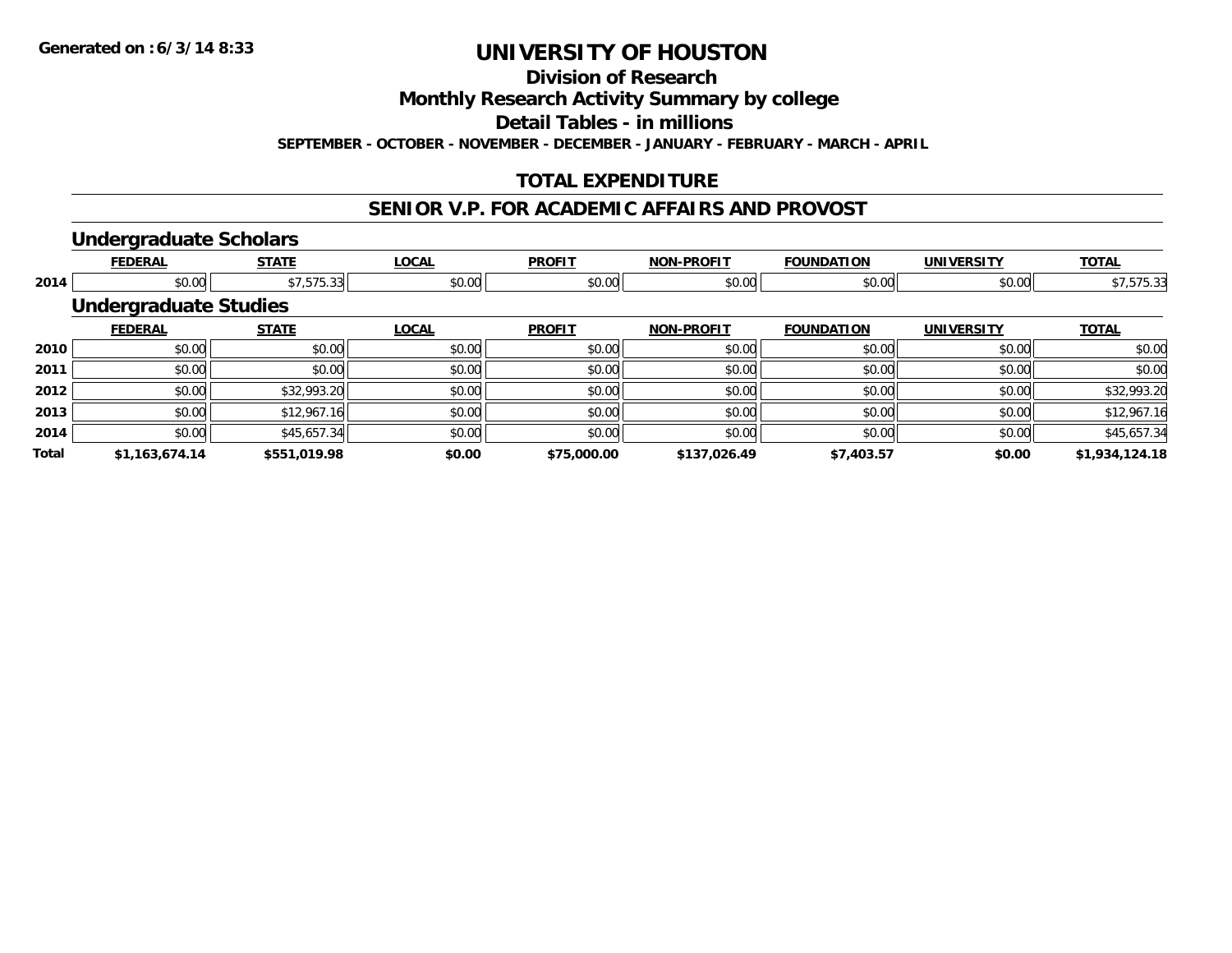**Division of Research**

**Monthly Research Activity Summary by college**

**Detail Tables - in millions**

**SEPTEMBER - OCTOBER - NOVEMBER - DECEMBER - JANUARY - FEBRUARY - MARCH - APRIL**

### **TOTAL EXPENDITURE**

#### **SENIOR V.P. FOR ACADEMIC AFFAIRS AND PROVOST**

#### **Undergraduate Scholars**

|              | <b>FEDERAL</b>               | <b>STATE</b> | <b>LOCAL</b> | <b>PROFIT</b> | <b>NON-PROFIT</b> | <b>FOUNDATION</b> | <b>UNIVERSITY</b> | <b>TOTAL</b>   |
|--------------|------------------------------|--------------|--------------|---------------|-------------------|-------------------|-------------------|----------------|
| 2014         | \$0.00                       | \$7,575.33   | \$0.00       | \$0.00        | \$0.00            | \$0.00            | \$0.00            | \$7,575.33     |
|              | <b>Undergraduate Studies</b> |              |              |               |                   |                   |                   |                |
|              | <b>FEDERAL</b>               | <b>STATE</b> | <b>LOCAL</b> | <b>PROFIT</b> | <b>NON-PROFIT</b> | <b>FOUNDATION</b> | <b>UNIVERSITY</b> | <b>TOTAL</b>   |
| 2010         | \$0.00                       | \$0.00       | \$0.00       | \$0.00        | \$0.00            | \$0.00            | \$0.00            | \$0.00         |
| 2011         | \$0.00                       | \$0.00       | \$0.00       | \$0.00        | \$0.00            | \$0.00            | \$0.00            | \$0.00         |
| 2012         | \$0.00                       | \$32,993.20  | \$0.00       | \$0.00        | \$0.00            | \$0.00            | \$0.00            | \$32,993.20    |
| 2013         | \$0.00                       | \$12,967.16  | \$0.00       | \$0.00        | \$0.00            | \$0.00            | \$0.00            | \$12,967.16    |
| 2014         | \$0.00                       | \$45,657.34  | \$0.00       | \$0.00        | \$0.00            | \$0.00            | \$0.00            | \$45,657.34    |
| <b>Total</b> | \$1,163,674.14               | \$551.019.98 | \$0.00       | \$75,000.00   | \$137,026.49      | \$7,403.57        | \$0.00            | \$1,934,124.18 |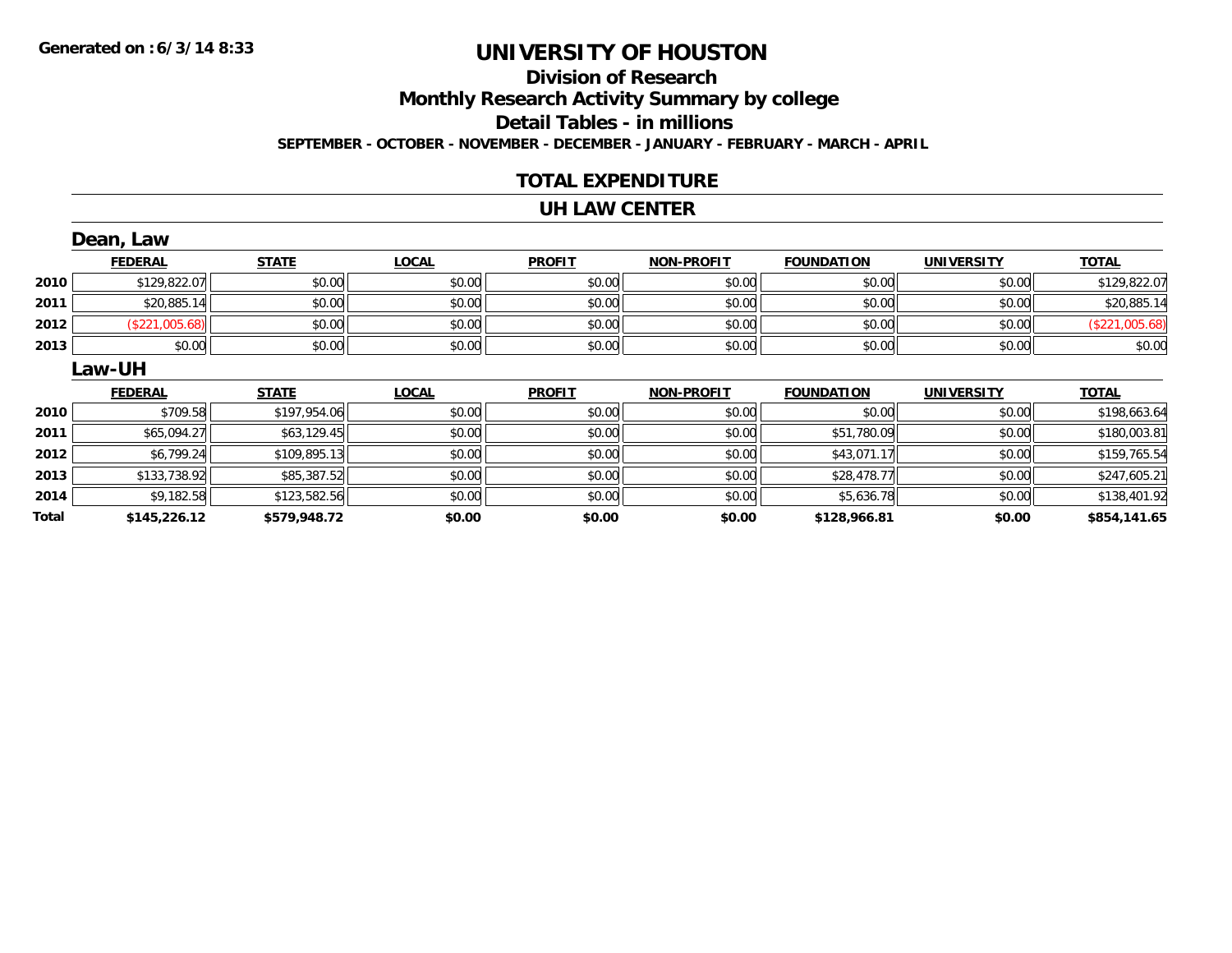# **Division of ResearchMonthly Research Activity Summary by college Detail Tables - in millions**

**SEPTEMBER - OCTOBER - NOVEMBER - DECEMBER - JANUARY - FEBRUARY - MARCH - APRIL**

#### **TOTAL EXPENDITURE**

#### **UH LAW CENTER**

|       | Dean, Law      |              |              |               |                   |                   |                   |                |
|-------|----------------|--------------|--------------|---------------|-------------------|-------------------|-------------------|----------------|
|       | <b>FEDERAL</b> | <b>STATE</b> | <b>LOCAL</b> | <b>PROFIT</b> | <b>NON-PROFIT</b> | <b>FOUNDATION</b> | <b>UNIVERSITY</b> | <b>TOTAL</b>   |
| 2010  | \$129,822.07   | \$0.00       | \$0.00       | \$0.00        | \$0.00            | \$0.00            | \$0.00            | \$129,822.07   |
| 2011  | \$20,885.14    | \$0.00       | \$0.00       | \$0.00        | \$0.00            | \$0.00            | \$0.00            | \$20,885.14    |
| 2012  | (\$221,005.68) | \$0.00       | \$0.00       | \$0.00        | \$0.00            | \$0.00            | \$0.00            | (\$221,005.68) |
| 2013  | \$0.00         | \$0.00       | \$0.00       | \$0.00        | \$0.00            | \$0.00            | \$0.00            | \$0.00         |
|       | <b>Law-UH</b>  |              |              |               |                   |                   |                   |                |
|       | <b>FEDERAL</b> | <b>STATE</b> | <b>LOCAL</b> | <b>PROFIT</b> | <b>NON-PROFIT</b> | <b>FOUNDATION</b> | <b>UNIVERSITY</b> | <b>TOTAL</b>   |
| 2010  | \$709.58       | \$197,954.06 | \$0.00       | \$0.00        | \$0.00            | \$0.00            | \$0.00            | \$198,663.64   |
| 2011  | \$65,094.27    | \$63,129.45  | \$0.00       | \$0.00        | \$0.00            | \$51,780.09       | \$0.00            | \$180,003.81   |
| 2012  | \$6,799.24     | \$109,895.13 | \$0.00       | \$0.00        | \$0.00            | \$43,071.17       | \$0.00            | \$159,765.54   |
| 2013  | \$133,738.92   | \$85,387.52  | \$0.00       | \$0.00        | \$0.00            | \$28,478.77       | \$0.00            | \$247,605.21   |
| 2014  | \$9,182.58     | \$123,582.56 | \$0.00       | \$0.00        | \$0.00            | \$5,636.78        | \$0.00            | \$138,401.92   |
| Total | \$145,226.12   | \$579,948.72 | \$0.00       | \$0.00        | \$0.00            | \$128,966.81      | \$0.00            | \$854,141.65   |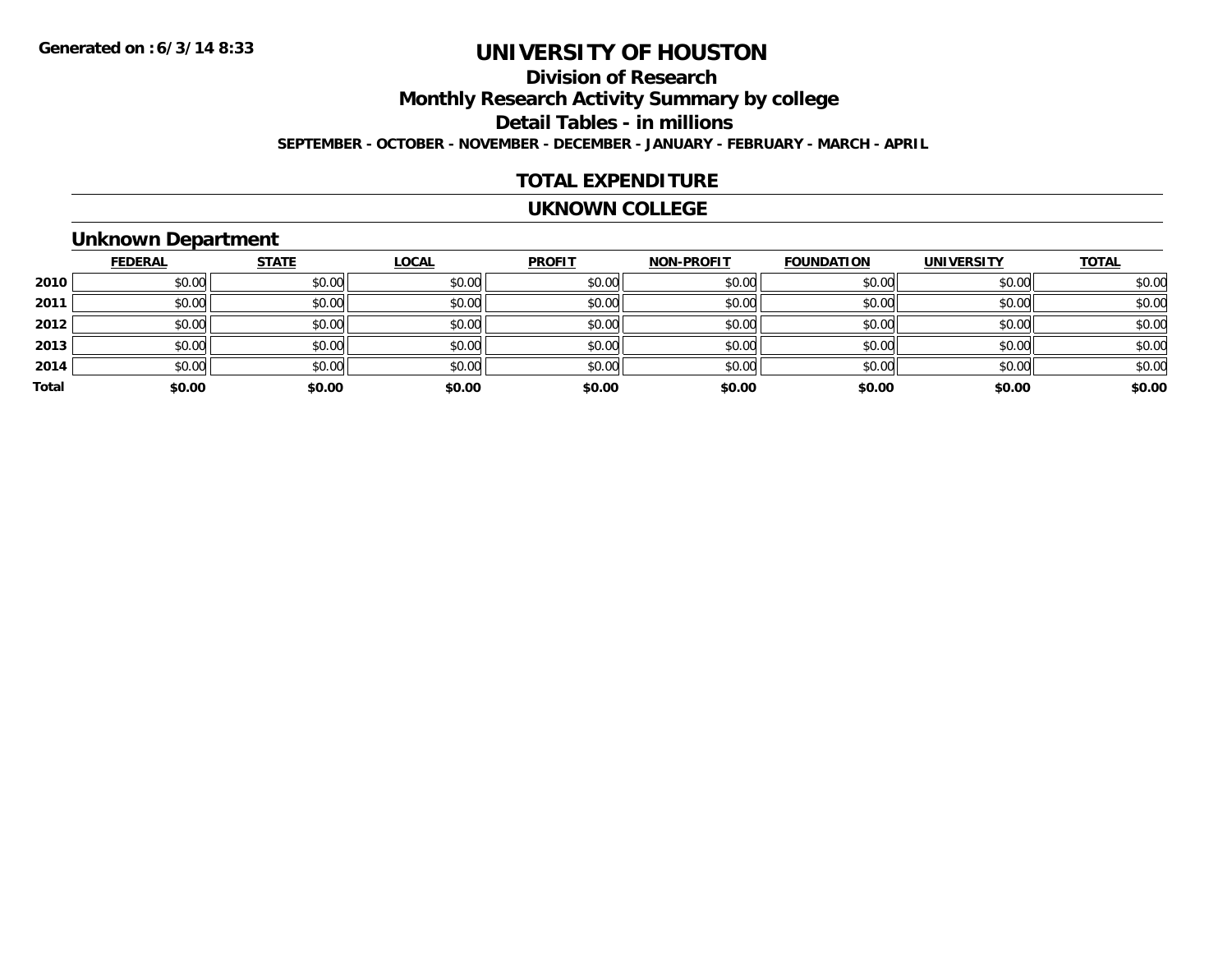### **Division of ResearchMonthly Research Activity Summary by college Detail Tables - in millions SEPTEMBER - OCTOBER - NOVEMBER - DECEMBER - JANUARY - FEBRUARY - MARCH - APRIL**

#### **TOTAL EXPENDITURE**

#### **UKNOWN COLLEGE**

## **Unknown Department**

|       | <b>FEDERAL</b> | <b>STATE</b> | <b>LOCAL</b> | <b>PROFIT</b> | <b>NON-PROFIT</b> | <b>FOUNDATION</b> | <b>UNIVERSITY</b> | <b>TOTAL</b> |
|-------|----------------|--------------|--------------|---------------|-------------------|-------------------|-------------------|--------------|
| 2010  | \$0.00         | \$0.00       | \$0.00       | \$0.00        | \$0.00            | \$0.00            | \$0.00            | \$0.00       |
| 2011  | \$0.00         | \$0.00       | \$0.00       | \$0.00        | \$0.00            | \$0.00            | \$0.00            | \$0.00       |
| 2012  | \$0.00         | \$0.00       | \$0.00       | \$0.00        | \$0.00            | \$0.00            | \$0.00            | \$0.00       |
| 2013  | \$0.00         | \$0.00       | \$0.00       | \$0.00        | \$0.00            | \$0.00            | \$0.00            | \$0.00       |
| 2014  | \$0.00         | \$0.00       | \$0.00       | \$0.00        | \$0.00            | \$0.00            | \$0.00            | \$0.00       |
| Total | \$0.00         | \$0.00       | \$0.00       | \$0.00        | \$0.00            | \$0.00            | \$0.00            | \$0.00       |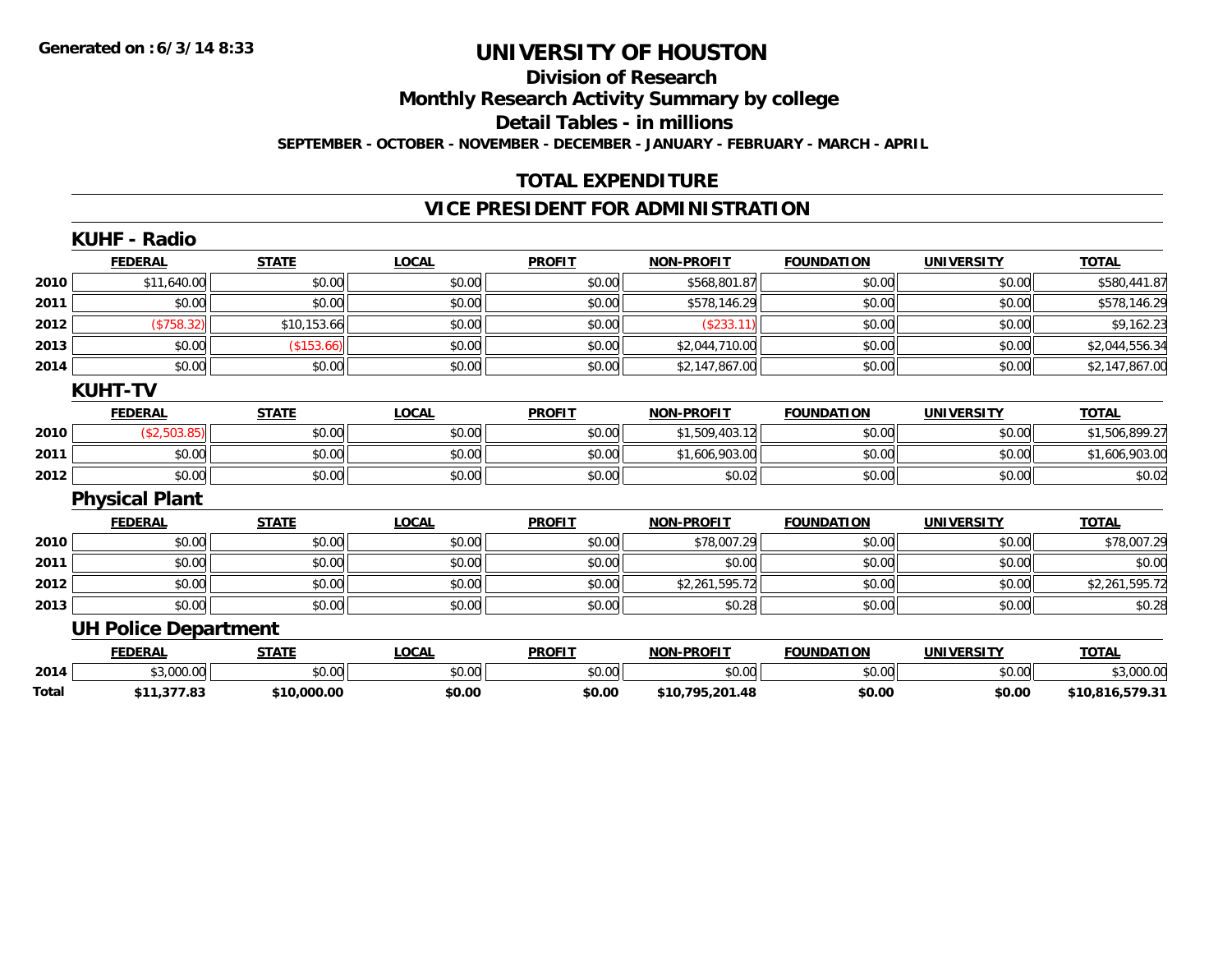#### **Division of Research**

**Monthly Research Activity Summary by college**

**Detail Tables - in millions**

**SEPTEMBER - OCTOBER - NOVEMBER - DECEMBER - JANUARY - FEBRUARY - MARCH - APRIL**

### **TOTAL EXPENDITURE**

### **VICE PRESIDENT FOR ADMINISTRATION**

|              | <b>KUHF - Radio</b>         |              |              |               |                   |                   |                   |                 |
|--------------|-----------------------------|--------------|--------------|---------------|-------------------|-------------------|-------------------|-----------------|
|              | <b>FEDERAL</b>              | <b>STATE</b> | <b>LOCAL</b> | <b>PROFIT</b> | <b>NON-PROFIT</b> | <b>FOUNDATION</b> | <b>UNIVERSITY</b> | <b>TOTAL</b>    |
| 2010         | \$11,640.00                 | \$0.00       | \$0.00       | \$0.00        | \$568,801.87      | \$0.00            | \$0.00            | \$580,441.87    |
| 2011         | \$0.00                      | \$0.00       | \$0.00       | \$0.00        | \$578,146.29      | \$0.00            | \$0.00            | \$578,146.29    |
| 2012         | (\$758.32)                  | \$10,153.66  | \$0.00       | \$0.00        | (\$233.11)        | \$0.00            | \$0.00            | \$9,162.23      |
| 2013         | \$0.00                      | (\$153.66)   | \$0.00       | \$0.00        | \$2,044,710.00    | \$0.00            | \$0.00            | \$2,044,556.34  |
| 2014         | \$0.00                      | \$0.00       | \$0.00       | \$0.00        | \$2,147,867.00    | \$0.00            | \$0.00            | \$2,147,867.00  |
|              | <b>KUHT-TV</b>              |              |              |               |                   |                   |                   |                 |
|              | <b>FEDERAL</b>              | <b>STATE</b> | <b>LOCAL</b> | <b>PROFIT</b> | <b>NON-PROFIT</b> | <b>FOUNDATION</b> | <b>UNIVERSITY</b> | <b>TOTAL</b>    |
| 2010         | (\$2,503.85)                | \$0.00       | \$0.00       | \$0.00        | \$1,509,403.12    | \$0.00            | \$0.00            | \$1,506,899.27  |
| 2011         | \$0.00                      | \$0.00       | \$0.00       | \$0.00        | \$1,606,903.00    | \$0.00            | \$0.00            | \$1,606,903.00  |
| 2012         | \$0.00                      | \$0.00       | \$0.00       | \$0.00        | \$0.02            | \$0.00            | \$0.00            | \$0.02          |
|              | <b>Physical Plant</b>       |              |              |               |                   |                   |                   |                 |
|              | <b>FEDERAL</b>              | <b>STATE</b> | <b>LOCAL</b> | <b>PROFIT</b> | <b>NON-PROFIT</b> | <b>FOUNDATION</b> | UNIVERSITY        | <b>TOTAL</b>    |
| 2010         | \$0.00                      | \$0.00       | \$0.00       | \$0.00        | \$78,007.29       | \$0.00            | \$0.00            | \$78,007.29     |
| 2011         | \$0.00                      | \$0.00       | \$0.00       | \$0.00        | \$0.00            | \$0.00            | \$0.00            | \$0.00          |
| 2012         | \$0.00                      | \$0.00       | \$0.00       | \$0.00        | \$2,261,595.72    | \$0.00            | \$0.00            | \$2,261,595.72  |
| 2013         | \$0.00                      | \$0.00       | \$0.00       | \$0.00        | \$0.28            | \$0.00            | \$0.00            | \$0.28          |
|              | <b>UH Police Department</b> |              |              |               |                   |                   |                   |                 |
|              | <b>FEDERAL</b>              | <b>STATE</b> | <b>LOCAL</b> | <b>PROFIT</b> | <b>NON-PROFIT</b> | <b>FOUNDATION</b> | <b>UNIVERSITY</b> | <b>TOTAL</b>    |
| 2014         | \$3,000.00                  | \$0.00       | \$0.00       | \$0.00        | \$0.00            | \$0.00            | \$0.00            | \$3,000.00      |
| <b>Total</b> | \$11,377.83                 | \$10,000.00  | \$0.00       | \$0.00        | \$10,795,201.48   | \$0.00            | \$0.00            | \$10,816,579.31 |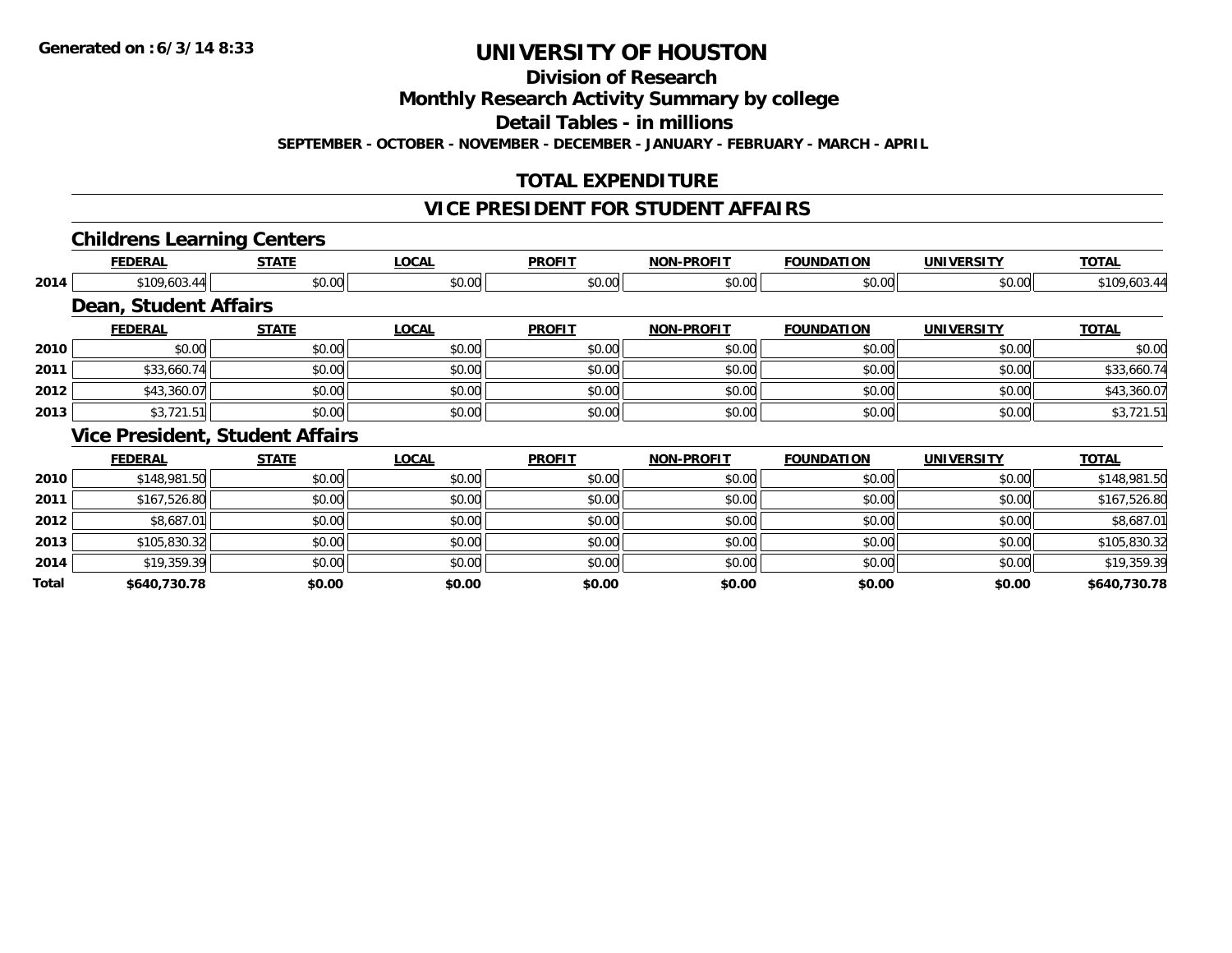**Division of Research**

**Monthly Research Activity Summary by college**

**Detail Tables - in millions**

**SEPTEMBER - OCTOBER - NOVEMBER - DECEMBER - JANUARY - FEBRUARY - MARCH - APRIL**

### **TOTAL EXPENDITURE**

### **VICE PRESIDENT FOR STUDENT AFFAIRS**

#### **Childrens Learning Centers**

|       | <b>FEDERAL</b>                         | <b>STATE</b> | <b>LOCAL</b> | <b>PROFIT</b> | <b>NON-PROFIT</b> | <b>FOUNDATION</b> | <b>UNIVERSITY</b> | <b>TOTAL</b> |
|-------|----------------------------------------|--------------|--------------|---------------|-------------------|-------------------|-------------------|--------------|
| 2014  | \$109,603.44                           | \$0.00       | \$0.00       | \$0.00        | \$0.00            | \$0.00            | \$0.00            | \$109,603.44 |
|       | <b>Dean, Student Affairs</b>           |              |              |               |                   |                   |                   |              |
|       | <b>FEDERAL</b>                         | <b>STATE</b> | <b>LOCAL</b> | <b>PROFIT</b> | <b>NON-PROFIT</b> | <b>FOUNDATION</b> | <b>UNIVERSITY</b> | <b>TOTAL</b> |
| 2010  | \$0.00                                 | \$0.00       | \$0.00       | \$0.00        | \$0.00            | \$0.00            | \$0.00            | \$0.00       |
| 2011  | \$33,660.74                            | \$0.00       | \$0.00       | \$0.00        | \$0.00            | \$0.00            | \$0.00            | \$33,660.74  |
| 2012  | \$43,360.07                            | \$0.00       | \$0.00       | \$0.00        | \$0.00            | \$0.00            | \$0.00            | \$43,360.07  |
| 2013  | \$3,721.51                             | \$0.00       | \$0.00       | \$0.00        | \$0.00            | \$0.00            | \$0.00            | \$3,721.51   |
|       | <b>Vice President, Student Affairs</b> |              |              |               |                   |                   |                   |              |
|       | <b>FEDERAL</b>                         | <b>STATE</b> | <b>LOCAL</b> | <b>PROFIT</b> | <b>NON-PROFIT</b> | <b>FOUNDATION</b> | <b>UNIVERSITY</b> | <b>TOTAL</b> |
| 2010  | \$148,981.50                           | \$0.00       | \$0.00       | \$0.00        | \$0.00            | \$0.00            | \$0.00            | \$148,981.50 |
| 2011  | \$167,526.80                           | \$0.00       | \$0.00       | \$0.00        | \$0.00            | \$0.00            | \$0.00            | \$167,526.80 |
| 2012  | \$8,687.01                             | \$0.00       | \$0.00       | \$0.00        | \$0.00            | \$0.00            | \$0.00            | \$8,687.01   |
| 2013  | \$105,830.32                           | \$0.00       | \$0.00       | \$0.00        | \$0.00            | \$0.00            | \$0.00            | \$105,830.32 |
| 2014  | \$19,359.39                            | \$0.00       | \$0.00       | \$0.00        | \$0.00            | \$0.00            | \$0.00            | \$19,359.39  |
| Total | \$640,730.78                           | \$0.00       | \$0.00       | \$0.00        | \$0.00            | \$0.00            | \$0.00            | \$640,730.78 |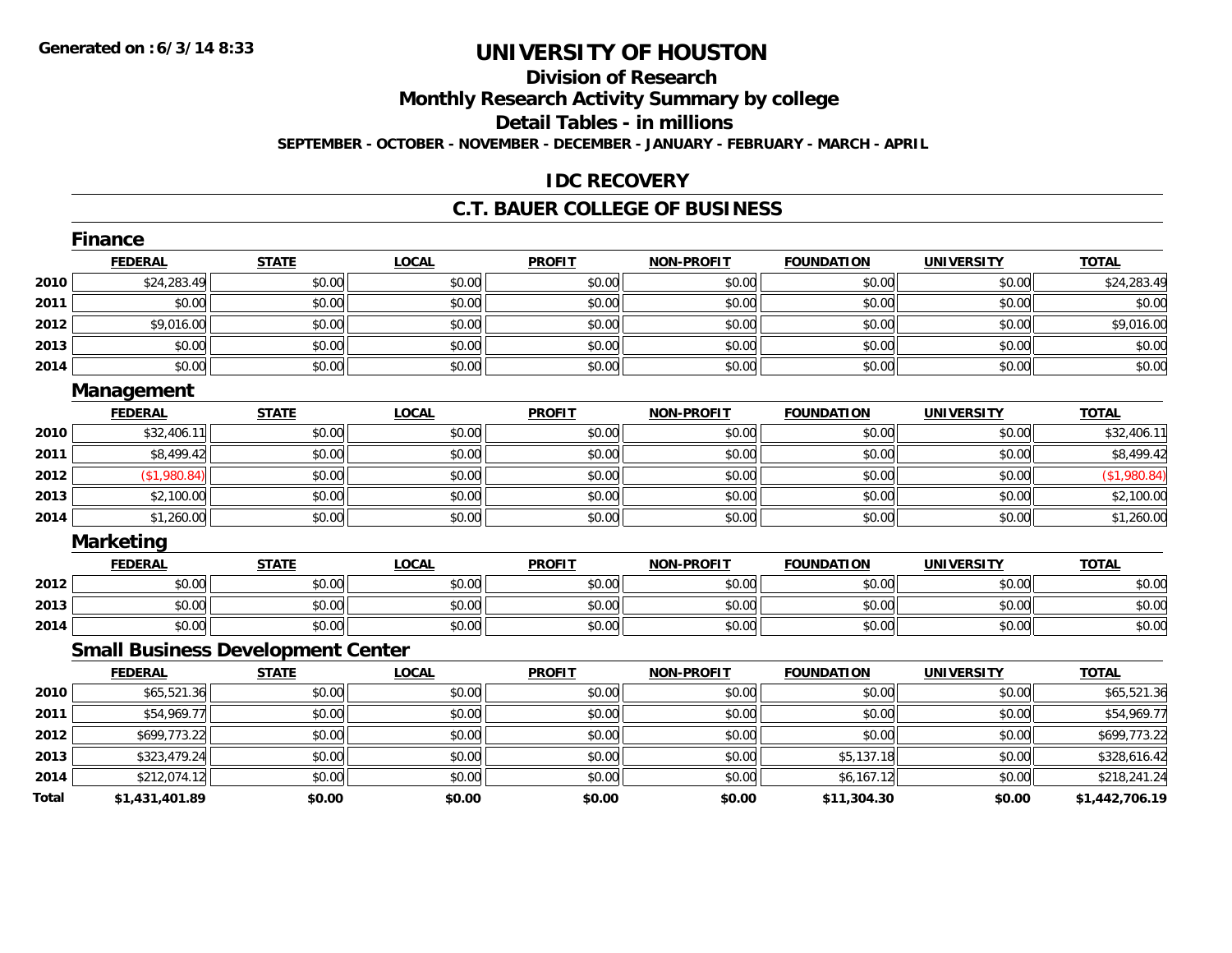## **Division of Research**

**Monthly Research Activity Summary by college**

**Detail Tables - in millions**

**SEPTEMBER - OCTOBER - NOVEMBER - DECEMBER - JANUARY - FEBRUARY - MARCH - APRIL**

#### **IDC RECOVERY**

#### **C.T. BAUER COLLEGE OF BUSINESS**

|       | <b>Finance</b>                           |              |              |               |                   |                   |                   |                |
|-------|------------------------------------------|--------------|--------------|---------------|-------------------|-------------------|-------------------|----------------|
|       | <b>FEDERAL</b>                           | <b>STATE</b> | <b>LOCAL</b> | <b>PROFIT</b> | <b>NON-PROFIT</b> | <b>FOUNDATION</b> | <b>UNIVERSITY</b> | <b>TOTAL</b>   |
| 2010  | \$24,283.49                              | \$0.00       | \$0.00       | \$0.00        | \$0.00            | \$0.00            | \$0.00            | \$24,283.49    |
| 2011  | \$0.00                                   | \$0.00       | \$0.00       | \$0.00        | \$0.00            | \$0.00            | \$0.00            | \$0.00         |
| 2012  | \$9,016.00                               | \$0.00       | \$0.00       | \$0.00        | \$0.00            | \$0.00            | \$0.00            | \$9,016.00     |
| 2013  | \$0.00                                   | \$0.00       | \$0.00       | \$0.00        | \$0.00            | \$0.00            | \$0.00            | \$0.00         |
| 2014  | \$0.00                                   | \$0.00       | \$0.00       | \$0.00        | \$0.00            | \$0.00            | \$0.00            | \$0.00         |
|       | Management                               |              |              |               |                   |                   |                   |                |
|       | <b>FEDERAL</b>                           | <b>STATE</b> | <b>LOCAL</b> | <b>PROFIT</b> | <b>NON-PROFIT</b> | <b>FOUNDATION</b> | <b>UNIVERSITY</b> | <b>TOTAL</b>   |
| 2010  | \$32,406.11                              | \$0.00       | \$0.00       | \$0.00        | \$0.00            | \$0.00            | \$0.00            | \$32,406.11    |
| 2011  | \$8,499.42                               | \$0.00       | \$0.00       | \$0.00        | \$0.00            | \$0.00            | \$0.00            | \$8,499.42     |
| 2012  | (\$1,980.84)                             | \$0.00       | \$0.00       | \$0.00        | \$0.00            | \$0.00            | \$0.00            | (\$1,980.84)   |
| 2013  | \$2,100.00                               | \$0.00       | \$0.00       | \$0.00        | \$0.00            | \$0.00            | \$0.00            | \$2,100.00     |
| 2014  | \$1,260.00                               | \$0.00       | \$0.00       | \$0.00        | \$0.00            | \$0.00            | \$0.00            | \$1,260.00     |
|       | <b>Marketing</b>                         |              |              |               |                   |                   |                   |                |
|       | <b>FEDERAL</b>                           | <b>STATE</b> | <b>LOCAL</b> | <b>PROFIT</b> | <b>NON-PROFIT</b> | <b>FOUNDATION</b> | <b>UNIVERSITY</b> | <b>TOTAL</b>   |
| 2012  | \$0.00                                   | \$0.00       | \$0.00       | \$0.00        | \$0.00            | \$0.00            | \$0.00            | \$0.00         |
| 2013  | \$0.00                                   | \$0.00       | \$0.00       | \$0.00        | \$0.00            | \$0.00            | \$0.00            | \$0.00         |
| 2014  | \$0.00                                   | \$0.00       | \$0.00       | \$0.00        | \$0.00            | \$0.00            | \$0.00            | \$0.00         |
|       | <b>Small Business Development Center</b> |              |              |               |                   |                   |                   |                |
|       | <b>FEDERAL</b>                           | <b>STATE</b> | <b>LOCAL</b> | <b>PROFIT</b> | <b>NON-PROFIT</b> | <b>FOUNDATION</b> | <b>UNIVERSITY</b> | <b>TOTAL</b>   |
| 2010  | \$65,521.36                              | \$0.00       | \$0.00       | \$0.00        | \$0.00            | \$0.00            | \$0.00            | \$65,521.36    |
| 2011  | \$54,969.77                              | \$0.00       | \$0.00       | \$0.00        | \$0.00            | \$0.00            | \$0.00            | \$54,969.77    |
| 2012  | \$699,773.22                             | \$0.00       | \$0.00       | \$0.00        | \$0.00            | \$0.00            | \$0.00            | \$699,773.22   |
| 2013  | \$323,479.24                             | \$0.00       | \$0.00       | \$0.00        | \$0.00            | \$5,137.18        | \$0.00            | \$328,616.42   |
| 2014  | \$212,074.12                             | \$0.00       | \$0.00       | \$0.00        | \$0.00            | \$6,167.12        | \$0.00            | \$218,241.24   |
| Total | \$1,431,401.89                           | \$0.00       | \$0.00       | \$0.00        | \$0.00            | \$11,304.30       | \$0.00            | \$1,442,706.19 |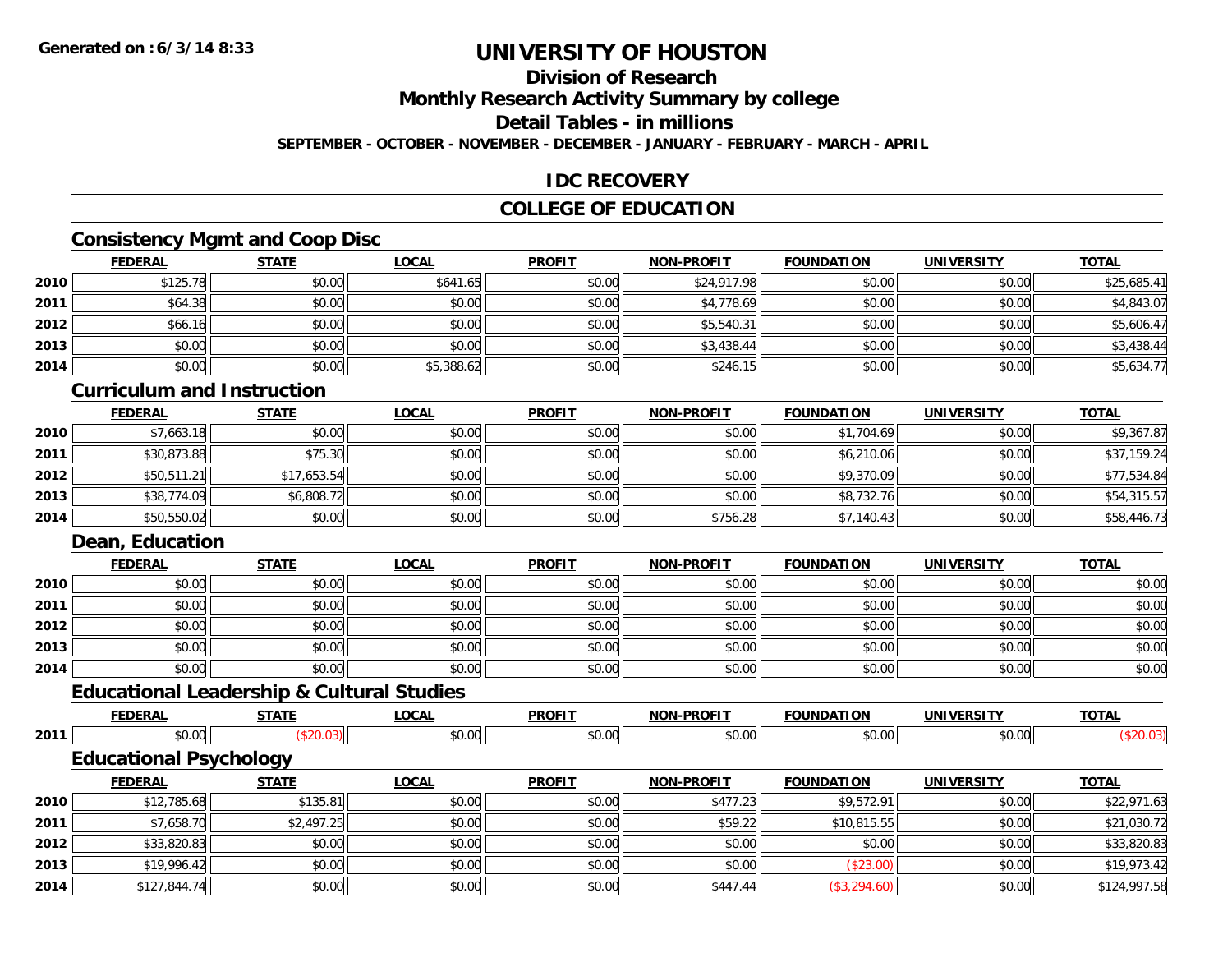### **Division of Research**

**Monthly Research Activity Summary by college**

**Detail Tables - in millions**

**SEPTEMBER - OCTOBER - NOVEMBER - DECEMBER - JANUARY - FEBRUARY - MARCH - APRIL**

#### **IDC RECOVERY**

### **COLLEGE OF EDUCATION**

### **Consistency Mgmt and Coop Disc**

|      | <b>FEDERAL</b> | <b>STATE</b> | <b>LOCAL</b> | <b>PROFIT</b> | <b>NON-PROFIT</b> | <b>FOUNDATION</b> | <b>UNIVERSITY</b> | <b>TOTAL</b> |
|------|----------------|--------------|--------------|---------------|-------------------|-------------------|-------------------|--------------|
| 2010 | \$125.78       | \$0.00       | \$641.65     | \$0.00        | \$24,917.98       | \$0.00            | \$0.00            | \$25,685.41  |
| 2011 | \$64.38        | \$0.00       | \$0.00       | \$0.00        | \$4,778.69        | \$0.00            | \$0.00            | \$4,843.07   |
| 2012 | \$66.16        | \$0.00       | \$0.00       | \$0.00        | \$5,540.31        | \$0.00            | \$0.00            | \$5,606.47   |
| 2013 | \$0.00         | \$0.00       | \$0.00       | \$0.00        | \$3,438.44        | \$0.00            | \$0.00            | \$3,438.44   |
| 2014 | \$0.00         | \$0.00       | \$5,388.62   | \$0.00        | \$246.15          | \$0.00            | \$0.00            | \$5,634.77   |

#### **Curriculum and Instruction**

|      | <b>FEDERAL</b> | <b>STATE</b> | <b>LOCAL</b> | <b>PROFIT</b> | <b>NON-PROFIT</b> | <b>FOUNDATION</b> | <b>UNIVERSITY</b> | <b>TOTAL</b> |
|------|----------------|--------------|--------------|---------------|-------------------|-------------------|-------------------|--------------|
| 2010 | \$7,663.18     | \$0.00       | \$0.00       | \$0.00        | \$0.00            | \$1,704.69        | \$0.00            | \$9,367.87   |
| 2011 | \$30,873.88    | \$75.30      | \$0.00       | \$0.00        | \$0.00            | \$6,210.06        | \$0.00            | \$37,159.24  |
| 2012 | \$50,511.21    | \$17,653.54  | \$0.00       | \$0.00        | \$0.00            | \$9,370.09        | \$0.00            | \$77,534.84  |
| 2013 | \$38,774.09    | \$6,808.72   | \$0.00       | \$0.00        | \$0.00            | \$8,732.76        | \$0.00            | \$54,315.57  |
| 2014 | \$50,550.02    | \$0.00       | \$0.00       | \$0.00        | \$756.28          | \$7,140.43        | \$0.00            | \$58,446.73  |

#### **Dean, Education**

|      | <b>FEDERAL</b> | <b>STATE</b> | <b>LOCAL</b> | <b>PROFIT</b> | <b>NON-PROFIT</b> | <b>FOUNDATION</b> | <b>UNIVERSITY</b> | <b>TOTAL</b> |
|------|----------------|--------------|--------------|---------------|-------------------|-------------------|-------------------|--------------|
| 2010 | \$0.00         | \$0.00       | \$0.00       | \$0.00        | \$0.00            | \$0.00            | \$0.00            | \$0.00       |
| 2011 | \$0.00         | \$0.00       | \$0.00       | \$0.00        | \$0.00            | \$0.00            | \$0.00            | \$0.00       |
| 2012 | \$0.00         | \$0.00       | \$0.00       | \$0.00        | \$0.00            | \$0.00            | \$0.00            | \$0.00       |
| 2013 | \$0.00         | \$0.00       | \$0.00       | \$0.00        | \$0.00            | \$0.00            | \$0.00            | \$0.00       |
| 2014 | \$0.00         | \$0.00       | \$0.00       | \$0.00        | \$0.00            | \$0.00            | \$0.00            | \$0.00       |

## **Educational Leadership & Cultural Studies**

|      | <b>FEDERAL</b>                | <b>STATE</b> | <b>LOCAL</b> | <b>PROFIT</b> | <b>NON-PROFIT</b> | <b>FOUNDATION</b> | UNIVERSITY | <b>TOTAL</b> |
|------|-------------------------------|--------------|--------------|---------------|-------------------|-------------------|------------|--------------|
| 2011 | \$0.00                        | \$20.03      | \$0.00       | \$0.00        | \$0.00            | \$0.00            | \$0.00     | (\$20.03)    |
|      | <b>Educational Psychology</b> |              |              |               |                   |                   |            |              |
|      | <b>FEDERAL</b>                | <b>STATE</b> | <b>LOCAL</b> | <b>PROFIT</b> | <b>NON-PROFIT</b> | <b>FOUNDATION</b> | UNIVERSITY | <b>TOTAL</b> |
| 2010 | \$12,785.68                   | \$135.81     | \$0.00       | \$0.00        | \$477.23          | \$9,572.91        | \$0.00     | \$22,971.63  |
| 2011 | \$7,658.70                    | \$2,497.25   | \$0.00       | \$0.00        | \$59.22           | \$10,815.55       | \$0.00     | \$21,030.72  |

| 2011 | \$7,658.70   | \$2,497.25 | \$0.00 | \$0.00 | \$59.22  | \$10,815.55  | \$0.00 | \$21,030.72  |
|------|--------------|------------|--------|--------|----------|--------------|--------|--------------|
| 2012 | \$33,820.83  | \$0.00     | \$0.00 | \$0.00 | \$0.00   | \$0.00       | \$0.00 | \$33,820.83  |
| 2013 | \$19,996.42  | \$0.00     | \$0.00 | \$0.00 | \$0.00   | 92J.UU       | \$0.00 | \$19,973.42  |
| 2014 | \$127,844.74 | \$0.00     | \$0.00 | \$0.00 | \$447.44 | (\$3,294.60) | \$0.00 | \$124,997.58 |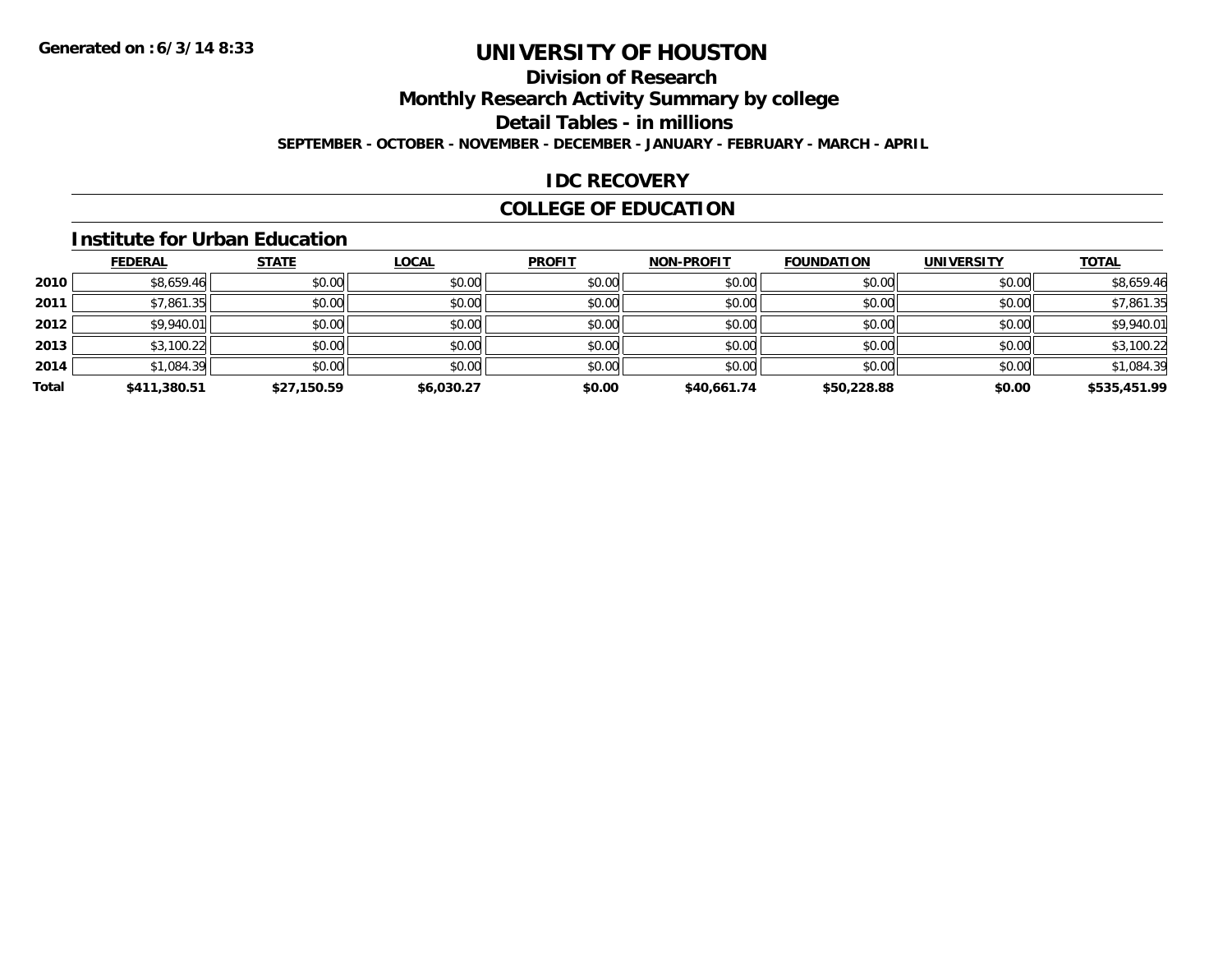### **Division of Research**

**Monthly Research Activity Summary by college**

**Detail Tables - in millions**

**SEPTEMBER - OCTOBER - NOVEMBER - DECEMBER - JANUARY - FEBRUARY - MARCH - APRIL**

#### **IDC RECOVERY**

### **COLLEGE OF EDUCATION**

#### **Institute for Urban Education**

|       | <b>FEDERAL</b> | <b>STATE</b> | <b>LOCAL</b> | <b>PROFIT</b> | <b>NON-PROFIT</b> | <b>FOUNDATION</b> | <b>UNIVERSITY</b> | <b>TOTAL</b> |
|-------|----------------|--------------|--------------|---------------|-------------------|-------------------|-------------------|--------------|
| 2010  | \$8,659.46     | \$0.00       | \$0.00       | \$0.00        | \$0.00            | \$0.00            | \$0.00            | \$8,659.46   |
| 2011  | \$7,861.35     | \$0.00       | \$0.00       | \$0.00        | \$0.00            | \$0.00            | \$0.00            | \$7,861.35   |
| 2012  | \$9,940.01     | \$0.00       | \$0.00       | \$0.00        | \$0.00            | \$0.00            | \$0.00            | \$9,940.01   |
| 2013  | \$3,100.22     | \$0.00       | \$0.00       | \$0.00        | \$0.00            | \$0.00            | \$0.00            | \$3,100.22   |
| 2014  | \$1,084.39     | \$0.00       | \$0.00       | \$0.00        | \$0.00            | \$0.00            | \$0.00            | \$1,084.39   |
| Total | \$411,380.51   | \$27,150.59  | \$6,030.27   | \$0.00        | \$40,661.74       | \$50,228.88       | \$0.00            | \$535,451.99 |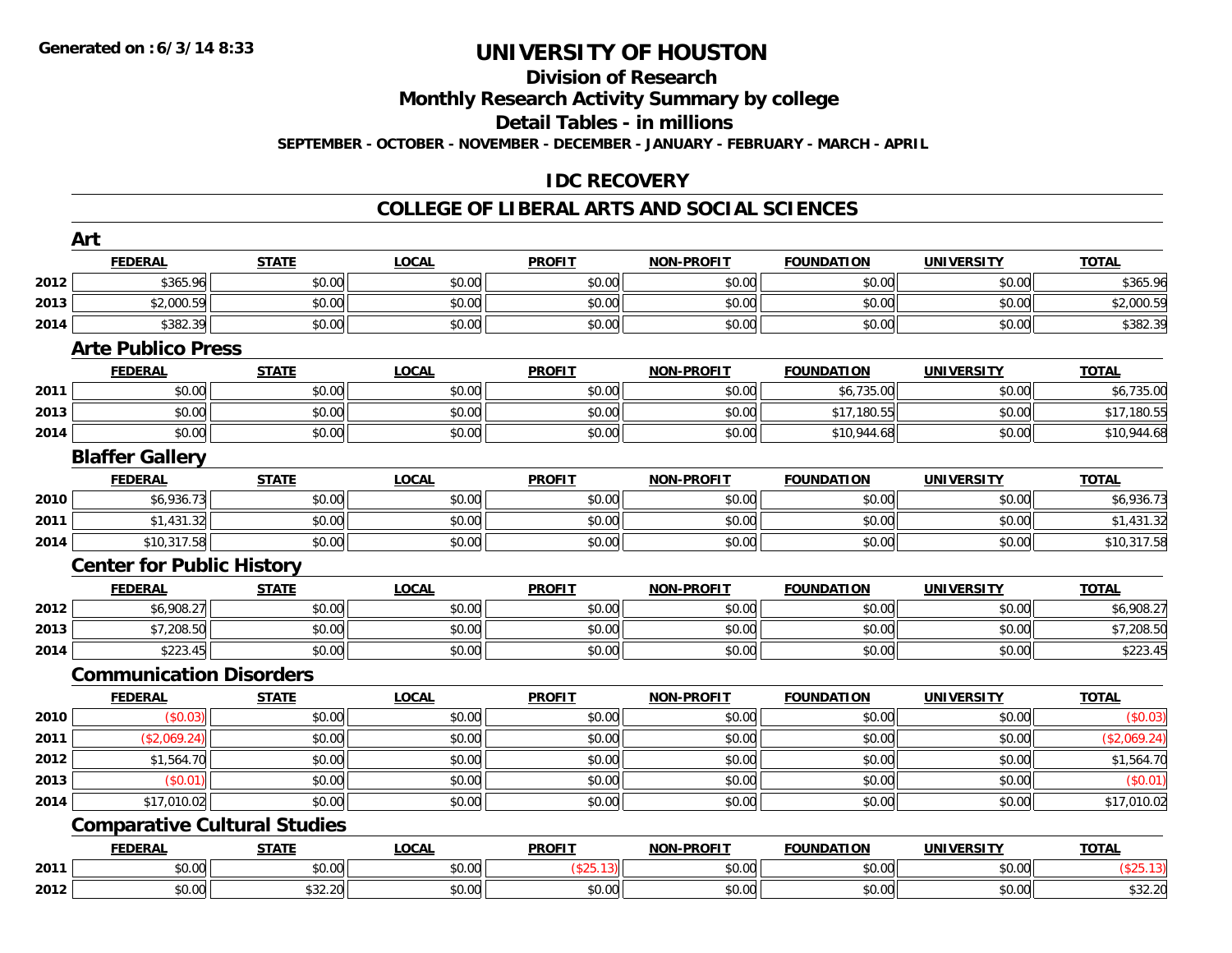#### **Division of Research**

**Monthly Research Activity Summary by college**

**Detail Tables - in millions**

**SEPTEMBER - OCTOBER - NOVEMBER - DECEMBER - JANUARY - FEBRUARY - MARCH - APRIL**

### **IDC RECOVERY**

#### **COLLEGE OF LIBERAL ARTS AND SOCIAL SCIENCES**

|      | Art                              |                                     |              |               |                   |                   |                   |              |
|------|----------------------------------|-------------------------------------|--------------|---------------|-------------------|-------------------|-------------------|--------------|
|      | <b>FEDERAL</b>                   | <b>STATE</b>                        | <b>LOCAL</b> | <b>PROFIT</b> | <b>NON-PROFIT</b> | <b>FOUNDATION</b> | <b>UNIVERSITY</b> | <b>TOTAL</b> |
| 2012 | \$365.96                         | \$0.00                              | \$0.00       | \$0.00        | \$0.00            | \$0.00            | \$0.00            | \$365.96     |
| 2013 | \$2,000.59                       | \$0.00                              | \$0.00       | \$0.00        | \$0.00            | \$0.00            | \$0.00            | \$2,000.59   |
| 2014 | \$382.39                         | \$0.00                              | \$0.00       | \$0.00        | \$0.00            | \$0.00            | \$0.00            | \$382.39     |
|      | <b>Arte Publico Press</b>        |                                     |              |               |                   |                   |                   |              |
|      | <b>FEDERAL</b>                   | <b>STATE</b>                        | <b>LOCAL</b> | <b>PROFIT</b> | <b>NON-PROFIT</b> | <b>FOUNDATION</b> | <b>UNIVERSITY</b> | <b>TOTAL</b> |
| 2011 | \$0.00                           | \$0.00                              | \$0.00       | \$0.00        | \$0.00            | \$6,735.00        | \$0.00            | \$6,735.00   |
| 2013 | \$0.00                           | \$0.00                              | \$0.00       | \$0.00        | \$0.00            | \$17,180.55       | \$0.00            | \$17,180.55  |
| 2014 | \$0.00                           | \$0.00                              | \$0.00       | \$0.00        | \$0.00            | \$10,944.68       | \$0.00            | \$10,944.68  |
|      | <b>Blaffer Gallery</b>           |                                     |              |               |                   |                   |                   |              |
|      | <b>FEDERAL</b>                   | <b>STATE</b>                        | <b>LOCAL</b> | <b>PROFIT</b> | <b>NON-PROFIT</b> | <b>FOUNDATION</b> | <b>UNIVERSITY</b> | <b>TOTAL</b> |
| 2010 | \$6,936.73                       | \$0.00                              | \$0.00       | \$0.00        | \$0.00            | \$0.00            | \$0.00            | \$6,936.73   |
| 2011 | \$1,431.32                       | \$0.00                              | \$0.00       | \$0.00        | \$0.00            | \$0.00            | \$0.00            | \$1,431.32   |
| 2014 | \$10,317.58                      | \$0.00                              | \$0.00       | \$0.00        | \$0.00            | \$0.00            | \$0.00            | \$10,317.58  |
|      | <b>Center for Public History</b> |                                     |              |               |                   |                   |                   |              |
|      | <b>FEDERAL</b>                   | <b>STATE</b>                        | <b>LOCAL</b> | <b>PROFIT</b> | <b>NON-PROFIT</b> | <b>FOUNDATION</b> | <b>UNIVERSITY</b> | <b>TOTAL</b> |
| 2012 | \$6,908.27                       | \$0.00                              | \$0.00       | \$0.00        | \$0.00            | \$0.00            | \$0.00            | \$6,908.27   |
| 2013 | \$7,208.50                       | \$0.00                              | \$0.00       | \$0.00        | \$0.00            | \$0.00            | \$0.00            | \$7,208.50   |
| 2014 | \$223.45                         | \$0.00                              | \$0.00       | \$0.00        | \$0.00            | \$0.00            | \$0.00            | \$223.45     |
|      | <b>Communication Disorders</b>   |                                     |              |               |                   |                   |                   |              |
|      | <b>FEDERAL</b>                   | <b>STATE</b>                        | <b>LOCAL</b> | <b>PROFIT</b> | <b>NON-PROFIT</b> | <b>FOUNDATION</b> | <b>UNIVERSITY</b> | <b>TOTAL</b> |
| 2010 | (\$0.03)                         | \$0.00                              | \$0.00       | \$0.00        | \$0.00            | \$0.00            | \$0.00            | (\$0.03)     |
| 2011 | (\$2,069.24)                     | \$0.00                              | \$0.00       | \$0.00        | \$0.00            | \$0.00            | \$0.00            | (\$2,069.24) |
| 2012 | \$1,564.70                       | \$0.00                              | \$0.00       | \$0.00        | \$0.00            | \$0.00            | \$0.00            | \$1,564.70   |
| 2013 | (\$0.01)                         | \$0.00                              | \$0.00       | \$0.00        | \$0.00            | \$0.00            | \$0.00            | (\$0.01)     |
| 2014 | \$17,010.02                      | \$0.00                              | \$0.00       | \$0.00        | \$0.00            | \$0.00            | \$0.00            | \$17,010.02  |
|      |                                  | <b>Comparative Cultural Studies</b> |              |               |                   |                   |                   |              |
|      | <b>FEDERAL</b>                   | <b>STATE</b>                        | <b>LOCAL</b> | <b>PROFIT</b> | <b>NON-PROFIT</b> | <b>FOUNDATION</b> | <b>UNIVERSITY</b> | <b>TOTAL</b> |
| 2011 | \$0.00                           | \$0.00                              | \$0.00       | (\$25.13)     | \$0.00            | \$0.00            | \$0.00            | (\$25.13)    |
| 2012 | \$0.00                           | \$32.20                             | \$0.00       | \$0.00        | \$0.00            | \$0.00            | \$0.00            | \$32.20      |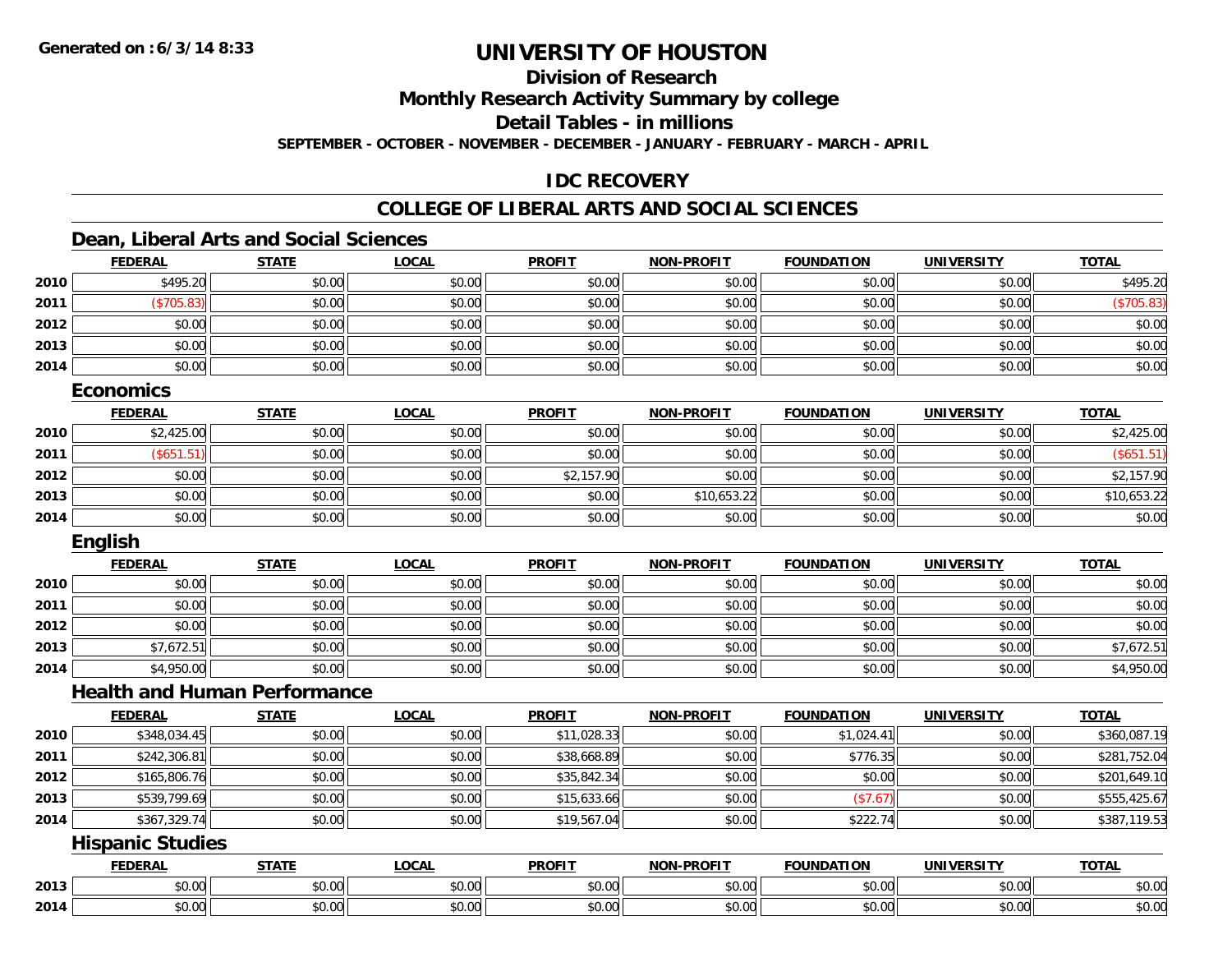**Division of Research**

**Monthly Research Activity Summary by college**

**Detail Tables - in millions**

**SEPTEMBER - OCTOBER - NOVEMBER - DECEMBER - JANUARY - FEBRUARY - MARCH - APRIL**

### **IDC RECOVERY**

### **COLLEGE OF LIBERAL ARTS AND SOCIAL SCIENCES**

#### **Dean, Liberal Arts and Social Sciences**

|      | <b>FEDERAL</b> | <b>STATE</b> | <u>LOCAL</u> | <b>PROFIT</b> | <b>NON-PROFIT</b> | <b>FOUNDATION</b> | <b>UNIVERSITY</b> | <b>TOTAL</b> |
|------|----------------|--------------|--------------|---------------|-------------------|-------------------|-------------------|--------------|
| 2010 | \$495.20       | \$0.00       | \$0.00       | \$0.00        | \$0.00            | \$0.00            | \$0.00            | \$495.20     |
| 2011 | \$705.83       | \$0.00       | \$0.00       | \$0.00        | \$0.00            | \$0.00            | \$0.00            | (\$705.83)   |
| 2012 | \$0.00         | \$0.00       | \$0.00       | \$0.00        | \$0.00            | \$0.00            | \$0.00            | \$0.00       |
| 2013 | \$0.00         | \$0.00       | \$0.00       | \$0.00        | \$0.00            | \$0.00            | \$0.00            | \$0.00       |
| 2014 | \$0.00         | \$0.00       | \$0.00       | \$0.00        | \$0.00            | \$0.00            | \$0.00            | \$0.00       |
|      | F. <b>.</b>    |              |              |               |                   |                   |                   |              |

#### **Economics**

|      | <b>FEDERAL</b>       | <b>STATE</b> | <u>LOCAL</u> | <b>PROFIT</b> | NON-PROFIT  | <b>FOUNDATION</b> | <b>UNIVERSITY</b> | <b>TOTAL</b> |
|------|----------------------|--------------|--------------|---------------|-------------|-------------------|-------------------|--------------|
| 2010 | \$2,425.00           | \$0.00       | \$0.00       | \$0.00        | \$0.00      | \$0.00            | \$0.00            | \$2,425.00   |
| 2011 | $\frac{1}{2}$ \$651. | \$0.00       | \$0.00       | \$0.00        | \$0.00      | \$0.00            | \$0.00            | (\$651.51)   |
| 2012 | \$0.00               | \$0.00       | \$0.00       | \$2,157.90    | \$0.00      | \$0.00            | \$0.00            | \$2,157.90   |
| 2013 | \$0.00               | \$0.00       | \$0.00       | \$0.00        | \$10,653.22 | \$0.00            | \$0.00            | \$10,653.22  |
| 2014 | \$0.00               | \$0.00       | \$0.00       | \$0.00        | \$0.00      | \$0.00            | \$0.00            | \$0.00       |

### **English**

|      | <b>FEDERAL</b> | <b>STATE</b> | <b>LOCAL</b> | <b>PROFIT</b> | <b>NON-PROFIT</b> | <b>FOUNDATION</b> | <b>UNIVERSITY</b> | <b>TOTAL</b> |
|------|----------------|--------------|--------------|---------------|-------------------|-------------------|-------------------|--------------|
| 2010 | \$0.00         | \$0.00       | \$0.00       | \$0.00        | \$0.00            | \$0.00            | \$0.00            | \$0.00       |
| 2011 | \$0.00         | \$0.00       | \$0.00       | \$0.00        | \$0.00            | \$0.00            | \$0.00            | \$0.00       |
| 2012 | \$0.00         | \$0.00       | \$0.00       | \$0.00        | \$0.00            | \$0.00            | \$0.00            | \$0.00       |
| 2013 | \$7,672.51     | \$0.00       | \$0.00       | \$0.00        | \$0.00            | \$0.00            | \$0.00            | \$7,672.51   |
| 2014 | \$4,950.00     | \$0.00       | \$0.00       | \$0.00        | \$0.00            | \$0.00            | \$0.00            | \$4,950.00   |

#### **Health and Human Performance**

|      | <b>FEDERAL</b> | <b>STATE</b> | <b>LOCAL</b> | <b>PROFIT</b> | <b>NON-PROFIT</b> | <b>FOUNDATION</b> | UNIVERSITY | <b>TOTAL</b> |
|------|----------------|--------------|--------------|---------------|-------------------|-------------------|------------|--------------|
| 2010 | \$348,034.45   | \$0.00       | \$0.00       | \$11,028.33   | \$0.00            | \$1,024.41        | \$0.00     | \$360,087.19 |
| 2011 | \$242,306.81   | \$0.00       | \$0.00       | \$38,668.89   | \$0.00            | \$776.35          | \$0.00     | \$281,752.04 |
| 2012 | \$165,806.76   | \$0.00       | \$0.00       | \$35,842.34   | \$0.00            | \$0.00            | \$0.00     | \$201,649.10 |
| 2013 | \$539,799.69   | \$0.00       | \$0.00       | \$15,633.66   | \$0.00            | (\$7.67)          | \$0.00     | \$555,425.67 |
| 2014 | \$367,329.74   | \$0.00       | \$0.00       | \$19,567.04   | \$0.00            | \$222.74          | \$0.00     | \$387,119.53 |

#### **Hispanic Studies**

|      | <b>FFDFDAI</b><br>LINA | ------                 | $\sim$ $\sim$ $\sim$<br>.uum | <b>PROFIT</b>                            | <b>DDAEIT</b><br><b>NION</b> | <b>FION</b><br>ארוחו | . JIV :                | <b>TOTAL</b>                                                                                                                                                                                                                                                                                                                                                                                                                                                         |
|------|------------------------|------------------------|------------------------------|------------------------------------------|------------------------------|----------------------|------------------------|----------------------------------------------------------------------------------------------------------------------------------------------------------------------------------------------------------------------------------------------------------------------------------------------------------------------------------------------------------------------------------------------------------------------------------------------------------------------|
| 2013 | $\sim$                 | $\sim$ 00<br>,,,       | 0000<br>vv.vv                | $\uparrow$ $\wedge$ $\uparrow$<br>,,,,,, | 0.00<br>ט.טע                 | $\sim$ $\sim$        | $n \cap \neg$<br>,u.uu | $\mathsf{A}\cap\mathsf{A}\cap\mathsf{A}\cap\mathsf{A}\cap\mathsf{A}\cap\mathsf{A}\cap\mathsf{A}\cap\mathsf{A}\cap\mathsf{A}\cap\mathsf{A}\cap\mathsf{A}\cap\mathsf{A}\cap\mathsf{A}\cap\mathsf{A}\cap\mathsf{A}\cap\mathsf{A}\cap\mathsf{A}\cap\mathsf{A}\cap\mathsf{A}\cap\mathsf{A}\cap\mathsf{A}\cap\mathsf{A}\cap\mathsf{A}\cap\mathsf{A}\cap\mathsf{A}\cap\mathsf{A}\cap\mathsf{A}\cap\mathsf{A}\cap\mathsf{A}\cap\mathsf{A}\cap\mathsf{A}\cap\mathsf$<br>PO.OO |
| 2014 | $\sim$<br>ט.ט          | $\sim$ $\sim$<br>JU.UL | $\cdots$<br>JU.UU            | $\sim$ 00<br>JU.UU                       | 0000<br>JU.UU                | JU.UU                | \$0.00                 | $\mathsf{A} \cap \mathsf{A} \cap \mathsf{A}$<br><b>JU.UU</b>                                                                                                                                                                                                                                                                                                                                                                                                         |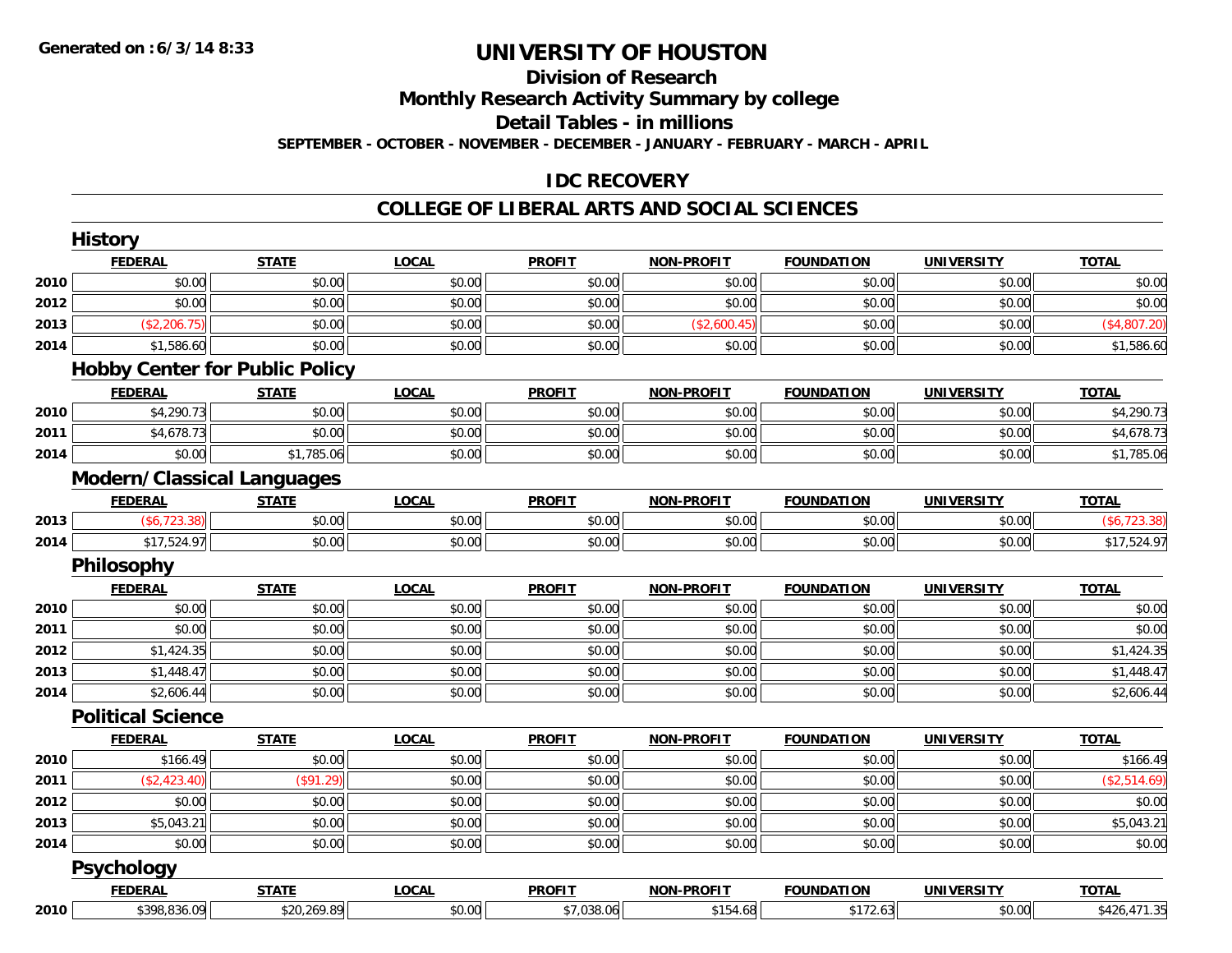#### **Division of Research**

**Monthly Research Activity Summary by college**

**Detail Tables - in millions**

**SEPTEMBER - OCTOBER - NOVEMBER - DECEMBER - JANUARY - FEBRUARY - MARCH - APRIL**

### **IDC RECOVERY**

#### **COLLEGE OF LIBERAL ARTS AND SOCIAL SCIENCES**

|      | <b>FEDERAL</b>                      | <b>STATE</b>                          | <b>LOCAL</b> | <b>PROFIT</b> | <b>NON-PROFIT</b> | <b>FOUNDATION</b> | <b>UNIVERSITY</b> | <b>TOTAL</b> |
|------|-------------------------------------|---------------------------------------|--------------|---------------|-------------------|-------------------|-------------------|--------------|
| 2010 | \$0.00                              | \$0.00                                | \$0.00       | \$0.00        | \$0.00            | \$0.00            | \$0.00            | \$0.00       |
| 2012 | \$0.00                              | \$0.00                                | \$0.00       | \$0.00        | \$0.00            | \$0.00            | \$0.00            | \$0.00       |
| 2013 | (\$2,206.75)                        | \$0.00                                | \$0.00       | \$0.00        | (\$2,600.45)      | \$0.00            | \$0.00            | (\$4,807.20) |
| 2014 | \$1,586.60                          | \$0.00                                | \$0.00       | \$0.00        | \$0.00            | \$0.00            | \$0.00            | \$1,586.60   |
|      |                                     | <b>Hobby Center for Public Policy</b> |              |               |                   |                   |                   |              |
|      | <b>FEDERAL</b>                      | <b>STATE</b>                          | <b>LOCAL</b> | <b>PROFIT</b> | <b>NON-PROFIT</b> | <b>FOUNDATION</b> | <b>UNIVERSITY</b> | <b>TOTAL</b> |
| 2010 | \$4,290.73                          | \$0.00                                | \$0.00       | \$0.00        | \$0.00            | \$0.00            | \$0.00            | \$4,290.73   |
| 2011 | \$4,678.73                          | \$0.00                                | \$0.00       | \$0.00        | \$0.00            | \$0.00            | \$0.00            | \$4,678.73   |
| 2014 | \$0.00                              | \$1,785.06                            | \$0.00       | \$0.00        | \$0.00            | \$0.00            | \$0.00            | \$1,785.06   |
|      | <b>Modern/Classical Languages</b>   |                                       |              |               |                   |                   |                   |              |
|      | <b>FEDERAL</b>                      | <b>STATE</b>                          | <b>LOCAL</b> | <b>PROFIT</b> | <b>NON-PROFIT</b> | <b>FOUNDATION</b> | <b>UNIVERSITY</b> | <b>TOTAL</b> |
| 2013 | (\$6,723.38)                        | \$0.00                                | \$0.00       | \$0.00        | \$0.00            | \$0.00            | \$0.00            | (\$6,723.38) |
| 2014 | \$17,524.97                         | \$0.00                                | \$0.00       | \$0.00        | \$0.00            | \$0.00            | \$0.00            | \$17,524.97  |
|      | Philosophy                          |                                       |              |               |                   |                   |                   |              |
|      | <b>FEDERAL</b>                      | <b>STATE</b>                          | <b>LOCAL</b> | <b>PROFIT</b> | <b>NON-PROFIT</b> | <b>FOUNDATION</b> | <b>UNIVERSITY</b> | <b>TOTAL</b> |
| 2010 | \$0.00                              | \$0.00                                | \$0.00       | \$0.00        | \$0.00            | \$0.00            | \$0.00            | \$0.00       |
| 2011 | \$0.00                              | \$0.00                                | \$0.00       | \$0.00        | \$0.00            | \$0.00            | \$0.00            | \$0.00       |
| 2012 | \$1,424.35                          | \$0.00                                | \$0.00       | \$0.00        | \$0.00            | \$0.00            | \$0.00            | \$1,424.35   |
| 2013 | \$1,448.47                          | \$0.00                                | \$0.00       | \$0.00        | \$0.00            | \$0.00            | \$0.00            | \$1,448.47   |
| 2014 | \$2,606.44                          | \$0.00                                | \$0.00       | \$0.00        | \$0.00            | \$0.00            | \$0.00            | \$2,606.44   |
|      | <b>Political Science</b>            |                                       |              |               |                   |                   |                   |              |
|      | <b>FEDERAL</b>                      | <b>STATE</b>                          | <b>LOCAL</b> | <b>PROFIT</b> | NON-PROFIT        | <b>FOUNDATION</b> | <b>UNIVERSITY</b> | <b>TOTAL</b> |
| 2010 | \$166.49                            | \$0.00                                | \$0.00       | \$0.00        | \$0.00            | \$0.00            | \$0.00            | \$166.49     |
| 2011 | (\$2,423.40)                        | (\$91.29)                             | \$0.00       | \$0.00        | \$0.00            | \$0.00            | \$0.00            | (\$2,514.69) |
|      | \$0.00                              | \$0.00                                | \$0.00       | \$0.00        | \$0.00            | \$0.00            | \$0.00            | \$0.00       |
| 2012 |                                     |                                       |              | \$0.00        | \$0.00            | \$0.00            | \$0.00            | \$5,043.21   |
| 2013 | \$5,043.21                          | \$0.00                                | \$0.00       |               |                   |                   |                   |              |
|      | \$0.00                              | \$0.00                                | \$0.00       | \$0.00        | \$0.00            | \$0.00            | \$0.00            |              |
| 2014 |                                     |                                       |              |               |                   |                   |                   | \$0.00       |
|      | <b>Psychology</b><br><b>FEDERAL</b> | <b>STATE</b>                          | <b>LOCAL</b> | <b>PROFIT</b> | <b>NON-PROFIT</b> | <b>FOUNDATION</b> | <b>UNIVERSITY</b> | <b>TOTAL</b> |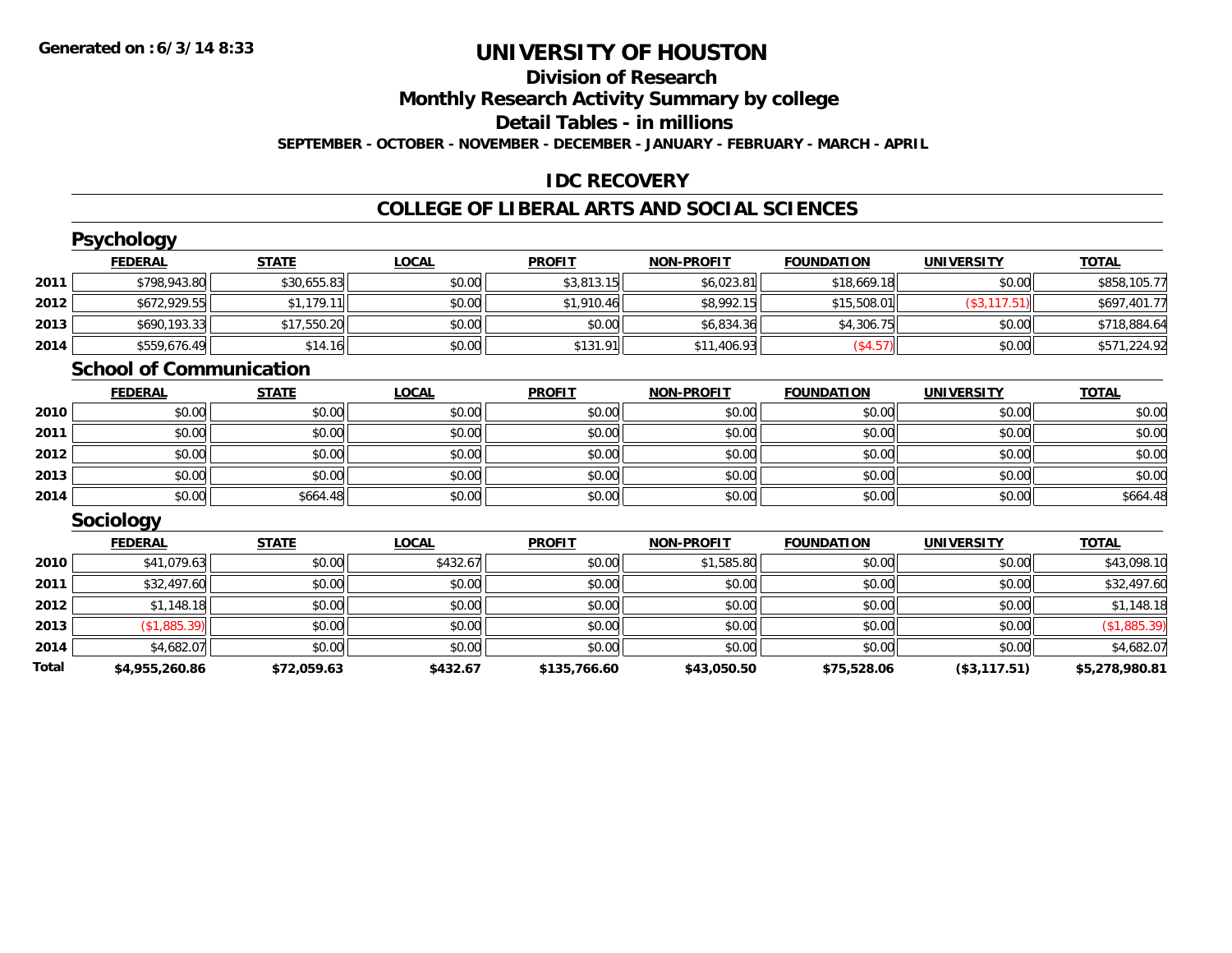## **Division of Research**

**Monthly Research Activity Summary by college**

**Detail Tables - in millions**

**SEPTEMBER - OCTOBER - NOVEMBER - DECEMBER - JANUARY - FEBRUARY - MARCH - APRIL**

#### **IDC RECOVERY**

#### **COLLEGE OF LIBERAL ARTS AND SOCIAL SCIENCES**

|       | <b>Psychology</b>              |              |              |               |                   |                   |                   |                |
|-------|--------------------------------|--------------|--------------|---------------|-------------------|-------------------|-------------------|----------------|
|       | <b>FEDERAL</b>                 | <b>STATE</b> | <b>LOCAL</b> | <b>PROFIT</b> | <b>NON-PROFIT</b> | <b>FOUNDATION</b> | <b>UNIVERSITY</b> | <b>TOTAL</b>   |
| 2011  | \$798,943.80                   | \$30,655.83  | \$0.00       | \$3,813.15    | \$6,023.81        | \$18,669.18       | \$0.00            | \$858,105.77   |
| 2012  | \$672,929.55                   | \$1,179.11   | \$0.00       | \$1,910.46    | \$8,992.15        | \$15,508.01       | (\$3, 117.51)     | \$697,401.77   |
| 2013  | \$690,193.33                   | \$17,550.20  | \$0.00       | \$0.00        | \$6,834.36        | \$4,306.75        | \$0.00            | \$718,884.64   |
| 2014  | \$559,676.49                   | \$14.16      | \$0.00       | \$131.91      | \$11,406.93       | (\$4.57)          | \$0.00            | \$571,224.92   |
|       | <b>School of Communication</b> |              |              |               |                   |                   |                   |                |
|       | <b>FEDERAL</b>                 | <b>STATE</b> | <b>LOCAL</b> | <b>PROFIT</b> | <b>NON-PROFIT</b> | <b>FOUNDATION</b> | <b>UNIVERSITY</b> | <b>TOTAL</b>   |
| 2010  | \$0.00                         | \$0.00       | \$0.00       | \$0.00        | \$0.00            | \$0.00            | \$0.00            | \$0.00         |
| 2011  | \$0.00                         | \$0.00       | \$0.00       | \$0.00        | \$0.00            | \$0.00            | \$0.00            | \$0.00         |
| 2012  | \$0.00                         | \$0.00       | \$0.00       | \$0.00        | \$0.00            | \$0.00            | \$0.00            | \$0.00         |
| 2013  | \$0.00                         | \$0.00       | \$0.00       | \$0.00        | \$0.00            | \$0.00            | \$0.00            | \$0.00         |
| 2014  | \$0.00                         | \$664.48     | \$0.00       | \$0.00        | \$0.00            | \$0.00            | \$0.00            | \$664.48       |
|       | Sociology                      |              |              |               |                   |                   |                   |                |
|       | <b>FEDERAL</b>                 | <b>STATE</b> | <b>LOCAL</b> | <b>PROFIT</b> | <b>NON-PROFIT</b> | <b>FOUNDATION</b> | <b>UNIVERSITY</b> | <b>TOTAL</b>   |
| 2010  | \$41,079.63                    | \$0.00       | \$432.67     | \$0.00        | \$1,585.80        | \$0.00            | \$0.00            | \$43,098.10    |
| 2011  | \$32,497.60                    | \$0.00       | \$0.00       | \$0.00        | \$0.00            | \$0.00            | \$0.00            | \$32,497.60    |
| 2012  | \$1,148.18                     | \$0.00       | \$0.00       | \$0.00        | \$0.00            | \$0.00            | \$0.00            | \$1,148.18     |
| 2013  | (\$1,885.39)                   | \$0.00       | \$0.00       | \$0.00        | \$0.00            | \$0.00            | \$0.00            | (\$1,885.39)   |
| 2014  | \$4,682.07                     | \$0.00       | \$0.00       | \$0.00        | \$0.00            | \$0.00            | \$0.00            | \$4,682.07     |
| Total | \$4,955,260.86                 | \$72,059.63  | \$432.67     | \$135,766.60  | \$43,050.50       | \$75,528.06       | (\$3,117.51)      | \$5,278,980.81 |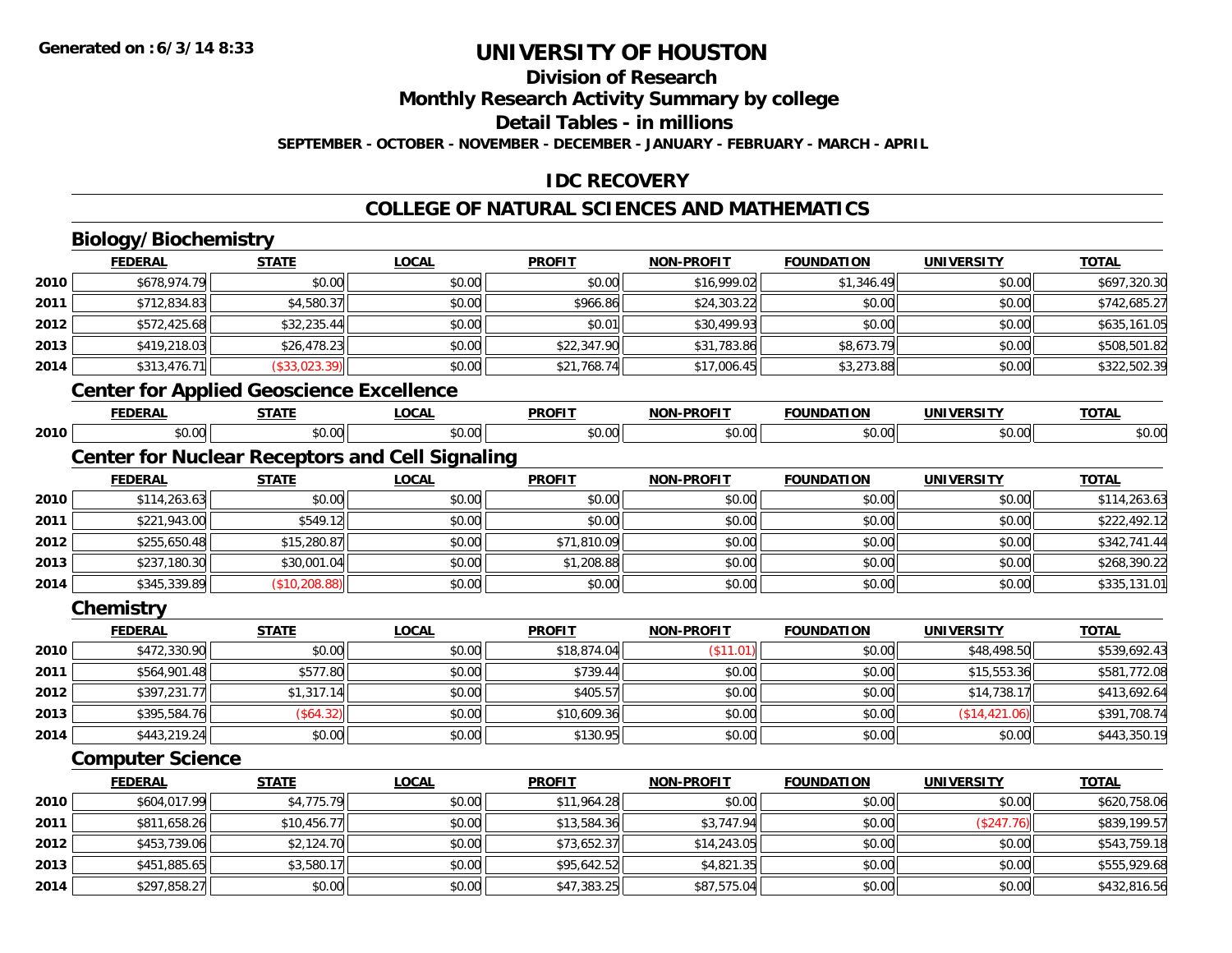**2014**

# **UNIVERSITY OF HOUSTON**

## **Division of Research**

**Monthly Research Activity Summary by college**

**Detail Tables - in millions**

**SEPTEMBER - OCTOBER - NOVEMBER - DECEMBER - JANUARY - FEBRUARY - MARCH - APRIL**

### **IDC RECOVERY**

#### **COLLEGE OF NATURAL SCIENCES AND MATHEMATICS**

|      | <b>Biology/Biochemistry</b>                            |                |              |               |                   |                   |                   |              |
|------|--------------------------------------------------------|----------------|--------------|---------------|-------------------|-------------------|-------------------|--------------|
|      | <b>FEDERAL</b>                                         | <b>STATE</b>   | <b>LOCAL</b> | <b>PROFIT</b> | <b>NON-PROFIT</b> | <b>FOUNDATION</b> | <b>UNIVERSITY</b> | <b>TOTAL</b> |
| 2010 | \$678,974.79                                           | \$0.00         | \$0.00       | \$0.00        | \$16,999.02       | \$1,346.49        | \$0.00            | \$697,320.30 |
| 2011 | \$712,834.83                                           | \$4,580.37     | \$0.00       | \$966.86      | \$24,303.22       | \$0.00            | \$0.00            | \$742,685.27 |
| 2012 | \$572,425.68                                           | \$32,235.44    | \$0.00       | \$0.01        | \$30,499.93       | \$0.00            | \$0.00            | \$635,161.05 |
| 2013 | \$419,218.03                                           | \$26,478.23    | \$0.00       | \$22,347.90   | \$31,783.86       | \$8,673.79        | \$0.00            | \$508,501.82 |
| 2014 | \$313,476.71                                           | (\$33,023.39)  | \$0.00       | \$21,768.74   | \$17,006.45       | \$3,273.88        | \$0.00            | \$322,502.39 |
|      | <b>Center for Applied Geoscience Excellence</b>        |                |              |               |                   |                   |                   |              |
|      | <b>FEDERAL</b>                                         | <b>STATE</b>   | <b>LOCAL</b> | <b>PROFIT</b> | <b>NON-PROFIT</b> | <b>FOUNDATION</b> | <b>UNIVERSITY</b> | <b>TOTAL</b> |
| 2010 | \$0.00                                                 | \$0.00         | \$0.00       | \$0.00        | \$0.00            | \$0.00            | \$0.00            | \$0.00       |
|      | <b>Center for Nuclear Receptors and Cell Signaling</b> |                |              |               |                   |                   |                   |              |
|      | <b>FEDERAL</b>                                         | <b>STATE</b>   | <b>LOCAL</b> | <b>PROFIT</b> | <b>NON-PROFIT</b> | <b>FOUNDATION</b> | <b>UNIVERSITY</b> | <b>TOTAL</b> |
| 2010 | \$114,263.63                                           | \$0.00         | \$0.00       | \$0.00        | \$0.00            | \$0.00            | \$0.00            | \$114,263.63 |
| 2011 | \$221,943.00                                           | \$549.12       | \$0.00       | \$0.00        | \$0.00            | \$0.00            | \$0.00            | \$222,492.12 |
| 2012 | \$255,650.48                                           | \$15,280.87    | \$0.00       | \$71,810.09   | \$0.00            | \$0.00            | \$0.00            | \$342,741.44 |
| 2013 | \$237,180.30                                           | \$30,001.04    | \$0.00       | \$1,208.88    | \$0.00            | \$0.00            | \$0.00            | \$268,390.22 |
| 2014 | \$345,339.89                                           | (\$10, 208.88) | \$0.00       | \$0.00        | \$0.00            | \$0.00            | \$0.00            | \$335,131.01 |
|      | <b>Chemistry</b>                                       |                |              |               |                   |                   |                   |              |
|      | <b>FEDERAL</b>                                         | <b>STATE</b>   | <b>LOCAL</b> | <b>PROFIT</b> | <b>NON-PROFIT</b> | <b>FOUNDATION</b> | <b>UNIVERSITY</b> | <b>TOTAL</b> |
| 2010 | \$472,330.90                                           | \$0.00         | \$0.00       | \$18,874.04   | (\$11.01)         | \$0.00            | \$48,498.50       | \$539,692.43 |
| 2011 | \$564,901.48                                           | \$577.80       | \$0.00       | \$739.44      | \$0.00            | \$0.00            | \$15,553.36       | \$581,772.08 |
| 2012 | \$397,231.77                                           | \$1,317.14     | \$0.00       | \$405.57      | \$0.00            | \$0.00            | \$14,738.17       | \$413,692.64 |
| 2013 | \$395,584.76                                           | (\$64.32)      | \$0.00       | \$10,609.36   | \$0.00            | \$0.00            | (\$14,421.06)     | \$391,708.74 |
| 2014 | \$443,219.24                                           | \$0.00         | \$0.00       | \$130.95      | \$0.00            | \$0.00            | \$0.00            | \$443,350.19 |
|      | <b>Computer Science</b>                                |                |              |               |                   |                   |                   |              |
|      | <b>FEDERAL</b>                                         | <b>STATE</b>   | <b>LOCAL</b> | <b>PROFIT</b> | <b>NON-PROFIT</b> | <b>FOUNDATION</b> | <b>UNIVERSITY</b> | <b>TOTAL</b> |
| 2010 | \$604,017.99                                           | \$4,775.79     | \$0.00       | \$11,964.28   | \$0.00            | \$0.00            | \$0.00            | \$620,758.06 |
| 2011 | \$811,658.26                                           | \$10,456.77    | \$0.00       | \$13,584.36   | \$3,747.94        | \$0.00            | (\$247.76)        | \$839,199.57 |
| 2012 | \$453,739.06                                           | \$2,124.70     | \$0.00       | \$73,652.37   | \$14,243.05       | \$0.00            | \$0.00            | \$543,759.18 |
| 2013 | \$451,885.65                                           | \$3,580.17     | \$0.00       | \$95,642.52   | \$4,821.35        | \$0.00            | \$0.00            | \$555,929.68 |

\$297,858.27 \$0.00 \$0.00 \$47,383.25 \$87,575.04 \$0.00 \$0.00 \$432,816.56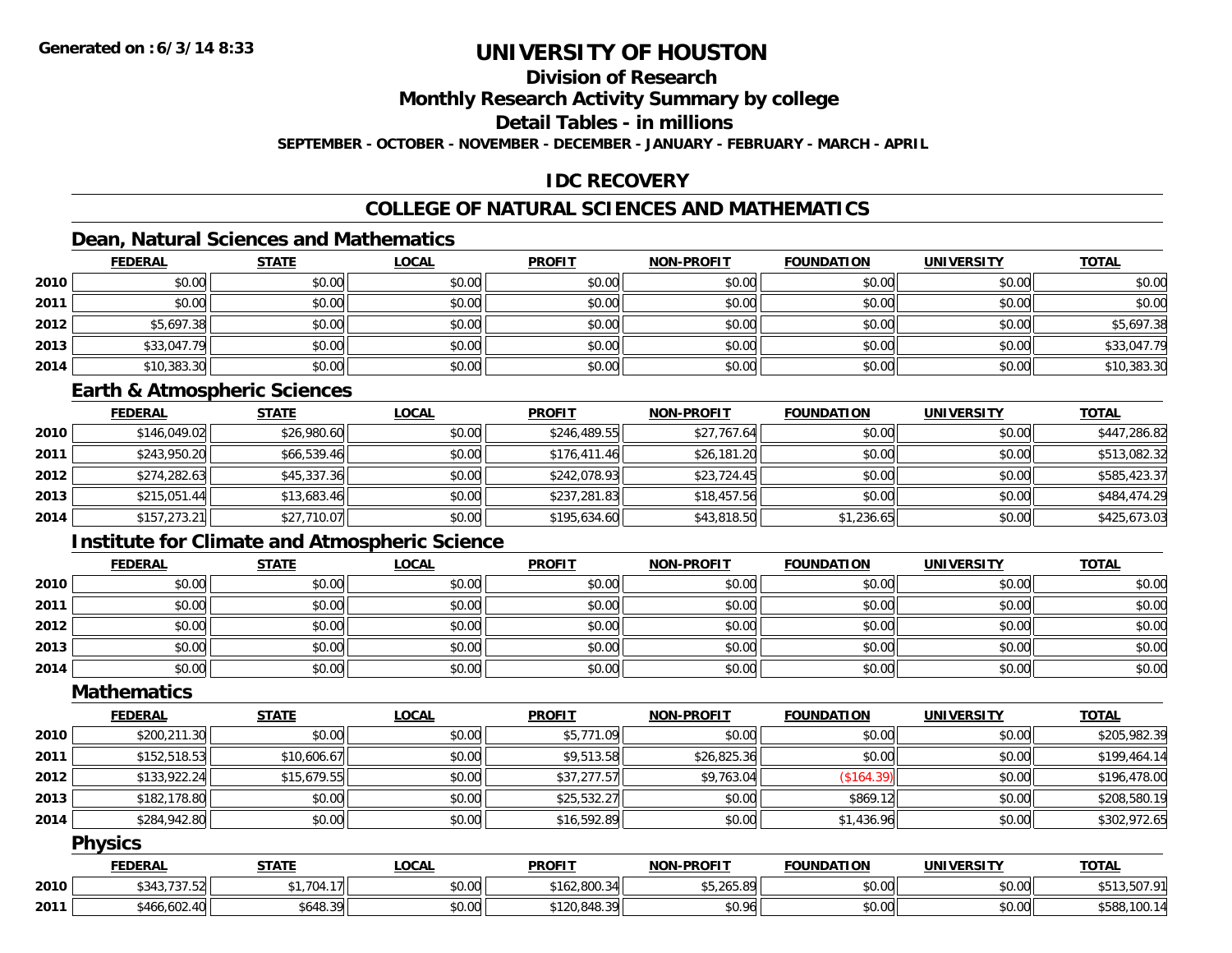### **Division of Research**

**Monthly Research Activity Summary by college**

**Detail Tables - in millions**

**SEPTEMBER - OCTOBER - NOVEMBER - DECEMBER - JANUARY - FEBRUARY - MARCH - APRIL**

### **IDC RECOVERY**

### **COLLEGE OF NATURAL SCIENCES AND MATHEMATICS**

### **Dean, Natural Sciences and Mathematics**

|      | <b>FEDERAL</b> | <b>STATE</b> | <u>LOCAL</u> | <b>PROFIT</b> | <b>NON-PROFIT</b> | <b>FOUNDATION</b> | <b>UNIVERSITY</b> | <b>TOTAL</b> |
|------|----------------|--------------|--------------|---------------|-------------------|-------------------|-------------------|--------------|
| 2010 | \$0.00         | \$0.00       | \$0.00       | \$0.00        | \$0.00            | \$0.00            | \$0.00            | \$0.00       |
| 2011 | \$0.00         | \$0.00       | \$0.00       | \$0.00        | \$0.00            | \$0.00            | \$0.00            | \$0.00       |
| 2012 | \$5,697.38     | \$0.00       | \$0.00       | \$0.00        | \$0.00            | \$0.00            | \$0.00            | \$5,697.38   |
| 2013 | \$33,047.79    | \$0.00       | \$0.00       | \$0.00        | \$0.00            | \$0.00            | \$0.00            | \$33,047.79  |
| 2014 | \$10,383.30    | \$0.00       | \$0.00       | \$0.00        | \$0.00            | \$0.00            | \$0.00            | \$10,383.30  |

#### **Earth & Atmospheric Sciences**

|      | <b>FEDERAL</b> | <u>STATE</u> | <b>LOCAL</b> | <b>PROFIT</b> | <b>NON-PROFIT</b> | <b>FOUNDATION</b> | <b>UNIVERSITY</b> | <b>TOTAL</b> |
|------|----------------|--------------|--------------|---------------|-------------------|-------------------|-------------------|--------------|
| 2010 | \$146,049.02   | \$26,980.60  | \$0.00       | \$246,489.55  | \$27,767.64       | \$0.00            | \$0.00            | \$447,286.82 |
| 2011 | \$243,950.20   | \$66,539.46  | \$0.00       | \$176,411.46  | \$26,181.20       | \$0.00            | \$0.00            | \$513,082.32 |
| 2012 | \$274,282.63   | \$45,337.36  | \$0.00       | \$242,078.93  | \$23,724.45       | \$0.00            | \$0.00            | \$585,423.37 |
| 2013 | \$215,051.44   | \$13,683.46  | \$0.00       | \$237,281.83  | \$18,457.56       | \$0.00            | \$0.00            | \$484,474.29 |
| 2014 | \$157,273.21   | \$27,710.07  | \$0.00       | \$195,634.60  | \$43,818.50       | \$1,236.65        | \$0.00            | \$425,673.03 |

### **Institute for Climate and Atmospheric Science**

|      | <b>FEDERAL</b> | <b>STATE</b> | <b>LOCAL</b> | <b>PROFIT</b> | <b>NON-PROFIT</b> | <b>FOUNDATION</b> | <b>UNIVERSITY</b> | <b>TOTAL</b> |
|------|----------------|--------------|--------------|---------------|-------------------|-------------------|-------------------|--------------|
| 2010 | \$0.00         | \$0.00       | \$0.00       | \$0.00        | \$0.00            | \$0.00            | \$0.00            | \$0.00       |
| 2011 | \$0.00         | \$0.00       | \$0.00       | \$0.00        | \$0.00            | \$0.00            | \$0.00            | \$0.00       |
| 2012 | \$0.00         | \$0.00       | \$0.00       | \$0.00        | \$0.00            | \$0.00            | \$0.00            | \$0.00       |
| 2013 | \$0.00         | \$0.00       | \$0.00       | \$0.00        | \$0.00            | \$0.00            | \$0.00            | \$0.00       |
| 2014 | \$0.00         | \$0.00       | \$0.00       | \$0.00        | \$0.00            | \$0.00            | \$0.00            | \$0.00       |

### **Mathematics**

|      | <b>FEDERAL</b> | <b>STATE</b> | <u>LOCAL</u> | <b>PROFIT</b> | <b>NON-PROFIT</b> | <b>FOUNDATION</b> | UNIVERSITY | <b>TOTAL</b> |
|------|----------------|--------------|--------------|---------------|-------------------|-------------------|------------|--------------|
| 2010 | \$200,211.30   | \$0.00       | \$0.00       | \$5,771.09    | \$0.00            | \$0.00            | \$0.00     | \$205,982.39 |
| 2011 | \$152,518.53   | \$10,606.67  | \$0.00       | \$9,513.58    | \$26,825.36       | \$0.00            | \$0.00     | \$199,464.14 |
| 2012 | \$133,922.24   | \$15,679.55  | \$0.00       | \$37,277.57   | \$9,763.04        | (\$164.39)        | \$0.00     | \$196,478.00 |
| 2013 | \$182,178.80   | \$0.00       | \$0.00       | \$25,532.27   | \$0.00            | \$869.12          | \$0.00     | \$208,580.19 |
| 2014 | \$284,942.80   | \$0.00       | \$0.00       | \$16,592.89   | \$0.00            | \$1,436.96        | \$0.00     | \$302,972.65 |

#### **Physics**

|      | <b>FEDERAL</b> | <b>STATE</b> | LOCAL  | <b>PROFIT</b> | <b>NON-PROFIT</b>       | <b>FOUNDATION</b> | <b>UNIVERSITY</b> | <b>TOTAL</b>                      |
|------|----------------|--------------|--------|---------------|-------------------------|-------------------|-------------------|-----------------------------------|
| 2010 | \$343,737.52   | \$1,704.17   | \$0.00 | \$162,800.34  | ATAYFOP<br>, 19. COS. C | \$0.00            | \$0.00            | <b>EO7 01</b><br>$A - A$<br>JU 1. |
| 2011 | \$466,602.40   | 5648.39      | \$0.00 | \$120,848.39  | \$0.96                  | \$0.00            | \$0.00            | \$588.<br>100                     |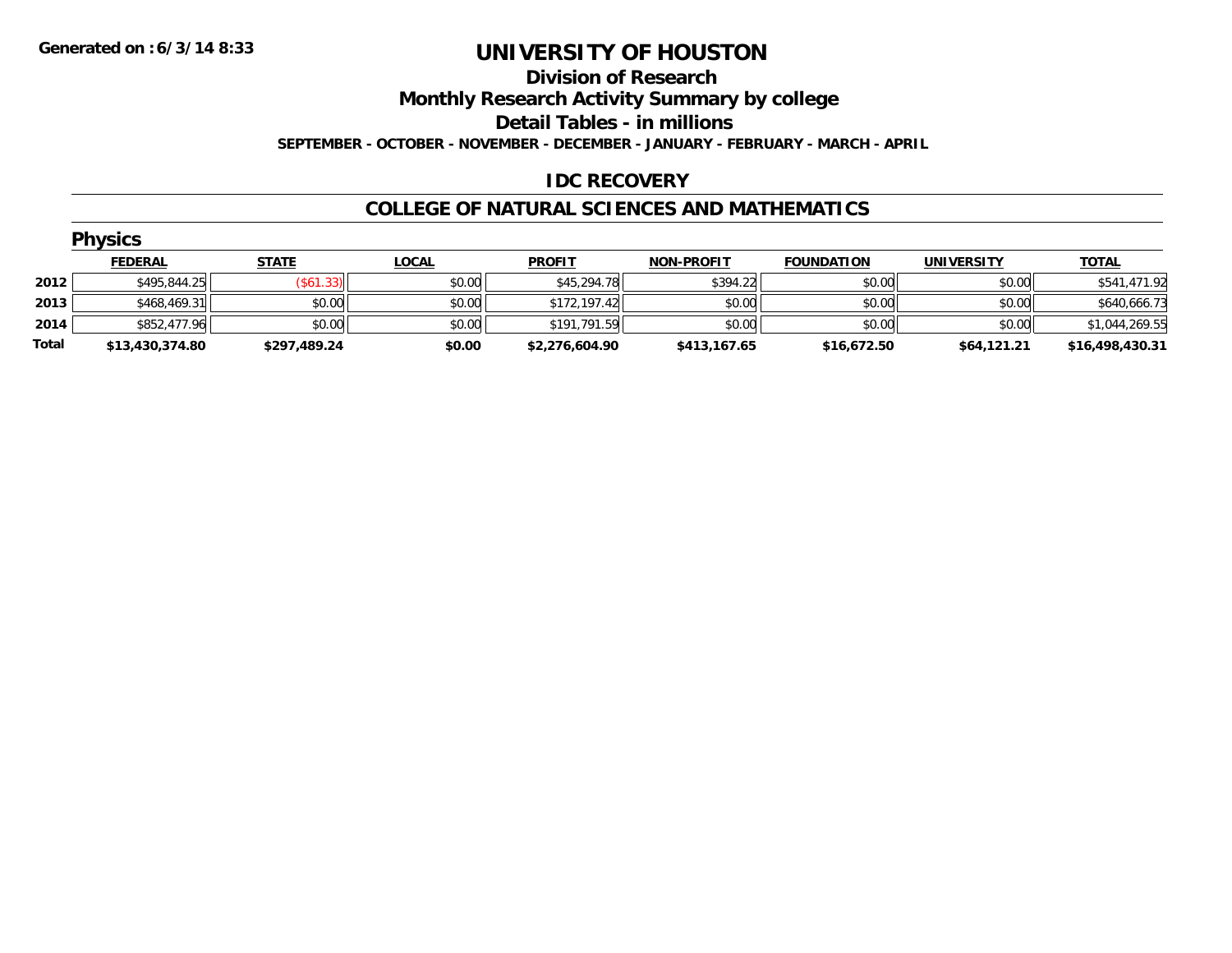#### **Division of Research**

**Monthly Research Activity Summary by college**

**Detail Tables - in millions**

**SEPTEMBER - OCTOBER - NOVEMBER - DECEMBER - JANUARY - FEBRUARY - MARCH - APRIL**

#### **IDC RECOVERY**

#### **COLLEGE OF NATURAL SCIENCES AND MATHEMATICS**

|       | <b>Physics</b>  |              |              |                |                   |                   |                   |                 |
|-------|-----------------|--------------|--------------|----------------|-------------------|-------------------|-------------------|-----------------|
|       | <b>FEDERAL</b>  | <b>STATE</b> | <b>LOCAL</b> | <b>PROFIT</b>  | <b>NON-PROFIT</b> | <b>FOUNDATION</b> | <b>UNIVERSITY</b> | <u>TOTAL</u>    |
| 2012  | \$495,844.25    | (\$61.33)    | \$0.00       | \$45,294.78    | \$394.22          | \$0.00            | \$0.00            | \$541,471.92    |
| 2013  | \$468,469.31    | \$0.00       | \$0.00       | \$172,197.42   | \$0.00            | \$0.00            | \$0.00            | \$640,666.73    |
| 2014  | \$852,477.96    | \$0.00       | \$0.00       | \$191,791.59   | \$0.00            | \$0.00            | \$0.00            | \$1,044,269.55  |
| Total | \$13,430,374.80 | \$297,489.24 | \$0.00       | \$2,276,604.90 | \$413,167.65      | \$16,672.50       | \$64,121.21       | \$16,498,430.31 |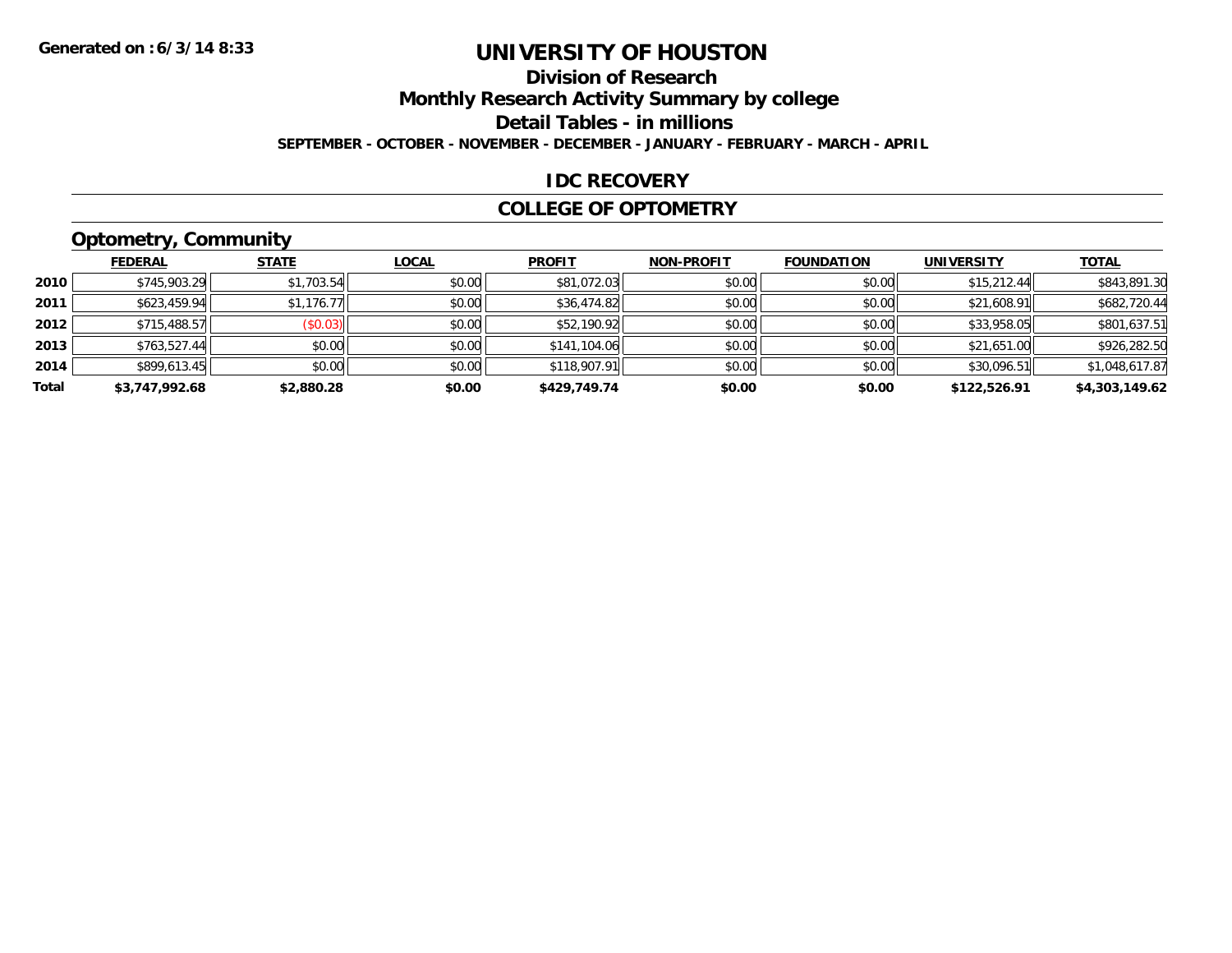### **Division of Research**

**Monthly Research Activity Summary by college**

**Detail Tables - in millions**

**SEPTEMBER - OCTOBER - NOVEMBER - DECEMBER - JANUARY - FEBRUARY - MARCH - APRIL**

#### **IDC RECOVERY**

#### **COLLEGE OF OPTOMETRY**

## **Optometry, Community**

|       | .              |              |              |               |                   |                   |                   |                |
|-------|----------------|--------------|--------------|---------------|-------------------|-------------------|-------------------|----------------|
|       | <b>FEDERAL</b> | <b>STATE</b> | <b>LOCAL</b> | <b>PROFIT</b> | <b>NON-PROFIT</b> | <b>FOUNDATION</b> | <b>UNIVERSITY</b> | <b>TOTAL</b>   |
| 2010  | \$745,903.29   | \$1,703.54   | \$0.00       | \$81,072.03   | \$0.00            | \$0.00            | \$15,212.44       | \$843,891.30   |
| 2011  | \$623,459.94   | \$1,176.77   | \$0.00       | \$36,474.82   | \$0.00            | \$0.00            | \$21,608.91       | \$682,720.44   |
| 2012  | \$715,488.57   | (\$0.03)     | \$0.00       | \$52,190.92   | \$0.00            | \$0.00            | \$33,958.05       | \$801,637.51   |
| 2013  | \$763,527.44   | \$0.00       | \$0.00       | \$141,104.06  | \$0.00            | \$0.00            | \$21,651.00       | \$926,282.50   |
| 2014  | \$899,613.45   | \$0.00       | \$0.00       | \$118,907.91  | \$0.00            | \$0.00            | \$30,096.51       | \$1,048,617.87 |
| Total | \$3,747,992.68 | \$2,880.28   | \$0.00       | \$429,749.74  | \$0.00            | \$0.00            | \$122,526.91      | \$4,303,149.62 |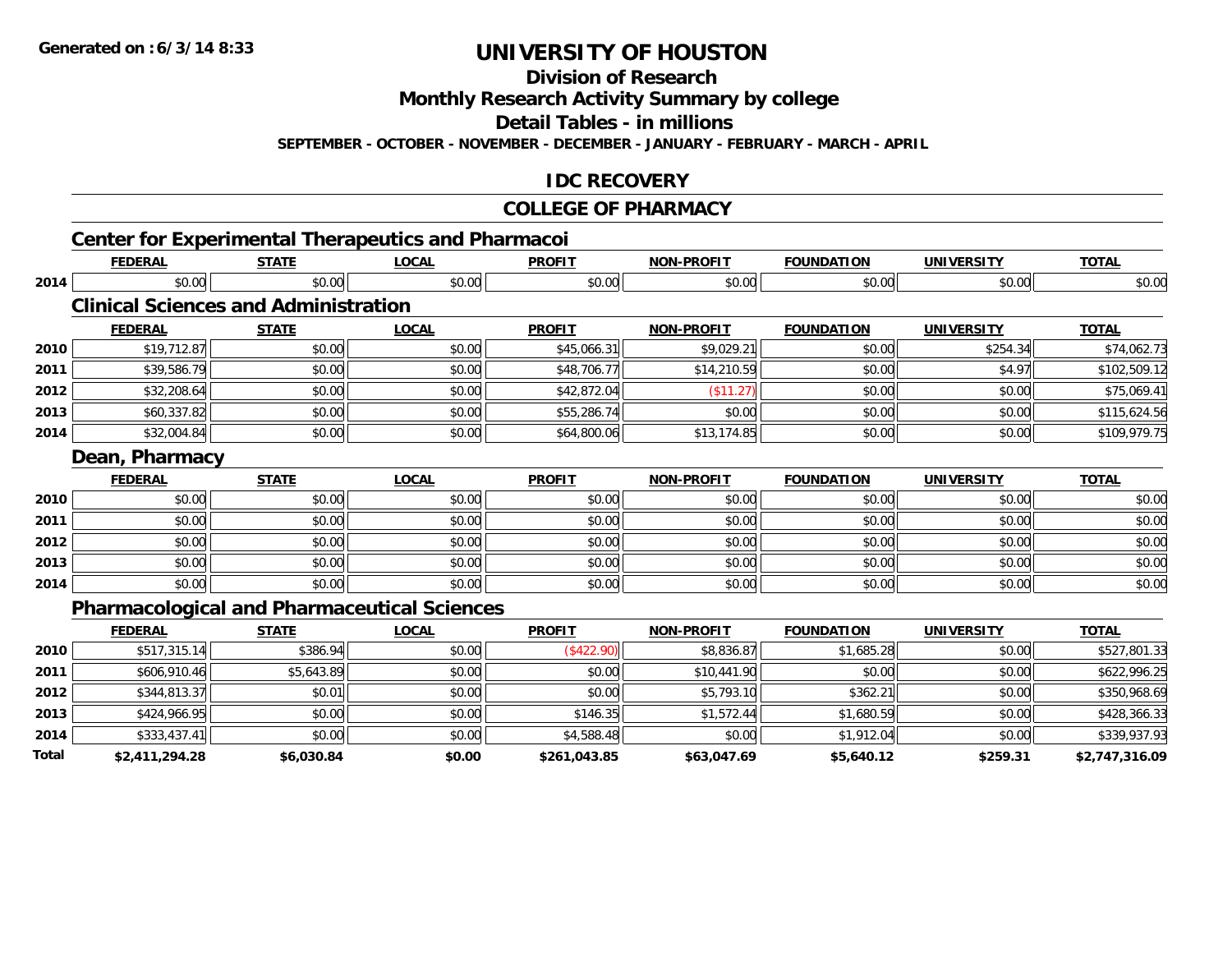**Division of Research**

**Monthly Research Activity Summary by college**

**Detail Tables - in millions**

**SEPTEMBER - OCTOBER - NOVEMBER - DECEMBER - JANUARY - FEBRUARY - MARCH - APRIL**

#### **IDC RECOVERY**

#### **COLLEGE OF PHARMACY**

|       |                                             |              | <b>Center for Experimental Therapeutics and Pharmacoi</b> |               |                   |                   |                   |                |
|-------|---------------------------------------------|--------------|-----------------------------------------------------------|---------------|-------------------|-------------------|-------------------|----------------|
|       | <b>FEDERAL</b>                              | <b>STATE</b> | <b>LOCAL</b>                                              | <b>PROFIT</b> | <b>NON-PROFIT</b> | <b>FOUNDATION</b> | <b>UNIVERSITY</b> | <b>TOTAL</b>   |
| 2014  | \$0.00                                      | \$0.00       | \$0.00                                                    | \$0.00        | \$0.00            | \$0.00            | \$0.00            | \$0.00         |
|       | <b>Clinical Sciences and Administration</b> |              |                                                           |               |                   |                   |                   |                |
|       | <b>FEDERAL</b>                              | <b>STATE</b> | <b>LOCAL</b>                                              | <b>PROFIT</b> | <b>NON-PROFIT</b> | <b>FOUNDATION</b> | <b>UNIVERSITY</b> | <b>TOTAL</b>   |
| 2010  | \$19,712.87                                 | \$0.00       | \$0.00                                                    | \$45,066.31   | \$9,029.21        | \$0.00            | \$254.34          | \$74,062.73    |
| 2011  | \$39,586.79                                 | \$0.00       | \$0.00                                                    | \$48,706.77   | \$14,210.59       | \$0.00            | \$4.97            | \$102,509.12   |
| 2012  | \$32,208.64                                 | \$0.00       | \$0.00                                                    | \$42,872.04   | (\$11.27)         | \$0.00            | \$0.00            | \$75,069.41    |
| 2013  | \$60,337.82                                 | \$0.00       | \$0.00                                                    | \$55,286.74   | \$0.00            | \$0.00            | \$0.00            | \$115,624.56   |
| 2014  | \$32,004.84                                 | \$0.00       | \$0.00                                                    | \$64,800.06   | \$13,174.85       | \$0.00            | \$0.00            | \$109,979.75   |
|       | Dean, Pharmacy                              |              |                                                           |               |                   |                   |                   |                |
|       | <b>FEDERAL</b>                              | <b>STATE</b> | <b>LOCAL</b>                                              | <b>PROFIT</b> | <b>NON-PROFIT</b> | <b>FOUNDATION</b> | <b>UNIVERSITY</b> | <b>TOTAL</b>   |
| 2010  | \$0.00                                      | \$0.00       | \$0.00                                                    | \$0.00        | \$0.00            | \$0.00            | \$0.00            | \$0.00         |
| 2011  | \$0.00                                      | \$0.00       | \$0.00                                                    | \$0.00        | \$0.00            | \$0.00            | \$0.00            | \$0.00         |
| 2012  | \$0.00                                      | \$0.00       | \$0.00                                                    | \$0.00        | \$0.00            | \$0.00            | \$0.00            | \$0.00         |
| 2013  | \$0.00                                      | \$0.00       | \$0.00                                                    | \$0.00        | \$0.00            | \$0.00            | \$0.00            | \$0.00         |
| 2014  | \$0.00                                      | \$0.00       | \$0.00                                                    | \$0.00        | \$0.00            | \$0.00            | \$0.00            | \$0.00         |
|       |                                             |              | <b>Pharmacological and Pharmaceutical Sciences</b>        |               |                   |                   |                   |                |
|       | <b>FEDERAL</b>                              | <b>STATE</b> | <b>LOCAL</b>                                              | <b>PROFIT</b> | <b>NON-PROFIT</b> | <b>FOUNDATION</b> | <b>UNIVERSITY</b> | <b>TOTAL</b>   |
| 2010  | \$517,315.14                                | \$386.94     | \$0.00                                                    | (\$422.90)    | \$8,836.87        | \$1,685.28        | \$0.00            | \$527,801.33   |
| 2011  | \$606,910.46                                | \$5,643.89   | \$0.00                                                    | \$0.00        | \$10,441.90       | \$0.00            | \$0.00            | \$622,996.25   |
| 2012  | \$344,813.37                                | \$0.01       | \$0.00                                                    | \$0.00        | \$5,793.10        | \$362.21          | \$0.00            | \$350,968.69   |
| 2013  | \$424,966.95                                | \$0.00       | \$0.00                                                    | \$146.35      | \$1,572.44        | \$1,680.59        | \$0.00            | \$428,366.33   |
| 2014  | \$333,437.41                                | \$0.00       | \$0.00                                                    | \$4,588.48    | \$0.00            | \$1,912.04        | \$0.00            | \$339,937.93   |
| Total | \$2,411,294.28                              | \$6,030.84   | \$0.00                                                    | \$261,043.85  | \$63,047.69       | \$5,640.12        | \$259.31          | \$2,747,316.09 |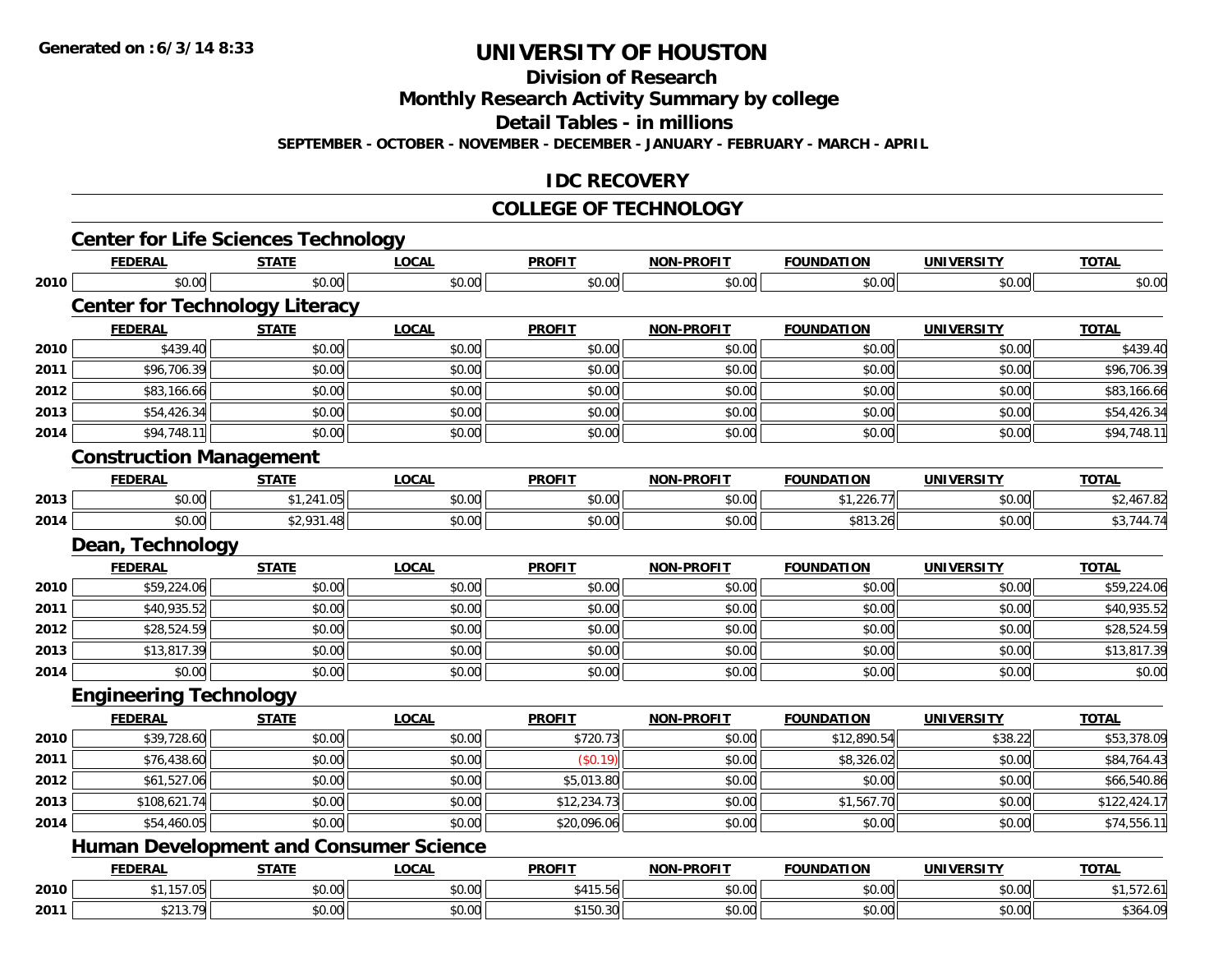**Division of Research**

**Monthly Research Activity Summary by college**

**Detail Tables - in millions**

**SEPTEMBER - OCTOBER - NOVEMBER - DECEMBER - JANUARY - FEBRUARY - MARCH - APRIL**

#### **IDC RECOVERY**

#### **COLLEGE OF TECHNOLOGY**

|      | <b>Center for Life Sciences Technology</b> |              |                                               |               |                   |                   |                   |              |
|------|--------------------------------------------|--------------|-----------------------------------------------|---------------|-------------------|-------------------|-------------------|--------------|
|      | <b>FEDERAL</b>                             | <b>STATE</b> | <b>LOCAL</b>                                  | <b>PROFIT</b> | <b>NON-PROFIT</b> | <b>FOUNDATION</b> | <b>UNIVERSITY</b> | <b>TOTAL</b> |
| 2010 | \$0.00                                     | \$0.00       | \$0.00                                        | \$0.00        | \$0.00            | \$0.00            | \$0.00            | \$0.00       |
|      | <b>Center for Technology Literacy</b>      |              |                                               |               |                   |                   |                   |              |
|      | <b>FEDERAL</b>                             | <b>STATE</b> | <b>LOCAL</b>                                  | <b>PROFIT</b> | <b>NON-PROFIT</b> | <b>FOUNDATION</b> | <b>UNIVERSITY</b> | <b>TOTAL</b> |
| 2010 | \$439.40                                   | \$0.00       | \$0.00                                        | \$0.00        | \$0.00            | \$0.00            | \$0.00            | \$439.40     |
| 2011 | \$96,706.39                                | \$0.00       | \$0.00                                        | \$0.00        | \$0.00            | \$0.00            | \$0.00            | \$96,706.39  |
| 2012 | \$83,166.66                                | \$0.00       | \$0.00                                        | \$0.00        | \$0.00            | \$0.00            | \$0.00            | \$83,166.66  |
| 2013 | \$54,426.34                                | \$0.00       | \$0.00                                        | \$0.00        | \$0.00            | \$0.00            | \$0.00            | \$54,426.34  |
| 2014 | \$94,748.11                                | \$0.00       | \$0.00                                        | \$0.00        | \$0.00            | \$0.00            | \$0.00            | \$94,748.11  |
|      | <b>Construction Management</b>             |              |                                               |               |                   |                   |                   |              |
|      | <b>FEDERAL</b>                             | <b>STATE</b> | <b>LOCAL</b>                                  | <b>PROFIT</b> | <b>NON-PROFIT</b> | <b>FOUNDATION</b> | <b>UNIVERSITY</b> | <b>TOTAL</b> |
| 2013 | \$0.00                                     | \$1,241.05   | \$0.00                                        | \$0.00        | \$0.00            | \$1,226.77        | \$0.00            | \$2,467.82   |
| 2014 | \$0.00                                     | \$2,931.48   | \$0.00                                        | \$0.00        | \$0.00            | \$813.26          | \$0.00            | \$3,744.74   |
|      | Dean, Technology                           |              |                                               |               |                   |                   |                   |              |
|      | <b>FEDERAL</b>                             | <b>STATE</b> | <b>LOCAL</b>                                  | <b>PROFIT</b> | <b>NON-PROFIT</b> | <b>FOUNDATION</b> | <b>UNIVERSITY</b> | <b>TOTAL</b> |
| 2010 | \$59,224.06                                | \$0.00       | \$0.00                                        | \$0.00        | \$0.00            | \$0.00            | \$0.00            | \$59,224.06  |
| 2011 | \$40,935.52                                | \$0.00       | \$0.00                                        | \$0.00        | \$0.00            | \$0.00            | \$0.00            | \$40,935.52  |
| 2012 | \$28,524.59                                | \$0.00       | \$0.00                                        | \$0.00        | \$0.00            | \$0.00            | \$0.00            | \$28,524.59  |
| 2013 | \$13,817.39                                | \$0.00       | \$0.00                                        | \$0.00        | \$0.00            | \$0.00            | \$0.00            | \$13,817.39  |
| 2014 | \$0.00                                     | \$0.00       | \$0.00                                        | \$0.00        | \$0.00            | \$0.00            | \$0.00            | \$0.00       |
|      | <b>Engineering Technology</b>              |              |                                               |               |                   |                   |                   |              |
|      | <b>FEDERAL</b>                             | <b>STATE</b> | <b>LOCAL</b>                                  | <b>PROFIT</b> | <b>NON-PROFIT</b> | <b>FOUNDATION</b> | <b>UNIVERSITY</b> | <b>TOTAL</b> |
| 2010 | \$39,728.60                                | \$0.00       | \$0.00                                        | \$720.73      | \$0.00            | \$12,890.54       | \$38.22           | \$53,378.09  |
| 2011 | \$76,438.60                                | \$0.00       | \$0.00                                        | (\$0.19)      | \$0.00            | \$8,326.02        | \$0.00            | \$84,764.43  |
| 2012 | \$61,527.06                                | \$0.00       | \$0.00                                        | \$5,013.80    | \$0.00            | \$0.00            | \$0.00            | \$66,540.86  |
| 2013 | \$108,621.74                               | \$0.00       | \$0.00                                        | \$12,234.73   | \$0.00            | \$1,567.70        | \$0.00            | \$122,424.17 |
| 2014 | \$54,460.05                                | \$0.00       | \$0.00                                        | \$20,096.06   | \$0.00            | \$0.00            | \$0.00            | \$74,556.11  |
|      |                                            |              | <b>Human Development and Consumer Science</b> |               |                   |                   |                   |              |
|      | <b>FEDERAL</b>                             | <b>STATE</b> | <b>LOCAL</b>                                  | <b>PROFIT</b> | <b>NON-PROFIT</b> | <b>FOUNDATION</b> | <b>UNIVERSITY</b> | <b>TOTAL</b> |
| 2010 | \$1,157.05                                 | \$0.00       | \$0.00                                        | \$415.56      | \$0.00            | \$0.00            | \$0.00            | \$1,572.61   |
| 2011 | \$213.79                                   | \$0.00       | \$0.00                                        | \$150.30      | \$0.00            | \$0.00            | \$0.00            | \$364.09     |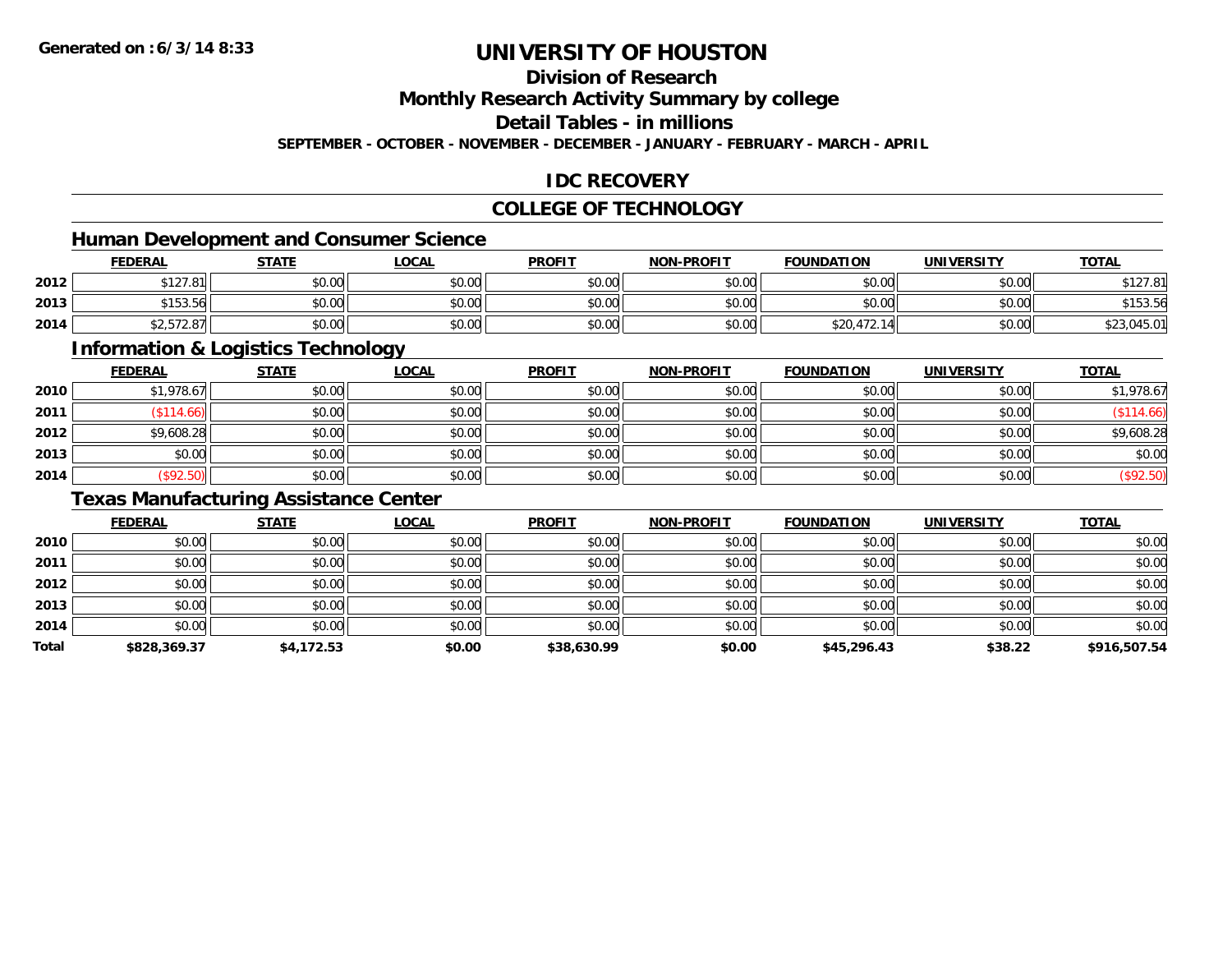### **Division of Research**

**Monthly Research Activity Summary by college**

**Detail Tables - in millions**

**SEPTEMBER - OCTOBER - NOVEMBER - DECEMBER - JANUARY - FEBRUARY - MARCH - APRIL**

### **IDC RECOVERY**

### **COLLEGE OF TECHNOLOGY**

### **Human Development and Consumer Science**

|      | <b>FEDERAL</b>                                       | <b>STATE</b> | LOCAL  | <b>PROFIT</b> | <b>NON-PROFIT</b> | <b>FOUNDATION</b> | <b>UNIVERSITY</b> | <b>TOTAL</b>                |
|------|------------------------------------------------------|--------------|--------|---------------|-------------------|-------------------|-------------------|-----------------------------|
| 2012 | 0.10701<br>D I Z / .O I                              | \$0.00       | \$0.00 | \$0.00        | \$0.00            | \$0.00            | \$0.00            | <b>¢10701</b><br>9 I Z J .O |
| 2013 | \$153.56                                             | \$0.00       | \$0.00 | \$0.00        | \$0.00            | \$0.00            | \$0.00            | \$153.56                    |
| 2014 | $\land$ $\land$ $\land$ $\land$ $\land$<br>42,312.01 | \$0.00       | \$0.00 | \$0.00        | \$0.00            | \$20,472.         | \$0.00            | \$23,045.01                 |

<u> 1989 - Johann Stoff, deutscher Stoffen und der Stoffen und der Stoffen und der Stoffen und der Stoffen und der</u>

### **Information & Logistics Technology**

|      | <b>FEDERAL</b> | <b>STATE</b> | <b>LOCAL</b> | <b>PROFIT</b> | <b>NON-PROFIT</b> | <b>FOUNDATION</b> | <b>UNIVERSITY</b> | <b>TOTAL</b> |
|------|----------------|--------------|--------------|---------------|-------------------|-------------------|-------------------|--------------|
| 2010 | \$1,978.67     | \$0.00       | \$0.00       | \$0.00        | \$0.00            | \$0.00            | \$0.00            | \$1,978.67   |
| 2011 | \$114.66       | \$0.00       | \$0.00       | \$0.00        | \$0.00            | \$0.00            | \$0.00            | (\$114.66)   |
| 2012 | \$9,608.28     | \$0.00       | \$0.00       | \$0.00        | \$0.00            | \$0.00            | \$0.00            | \$9,608.28   |
| 2013 | \$0.00         | \$0.00       | \$0.00       | \$0.00        | \$0.00            | \$0.00            | \$0.00            | \$0.00       |
| 2014 | (\$92.50)      | \$0.00       | \$0.00       | \$0.00        | \$0.00            | \$0.00            | \$0.00            | (\$92.50)    |

### **Texas Manufacturing Assistance Center**

|       | <b>FEDERAL</b> | <b>STATE</b> | <b>LOCAL</b> | <b>PROFIT</b> | <b>NON-PROFIT</b> | <b>FOUNDATION</b> | <b>UNIVERSITY</b> | <b>TOTAL</b> |
|-------|----------------|--------------|--------------|---------------|-------------------|-------------------|-------------------|--------------|
| 2010  | \$0.00         | \$0.00       | \$0.00       | \$0.00        | \$0.00            | \$0.00            | \$0.00            | \$0.00       |
| 2011  | \$0.00         | \$0.00       | \$0.00       | \$0.00        | \$0.00            | \$0.00            | \$0.00            | \$0.00       |
| 2012  | \$0.00         | \$0.00       | \$0.00       | \$0.00        | \$0.00            | \$0.00            | \$0.00            | \$0.00       |
| 2013  | \$0.00         | \$0.00       | \$0.00       | \$0.00        | \$0.00            | \$0.00            | \$0.00            | \$0.00       |
| 2014  | \$0.00         | \$0.00       | \$0.00       | \$0.00        | \$0.00            | \$0.00            | \$0.00            | \$0.00       |
| Total | \$828,369.37   | \$4,172.53   | \$0.00       | \$38,630.99   | \$0.00            | \$45,296.43       | \$38.22           | \$916,507.54 |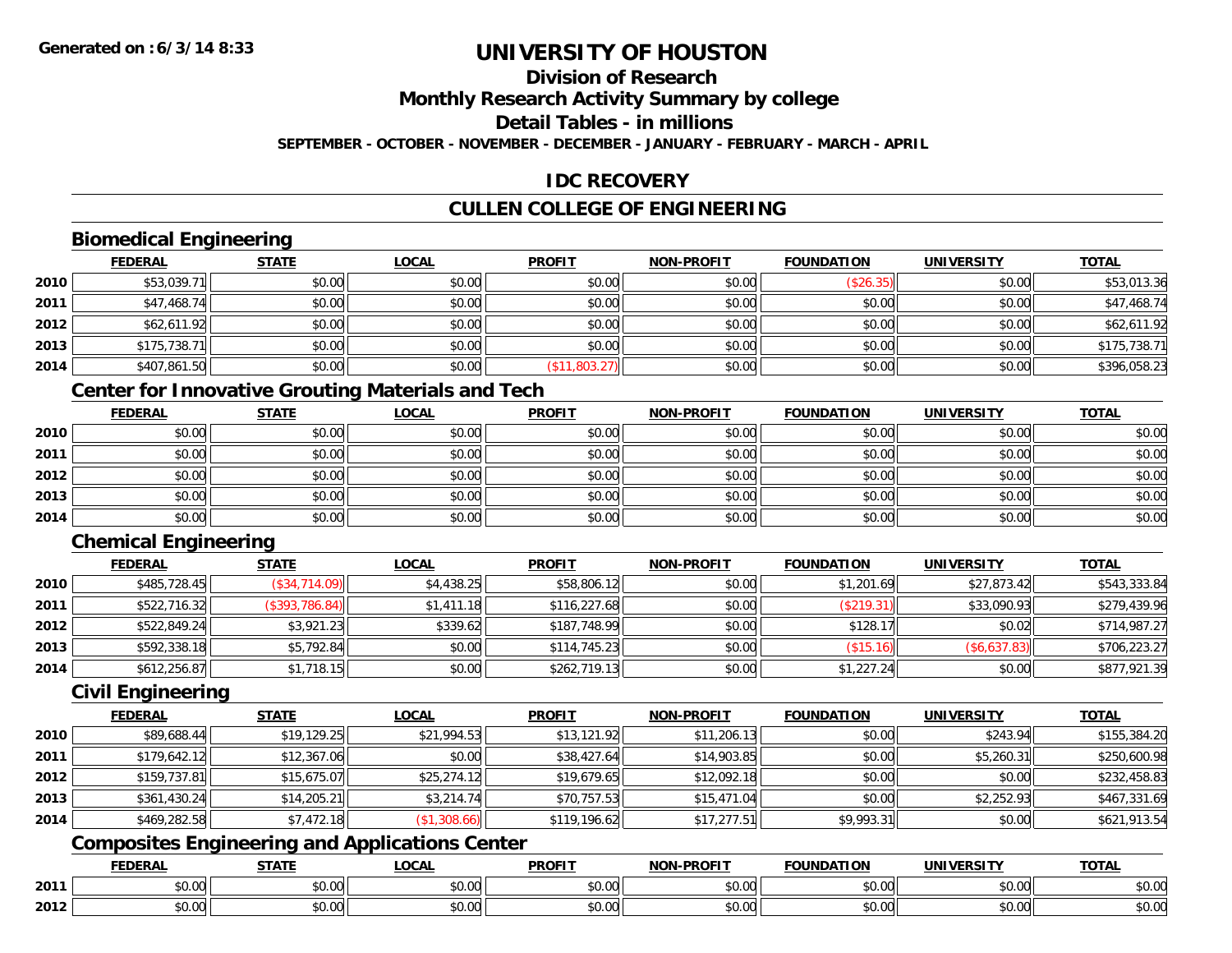### **Division of Research**

**Monthly Research Activity Summary by college**

**Detail Tables - in millions**

**SEPTEMBER - OCTOBER - NOVEMBER - DECEMBER - JANUARY - FEBRUARY - MARCH - APRIL**

### **IDC RECOVERY**

## **CULLEN COLLEGE OF ENGINEERING**

### **Biomedical Engineering**

|      | <b>FEDERAL</b> | <b>STATE</b> | <b>LOCAL</b> | <b>PROFIT</b> | <b>NON-PROFIT</b> | <b>FOUNDATION</b> | <b>UNIVERSITY</b> | <u>TOTAL</u> |
|------|----------------|--------------|--------------|---------------|-------------------|-------------------|-------------------|--------------|
| 2010 | \$53,039.71    | \$0.00       | \$0.00       | \$0.00        | \$0.00            | (\$26.35)         | \$0.00            | \$53,013.36  |
| 2011 | \$47,468.74    | \$0.00       | \$0.00       | \$0.00        | \$0.00            | \$0.00            | \$0.00            | \$47,468.74  |
| 2012 | \$62,611.92    | \$0.00       | \$0.00       | \$0.00        | \$0.00            | \$0.00            | \$0.00            | \$62,611.92  |
| 2013 | \$175,738.71   | \$0.00       | \$0.00       | \$0.00        | \$0.00            | \$0.00            | \$0.00            | \$175,738.71 |
| 2014 | \$407,861.50   | \$0.00       | \$0.00       | (\$11,803.27) | \$0.00            | \$0.00            | \$0.00            | \$396,058.23 |

## **Center for Innovative Grouting Materials and Tech**

|      | <u>FEDERAL</u> | <u>STATE</u> | <u>LOCAL</u> | <b>PROFIT</b> | <b>NON-PROFIT</b> | <b>FOUNDATION</b> | <b>UNIVERSITY</b> | <b>TOTAL</b> |
|------|----------------|--------------|--------------|---------------|-------------------|-------------------|-------------------|--------------|
| 2010 | \$0.00         | \$0.00       | \$0.00       | \$0.00        | \$0.00            | \$0.00            | \$0.00            | \$0.00       |
| 2011 | \$0.00         | \$0.00       | \$0.00       | \$0.00        | \$0.00            | \$0.00            | \$0.00            | \$0.00       |
| 2012 | \$0.00         | \$0.00       | \$0.00       | \$0.00        | \$0.00            | \$0.00            | \$0.00            | \$0.00       |
| 2013 | \$0.00         | \$0.00       | \$0.00       | \$0.00        | \$0.00            | \$0.00            | \$0.00            | \$0.00       |
| 2014 | \$0.00         | \$0.00       | \$0.00       | \$0.00        | \$0.00            | \$0.00            | \$0.00            | \$0.00       |

# **Chemical Engineering**

|      | <b>FEDERAL</b> | <b>STATE</b>   | <u>LOCAL</u> | <b>PROFIT</b> | <b>NON-PROFIT</b> | <b>FOUNDATION</b> | <b>UNIVERSITY</b> | <b>TOTAL</b> |
|------|----------------|----------------|--------------|---------------|-------------------|-------------------|-------------------|--------------|
| 2010 | \$485,728.45   | (S34, 714.09)  | \$4,438.25   | \$58,806.12   | \$0.00            | \$1,201.69        | \$27,873.42       | \$543,333.84 |
| 2011 | \$522,716.32   | (\$393,786.84) | \$1,411.18   | \$116,227.68  | \$0.00            | (\$219.31)        | \$33,090.93       | \$279,439.96 |
| 2012 | \$522,849.24   | \$3,921.23     | \$339.62     | \$187,748.99  | \$0.00            | \$128.17          | \$0.02            | \$714,987.27 |
| 2013 | \$592,338.18   | \$5,792.84     | \$0.00       | \$114,745.23  | \$0.00            | (\$15.16)         | (\$6,637.83)      | \$706,223.27 |
| 2014 | \$612,256.87   | \$1,718.15     | \$0.00       | \$262,719.13  | \$0.00            | \$1,227.24        | \$0.00            | \$877,921.39 |

#### **Civil Engineering**

|      | <b>FEDERAL</b> | <b>STATE</b> | <u>LOCAL</u> | <b>PROFIT</b> | <b>NON-PROFIT</b> | <b>FOUNDATION</b> | <b>UNIVERSITY</b> | <b>TOTAL</b> |
|------|----------------|--------------|--------------|---------------|-------------------|-------------------|-------------------|--------------|
| 2010 | \$89,688.44    | \$19,129.25  | \$21,994.53  | \$13,121.92   | \$11,206.13       | \$0.00            | \$243.94          | \$155,384.20 |
| 2011 | \$179,642.12   | \$12,367.06  | \$0.00       | \$38,427.64   | \$14,903.85       | \$0.00            | \$5,260.31        | \$250,600.98 |
| 2012 | \$159,737.81   | \$15,675.07  | \$25,274.12  | \$19,679.65   | \$12,092.18       | \$0.00            | \$0.00            | \$232,458.83 |
| 2013 | \$361,430.24   | \$14,205.21  | \$3,214.74   | \$70,757.53   | \$15,471.04       | \$0.00            | \$2,252.93        | \$467,331.69 |
| 2014 | \$469,282.58   | \$7,472.18   | (\$1,308.66) | \$119,196.62  | \$17,277.51       | \$9,993.31        | \$0.00            | \$621,913.54 |

# **Composites Engineering and Applications Center**

|      | <b>FEDERAL</b>         | <b>STATE</b>           | <b>_OCAL</b>       | <b>PROFIT</b> | <b>NON-PROFIT</b><br>$\sim$ $\sim$ $\sim$ $\sim$ | <b>FOUNDATION</b> | <b>UNIVERSITY</b>    | <b>TOTAL</b>         |
|------|------------------------|------------------------|--------------------|---------------|--------------------------------------------------|-------------------|----------------------|----------------------|
| 2011 | $n \cap \Omega$<br>,uu | ሖ ∩<br>$\sim$<br>JU.UU | $\sim$ 00<br>JU.UU | 0000<br>JU.UU | 0.00<br>JU.UU                                    | \$0.00            | 0.00<br><b>JU.UU</b> | 0000<br><b>JU.UU</b> |
| 2012 | \$0.00                 | ÷0.<br>JU.UU           | $\sim$ 00<br>JU.UU | 0000<br>JU.UU | 0.00<br>PO.OO                                    | \$0.00            | 0.00<br>\$0.00       | \$0.00               |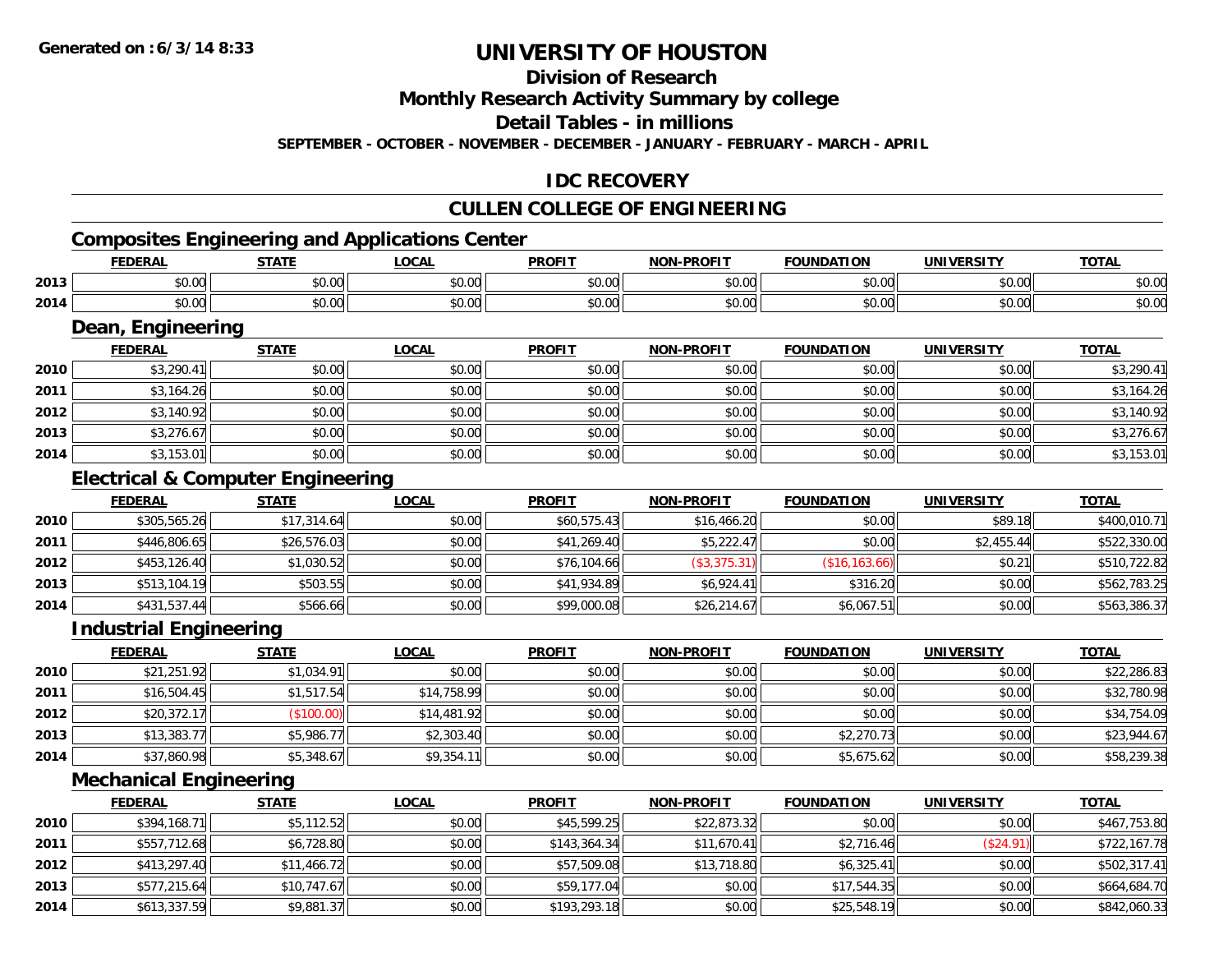# **Division of Research**

**Monthly Research Activity Summary by college**

**Detail Tables - in millions**

**SEPTEMBER - OCTOBER - NOVEMBER - DECEMBER - JANUARY - FEBRUARY - MARCH - APRIL**

### **IDC RECOVERY**

# **CULLEN COLLEGE OF ENGINEERING**

# **Composites Engineering and Applications Center**

|      | <b>NEDAI</b><br>- R.P | <b>CTATE</b> | $\sim$<br>.UGAL | <b>PROFIT</b>                    | -PROFIT<br>NOM                              | <b>ATION</b><br>מרו | <b>IINIVEDSITV</b> | <b>TOTA</b>   |
|------|-----------------------|--------------|-----------------|----------------------------------|---------------------------------------------|---------------------|--------------------|---------------|
| 2013 | 0000                  | $\sim$ 00    | 0.00            | $\uparrow$ $\uparrow$ $\uparrow$ | $\sim$ 00                                   | $\sim$ 00           | $\sim$ 00          | $\sim$ $\sim$ |
|      | <b>DU.UU</b>          | טט.טע        | JU.UU           | JU.U                             | טט.טע                                       | טט.טע               | JU.UU              | DU.UU         |
| 2014 | ልስ ስስ                 | $\sim$ 00    | 0.00            | 0 <sup>0</sup>                   | $\uparrow$ $\uparrow$ $\uparrow$ $\uparrow$ | $\sim$ 00           | $\sim$ 00          | $\sim$ $\sim$ |
|      | ,u.uu                 | JU.UU        | vu.vu           | vv.v                             | vv.vv                                       | טט.טע               | vu.vu              | ง∪.∪บ         |

#### **Dean, Engineering**

|      | Dean, Engineering |              |              |               |                   |                   |                   |              |  |  |  |
|------|-------------------|--------------|--------------|---------------|-------------------|-------------------|-------------------|--------------|--|--|--|
|      | <b>FEDERAL</b>    | <b>STATE</b> | <b>LOCAL</b> | <b>PROFIT</b> | <b>NON-PROFIT</b> | <b>FOUNDATION</b> | <b>UNIVERSITY</b> | <b>TOTAL</b> |  |  |  |
| 2010 | \$3,290.41        | \$0.00       | \$0.00       | \$0.00        | \$0.00            | \$0.00            | \$0.00            | \$3,290.41   |  |  |  |
| 2011 | \$3,164.26        | \$0.00       | \$0.00       | \$0.00        | \$0.00            | \$0.00            | \$0.00            | \$3,164.26   |  |  |  |
| 2012 | \$3,140.92        | \$0.00       | \$0.00       | \$0.00        | \$0.00            | \$0.00            | \$0.00            | \$3,140.92   |  |  |  |
| 2013 | \$3,276.67        | \$0.00       | \$0.00       | \$0.00        | \$0.00            | \$0.00            | \$0.00            | \$3,276.67   |  |  |  |
| 2014 | \$3,153.01        | \$0.00       | \$0.00       | \$0.00        | \$0.00            | \$0.00            | \$0.00            | \$3,153.01   |  |  |  |

## **Electrical & Computer Engineering**

|      | <b>FEDERAL</b> | <b>STATE</b> | <b>LOCAL</b> | <b>PROFIT</b> | <b>NON-PROFIT</b> | <b>FOUNDATION</b> | <b>UNIVERSITY</b> | <b>TOTAL</b> |
|------|----------------|--------------|--------------|---------------|-------------------|-------------------|-------------------|--------------|
| 2010 | \$305,565.26   | \$17,314.64  | \$0.00       | \$60,575.43   | \$16,466.20       | \$0.00            | \$89.18           | \$400,010.71 |
| 2011 | \$446,806.65   | \$26,576.03  | \$0.00       | \$41,269.40   | \$5,222.47        | \$0.00            | \$2,455.44        | \$522,330.00 |
| 2012 | \$453,126.40   | \$1,030.52   | \$0.00       | \$76,104.66   | (\$3,375.31)      | (S16, 163.66)     | \$0.21            | \$510,722.82 |
| 2013 | \$513,104.19   | \$503.55     | \$0.00       | \$41,934.89   | \$6,924.41        | \$316.20          | \$0.00            | \$562,783.25 |
| 2014 | \$431,537.44   | \$566.66     | \$0.00       | \$99,000.08   | \$26,214.67       | \$6,067.51        | \$0.00            | \$563,386.37 |

#### **Industrial Engineering**

|      | <u>FEDERAL</u> | <b>STATE</b> | <u>LOCAL</u> | <b>PROFIT</b> | <b>NON-PROFIT</b> | <b>FOUNDATION</b> | <b>UNIVERSITY</b> | <b>TOTAL</b> |
|------|----------------|--------------|--------------|---------------|-------------------|-------------------|-------------------|--------------|
| 2010 | \$21,251.92    | \$1,034.91   | \$0.00       | \$0.00        | \$0.00            | \$0.00            | \$0.00            | \$22,286.83  |
| 2011 | \$16,504.45    | \$1,517.54   | \$14,758.99  | \$0.00        | \$0.00            | \$0.00            | \$0.00            | \$32,780.98  |
| 2012 | \$20,372.17    | (\$100.00)   | \$14,481.92  | \$0.00        | \$0.00            | \$0.00            | \$0.00            | \$34,754.09  |
| 2013 | \$13,383.77    | \$5,986.77   | \$2,303.40   | \$0.00        | \$0.00            | \$2,270.73        | \$0.00            | \$23,944.67  |
| 2014 | \$37,860.98    | \$5,348.67   | \$9,354.11   | \$0.00        | \$0.00            | \$5,675.62        | \$0.00            | \$58,239.38  |

## **Mechanical Engineering**

|      | <b>FEDERAL</b> | <u>STATE</u> | <b>LOCAL</b> | <b>PROFIT</b> | <b>NON-PROFIT</b> | <b>FOUNDATION</b> | <b>UNIVERSITY</b> | <b>TOTAL</b> |
|------|----------------|--------------|--------------|---------------|-------------------|-------------------|-------------------|--------------|
| 2010 | \$394,168.71   | \$5,112.52   | \$0.00       | \$45,599.25   | \$22,873.32       | \$0.00            | \$0.00            | \$467,753.80 |
| 2011 | \$557,712.68   | \$6,728.80   | \$0.00       | \$143,364.34  | \$11,670.41       | \$2,716.46        | (\$24.91)         | \$722,167.78 |
| 2012 | \$413,297.40   | \$11,466.72  | \$0.00       | \$57,509.08   | \$13,718.80       | \$6,325.41        | \$0.00            | \$502,317.41 |
| 2013 | \$577,215.64   | \$10,747.67  | \$0.00       | \$59,177.04   | \$0.00            | \$17,544.35       | \$0.00            | \$664,684.70 |
| 2014 | \$613,337.59   | \$9,881.37   | \$0.00       | \$193,293.18  | \$0.00            | \$25,548.19       | \$0.00            | \$842,060.33 |

<u> 1980 - Andrea Station Barbara, actor a component de la componentación de la componentación de la componentaci</u>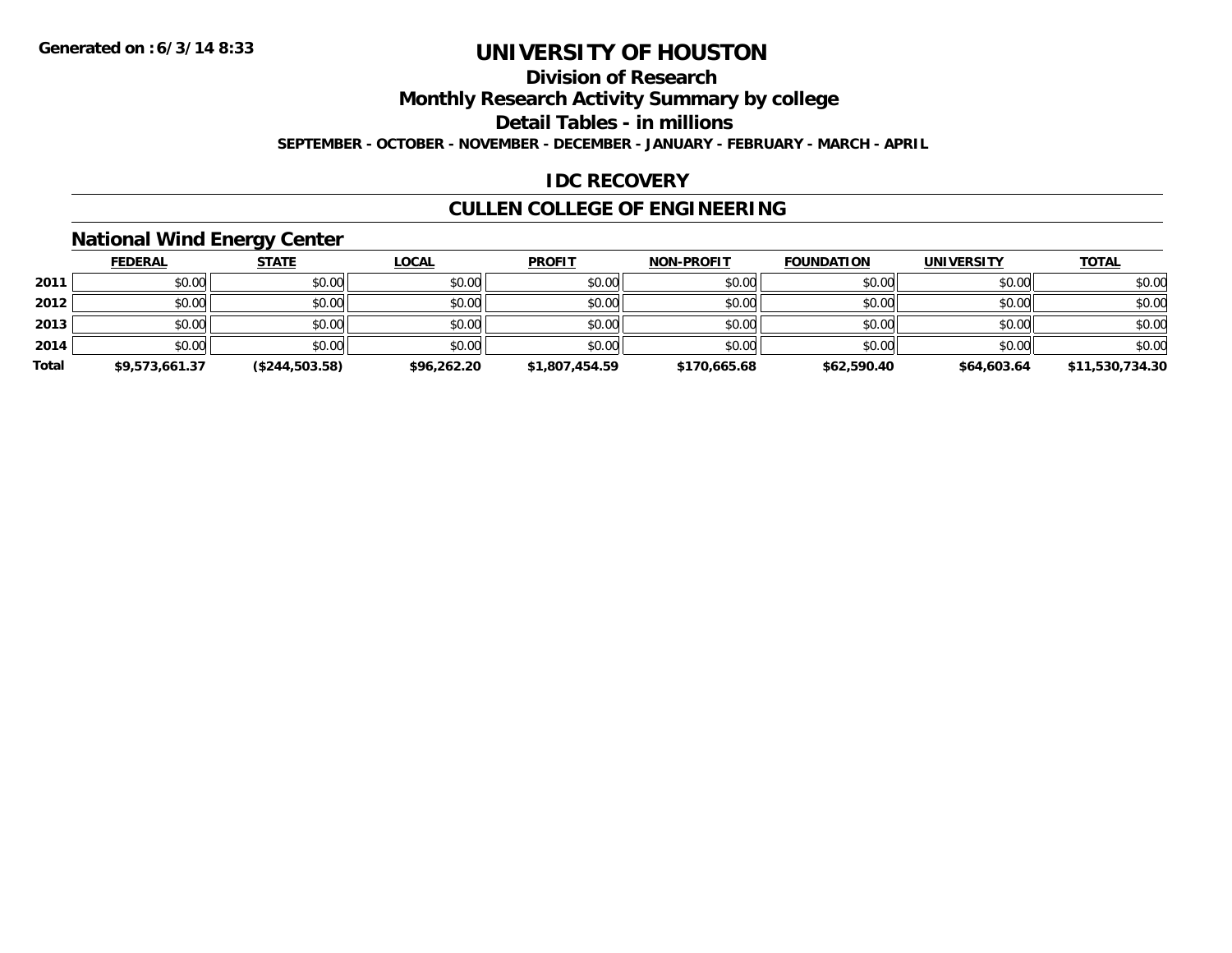## **Division of Research**

**Monthly Research Activity Summary by college**

**Detail Tables - in millions**

**SEPTEMBER - OCTOBER - NOVEMBER - DECEMBER - JANUARY - FEBRUARY - MARCH - APRIL**

#### **IDC RECOVERY**

### **CULLEN COLLEGE OF ENGINEERING**

#### **National Wind Energy Center**

|       | <b>FEDERAL</b> | <u>STATE</u>   | <b>LOCAL</b> | <b>PROFIT</b>  | <b>NON-PROFIT</b> | <b>FOUNDATION</b> | <b>UNIVERSITY</b> | <u>TOTAL</u>    |
|-------|----------------|----------------|--------------|----------------|-------------------|-------------------|-------------------|-----------------|
| 2011  | \$0.00         | \$0.00         | \$0.00       | \$0.00         | \$0.00            | \$0.00            | \$0.00            | \$0.00          |
| 2012  | \$0.00         | \$0.00         | \$0.00       | \$0.00         | \$0.00            | \$0.00            | \$0.00            | \$0.00          |
| 2013  | \$0.00         | \$0.00         | \$0.00       | \$0.00         | \$0.00            | \$0.00            | \$0.00            | \$0.00          |
| 2014  | \$0.00         | \$0.00         | \$0.00       | \$0.00         | \$0.00            | \$0.00            | \$0.00            | \$0.00          |
| Total | \$9,573,661.37 | (\$244,503.58) | \$96,262.20  | \$1,807,454.59 | \$170,665.68      | \$62,590.40       | \$64,603.64       | \$11,530,734.30 |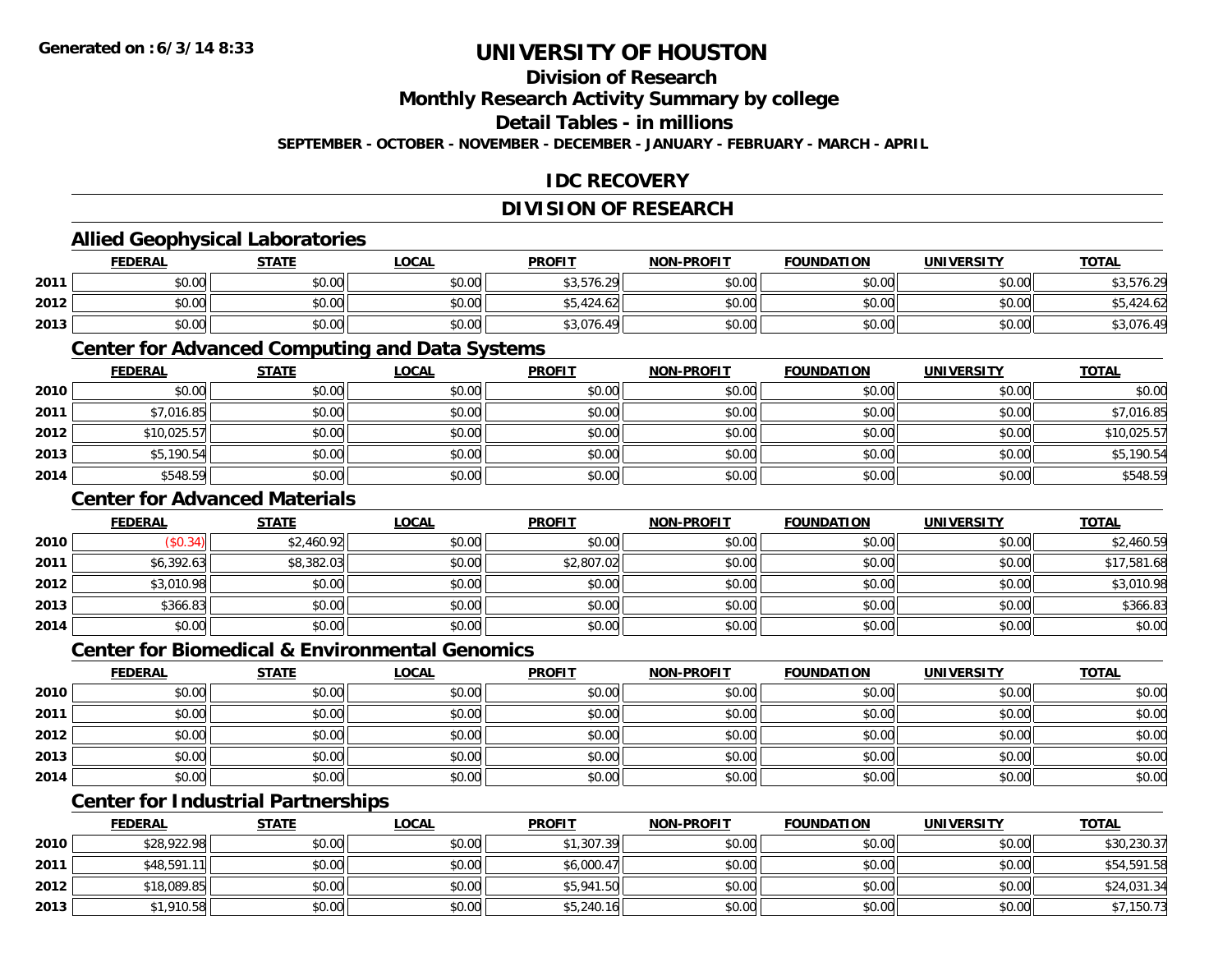### **Division of Research**

**Monthly Research Activity Summary by college**

**Detail Tables - in millions**

**SEPTEMBER - OCTOBER - NOVEMBER - DECEMBER - JANUARY - FEBRUARY - MARCH - APRIL**

### **IDC RECOVERY**

## **DIVISION OF RESEARCH**

### **Allied Geophysical Laboratories**

|      | <b>FEDERAL</b> | <b>STATE</b>          | <b>_OCAL</b> | <b>PROFIT</b> | <b>NON-PROFIT</b> | <b>FOUNDATION</b> | <b>UNIVERSITY</b> | <b>TOTAL</b> |
|------|----------------|-----------------------|--------------|---------------|-------------------|-------------------|-------------------|--------------|
| 2011 | \$0.00         | <b>AO OO</b><br>JU.UU | \$0.00       | \$3,576.29    | \$0.00            | \$0.00            | \$0.00            | 0.3,576.29   |
| 2012 | \$0.00         | \$0.00                | \$0.00       | \$5,424.62    | \$0.00            | \$0.00            | \$0.00 l          | .424.62      |
| 2013 | \$0.00         | \$0.00                | \$0.00       | \$3,076.49    | \$0.00            | \$0.00            | \$0.00            | \$3,076.49   |

#### **Center for Advanced Computing and Data Systems**

|      | <b>FEDERAL</b> | <b>STATE</b> | <b>LOCAL</b> | <b>PROFIT</b> | <b>NON-PROFIT</b> | <b>FOUNDATION</b> | <b>UNIVERSITY</b> | <b>TOTAL</b> |
|------|----------------|--------------|--------------|---------------|-------------------|-------------------|-------------------|--------------|
| 2010 | \$0.00         | \$0.00       | \$0.00       | \$0.00        | \$0.00            | \$0.00            | \$0.00            | \$0.00       |
| 2011 | \$7,016.85     | \$0.00       | \$0.00       | \$0.00        | \$0.00            | \$0.00            | \$0.00            | \$7,016.85   |
| 2012 | \$10,025.57    | \$0.00       | \$0.00       | \$0.00        | \$0.00            | \$0.00            | \$0.00            | \$10,025.57  |
| 2013 | \$5,190.54     | \$0.00       | \$0.00       | \$0.00        | \$0.00            | \$0.00            | \$0.00            | \$5,190.54   |
| 2014 | \$548.59       | \$0.00       | \$0.00       | \$0.00        | \$0.00            | \$0.00            | \$0.00            | \$548.59     |

#### **Center for Advanced Materials**

|      | <b>FEDERAL</b> | <b>STATE</b> | <u>LOCAL</u> | <b>PROFIT</b> | <b>NON-PROFIT</b> | <b>FOUNDATION</b> | <b>UNIVERSITY</b> | <b>TOTAL</b> |
|------|----------------|--------------|--------------|---------------|-------------------|-------------------|-------------------|--------------|
| 2010 | (\$0.34)       | \$2,460.92   | \$0.00       | \$0.00        | \$0.00            | \$0.00            | \$0.00            | \$2,460.59   |
| 2011 | \$6,392.63     | \$8,382.03   | \$0.00       | \$2,807.02    | \$0.00            | \$0.00            | \$0.00            | \$17,581.68  |
| 2012 | \$3,010.98     | \$0.00       | \$0.00       | \$0.00        | \$0.00            | \$0.00            | \$0.00            | \$3,010.98   |
| 2013 | \$366.83       | \$0.00       | \$0.00       | \$0.00        | \$0.00            | \$0.00            | \$0.00            | \$366.83     |
| 2014 | \$0.00         | \$0.00       | \$0.00       | \$0.00        | \$0.00            | \$0.00            | \$0.00            | \$0.00       |

#### **Center for Biomedical & Environmental Genomics**

|      | <u>FEDERAL</u> | <b>STATE</b> | <b>LOCAL</b> | <b>PROFIT</b> | NON-PROFIT | <b>FOUNDATION</b> | <b>UNIVERSITY</b> | <b>TOTAL</b> |
|------|----------------|--------------|--------------|---------------|------------|-------------------|-------------------|--------------|
| 2010 | \$0.00         | \$0.00       | \$0.00       | \$0.00        | \$0.00     | \$0.00            | \$0.00            | \$0.00       |
| 2011 | \$0.00         | \$0.00       | \$0.00       | \$0.00        | \$0.00     | \$0.00            | \$0.00            | \$0.00       |
| 2012 | \$0.00         | \$0.00       | \$0.00       | \$0.00        | \$0.00     | \$0.00            | \$0.00            | \$0.00       |
| 2013 | \$0.00         | \$0.00       | \$0.00       | \$0.00        | \$0.00     | \$0.00            | \$0.00            | \$0.00       |
| 2014 | \$0.00         | \$0.00       | \$0.00       | \$0.00        | \$0.00     | \$0.00            | \$0.00            | \$0.00       |

# **Center for Industrial Partnerships**

|      | <u>FEDERAL</u> | <b>STATE</b> | <b>LOCAL</b> | <b>PROFIT</b> | <b>NON-PROFIT</b> | <b>FOUNDATION</b> | <b>UNIVERSITY</b> | <b>TOTAL</b> |
|------|----------------|--------------|--------------|---------------|-------------------|-------------------|-------------------|--------------|
| 2010 | \$28,922.98    | \$0.00       | \$0.00       | \$1,307.39    | \$0.00            | \$0.00            | \$0.00            | \$30,230.37  |
| 2011 | \$48,591.11    | \$0.00       | \$0.00       | \$6,000.47    | \$0.00            | \$0.00            | \$0.00            | \$54,591.58  |
| 2012 | \$18,089.85    | \$0.00       | \$0.00       | \$5,941.50    | \$0.00            | \$0.00            | \$0.00            | \$24,031.34  |
| 2013 | \$1,910.58     | \$0.00       | \$0.00       | \$5,240.16    | \$0.00            | \$0.00            | \$0.00            | \$7,150.73   |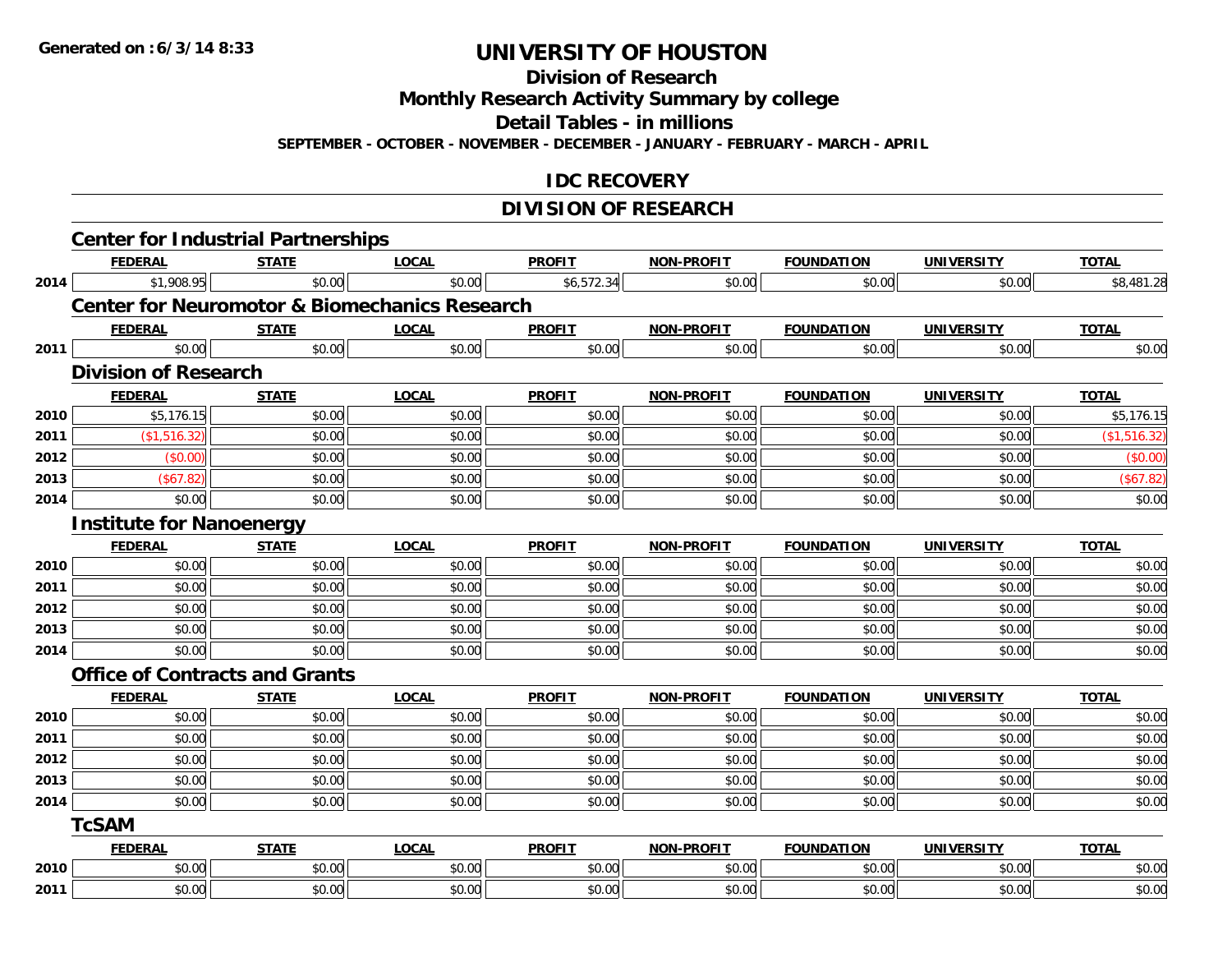**Division of Research**

**Monthly Research Activity Summary by college**

**Detail Tables - in millions**

**SEPTEMBER - OCTOBER - NOVEMBER - DECEMBER - JANUARY - FEBRUARY - MARCH - APRIL**

#### **IDC RECOVERY**

## **DIVISION OF RESEARCH**

|      |                                 | <b>Center for Industrial Partnerships</b>                |              |               |                   |                   |                   |              |
|------|---------------------------------|----------------------------------------------------------|--------------|---------------|-------------------|-------------------|-------------------|--------------|
|      | <b>FEDERAL</b>                  | <b>STATE</b>                                             | <b>LOCAL</b> | <b>PROFIT</b> | NON-PROFIT        | <b>FOUNDATION</b> | <b>UNIVERSITY</b> | <b>TOTAL</b> |
| 2014 | \$1,908.95                      | \$0.00                                                   | \$0.00       | \$6,572.34    | \$0.00            | \$0.00            | \$0.00            | \$8,481.28   |
|      |                                 | <b>Center for Neuromotor &amp; Biomechanics Research</b> |              |               |                   |                   |                   |              |
|      | <b>FEDERAL</b>                  | <b>STATE</b>                                             | <b>LOCAL</b> | <b>PROFIT</b> | <b>NON-PROFIT</b> | <b>FOUNDATION</b> | <b>UNIVERSITY</b> | <b>TOTAL</b> |
| 2011 | \$0.00                          | \$0.00                                                   | \$0.00       | \$0.00        | \$0.00            | \$0.00            | \$0.00            | \$0.00       |
|      | <b>Division of Research</b>     |                                                          |              |               |                   |                   |                   |              |
|      | <b>FEDERAL</b>                  | <b>STATE</b>                                             | <b>LOCAL</b> | <b>PROFIT</b> | <b>NON-PROFIT</b> | <b>FOUNDATION</b> | <b>UNIVERSITY</b> | <b>TOTAL</b> |
| 2010 | \$5,176.15                      | \$0.00                                                   | \$0.00       | \$0.00        | \$0.00            | \$0.00            | \$0.00            | \$5,176.15   |
| 2011 | (\$1,516.32)                    | \$0.00                                                   | \$0.00       | \$0.00        | \$0.00            | \$0.00            | \$0.00            | (\$1,516.32) |
| 2012 | (\$0.00)                        | \$0.00                                                   | \$0.00       | \$0.00        | \$0.00            | \$0.00            | \$0.00            | (\$0.00)     |
| 2013 | (\$67.82)                       | \$0.00                                                   | \$0.00       | \$0.00        | \$0.00            | \$0.00            | \$0.00            | (\$67.82)    |
| 2014 | \$0.00                          | \$0.00                                                   | \$0.00       | \$0.00        | \$0.00            | \$0.00            | \$0.00            | \$0.00       |
|      | <b>Institute for Nanoenergy</b> |                                                          |              |               |                   |                   |                   |              |
|      | <b>FEDERAL</b>                  | <b>STATE</b>                                             | <b>LOCAL</b> | <b>PROFIT</b> | <b>NON-PROFIT</b> | <b>FOUNDATION</b> | <b>UNIVERSITY</b> | <b>TOTAL</b> |
| 2010 | \$0.00                          | \$0.00                                                   | \$0.00       | \$0.00        | \$0.00            | \$0.00            | \$0.00            | \$0.00       |
| 2011 | \$0.00                          | \$0.00                                                   | \$0.00       | \$0.00        | \$0.00            | \$0.00            | \$0.00            | \$0.00       |
| 2012 | \$0.00                          | \$0.00                                                   | \$0.00       | \$0.00        | \$0.00            | \$0.00            | \$0.00            | \$0.00       |
| 2013 | \$0.00                          | \$0.00                                                   | \$0.00       | \$0.00        | \$0.00            | \$0.00            | \$0.00            | \$0.00       |
| 2014 | \$0.00                          | \$0.00                                                   | \$0.00       | \$0.00        | \$0.00            | \$0.00            | \$0.00            | \$0.00       |
|      |                                 | <b>Office of Contracts and Grants</b>                    |              |               |                   |                   |                   |              |
|      | <b>FEDERAL</b>                  | <b>STATE</b>                                             | <b>LOCAL</b> | <b>PROFIT</b> | <b>NON-PROFIT</b> | <b>FOUNDATION</b> | <b>UNIVERSITY</b> | <b>TOTAL</b> |
| 2010 | \$0.00                          | \$0.00                                                   | \$0.00       | \$0.00        | \$0.00            | \$0.00            | \$0.00            | \$0.00       |
| 2011 | \$0.00                          | \$0.00                                                   | \$0.00       | \$0.00        | \$0.00            | \$0.00            | \$0.00            | \$0.00       |
| 2012 | \$0.00                          | \$0.00                                                   | \$0.00       | \$0.00        | \$0.00            | \$0.00            | \$0.00            | \$0.00       |
| 2013 | \$0.00                          | \$0.00                                                   | \$0.00       | \$0.00        | \$0.00            | \$0.00            | \$0.00            | \$0.00       |
| 2014 | \$0.00                          | \$0.00                                                   | \$0.00       | \$0.00        | \$0.00            | \$0.00            | \$0.00            | \$0.00       |
|      | <b>TcSAM</b>                    |                                                          |              |               |                   |                   |                   |              |
|      | <b>FEDERAL</b>                  | <b>STATE</b>                                             | <b>LOCAL</b> | <b>PROFIT</b> | <b>NON-PROFIT</b> | <b>FOUNDATION</b> | <b>UNIVERSITY</b> | <b>TOTAL</b> |
| 2010 | \$0.00                          | \$0.00                                                   | \$0.00       | \$0.00        | \$0.00            | \$0.00            | \$0.00            | \$0.00       |
| 2011 | \$0.00                          | \$0.00                                                   | \$0.00       | \$0.00        | \$0.00            | \$0.00            | \$0.00            | \$0.00       |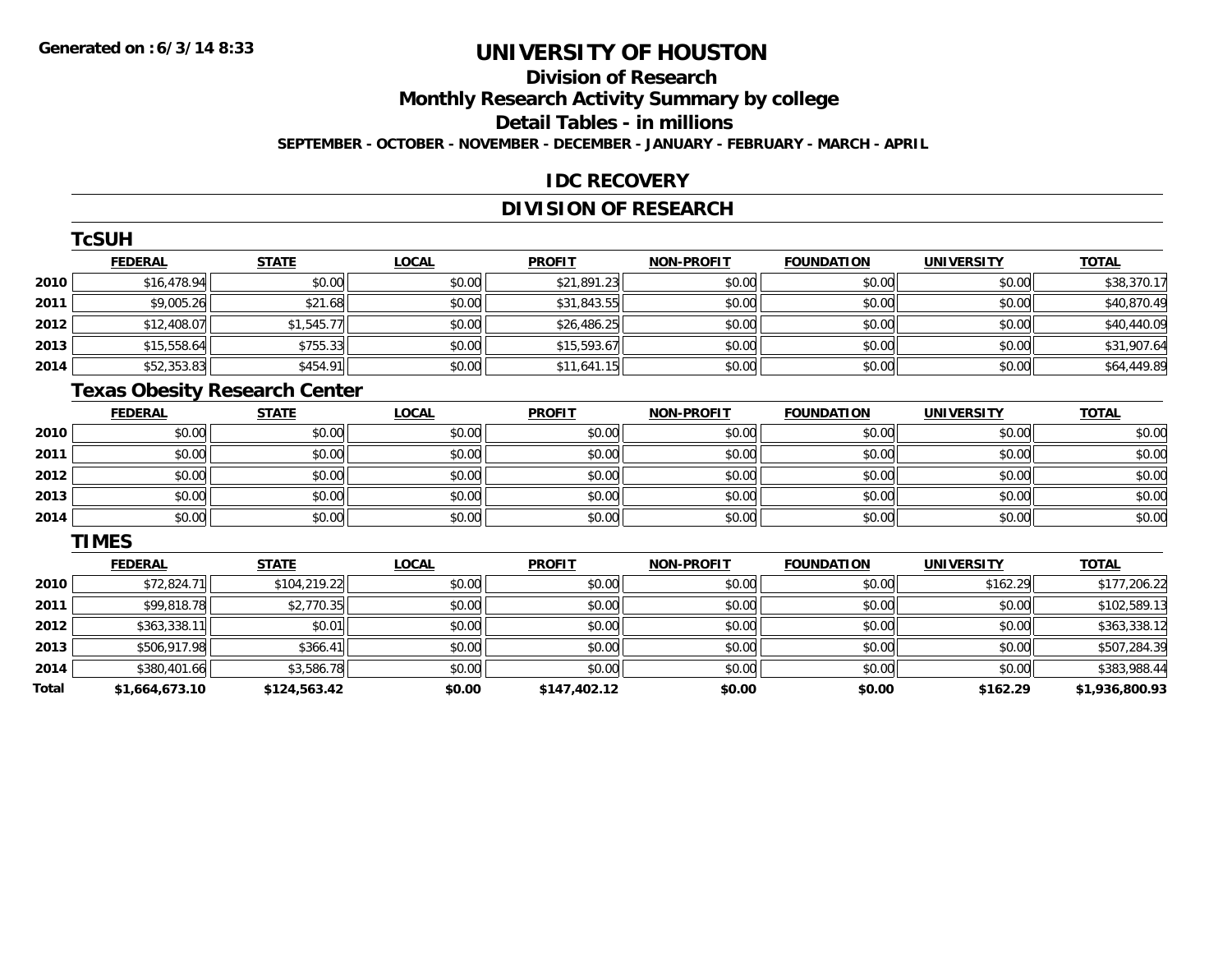# **Division of Research**

**Monthly Research Activity Summary by college**

**Detail Tables - in millions**

**SEPTEMBER - OCTOBER - NOVEMBER - DECEMBER - JANUARY - FEBRUARY - MARCH - APRIL**

#### **IDC RECOVERY**

## **DIVISION OF RESEARCH**

|      | ⊺cSUH          |              |              |               |                   |                   |                   |              |
|------|----------------|--------------|--------------|---------------|-------------------|-------------------|-------------------|--------------|
|      | <b>FEDERAL</b> | <b>STATE</b> | <b>LOCAL</b> | <b>PROFIT</b> | <b>NON-PROFIT</b> | <b>FOUNDATION</b> | <b>UNIVERSITY</b> | <b>TOTAL</b> |
| 2010 | \$16,478.94    | \$0.00       | \$0.00       | \$21,891.23   | \$0.00            | \$0.00            | \$0.00            | \$38,370.17  |
| 2011 | \$9,005.26     | \$21.68      | \$0.00       | \$31,843.55   | \$0.00            | \$0.00            | \$0.00            | \$40,870.49  |
| 2012 | \$12,408.07    | \$1,545.77   | \$0.00       | \$26,486.25   | \$0.00            | \$0.00            | \$0.00            | \$40,440.09  |
| 2013 | \$15,558.64    | \$755.33     | \$0.00       | \$15,593.67   | \$0.00            | \$0.00            | \$0.00            | \$31,907.64  |
| 2014 | \$52,353.83    | \$454.91     | \$0.00       | \$11,641.15   | \$0.00            | \$0.00            | \$0.00            | \$64,449.89  |
|      |                |              |              |               |                   |                   |                   |              |

# **Texas Obesity Research Center**

|      | <b>FEDERAL</b> | <b>STATE</b> | <u>LOCAL</u> | <b>PROFIT</b> | <b>NON-PROFIT</b> | <b>FOUNDATION</b> | <b>UNIVERSITY</b> | <b>TOTAL</b> |
|------|----------------|--------------|--------------|---------------|-------------------|-------------------|-------------------|--------------|
| 2010 | \$0.00         | \$0.00       | \$0.00       | \$0.00        | \$0.00            | \$0.00            | \$0.00            | \$0.00       |
| 2011 | \$0.00         | \$0.00       | \$0.00       | \$0.00        | \$0.00            | \$0.00            | \$0.00            | \$0.00       |
| 2012 | \$0.00         | \$0.00       | \$0.00       | \$0.00        | \$0.00            | \$0.00            | \$0.00            | \$0.00       |
| 2013 | \$0.00         | \$0.00       | \$0.00       | \$0.00        | \$0.00            | \$0.00            | \$0.00            | \$0.00       |
| 2014 | \$0.00         | \$0.00       | \$0.00       | \$0.00        | \$0.00            | \$0.00            | \$0.00            | \$0.00       |

#### **TIMES**

**TCSUM** 

|       | <b>FEDERAL</b> | <b>STATE</b> | <b>LOCAL</b> | <b>PROFIT</b> | <b>NON-PROFIT</b> | <b>FOUNDATION</b> | <b>UNIVERSITY</b> | <b>TOTAL</b>   |
|-------|----------------|--------------|--------------|---------------|-------------------|-------------------|-------------------|----------------|
| 2010  | \$72,824.71    | \$104,219.22 | \$0.00       | \$0.00        | \$0.00            | \$0.00            | \$162.29          | \$177,206.22   |
| 2011  | \$99,818.78    | \$2,770.35   | \$0.00       | \$0.00        | \$0.00            | \$0.00            | \$0.00            | \$102,589.13   |
| 2012  | \$363,338.11   | \$0.01       | \$0.00       | \$0.00        | \$0.00            | \$0.00            | \$0.00            | \$363,338.12   |
| 2013  | \$506,917.98   | \$366.41     | \$0.00       | \$0.00        | \$0.00            | \$0.00            | \$0.00            | \$507,284.39   |
| 2014  | \$380,401.66   | \$3,586.78   | \$0.00       | \$0.00        | \$0.00            | \$0.00            | \$0.00            | \$383,988.44   |
| Total | \$1,664,673.10 | \$124,563.42 | \$0.00       | \$147,402.12  | \$0.00            | \$0.00            | \$162.29          | \$1,936,800.93 |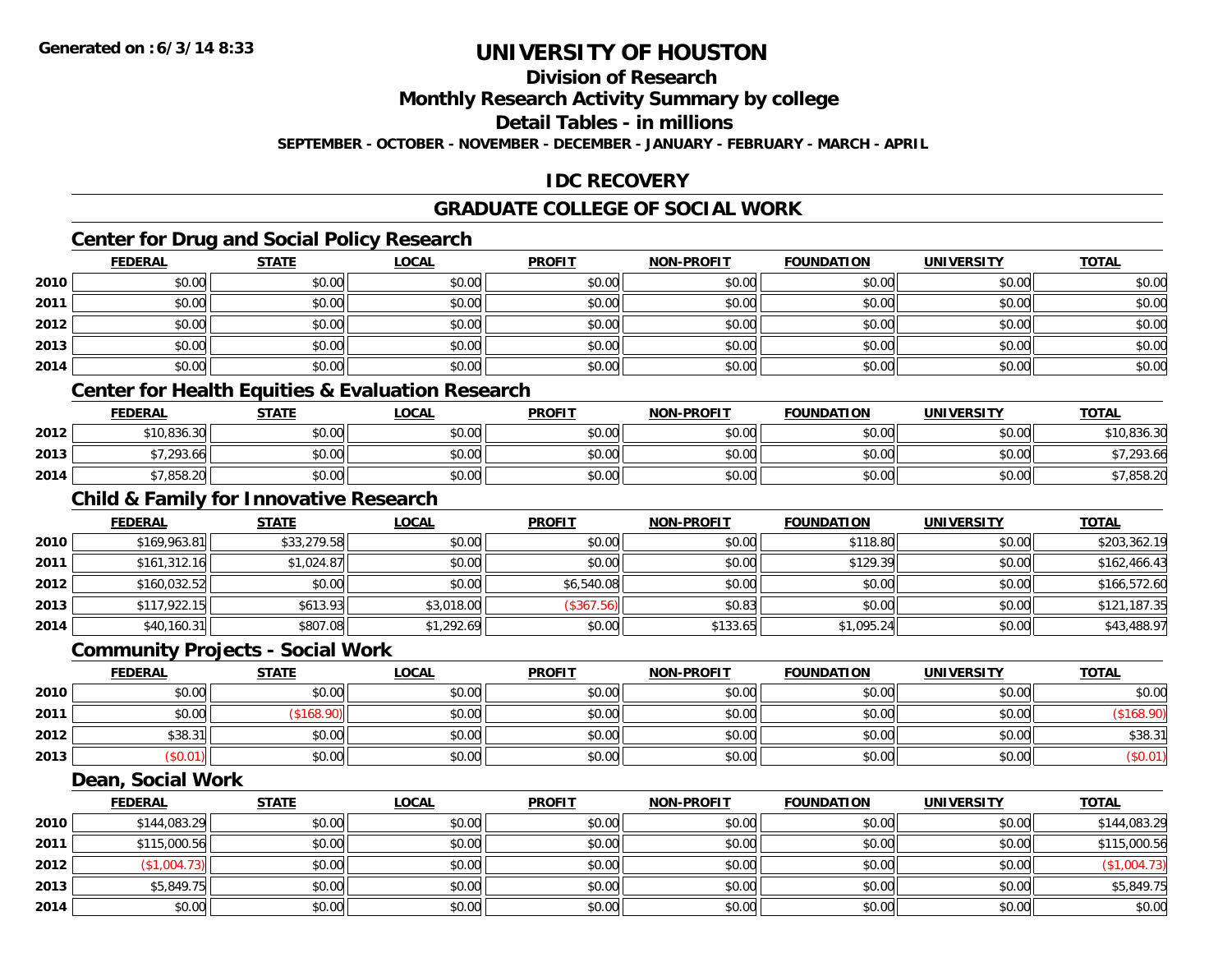## **Division of Research**

**Monthly Research Activity Summary by college**

**Detail Tables - in millions**

**SEPTEMBER - OCTOBER - NOVEMBER - DECEMBER - JANUARY - FEBRUARY - MARCH - APRIL**

### **IDC RECOVERY**

## **GRADUATE COLLEGE OF SOCIAL WORK**

## **Center for Drug and Social Policy Research**

|      | <b>FEDERAL</b> | <b>STATE</b> | <u>LOCAL</u> | <b>PROFIT</b> | <b>NON-PROFIT</b> | <b>FOUNDATION</b> | <b>UNIVERSITY</b> | <b>TOTAL</b> |
|------|----------------|--------------|--------------|---------------|-------------------|-------------------|-------------------|--------------|
| 2010 | \$0.00         | \$0.00       | \$0.00       | \$0.00        | \$0.00            | \$0.00            | \$0.00            | \$0.00       |
| 2011 | \$0.00         | \$0.00       | \$0.00       | \$0.00        | \$0.00            | \$0.00            | \$0.00            | \$0.00       |
| 2012 | \$0.00         | \$0.00       | \$0.00       | \$0.00        | \$0.00            | \$0.00            | \$0.00            | \$0.00       |
| 2013 | \$0.00         | \$0.00       | \$0.00       | \$0.00        | \$0.00            | \$0.00            | \$0.00            | \$0.00       |
| 2014 | \$0.00         | \$0.00       | \$0.00       | \$0.00        | \$0.00            | \$0.00            | \$0.00            | \$0.00       |

#### **Center for Health Equities & Evaluation Research**

|      | <b>FEDERAL</b> | <b>STATE</b> | <u>LOCAL</u> | <b>PROFIT</b> | <b>NON-PROFIT</b> | <b>FOUNDATION</b> | UNIVERSITY | <b>TOTAL</b> |
|------|----------------|--------------|--------------|---------------|-------------------|-------------------|------------|--------------|
| 2012 | \$10,836.30    | \$0.00       | \$0.00       | \$0.00        | \$0.00            | \$0.00            | \$0.00     | \$10,836.30  |
| 2013 | \$7,293.66     | \$0.00       | \$0.00       | \$0.00        | \$0.00            | \$0.00            | \$0.00     | ,293.66      |
| 2014 | \$7,858.20     | \$0.00       | \$0.00       | \$0.00        | \$0.00            | \$0.00            | \$0.00     | 858.20,      |

# **Child & Family for Innovative Research**

|      | <b>FEDERAL</b> | <u>STATE</u> | <u>LOCAL</u> | <b>PROFIT</b> | <b>NON-PROFIT</b> | <b>FOUNDATION</b> | <b>UNIVERSITY</b> | <b>TOTAL</b> |
|------|----------------|--------------|--------------|---------------|-------------------|-------------------|-------------------|--------------|
| 2010 | \$169,963.81   | \$33,279.58  | \$0.00       | \$0.00        | \$0.00            | \$118.80          | \$0.00            | \$203,362.19 |
| 2011 | \$161,312.16   | \$1,024.87   | \$0.00       | \$0.00        | \$0.00            | \$129.39          | \$0.00            | \$162,466.43 |
| 2012 | \$160,032.52   | \$0.00       | \$0.00       | \$6,540.08    | \$0.00            | \$0.00            | \$0.00            | \$166,572.60 |
| 2013 | \$117.922.15   | \$613.93     | \$3,018.00   | (\$367.56)    | \$0.83            | \$0.00            | \$0.00            | \$121,187.35 |
| 2014 | \$40,160.31    | \$807.08     | \$1,292.69   | \$0.00        | \$133.65          | \$1,095.24        | \$0.00            | \$43,488.97  |

#### **Community Projects - Social Work**

|      | <b>FEDERAL</b> | STATE  | <b>LOCAL</b> | <b>PROFIT</b> | <b>NON-PROFIT</b> | <b>FOUNDATION</b> | UNIVERSITY | <b>TOTAL</b> |
|------|----------------|--------|--------------|---------------|-------------------|-------------------|------------|--------------|
| 2010 | \$0.00         | \$0.00 | \$0.00       | \$0.00        | \$0.00            | \$0.00            | \$0.00     | \$0.00       |
| 2011 | \$0.00         |        | \$0.00       | \$0.00        | \$0.00            | \$0.00            | \$0.00     |              |
| 2012 | \$38.31        | \$0.00 | \$0.00       | \$0.00        | \$0.00            | \$0.00            | \$0.00     | \$38.31      |
| 2013 | \$0.01]        | \$0.00 | \$0.00       | \$0.00        | \$0.00            | \$0.00            | \$0.00     | (\$0.01)     |

#### **Dean, Social Work**

|      | <b>FEDERAL</b> | <b>STATE</b> | <b>LOCAL</b> | <b>PROFIT</b> | <b>NON-PROFIT</b> | <b>FOUNDATION</b> | <b>UNIVERSITY</b> | <b>TOTAL</b> |
|------|----------------|--------------|--------------|---------------|-------------------|-------------------|-------------------|--------------|
| 2010 | \$144,083.29   | \$0.00       | \$0.00       | \$0.00        | \$0.00            | \$0.00            | \$0.00            | \$144,083.29 |
| 2011 | \$115,000.56   | \$0.00       | \$0.00       | \$0.00        | \$0.00            | \$0.00            | \$0.00            | \$115,000.56 |
| 2012 | \$1,004.73)    | \$0.00       | \$0.00       | \$0.00        | \$0.00            | \$0.00            | \$0.00            | (\$1,004.73) |
| 2013 | \$5,849.75     | \$0.00       | \$0.00       | \$0.00        | \$0.00            | \$0.00            | \$0.00            | \$5,849.75   |
| 2014 | \$0.00         | \$0.00       | \$0.00       | \$0.00        | \$0.00            | \$0.00            | \$0.00            | \$0.00       |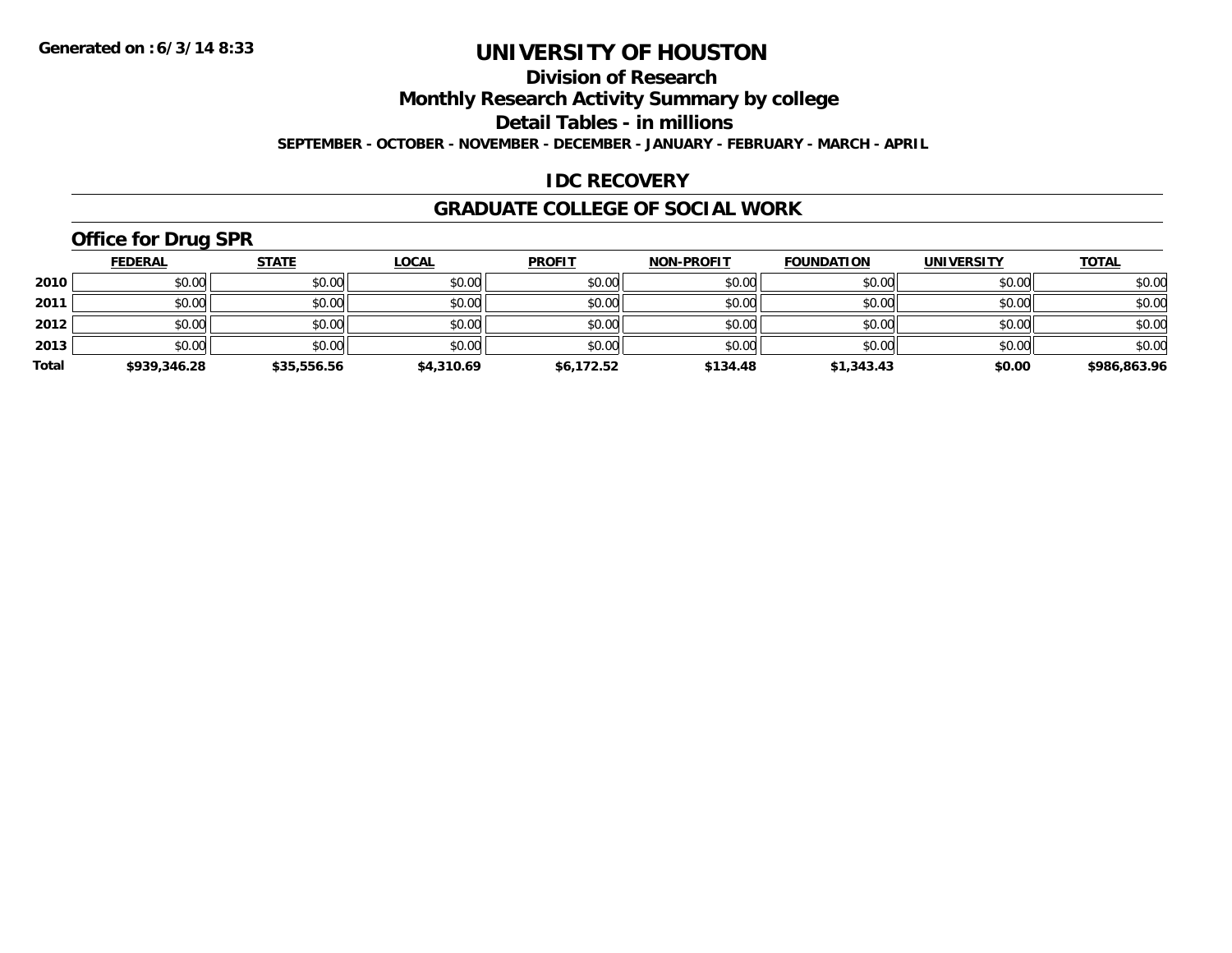**Division of Research**

**Monthly Research Activity Summary by college**

**Detail Tables - in millions**

**SEPTEMBER - OCTOBER - NOVEMBER - DECEMBER - JANUARY - FEBRUARY - MARCH - APRIL**

#### **IDC RECOVERY**

#### **GRADUATE COLLEGE OF SOCIAL WORK**

# **Office for Drug SPR**

|       | <b>FEDERAL</b> | <u>STATE</u> | <b>LOCAL</b> | <b>PROFIT</b> | <b>NON-PROFIT</b> | <b>FOUNDATION</b> | <b>UNIVERSITY</b> | <b>TOTAL</b> |
|-------|----------------|--------------|--------------|---------------|-------------------|-------------------|-------------------|--------------|
| 2010  | \$0.00         | \$0.00       | \$0.00       | \$0.00        | \$0.00            | \$0.00            | \$0.00            | \$0.00       |
| 2011  | \$0.00         | \$0.00       | \$0.00       | \$0.00        | \$0.00            | \$0.00            | \$0.00            | \$0.00       |
| 2012  | \$0.00         | \$0.00       | \$0.00       | \$0.00        | \$0.00            | \$0.00            | \$0.00            | \$0.00       |
| 2013  | \$0.00         | \$0.00       | \$0.00       | \$0.00        | \$0.00            | \$0.00            | \$0.00            | \$0.00       |
| Total | \$939,346.28   | \$35,556.56  | \$4,310.69   | \$6,172.52    | \$134.48          | \$1,343.43        | \$0.00            | \$986,863.96 |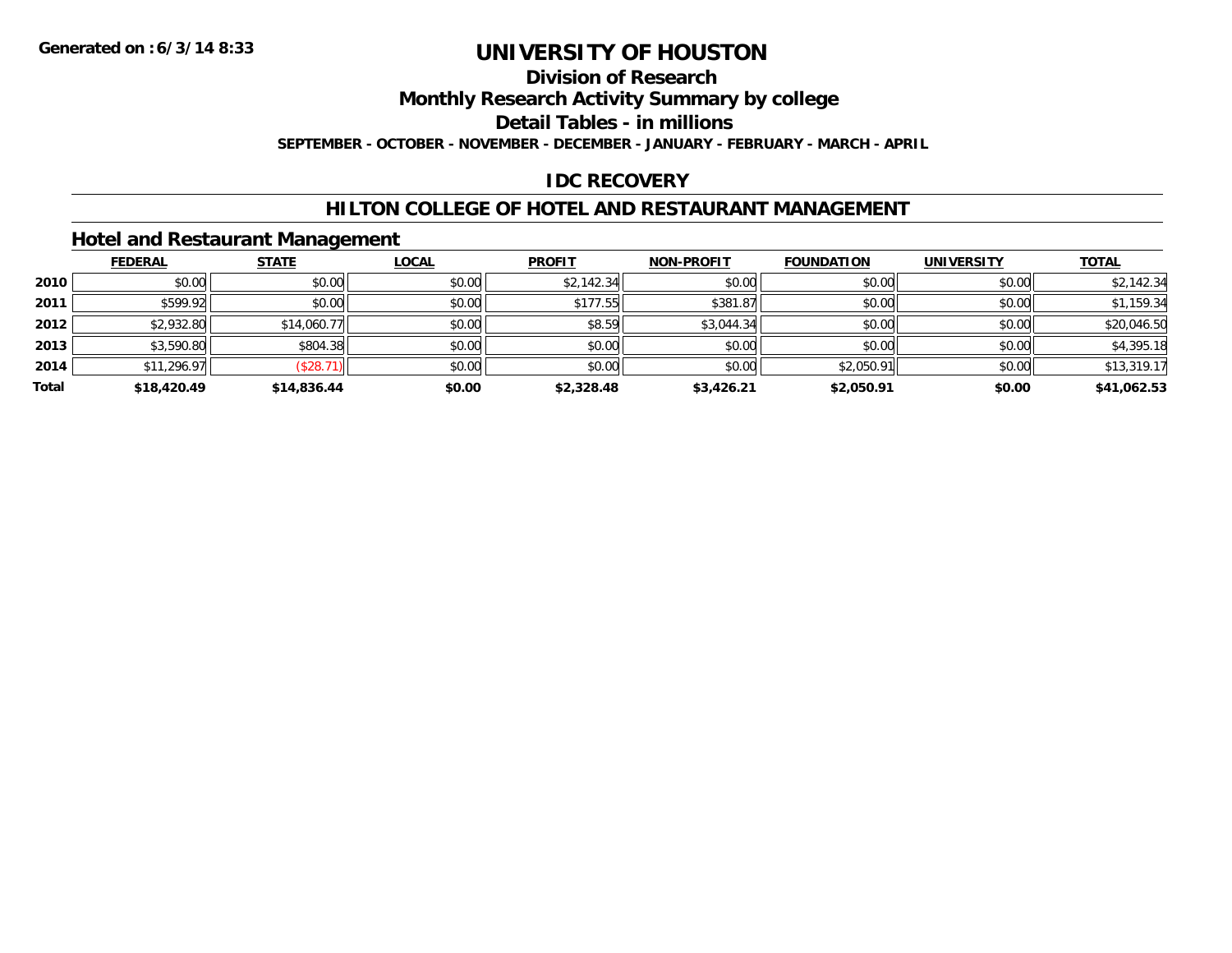# **Division of Research**

**Monthly Research Activity Summary by college**

**Detail Tables - in millions**

**SEPTEMBER - OCTOBER - NOVEMBER - DECEMBER - JANUARY - FEBRUARY - MARCH - APRIL**

#### **IDC RECOVERY**

#### **HILTON COLLEGE OF HOTEL AND RESTAURANT MANAGEMENT**

#### **Hotel and Restaurant Management**

|       | <b>FEDERAL</b> | <b>STATE</b> | <u>LOCAL</u> | <b>PROFIT</b> | <b>NON-PROFIT</b> | <b>FOUNDATION</b> | <b>UNIVERSITY</b> | <b>TOTAL</b> |
|-------|----------------|--------------|--------------|---------------|-------------------|-------------------|-------------------|--------------|
| 2010  | \$0.00         | \$0.00       | \$0.00       | \$2,142.34    | \$0.00            | \$0.00            | \$0.00            | \$2,142.34   |
| 2011  | \$599.92       | \$0.00       | \$0.00       | \$177.55      | \$381.87          | \$0.00            | \$0.00            | \$1,159.34   |
| 2012  | \$2,932.80     | \$14,060.77  | \$0.00       | \$8.59        | \$3,044.34        | \$0.00            | \$0.00            | \$20,046.50  |
| 2013  | \$3,590.80     | \$804.38     | \$0.00       | \$0.00        | \$0.00            | \$0.00            | \$0.00            | \$4,395.18   |
| 2014  | \$11,296.97    | (\$28.71)    | \$0.00       | \$0.00        | \$0.00            | \$2,050.91        | \$0.00            | \$13,319.17  |
| Total | \$18,420.49    | \$14,836.44  | \$0.00       | \$2,328.48    | \$3,426.21        | \$2,050.91        | \$0.00            | \$41,062.53  |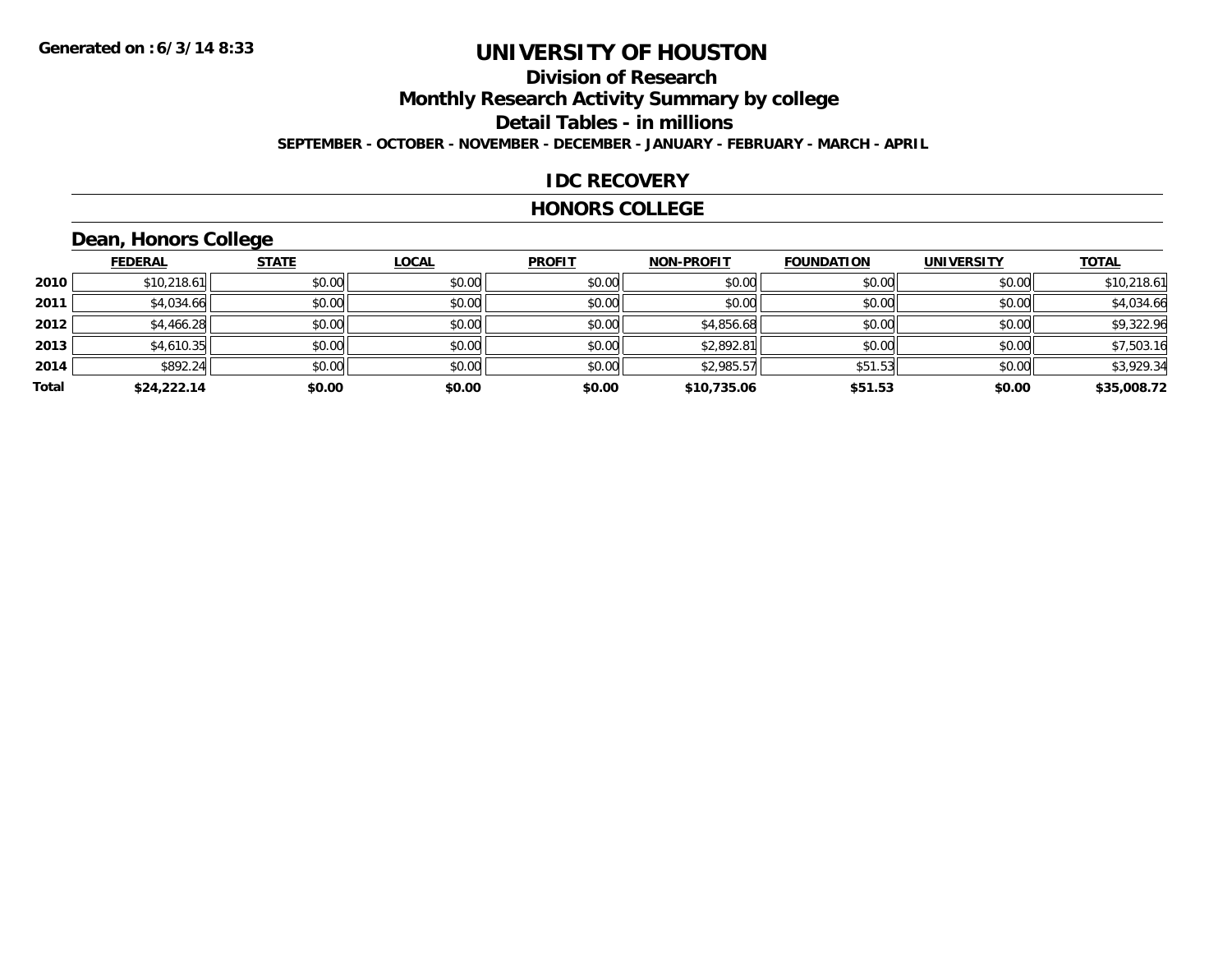# **Division of Research**

**Monthly Research Activity Summary by college**

**Detail Tables - in millions**

**SEPTEMBER - OCTOBER - NOVEMBER - DECEMBER - JANUARY - FEBRUARY - MARCH - APRIL**

#### **IDC RECOVERY**

#### **HONORS COLLEGE**

# **Dean, Honors College**

|       | <b>FEDERAL</b> | <b>STATE</b> | <b>LOCAL</b> | <b>PROFIT</b> | <b>NON-PROFIT</b> | <b>FOUNDATION</b> | <b>UNIVERSITY</b> | <b>TOTAL</b> |
|-------|----------------|--------------|--------------|---------------|-------------------|-------------------|-------------------|--------------|
| 2010  | \$10,218.61    | \$0.00       | \$0.00       | \$0.00        | \$0.00            | \$0.00            | \$0.00            | \$10,218.61  |
| 2011  | \$4,034.66     | \$0.00       | \$0.00       | \$0.00        | \$0.00            | \$0.00            | \$0.00            | \$4,034.66   |
| 2012  | \$4,466.28     | \$0.00       | \$0.00       | \$0.00        | \$4,856.68        | \$0.00            | \$0.00            | \$9,322.96   |
| 2013  | \$4,610.35     | \$0.00       | \$0.00       | \$0.00        | \$2,892.81        | \$0.00            | \$0.00            | \$7,503.16   |
| 2014  | \$892.24       | \$0.00       | \$0.00       | \$0.00        | \$2,985.57        | \$51.53           | \$0.00            | \$3,929.34   |
| Total | \$24,222.14    | \$0.00       | \$0.00       | \$0.00        | \$10,735.06       | \$51.53           | \$0.00            | \$35,008.72  |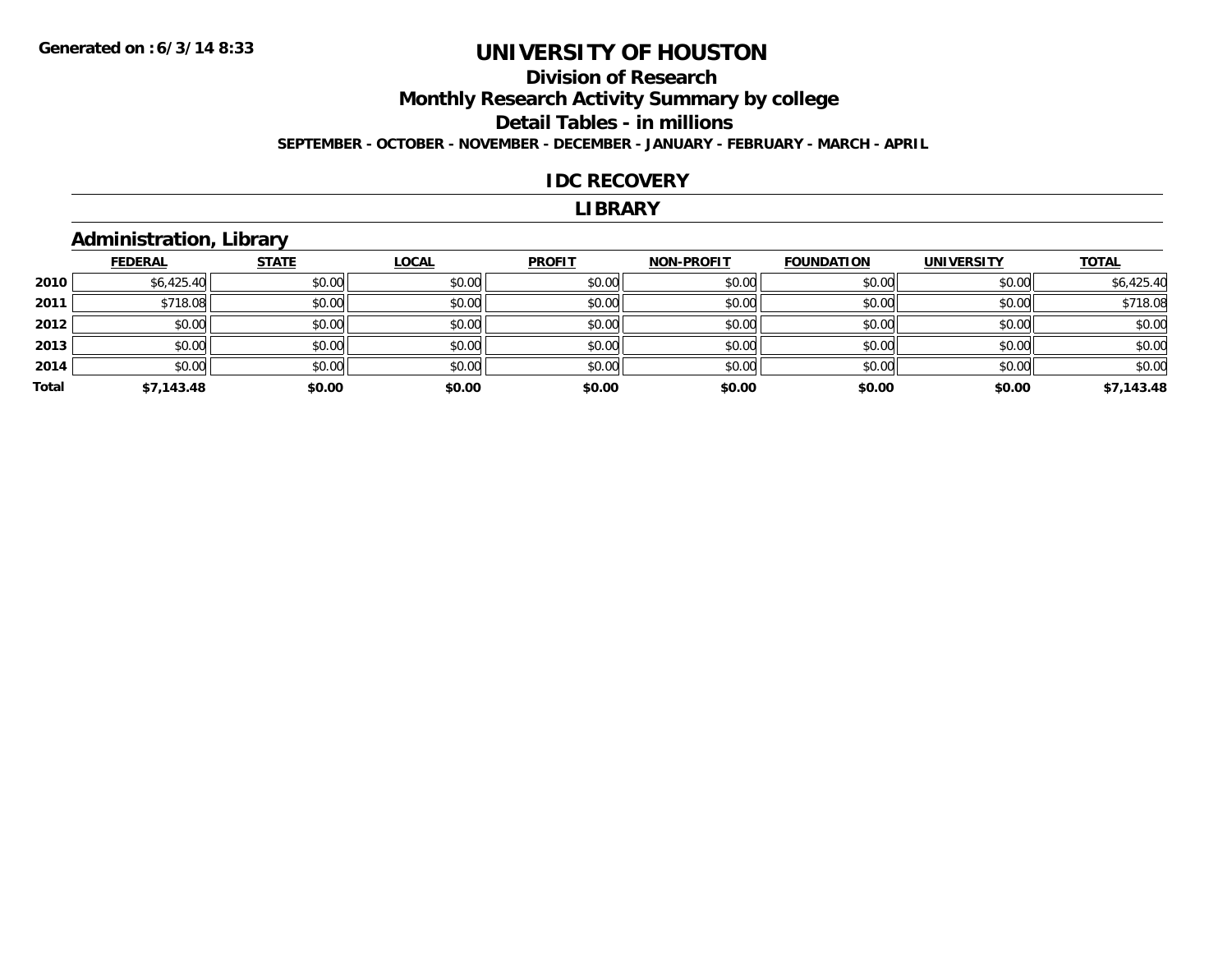#### **Division of Research Monthly Research Activity Summary by college Detail Tables - in millions SEPTEMBER - OCTOBER - NOVEMBER - DECEMBER - JANUARY - FEBRUARY - MARCH - APRIL**

#### **IDC RECOVERY**

#### **LIBRARY**

#### **Administration, Library**

|       | <b>FEDERAL</b> | <b>STATE</b> | <b>LOCAL</b> | <b>PROFIT</b> | <b>NON-PROFIT</b> | <b>FOUNDATION</b> | <b>UNIVERSITY</b> | <b>TOTAL</b> |
|-------|----------------|--------------|--------------|---------------|-------------------|-------------------|-------------------|--------------|
| 2010  | \$6,425.40     | \$0.00       | \$0.00       | \$0.00        | \$0.00            | \$0.00            | \$0.00            | \$6,425.40   |
| 2011  | \$718.08       | \$0.00       | \$0.00       | \$0.00        | \$0.00            | \$0.00            | \$0.00            | \$718.08     |
| 2012  | \$0.00         | \$0.00       | \$0.00       | \$0.00        | \$0.00            | \$0.00            | \$0.00            | \$0.00       |
| 2013  | \$0.00         | \$0.00       | \$0.00       | \$0.00        | \$0.00            | \$0.00            | \$0.00            | \$0.00       |
| 2014  | \$0.00         | \$0.00       | \$0.00       | \$0.00        | \$0.00            | \$0.00            | \$0.00            | \$0.00       |
| Total | \$7,143.48     | \$0.00       | \$0.00       | \$0.00        | \$0.00            | \$0.00            | \$0.00            | \$7,143.48   |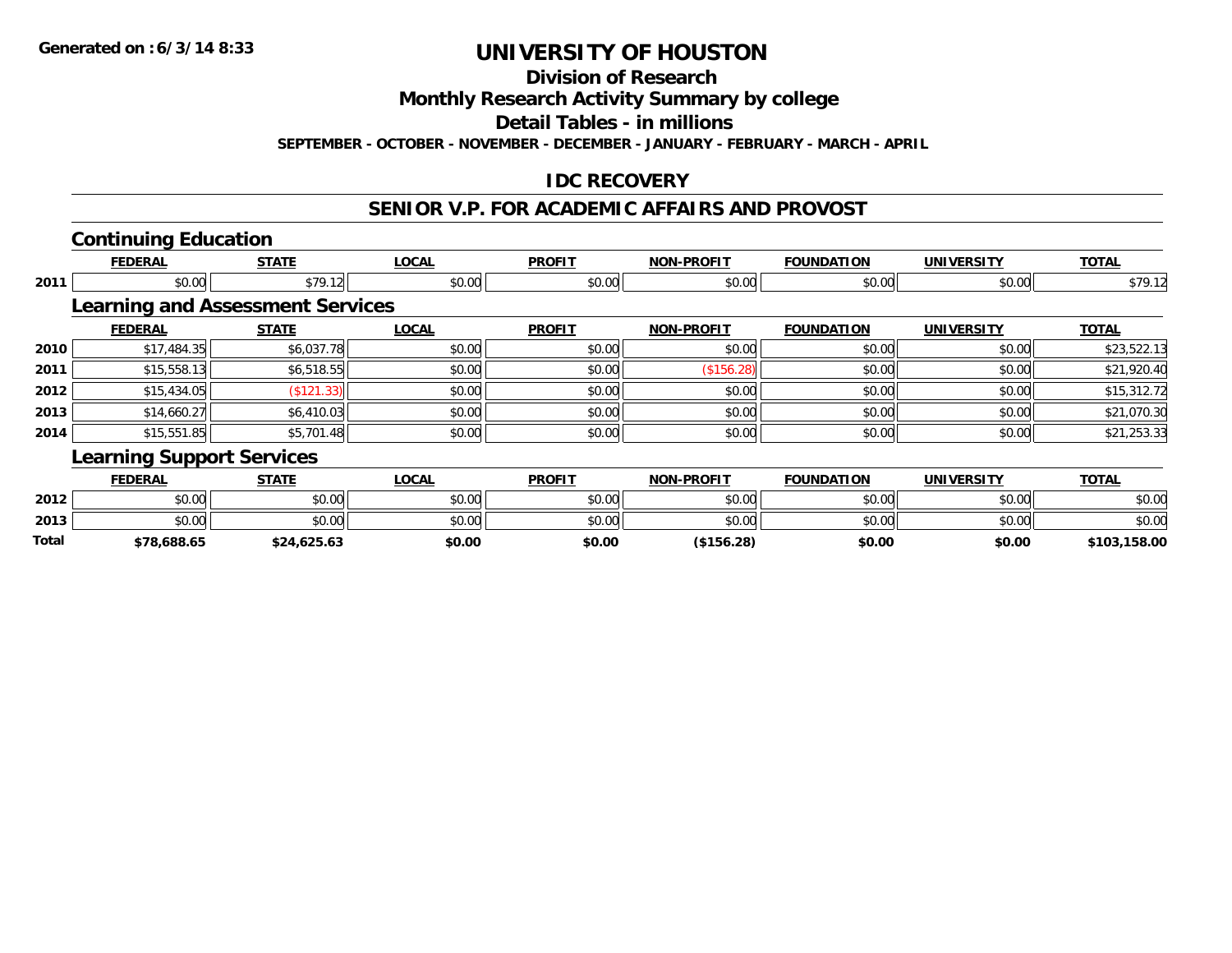**Division of Research**

**Monthly Research Activity Summary by college**

**Detail Tables - in millions**

**SEPTEMBER - OCTOBER - NOVEMBER - DECEMBER - JANUARY - FEBRUARY - MARCH - APRIL**

### **IDC RECOVERY**

### **SENIOR V.P. FOR ACADEMIC AFFAIRS AND PROVOST**

# **Continuing Education**

**2013**

**Total**

|      | <b>FEDERAL</b>                          | <b>STATE</b> | <b>LOCAL</b> | <b>PROFIT</b> | <b>NON-PROFIT</b> | <b>FOUNDATION</b> | <b>UNIVERSITY</b> | <b>TOTAL</b> |
|------|-----------------------------------------|--------------|--------------|---------------|-------------------|-------------------|-------------------|--------------|
| 2011 | \$0.00                                  | \$79.12      | \$0.00       | \$0.00        | \$0.00            | \$0.00            | \$0.00            | \$79.12      |
|      | <b>Learning and Assessment Services</b> |              |              |               |                   |                   |                   |              |
|      | <b>FEDERAL</b>                          | <b>STATE</b> | <b>LOCAL</b> | <b>PROFIT</b> | <b>NON-PROFIT</b> | <b>FOUNDATION</b> | <b>UNIVERSITY</b> | <b>TOTAL</b> |
| 2010 | \$17,484.35                             | \$6,037.78   | \$0.00       | \$0.00        | \$0.00            | \$0.00            | \$0.00            | \$23,522.13  |
| 2011 | \$15,558.13                             | \$6,518.55   | \$0.00       | \$0.00        | (\$156.28)        | \$0.00            | \$0.00            | \$21,920.40  |
| 2012 | \$15,434.05                             | (\$121.33)   | \$0.00       | \$0.00        | \$0.00            | \$0.00            | \$0.00            | \$15,312.72  |
| 2013 | \$14,660.27                             | \$6,410.03   | \$0.00       | \$0.00        | \$0.00            | \$0.00            | \$0.00            | \$21,070.30  |
| 2014 | \$15,551.85                             | \$5,701.48   | \$0.00       | \$0.00        | \$0.00            | \$0.00            | \$0.00            | \$21,253.33  |
|      | <b>Learning Support Services</b>        |              |              |               |                   |                   |                   |              |
|      | <b>FEDERAL</b>                          | <b>STATE</b> | <b>LOCAL</b> | <b>PROFIT</b> | <b>NON-PROFIT</b> | <b>FOUNDATION</b> | <b>UNIVERSITY</b> | <b>TOTAL</b> |
| 2012 | \$0.00                                  | \$0.00       | \$0.00       | \$0.00        | \$0.00            | \$0.00            | \$0.00            | \$0.00       |

3 \$0.00 | \$0.00 | \$0.00 | \$0.00 | \$0.00 | \$0.00 | \$0.00 | \$0.00

**\$78,688.65 \$24,625.63 \$0.00 \$0.00 (\$156.28) \$0.00 \$0.00 \$103,158.00**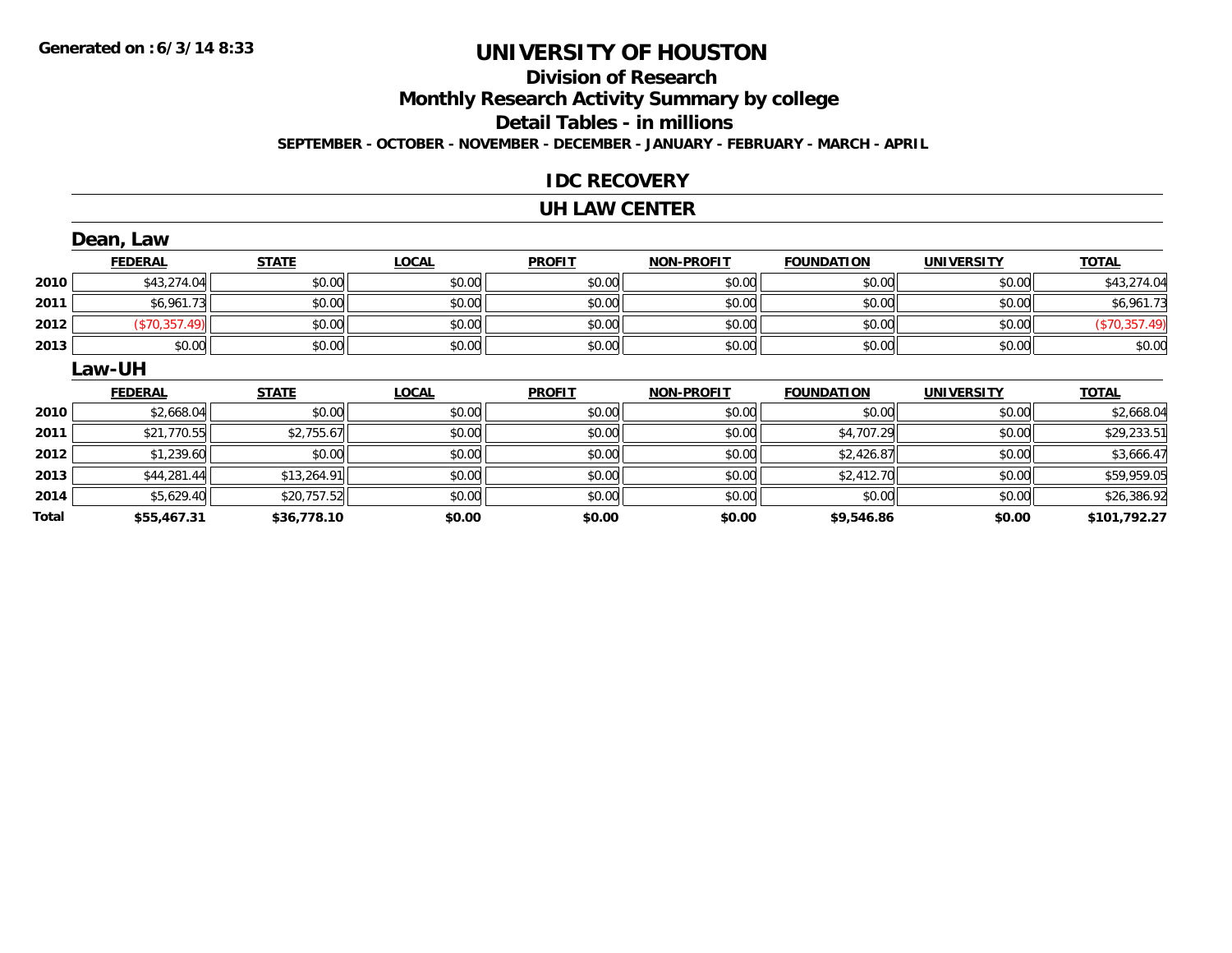#### **Division of Research**

**Monthly Research Activity Summary by college**

**Detail Tables - in millions**

**SEPTEMBER - OCTOBER - NOVEMBER - DECEMBER - JANUARY - FEBRUARY - MARCH - APRIL**

#### **IDC RECOVERY**

#### **UH LAW CENTER**

|       | Dean, Law      |              |              |               |                   |                   |                   |               |
|-------|----------------|--------------|--------------|---------------|-------------------|-------------------|-------------------|---------------|
|       | <b>FEDERAL</b> | <b>STATE</b> | <b>LOCAL</b> | <b>PROFIT</b> | <b>NON-PROFIT</b> | <b>FOUNDATION</b> | <b>UNIVERSITY</b> | <b>TOTAL</b>  |
| 2010  | \$43,274.04    | \$0.00       | \$0.00       | \$0.00        | \$0.00            | \$0.00            | \$0.00            | \$43,274.04   |
| 2011  | \$6,961.73     | \$0.00       | \$0.00       | \$0.00        | \$0.00            | \$0.00            | \$0.00            | \$6,961.73    |
| 2012  | (\$70,357.49)  | \$0.00       | \$0.00       | \$0.00        | \$0.00            | \$0.00            | \$0.00            | (\$70,357.49) |
| 2013  | \$0.00         | \$0.00       | \$0.00       | \$0.00        | \$0.00            | \$0.00            | \$0.00            | \$0.00        |
|       | <b>Law-UH</b>  |              |              |               |                   |                   |                   |               |
|       | <b>FEDERAL</b> | <b>STATE</b> | <b>LOCAL</b> | <b>PROFIT</b> | <b>NON-PROFIT</b> | <b>FOUNDATION</b> | <b>UNIVERSITY</b> | <b>TOTAL</b>  |
| 2010  | \$2,668.04     | \$0.00       | \$0.00       | \$0.00        | \$0.00            | \$0.00            | \$0.00            | \$2,668.04    |
| 2011  | \$21,770.55    | \$2,755.67   | \$0.00       | \$0.00        | \$0.00            | \$4,707.29        | \$0.00            | \$29,233.51   |
| 2012  | \$1,239.60     | \$0.00       | \$0.00       | \$0.00        | \$0.00            | \$2,426.87        | \$0.00            | \$3,666.47    |
| 2013  | \$44,281.44    | \$13,264.91  | \$0.00       | \$0.00        | \$0.00            | \$2,412.70        | \$0.00            | \$59,959.05   |
| 2014  | \$5,629.40     | \$20,757.52  | \$0.00       | \$0.00        | \$0.00            | \$0.00            | \$0.00            | \$26,386.92   |
| Total | \$55,467.31    | \$36,778.10  | \$0.00       | \$0.00        | \$0.00            | \$9,546.86        | \$0.00            | \$101,792.27  |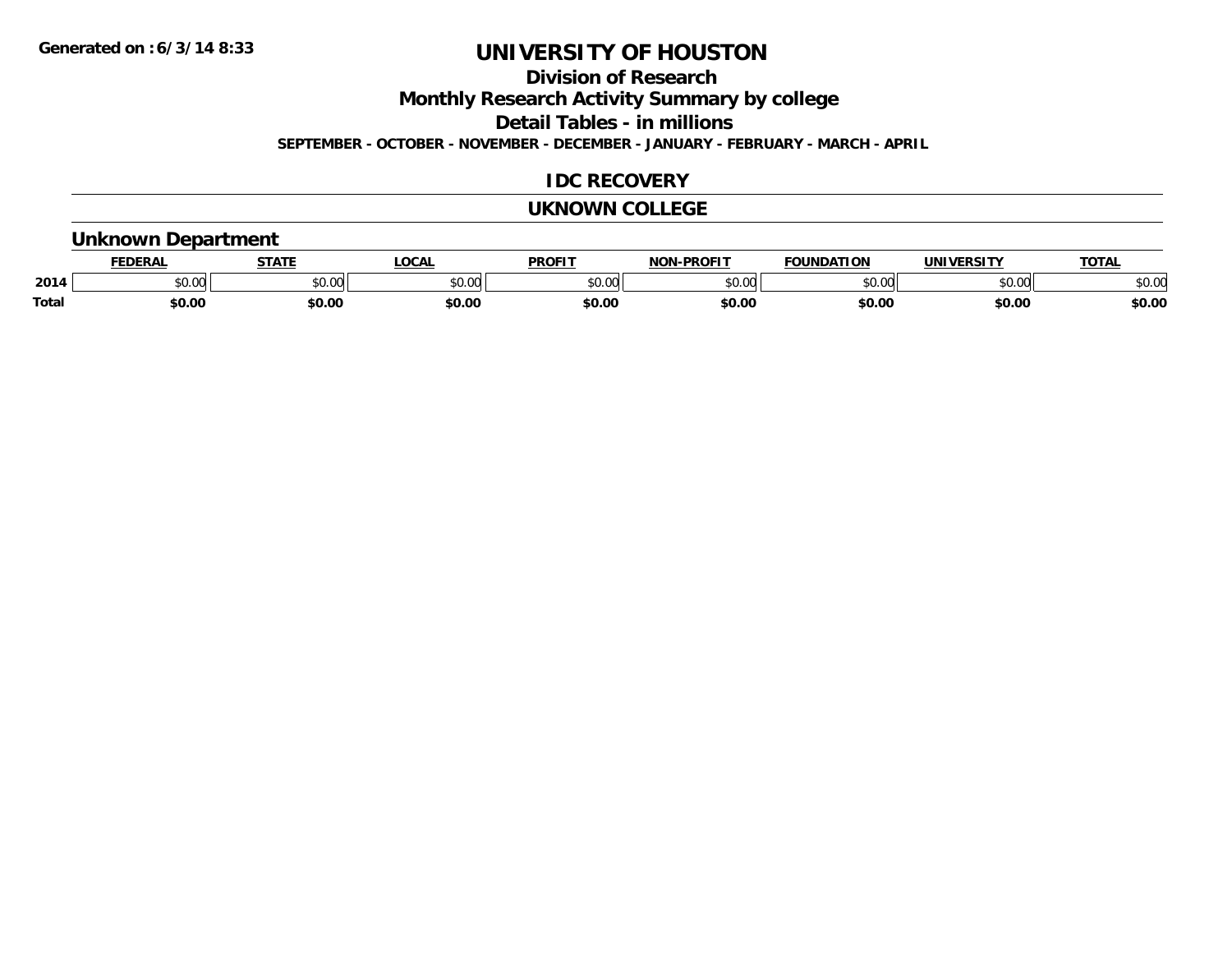**Division of Research**

**Monthly Research Activity Summary by college**

**Detail Tables - in millions**

**SEPTEMBER - OCTOBER - NOVEMBER - DECEMBER - JANUARY - FEBRUARY - MARCH - APRIL**

### **IDC RECOVERY**

#### **UKNOWN COLLEGE**

#### **Unknown Department**

|              | <b>JERAL</b> | <b>STATE</b>     | <b>LOCAL</b>      | <b>PROFIT</b>       | <b>DDAEIT</b><br><b>BIAB</b> | ΙΑΤΙΩΝ | JNI V<br>VEDCITY | TOTA.  |
|--------------|--------------|------------------|-------------------|---------------------|------------------------------|--------|------------------|--------|
| 2014         | \$0.00       | $\cdots$<br>JU.J | $\sim$ 00<br>ט.טע | 0000<br>JU.UU       | ስ ለሰ<br>ט.טע                 | 0000   | \$0.00           | \$0.00 |
| <b>Total</b> | 60.00        | \$0.00           | \$0.00            | <b>¢∩ ∩</b><br>DU.U | \$0.00                       | \$0.00 | \$0.00           | \$0.00 |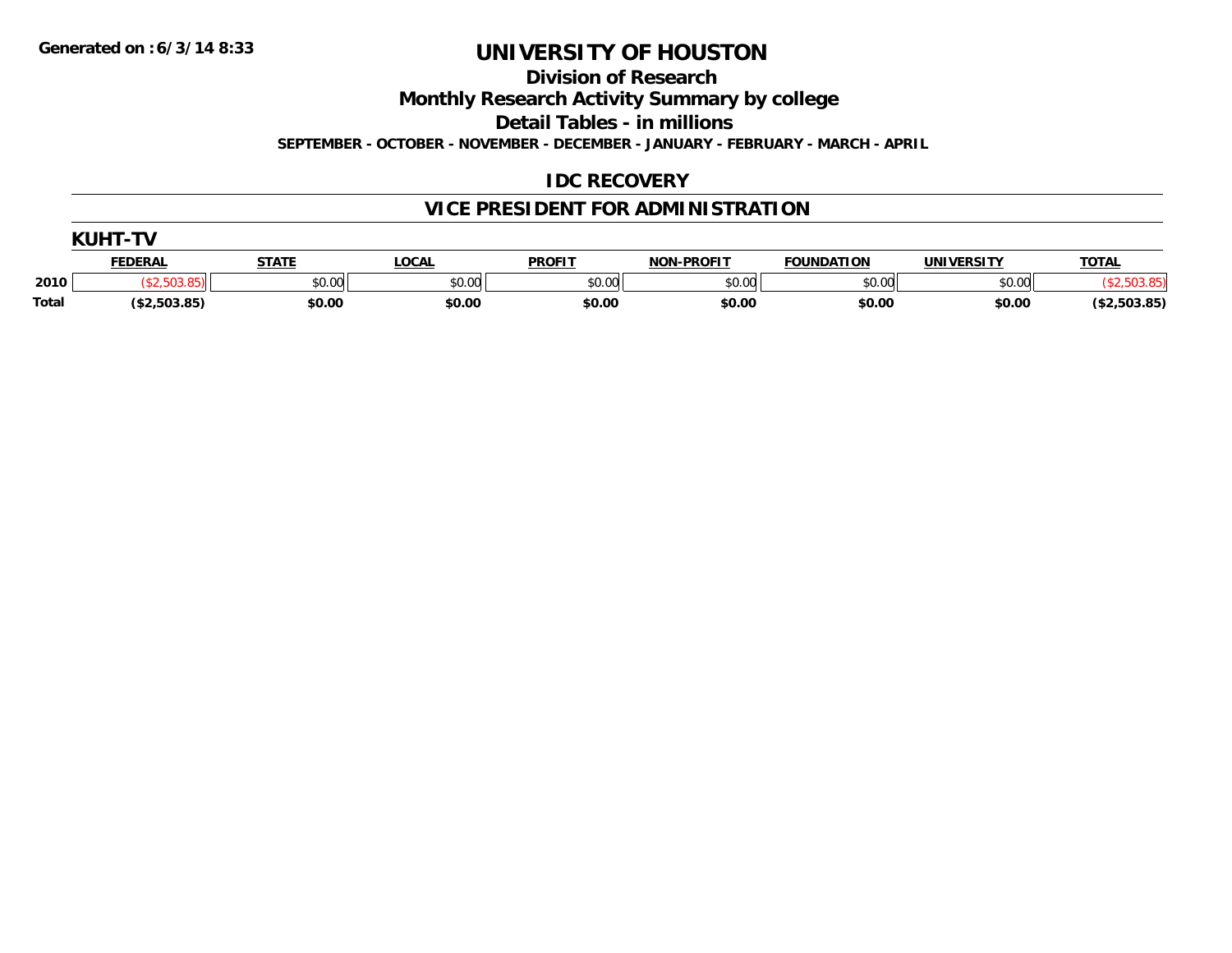**Division of Research**

**Monthly Research Activity Summary by college**

**Detail Tables - in millions**

**SEPTEMBER - OCTOBER - NOVEMBER - DECEMBER - JANUARY - FEBRUARY - MARCH - APRIL**

## **IDC RECOVERY**

# **VICE PRESIDENT FOR ADMINISTRATION**

| <b>VIILIT</b> |                |              |        |               |                   |                   |                   |              |  |  |  |
|---------------|----------------|--------------|--------|---------------|-------------------|-------------------|-------------------|--------------|--|--|--|
|               | <b>FEDERAL</b> | <b>STATE</b> | LOCAL  | <b>PROFIT</b> | <b>NON-PROFIT</b> | <b>FOUNDATION</b> | <b>UNIVERSITY</b> | <b>TOTAL</b> |  |  |  |
| 2010          |                | \$0.00       | \$0.00 | \$0.00        | \$0.00            | \$0.00            | \$0.00            |              |  |  |  |
| <b>Total</b>  | (\$2,503.85)   | \$0.00       | \$0.00 | \$0.00        | \$0.00            | \$0.00            | \$0.00            | (\$2,503.85) |  |  |  |